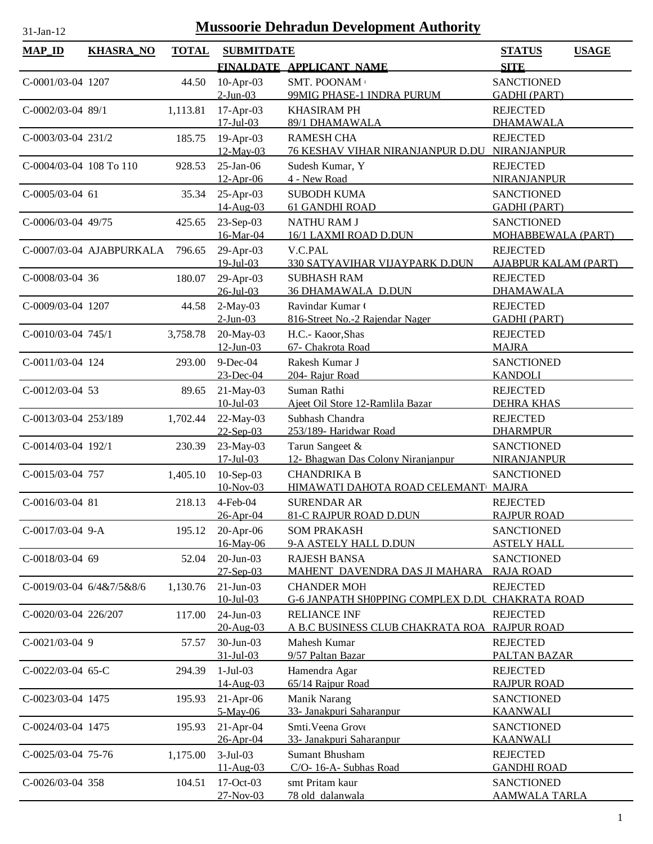| <b>MAP_ID</b>           | <b>KHASRA_NO</b>         | <b>TOTAL</b> | <b>SUBMITDATE</b>               |                                                                | <b>STATUS</b>                                  | <b>USAGE</b> |
|-------------------------|--------------------------|--------------|---------------------------------|----------------------------------------------------------------|------------------------------------------------|--------------|
|                         |                          |              |                                 | FINALDATE APPLICANT NAME                                       | <b>SITE</b>                                    |              |
| C-0001/03-04 1207       |                          | 44.50        | $10$ -Apr-03<br>$2$ -Jun-03     | SMT. POONAM<br>99MIG PHASE-1 INDRA PURUM                       | <b>SANCTIONED</b><br><b>GADHI (PART)</b>       |              |
| C-0002/03-04 89/1       |                          | 1,113.81     | $17-Apr-03$<br>$17 -$ Jul $-03$ | <b>KHASIRAM PH</b><br>89/1 DHAMAWALA                           | <b>REJECTED</b><br><b>DHAMAWALA</b>            |              |
| C-0003/03-04 231/2      |                          | 185.75       | 19-Apr-03<br>12-May-03          | <b>RAMESH CHA</b><br><b>76 KESHAV VIHAR NIRANJANPUR D.DU</b>   | <b>REJECTED</b><br>NIRANJANPUR                 |              |
| C-0004/03-04 108 To 110 |                          | 928.53       | $25$ -Jan-06<br>$12-Apr-06$     | Sudesh Kumar, Y<br>4 - New Road                                | <b>REJECTED</b><br><b>NIRANJANPUR</b>          |              |
| $C-0005/03-04$ 61       |                          | 35.34        | 25-Apr-03<br>$14 - Aug - 03$    | <b>SUBODH KUMA</b><br><b>61 GANDHI ROAD</b>                    | <b>SANCTIONED</b><br><b>GADHI (PART)</b>       |              |
| C-0006/03-04 49/75      |                          | 425.65       | 23-Sep-03<br>16-Mar-04          | <b>NATHU RAM J</b><br>16/1 LAXMI ROAD D.DUN                    | <b>SANCTIONED</b><br>MOHABBEWALA (PART)        |              |
|                         | C-0007/03-04 AJABPURKALA | 796.65       | 29-Apr-03<br>$19 -$ Jul $-03$   | V.C.PAL<br>330 SATYAVIHAR VIJAYPARK D.DUN                      | <b>REJECTED</b><br><b>AJABPUR KALAM (PART)</b> |              |
| C-0008/03-04 36         |                          | 180.07       | 29-Apr-03<br>$26$ -Jul-03       | <b>SUBHASH RAM</b><br>36 DHAMAWALA D.DUN                       | <b>REJECTED</b><br><b>DHAMAWALA</b>            |              |
| C-0009/03-04 1207       |                          | 44.58        | $2-May-03$<br>$2$ -Jun-03       | Ravindar Kumar (<br>816-Street No.-2 Rajendar Nager            | <b>REJECTED</b><br><b>GADHI (PART)</b>         |              |
| $C-0010/03-04$ 745/1    |                          | 3,758.78     | 20-May-03<br>$12$ -Jun-03       | H.C.- Kaoor, Shas<br>67- Chakrota Road                         | <b>REJECTED</b><br><b>MAJRA</b>                |              |
| C-0011/03-04 124        |                          | 293.00       | $9$ -Dec-04<br>$23$ -Dec-04     | Rakesh Kumar J<br>204- Rajur Road                              | <b>SANCTIONED</b><br><b>KANDOLI</b>            |              |
| C-0012/03-04 53         |                          | 89.65        | 21-May-03<br>$10$ -Jul-03       | Suman Rathi<br>Ajeet Oil Store 12-Ramlila Bazar                | <b>REJECTED</b><br><b>DEHRA KHAS</b>           |              |
| C-0013/03-04 253/189    |                          | 1,702.44     | 22-May-03<br>$22-Sep-03$        | Subhash Chandra<br>253/189- Haridwar Road                      | <b>REJECTED</b><br><b>DHARMPUR</b>             |              |
| C-0014/03-04 192/1      |                          | 230.39       | 23-May-03<br>$17 -$ Jul $-03$   | Tarun Sangeet &<br>12- Bhagwan Das Colony Niranjanpur          | <b>SANCTIONED</b><br><b>NIRANJANPUR</b>        |              |
| C-0015/03-04 757        |                          | 1,405.10     | 10-Sep-03<br>10-Nov-03          | <b>CHANDRIKA B</b><br>HIMAWATI DAHOTA ROAD CELEMANT            | <b>SANCTIONED</b><br><b>MAJRA</b>              |              |
| C-0016/03-04 81         |                          | 218.13       | $4$ -Feb-04<br>$26 - Anr - 04$  | <b>SURENDAR AR</b><br>81-C RAJPUR ROAD D.DUN                   | <b>REJECTED</b><br><b>RAJPUR ROAD</b>          |              |
| C-0017/03-04 9-A        |                          | 195.12       | 20-Apr-06<br>16-May-06          | <b>SOM PRAKASH</b><br>9-A ASTELY HALL D.DUN                    | <b>SANCTIONED</b><br><b>ASTELY HALL</b>        |              |
| C-0018/03-04 69         |                          | 52.04        | 20-Jun-03<br>$27-$ Sep $-03$    | <b>RAJESH BANSA</b><br>MAHENT DAVENDRA DAS JI MAHARA           | <b>SANCTIONED</b><br><b>RAJA ROAD</b>          |              |
|                         | C-0019/03-04 6/4&7/5&8/6 | 1,130.76     | $21-Jun-03$<br>$10$ -Jul-03     | <b>CHANDER MOH</b><br><b>G-6 JANPATH SHOPPING COMPLEX D.DU</b> | <b>REJECTED</b><br><b>CHAKRATA ROAD</b>        |              |
| C-0020/03-04 226/207    |                          | 117.00       | 24-Jun-03<br>20-Aug-03          | <b>RELIANCE INF</b><br><u>A B.C BUSINESS CLUB CHAKRATA ROA</u> | <b>REJECTED</b><br><b>RAJPUR ROAD</b>          |              |
| $C-0021/03-04$ 9        |                          | 57.57        | 30-Jun-03<br>$31 - Jul - 03$    | Mahesh Kumar<br>9/57 Paltan Bazar                              | <b>REJECTED</b><br>PALTAN BAZAR                |              |
| $C-0022/03-04$ 65-C     |                          | 294.39       | $1-Jul-03$<br>14-Aug-03         | Hamendra Agar<br>65/14 Raipur Road                             | <b>REJECTED</b><br><b>RAJPUR ROAD</b>          |              |
| C-0023/03-04 1475       |                          | 195.93       | $21-Apr-06$<br>5-May-06         | Manik Narang<br>33- Janakpuri Saharanpur                       | <b>SANCTIONED</b><br><b>KAANWALI</b>           |              |
| C-0024/03-04 1475       |                          | 195.93       | $21-Apr-04$<br>26-Apr-04        | Smti. Veena Grove<br>33- Janakpuri Saharanpur                  | <b>SANCTIONED</b><br><b>KAANWALI</b>           |              |
| C-0025/03-04 75-76      |                          | 1,175.00     | $3-Jul-03$<br>11-Aug-03         | <b>Sumant Bhusham</b><br>C/O- 16-A- Subhas Road                | <b>REJECTED</b><br><b>GANDHI ROAD</b>          |              |
| C-0026/03-04 358        |                          | 104.51       | 17-Oct-03<br>27-Nov-03          | smt Pritam kaur<br>78 old dalanwala                            | <b>SANCTIONED</b><br><b>AAMWALA TARLA</b>      |              |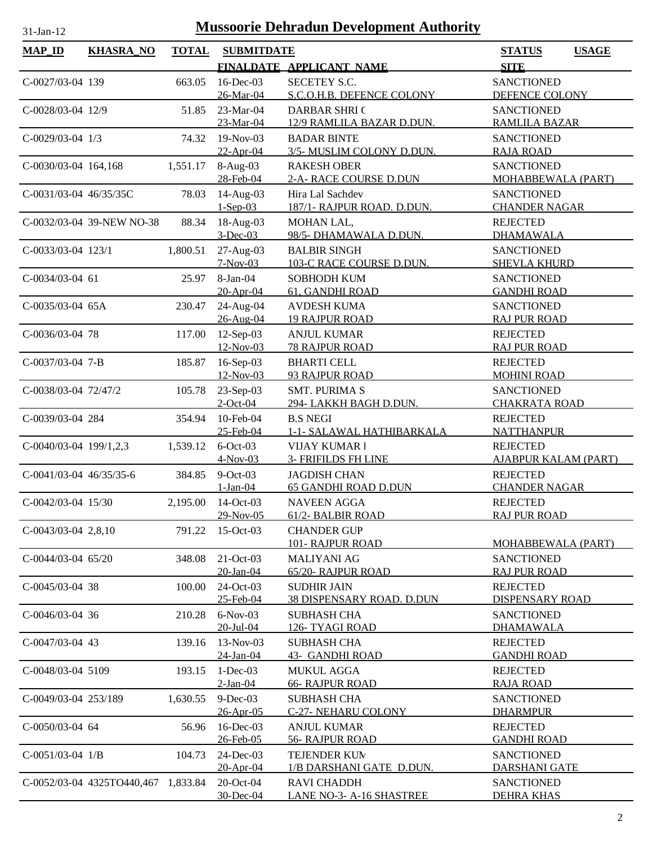| <b>MAP_ID</b>           | <b>KHASRA_NO</b>                    | <b>TOTAL</b> | <b>SUBMITDATE</b>             |                                             | <b>STATUS</b><br><b>USAGE</b>            |
|-------------------------|-------------------------------------|--------------|-------------------------------|---------------------------------------------|------------------------------------------|
|                         |                                     |              |                               | FINALDATE APPLICANT NAME                    | <b>SITE</b>                              |
| C-0027/03-04 139        |                                     | 663.05       | 16-Dec-03                     | <b>SECETEY S.C.</b>                         | <b>SANCTIONED</b>                        |
|                         |                                     |              | 26-Mar-04                     | S.C.O.H.B. DEFENCE COLONY                   | DEFENCE COLONY                           |
| $C-0028/03-04$ 12/9     |                                     | 51.85        | 23-Mar-04                     | <b>DARBAR SHRI (</b>                        | <b>SANCTIONED</b>                        |
|                         |                                     |              | 23-Mar-04                     | 12/9 RAMLILA BAZAR D.DUN.                   | <b>RAMLILA BAZAR</b>                     |
| $C-0029/03-04$ 1/3      |                                     | 74.32        | 19-Nov-03                     | <b>BADAR BINTE</b>                          | <b>SANCTIONED</b>                        |
|                         |                                     |              | $22-Apr-04$                   | 3/5- MUSLIM COLONY D.DUN.                   | <b>RAJA ROAD</b>                         |
| C-0030/03-04 164,168    |                                     | 1,551.17     | $8-Aug-03$                    | <b>RAKESH OBER</b>                          | <b>SANCTIONED</b>                        |
|                         |                                     |              | 28-Feb-04                     | 2-A- RACE COURSE D.DUN                      | <b>MOHABBEWALA (PART)</b>                |
| C-0031/03-04 46/35/35C  |                                     | 78.03        | 14-Aug-03                     | Hira Lal Sachdev                            | <b>SANCTIONED</b>                        |
|                         |                                     |              | $1-Sep-03$                    | 187/1- RAJPUR ROAD. D.DUN.                  | <b>CHANDER NAGAR</b>                     |
|                         | C-0032/03-04 39-NEW NO-38           | 88.34        | $18-Aug-03$                   | MOHAN LAL,                                  | <b>REJECTED</b>                          |
|                         |                                     |              | $3-Dec-03$                    | 98/5- DHAMAWALA D.DUN.                      | <b>DHAMAWALA</b>                         |
| C-0033/03-04 123/1      |                                     | 1,800.51     | 27-Aug-03                     | <b>BALBIR SINGH</b>                         | <b>SANCTIONED</b>                        |
|                         |                                     |              | $7-Nov-03$                    | 103-C RACE COURSE D.DUN.                    | <b>SHEVLA KHURD</b>                      |
| $C-0034/03-04$ 61       |                                     | 25.97        | 8-Jan-04                      | <b>SOBHODH KUM</b>                          | <b>SANCTIONED</b>                        |
|                         |                                     |              | 20-Apr-04                     | 61, GANDHI ROAD                             | <b>GANDHI ROAD</b>                       |
| C-0035/03-04 65A        |                                     | 230.47       | 24-Aug-04<br>26-Aug-04        | <b>AVDESH KUMA</b><br><b>19 RAJPUR ROAD</b> | <b>SANCTIONED</b><br><b>RAJ PUR ROAD</b> |
| C-0036/03-04 78         |                                     | 117.00       | $12$ -Sep-03                  | <b>ANJUL KUMAR</b>                          | <b>REJECTED</b>                          |
|                         |                                     |              | 12-Nov-03                     | <b>78 RAJPUR ROAD</b>                       | <b>RAJ PUR ROAD</b>                      |
| C-0037/03-04 7-B        |                                     | 185.87       | 16-Sep-03                     | <b>BHARTI CELL</b>                          | <b>REJECTED</b>                          |
|                         |                                     |              | 12-Nov-03                     | 93 RAJPUR ROAD                              | <b>MOHINI ROAD</b>                       |
| C-0038/03-04 72/47/2    |                                     | 105.78       | 23-Sep-03                     | <b>SMT. PURIMA S</b>                        | <b>SANCTIONED</b>                        |
|                         |                                     |              | $2$ -Oct-04                   | 294-LAKKH BAGH D.DUN.                       | <b>CHAKRATA ROAD</b>                     |
| C-0039/03-04 284        |                                     | 354.94       | 10-Feb-04                     | <b>B.S NEGI</b>                             | <b>REJECTED</b>                          |
|                         |                                     |              | 25-Feb-04                     | 1-1- SALAWAL HATHIBARKALA                   | <b>NATTHANPUR</b>                        |
| C-0040/03-04 199/1,2,3  |                                     | 1,539.12     | $6$ -Oct-03                   | <b>VIJAY KUMAR1</b>                         | <b>REJECTED</b>                          |
|                         |                                     |              | $4-Nov-03$                    | <b>3- FRIFILDS FH LINE</b>                  | <b>AJABPUR KALAM (PART)</b>              |
| C-0041/03-04 46/35/35-6 |                                     | 384.85       | $9$ -Oct-03                   | <b>JAGDISH CHAN</b>                         | <b>REJECTED</b>                          |
|                         |                                     |              | $1-Jan-04$                    | <b>65 GANDHI ROAD D.DUN</b>                 | <b>CHANDER NAGAR</b>                     |
| $C-0042/03-04$ 15/30    |                                     | 2,195.00     | 14-Oct-03                     | <b>NAVEEN AGGA</b>                          | <b>REJECTED</b>                          |
|                         |                                     |              | 29-Nov-05                     | 61/2- BALBIR ROAD                           | <b>RAJ PUR ROAD</b>                      |
| $C-0043/03-04$ 2,8,10   |                                     | 791.22       | $15$ -Oct-03                  | <b>CHANDER GUP</b>                          |                                          |
|                         |                                     |              |                               | <b>101- RAJPUR ROAD</b>                     | <b>MOHABBEWALA (PART)</b>                |
| $C-0.044/03-04$ 65/20   |                                     | 348.08       | $21-Oct-03$                   | <b>MALIYANI AG</b>                          | <b>SANCTIONED</b>                        |
|                         |                                     |              | 20-Jan-04                     | 65/20- RAJPUR ROAD                          | <b>RAJ PUR ROAD</b>                      |
| C-0045/03-04 38         |                                     | 100.00       | 24-Oct-03                     | <b>SUDHIR JAIN</b>                          | <b>REJECTED</b>                          |
|                         |                                     |              | 25-Feb-04                     | <b>38 DISPENSARY ROAD. D.DUN</b>            | DISPENSARY ROAD                          |
| C-0046/03-04 36         |                                     | 210.28       | $6-Nov-03$<br>$20$ -Jul- $04$ | <b>SUBHASH CHA</b><br>126- TYAGI ROAD       | <b>SANCTIONED</b><br><b>DHAMAWALA</b>    |
| $C-0047/03-04$ 43       |                                     | 139.16       | $13-Nov-03$                   | <b>SUBHASH CHA</b>                          | <b>REJECTED</b>                          |
|                         |                                     |              | 24-Jan-04                     | <b>43- GANDHI ROAD</b>                      | <b>GANDHI ROAD</b>                       |
| C-0048/03-04 5109       |                                     | 193.15       | $1-Dec-03$                    | <b>MUKUL AGGA</b>                           | <b>REJECTED</b>                          |
|                         |                                     |              | $2$ -Jan-04                   | <b>66- RAJPUR ROAD</b>                      | <b>RAJA ROAD</b>                         |
| C-0049/03-04 253/189    |                                     | 1,630.55     | $9-Dec-03$                    | <b>SUBHASH CHA</b>                          | <b>SANCTIONED</b>                        |
|                         |                                     |              | 26-Apr-05                     | <b>C-27- NEHARU COLONY</b>                  | <b>DHARMPUR</b>                          |
| $C-0050/03-04$ 64       |                                     | 56.96        | 16-Dec-03                     | <b>ANJUL KUMAR</b>                          | <b>REJECTED</b>                          |
|                         |                                     |              | 26-Feb-05                     | <b>56- RAJPUR ROAD</b>                      | <b>GANDHI ROAD</b>                       |
| $C-0051/03-04$ 1/B      |                                     | 104.73       | $24$ -Dec-03                  | <b>TEJENDER KUN</b>                         | <b>SANCTIONED</b>                        |
|                         |                                     |              | 20-Apr-04                     | 1/B DARSHANI GATE D.DUN.                    | <b>DARSHANI GATE</b>                     |
|                         | C-0052/03-04 4325TO440,467 1,833.84 |              | 20-Oct-04                     | <b>RAVI CHADDH</b>                          | <b>SANCTIONED</b>                        |
|                         |                                     |              | 30-Dec-04                     | <b>LANE NO-3- A-16 SHASTREE</b>             | <b>DEHRA KHAS</b>                        |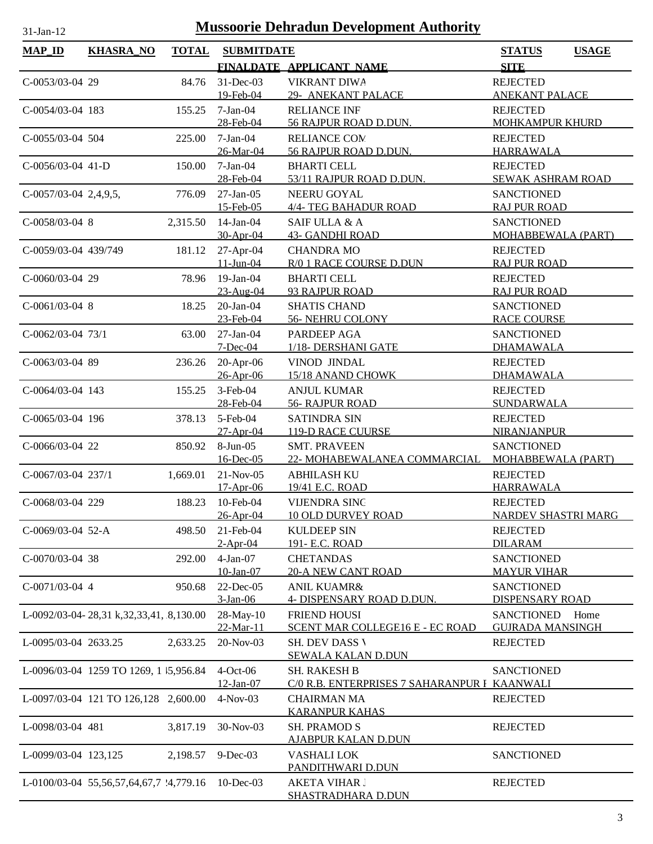| <b>MAP_ID</b>           | <b>KHASRA_NO</b>                        | <b>TOTAL</b> | <b>SUBMITDATE</b>        |                                                     | <b>STATUS</b><br><b>USAGE</b>               |
|-------------------------|-----------------------------------------|--------------|--------------------------|-----------------------------------------------------|---------------------------------------------|
|                         |                                         |              |                          | FINALDATE APPLICANT NAME                            | <b>SITE</b>                                 |
| C-0053/03-04 29         |                                         | 84.76        | $31$ -Dec-03             | <b>VIKRANT DIWA</b>                                 | <b>REJECTED</b>                             |
|                         |                                         |              | 19-Feb-04                | 29- ANEKANT PALACE                                  | <b>ANEKANT PALACE</b>                       |
| $C-0054/03-04$ 183      |                                         | 155.25       | $7-Jan-04$               | <b>RELIANCE INF</b>                                 | <b>REJECTED</b>                             |
|                         |                                         |              | 28-Feb-04                | 56 RAJPUR ROAD D.DUN.                               | <b>MOHKAMPUR KHURD</b>                      |
| C-0055/03-04 504        |                                         | 225.00       | $7-Jan-04$               | <b>RELIANCE COM</b>                                 | <b>REJECTED</b>                             |
|                         |                                         |              | 26-Mar-04                | 56 RAJPUR ROAD D.DUN.                               | <b>HARRAWALA</b>                            |
| $C-0056/03-04$ 41-D     |                                         | 150.00       | $7-Jan-04$               | <b>BHARTI CELL</b>                                  | <b>REJECTED</b>                             |
|                         |                                         |              | 28-Feb-04                | 53/11 RAJPUR ROAD D.DUN.                            | SEWAK ASHRAM ROAD                           |
| $C-0057/03-04$ 2,4,9,5, |                                         | 776.09       | $27-Jan-05$<br>15-Feb-05 | NEERU GOYAL<br>4/4- TEG BAHADUR ROAD                | <b>SANCTIONED</b><br><b>RAJ PUR ROAD</b>    |
| C-0058/03-04 8          |                                         | 2,315.50     | $14$ -Jan-04             | SAIF ULLA & A                                       | <b>SANCTIONED</b>                           |
|                         |                                         |              | 30-Apr-04                | <b>43- GANDHI ROAD</b>                              | MOHABBEWALA (PART)                          |
| C-0059/03-04 439/749    |                                         | 181.12       | $27$ -Apr-04             | <b>CHANDRA MO</b>                                   | <b>REJECTED</b>                             |
|                         |                                         |              | $11-Jun-04$              | R/0 1 RACE COURSE D.DUN                             | <b>RAJ PUR ROAD</b>                         |
| C-0060/03-04 29         |                                         | 78.96        | $19-Jan-04$              | <b>BHARTI CELL</b>                                  | <b>REJECTED</b>                             |
|                         |                                         |              | 23-Aug-04                | 93 RAJPUR ROAD                                      | <b>RAJ PUR ROAD</b>                         |
| $C-0061/03-04$ 8        |                                         | 18.25        | $20$ -Jan- $04$          | <b>SHATIS CHAND</b>                                 | <b>SANCTIONED</b>                           |
|                         |                                         |              | 23-Feb-04                | 56- NEHRU COLONY                                    | <b>RACE COURSE</b>                          |
| C-0062/03-04 73/1       |                                         | 63.00        | $27-Ian-04$              | PARDEEP AGA                                         | <b>SANCTIONED</b>                           |
|                         |                                         |              | $7 - Dec-04$             | 1/18- DERSHANI GATE                                 | <b>DHAMAWALA</b>                            |
| C-0063/03-04 89         |                                         | 236.26       | $20$ -Apr-06             | VINOD JINDAL                                        | <b>REJECTED</b>                             |
|                         |                                         |              | 26-Apr-06                | 15/18 ANAND CHOWK                                   | <b>DHAMAWALA</b>                            |
| $C-0064/03-04$ 143      |                                         | 155.25       | $3-Feb-04$               | <b>ANJUL KUMAR</b>                                  | <b>REJECTED</b>                             |
|                         |                                         | 378.13       | 28-Feb-04<br>5-Feb-04    | <b>56- RAJPUR ROAD</b><br><b>SATINDRA SIN</b>       | SUNDARWALA                                  |
| C-0065/03-04 196        |                                         |              | 27-Apr-04                | <b>119-D RACE CUURSE</b>                            | <b>REJECTED</b><br><b>NIRANJANPUR</b>       |
| C-0066/03-04 22         |                                         | 850.92       | 8-Jun-05                 | <b>SMT. PRAVEEN</b>                                 | <b>SANCTIONED</b>                           |
|                         |                                         |              | $16$ -Dec-05             | 22- MOHABEWALANEA COMMARCIAL                        | MOHABBEWALA (PART)                          |
| C-0067/03-04 237/1      |                                         | 1,669.01     | $21-Nov-05$              | <b>ABHILASH KU</b>                                  | <b>REJECTED</b>                             |
|                         |                                         |              | $17-Apr-06$              | 19/41 E.C. ROAD                                     | <b>HARRAWALA</b>                            |
| C-0068/03-04 229        |                                         | 188.23       | 10-Feb-04                | <b>VIJENDRA SINC</b>                                | <b>REJECTED</b>                             |
|                         |                                         |              | 26-Apr-04                | <b>10 OLD DURVEY ROAD</b>                           | <b>NARDEV SHASTRI MARG</b>                  |
| C-0069/03-04 52-A       |                                         | 498.50       | 21-Feb-04                | <b>KULDEEP SIN</b>                                  | <b>REJECTED</b>                             |
|                         |                                         |              | $2-Apr-04$               | 191- E.C. ROAD                                      | <b>DILARAM</b>                              |
| C-0070/03-04 38         |                                         | 292.00       | $4-Jan-07$               | <b>CHETANDAS</b>                                    | <b>SANCTIONED</b>                           |
|                         |                                         |              | 10-Jan-07                | <b>20-A NEW CANT ROAD</b>                           | <b>MAYUR VIHAR</b>                          |
| C-0071/03-04 4          |                                         | 950.68       | 22-Dec-05<br>3-Jan-06    | <b>ANIL KUAMR&amp;</b><br>4- DISPENSARY ROAD D.DUN. | <b>SANCTIONED</b><br><b>DISPENSARY ROAD</b> |
|                         | L-0092/03-04-28,31 k,32,33,41, 8,130.00 |              | 28-May-10                | <b>FRIEND HOUSI</b>                                 | <b>SANCTIONED</b><br>Home                   |
|                         |                                         |              | 22-Mar-11                | SCENT MAR COLLEGE16 E - EC ROAD                     | <b>GUJRADA MANSINGH</b>                     |
| L-0095/03-04 2633.25    |                                         | 2,633.25     | 20-Nov-03                | <b>SH. DEV DASS V</b>                               | <b>REJECTED</b>                             |
|                         |                                         |              |                          | <b>SEWALA KALAN D.DUN</b>                           |                                             |
|                         | L-0096/03-04 1259 TO 1269, 1 5,956.84   |              | $4-Oct-06$               | <b>SH. RAKESH B</b>                                 | <b>SANCTIONED</b>                           |
|                         |                                         |              | 12-Jan-07                | C/0 R.B. ENTERPRISES 7 SAHARANPUR I KAANWALI        |                                             |
|                         | L-0097/03-04 121 TO 126,128 2,600.00    |              | $4-Nov-03$               | <b>CHAIRMAN MA</b>                                  | <b>REJECTED</b>                             |
|                         |                                         |              |                          | <b>KARANPUR KAHAS</b>                               |                                             |
| L-0098/03-04 481        |                                         | 3,817.19     | 30-Nov-03                | <b>SH. PRAMOD S</b>                                 | <b>REJECTED</b>                             |
|                         |                                         |              |                          | <u>AJABPUR KALAN D.DUN</u>                          |                                             |
| L-0099/03-04 123,125    |                                         | 2,198.57     | $9$ -Dec-03              | <b>VASHALI LOK</b>                                  | <b>SANCTIONED</b>                           |
|                         |                                         |              |                          | PANDITHWARI D.DUN                                   |                                             |
|                         | L-0100/03-04 55,56,57,64,67,7 '4,779.16 |              | $10$ -Dec-03             | <b>AKETA VIHAR I</b><br><b>SHASTRADHARA D.DUN</b>   | <b>REJECTED</b>                             |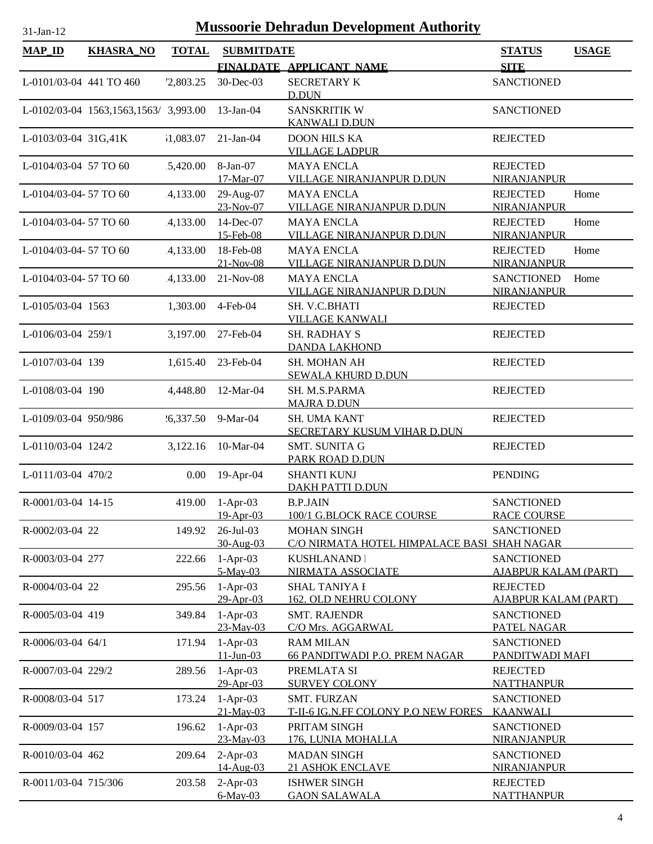| $MAP$ <sub>ID</sub>     | <b>KHASRA_NO</b>                      | <b>TOTAL</b> | <b>SUBMITDATE</b>              |                                                                   | <b>STATUS</b>                                    | <b>USAGE</b> |
|-------------------------|---------------------------------------|--------------|--------------------------------|-------------------------------------------------------------------|--------------------------------------------------|--------------|
|                         |                                       |              |                                | FINALDATE APPLICANT NAME                                          | <b>SITE</b>                                      |              |
| L-0101/03-04 441 TO 460 |                                       | '2,803.25    | 30-Dec-03                      | <b>SECRETARY K</b><br>D.DUN                                       | <b>SANCTIONED</b>                                |              |
|                         | L-0102/03-04 1563,1563,1563/ 3,993.00 |              | $13$ -Jan-04                   | <b>SANSKRITIK W</b><br><b>KANWALI D.DUN</b>                       | <b>SANCTIONED</b>                                |              |
| L-0103/03-04 31G,41K    |                                       | 1,083.07     | $21-Jan-04$                    | <b>DOON HILS KA</b><br><b>VILLAGE LADPUR</b>                      | <b>REJECTED</b>                                  |              |
| L-0104/03-04 57 TO 60   |                                       | 5,420.00     | 8-Jan-07<br>17-Mar-07          | <b>MAYA ENCLA</b><br>VILLAGE NIRANJANPUR D.DUN                    | <b>REJECTED</b><br><b>NIRANJANPUR</b>            |              |
| L-0104/03-04-57 TO 60   |                                       | 4,133.00     | 29-Aug-07<br>23-Nov-07         | <b>MAYA ENCLA</b><br>VILLAGE NIRANJANPUR D.DUN                    | <b>REJECTED</b><br>NIRANJANPUR                   | Home         |
| L-0104/03-04-57 TO 60   |                                       | 4,133.00     | 14-Dec-07<br>15-Feb-08         | <b>MAYA ENCLA</b><br><b>VILLAGE NIRANJANPUR D.DUN</b>             | <b>REJECTED</b><br><b>NIRANJANPUR</b>            | Home         |
| L-0104/03-04-57 TO 60   |                                       | 4,133.00     | 18-Feb-08<br>$21-Nov-08$       | <b>MAYA ENCLA</b><br>VILLAGE NIRANJANPUR D.DUN                    | <b>REJECTED</b><br>NIRANJANPUR                   | Home         |
| L-0104/03-04-57 TO 60   |                                       | 4,133.00     | $21-Nov-08$                    | <b>MAYA ENCLA</b><br>VILLAGE NIRANJANPUR D.DUN                    | <b>SANCTIONED</b><br>NIRANJANPUR                 | Home         |
| L-0105/03-04 1563       |                                       | 1,303.00     | 4-Feb-04                       | SH. V.C.BHATI<br><b>VILLAGE KANWALI</b>                           | <b>REJECTED</b>                                  |              |
| L-0106/03-04 259/1      |                                       | 3,197.00     | 27-Feb-04                      | <b>SH. RADHAY S</b><br><b>DANDA LAKHOND</b>                       | <b>REJECTED</b>                                  |              |
| L-0107/03-04 139        |                                       | 1,615.40     | 23-Feb-04                      | SH. MOHAN AH<br><b>SEWALA KHURD D.DUN</b>                         | <b>REJECTED</b>                                  |              |
| L-0108/03-04 190        |                                       | 4,448.80     | 12-Mar-04                      | SH. M.S.PARMA<br><b>MAJRA D.DUN</b>                               | <b>REJECTED</b>                                  |              |
| L-0109/03-04 950/986    |                                       | 26,337.50    | 9-Mar-04                       | SH. UMA KANT<br>SECRETARY KUSUM VIHAR D.DUN                       | <b>REJECTED</b>                                  |              |
| L-0110/03-04 124/2      |                                       | 3,122.16     | 10-Mar-04                      | <b>SMT. SUNITA G</b><br>PARK ROAD D.DUN                           | <b>REJECTED</b>                                  |              |
| L-0111/03-04 470/2      |                                       | 0.00         | 19-Apr-04                      | <b>SHANTI KUNJ</b><br><b>DAKH PATTI D.DUN</b>                     | <b>PENDING</b>                                   |              |
| R-0001/03-04 14-15      |                                       |              | 419.00 1-Apr-03<br>$19-Apr-03$ | <b>B.P.JAIN</b><br>100/1 G.BLOCK RACE COURSE                      | <b>SANCTIONED</b><br><b>RACE COURSE</b>          |              |
| R-0002/03-04 22         |                                       | 149.92       | $26$ -Jul-03<br>30-Aug-03      | <b>MOHAN SINGH</b><br>C/O NIRMATA HOTEL HIMPALACE BASI SHAH NAGAR | <b>SANCTIONED</b>                                |              |
| R-0003/03-04 277        |                                       | 222.66       | $1-Apr-03$<br>5-May-03         | KUSHLANAND  <br>NIRMATA ASSOCIATE                                 | <b>SANCTIONED</b><br><b>AJABPUR KALAM (PART)</b> |              |
| R-0004/03-04 22         |                                       | 295.56       | $1-Apr-03$<br>29-Apr-03        | <b>SHAL TANIYA I</b><br><b>162. OLD NEHRU COLONY</b>              | <b>REJECTED</b><br><b>AJABPUR KALAM (PART)</b>   |              |
| R-0005/03-04 419        |                                       | 349.84       | $1-Apr-03$<br>23-May-03        | <b>SMT. RAJENDR</b><br>C/O Mrs. AGGARWAL                          | <b>SANCTIONED</b><br>PATEL NAGAR                 |              |
| R-0006/03-04 64/1       |                                       | 171.94       | $1-Apr-03$<br>$11$ -Jun-03     | <b>RAM MILAN</b><br>66 PANDITWADI P.O. PREM NAGAR                 | <b>SANCTIONED</b><br>PANDITWADI MAFI             |              |
| R-0007/03-04 229/2      |                                       | 289.56       | $1-Apr-03$<br>29-Apr-03        | PREMLATA SI<br><b>SURVEY COLONY</b>                               | <b>REJECTED</b><br><b>NATTHANPUR</b>             |              |
| R-0008/03-04 517        |                                       | 173.24       | $1-Apr-03$<br>$21-May-03$      | <b>SMT. FURZAN</b><br>T-II-6 IG.N.FF COLONY P.O NEW FORES         | <b>SANCTIONED</b><br><b>KAANWALI</b>             |              |
| R-0009/03-04 157        |                                       | 196.62       | $1-Apr-03$<br>23-May-03        | PRITAM SINGH<br>176, LUNIA MOHALLA                                | <b>SANCTIONED</b><br><b>NIRANJANPUR</b>          |              |
| R-0010/03-04 462        |                                       | 209.64       | $2-Apr-03$<br>14-Aug-03        | <b>MADAN SINGH</b><br><b>21 ASHOK ENCLAVE</b>                     | <b>SANCTIONED</b><br><b>NIRANJANPUR</b>          |              |
| R-0011/03-04 715/306    |                                       | 203.58       | $2-Apr-03$<br>$6$ -May-03      | <b>ISHWER SINGH</b><br><b>GAON SALAWALA</b>                       | <b>REJECTED</b><br><b>NATTHANPUR</b>             |              |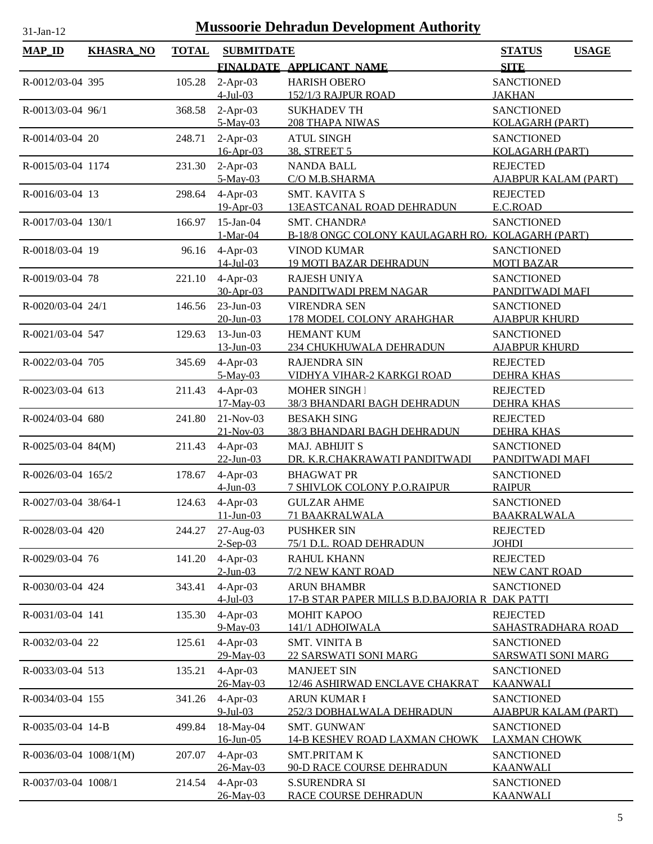| <b>MAP_ID</b>            | <b>KHASRA_NO</b> | <b>TOTAL</b> | <b>SUBMITDATE</b>         |                                                   | <b>STATUS</b><br><b>USAGE</b>               |
|--------------------------|------------------|--------------|---------------------------|---------------------------------------------------|---------------------------------------------|
|                          |                  |              |                           | FINALDATE APPLICANT NAME                          | <b>SITE</b>                                 |
| R-0012/03-04 395         |                  | 105.28       | $2-Apr-03$                | <b>HARISH OBERO</b>                               | <b>SANCTIONED</b>                           |
|                          |                  |              | $4$ -Jul-03               | 152/1/3 RAJPUR ROAD                               | <b>JAKHAN</b>                               |
| R-0013/03-04 96/1        |                  | 368.58       | $2-Apr-03$                | <b>SUKHADEV TH</b>                                | <b>SANCTIONED</b>                           |
|                          |                  |              | 5-May-03                  | <b>208 THAPA NIWAS</b>                            | <b>KOLAGARH (PART)</b>                      |
| R-0014/03-04 20          |                  | 248.71       | $2-Apr-03$<br>16-Apr-03   | <b>ATUL SINGH</b><br>38, STREET 5                 | <b>SANCTIONED</b><br><b>KOLAGARH (PART)</b> |
| R-0015/03-04 1174        |                  | 231.30       | $2-Apr-03$                | <b>NANDA BALL</b>                                 | <b>REJECTED</b>                             |
|                          |                  |              | 5-May-03                  | C/O M.B.SHARMA                                    | <b>AJABPUR KALAM (PART)</b>                 |
| R-0016/03-04 13          |                  | 298.64       | $4-Apr-03$                | <b>SMT. KAVITA S</b>                              | <b>REJECTED</b>                             |
|                          |                  |              | 19-Apr-03                 | <b>13EASTCANAL ROAD DEHRADUN</b>                  | E.C.ROAD                                    |
| R-0017/03-04 130/1       |                  | 166.97       | $15$ -Jan-04              | SMT. CHANDRA                                      | <b>SANCTIONED</b>                           |
|                          |                  |              | $1-Mar-04$                | B-18/8 ONGC COLONY KAULAGARH RO. KOLAGARH (PART)  |                                             |
| R-0018/03-04 19          |                  | 96.16        | $4-Apr-03$                | <b>VINOD KUMAR</b>                                | <b>SANCTIONED</b>                           |
|                          |                  |              | $14$ -Jul-03              | <b>19 MOTI BAZAR DEHRADUN</b>                     | <b>MOTI BAZAR</b>                           |
| R-0019/03-04 78          |                  | 221.10       | $4-Apr-03$<br>30-Apr-03   | <b>RAJESH UNIYA</b><br>PANDITWADI PREM NAGAR      | <b>SANCTIONED</b><br>PANDITWADI MAFI        |
| R-0020/03-04 24/1        |                  | 146.56       | $23$ -Jun-03              | <b>VIRENDRA SEN</b>                               | <b>SANCTIONED</b>                           |
|                          |                  |              | $20$ -Jun-03              | 178 MODEL COLONY ARAHGHAR                         | <u>AJABPUR KHURD</u>                        |
| R-0021/03-04 547         |                  | 129.63       | $13$ -Jun-03              | <b>HEMANT KUM</b>                                 | <b>SANCTIONED</b>                           |
|                          |                  |              | 13-Jun-03                 | 234 CHUKHUWALA DEHRADUN                           | <b>AJABPUR KHURD</b>                        |
| R-0022/03-04 705         |                  | 345.69       | $4-Apr-03$                | <b>RAJENDRA SIN</b>                               | <b>REJECTED</b>                             |
|                          |                  |              | $5-May-03$                | VIDHYA VIHAR-2 KARKGI ROAD                        | <b>DEHRA KHAS</b>                           |
| R-0023/03-04 613         |                  | 211.43       | 4-Apr-03<br>17-May-03     | <b>MOHER SINGH</b>                                | <b>REJECTED</b>                             |
| R-0024/03-04 680         |                  | 241.80       | 21-Nov-03                 | 38/3 BHANDARI BAGH DEHRADUN<br><b>BESAKH SING</b> | <b>DEHRA KHAS</b><br><b>REJECTED</b>        |
|                          |                  |              | $21-Nov-03$               | 38/3 BHANDARI BAGH DEHRADUN                       | <b>DEHRA KHAS</b>                           |
| $R - 0025/03 - 04$ 84(M) |                  | 211.43       | $4-Apr-03$                | MAJ. ABHIJIT S                                    | <b>SANCTIONED</b>                           |
|                          |                  |              | $22 - Jun - 03$           | DR. K.R.CHAKRAWATI PANDITWADI                     | PANDITWADI MAFI                             |
| R-0026/03-04 165/2       |                  | 178.67       | $4-Apr-03$                | <b>BHAGWAT PR</b>                                 | <b>SANCTIONED</b>                           |
|                          |                  |              | $4$ -Jun-03               | 7 SHIVLOK COLONY P.O.RAIPUR                       | <b>RAIPUR</b>                               |
| R-0027/03-04 38/64-1     |                  |              | 124.63 4-Apr-03           | <b>GULZAR AHME</b>                                | <b>SANCTIONED</b>                           |
| R-0028/03-04 420         |                  |              | $11 - Jun - 03$           | 71 BAAKRALWALA<br><b>PUSHKER SIN</b>              | <b>BAAKRALWALA</b>                          |
|                          |                  | 244.27       | $27-Aug-03$<br>$2-Sep-03$ | 75/1 D.L. ROAD DEHRADUN                           | <b>REJECTED</b><br><b>JOHDI</b>             |
| R-0029/03-04 76          |                  | 141.20       | $4-Apr-03$                | <b>RAHUL KHANN</b>                                | <b>REJECTED</b>                             |
|                          |                  |              | $2$ -Jun-03               | 7/2 NEW KANT ROAD                                 | <b>NEW CANT ROAD</b>                        |
| R-0030/03-04 424         |                  | 343.41       | $4-Apr-03$                | <b>ARUN BHAMBR</b>                                | <b>SANCTIONED</b>                           |
|                          |                  |              | $4$ -Jul-03               | 17-B STAR PAPER MILLS B.D.BAJORIA R DAK PATTI     |                                             |
| R-0031/03-04 141         |                  | 135.30       | $4-Apr-03$                | <b>MOHIT KAPOO</b>                                | <b>REJECTED</b>                             |
| R-0032/03-04 22          |                  | 125.61       | $9-May-03$<br>$4-Apr-03$  | 141/1 ADHOIWALA<br><b>SMT. VINITA B</b>           | SAHASTRADHARA ROAD<br><b>SANCTIONED</b>     |
|                          |                  |              | 29-May-03                 | 22 SARSWATI SONI MARG                             | <b>SARSWATI SONI MARG</b>                   |
| R-0033/03-04 513         |                  | 135.21       | $4-Apr-03$                | <b>MANJEET SIN</b>                                | <b>SANCTIONED</b>                           |
|                          |                  |              | 26-May-03                 | 12/46 ASHIRWAD ENCLAVE CHAKRAT                    | <b>KAANWALI</b>                             |
| R-0034/03-04 155         |                  | 341.26       | $4-Apr-03$                | <b>ARUN KUMAR I</b>                               | <b>SANCTIONED</b>                           |
|                          |                  |              | $9$ -Jul-03               | 252/3 DOBHALWALA DEHRADUN                         | <u>AJABPUR KALAM (PART)</u>                 |
| R-0035/03-04 14-B        |                  | 499.84       | 18-May-04                 | SMT. GUNWAN'                                      | <b>SANCTIONED</b>                           |
|                          |                  |              | $16$ -Jun-05              | <b>14-B KESHEV ROAD LAXMAN CHOWK</b>              | <b>LAXMAN CHOWK</b>                         |
| $R-0036/03-04$ 1008/1(M) |                  | 207.07       | $4-Apr-03$<br>26-May-03   | <b>SMT.PRITAM K</b><br>90-D RACE COURSE DEHRADUN  | <b>SANCTIONED</b><br><u>KAANWALI</u>        |
| R-0037/03-04 1008/1      |                  | 214.54       | $4-Apr-03$                | <b>S.SURENDRA SI</b>                              | <b>SANCTIONED</b>                           |
|                          |                  |              | 26-May-03                 | RACE COURSE DEHRADUN                              | <b>KAANWALI</b>                             |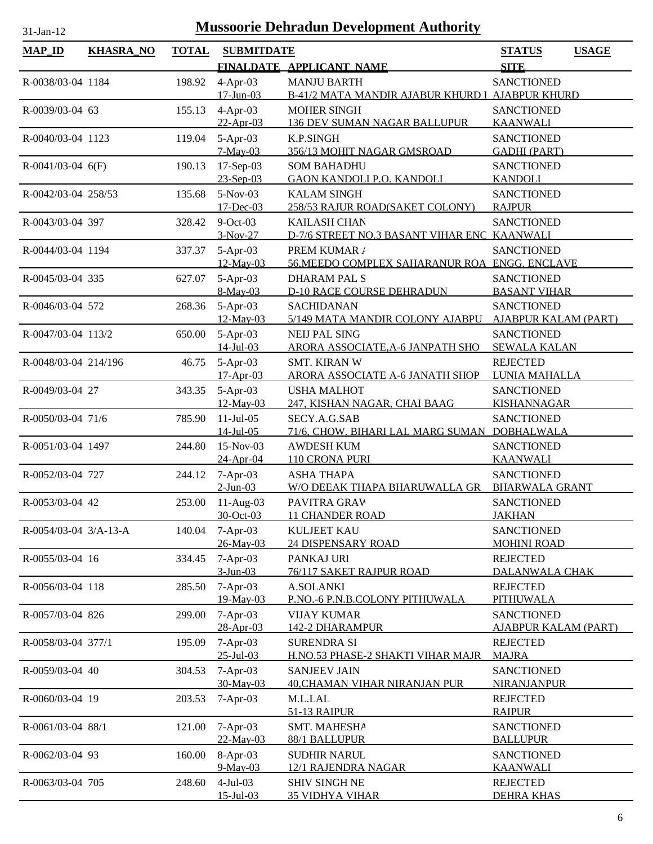| <b>MAP_ID</b>           | <b>KHASRA_NO</b> | <b>TOTAL</b> | <b>SUBMITDATE</b>         |                                                                   | <b>STATUS</b><br><b>USAGE</b>                    |
|-------------------------|------------------|--------------|---------------------------|-------------------------------------------------------------------|--------------------------------------------------|
|                         |                  |              |                           | FINALDATE APPLICANT NAME                                          | <b>SITE</b>                                      |
| R-0038/03-04 1184       |                  | 198.92       | $4-Apr-03$                | <b>MANJU BARTH</b>                                                | <b>SANCTIONED</b>                                |
|                         |                  |              | $17 - Jun - 03$           | B-41/2 MATA MANDIR AJABUR KHURD I                                 | <b>AJABPUR KHURD</b>                             |
| R-0039/03-04 63         |                  | 155.13       | $4-Apr-03$                | <b>MOHER SINGH</b>                                                | <b>SANCTIONED</b>                                |
|                         |                  |              | $22-Apr-03$               | <b>136 DEV SUMAN NAGAR BALLUPUR</b>                               | <b>KAANWALI</b>                                  |
| R-0040/03-04 1123       |                  | 119.04       | 5-Apr-03                  | K.P.SINGH                                                         | <b>SANCTIONED</b>                                |
|                         |                  |              | 7-May-03                  | 356/13 MOHIT NAGAR GMSROAD                                        | <b>GADHI (PART)</b>                              |
| $R-0041/03-04$ 6(F)     |                  | 190.13       | 17-Sep-03<br>23-Sep-03    | <b>SOM BAHADHU</b><br><b>GAON KANDOLI P.O. KANDOLI</b>            | <b>SANCTIONED</b><br><b>KANDOLI</b>              |
| R-0042/03-04 258/53     |                  | 135.68       | $5-Nov-03$                | <b>KALAM SINGH</b>                                                | <b>SANCTIONED</b>                                |
|                         |                  |              | 17-Dec-03                 | 258/53 RAJUR ROAD(SAKET COLONY)                                   | <b>RAJPUR</b>                                    |
| R-0043/03-04 397        |                  | 328.42       | $9$ -Oct-03               | <b>KAILASH CHAN</b>                                               | <b>SANCTIONED</b>                                |
|                         |                  |              | $3-Nov-27$                | D-7/6 STREET NO.3 BASANT VIHAR ENC KAANWALI                       |                                                  |
| R-0044/03-04 1194       |                  | 337.37       | $5-Apr-03$                | PREM KUMAR /                                                      | <b>SANCTIONED</b>                                |
|                         |                  |              | $12$ -May-03              | 56, MEEDO COMPLEX SAHARANUR ROA ENGG. ENCLAVE                     |                                                  |
| R-0045/03-04 335        |                  | 627.07       | 5-Apr-03                  | <b>DHARAM PAL S</b>                                               | <b>SANCTIONED</b>                                |
|                         |                  |              | 8-May-03                  | <b>D-10 RACE COURSE DEHRADUN</b>                                  | <b>BASANT VIHAR</b>                              |
| R-0046/03-04 572        |                  | 268.36       | $5-Apr-03$<br>12-May-03   | <b>SACHIDANAN</b><br>5/149 MATA MANDIR COLONY AJABPU              | <b>SANCTIONED</b><br><b>AJABPUR KALAM (PART)</b> |
| R-0047/03-04 113/2      |                  | 650.00       | $5-Apr-03$                | <b>NEIJ PAL SING</b>                                              | <b>SANCTIONED</b>                                |
|                         |                  |              | $14$ -Jul-03              | ARORA ASSOCIATE, A-6 JANPATH SHO                                  | <b>SEWALA KALAN</b>                              |
| R-0048/03-04 214/196    |                  | 46.75        | $5-Apr-03$                | <b>SMT. KIRAN W</b>                                               | <b>REJECTED</b>                                  |
|                         |                  |              | $17-Apr-03$               | <b>ARORA ASSOCIATE A-6 JANATH SHOP</b>                            | LUNIA MAHALLA                                    |
| R-0049/03-04 27         |                  | 343.35       | 5-Apr-03                  | <b>USHA MALHOT</b>                                                | <b>SANCTIONED</b>                                |
|                         |                  |              | $12$ -May-03              | 247, KISHAN NAGAR, CHAI BAAG                                      | <b>KISHANNAGAR</b>                               |
| R-0050/03-04 71/6       |                  | 785.90       | $11-Jul-05$               | SECY.A.G.SAB                                                      | <b>SANCTIONED</b>                                |
| R-0051/03-04 1497       |                  | 244.80       | $14$ -Jul-05<br>15-Nov-03 | 71/6, CHOW. BIHARI LAL MARG SUMAN DOBHALWALA<br><b>AWDESH KUM</b> | <b>SANCTIONED</b>                                |
|                         |                  |              | 24-Apr-04                 | 110 CRONA PURI                                                    | <b>KAANWALI</b>                                  |
| R-0052/03-04 727        |                  | 244.12       | $7-Apr-03$                | <b>ASHA THAPA</b>                                                 | <b>SANCTIONED</b>                                |
|                         |                  |              | $2$ -Jun-03               | W/O DEEAK THAPA BHARUWALLA GR                                     | <b>BHARWALA GRANT</b>                            |
| R-0053/03-04 42         |                  | 253.00       | $11-Aug-03$               | PAVITRA GRAW                                                      | <b>SANCTIONED</b>                                |
|                         |                  |              | 30-Oct-03                 | <b>11 CHANDER ROAD</b>                                            | <b>JAKHAN</b>                                    |
| $R-0054/03-04$ 3/A-13-A |                  | 140.04       | $7-Apr-03$                | <b>KULJEET KAU</b>                                                | <b>SANCTIONED</b>                                |
|                         |                  |              | 26-May-03                 | <b>24 DISPENSARY ROAD</b>                                         | <b>MOHINI ROAD</b>                               |
| R-0055/03-04 16         |                  | 334.45       | $7-Apr-03$<br>$3-Jun-03$  | PANKAJ URI<br>76/117 SAKET RAJPUR ROAD                            | <b>REJECTED</b><br>DALANWALA CHAK                |
| R-0056/03-04 118        |                  | 285.50       | $7-Apr-03$                | <b>A.SOLANKI</b>                                                  | <b>REJECTED</b>                                  |
|                         |                  |              | 19-May-03                 | P.NO.-6 P.N.B.COLONY PITHUWALA                                    | PITHUWALA                                        |
| R-0057/03-04 826        |                  | 299.00       | $7-Apr-03$                | <b>VIJAY KUMAR</b>                                                | <b>SANCTIONED</b>                                |
|                         |                  |              | 28-Apr-03                 | 142-2 DHARAMPUR                                                   | <b>AJABPUR KALAM (PART)</b>                      |
| R-0058/03-04 377/1      |                  | 195.09       | $7-Apr-03$                | <b>SURENDRA SI</b>                                                | <b>REJECTED</b>                                  |
|                         |                  |              | $25 - Jul - 03$           | H.NO.53 PHASE-2 SHAKTI VIHAR MAJR                                 | <b>MAJRA</b>                                     |
| R-0059/03-04 40         |                  | 304.53       | $7-Apr-03$<br>30-May-03   | <b>SANJEEV JAIN</b><br><b>40,CHAMAN VIHAR NIRANJAN PUR</b>        | <b>SANCTIONED</b><br><b>NIRANJANPUR</b>          |
| R-0060/03-04 19         |                  | 203.53       | $7-Apr-03$                | M.L.LAL                                                           | <b>REJECTED</b>                                  |
|                         |                  |              |                           | <b>51-13 RAIPUR</b>                                               | <b>RAIPUR</b>                                    |
| R-0061/03-04 88/1       |                  | 121.00       | $7-Apr-03$                | SMT. MAHESHA                                                      | <b>SANCTIONED</b>                                |
|                         |                  |              | 22-May-03                 | 88/1 BALLUPUR                                                     | <b>BALLUPUR</b>                                  |
| R-0062/03-04 93         |                  | 160.00       | 8-Apr-03                  | <b>SUDHIR NARUL</b>                                               | <b>SANCTIONED</b>                                |
|                         |                  |              | $9-May-03$                | 12/1 RAJENDRA NAGAR                                               | <u>KAANWALI</u>                                  |
| R-0063/03-04 705        |                  | 248.60       | $4-Jul-03$                | <b>SHIV SINGH NE</b>                                              | <b>REJECTED</b>                                  |
|                         |                  |              | $15 -$ Jul $-03$          | <b>35 VIDHYA VIHAR</b>                                            | <b>DEHRA KHAS</b>                                |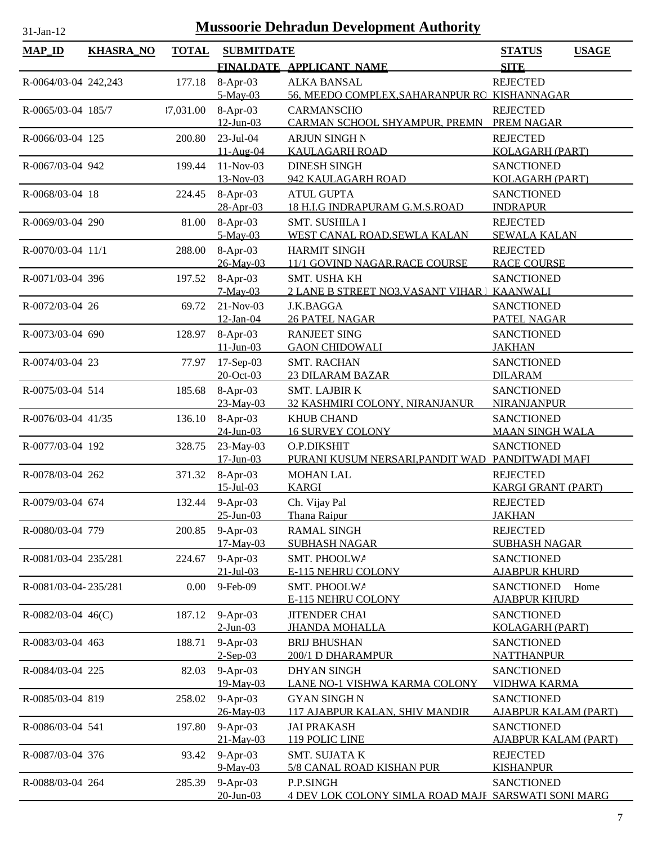| <b>MAP_ID</b>         | <b>KHASRA_NO</b> | <b>TOTAL</b> | <b>SUBMITDATE</b>        |                                                             | <b>STATUS</b><br><b>USAGE</b>                    |
|-----------------------|------------------|--------------|--------------------------|-------------------------------------------------------------|--------------------------------------------------|
|                       |                  |              |                          | FINALDATE APPLICANT NAME                                    | <b>SITE</b>                                      |
| R-0064/03-04 242,243  |                  | 177.18       | 8-Apr-03                 | <b>ALKA BANSAL</b>                                          | <b>REJECTED</b>                                  |
|                       |                  |              | 5-May-03                 | 56. MEEDO COMPLEX, SAHARANPUR RO KISHANNAGAR                |                                                  |
| R-0065/03-04 185/7    |                  | 17,031.00    | 8-Apr-03                 | <b>CARMANSCHO</b>                                           | <b>REJECTED</b>                                  |
|                       |                  |              | $12$ -Jun-03             | CARMAN SCHOOL SHYAMPUR, PREMN                               | <b>PREM NAGAR</b>                                |
| R-0066/03-04 125      |                  | 200.80       | $23$ -Jul-04             | ARJUN SINGH N                                               | <b>REJECTED</b>                                  |
|                       |                  |              | 11-Aug-04                | <b>KAULAGARH ROAD</b>                                       | <b>KOLAGARH (PART)</b>                           |
| R-0067/03-04 942      |                  | 199.44       | $11-Nov-03$              | <b>DINESH SINGH</b>                                         | <b>SANCTIONED</b>                                |
|                       |                  |              | 13-Nov-03                | 942 KAULAGARH ROAD                                          | <b>KOLAGARH (PART)</b>                           |
| R-0068/03-04 18       |                  | 224.45       | 8-Apr-03<br>28-Apr-03    | <b>ATUL GUPTA</b><br>18 H.I.G INDRAPURAM G.M.S.ROAD         | <b>SANCTIONED</b><br><b>INDRAPUR</b>             |
| R-0069/03-04 290      |                  | 81.00        | $8-Apr-03$               | SMT. SUSHILA I                                              | <b>REJECTED</b>                                  |
|                       |                  |              | 5-May-03                 | WEST CANAL ROAD, SEWLA KALAN                                | <b>SEWALA KALAN</b>                              |
| R-0070/03-04 11/1     |                  | 288.00       | 8-Apr-03                 | <b>HARMIT SINGH</b>                                         | <b>REJECTED</b>                                  |
|                       |                  |              | 26-May-03                | 11/1 GOVIND NAGAR, RACE COURSE                              | <b>RACE COURSE</b>                               |
| R-0071/03-04 396      |                  | 197.52       | 8-Apr-03                 | SMT. USHA KH                                                | <b>SANCTIONED</b>                                |
|                       |                  |              | $7-May-03$               | 2 LANE B STREET NO3, VASANT VIHAR   KAANWALI                |                                                  |
| R-0072/03-04 26       |                  | 69.72        | 21-Nov-03                | J.K.BAGGA                                                   | <b>SANCTIONED</b>                                |
|                       |                  |              | $12$ -Jan-04             | <b>26 PATEL NAGAR</b>                                       | PATEL NAGAR                                      |
| R-0073/03-04 690      |                  | 128.97       | $8-Apr-03$               | <b>RANJEET SING</b>                                         | <b>SANCTIONED</b>                                |
|                       |                  |              | $11 - Jun - 03$          | <b>GAON CHIDOWALI</b>                                       | <b>JAKHAN</b>                                    |
| R-0074/03-04 23       |                  | 77.97        | $17-Sep-03$<br>20-Oct-03 | <b>SMT. RACHAN</b>                                          | <b>SANCTIONED</b><br><b>DILARAM</b>              |
| R-0075/03-04 514      |                  | 185.68       | 8-Apr-03                 | <b>23 DILARAM BAZAR</b><br><b>SMT. LAJBIR K</b>             | <b>SANCTIONED</b>                                |
|                       |                  |              | 23-May-03                | 32 KASHMIRI COLONY, NIRANJANUR                              | <b>NIRANJANPUR</b>                               |
| R-0076/03-04 41/35    |                  | 136.10       | 8-Apr-03                 | <b>KHUB CHAND</b>                                           | <b>SANCTIONED</b>                                |
|                       |                  |              | $24$ -Jun-03             | <b>16 SURVEY COLONY</b>                                     | <b>MAAN SINGH WALA</b>                           |
| R-0077/03-04 192      |                  | 328.75       | 23-May-03                | O.P.DIKSHIT                                                 | <b>SANCTIONED</b>                                |
|                       |                  |              | $17$ -Jun-03             | PURANI KUSUM NERSARI, PANDIT WAD PANDITWADI MAFI            |                                                  |
| R-0078/03-04 262      |                  | 371.32       | $8-Apr-03$               | <b>MOHAN LAL</b>                                            | <b>REJECTED</b>                                  |
|                       |                  |              | $15$ -Jul-03             | <b>KARGI</b>                                                | <b>KARGI GRANT (PART)</b>                        |
| R-0079/03-04 674      |                  |              | 132.44 9-Apr-03          | Ch. Vijay Pal                                               | <b>REJECTED</b>                                  |
|                       |                  |              | $25 - Jun - 03$          | Thana Raipur                                                | <b>JAKHAN</b>                                    |
| R-0080/03-04 779      |                  | 200.85       | $9-Apr-03$<br>17-May-03  | <b>RAMAL SINGH</b><br><b>SUBHASH NAGAR</b>                  | <b>REJECTED</b><br><b>SUBHASH NAGAR</b>          |
| R-0081/03-04 235/281  |                  | 224.67       | $9-Apr-03$               | SMT. PHOOLWA                                                | <b>SANCTIONED</b>                                |
|                       |                  |              | $21 - Jul - 03$          | <b>E-115 NEHRU COLONY</b>                                   | <b>AJABPUR KHURD</b>                             |
| R-0081/03-04-235/281  |                  | 0.00         | 9-Feb-09                 | SMT. PHOOLWA                                                | <b>SANCTIONED</b><br>Home                        |
|                       |                  |              |                          | E-115 NEHRU COLONY                                          | <b>AJABPUR KHURD</b>                             |
| $R$ -0082/03-04 46(C) |                  | 187.12       | $9-Apr-03$               | <b>JITENDER CHAI</b>                                        | <b>SANCTIONED</b>                                |
|                       |                  |              | $2$ -Jun-03              | <b>JHANDA MOHALLA</b>                                       | <b>KOLAGARH (PART)</b>                           |
| R-0083/03-04 463      |                  | 188.71       | 9-Apr-03                 | <b>BRIJ BHUSHAN</b>                                         | <b>SANCTIONED</b>                                |
|                       |                  |              | $2-Sep-03$               | 200/1 D DHARAMPUR                                           | <b>NATTHANPUR</b>                                |
| R-0084/03-04 225      |                  | 82.03        | $9-Apr-03$               | <b>DHYAN SINGH</b>                                          | <b>SANCTIONED</b>                                |
|                       |                  |              | 19-May-03                | <u>LANE NO-1 VISHWA KARMA COLONY</u><br><b>GYAN SINGH N</b> | <b>VIDHWA KARMA</b>                              |
| R-0085/03-04 819      |                  | 258.02       | $9-Apr-03$<br>26-May-03  | 117 AJABPUR KALAN, SHIV MANDIR                              | <b>SANCTIONED</b><br><b>AJABPUR KALAM (PART)</b> |
| R-0086/03-04 541      |                  | 197.80       | $9-Apr-03$               | <b>JAI PRAKASH</b>                                          | <b>SANCTIONED</b>                                |
|                       |                  |              | 21-May-03                | 119 POLIC LINE                                              | <b>AJABPUR KALAM (PART)</b>                      |
| R-0087/03-04 376      |                  | 93.42        | $9-Apr-03$               | <b>SMT. SUJATA K</b>                                        | <b>REJECTED</b>                                  |
|                       |                  |              | 9-May-03                 | 5/8 CANAL ROAD KISHAN PUR                                   | <b>KISHANPUR</b>                                 |
| R-0088/03-04 264      |                  | 285.39       | $9-Apr-03$               | P.P.SINGH                                                   | <b>SANCTIONED</b>                                |
|                       |                  |              | $20$ -Jun-03             | 4 DEV LOK COLONY SIMLA ROAD MAJF SARSWATI SONI MARG         |                                                  |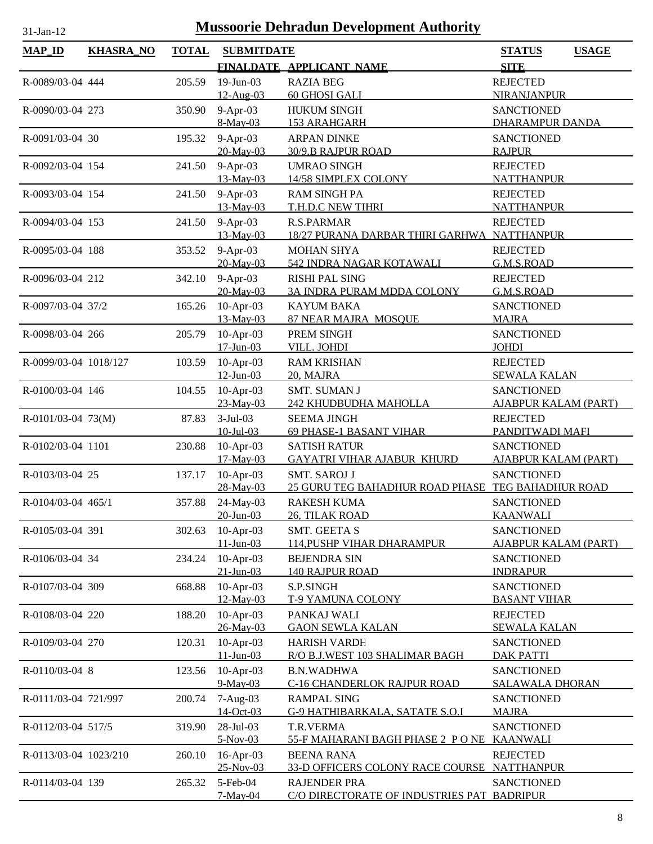| $MAP$ <sub>ID</sub><br><b>KHASRA_NO</b><br><b>TOTAL</b><br><b>SUBMITDATE</b><br><b>STATUS</b><br><b>SITE</b><br>FINALDATE APPLICANT NAME<br>19-Jun-03<br><b>RAZIA BEG</b><br><b>REJECTED</b><br>R-0089/03-04 444<br>205.59<br>12-Aug-03<br>60 GHOSI GALI<br>NIRANJANPUR<br>$9-Apr-03$<br><b>HUKUM SINGH</b><br><b>SANCTIONED</b><br>R-0090/03-04 273<br>350.90<br>8-May-03<br>153 ARAHGARH<br>DHARAMPUR DANDA<br>$9-Apr-03$<br>195.32<br><b>ARPAN DINKE</b><br><b>SANCTIONED</b><br>R-0091/03-04 30<br>20-May-03<br>30/9, B RAJPUR ROAD<br><b>RAJPUR</b><br>$9-Apr-03$<br>R-0092/03-04 154<br><b>UMRAO SINGH</b><br><b>REJECTED</b><br>241.50<br>13-May-03<br>14/58 SIMPLEX COLONY<br><b>NATTHANPUR</b> | <b>USAGE</b> |
|---------------------------------------------------------------------------------------------------------------------------------------------------------------------------------------------------------------------------------------------------------------------------------------------------------------------------------------------------------------------------------------------------------------------------------------------------------------------------------------------------------------------------------------------------------------------------------------------------------------------------------------------------------------------------------------------------------|--------------|
|                                                                                                                                                                                                                                                                                                                                                                                                                                                                                                                                                                                                                                                                                                         |              |
|                                                                                                                                                                                                                                                                                                                                                                                                                                                                                                                                                                                                                                                                                                         |              |
|                                                                                                                                                                                                                                                                                                                                                                                                                                                                                                                                                                                                                                                                                                         |              |
|                                                                                                                                                                                                                                                                                                                                                                                                                                                                                                                                                                                                                                                                                                         |              |
|                                                                                                                                                                                                                                                                                                                                                                                                                                                                                                                                                                                                                                                                                                         |              |
|                                                                                                                                                                                                                                                                                                                                                                                                                                                                                                                                                                                                                                                                                                         |              |
|                                                                                                                                                                                                                                                                                                                                                                                                                                                                                                                                                                                                                                                                                                         |              |
|                                                                                                                                                                                                                                                                                                                                                                                                                                                                                                                                                                                                                                                                                                         |              |
| $9-Apr-03$<br><b>RAM SINGH PA</b><br>R-0093/03-04 154<br>241.50<br><b>REJECTED</b><br>13-May-03<br>T.H.D.C NEW TIHRI<br><b>NATTHANPUR</b>                                                                                                                                                                                                                                                                                                                                                                                                                                                                                                                                                               |              |
| $9-Apr-03$<br>R-0094/03-04 153<br><b>R.S.PARMAR</b><br><b>REJECTED</b><br>241.50                                                                                                                                                                                                                                                                                                                                                                                                                                                                                                                                                                                                                        |              |
| 13-May-03<br>18/27 PURANA DARBAR THIRI GARHWA NATTHANPUR                                                                                                                                                                                                                                                                                                                                                                                                                                                                                                                                                                                                                                                |              |
| $9-Apr-03$<br><b>MOHAN SHYA</b><br><b>REJECTED</b><br>R-0095/03-04 188<br>353.52                                                                                                                                                                                                                                                                                                                                                                                                                                                                                                                                                                                                                        |              |
| 20-May-03<br>542 INDRA NAGAR KOTAWALI<br>G.M.S.ROAD                                                                                                                                                                                                                                                                                                                                                                                                                                                                                                                                                                                                                                                     |              |
| 9-Apr-03<br>R-0096/03-04 212<br>342.10<br><b>RISHI PAL SING</b><br><b>REJECTED</b><br>20-May-03<br>G.M.S.ROAD<br>3A INDRA PURAM MDDA COLONY                                                                                                                                                                                                                                                                                                                                                                                                                                                                                                                                                             |              |
| $10$ -Apr-03<br>R-0097/03-04 37/2<br><b>KAYUM BAKA</b><br><b>SANCTIONED</b><br>165.26                                                                                                                                                                                                                                                                                                                                                                                                                                                                                                                                                                                                                   |              |
| 13-May-03<br>87 NEAR MAJRA MOSOUE<br><b>MAJRA</b>                                                                                                                                                                                                                                                                                                                                                                                                                                                                                                                                                                                                                                                       |              |
| $10$ -Apr-03<br>PREM SINGH<br><b>SANCTIONED</b><br>R-0098/03-04 266<br>205.79<br>$17 - Jun - 03$<br>VILL. JOHDI<br><b>JOHDI</b>                                                                                                                                                                                                                                                                                                                                                                                                                                                                                                                                                                         |              |
| $10$ -Apr-03<br>103.59<br><b>RAM KRISHAN</b><br><b>REJECTED</b><br>R-0099/03-04 1018/127                                                                                                                                                                                                                                                                                                                                                                                                                                                                                                                                                                                                                |              |
| $12$ -Jun-03<br>20, MAJRA<br><b>SEWALA KALAN</b>                                                                                                                                                                                                                                                                                                                                                                                                                                                                                                                                                                                                                                                        |              |
| $10$ -Apr-03<br>104.55<br>SMT. SUMAN J<br><b>SANCTIONED</b><br>R-0100/03-04 146                                                                                                                                                                                                                                                                                                                                                                                                                                                                                                                                                                                                                         |              |
| 23-May-03<br>242 KHUDBUDHA MAHOLLA<br><b>AJABPUR KALAM (PART)</b>                                                                                                                                                                                                                                                                                                                                                                                                                                                                                                                                                                                                                                       |              |
| $3-Jul-03$<br>$R-0101/03-04$ 73(M)<br>87.83<br><b>SEEMA JINGH</b><br><b>REJECTED</b><br>$10 -$ Jul $-03$<br>PANDITWADI MAFI<br>69 PHASE-1 BASANT VIHAR                                                                                                                                                                                                                                                                                                                                                                                                                                                                                                                                                  |              |
| R-0102/03-04 1101<br>$10$ -Apr-03<br><b>SANCTIONED</b><br>230.88<br><b>SATISH RATUR</b>                                                                                                                                                                                                                                                                                                                                                                                                                                                                                                                                                                                                                 |              |
| 17-May-03<br><b>GAYATRI VIHAR AJABUR KHURD</b><br><b>AJABPUR KALAM (PART)</b>                                                                                                                                                                                                                                                                                                                                                                                                                                                                                                                                                                                                                           |              |
| $10$ -Apr-03<br><b>SMT. SAROJ J</b><br><b>SANCTIONED</b><br>R-0103/03-04 25<br>137.17                                                                                                                                                                                                                                                                                                                                                                                                                                                                                                                                                                                                                   |              |
| 28-May-03<br>25 GURU TEG BAHADHUR ROAD PHASE TEG BAHADHUR ROAD                                                                                                                                                                                                                                                                                                                                                                                                                                                                                                                                                                                                                                          |              |
| 357.88<br>24-May-03<br><b>SANCTIONED</b><br>R-0104/03-04 465/1<br><b>RAKESH KUMA</b><br>$20$ -Jun-03<br>26, TILAK ROAD<br><b>KAANWALI</b>                                                                                                                                                                                                                                                                                                                                                                                                                                                                                                                                                               |              |
| R-0105/03-04 391<br>$10$ -Apr-03<br>302.63<br><b>SMT. GEETA S</b><br><b>SANCTIONED</b>                                                                                                                                                                                                                                                                                                                                                                                                                                                                                                                                                                                                                  |              |
| $11 - Jun - 03$<br><b>114, PUSHP VIHAR DHARAMPUR</b><br><b>AJABPUR KALAM (PART)</b>                                                                                                                                                                                                                                                                                                                                                                                                                                                                                                                                                                                                                     |              |
| $10$ -Apr-03<br>R-0106/03-04 34<br>234.24<br><b>BEJENDRA SIN</b><br><b>SANCTIONED</b>                                                                                                                                                                                                                                                                                                                                                                                                                                                                                                                                                                                                                   |              |
| $21$ -Jun-03<br><b>140 RAJPUR ROAD</b><br><b>INDRAPUR</b>                                                                                                                                                                                                                                                                                                                                                                                                                                                                                                                                                                                                                                               |              |
| $10$ -Apr-03<br>668.88<br>S.P.SINGH<br><b>SANCTIONED</b><br>R-0107/03-04 309<br>12-May-03<br><b>BASANT VIHAR</b><br><b>T-9 YAMUNA COLONY</b>                                                                                                                                                                                                                                                                                                                                                                                                                                                                                                                                                            |              |
| $10$ -Apr-03<br>PANKAJ WALI<br>R-0108/03-04 220<br>188.20<br><b>REJECTED</b>                                                                                                                                                                                                                                                                                                                                                                                                                                                                                                                                                                                                                            |              |
| 26-May-03<br><b>GAON SEWLA KALAN</b><br><b>SEWALA KALAN</b>                                                                                                                                                                                                                                                                                                                                                                                                                                                                                                                                                                                                                                             |              |
| $10$ -Apr-03<br>120.31<br>R-0109/03-04 270<br><b>HARISH VARDH</b><br><b>SANCTIONED</b><br>$11 - Jun - 03$<br>R/O B.J.WEST 103 SHALIMAR BAGH<br><b>DAK PATTI</b>                                                                                                                                                                                                                                                                                                                                                                                                                                                                                                                                         |              |
| $10$ -Apr-03<br>R-0110/03-04 8<br>123.56<br><b>B.N.WADHWA</b><br><b>SANCTIONED</b>                                                                                                                                                                                                                                                                                                                                                                                                                                                                                                                                                                                                                      |              |
| 9-May-03<br>C-16 CHANDERLOK RAJPUR ROAD<br><b>SALAWALA DHORAN</b>                                                                                                                                                                                                                                                                                                                                                                                                                                                                                                                                                                                                                                       |              |
| $7-Aug-03$<br><b>RAMPAL SING</b><br><b>SANCTIONED</b><br>R-0111/03-04 721/997<br>200.74                                                                                                                                                                                                                                                                                                                                                                                                                                                                                                                                                                                                                 |              |
| 14-Oct-03<br><b>G-9 HATHIBARKALA, SATATE S.O.I</b><br><b>MAJRA</b>                                                                                                                                                                                                                                                                                                                                                                                                                                                                                                                                                                                                                                      |              |
| 28-Jul-03<br>T.R.VERMA<br>R-0112/03-04 517/5<br>319.90<br><b>SANCTIONED</b><br>$5-Nov-03$<br>55-F MAHARANI BAGH PHASE 2 PONE KAANWALI                                                                                                                                                                                                                                                                                                                                                                                                                                                                                                                                                                   |              |
| 16-Apr-03<br>R-0113/03-04 1023/210<br>260.10<br><b>BEENA RANA</b><br><b>REJECTED</b>                                                                                                                                                                                                                                                                                                                                                                                                                                                                                                                                                                                                                    |              |
| 25-Nov-03<br>33-D OFFICERS COLONY RACE COURSE NATTHANPUR                                                                                                                                                                                                                                                                                                                                                                                                                                                                                                                                                                                                                                                |              |
| 5-Feb-04<br>R-0114/03-04 139<br>265.32<br><b>RAJENDER PRA</b><br><b>SANCTIONED</b><br>$7-May-04$<br>C/O DIRECTORATE OF INDUSTRIES PAT BADRIPUR                                                                                                                                                                                                                                                                                                                                                                                                                                                                                                                                                          |              |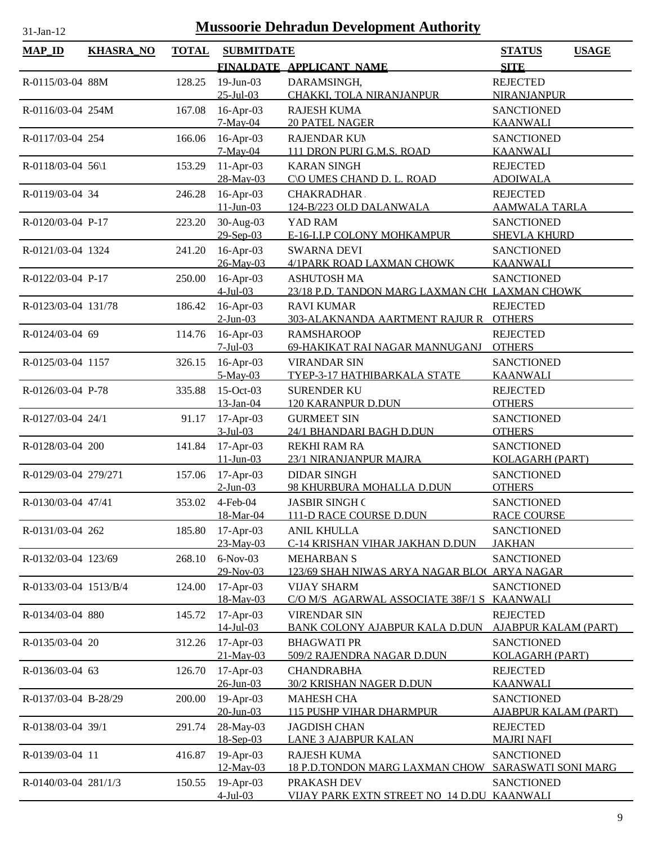| $MAP$ ID              | <b>KHASRA_NO</b> | <b>TOTAL</b> | <b>SUBMITDATE</b>               |                                                            | <b>USAGE</b><br><b>STATUS</b>           |
|-----------------------|------------------|--------------|---------------------------------|------------------------------------------------------------|-----------------------------------------|
|                       |                  |              |                                 | FINALDATE APPLICANT NAME                                   | <b>SITE</b>                             |
| R-0115/03-04 88M      |                  | 128.25       | $19$ -Jun-03                    | DARAMSINGH,                                                | <b>REJECTED</b>                         |
|                       |                  |              | $25 -$ Jul $-03$                | CHAKKI, TOLA NIRANJANPUR                                   | NIRANJANPUR                             |
| R-0116/03-04 254M     |                  | 167.08       | 16-Apr-03                       | <b>RAJESH KUMA</b>                                         | <b>SANCTIONED</b>                       |
|                       |                  |              | 7-May-04                        | <b>20 PATEL NAGER</b>                                      | <b>KAANWALI</b>                         |
| R-0117/03-04 254      |                  | 166.06       | 16-Apr-03                       | <b>RAJENDAR KUN</b>                                        | <b>SANCTIONED</b>                       |
|                       |                  |              | $7-May-04$                      | 111 DRON PURI G.M.S. ROAD                                  | <b>KAANWALI</b>                         |
| R-0118/03-04 56\1     |                  | 153.29       | $11-Apr-03$                     | <b>KARAN SINGH</b>                                         | <b>REJECTED</b>                         |
|                       |                  |              | 28-May-03                       | C\O UMES CHAND D. L. ROAD                                  | <b>ADOIWALA</b>                         |
| R-0119/03-04 34       |                  | 246.28       | $16$ -Apr-03<br>$11 - Jun - 03$ | <b>CHAKRADHAR</b><br>124-B/223 OLD DALANWALA               | <b>REJECTED</b><br><b>AAMWALA TARLA</b> |
| R-0120/03-04 P-17     |                  | 223.20       | 30-Aug-03                       | YAD RAM                                                    | <b>SANCTIONED</b>                       |
|                       |                  |              | 29-Sep-03                       | E-16-I.I.P COLONY MOHKAMPUR                                | <b>SHEVLA KHURD</b>                     |
| R-0121/03-04 1324     |                  | 241.20       | 16-Apr-03                       | <b>SWARNA DEVI</b>                                         | <b>SANCTIONED</b>                       |
|                       |                  |              | 26-May-03                       | 4/1PARK ROAD LAXMAN CHOWK                                  | <b>KAANWALI</b>                         |
| R-0122/03-04 P-17     |                  | 250.00       | 16-Apr-03                       | <b>ASHUTOSH MA</b>                                         | <b>SANCTIONED</b>                       |
|                       |                  |              | $4$ -Jul-03                     | 23/18 P.D. TANDON MARG LAXMAN CH( LAXMAN CHOWK             |                                         |
| R-0123/03-04 131/78   |                  | 186.42       | $16$ -Apr-03                    | <b>RAVI KUMAR</b>                                          | <b>REJECTED</b>                         |
|                       |                  |              | $2$ -Jun-03                     | 303-ALAKNANDA AARTMENT RAJUR R                             | <b>OTHERS</b>                           |
| R-0124/03-04 69       |                  | 114.76       | $16$ -Apr-03                    | <b>RAMSHAROOP</b>                                          | <b>REJECTED</b>                         |
|                       |                  |              | $7-Jul-03$                      | 69-HAKIKAT RAI NAGAR MANNUGANJ                             | <b>OTHERS</b>                           |
| R-0125/03-04 1157     |                  | 326.15       | 16-Apr-03<br>$5-May-03$         | <b>VIRANDAR SIN</b><br><b>TYEP-3-17 HATHIBARKALA STATE</b> | <b>SANCTIONED</b><br><b>KAANWALI</b>    |
| R-0126/03-04 P-78     |                  | 335.88       | 15-Oct-03                       | <b>SURENDER KU</b>                                         | <b>REJECTED</b>                         |
|                       |                  |              | 13-Jan-04                       | 120 KARANPUR D.DUN                                         | <b>OTHERS</b>                           |
| R-0127/03-04 24/1     |                  | 91.17        | $17-Apr-03$                     | <b>GURMEET SIN</b>                                         | <b>SANCTIONED</b>                       |
|                       |                  |              | $3$ -Jul-03                     | 24/1 BHANDARI BAGH D.DUN                                   | <b>OTHERS</b>                           |
| R-0128/03-04 200      |                  | 141.84       | 17-Apr-03                       | <b>REKHI RAM RA</b>                                        | <b>SANCTIONED</b>                       |
|                       |                  |              | $11 - Jun - 03$                 | 23/1 NIRANJANPUR MAJRA                                     | <b>KOLAGARH (PART)</b>                  |
| R-0129/03-04 279/271  |                  | 157.06       | $17-Apr-03$                     | <b>DIDAR SINGH</b>                                         | <b>SANCTIONED</b>                       |
|                       |                  |              | $2$ -Jun-03                     | 98 KHURBURA MOHALLA D.DUN                                  | <b>OTHERS</b>                           |
| R-0130/03-04 47/41    |                  |              | 353.02 4-Feb-04                 | <b>JASBIR SINGH C</b>                                      | <b>SANCTIONED</b>                       |
|                       |                  |              | 18-Mar-04                       | 111-D RACE COURSE D.DUN                                    | <b>RACE COURSE</b>                      |
| R-0131/03-04 262      |                  | 185.80       | $17-Apr-03$<br>23-May-03        | <b>ANIL KHULLA</b><br>C-14 KRISHAN VIHAR JAKHAN D.DUN      | <b>SANCTIONED</b><br><b>JAKHAN</b>      |
| R-0132/03-04 123/69   |                  | 268.10       | $6-Nov-03$                      | <b>MEHARBAN S</b>                                          | <b>SANCTIONED</b>                       |
|                       |                  |              | 29-Nov-03                       | 123/69 SHAH NIWAS ARYA NAGAR BLOC ARYA NAGAR               |                                         |
| R-0133/03-04 1513/B/4 |                  | 124.00       | 17-Apr-03                       | <b>VIJAY SHARM</b>                                         | <b>SANCTIONED</b>                       |
|                       |                  |              | 18-May-03                       | C/O M/S AGARWAL ASSOCIATE 38F/1 S KAANWALI                 |                                         |
| R-0134/03-04 880      |                  | 145.72       | 17-Apr-03                       | <b>VIRENDAR SIN</b>                                        | <b>REJECTED</b>                         |
|                       |                  |              | $14$ -Jul-03                    | <b>BANK COLONY AJABPUR KALA D.DUN</b>                      | <b>AJABPUR KALAM (PART)</b>             |
| R-0135/03-04 20       |                  | 312.26       | 17-Apr-03                       | <b>BHAGWATI PR</b>                                         | <b>SANCTIONED</b>                       |
|                       |                  |              | 21-May-03                       | 509/2 RAJENDRA NAGAR D.DUN                                 | <b>KOLAGARH (PART)</b>                  |
| R-0136/03-04 63       |                  | 126.70       | 17-Apr-03                       | <b>CHANDRABHA</b>                                          | <b>REJECTED</b>                         |
|                       |                  | 200.00       | $26$ -Jun-03<br>19-Apr-03       | 30/2 KRISHAN NAGER D.DUN<br><b>MAHESH CHA</b>              | <b>KAANWALI</b><br><b>SANCTIONED</b>    |
| R-0137/03-04 B-28/29  |                  |              | $20$ -Jun-03                    | <b>115 PUSHP VIHAR DHARMPUR</b>                            | <u>AJABPUR KALAM (PART)</u>             |
| R-0138/03-04 39/1     |                  | 291.74       | 28-May-03                       | <b>JAGDISH CHAN</b>                                        | <b>REJECTED</b>                         |
|                       |                  |              | 18-Sep-03                       | <b>LANE 3 AJABPUR KALAN</b>                                | <b>MAJRI NAFI</b>                       |
| R-0139/03-04 11       |                  | 416.87       | 19-Apr-03                       | <b>RAJESH KUMA</b>                                         | <b>SANCTIONED</b>                       |
|                       |                  |              | 12-May-03                       | 18 P.D.TONDON MARG LAXMAN CHOW SARASWATI SONI MARG         |                                         |
| R-0140/03-04 281/1/3  |                  | 150.55       | 19-Apr-03                       | PRAKASH DEV                                                | <b>SANCTIONED</b>                       |
|                       |                  |              | $4$ -Jul-03                     | VIJAY PARK EXTN STREET NO 14 D.DU KAANWALI                 |                                         |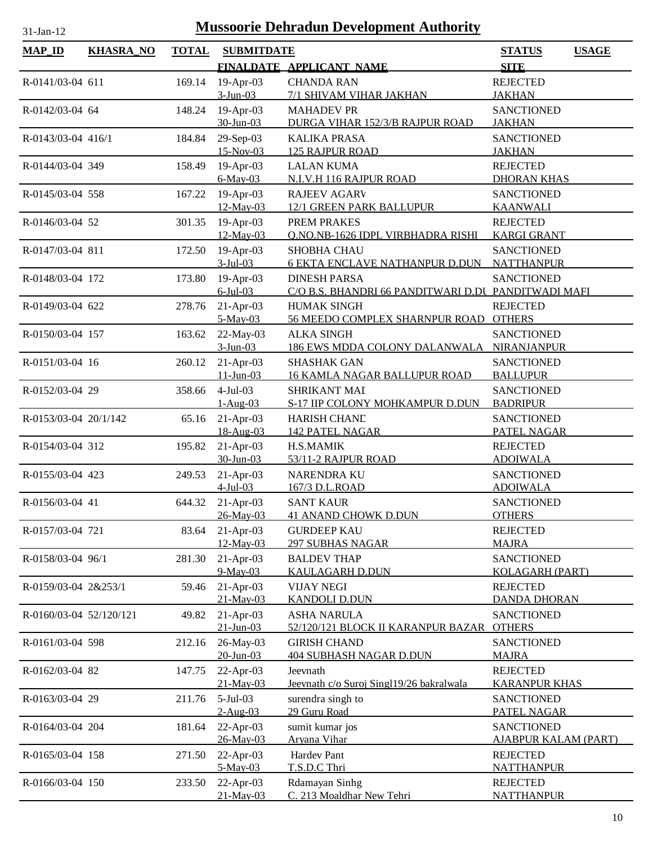| $MAP_ID$                | <b>KHASRA_NO</b> | <b>TOTAL</b> | <b>SUBMITDATE</b>                     |                                                                            | <b>STATUS</b><br><b>USAGE</b>                             |
|-------------------------|------------------|--------------|---------------------------------------|----------------------------------------------------------------------------|-----------------------------------------------------------|
|                         |                  |              |                                       | FINALDATE APPLICANT NAME                                                   | <b>SITE</b>                                               |
| R-0141/03-04 611        |                  | 169.14       | $19-Apr-03$                           | <b>CHANDA RAN</b>                                                          | <b>REJECTED</b>                                           |
|                         |                  |              | $3-Jun-03$                            | 7/1 SHIVAM VIHAR JAKHAN                                                    | <b>JAKHAN</b>                                             |
| R-0142/03-04 64         |                  | 148.24       | $19-Apr-03$<br>$30$ -Jun-03           | <b>MAHADEV PR</b><br>DURGA VIHAR 152/3/B RAJPUR ROAD                       | <b>SANCTIONED</b><br><b>JAKHAN</b>                        |
| R-0143/03-04 416/1      |                  | 184.84       | 29-Sep-03<br>15-Nov-03                | <b>KALIKA PRASA</b><br><b>125 RAJPUR ROAD</b>                              | <b>SANCTIONED</b><br><b>JAKHAN</b>                        |
| R-0144/03-04 349        |                  | 158.49       | 19-Apr-03<br>$6$ -May-03              | <b>LALAN KUMA</b><br>N.I.V.H 116 RAJPUR ROAD                               | <b>REJECTED</b><br><b>DHORAN KHAS</b>                     |
| R-0145/03-04 558        |                  | 167.22       | $19$ -Apr-03<br>12-May-03             | <b>RAJEEV AGARV</b><br>12/1 GREEN PARK BALLUPUR                            | <b>SANCTIONED</b><br><b>KAANWALI</b>                      |
| R-0146/03-04 52         |                  | 301.35       | $19-Apr-03$<br>12-May-03              | PREM PRAKES<br>O.NO.NB-1626 IDPL VIRBHADRA RISHI                           | <b>REJECTED</b><br><b>KARGI GRANT</b>                     |
| R-0147/03-04 811        |                  | 172.50       | 19-Apr-03<br>$3$ -Jul-03              | SHOBHA CHAU<br><b>6 EKTA ENCLAVE NATHANPUR D.DUN NATTHANPUR</b>            | <b>SANCTIONED</b>                                         |
| R-0148/03-04 172        |                  | 173.80       | 19-Apr-03<br>$6$ -Jul-03              | <b>DINESH PARSA</b><br>C/O B.S. BHANDRI 66 PANDITWARI D.DU PANDITWADI MAFI | <b>SANCTIONED</b>                                         |
| R-0149/03-04 622        |                  | 278.76       | $21-Apr-03$<br>5-May-03               | <b>HUMAK SINGH</b><br>56 MEEDO COMPLEX SHARNPUR ROAD                       | <b>REJECTED</b><br><b>OTHERS</b>                          |
| R-0150/03-04 157        |                  | 163.62       | 22-May-03<br>$3-Jun-03$               | <b>ALKA SINGH</b><br>186 EWS MDDA COLONY DALANWALA NIRANJANPUR             | <b>SANCTIONED</b>                                         |
| R-0151/03-04 16         |                  | 260.12       | $21-Apr-03$<br>$11$ -Jun-03           | <b>SHASHAK GAN</b><br><b>16 KAMLA NAGAR BALLUPUR ROAD</b>                  | <b>SANCTIONED</b><br><b>BALLUPUR</b>                      |
| R-0152/03-04 29         |                  | 358.66       | $4-Jul-03$<br>$1-Aug-03$              | <b>SHRIKANT MAI</b><br>S-17 IIP COLONY MOHKAMPUR D.DUN                     | <b>SANCTIONED</b><br><b>BADRIPUR</b>                      |
| R-0153/03-04 20/1/142   |                  | 65.16        | $21-Apr-03$<br>18-Aug-03              | HARISH CHAND<br><b>142 PATEL NAGAR</b>                                     | <b>SANCTIONED</b><br>PATEL NAGAR                          |
| R-0154/03-04 312        |                  | 195.82       | $21-Apr-03$<br>30-Jun-03              | <b>H.S.MAMIK</b><br>53/11-2 RAJPUR ROAD                                    | <b>REJECTED</b><br><b>ADOIWALA</b>                        |
| R-0155/03-04 423        |                  | 249.53       | $21-Apr-03$                           | NARENDRA KU                                                                | <b>SANCTIONED</b>                                         |
| R-0156/03-04 41         |                  |              | $4$ -Jul-03<br>644.32 21-Apr-03       | 167/3 D.L.ROAD<br><b>SANT KAUR</b>                                         | <b>ADOIWALA</b><br><b>SANCTIONED</b>                      |
| R-0157/03-04 721        |                  | 83.64        | 26-May-03<br>$21-Apr-03$              | <b>41 ANAND CHOWK D.DUN</b><br><b>GURDEEP KAU</b>                          | <b>OTHERS</b><br><b>REJECTED</b>                          |
| R-0158/03-04 96/1       |                  | 281.30       | 12-May-03<br>$21-Apr-03$              | <b>297 SUBHAS NAGAR</b><br><b>BALDEV THAP</b>                              | <b>MAJRA</b><br><b>SANCTIONED</b>                         |
| R-0159/03-04 2&253/1    |                  | 59.46        | 9-May-03<br>$21-Apr-03$               | <b>KAULAGARH D.DUN</b><br><b>VIJAY NEGI</b>                                | <b>KOLAGARH (PART)</b><br><b>REJECTED</b>                 |
| R-0160/03-04 52/120/121 |                  | 49.82        | 21-May-03<br>$21-Apr-03$              | <b>KANDOLI D.DUN</b><br><b>ASHA NARULA</b>                                 | <b>DANDA DHORAN</b><br><b>SANCTIONED</b>                  |
| R-0161/03-04 598        |                  | 212.16       | $21$ -Jun-03<br>26-May-03             | 52/120/121 BLOCK II KARANPUR BAZAR<br><b>GIRISH CHAND</b>                  | <b>OTHERS</b><br><b>SANCTIONED</b>                        |
| R-0162/03-04 82         |                  | 147.75       | $20$ -Jun-03<br>$22-Apr-03$           | <b>404 SUBHASH NAGAR D.DUN</b><br>Jeevnath                                 | <b>MAJRA</b><br><b>REJECTED</b>                           |
| R-0163/03-04 29         |                  | 211.76       | $21-May-03$<br>$5-Jul-03$             | Jeevnath c/o Suroj Sing119/26 bakralwala<br>surendra singh to              | <b>KARANPUR KHAS</b><br><b>SANCTIONED</b>                 |
| R-0164/03-04 204        |                  | 181.64       | $2-Aug-03$<br>22-Apr-03               | 29 Guru Road<br>sumit kumar jos                                            | PATEL NAGAR<br><b>SANCTIONED</b>                          |
| R-0165/03-04 158        |                  | 271.50       | 26-May-03<br>22-Apr-03                | Aryana Vihar<br>Hardev Pant                                                | <u>AJABPUR KALAM (PART)</u><br><b>REJECTED</b>            |
| R-0166/03-04 150        |                  | 233.50       | 5-May-03<br>22-Apr-03<br>$21$ -May-03 | T.S.D.C Thri<br>Rdamayan Sinhg<br>C. 213 Moaldhar New Tehri                | <b>NATTHANPUR</b><br><b>REJECTED</b><br><b>NATTHANPUR</b> |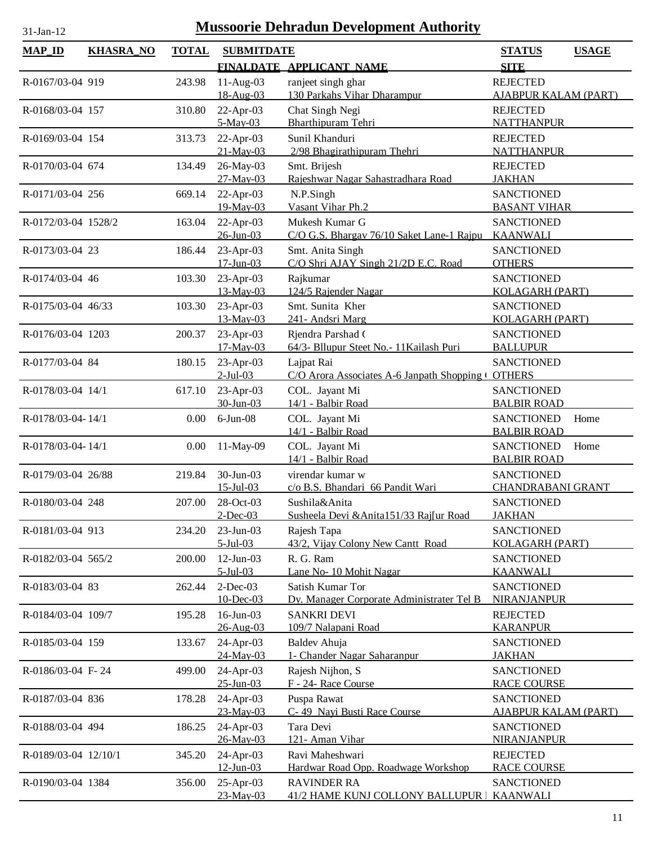| <b>Mussoorie Dehradun Development Authority</b><br>$31$ -Jan-12 |                  |              |                               |                                                                  |                                                  |  |
|-----------------------------------------------------------------|------------------|--------------|-------------------------------|------------------------------------------------------------------|--------------------------------------------------|--|
| <b>MAP_ID</b>                                                   | <b>KHASRA_NO</b> | <b>TOTAL</b> | <b>SUBMITDATE</b>             |                                                                  | <b>STATUS</b><br><b>USAGE</b>                    |  |
|                                                                 |                  |              |                               | FINALDATE APPLICANT NAME                                         | <b>SITE</b>                                      |  |
| R-0167/03-04 919                                                |                  | 243.98       | $11-Aug-03$<br>18-Aug-03      | ranjeet singh ghar<br>130 Parkahs Vihar Dharampur                | <b>REJECTED</b><br><b>AJABPUR KALAM (PART)</b>   |  |
| R-0168/03-04 157                                                |                  | 310.80       | 22-Apr-03<br>5-May-03         | Chat Singh Negi<br><b>Bharthipuram Tehri</b>                     | <b>REJECTED</b><br><b>NATTHANPUR</b>             |  |
| R-0169/03-04 154                                                |                  | 313.73       | $22-Apr-03$<br>21-May-03      | Sunil Khanduri<br>2/98 Bhagirathipuram Thehri                    | <b>REJECTED</b><br><b>NATTHANPUR</b>             |  |
| R-0170/03-04 674                                                |                  | 134.49       | 26-May-03<br>27-May-03        | Smt. Brijesh<br>Rajeshwar Nagar Sahastradhara Road               | <b>REJECTED</b><br><b>JAKHAN</b>                 |  |
| R-0171/03-04 256                                                |                  | 669.14       | 22-Apr-03<br>19-May-03        | N.P.Singh<br>Vasant Vihar Ph.2                                   | <b>SANCTIONED</b><br><b>BASANT VIHAR</b>         |  |
| R-0172/03-04 1528/2                                             |                  | 163.04       | 22-Apr-03<br>$26$ -Jun-03     | Mukesh Kumar G<br>C/O G.S. Bhargav 76/10 Saket Lane-1 Rajpu      | <b>SANCTIONED</b><br><b>KAANWALI</b>             |  |
| R-0173/03-04 23                                                 |                  | 186.44       | $23$ -Apr-03<br>$17$ -Jun-03  | Smt. Anita Singh<br>C/O Shri AJAY Singh 21/2D E.C. Road          | <b>SANCTIONED</b><br><b>OTHERS</b>               |  |
| R-0174/03-04 46                                                 |                  | 103.30       | $23$ -Apr-03<br>13-May-03     | Rajkumar<br>124/5 Rajender Nagar                                 | <b>SANCTIONED</b><br><b>KOLAGARH (PART)</b>      |  |
| R-0175/03-04 46/33                                              |                  | 103.30       | 23-Apr-03<br>13-May-03        | Smt. Sunita Kher<br>241- Andsri Marg                             | <b>SANCTIONED</b><br><b>KOLAGARH (PART)</b>      |  |
| R-0176/03-04 1203                                               |                  | 200.37       | 23-Apr-03<br>17-May-03        | Rjendra Parshad (<br>64/3- Bllupur Steet No.- 11 Kailash Puri    | <b>SANCTIONED</b><br><b>BALLUPUR</b>             |  |
| R-0177/03-04 84                                                 |                  | 180.15       | 23-Apr-03<br>$2$ -Jul-03      | Lajpat Rai<br>C/O Arora Associates A-6 Janpath Shopping (OTHERS  | <b>SANCTIONED</b>                                |  |
| R-0178/03-04 14/1                                               |                  | 617.10       | 23-Apr-03<br>30-Jun-03        | COL. Jayant Mi<br>14/1 - Balbir Road                             | <b>SANCTIONED</b><br><b>BALBIR ROAD</b>          |  |
| R-0178/03-04-14/1                                               |                  | 0.00         | $6$ -Jun $-08$                | COL. Jayant Mi<br>14/1 - Balbir Road                             | <b>SANCTIONED</b><br>Home<br><b>BALBIR ROAD</b>  |  |
| R-0178/03-04-14/1                                               |                  | 0.00         | 11-May-09                     | COL. Jayant Mi<br>14/1 - Balbir Road                             | <b>SANCTIONED</b><br>Home<br><b>BALBIR ROAD</b>  |  |
| R-0179/03-04 26/88                                              |                  | 219.84       | 30-Jun-03<br>$15 -$ Jul $-03$ | virendar kumar w<br>c/o B.S. Bhandari 66 Pandit Wari             | <b>SANCTIONED</b><br><b>CHANDRABANI GRANT</b>    |  |
| R-0180/03-04 248                                                |                  | 207.00       | 28-Oct-03<br>$2$ -Dec-03      | Sushila&Anita<br>Susheela Devi & Anita151/33 Raj[ur Road         | <b>SANCTIONED</b><br><b>JAKHAN</b>               |  |
| R-0181/03-04 913                                                |                  | 234.20       | $23$ -Jun-03<br>$5$ -Jul-03   | Rajesh Tapa<br>43/2, Vijay Colony New Cantt Road                 | <b>SANCTIONED</b><br><b>KOLAGARH (PART)</b>      |  |
| R-0182/03-04 565/2                                              |                  | 200.00       | $12$ -Jun-03<br>$5$ -Jul-03   | R. G. Ram<br>Lane No-10 Mohit Nagar                              | <b>SANCTIONED</b><br><b>KAANWALI</b>             |  |
| R-0183/03-04 83                                                 |                  | 262.44       | $2$ -Dec-03<br>10-Dec-03      | Satish Kumar Tor<br>Dy. Manager Corporate Administrater Tel B    | <b>SANCTIONED</b><br>NIRANJANPUR                 |  |
| R-0184/03-04 109/7                                              |                  | 195.28       | $16$ -Jun $-03$<br>26-Aug-03  | <b>SANKRI DEVI</b><br>109/7 Nalapani Road                        | <b>REJECTED</b><br><b>KARANPUR</b>               |  |
| R-0185/03-04 159                                                |                  | 133.67       | 24-Apr-03<br>24-May-03        | Baldev Ahuja<br>1- Chander Nagar Saharanpur                      | <b>SANCTIONED</b><br><b>JAKHAN</b>               |  |
| R-0186/03-04 F-24                                               |                  | 499.00       | 24-Apr-03<br>$25 - Jun - 03$  | Rajesh Nijhon, S<br>F - 24- Race Course                          | <b>SANCTIONED</b><br><b>RACE COURSE</b>          |  |
| R-0187/03-04 836                                                |                  | 178.28       | 24-Apr-03<br>23-May-03        | Puspa Rawat<br>C- 49 Navi Busti Race Course                      | <b>SANCTIONED</b><br><b>AJABPUR KALAM (PART)</b> |  |
| R-0188/03-04 494                                                |                  | 186.25       | 24-Apr-03<br>26-May-03        | Tara Devi<br>121- Aman Vihar                                     | <b>SANCTIONED</b><br>NIRANJANPUR                 |  |
| R-0189/03-04 12/10/1                                            |                  | 345.20       | 24-Apr-03<br>$12$ -Jun-03     | Ravi Maheshwari<br>Hardwar Road Opp. Roadwage Workshop           | <b>REJECTED</b><br><b>RACE COURSE</b>            |  |
| R-0190/03-04 1384                                               |                  | 356.00       | $25$ -Apr-03<br>23-May-03     | <b>RAVINDER RA</b><br>41/2 HAME KUNJ COLLONY BALLUPUR   KAANWALI | <b>SANCTIONED</b>                                |  |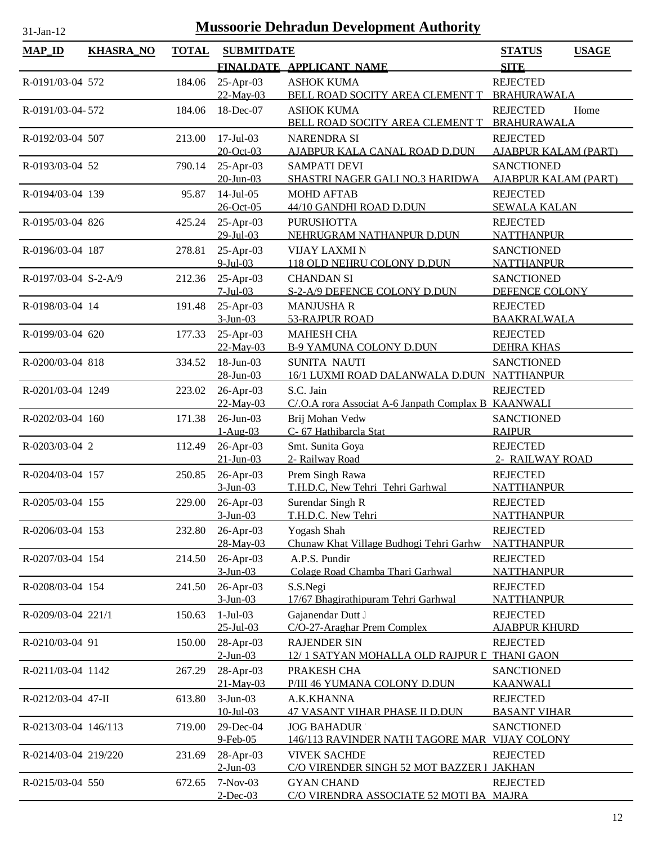| <b>MAP_ID</b>        | <b>KHASRA_NO</b> | <b>TOTAL</b> | <b>SUBMITDATE</b>            |                                                              | <b>STATUS</b><br><b>USAGE</b>         |
|----------------------|------------------|--------------|------------------------------|--------------------------------------------------------------|---------------------------------------|
|                      |                  |              |                              | FINALDATE APPLICANT NAME                                     | <b>SITE</b>                           |
| R-0191/03-04 572     |                  | 184.06       | 25-Apr-03                    | <b>ASHOK KUMA</b>                                            | <b>REJECTED</b>                       |
|                      |                  |              | 22-May-03                    | BELL ROAD SOCITY AREA CLEMENT T                              | BRAHURAWALA                           |
| R-0191/03-04-572     |                  | 184.06       | 18-Dec-07                    | <b>ASHOK KUMA</b>                                            | <b>REJECTED</b><br>Home               |
|                      |                  |              |                              | BELL ROAD SOCITY AREA CLEMENT T                              | <b>BRAHURAWALA</b>                    |
| R-0192/03-04 507     |                  | 213.00       | $17$ -Jul-03                 | <b>NARENDRA SI</b>                                           | <b>REJECTED</b>                       |
|                      |                  |              | 20-Oct-03                    | AJABPUR KALA CANAL ROAD D.DUN                                | <b>AJABPUR KALAM (PART)</b>           |
| R-0193/03-04 52      |                  | 790.14       | 25-Apr-03                    | <b>SAMPATI DEVI</b>                                          | <b>SANCTIONED</b>                     |
|                      |                  |              | $20$ -Jun-03                 | SHASTRI NAGER GALI NO.3 HARIDWA                              | <b>AJABPUR KALAM (PART)</b>           |
| R-0194/03-04 139     |                  | 95.87        | $14$ -Jul-05                 | <b>MOHD AFTAB</b>                                            | <b>REJECTED</b>                       |
|                      |                  |              | 26-Oct-05                    | 44/10 GANDHI ROAD D.DUN                                      | <b>SEWALA KALAN</b>                   |
| R-0195/03-04 826     |                  | 425.24       | $25$ -Apr-03                 | <b>PURUSHOTTA</b>                                            | <b>REJECTED</b>                       |
|                      |                  |              | 29-Jul-03                    | NEHRUGRAM NATHANPUR D.DUN                                    | <b>NATTHANPUR</b>                     |
| R-0196/03-04 187     |                  | 278.81       | 25-Apr-03                    | <b>VIJAY LAXMI N</b>                                         | <b>SANCTIONED</b>                     |
|                      |                  |              | $9$ -Jul-03                  | 118 OLD NEHRU COLONY D.DUN                                   | <b>NATTHANPUR</b>                     |
| R-0197/03-04 S-2-A/9 |                  | 212.36       | 25-Apr-03<br>$7 -$ Jul $-03$ | <b>CHANDAN SI</b><br>S-2-A/9 DEFENCE COLONY D.DUN            | <b>SANCTIONED</b><br>DEFENCE COLONY   |
|                      |                  |              |                              |                                                              |                                       |
| R-0198/03-04 14      |                  | 191.48       | 25-Apr-03<br>$3-Jun-03$      | <b>MANJUSHA R</b><br>53-RAJPUR ROAD                          | <b>REJECTED</b><br><b>BAAKRALWALA</b> |
| R-0199/03-04 620     |                  | 177.33       | $25$ -Apr-03                 | <b>MAHESH CHA</b>                                            | <b>REJECTED</b>                       |
|                      |                  |              | 22-May-03                    | B-9 YAMUNA COLONY D.DUN                                      | <b>DEHRA KHAS</b>                     |
| R-0200/03-04 818     |                  | 334.52       | 18-Jun-03                    | <b>SUNITA NAUTI</b>                                          | <b>SANCTIONED</b>                     |
|                      |                  |              | 28-Jun-03                    | 16/1 LUXMI ROAD DALANWALA D.DUN NATTHANPUR                   |                                       |
| R-0201/03-04 1249    |                  | 223.02       | 26-Apr-03                    | S.C. Jain                                                    | <b>REJECTED</b>                       |
|                      |                  |              | 22-May-03                    | C/.O.A rora Associat A-6 Janpath Complax B KAANWALI          |                                       |
| R-0202/03-04 160     |                  | 171.38       | 26-Jun-03                    | Brij Mohan Vedw                                              | <b>SANCTIONED</b>                     |
|                      |                  |              | $1-Aug-03$                   | C- 67 Hathibarcla Stat                                       | <b>RAIPUR</b>                         |
| R-0203/03-04 2       |                  | 112.49       | 26-Apr-03                    | Smt. Sunita Goya                                             | <b>REJECTED</b>                       |
|                      |                  |              | $21 - Jun - 03$              | 2- Railway Road                                              | 2- RAILWAY ROAD                       |
| R-0204/03-04 157     |                  | 250.85       | 26-Apr-03                    | Prem Singh Rawa                                              | <b>REJECTED</b>                       |
|                      |                  |              | $3-Jun-03$                   | T.H.D.C, New Tehri Tehri Garhwal                             | <b>NATTHANPUR</b>                     |
| R-0205/03-04 155     |                  | 229.00       | 26-Apr-03                    | Surendar Singh R                                             | <b>REJECTED</b>                       |
|                      |                  |              | $3-Jun-03$                   | T.H.D.C. New Tehri                                           | <b>NATTHANPUR</b>                     |
| R-0206/03-04 153     |                  | 232.80       | 26-Apr-03<br>28-May-03       | Yogash Shah<br>Chunaw Khat Village Budhogi Tehri Garhw       | <b>REJECTED</b><br><b>NATTHANPUR</b>  |
| R-0207/03-04 154     |                  | 214.50       | 26-Apr-03                    | A.P.S. Pundir                                                | <b>REJECTED</b>                       |
|                      |                  |              | $3-Jun-03$                   | Colage Road Chamba Thari Garhwal                             | <b>NATTHANPUR</b>                     |
| R-0208/03-04 154     |                  | 241.50       | 26-Apr-03                    | S.S.Negi                                                     | <b>REJECTED</b>                       |
|                      |                  |              | $3$ -Jun-03                  | 17/67 Bhagirathipuram Tehri Garhwal                          | <b>NATTHANPUR</b>                     |
| R-0209/03-04 221/1   |                  | 150.63       | $1-Jul-03$                   | Gajanendar Dutt J                                            | <b>REJECTED</b>                       |
|                      |                  |              | $25 - Jul - 03$              | C/O-27-Araghar Prem Complex                                  | <b>AJABPUR KHURD</b>                  |
| R-0210/03-04 91      |                  | 150.00       | 28-Apr-03                    | <b>RAJENDER SIN</b>                                          | <b>REJECTED</b>                       |
|                      |                  |              | $2$ -Jun-03                  | 12/1 SATYAN MOHALLA OLD RAJPUR L THANI GAON                  |                                       |
| R-0211/03-04 1142    |                  | 267.29       | 28-Apr-03                    | PRAKESH CHA                                                  | <b>SANCTIONED</b>                     |
|                      |                  |              | 21-May-03                    | P/III 46 YUMANA COLONY D.DUN                                 | <u>KAANWALI</u>                       |
| R-0212/03-04 47-II   |                  | 613.80       | $3-Jun-03$                   | A.K.KHANNA                                                   | <b>REJECTED</b>                       |
|                      |                  |              | $10$ -Jul-03                 | <b>47 VASANT VIHAR PHASE II D.DUN</b>                        | <b>BASANT VIHAR</b>                   |
| R-0213/03-04 146/113 |                  | 719.00       | 29-Dec-04                    | <b>JOG BAHADUR</b>                                           | <b>SANCTIONED</b>                     |
|                      |                  |              | 9-Feb-05                     | 146/113 RAVINDER NATH TAGORE MAR VIJAY COLONY                |                                       |
| R-0214/03-04 219/220 |                  | 231.69       | 28-Apr-03                    | <b>VIVEK SACHDE</b>                                          | <b>REJECTED</b>                       |
|                      |                  |              | $2$ -Jun-03                  | C/O VIRENDER SINGH 52 MOT BAZZER I JAKHAN                    |                                       |
| R-0215/03-04 550     |                  | 672.65       | 7-Nov-03<br>$2$ -Dec-03      | <b>GYAN CHAND</b><br>C/O VIRENDRA ASSOCIATE 52 MOTI BA MAJRA | <b>REJECTED</b>                       |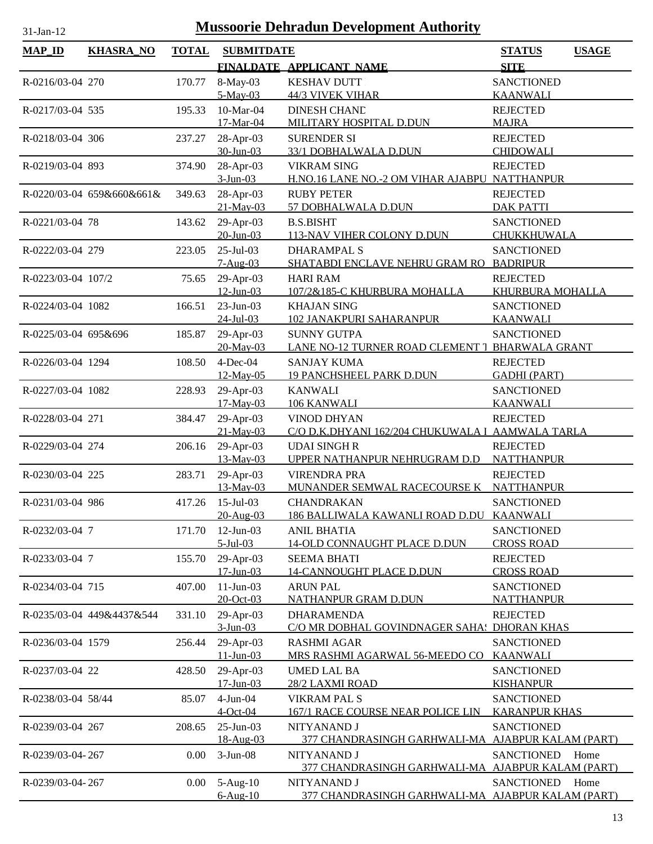| $MAP$ <sub>ID</sub>  | <b>KHASRA_NO</b>          | <b>TOTAL</b> | <b>SUBMITDATE</b>         |                                                          | <b>STATUS</b>                             | <b>USAGE</b> |
|----------------------|---------------------------|--------------|---------------------------|----------------------------------------------------------|-------------------------------------------|--------------|
|                      |                           |              |                           | FINALDATE APPLICANT NAME                                 | <b>SITE</b>                               |              |
| R-0216/03-04 270     |                           | 170.77       | 8-May-03                  | <b>KESHAV DUTT</b>                                       | <b>SANCTIONED</b>                         |              |
|                      |                           |              | 5-May-03                  | <b>44/3 VIVEK VIHAR</b>                                  | <b>KAANWALI</b>                           |              |
| R-0217/03-04 535     |                           | 195.33       | 10-Mar-04                 | <b>DINESH CHAND</b>                                      | <b>REJECTED</b>                           |              |
|                      |                           |              | 17-Mar-04                 | MILITARY HOSPITAL D.DUN                                  | <b>MAJRA</b>                              |              |
| R-0218/03-04 306     |                           | 237.27       | 28-Apr-03                 | <b>SURENDER SI</b>                                       | <b>REJECTED</b>                           |              |
|                      |                           |              | 30-Jun-03                 | 33/1 DOBHALWALA D.DUN                                    | <b>CHIDOWALI</b>                          |              |
| R-0219/03-04 893     |                           | 374.90       | 28-Apr-03                 | <b>VIKRAM SING</b>                                       | <b>REJECTED</b>                           |              |
|                      |                           |              | $3-Jun-03$                | H.NO.16 LANE NO.-2 OM VIHAR AJABPU                       | NATTHANPUR                                |              |
|                      | R-0220/03-04 659&660&661& | 349.63       | 28-Apr-03                 | <b>RUBY PETER</b>                                        | <b>REJECTED</b>                           |              |
|                      |                           |              | 21-May-03                 | 57 DOBHALWALA D.DUN                                      | <b>DAK PATTI</b>                          |              |
| R-0221/03-04 78      |                           | 143.62       | 29-Apr-03                 | <b>B.S.BISHT</b>                                         | <b>SANCTIONED</b>                         |              |
|                      |                           |              | $20$ -Jun-03              | 113-NAV VIHER COLONY D.DUN                               | CHUKKHUWALA                               |              |
| R-0222/03-04 279     |                           | 223.05       | $25$ -Jul-03              | <b>DHARAMPAL S</b>                                       | <b>SANCTIONED</b>                         |              |
|                      |                           |              | $7-Aug-03$                | SHATABDI ENCLAVE NEHRU GRAM RO BADRIPUR                  |                                           |              |
| R-0223/03-04 107/2   |                           | 75.65        | 29-Apr-03                 | <b>HARI RAM</b>                                          | <b>REJECTED</b>                           |              |
|                      |                           |              | $12$ -Jun-03              | 107/2&185-C KHURBURA MOHALLA                             | <b>KHURBURA MOHALLA</b>                   |              |
| R-0224/03-04 1082    |                           | 166.51       | $23$ -Jun-03              | <b>KHAJAN SING</b>                                       | <b>SANCTIONED</b>                         |              |
|                      |                           |              | $24$ -Jul-03              | <b>102 JANAKPURI SAHARANPUR</b>                          | <b>KAANWALI</b>                           |              |
| R-0225/03-04 695&696 |                           | 185.87       | 29-Apr-03                 | <b>SUNNY GUTPA</b>                                       | <b>SANCTIONED</b>                         |              |
|                      |                           |              | 20-May-03                 | LANE NO-12 TURNER ROAD CLEMENT 1                         | <b>BHARWALA GRANT</b>                     |              |
| R-0226/03-04 1294    |                           | 108.50       | $4$ -Dec-04               | <b>SANJAY KUMA</b>                                       | <b>REJECTED</b>                           |              |
|                      |                           |              | 12-May-05                 | <b>19 PANCHSHEEL PARK D.DUN</b>                          | <b>GADHI (PART)</b>                       |              |
| R-0227/03-04 1082    |                           | 228.93       | 29-Apr-03                 | <b>KANWALI</b>                                           | <b>SANCTIONED</b>                         |              |
|                      |                           |              | 17-May-03                 | 106 KANWALI                                              | <b>KAANWALI</b>                           |              |
| R-0228/03-04 271     |                           | 384.47       | 29-Apr-03                 | <b>VINOD DHYAN</b>                                       | <b>REJECTED</b>                           |              |
|                      |                           |              | 21-May-03                 | C/O D.K.DHYANI 162/204 CHUKUWALA I AAMWALA TARLA         |                                           |              |
| R-0229/03-04 274     |                           | 206.16       | 29-Apr-03                 | <b>UDAI SINGHR</b>                                       | <b>REJECTED</b>                           |              |
|                      |                           |              | 13-May-03                 | UPPER NATHANPUR NEHRUGRAM D.D                            | <b>NATTHANPUR</b>                         |              |
| R-0230/03-04 225     |                           | 283.71       | 29-Apr-03                 | <b>VIRENDRA PRA</b>                                      | <b>REJECTED</b>                           |              |
|                      |                           |              | 13-May-03                 | MUNANDER SEMWAL RACECOURSE K                             | <b>NATTHANPUR</b>                         |              |
| R-0231/03-04 986     |                           | 417.26       | $15$ -Jul-03              | <b>CHANDRAKAN</b>                                        | <b>SANCTIONED</b>                         |              |
|                      |                           |              | 20-Aug-03                 | 186 BALLIWALA KAWANLI ROAD D.DU KAANWALI                 |                                           |              |
| R-0232/03-04 7       |                           |              | $12$ -Jun-03              | <b>ANIL BHATIA</b>                                       | <b>SANCTIONED</b>                         |              |
|                      |                           | 171.70       | $5$ -Jul-03               | 14-OLD CONNAUGHT PLACE D.DUN                             | <b>CROSS ROAD</b>                         |              |
| R-0233/03-04 7       |                           | 155.70       | 29-Apr-03                 | <b>SEEMA BHATI</b>                                       | <b>REJECTED</b>                           |              |
|                      |                           |              | $17$ -Jun-03              | 14-CANNOUGHT PLACE D.DUN                                 | <b>CROSS ROAD</b>                         |              |
| R-0234/03-04 715     |                           | 407.00       | $11-Jun-03$               | <b>ARUN PAL</b>                                          | <b>SANCTIONED</b>                         |              |
|                      |                           |              | 20-Oct-03                 | <b>NATHANPUR GRAM D.DUN</b>                              | <b>NATTHANPUR</b>                         |              |
|                      | R-0235/03-04 449&4437&544 |              |                           | <b>DHARAMENDA</b>                                        | <b>REJECTED</b>                           |              |
|                      |                           | 331.10       | 29-Apr-03<br>$3-Jun-03$   | C/O MR DOBHAL GOVINDNAGER SAHA: DHORAN KHAS              |                                           |              |
| R-0236/03-04 1579    |                           | 256.44       | 29-Apr-03                 | <b>RASHMI AGAR</b>                                       | <b>SANCTIONED</b>                         |              |
|                      |                           |              | $11 - Jun - 03$           | MRS RASHMI AGARWAL 56-MEEDO CO                           | <b>KAANWALI</b>                           |              |
|                      |                           |              |                           |                                                          |                                           |              |
| R-0237/03-04 22      |                           | 428.50       | 29-Apr-03<br>$17$ -Jun-03 | <b>UMED LAL BA</b><br>28/2 LAXMI ROAD                    | <b>SANCTIONED</b><br><b>KISHANPUR</b>     |              |
|                      |                           |              |                           |                                                          |                                           |              |
| R-0238/03-04 58/44   |                           | 85.07        | $4-Jun-04$<br>$4$ -Oct-04 | <b>VIKRAM PAL S</b><br>167/1 RACE COURSE NEAR POLICE LIN | <b>SANCTIONED</b><br><b>KARANPUR KHAS</b> |              |
|                      |                           |              |                           |                                                          |                                           |              |
| R-0239/03-04 267     |                           | 208.65       | 25-Jun-03                 | NITYANAND J                                              | <b>SANCTIONED</b>                         |              |
|                      |                           |              | 18-Aug-03                 | <u>377 CHANDRASINGH GARHWALI-MA</u>                      | <b>AJABPUR KALAM (PART)</b>               |              |
| R-0239/03-04-267     |                           | 0.00         | $3-Jun-08$                | NITYANAND J                                              | <b>SANCTIONED</b>                         | Home         |
|                      |                           |              |                           | 377 CHANDRASINGH GARHWALI-MA AJABPUR KALAM (PART)        |                                           |              |
| R-0239/03-04-267     |                           | 0.00         | $5-Aug-10$                | NITYANAND J                                              | <b>SANCTIONED</b>                         | Home         |
|                      |                           |              | $6$ -Aug- $10$            | 377 CHANDRASINGH GARHWALI-MA AJABPUR KALAM (PART)        |                                           |              |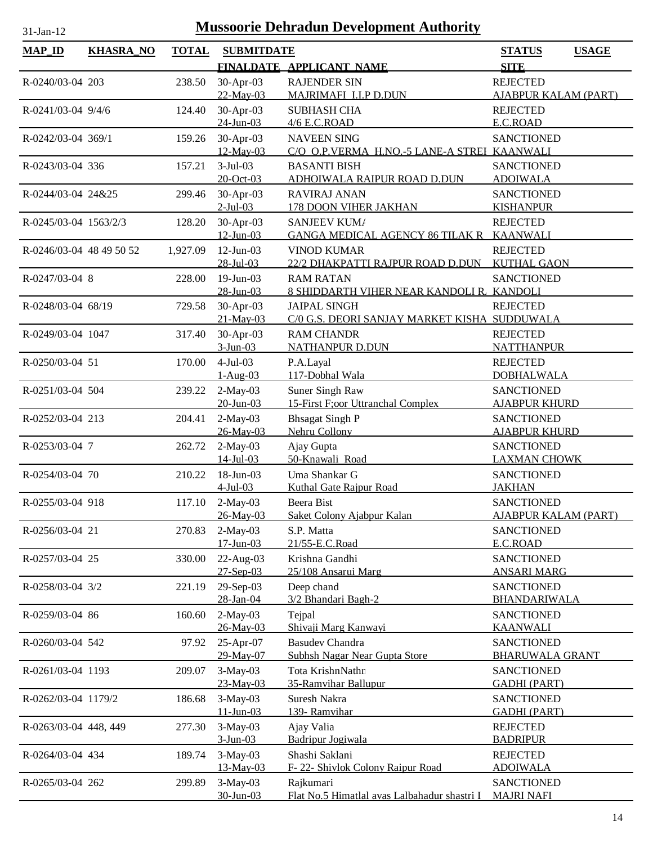| <b>TOTAL</b><br><b>MAP_ID</b><br><b>KHASRA_NO</b><br><b>SUBMITDATE</b><br><b>STATUS</b><br><b>USAGE</b><br><b>SITE</b><br>FINALDATE APPLICANT NAME<br>30-Apr-03<br><b>RAJENDER SIN</b><br><b>REJECTED</b><br>R-0240/03-04 203<br>238.50<br>22-May-03<br>MAJRIMAFI I.I.P D.DUN<br><b>AJABPUR KALAM (PART)</b><br>30-Apr-03<br><b>SUBHASH CHA</b><br><b>REJECTED</b><br>R-0241/03-04 9/4/6<br>124.40<br>$24$ -Jun-03<br>4/6 E.C.ROAD<br>E.C.ROAD<br>30-Apr-03<br>R-0242/03-04 369/1<br>159.26<br><b>NAVEEN SING</b><br><b>SANCTIONED</b><br>12-May-03<br>C/O O.P.VERMA H.NO.-5 LANE-A STREI KAANWALI<br>$3-Jul-03$<br><b>SANCTIONED</b><br>R-0243/03-04 336<br>157.21<br><b>BASANTI BISH</b><br>20-Oct-03<br>ADHOIWALA RAIPUR ROAD D.DUN<br><b>ADOIWALA</b><br>30-Apr-03<br><b>RAVIRAJ ANAN</b><br><b>SANCTIONED</b><br>R-0244/03-04 24&25<br>299.46<br>$2$ -Jul-03<br>178 DOON VIHER JAKHAN<br><b>KISHANPUR</b><br>30-Apr-03<br>128.20<br>SANJEEV KUM/<br><b>REJECTED</b><br>R-0245/03-04 1563/2/3<br>$12$ -Jun-03<br><b>GANGA MEDICAL AGENCY 86 TILAK R</b><br><b>KAANWALI</b><br>$12$ -Jun-03<br><b>VINOD KUMAR</b><br>R-0246/03-04 48 49 50 52<br>1,927.09<br><b>REJECTED</b><br>28-Jul-03<br>22/2 DHAKPATTI RAJPUR ROAD D.DUN<br><b>KUTHAL GAON</b><br>228.00<br>19-Jun-03<br>R-0247/03-04 8<br><b>RAM RATAN</b><br><b>SANCTIONED</b><br>28-Jun-03<br>8 SHIDDARTH VIHER NEAR KANDOLI R. KANDOLI<br>R-0248/03-04 68/19<br>30-Apr-03<br><b>JAIPAL SINGH</b><br><b>REJECTED</b><br>729.58<br>21-May-03<br>C/0 G.S. DEORI SANJAY MARKET KISHA SUDDUWALA<br>30-Apr-03<br><b>RAM CHANDR</b><br>R-0249/03-04 1047<br><b>REJECTED</b><br>317.40<br>$3-Jun-03$<br><b>NATHANPUR D.DUN</b><br><b>NATTHANPUR</b><br>$4-Jul-03$<br>R-0250/03-04 51<br>170.00<br>P.A.Layal<br><b>REJECTED</b><br>117-Dobhal Wala<br>$1-Aug-03$<br><b>DOBHALWALA</b><br>$2-May-03$<br>Suner Singh Raw<br><b>SANCTIONED</b><br>R-0251/03-04 504<br>239.22<br>$20$ -Jun-03<br>15-First F;oor Uttranchal Complex<br><b>AJABPUR KHURD</b><br>$2-May-03$<br><b>Bhsagat Singh P</b><br><b>SANCTIONED</b><br>R-0252/03-04 213<br>204.41<br>26-May-03<br>Nehru Collony<br><b>AJABPUR KHURD</b><br>$2-May-03$<br><b>SANCTIONED</b><br>R-0253/03-04 7<br>Ajay Gupta<br>262.72<br>50-Knawali Road<br>$14$ -Jul-03<br><b>LAXMAN CHOWK</b><br>$18$ -Jun-03<br>Uma Shankar G<br>210.22<br><b>SANCTIONED</b><br>R-0254/03-04 70<br>$4$ -Jul-03<br>Kuthal Gate Raipur Road<br><b>JAKHAN</b><br>R-0255/03-04 918<br>117.10<br>$2-May-03$<br>Beera Bist<br><b>SANCTIONED</b><br>26-May-03<br>Saket Colony Ajabpur Kalan<br><b>AJABPUR KALAM (PART)</b><br>R-0256/03-04 21<br>$2-May-03$<br><b>SANCTIONED</b><br>270.83<br>S.P. Matta<br>$17 - Jun - 03$<br>21/55-E.C.Road<br>E.C.ROAD<br>22-Aug-03<br>Krishna Gandhi<br><b>SANCTIONED</b><br>R-0257/03-04 25<br>330.00<br>25/108 Ansarui Marg<br>$27-$ Sep $-03$<br><b>ANSARI MARG</b><br>29-Sep-03<br>R-0258/03-04 3/2<br>Deep chand<br><b>SANCTIONED</b><br>221.19<br>28-Jan-04<br>3/2 Bhandari Bagh-2<br>BHANDARIWALA<br>$2-May-03$<br>160.60<br>Tejpal<br><b>SANCTIONED</b><br>R-0259/03-04 86<br>Shivaji Marg Kanwayi<br>26-May-03<br><b>KAANWALI</b><br>25-Apr-07<br><b>Basudev Chandra</b><br><b>SANCTIONED</b><br>R-0260/03-04 542<br>97.92<br>29-May-07<br>Subhsh Nagar Near Gupta Store<br><b>BHARUWALA GRANT</b><br>$3-May-03$<br>Tota KrishnNathr<br>R-0261/03-04 1193<br><b>SANCTIONED</b><br>209.07<br>23-May-03<br>35-Ramvihar Ballupur<br><b>GADHI (PART)</b><br>Suresh Nakra<br><b>SANCTIONED</b><br>R-0262/03-04 1179/2<br>$3-May-03$<br>186.68<br>139- Ramvihar<br>$11 - Jun - 03$<br><b>GADHI (PART)</b><br>277.30<br>$3-May-03$<br>Ajay Valia<br><b>REJECTED</b><br>R-0263/03-04 448, 449<br>$3-Jun-03$<br>Badripur Jogiwala<br><b>BADRIPUR</b><br>$3-May-03$<br>Shashi Saklani<br><b>REJECTED</b><br>R-0264/03-04 434<br>189.74<br>13-May-03<br>F-22- Shivlok Colony Raipur Road<br><b>ADOIWALA</b><br>$3-May-03$<br><b>SANCTIONED</b><br>R-0265/03-04 262<br>299.89<br>Rajkumari<br>$30$ -Jun-03<br>Flat No.5 Himatlal avas Lalbahadur shastri I<br><b>MAJRI NAFI</b> |  |  |  |  |
|------------------------------------------------------------------------------------------------------------------------------------------------------------------------------------------------------------------------------------------------------------------------------------------------------------------------------------------------------------------------------------------------------------------------------------------------------------------------------------------------------------------------------------------------------------------------------------------------------------------------------------------------------------------------------------------------------------------------------------------------------------------------------------------------------------------------------------------------------------------------------------------------------------------------------------------------------------------------------------------------------------------------------------------------------------------------------------------------------------------------------------------------------------------------------------------------------------------------------------------------------------------------------------------------------------------------------------------------------------------------------------------------------------------------------------------------------------------------------------------------------------------------------------------------------------------------------------------------------------------------------------------------------------------------------------------------------------------------------------------------------------------------------------------------------------------------------------------------------------------------------------------------------------------------------------------------------------------------------------------------------------------------------------------------------------------------------------------------------------------------------------------------------------------------------------------------------------------------------------------------------------------------------------------------------------------------------------------------------------------------------------------------------------------------------------------------------------------------------------------------------------------------------------------------------------------------------------------------------------------------------------------------------------------------------------------------------------------------------------------------------------------------------------------------------------------------------------------------------------------------------------------------------------------------------------------------------------------------------------------------------------------------------------------------------------------------------------------------------------------------------------------------------------------------------------------------------------------------------------------------------------------------------------------------------------------------------------------------------------------------------------------------------------------------------------------------------------------------------------------------------------------------------------------------------------------------------------------------------------------------------------------------------------------------------------------------------------------------------------------------------------------------------------------------------------------------------------------------------------------------------------------------------------------------------------------------------------------------------------------------------------------------------------------------------------------------------------------------|--|--|--|--|
|                                                                                                                                                                                                                                                                                                                                                                                                                                                                                                                                                                                                                                                                                                                                                                                                                                                                                                                                                                                                                                                                                                                                                                                                                                                                                                                                                                                                                                                                                                                                                                                                                                                                                                                                                                                                                                                                                                                                                                                                                                                                                                                                                                                                                                                                                                                                                                                                                                                                                                                                                                                                                                                                                                                                                                                                                                                                                                                                                                                                                                                                                                                                                                                                                                                                                                                                                                                                                                                                                                                                                                                                                                                                                                                                                                                                                                                                                                                                                                                                                                                                                                |  |  |  |  |
|                                                                                                                                                                                                                                                                                                                                                                                                                                                                                                                                                                                                                                                                                                                                                                                                                                                                                                                                                                                                                                                                                                                                                                                                                                                                                                                                                                                                                                                                                                                                                                                                                                                                                                                                                                                                                                                                                                                                                                                                                                                                                                                                                                                                                                                                                                                                                                                                                                                                                                                                                                                                                                                                                                                                                                                                                                                                                                                                                                                                                                                                                                                                                                                                                                                                                                                                                                                                                                                                                                                                                                                                                                                                                                                                                                                                                                                                                                                                                                                                                                                                                                |  |  |  |  |
|                                                                                                                                                                                                                                                                                                                                                                                                                                                                                                                                                                                                                                                                                                                                                                                                                                                                                                                                                                                                                                                                                                                                                                                                                                                                                                                                                                                                                                                                                                                                                                                                                                                                                                                                                                                                                                                                                                                                                                                                                                                                                                                                                                                                                                                                                                                                                                                                                                                                                                                                                                                                                                                                                                                                                                                                                                                                                                                                                                                                                                                                                                                                                                                                                                                                                                                                                                                                                                                                                                                                                                                                                                                                                                                                                                                                                                                                                                                                                                                                                                                                                                |  |  |  |  |
|                                                                                                                                                                                                                                                                                                                                                                                                                                                                                                                                                                                                                                                                                                                                                                                                                                                                                                                                                                                                                                                                                                                                                                                                                                                                                                                                                                                                                                                                                                                                                                                                                                                                                                                                                                                                                                                                                                                                                                                                                                                                                                                                                                                                                                                                                                                                                                                                                                                                                                                                                                                                                                                                                                                                                                                                                                                                                                                                                                                                                                                                                                                                                                                                                                                                                                                                                                                                                                                                                                                                                                                                                                                                                                                                                                                                                                                                                                                                                                                                                                                                                                |  |  |  |  |
|                                                                                                                                                                                                                                                                                                                                                                                                                                                                                                                                                                                                                                                                                                                                                                                                                                                                                                                                                                                                                                                                                                                                                                                                                                                                                                                                                                                                                                                                                                                                                                                                                                                                                                                                                                                                                                                                                                                                                                                                                                                                                                                                                                                                                                                                                                                                                                                                                                                                                                                                                                                                                                                                                                                                                                                                                                                                                                                                                                                                                                                                                                                                                                                                                                                                                                                                                                                                                                                                                                                                                                                                                                                                                                                                                                                                                                                                                                                                                                                                                                                                                                |  |  |  |  |
|                                                                                                                                                                                                                                                                                                                                                                                                                                                                                                                                                                                                                                                                                                                                                                                                                                                                                                                                                                                                                                                                                                                                                                                                                                                                                                                                                                                                                                                                                                                                                                                                                                                                                                                                                                                                                                                                                                                                                                                                                                                                                                                                                                                                                                                                                                                                                                                                                                                                                                                                                                                                                                                                                                                                                                                                                                                                                                                                                                                                                                                                                                                                                                                                                                                                                                                                                                                                                                                                                                                                                                                                                                                                                                                                                                                                                                                                                                                                                                                                                                                                                                |  |  |  |  |
|                                                                                                                                                                                                                                                                                                                                                                                                                                                                                                                                                                                                                                                                                                                                                                                                                                                                                                                                                                                                                                                                                                                                                                                                                                                                                                                                                                                                                                                                                                                                                                                                                                                                                                                                                                                                                                                                                                                                                                                                                                                                                                                                                                                                                                                                                                                                                                                                                                                                                                                                                                                                                                                                                                                                                                                                                                                                                                                                                                                                                                                                                                                                                                                                                                                                                                                                                                                                                                                                                                                                                                                                                                                                                                                                                                                                                                                                                                                                                                                                                                                                                                |  |  |  |  |
|                                                                                                                                                                                                                                                                                                                                                                                                                                                                                                                                                                                                                                                                                                                                                                                                                                                                                                                                                                                                                                                                                                                                                                                                                                                                                                                                                                                                                                                                                                                                                                                                                                                                                                                                                                                                                                                                                                                                                                                                                                                                                                                                                                                                                                                                                                                                                                                                                                                                                                                                                                                                                                                                                                                                                                                                                                                                                                                                                                                                                                                                                                                                                                                                                                                                                                                                                                                                                                                                                                                                                                                                                                                                                                                                                                                                                                                                                                                                                                                                                                                                                                |  |  |  |  |
|                                                                                                                                                                                                                                                                                                                                                                                                                                                                                                                                                                                                                                                                                                                                                                                                                                                                                                                                                                                                                                                                                                                                                                                                                                                                                                                                                                                                                                                                                                                                                                                                                                                                                                                                                                                                                                                                                                                                                                                                                                                                                                                                                                                                                                                                                                                                                                                                                                                                                                                                                                                                                                                                                                                                                                                                                                                                                                                                                                                                                                                                                                                                                                                                                                                                                                                                                                                                                                                                                                                                                                                                                                                                                                                                                                                                                                                                                                                                                                                                                                                                                                |  |  |  |  |
|                                                                                                                                                                                                                                                                                                                                                                                                                                                                                                                                                                                                                                                                                                                                                                                                                                                                                                                                                                                                                                                                                                                                                                                                                                                                                                                                                                                                                                                                                                                                                                                                                                                                                                                                                                                                                                                                                                                                                                                                                                                                                                                                                                                                                                                                                                                                                                                                                                                                                                                                                                                                                                                                                                                                                                                                                                                                                                                                                                                                                                                                                                                                                                                                                                                                                                                                                                                                                                                                                                                                                                                                                                                                                                                                                                                                                                                                                                                                                                                                                                                                                                |  |  |  |  |
|                                                                                                                                                                                                                                                                                                                                                                                                                                                                                                                                                                                                                                                                                                                                                                                                                                                                                                                                                                                                                                                                                                                                                                                                                                                                                                                                                                                                                                                                                                                                                                                                                                                                                                                                                                                                                                                                                                                                                                                                                                                                                                                                                                                                                                                                                                                                                                                                                                                                                                                                                                                                                                                                                                                                                                                                                                                                                                                                                                                                                                                                                                                                                                                                                                                                                                                                                                                                                                                                                                                                                                                                                                                                                                                                                                                                                                                                                                                                                                                                                                                                                                |  |  |  |  |
|                                                                                                                                                                                                                                                                                                                                                                                                                                                                                                                                                                                                                                                                                                                                                                                                                                                                                                                                                                                                                                                                                                                                                                                                                                                                                                                                                                                                                                                                                                                                                                                                                                                                                                                                                                                                                                                                                                                                                                                                                                                                                                                                                                                                                                                                                                                                                                                                                                                                                                                                                                                                                                                                                                                                                                                                                                                                                                                                                                                                                                                                                                                                                                                                                                                                                                                                                                                                                                                                                                                                                                                                                                                                                                                                                                                                                                                                                                                                                                                                                                                                                                |  |  |  |  |
|                                                                                                                                                                                                                                                                                                                                                                                                                                                                                                                                                                                                                                                                                                                                                                                                                                                                                                                                                                                                                                                                                                                                                                                                                                                                                                                                                                                                                                                                                                                                                                                                                                                                                                                                                                                                                                                                                                                                                                                                                                                                                                                                                                                                                                                                                                                                                                                                                                                                                                                                                                                                                                                                                                                                                                                                                                                                                                                                                                                                                                                                                                                                                                                                                                                                                                                                                                                                                                                                                                                                                                                                                                                                                                                                                                                                                                                                                                                                                                                                                                                                                                |  |  |  |  |
|                                                                                                                                                                                                                                                                                                                                                                                                                                                                                                                                                                                                                                                                                                                                                                                                                                                                                                                                                                                                                                                                                                                                                                                                                                                                                                                                                                                                                                                                                                                                                                                                                                                                                                                                                                                                                                                                                                                                                                                                                                                                                                                                                                                                                                                                                                                                                                                                                                                                                                                                                                                                                                                                                                                                                                                                                                                                                                                                                                                                                                                                                                                                                                                                                                                                                                                                                                                                                                                                                                                                                                                                                                                                                                                                                                                                                                                                                                                                                                                                                                                                                                |  |  |  |  |
|                                                                                                                                                                                                                                                                                                                                                                                                                                                                                                                                                                                                                                                                                                                                                                                                                                                                                                                                                                                                                                                                                                                                                                                                                                                                                                                                                                                                                                                                                                                                                                                                                                                                                                                                                                                                                                                                                                                                                                                                                                                                                                                                                                                                                                                                                                                                                                                                                                                                                                                                                                                                                                                                                                                                                                                                                                                                                                                                                                                                                                                                                                                                                                                                                                                                                                                                                                                                                                                                                                                                                                                                                                                                                                                                                                                                                                                                                                                                                                                                                                                                                                |  |  |  |  |
|                                                                                                                                                                                                                                                                                                                                                                                                                                                                                                                                                                                                                                                                                                                                                                                                                                                                                                                                                                                                                                                                                                                                                                                                                                                                                                                                                                                                                                                                                                                                                                                                                                                                                                                                                                                                                                                                                                                                                                                                                                                                                                                                                                                                                                                                                                                                                                                                                                                                                                                                                                                                                                                                                                                                                                                                                                                                                                                                                                                                                                                                                                                                                                                                                                                                                                                                                                                                                                                                                                                                                                                                                                                                                                                                                                                                                                                                                                                                                                                                                                                                                                |  |  |  |  |
|                                                                                                                                                                                                                                                                                                                                                                                                                                                                                                                                                                                                                                                                                                                                                                                                                                                                                                                                                                                                                                                                                                                                                                                                                                                                                                                                                                                                                                                                                                                                                                                                                                                                                                                                                                                                                                                                                                                                                                                                                                                                                                                                                                                                                                                                                                                                                                                                                                                                                                                                                                                                                                                                                                                                                                                                                                                                                                                                                                                                                                                                                                                                                                                                                                                                                                                                                                                                                                                                                                                                                                                                                                                                                                                                                                                                                                                                                                                                                                                                                                                                                                |  |  |  |  |
|                                                                                                                                                                                                                                                                                                                                                                                                                                                                                                                                                                                                                                                                                                                                                                                                                                                                                                                                                                                                                                                                                                                                                                                                                                                                                                                                                                                                                                                                                                                                                                                                                                                                                                                                                                                                                                                                                                                                                                                                                                                                                                                                                                                                                                                                                                                                                                                                                                                                                                                                                                                                                                                                                                                                                                                                                                                                                                                                                                                                                                                                                                                                                                                                                                                                                                                                                                                                                                                                                                                                                                                                                                                                                                                                                                                                                                                                                                                                                                                                                                                                                                |  |  |  |  |
|                                                                                                                                                                                                                                                                                                                                                                                                                                                                                                                                                                                                                                                                                                                                                                                                                                                                                                                                                                                                                                                                                                                                                                                                                                                                                                                                                                                                                                                                                                                                                                                                                                                                                                                                                                                                                                                                                                                                                                                                                                                                                                                                                                                                                                                                                                                                                                                                                                                                                                                                                                                                                                                                                                                                                                                                                                                                                                                                                                                                                                                                                                                                                                                                                                                                                                                                                                                                                                                                                                                                                                                                                                                                                                                                                                                                                                                                                                                                                                                                                                                                                                |  |  |  |  |
|                                                                                                                                                                                                                                                                                                                                                                                                                                                                                                                                                                                                                                                                                                                                                                                                                                                                                                                                                                                                                                                                                                                                                                                                                                                                                                                                                                                                                                                                                                                                                                                                                                                                                                                                                                                                                                                                                                                                                                                                                                                                                                                                                                                                                                                                                                                                                                                                                                                                                                                                                                                                                                                                                                                                                                                                                                                                                                                                                                                                                                                                                                                                                                                                                                                                                                                                                                                                                                                                                                                                                                                                                                                                                                                                                                                                                                                                                                                                                                                                                                                                                                |  |  |  |  |
|                                                                                                                                                                                                                                                                                                                                                                                                                                                                                                                                                                                                                                                                                                                                                                                                                                                                                                                                                                                                                                                                                                                                                                                                                                                                                                                                                                                                                                                                                                                                                                                                                                                                                                                                                                                                                                                                                                                                                                                                                                                                                                                                                                                                                                                                                                                                                                                                                                                                                                                                                                                                                                                                                                                                                                                                                                                                                                                                                                                                                                                                                                                                                                                                                                                                                                                                                                                                                                                                                                                                                                                                                                                                                                                                                                                                                                                                                                                                                                                                                                                                                                |  |  |  |  |
|                                                                                                                                                                                                                                                                                                                                                                                                                                                                                                                                                                                                                                                                                                                                                                                                                                                                                                                                                                                                                                                                                                                                                                                                                                                                                                                                                                                                                                                                                                                                                                                                                                                                                                                                                                                                                                                                                                                                                                                                                                                                                                                                                                                                                                                                                                                                                                                                                                                                                                                                                                                                                                                                                                                                                                                                                                                                                                                                                                                                                                                                                                                                                                                                                                                                                                                                                                                                                                                                                                                                                                                                                                                                                                                                                                                                                                                                                                                                                                                                                                                                                                |  |  |  |  |
|                                                                                                                                                                                                                                                                                                                                                                                                                                                                                                                                                                                                                                                                                                                                                                                                                                                                                                                                                                                                                                                                                                                                                                                                                                                                                                                                                                                                                                                                                                                                                                                                                                                                                                                                                                                                                                                                                                                                                                                                                                                                                                                                                                                                                                                                                                                                                                                                                                                                                                                                                                                                                                                                                                                                                                                                                                                                                                                                                                                                                                                                                                                                                                                                                                                                                                                                                                                                                                                                                                                                                                                                                                                                                                                                                                                                                                                                                                                                                                                                                                                                                                |  |  |  |  |
|                                                                                                                                                                                                                                                                                                                                                                                                                                                                                                                                                                                                                                                                                                                                                                                                                                                                                                                                                                                                                                                                                                                                                                                                                                                                                                                                                                                                                                                                                                                                                                                                                                                                                                                                                                                                                                                                                                                                                                                                                                                                                                                                                                                                                                                                                                                                                                                                                                                                                                                                                                                                                                                                                                                                                                                                                                                                                                                                                                                                                                                                                                                                                                                                                                                                                                                                                                                                                                                                                                                                                                                                                                                                                                                                                                                                                                                                                                                                                                                                                                                                                                |  |  |  |  |
|                                                                                                                                                                                                                                                                                                                                                                                                                                                                                                                                                                                                                                                                                                                                                                                                                                                                                                                                                                                                                                                                                                                                                                                                                                                                                                                                                                                                                                                                                                                                                                                                                                                                                                                                                                                                                                                                                                                                                                                                                                                                                                                                                                                                                                                                                                                                                                                                                                                                                                                                                                                                                                                                                                                                                                                                                                                                                                                                                                                                                                                                                                                                                                                                                                                                                                                                                                                                                                                                                                                                                                                                                                                                                                                                                                                                                                                                                                                                                                                                                                                                                                |  |  |  |  |
|                                                                                                                                                                                                                                                                                                                                                                                                                                                                                                                                                                                                                                                                                                                                                                                                                                                                                                                                                                                                                                                                                                                                                                                                                                                                                                                                                                                                                                                                                                                                                                                                                                                                                                                                                                                                                                                                                                                                                                                                                                                                                                                                                                                                                                                                                                                                                                                                                                                                                                                                                                                                                                                                                                                                                                                                                                                                                                                                                                                                                                                                                                                                                                                                                                                                                                                                                                                                                                                                                                                                                                                                                                                                                                                                                                                                                                                                                                                                                                                                                                                                                                |  |  |  |  |
|                                                                                                                                                                                                                                                                                                                                                                                                                                                                                                                                                                                                                                                                                                                                                                                                                                                                                                                                                                                                                                                                                                                                                                                                                                                                                                                                                                                                                                                                                                                                                                                                                                                                                                                                                                                                                                                                                                                                                                                                                                                                                                                                                                                                                                                                                                                                                                                                                                                                                                                                                                                                                                                                                                                                                                                                                                                                                                                                                                                                                                                                                                                                                                                                                                                                                                                                                                                                                                                                                                                                                                                                                                                                                                                                                                                                                                                                                                                                                                                                                                                                                                |  |  |  |  |
|                                                                                                                                                                                                                                                                                                                                                                                                                                                                                                                                                                                                                                                                                                                                                                                                                                                                                                                                                                                                                                                                                                                                                                                                                                                                                                                                                                                                                                                                                                                                                                                                                                                                                                                                                                                                                                                                                                                                                                                                                                                                                                                                                                                                                                                                                                                                                                                                                                                                                                                                                                                                                                                                                                                                                                                                                                                                                                                                                                                                                                                                                                                                                                                                                                                                                                                                                                                                                                                                                                                                                                                                                                                                                                                                                                                                                                                                                                                                                                                                                                                                                                |  |  |  |  |
|                                                                                                                                                                                                                                                                                                                                                                                                                                                                                                                                                                                                                                                                                                                                                                                                                                                                                                                                                                                                                                                                                                                                                                                                                                                                                                                                                                                                                                                                                                                                                                                                                                                                                                                                                                                                                                                                                                                                                                                                                                                                                                                                                                                                                                                                                                                                                                                                                                                                                                                                                                                                                                                                                                                                                                                                                                                                                                                                                                                                                                                                                                                                                                                                                                                                                                                                                                                                                                                                                                                                                                                                                                                                                                                                                                                                                                                                                                                                                                                                                                                                                                |  |  |  |  |
|                                                                                                                                                                                                                                                                                                                                                                                                                                                                                                                                                                                                                                                                                                                                                                                                                                                                                                                                                                                                                                                                                                                                                                                                                                                                                                                                                                                                                                                                                                                                                                                                                                                                                                                                                                                                                                                                                                                                                                                                                                                                                                                                                                                                                                                                                                                                                                                                                                                                                                                                                                                                                                                                                                                                                                                                                                                                                                                                                                                                                                                                                                                                                                                                                                                                                                                                                                                                                                                                                                                                                                                                                                                                                                                                                                                                                                                                                                                                                                                                                                                                                                |  |  |  |  |
|                                                                                                                                                                                                                                                                                                                                                                                                                                                                                                                                                                                                                                                                                                                                                                                                                                                                                                                                                                                                                                                                                                                                                                                                                                                                                                                                                                                                                                                                                                                                                                                                                                                                                                                                                                                                                                                                                                                                                                                                                                                                                                                                                                                                                                                                                                                                                                                                                                                                                                                                                                                                                                                                                                                                                                                                                                                                                                                                                                                                                                                                                                                                                                                                                                                                                                                                                                                                                                                                                                                                                                                                                                                                                                                                                                                                                                                                                                                                                                                                                                                                                                |  |  |  |  |
|                                                                                                                                                                                                                                                                                                                                                                                                                                                                                                                                                                                                                                                                                                                                                                                                                                                                                                                                                                                                                                                                                                                                                                                                                                                                                                                                                                                                                                                                                                                                                                                                                                                                                                                                                                                                                                                                                                                                                                                                                                                                                                                                                                                                                                                                                                                                                                                                                                                                                                                                                                                                                                                                                                                                                                                                                                                                                                                                                                                                                                                                                                                                                                                                                                                                                                                                                                                                                                                                                                                                                                                                                                                                                                                                                                                                                                                                                                                                                                                                                                                                                                |  |  |  |  |
|                                                                                                                                                                                                                                                                                                                                                                                                                                                                                                                                                                                                                                                                                                                                                                                                                                                                                                                                                                                                                                                                                                                                                                                                                                                                                                                                                                                                                                                                                                                                                                                                                                                                                                                                                                                                                                                                                                                                                                                                                                                                                                                                                                                                                                                                                                                                                                                                                                                                                                                                                                                                                                                                                                                                                                                                                                                                                                                                                                                                                                                                                                                                                                                                                                                                                                                                                                                                                                                                                                                                                                                                                                                                                                                                                                                                                                                                                                                                                                                                                                                                                                |  |  |  |  |
|                                                                                                                                                                                                                                                                                                                                                                                                                                                                                                                                                                                                                                                                                                                                                                                                                                                                                                                                                                                                                                                                                                                                                                                                                                                                                                                                                                                                                                                                                                                                                                                                                                                                                                                                                                                                                                                                                                                                                                                                                                                                                                                                                                                                                                                                                                                                                                                                                                                                                                                                                                                                                                                                                                                                                                                                                                                                                                                                                                                                                                                                                                                                                                                                                                                                                                                                                                                                                                                                                                                                                                                                                                                                                                                                                                                                                                                                                                                                                                                                                                                                                                |  |  |  |  |
|                                                                                                                                                                                                                                                                                                                                                                                                                                                                                                                                                                                                                                                                                                                                                                                                                                                                                                                                                                                                                                                                                                                                                                                                                                                                                                                                                                                                                                                                                                                                                                                                                                                                                                                                                                                                                                                                                                                                                                                                                                                                                                                                                                                                                                                                                                                                                                                                                                                                                                                                                                                                                                                                                                                                                                                                                                                                                                                                                                                                                                                                                                                                                                                                                                                                                                                                                                                                                                                                                                                                                                                                                                                                                                                                                                                                                                                                                                                                                                                                                                                                                                |  |  |  |  |
|                                                                                                                                                                                                                                                                                                                                                                                                                                                                                                                                                                                                                                                                                                                                                                                                                                                                                                                                                                                                                                                                                                                                                                                                                                                                                                                                                                                                                                                                                                                                                                                                                                                                                                                                                                                                                                                                                                                                                                                                                                                                                                                                                                                                                                                                                                                                                                                                                                                                                                                                                                                                                                                                                                                                                                                                                                                                                                                                                                                                                                                                                                                                                                                                                                                                                                                                                                                                                                                                                                                                                                                                                                                                                                                                                                                                                                                                                                                                                                                                                                                                                                |  |  |  |  |
|                                                                                                                                                                                                                                                                                                                                                                                                                                                                                                                                                                                                                                                                                                                                                                                                                                                                                                                                                                                                                                                                                                                                                                                                                                                                                                                                                                                                                                                                                                                                                                                                                                                                                                                                                                                                                                                                                                                                                                                                                                                                                                                                                                                                                                                                                                                                                                                                                                                                                                                                                                                                                                                                                                                                                                                                                                                                                                                                                                                                                                                                                                                                                                                                                                                                                                                                                                                                                                                                                                                                                                                                                                                                                                                                                                                                                                                                                                                                                                                                                                                                                                |  |  |  |  |
|                                                                                                                                                                                                                                                                                                                                                                                                                                                                                                                                                                                                                                                                                                                                                                                                                                                                                                                                                                                                                                                                                                                                                                                                                                                                                                                                                                                                                                                                                                                                                                                                                                                                                                                                                                                                                                                                                                                                                                                                                                                                                                                                                                                                                                                                                                                                                                                                                                                                                                                                                                                                                                                                                                                                                                                                                                                                                                                                                                                                                                                                                                                                                                                                                                                                                                                                                                                                                                                                                                                                                                                                                                                                                                                                                                                                                                                                                                                                                                                                                                                                                                |  |  |  |  |
|                                                                                                                                                                                                                                                                                                                                                                                                                                                                                                                                                                                                                                                                                                                                                                                                                                                                                                                                                                                                                                                                                                                                                                                                                                                                                                                                                                                                                                                                                                                                                                                                                                                                                                                                                                                                                                                                                                                                                                                                                                                                                                                                                                                                                                                                                                                                                                                                                                                                                                                                                                                                                                                                                                                                                                                                                                                                                                                                                                                                                                                                                                                                                                                                                                                                                                                                                                                                                                                                                                                                                                                                                                                                                                                                                                                                                                                                                                                                                                                                                                                                                                |  |  |  |  |
|                                                                                                                                                                                                                                                                                                                                                                                                                                                                                                                                                                                                                                                                                                                                                                                                                                                                                                                                                                                                                                                                                                                                                                                                                                                                                                                                                                                                                                                                                                                                                                                                                                                                                                                                                                                                                                                                                                                                                                                                                                                                                                                                                                                                                                                                                                                                                                                                                                                                                                                                                                                                                                                                                                                                                                                                                                                                                                                                                                                                                                                                                                                                                                                                                                                                                                                                                                                                                                                                                                                                                                                                                                                                                                                                                                                                                                                                                                                                                                                                                                                                                                |  |  |  |  |
|                                                                                                                                                                                                                                                                                                                                                                                                                                                                                                                                                                                                                                                                                                                                                                                                                                                                                                                                                                                                                                                                                                                                                                                                                                                                                                                                                                                                                                                                                                                                                                                                                                                                                                                                                                                                                                                                                                                                                                                                                                                                                                                                                                                                                                                                                                                                                                                                                                                                                                                                                                                                                                                                                                                                                                                                                                                                                                                                                                                                                                                                                                                                                                                                                                                                                                                                                                                                                                                                                                                                                                                                                                                                                                                                                                                                                                                                                                                                                                                                                                                                                                |  |  |  |  |
|                                                                                                                                                                                                                                                                                                                                                                                                                                                                                                                                                                                                                                                                                                                                                                                                                                                                                                                                                                                                                                                                                                                                                                                                                                                                                                                                                                                                                                                                                                                                                                                                                                                                                                                                                                                                                                                                                                                                                                                                                                                                                                                                                                                                                                                                                                                                                                                                                                                                                                                                                                                                                                                                                                                                                                                                                                                                                                                                                                                                                                                                                                                                                                                                                                                                                                                                                                                                                                                                                                                                                                                                                                                                                                                                                                                                                                                                                                                                                                                                                                                                                                |  |  |  |  |
|                                                                                                                                                                                                                                                                                                                                                                                                                                                                                                                                                                                                                                                                                                                                                                                                                                                                                                                                                                                                                                                                                                                                                                                                                                                                                                                                                                                                                                                                                                                                                                                                                                                                                                                                                                                                                                                                                                                                                                                                                                                                                                                                                                                                                                                                                                                                                                                                                                                                                                                                                                                                                                                                                                                                                                                                                                                                                                                                                                                                                                                                                                                                                                                                                                                                                                                                                                                                                                                                                                                                                                                                                                                                                                                                                                                                                                                                                                                                                                                                                                                                                                |  |  |  |  |
|                                                                                                                                                                                                                                                                                                                                                                                                                                                                                                                                                                                                                                                                                                                                                                                                                                                                                                                                                                                                                                                                                                                                                                                                                                                                                                                                                                                                                                                                                                                                                                                                                                                                                                                                                                                                                                                                                                                                                                                                                                                                                                                                                                                                                                                                                                                                                                                                                                                                                                                                                                                                                                                                                                                                                                                                                                                                                                                                                                                                                                                                                                                                                                                                                                                                                                                                                                                                                                                                                                                                                                                                                                                                                                                                                                                                                                                                                                                                                                                                                                                                                                |  |  |  |  |
|                                                                                                                                                                                                                                                                                                                                                                                                                                                                                                                                                                                                                                                                                                                                                                                                                                                                                                                                                                                                                                                                                                                                                                                                                                                                                                                                                                                                                                                                                                                                                                                                                                                                                                                                                                                                                                                                                                                                                                                                                                                                                                                                                                                                                                                                                                                                                                                                                                                                                                                                                                                                                                                                                                                                                                                                                                                                                                                                                                                                                                                                                                                                                                                                                                                                                                                                                                                                                                                                                                                                                                                                                                                                                                                                                                                                                                                                                                                                                                                                                                                                                                |  |  |  |  |
|                                                                                                                                                                                                                                                                                                                                                                                                                                                                                                                                                                                                                                                                                                                                                                                                                                                                                                                                                                                                                                                                                                                                                                                                                                                                                                                                                                                                                                                                                                                                                                                                                                                                                                                                                                                                                                                                                                                                                                                                                                                                                                                                                                                                                                                                                                                                                                                                                                                                                                                                                                                                                                                                                                                                                                                                                                                                                                                                                                                                                                                                                                                                                                                                                                                                                                                                                                                                                                                                                                                                                                                                                                                                                                                                                                                                                                                                                                                                                                                                                                                                                                |  |  |  |  |
|                                                                                                                                                                                                                                                                                                                                                                                                                                                                                                                                                                                                                                                                                                                                                                                                                                                                                                                                                                                                                                                                                                                                                                                                                                                                                                                                                                                                                                                                                                                                                                                                                                                                                                                                                                                                                                                                                                                                                                                                                                                                                                                                                                                                                                                                                                                                                                                                                                                                                                                                                                                                                                                                                                                                                                                                                                                                                                                                                                                                                                                                                                                                                                                                                                                                                                                                                                                                                                                                                                                                                                                                                                                                                                                                                                                                                                                                                                                                                                                                                                                                                                |  |  |  |  |
|                                                                                                                                                                                                                                                                                                                                                                                                                                                                                                                                                                                                                                                                                                                                                                                                                                                                                                                                                                                                                                                                                                                                                                                                                                                                                                                                                                                                                                                                                                                                                                                                                                                                                                                                                                                                                                                                                                                                                                                                                                                                                                                                                                                                                                                                                                                                                                                                                                                                                                                                                                                                                                                                                                                                                                                                                                                                                                                                                                                                                                                                                                                                                                                                                                                                                                                                                                                                                                                                                                                                                                                                                                                                                                                                                                                                                                                                                                                                                                                                                                                                                                |  |  |  |  |
|                                                                                                                                                                                                                                                                                                                                                                                                                                                                                                                                                                                                                                                                                                                                                                                                                                                                                                                                                                                                                                                                                                                                                                                                                                                                                                                                                                                                                                                                                                                                                                                                                                                                                                                                                                                                                                                                                                                                                                                                                                                                                                                                                                                                                                                                                                                                                                                                                                                                                                                                                                                                                                                                                                                                                                                                                                                                                                                                                                                                                                                                                                                                                                                                                                                                                                                                                                                                                                                                                                                                                                                                                                                                                                                                                                                                                                                                                                                                                                                                                                                                                                |  |  |  |  |
|                                                                                                                                                                                                                                                                                                                                                                                                                                                                                                                                                                                                                                                                                                                                                                                                                                                                                                                                                                                                                                                                                                                                                                                                                                                                                                                                                                                                                                                                                                                                                                                                                                                                                                                                                                                                                                                                                                                                                                                                                                                                                                                                                                                                                                                                                                                                                                                                                                                                                                                                                                                                                                                                                                                                                                                                                                                                                                                                                                                                                                                                                                                                                                                                                                                                                                                                                                                                                                                                                                                                                                                                                                                                                                                                                                                                                                                                                                                                                                                                                                                                                                |  |  |  |  |
|                                                                                                                                                                                                                                                                                                                                                                                                                                                                                                                                                                                                                                                                                                                                                                                                                                                                                                                                                                                                                                                                                                                                                                                                                                                                                                                                                                                                                                                                                                                                                                                                                                                                                                                                                                                                                                                                                                                                                                                                                                                                                                                                                                                                                                                                                                                                                                                                                                                                                                                                                                                                                                                                                                                                                                                                                                                                                                                                                                                                                                                                                                                                                                                                                                                                                                                                                                                                                                                                                                                                                                                                                                                                                                                                                                                                                                                                                                                                                                                                                                                                                                |  |  |  |  |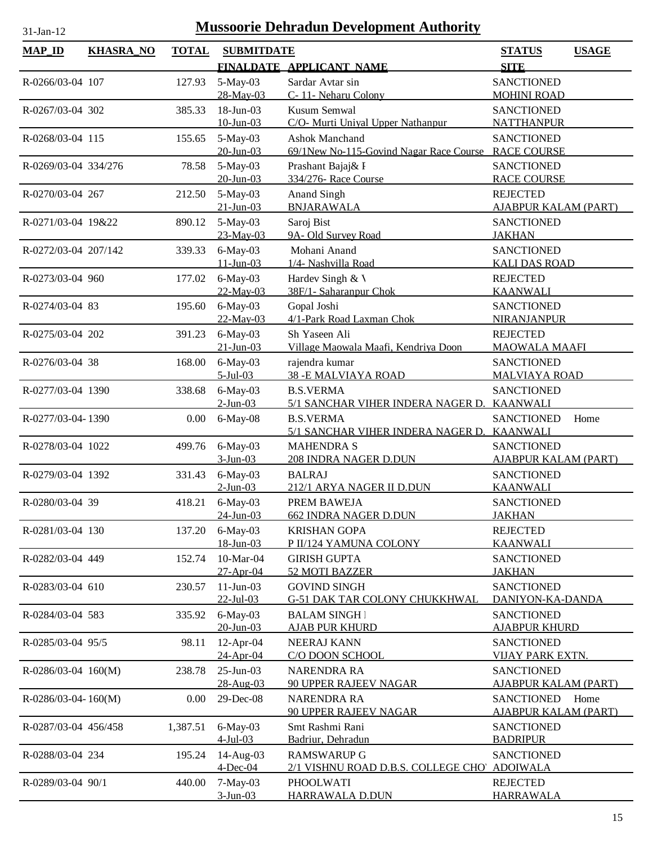| 1-Jan-1 |  |
|---------|--|

| <b>MAP ID</b>         | <b>KHASRA_NO</b> | <b>TOTAL</b> | <b>SUBMITDATE</b>                       |                                                                               | <b>USAGE</b><br><b>STATUS</b>                          |
|-----------------------|------------------|--------------|-----------------------------------------|-------------------------------------------------------------------------------|--------------------------------------------------------|
|                       |                  |              |                                         | FINALDATE APPLICANT NAME                                                      | <b>SITE</b>                                            |
| R-0266/03-04 107      |                  | 127.93       | 5-May-03<br>28-May-03                   | Sardar Avtar sin<br>C-11- Neharu Colony                                       | <b>SANCTIONED</b><br><b>MOHINI ROAD</b>                |
| R-0267/03-04 302      |                  | 385.33       | 18-Jun-03                               | <b>Kusum Semwal</b>                                                           | <b>SANCTIONED</b>                                      |
| R-0268/03-04 115      |                  | 155.65       | $10$ -Jun-03<br>5-May-03                | C/O- Murti Unival Upper Nathanpur<br><b>Ashok Manchand</b>                    | <b>NATTHANPUR</b><br><b>SANCTIONED</b>                 |
|                       |                  |              | $20$ -Jun-03                            | 69/1New No-115-Govind Nagar Race Course                                       | <b>RACE COURSE</b>                                     |
| R-0269/03-04 334/276  |                  | 78.58        | 5-May-03<br>$20$ -Jun-03                | Prashant Bajaj& I<br>334/276- Race Course                                     | <b>SANCTIONED</b><br><b>RACE COURSE</b>                |
| R-0270/03-04 267      |                  | 212.50       | 5-May-03<br>$21$ -Jun-03                | Anand Singh<br><b>BNJARAWALA</b>                                              | <b>REJECTED</b><br><b>AJABPUR KALAM (PART)</b>         |
| R-0271/03-04 19&22    |                  | 890.12       | 5-May-03<br>$23$ -May-03                | Saroj Bist<br>9A- Old Survey Road                                             | <b>SANCTIONED</b><br><b>JAKHAN</b>                     |
| R-0272/03-04 207/142  |                  | 339.33       | 6-May-03<br>$11$ -Jun-03                | Mohani Anand<br>1/4- Nashvilla Road                                           | <b>SANCTIONED</b><br><b>KALI DAS ROAD</b>              |
| R-0273/03-04 960      |                  | 177.02       | $6$ -May-03<br>$22-May-03$              | Hardev Singh & V<br>38F/1- Saharanpur Chok                                    | <b>REJECTED</b><br><b>KAANWALI</b>                     |
| R-0274/03-04 83       |                  | 195.60       | 6-May-03<br>22-May-03                   | Gopal Joshi<br>4/1-Park Road Laxman Chok                                      | <b>SANCTIONED</b><br><b>NIRANJANPUR</b>                |
| R-0275/03-04 202      |                  | 391.23       | 6-May-03<br>$21-Jun-03$                 | Sh Yaseen Ali<br>Village Maowala Maafi, Kendriya Doon                         | <b>REJECTED</b><br><b>MAOWALA MAAFI</b>                |
| R-0276/03-04 38       |                  | 168.00       | 6-May-03<br>$5-Jul-03$                  | rajendra kumar<br><b>38 - E MALVIAYA ROAD</b>                                 | <b>SANCTIONED</b><br><b>MALVIAYA ROAD</b>              |
| R-0277/03-04 1390     |                  | 338.68       | 6-May-03<br>$2$ -Jun-03                 | <b>B.S.VERMA</b><br>5/1 SANCHAR VIHER INDERA NAGER D.                         | <b>SANCTIONED</b><br><b>KAANWALI</b>                   |
| R-0277/03-04-1390     |                  | 0.00         | 6-May-08                                | <b>B.S.VERMA</b><br>5/1 SANCHAR VIHER INDERA NAGER D.                         | <b>SANCTIONED</b><br>Home<br><b>KAANWALI</b>           |
| R-0278/03-04 1022     |                  | 499.76       | 6-May-03<br>$3-Jun-03$                  | <b>MAHENDRA S</b><br>208 INDRA NAGER D.DUN                                    | <b>SANCTIONED</b><br><b>AJABPUR KALAM (PART)</b>       |
| R-0279/03-04 1392     |                  | 331.43       | 6-May-03<br>$2$ -Jun-03                 | <b>BALRAJ</b><br>212/1 ARYA NAGER II D.DUN                                    | <b>SANCTIONED</b><br><b>KAANWALI</b>                   |
| R-0280/03-04 39       |                  | 418.21       | 6-May-03<br>$24$ -Jun-03                | PREM BAWEJA<br><b>662 INDRA NAGER D.DUN</b>                                   | <b>SANCTIONED</b><br><u>JAKHAN</u>                     |
| R-0281/03-04 130      |                  | 137.20       | $6$ -May-03<br>18-Jun-03                | <b>KRISHAN GOPA</b><br>P II/124 YAMUNA COLONY                                 | <b>REJECTED</b><br><b>KAANWALI</b>                     |
| R-0282/03-04 449      |                  | 152.74       | 10-Mar-04<br>27-Apr-04                  | <b>GIRISH GUPTA</b><br>52 MOTI BAZZER                                         | <b>SANCTIONED</b><br><b>JAKHAN</b>                     |
| R-0283/03-04 610      |                  | 230.57       | $11-Jun-03$<br>$22$ -Jul-03             | <b>GOVIND SINGH</b><br>G-51 DAK TAR COLONY CHUKKHWAL                          | <b>SANCTIONED</b><br>DANIYON-KA-DANDA                  |
| R-0284/03-04 583      |                  | 335.92       | $6$ -May-03<br>$20$ -Jun-03             | <b>BALAM SINGH</b><br><b>AJAB PUR KHURD</b>                                   | <b>SANCTIONED</b><br><u>AJABPUR KHURD</u>              |
| R-0285/03-04 95/5     |                  | 98.11        | $12$ -Apr-04<br>24-Apr-04               | NEERAJ KANN<br>C/O DOON SCHOOL                                                | <b>SANCTIONED</b><br><u>VIJAY PARK EXTN.</u>           |
| $R-0286/03-04$ 160(M) |                  | 238.78       | $25$ -Jun-03<br>28-Aug-03               | <b>NARENDRA RA</b><br><b>90 UPPER RAJEEV NAGAR</b>                            | <b>SANCTIONED</b><br><b>AJABPUR KALAM (PART)</b>       |
| $R-0286/03-04-160(M)$ |                  | 0.00         | 29-Dec-08                               | <b>NARENDRA RA</b><br><b>90 UPPER RAJEEV NAGAR</b>                            | <b>SANCTIONED</b><br>Home                              |
| R-0287/03-04 456/458  |                  | 1,387.51     | 6-May-03                                | Smt Rashmi Rani                                                               | <u>AJABPUR KALAM (PART)</u><br><b>SANCTIONED</b>       |
| R-0288/03-04 234      |                  | 195.24       | $4$ -Jul-03<br>14-Aug-03<br>$4$ -Dec-04 | Badriur, Dehradun<br><b>RAMSWARUP G</b><br>2/1 VISHNU ROAD D.B.S. COLLEGE CHO | <b>BADRIPUR</b><br><b>SANCTIONED</b>                   |
| R-0289/03-04 90/1     |                  | 440.00       | 7-May-03<br>$3$ -Jun-03                 | PHOOLWATI<br>HARRAWALA D.DUN                                                  | <b>ADOIWALA</b><br><b>REJECTED</b><br><b>HARRAWALA</b> |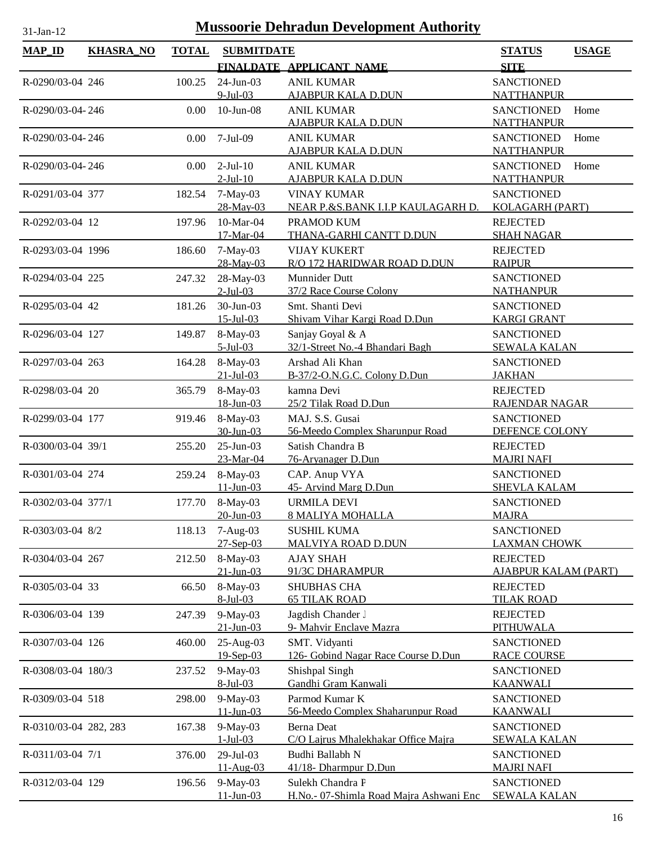| <b>MAP_ID</b>         | <b>KHASRA_NO</b> | <b>TOTAL</b> | <b>SUBMITDATE</b>         |                                                          | <b>STATUS</b>                            | <b>USAGE</b> |
|-----------------------|------------------|--------------|---------------------------|----------------------------------------------------------|------------------------------------------|--------------|
|                       |                  |              |                           | FINALDATE APPLICANT NAME                                 | <b>SITE</b>                              |              |
| R-0290/03-04 246      |                  | 100.25       | 24-Jun-03                 | <b>ANIL KUMAR</b>                                        | <b>SANCTIONED</b>                        |              |
|                       |                  |              | $9$ -Jul-03               | <u>AJABPUR KALA D.DUN</u>                                | <b>NATTHANPUR</b>                        |              |
| R-0290/03-04-246      |                  | 0.00         | $10$ -Jun- $08$           | <b>ANIL KUMAR</b>                                        | <b>SANCTIONED</b>                        | Home         |
|                       |                  |              | 7-Jul-09                  | <b>AJABPUR KALA D.DUN</b>                                | <b>NATTHANPUR</b>                        |              |
| R-0290/03-04-246      |                  | 0.00         |                           | <b>ANIL KUMAR</b><br><b>AJABPUR KALA D.DUN</b>           | <b>SANCTIONED</b><br><b>NATTHANPUR</b>   | Home         |
| R-0290/03-04-246      |                  | $0.00\,$     | $2-Jul-10$                | <b>ANIL KUMAR</b>                                        | <b>SANCTIONED</b>                        | Home         |
|                       |                  |              | $2$ -Jul- $10$            | <b>AJABPUR KALA D.DUN</b>                                | <b>NATTHANPUR</b>                        |              |
| R-0291/03-04 377      |                  | 182.54       | $7-May-03$                | <b>VINAY KUMAR</b>                                       | <b>SANCTIONED</b>                        |              |
|                       |                  |              | 28-May-03                 | NEAR P.&S.BANK I.I.P KAULAGARH D.                        | <b>KOLAGARH (PART)</b>                   |              |
| R-0292/03-04 12       |                  | 197.96       | 10-Mar-04<br>17-Mar-04    | PRAMOD KUM<br><b>THANA-GARHI CANTT D.DUN</b>             | <b>REJECTED</b><br><b>SHAH NAGAR</b>     |              |
| R-0293/03-04 1996     |                  | 186.60       | 7-May-03                  | <b>VIJAY KUKERT</b>                                      | <b>REJECTED</b>                          |              |
|                       |                  |              | 28-May-03                 | R/O 172 HARIDWAR ROAD D.DUN                              | <b>RAIPUR</b>                            |              |
| R-0294/03-04 225      |                  | 247.32       | 28-May-03                 | Munnider Dutt                                            | <b>SANCTIONED</b>                        |              |
|                       |                  |              | $2$ -Jul-03               | 37/2 Race Course Colony                                  | <b>NATHANPUR</b>                         |              |
| R-0295/03-04 42       |                  | 181.26       | 30-Jun-03                 | Smt. Shanti Devi                                         | <b>SANCTIONED</b>                        |              |
|                       |                  |              | $15 -$ Jul $-03$          | Shivam Vihar Kargi Road D.Dun                            | <b>KARGI GRANT</b>                       |              |
| R-0296/03-04 127      |                  | 149.87       | 8-May-03<br>$5-Jul-03$    | Sanjay Goyal & A<br>32/1-Street No.-4 Bhandari Bagh      | <b>SANCTIONED</b><br><b>SEWALA KALAN</b> |              |
| R-0297/03-04 263      |                  | 164.28       | $8-May-03$                | Arshad Ali Khan                                          | <b>SANCTIONED</b>                        |              |
|                       |                  |              | $21 - Jul - 03$           | B-37/2-O.N.G.C. Colony D.Dun                             | <b>JAKHAN</b>                            |              |
| R-0298/03-04 20       |                  | 365.79       | 8-May-03                  | kamna Devi                                               | <b>REJECTED</b>                          |              |
|                       |                  |              | 18-Jun-03                 | 25/2 Tilak Road D.Dun                                    | RAJENDAR NAGAR                           |              |
| R-0299/03-04 177      |                  | 919.46       | 8-May-03                  | MAJ. S.S. Gusai                                          | <b>SANCTIONED</b>                        |              |
|                       |                  |              | $30$ -Jun-03              | 56-Meedo Complex Sharunpur Road                          | DEFENCE COLONY                           |              |
| R-0300/03-04 39/1     |                  | 255.20       | $25$ -Jun-03<br>23-Mar-04 | Satish Chandra B<br>76-Aryanager D.Dun                   | <b>REJECTED</b><br><b>MAJRI NAFI</b>     |              |
| R-0301/03-04 274      |                  | 259.24       | 8-May-03                  | CAP. Anup VYA                                            | <b>SANCTIONED</b>                        |              |
|                       |                  |              | $11 - Jun - 03$           | 45- Arvind Marg D.Dun                                    | <b>SHEVLA KALAM</b>                      |              |
| R-0302/03-04 377/1    |                  | 177.70       | $8-May-03$                | <b>URMILA DEVI</b>                                       | <b>SANCTIONED</b>                        |              |
|                       |                  |              | $20$ -Jun-03              | <b>8 MALIYA MOHALLA</b>                                  | <b>MAJRA</b>                             |              |
| R-0303/03-04 8/2      |                  | 118.13       | $7-Aug-03$<br>27-Sep-03   | <b>SUSHIL KUMA</b><br><b>MALVIYA ROAD D.DUN</b>          | <b>SANCTIONED</b><br><b>LAXMAN CHOWK</b> |              |
| R-0304/03-04 267      |                  | 212.50       | 8-May-03                  | <b>AJAY SHAH</b>                                         | <b>REJECTED</b>                          |              |
|                       |                  |              | $21$ -Jun-03              | 91/3C DHARAMPUR                                          | <u>AJABPUR KALAM (PART)</u>              |              |
| R-0305/03-04 33       |                  | 66.50        | 8-May-03                  | SHUBHAS CHA                                              | <b>REJECTED</b>                          |              |
|                       |                  |              | 8-Jul-03                  | <b>65 TILAK ROAD</b>                                     | <b>TILAK ROAD</b>                        |              |
| R-0306/03-04 139      |                  | 247.39       | $9$ -May-03               | Jagdish Chander J                                        | <b>REJECTED</b>                          |              |
| R-0307/03-04 126      |                  | 460.00       | $21$ -Jun-03<br>25-Aug-03 | 9- Mahvir Enclave Mazra<br>SMT. Vidyanti                 | <b>PITHUWALA</b><br><b>SANCTIONED</b>    |              |
|                       |                  |              | 19-Sep-03                 | 126- Gobind Nagar Race Course D.Dun                      | <b>RACE COURSE</b>                       |              |
| R-0308/03-04 180/3    |                  | 237.52       | $9$ -May-03               | Shishpal Singh                                           | <b>SANCTIONED</b>                        |              |
|                       |                  |              | 8-Jul-03                  | Gandhi Gram Kanwali                                      | <b>KAANWALI</b>                          |              |
| R-0309/03-04 518      |                  | 298.00       | $9$ -May-03               | Parmod Kumar K                                           | <b>SANCTIONED</b>                        |              |
|                       |                  |              | $11$ -Jun-03              | 56-Meedo Complex Shaharunpur Road                        | <b>KAANWALI</b>                          |              |
| R-0310/03-04 282, 283 |                  | 167.38       | $9$ -May-03<br>$1-Jul-03$ | <b>Berna</b> Deat<br>C/O Lajrus Mhalekhakar Office Majra | <b>SANCTIONED</b><br><b>SEWALA KALAN</b> |              |
| R-0311/03-04 7/1      |                  | 376.00       | 29-Jul-03                 | Budhi Ballabh N                                          | <b>SANCTIONED</b>                        |              |
|                       |                  |              | 11-Aug-03                 | 41/18- Dharmpur D.Dun                                    | <b>MAJRI NAFI</b>                        |              |
| R-0312/03-04 129      |                  | 196.56       | $9-May-03$                | Sulekh Chandra F                                         | <b>SANCTIONED</b>                        |              |
|                       |                  |              | $11$ -Jun-03              | H.No.- 07-Shimla Road Majra Ashwani Enc                  | <b>SEWALA KALAN</b>                      |              |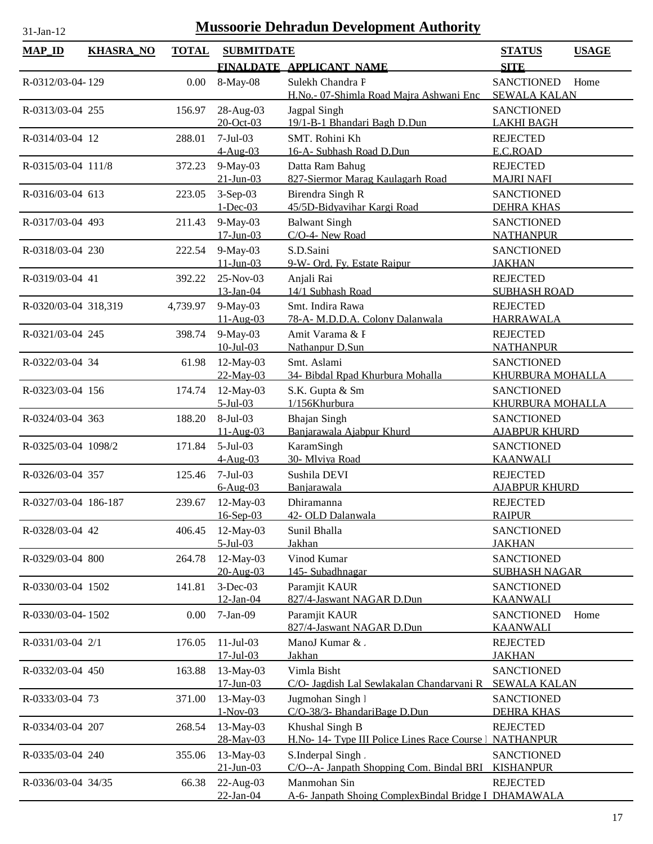| <b>MAP_ID</b>        | <b>KHASRA_NO</b> | <b>TOTAL</b> | <b>SUBMITDATE</b>            |                                                          | <b>STATUS</b>                            | <b>USAGE</b> |
|----------------------|------------------|--------------|------------------------------|----------------------------------------------------------|------------------------------------------|--------------|
|                      |                  |              |                              | FINALDATE APPLICANT NAME                                 | <b>SITE</b>                              |              |
| R-0312/03-04-129     |                  | 0.00         | 8-May-08                     | Sulekh Chandra F                                         | <b>SANCTIONED</b>                        | Home         |
|                      |                  |              |                              | H.No.- 07-Shimla Road Majra Ashwani Enc                  | <b>SEWALA KALAN</b>                      |              |
| R-0313/03-04 255     |                  | 156.97       | 28-Aug-03                    | Jagpal Singh                                             | <b>SANCTIONED</b>                        |              |
|                      |                  |              | $20$ -Oct-03                 | 19/1-B-1 Bhandari Bagh D.Dun                             | <b>LAKHI BAGH</b>                        |              |
| R-0314/03-04 12      |                  | 288.01       | $7-Jul-03$                   | SMT. Rohini Kh                                           | <b>REJECTED</b>                          |              |
|                      |                  |              | $4-Aug-03$                   | 16-A- Subhash Road D.Dun                                 | E.C.ROAD                                 |              |
| R-0315/03-04 111/8   |                  | 372.23       | 9-May-03                     | Datta Ram Bahug                                          | <b>REJECTED</b>                          |              |
|                      |                  |              | $21 - Jun - 03$              | 827-Siermor Marag Kaulagarh Road                         | <b>MAJRI NAFI</b>                        |              |
| R-0316/03-04 613     |                  | 223.05       | $3-Sep-03$                   | Birendra Singh R                                         | <b>SANCTIONED</b>                        |              |
| R-0317/03-04 493     |                  |              | $1 - Dec-03$                 | 45/5D-Bidyavihar Kargi Road                              | <b>DEHRA KHAS</b><br><b>SANCTIONED</b>   |              |
|                      |                  | 211.43       | $9$ -May-03<br>$17$ -Jun-03  | <b>Balwant Singh</b><br>C/O-4- New Road                  | <b>NATHANPUR</b>                         |              |
| R-0318/03-04 230     |                  | 222.54       | 9-May-03                     | S.D.Saini                                                | <b>SANCTIONED</b>                        |              |
|                      |                  |              | $11-Jun-03$                  | 9-W- Ord. Fy. Estate Raipur                              | <b>JAKHAN</b>                            |              |
| R-0319/03-04 41      |                  | 392.22       | 25-Nov-03                    | Anjali Rai                                               | <b>REJECTED</b>                          |              |
|                      |                  |              | 13-Jan-04                    | 14/1 Subhash Road                                        | <b>SUBHASH ROAD</b>                      |              |
| R-0320/03-04 318,319 |                  | 4,739.97     | 9-May-03                     | Smt. Indira Rawa                                         | <b>REJECTED</b>                          |              |
|                      |                  |              | $11-Aug-03$                  | 78-A- M.D.D.A. Colony Dalanwala                          | <b>HARRAWALA</b>                         |              |
| R-0321/03-04 245     |                  | 398.74       | $9$ -May-03                  | Amit Varama & F                                          | <b>REJECTED</b>                          |              |
|                      |                  |              | $10$ -Jul-03                 | Nathanpur D.Sun                                          | <b>NATHANPUR</b>                         |              |
| R-0322/03-04 34      |                  | 61.98        | 12-May-03<br>22-May-03       | Smt. Aslami<br>34- Bibdal Rpad Khurbura Mohalla          | <b>SANCTIONED</b><br>KHURBURA MOHALLA    |              |
| R-0323/03-04 156     |                  | 174.74       | 12-May-03                    | S.K. Gupta & Sm                                          | <b>SANCTIONED</b>                        |              |
|                      |                  |              | $5-Jul-03$                   | 1/156Khurbura                                            | KHURBURA MOHALLA                         |              |
| R-0324/03-04 363     |                  | 188.20       | 8-Jul-03                     | <b>Bhajan Singh</b>                                      | <b>SANCTIONED</b>                        |              |
|                      |                  |              | $11-Aug-03$                  | Banjarawala Ajabpur Khurd                                | <b>AJABPUR KHURD</b>                     |              |
| R-0325/03-04 1098/2  |                  | 171.84       | $5-Jul-03$                   | KaramSingh                                               | <b>SANCTIONED</b>                        |              |
|                      |                  |              | $4-Aug-03$                   | 30- Mlviya Road                                          | <b>KAANWALI</b>                          |              |
| R-0326/03-04 357     |                  | 125.46       | $7-Jul-03$                   | Sushila DEVI                                             | <b>REJECTED</b>                          |              |
|                      |                  |              | $6-Aug-03$                   | Banjarawala                                              | <b>AJABPUR KHURD</b>                     |              |
| R-0327/03-04 186-187 |                  | 239.67       | 12-May-03                    | Dhiramanna                                               | <b>REJECTED</b>                          |              |
|                      |                  |              | 16-Sep-03                    | 42- OLD Dalanwala                                        | <b>RAIPUR</b>                            |              |
| R-0328/03-04 42      |                  | 406.45       | 12-May-03<br>$5$ -Jul-03     | Sunil Bhalla<br>Jakhan                                   | <b>SANCTIONED</b><br><b>JAKHAN</b>       |              |
| R-0329/03-04 800     |                  | 264.78       | 12-May-03                    | Vinod Kumar                                              | <b>SANCTIONED</b>                        |              |
|                      |                  |              | 20-Aug-03                    | 145-Subadhnagar                                          | <b>SUBHASH NAGAR</b>                     |              |
| R-0330/03-04 1502    |                  | 141.81       | $3-Dec-03$                   | Paramjit KAUR                                            | <b>SANCTIONED</b>                        |              |
|                      |                  |              | 12-Jan-04                    | 827/4-Jaswant NAGAR D.Dun                                | <b>KAANWALI</b>                          |              |
| R-0330/03-04-1502    |                  | 0.00         | $7-Jan-09$                   | Paramjit KAUR                                            | <b>SANCTIONED</b>                        | Home         |
|                      |                  |              |                              | 827/4-Jaswant NAGAR D.Dun                                | <b>KAANWALI</b>                          |              |
| R-0331/03-04 2/1     |                  | 176.05       | $11-Jul-03$                  | ManoJ Kumar &.                                           | <b>REJECTED</b>                          |              |
|                      |                  |              | $17 -$ Jul $-03$             | Jakhan                                                   | <b>JAKHAN</b>                            |              |
| R-0332/03-04 450     |                  | 163.88       | 13-May-03<br>$17 - Jun - 03$ | Vimla Bisht<br>C/O- Jagdish Lal Sewlakalan Chandarvani R | <b>SANCTIONED</b><br><b>SEWALA KALAN</b> |              |
| R-0333/03-04 73      |                  | 371.00       | 13-May-03                    | Jugmohan Singh 1                                         | <b>SANCTIONED</b>                        |              |
|                      |                  |              | $1-Nov-03$                   | C/O-38/3- BhandariBage D.Dun                             | <b>DEHRA KHAS</b>                        |              |
| R-0334/03-04 207     |                  | 268.54       | 13-May-03                    | Khushal Singh B                                          | <b>REJECTED</b>                          |              |
|                      |                  |              | 28-May-03                    | H.No- 14- Type III Police Lines Race Course   NATHANPUR  |                                          |              |
| R-0335/03-04 240     |                  | 355.06       | 13-May-03                    | S.Inderpal Singh.                                        | <b>SANCTIONED</b>                        |              |
|                      |                  |              | $21 - Jun - 03$              | C/O--A- Janpath Shopping Com. Bindal BRI                 | <b>KISHANPUR</b>                         |              |
| R-0336/03-04 34/35   |                  | 66.38        | 22-Aug-03                    | Manmohan Sin                                             | <b>REJECTED</b>                          |              |
|                      |                  |              | $22$ -Jan-04                 | A-6- Janpath Shoing ComplexBindal Bridge I DHAMAWALA     |                                          |              |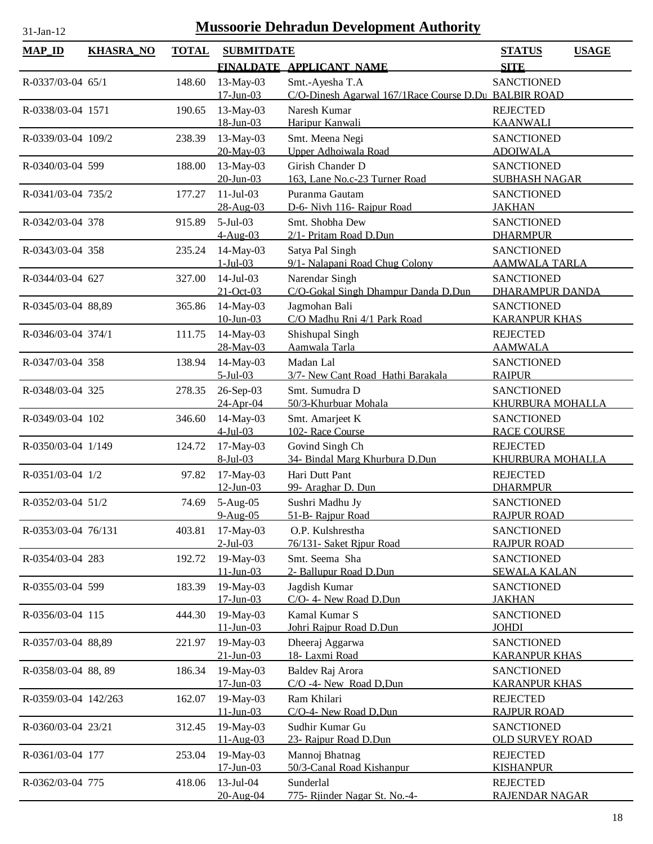| и |  |
|---|--|
|   |  |

| <b>MAP_ID</b>            | <b>KHASRA_NO</b> | <b>TOTAL</b> | <b>SUBMITDATE</b>            |                                                      | <b>USAGE</b><br><b>STATUS</b>             |
|--------------------------|------------------|--------------|------------------------------|------------------------------------------------------|-------------------------------------------|
|                          |                  |              |                              | FINALDATE APPLICANT NAME                             | <b>SITE</b>                               |
| R-0337/03-04 65/1        |                  | 148.60       | 13-May-03                    | Smt.-Ayesha T.A                                      | <b>SANCTIONED</b>                         |
|                          |                  |              | $17$ -Jun-03                 | C/O-Dinesh Agarwal 167/1Race Course D.Du BALBIR ROAD |                                           |
| R-0338/03-04 1571        |                  | 190.65       | 13-May-03                    | Naresh Kumar                                         | <b>REJECTED</b>                           |
|                          |                  |              | 18-Jun-03                    | Haripur Kanwali                                      | <b>KAANWALI</b>                           |
| R-0339/03-04 109/2       |                  | 238.39       | 13-May-03                    | Smt. Meena Negi                                      | <b>SANCTIONED</b>                         |
|                          |                  |              | 20-May-03                    | Upper Adhoiwala Road                                 | <b>ADOIWALA</b>                           |
| R-0340/03-04 599         |                  | 188.00       | 13-May-03                    | Girish Chander D                                     | <b>SANCTIONED</b>                         |
|                          |                  |              | $20$ -Jun-03                 | 163, Lane No.c-23 Turner Road                        | <b>SUBHASH NAGAR</b>                      |
| R-0341/03-04 735/2       |                  | 177.27       | $11$ -Jul-03                 | Puranma Gautam                                       | <b>SANCTIONED</b>                         |
|                          |                  |              | 28-Aug-03                    | D-6- Nivh 116- Rajpur Road                           | <b>JAKHAN</b>                             |
| R-0342/03-04 378         |                  | 915.89       | $5-Jul-03$<br>$4-Aug-03$     | Smt. Shobha Dew<br>2/1- Pritam Road D.Dun            | <b>SANCTIONED</b><br><b>DHARMPUR</b>      |
|                          |                  |              |                              |                                                      |                                           |
| R-0343/03-04 358         |                  | 235.24       | 14-May-03<br>$1-Jul-03$      | Satya Pal Singh<br>9/1- Nalapani Road Chug Colony    | <b>SANCTIONED</b><br><b>AAMWALA TARLA</b> |
| R-0344/03-04 627         |                  | 327.00       | $14$ -Jul-03                 | Narendar Singh                                       | <b>SANCTIONED</b>                         |
|                          |                  |              | $21-Oct-03$                  | C/O-Gokal Singh Dhampur Danda D.Dun                  | <b>DHARAMPUR DANDA</b>                    |
| R-0345/03-04 88,89       |                  | 365.86       | 14-May-03                    | Jagmohan Bali                                        | <b>SANCTIONED</b>                         |
|                          |                  |              | $10$ -Jun-03                 | C/O Madhu Rni 4/1 Park Road                          | <b>KARANPUR KHAS</b>                      |
| $R - 0346/03 - 04$ 374/1 |                  | 111.75       | 14-May-03                    | Shishupal Singh                                      | <b>REJECTED</b>                           |
|                          |                  |              | 28-May-03                    | Aamwala Tarla                                        | <b>AAMWALA</b>                            |
| R-0347/03-04 358         |                  | 138.94       | 14-May-03                    | Madan Lal                                            | <b>SANCTIONED</b>                         |
|                          |                  |              | $5-Jul-03$                   | 3/7- New Cant Road Hathi Barakala                    | <b>RAIPUR</b>                             |
| R-0348/03-04 325         |                  | 278.35       | 26-Sep-03                    | Smt. Sumudra D                                       | <b>SANCTIONED</b>                         |
|                          |                  |              | 24-Apr-04                    | 50/3-Khurbuar Mohala                                 | KHURBURA MOHALLA                          |
| R-0349/03-04 102         |                  | 346.60       | 14-May-03                    | Smt. Amarjeet K                                      | <b>SANCTIONED</b>                         |
|                          |                  |              | $4$ -Jul-03                  | 102- Race Course                                     | <b>RACE COURSE</b>                        |
| R-0350/03-04 1/149       |                  | 124.72       | 17-May-03<br>8-Jul-03        | Govind Singh Ch<br>34- Bindal Marg Khurbura D.Dun    | <b>REJECTED</b>                           |
|                          |                  |              |                              | Hari Dutt Pant                                       | KHURBURA MOHALLA                          |
| R-0351/03-04 1/2         |                  | 97.82        | 17-May-03<br>$12$ -Jun-03    | 99- Araghar D. Dun                                   | <b>REJECTED</b><br><b>DHARMPUR</b>        |
| R-0352/03-04 51/2        |                  | 74.69        | $5-Aug-05$                   | Sushri Madhu Jy                                      | <b>SANCTIONED</b>                         |
|                          |                  |              | $9-Aug-05$                   | 51-B- Raipur Road                                    | <b>RAJPUR ROAD</b>                        |
| R-0353/03-04 76/131      |                  | 403.81       | 17-May-03                    | O.P. Kulshrestha                                     | <b>SANCTIONED</b>                         |
|                          |                  |              | $2$ -Jul-03                  | 76/131- Saket Ripur Road                             | <b>RAJPUR ROAD</b>                        |
| R-0354/03-04 283         |                  | 192.72       | 19-May-03                    | Smt. Seema Sha                                       | <b>SANCTIONED</b>                         |
|                          |                  |              | $11 - Jun - 03$              | 2- Ballupur Road D.Dun                               | <b>SEWALA KALAN</b>                       |
| R-0355/03-04 599         |                  | 183.39       | 19-May-03                    | Jagdish Kumar                                        | <b>SANCTIONED</b>                         |
|                          |                  |              | $17 - Jun - 03$              | C/O- 4- New Road D.Dun                               | <b>JAKHAN</b>                             |
| R-0356/03-04 115         |                  | 444.30       | 19-May-03                    | Kamal Kumar S                                        | <b>SANCTIONED</b>                         |
|                          |                  |              | $11$ -Jun-03                 | Johri Rajpur Road D.Dun                              | <b>JOHDI</b>                              |
| R-0357/03-04 88,89       |                  | 221.97       | 19-May-03                    | Dheeraj Aggarwa                                      | <b>SANCTIONED</b>                         |
|                          |                  |              | $21 - Jun - 03$              | 18- Laxmi Road                                       | <b>KARANPUR KHAS</b>                      |
| R-0358/03-04 88, 89      |                  | 186.34       | 19-May-03                    | Baldev Raj Arora                                     | <b>SANCTIONED</b>                         |
|                          |                  |              | $17$ -Jun-03                 | C/O -4- New Road D, Dun<br>Ram Khilari               | <b>KARANPUR KHAS</b>                      |
| R-0359/03-04 142/263     |                  | 162.07       | 19-May-03<br>$11 - Jun - 03$ | C/O-4- New Road D, Dun                               | <b>REJECTED</b><br><b>RAJPUR ROAD</b>     |
| R-0360/03-04 23/21       |                  | 312.45       | 19-May-03                    | Sudhir Kumar Gu                                      | <b>SANCTIONED</b>                         |
|                          |                  |              | $11-Aug-03$                  | 23- Rajpur Road D.Dun                                | <b>OLD SURVEY ROAD</b>                    |
| R-0361/03-04 177         |                  | 253.04       | 19-May-03                    | Mannoj Bhatnag                                       | <b>REJECTED</b>                           |
|                          |                  |              | $17$ -Jun-03                 | 50/3-Canal Road Kishanpur                            | <b>KISHANPUR</b>                          |
| R-0362/03-04 775         |                  | 418.06       | $13$ -Jul-04                 | Sunderlal                                            | <b>REJECTED</b>                           |
|                          |                  |              | 20-Aug-04                    | 775- Rjinder Nagar St. No.-4-                        | <b>RAJENDAR NAGAR</b>                     |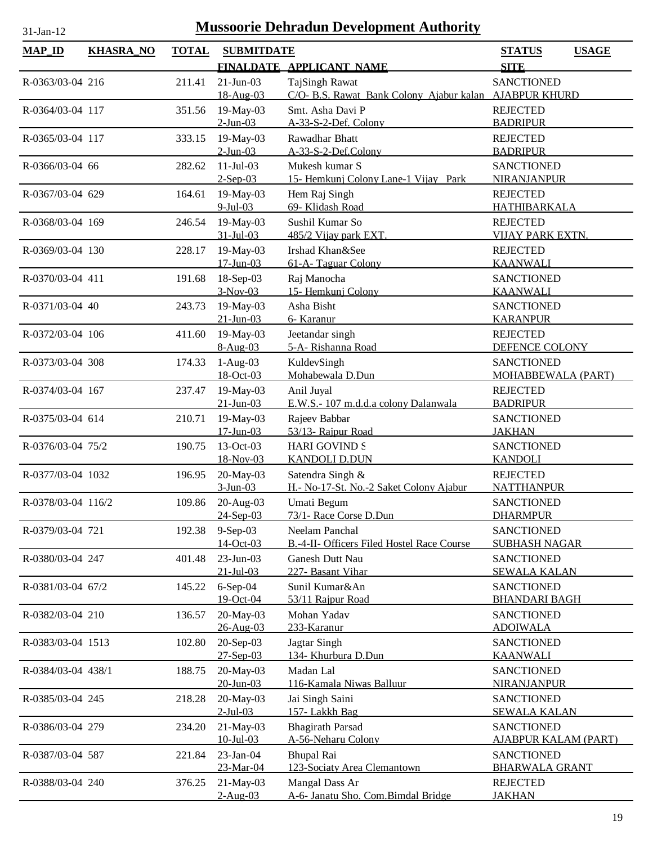| <b>Mussoorie Dehradun Development Authority</b><br>31-Jan-12 |                  |              |                               |                                                                          |                                            |  |  |
|--------------------------------------------------------------|------------------|--------------|-------------------------------|--------------------------------------------------------------------------|--------------------------------------------|--|--|
| <b>MAP_ID</b>                                                | <b>KHASRA_NO</b> | <b>TOTAL</b> | <b>SUBMITDATE</b>             |                                                                          | <b>STATUS</b><br><b>USAGE</b>              |  |  |
|                                                              |                  |              |                               | FINALDATE APPLICANT NAME                                                 | <b>SITE</b>                                |  |  |
| R-0363/03-04 216                                             |                  | 211.41       | $21 - Jun - 03$<br>18-Aug-03  | TajSingh Rawat<br>C/O- B.S. Rawat Bank Colony Ajabur kalan AJABPUR KHURD | <b>SANCTIONED</b>                          |  |  |
| R-0364/03-04 117                                             |                  | 351.56       | 19-May-03<br>$2$ -Jun-03      | Smt. Asha Davi P<br>A-33-S-2-Def. Colony                                 | <b>REJECTED</b><br><b>BADRIPUR</b>         |  |  |
|                                                              |                  |              |                               |                                                                          |                                            |  |  |
| R-0365/03-04 117                                             |                  | 333.15       | 19-May-03<br>$2$ -Jun-03      | Rawadhar Bhatt<br>A-33-S-2-Def.Colony                                    | <b>REJECTED</b><br><b>BADRIPUR</b>         |  |  |
| R-0366/03-04 66                                              |                  | 282.62       | $11-Jul-03$<br>$2-Sep-03$     | Mukesh kumar S<br>15- Hemkunj Colony Lane-1 Vijay Park                   | <b>SANCTIONED</b><br>NIRANJANPUR           |  |  |
| R-0367/03-04 629                                             |                  | 164.61       | 19-May-03<br>9-Jul-03         | Hem Raj Singh<br>69- Klidash Road                                        | <b>REJECTED</b><br><b>HATHIBARKALA</b>     |  |  |
| R-0368/03-04 169                                             |                  | 246.54       | 19-May-03<br>31-Jul-03        | Sushil Kumar So<br>485/2 Vijay park EXT.                                 | <b>REJECTED</b><br><b>VIJAY PARK EXTN.</b> |  |  |
|                                                              |                  |              |                               |                                                                          |                                            |  |  |
| R-0369/03-04 130                                             |                  | 228.17       | 19-May-03<br>$17 - Jun - 03$  | Irshad Khan&See<br>61-A-Taguar Colony                                    | <b>REJECTED</b><br><b>KAANWALI</b>         |  |  |
| R-0370/03-04 411                                             |                  | 191.68       | $18-Sep-03$<br>$3-Nov-03$     | Raj Manocha<br>15- Hemkunj Colony                                        | <b>SANCTIONED</b><br><b>KAANWALI</b>       |  |  |
| R-0371/03-04 40                                              |                  | 243.73       | 19-May-03                     | Asha Bisht                                                               | <b>SANCTIONED</b>                          |  |  |
|                                                              |                  |              | $21$ -Jun-03                  | 6- Karanur                                                               | <b>KARANPUR</b>                            |  |  |
| R-0372/03-04 106                                             |                  | 411.60       | 19-May-03                     | Jeetandar singh                                                          | <b>REJECTED</b>                            |  |  |
|                                                              |                  |              | $8-Aug-03$                    | 5-A- Rishanna Road                                                       | DEFENCE COLONY                             |  |  |
| R-0373/03-04 308                                             |                  | 174.33       | $1-Aug-03$<br>18-Oct-03       | KuldevSingh<br>Mohabewala D.Dun                                          | <b>SANCTIONED</b><br>MOHABBEWALA (PART)    |  |  |
| R-0374/03-04 167                                             |                  | 237.47       | 19-May-03<br>$21 - Jun - 03$  | Anil Juyal<br>E.W.S.- 107 m.d.d.a colony Dalanwala                       | <b>REJECTED</b><br><b>BADRIPUR</b>         |  |  |
| R-0375/03-04 614                                             |                  | 210.71       | 19-May-03<br>$17 - Jun-03$    | Rajeev Babbar<br>53/13- Rajpur Road                                      | <b>SANCTIONED</b><br><b>JAKHAN</b>         |  |  |
| R-0376/03-04 75/2                                            |                  | 190.75       | 13-Oct-03                     | <b>HARI GOVIND S</b>                                                     | <b>SANCTIONED</b>                          |  |  |
|                                                              |                  |              | 18-Nov-03                     | <b>KANDOLI D.DUN</b>                                                     | <b>KANDOLI</b>                             |  |  |
| R-0377/03-04 1032                                            |                  | 196.95       | 20-May-03                     | Satendra Singh &                                                         | <b>REJECTED</b>                            |  |  |
|                                                              |                  |              | $3-Jun-03$                    | H.- No-17-St. No.-2 Saket Colony Ajabur                                  | <b>NATTHANPUR</b>                          |  |  |
| R-0378/03-04 116/2                                           |                  | 109.86       | $20-Aug-03$<br>24-Sep-03      | Umati Begum<br>73/1- Race Corse D.Dun                                    | <b>SANCTIONED</b><br><b>DHARMPUR</b>       |  |  |
| R-0379/03-04 721                                             |                  | 192.38       | 9-Sep-03                      | Neelam Panchal                                                           | <b>SANCTIONED</b>                          |  |  |
|                                                              |                  |              | 14-Oct-03                     | B.-4-II- Officers Filed Hostel Race Course                               | <b>SUBHASH NAGAR</b>                       |  |  |
| R-0380/03-04 247                                             |                  | 401.48       | 23-Jun-03<br>$21 -$ Jul $-03$ | <b>Ganesh Dutt Nau</b><br>227- Basant Vihar                              | <b>SANCTIONED</b><br><b>SEWALA KALAN</b>   |  |  |
| R-0381/03-04 67/2                                            |                  | 145.22       | $6-Sep-04$<br>19-Oct-04       | Sunil Kumar&An<br>53/11 Rajpur Road                                      | <b>SANCTIONED</b><br><b>BHANDARI BAGH</b>  |  |  |
| R-0382/03-04 210                                             |                  | 136.57       | 20-May-03                     | Mohan Yadav                                                              | <b>SANCTIONED</b>                          |  |  |
| R-0383/03-04 1513                                            |                  | 102.80       | 26-Aug-03<br>20-Sep-03        | 233-Karanur<br>Jagtar Singh                                              | <b>ADOIWALA</b><br><b>SANCTIONED</b>       |  |  |
|                                                              |                  |              | $27 - Sep-03$                 | 134- Khurbura D.Dun                                                      | <b>KAANWALI</b>                            |  |  |
| R-0384/03-04 438/1                                           |                  | 188.75       | 20-May-03<br>$20 - Jun - 03$  | Madan Lal<br>116-Kamala Niwas Balluur                                    | <b>SANCTIONED</b><br><b>NIRANJANPUR</b>    |  |  |
| R-0385/03-04 245                                             |                  | 218.28       | 20-May-03                     | Jai Singh Saini                                                          | <b>SANCTIONED</b>                          |  |  |
| R-0386/03-04 279                                             |                  | 234.20       | $2$ -Jul-03<br>21-May-03      | 157- Lakkh Bag<br><b>Bhagirath Parsad</b>                                | <b>SEWALA KALAN</b><br><b>SANCTIONED</b>   |  |  |
|                                                              |                  |              | $10 -$ Jul $-03$              | A-56-Neharu Colony                                                       | <b>AJABPUR KALAM (PART)</b>                |  |  |
| R-0387/03-04 587                                             |                  | 221.84       | $23$ -Jan-04<br>23-Mar-04     | <b>Bhupal Rai</b><br>123-Sociaty Area Clemantown                         | <b>SANCTIONED</b><br><b>BHARWALA GRANT</b> |  |  |
| R-0388/03-04 240                                             |                  | 376.25       | 21-May-03                     | Mangal Dass Ar                                                           | <b>REJECTED</b>                            |  |  |
|                                                              |                  |              | $2-Aug-03$                    | A-6- Janatu Sho. Com.Bimdal Bridge                                       | <b>JAKHAN</b>                              |  |  |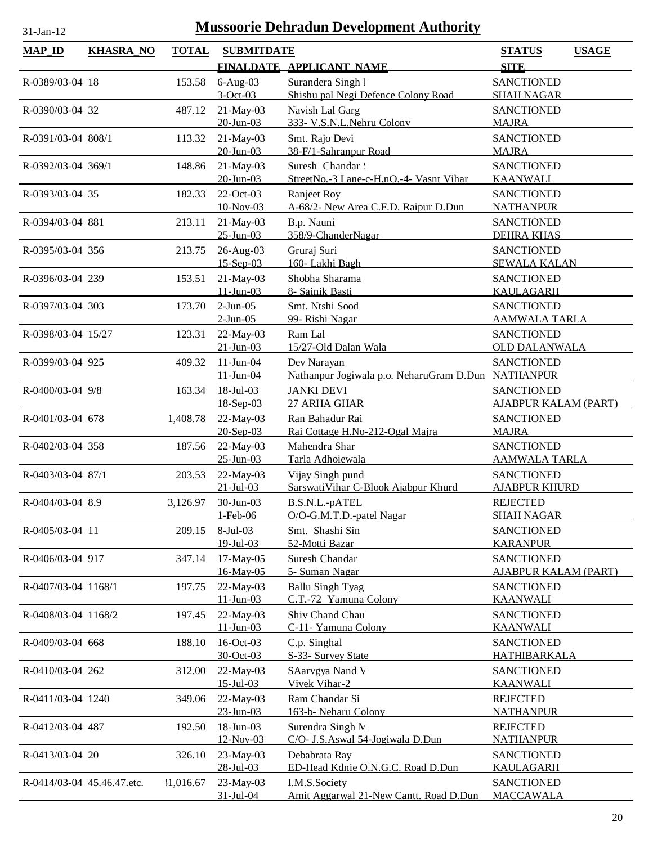| <b>MAP_ID</b>              | <b>KHASRA_NO</b> | <b>TOTAL</b> | <b>SUBMITDATE</b>        |                                                    | <b>STATUS</b><br><b>USAGE</b>                    |
|----------------------------|------------------|--------------|--------------------------|----------------------------------------------------|--------------------------------------------------|
|                            |                  |              |                          | FINALDATE APPLICANT NAME                           | <b>SITE</b>                                      |
| R-0389/03-04 18            |                  | 153.58       | $6-Aug-03$               | Surandera Singh 1                                  | <b>SANCTIONED</b>                                |
|                            |                  |              | $3-Oct-03$               | Shishu pal Negi Defence Colony Road                | <b>SHAH NAGAR</b>                                |
| R-0390/03-04 32            |                  | 487.12       | 21-May-03                | Navish Lal Garg                                    | <b>SANCTIONED</b>                                |
|                            |                  |              | $20 - Jun - 03$          | 333- V.S.N.L.Nehru Colony                          | <b>MAJRA</b>                                     |
| R-0391/03-04 808/1         |                  | 113.32       | 21-May-03                | Smt. Rajo Devi                                     | <b>SANCTIONED</b>                                |
|                            |                  |              | 20-Jun-03                | 38-F/1-Sahranpur Road                              | <b>MAJRA</b>                                     |
| R-0392/03-04 369/1         |                  | 148.86       | 21-May-03                | Suresh Chandar!                                    | <b>SANCTIONED</b>                                |
|                            |                  |              | $20$ -Jun-03             | StreetNo.-3 Lane-c-H.nO.-4- Vasnt Vihar            | <b>KAANWALI</b>                                  |
| R-0393/03-04 35            |                  | 182.33       | 22-Oct-03                | Ranjeet Roy                                        | <b>SANCTIONED</b>                                |
|                            |                  |              | 10-Nov-03                | A-68/2- New Area C.F.D. Raipur D.Dun               | <b>NATHANPUR</b>                                 |
| R-0394/03-04 881           |                  | 213.11       | 21-May-03                | B.p. Nauni                                         | <b>SANCTIONED</b>                                |
|                            |                  |              | $25 - Jun - 03$          | 358/9-ChanderNagar                                 | <b>DEHRA KHAS</b>                                |
| R-0395/03-04 356           |                  | 213.75       | 26-Aug-03<br>$15-Sep-03$ | Gruraj Suri<br>160- Lakhi Bagh                     | <b>SANCTIONED</b><br><b>SEWALA KALAN</b>         |
| R-0396/03-04 239           |                  |              | 21-May-03                | Shobha Sharama                                     | <b>SANCTIONED</b>                                |
|                            |                  | 153.51       | $11 - Jun - 03$          | 8- Sainik Basti                                    | <b>KAULAGARH</b>                                 |
| R-0397/03-04 303           |                  | 173.70       | $2-Jun-05$               | Smt. Ntshi Sood                                    | <b>SANCTIONED</b>                                |
|                            |                  |              | $2$ -Jun-05              | 99- Rishi Nagar                                    | <b>AAMWALA TARLA</b>                             |
| R-0398/03-04 15/27         |                  | 123.31       | 22-May-03                | Ram Lal                                            | <b>SANCTIONED</b>                                |
|                            |                  |              | $21 - Jun - 03$          | 15/27-Old Dalan Wala                               | <b>OLD DALANWALA</b>                             |
| R-0399/03-04 925           |                  | 409.32       | $11-Jun-04$              | Dev Narayan                                        | <b>SANCTIONED</b>                                |
|                            |                  |              | $11 - Jun - 04$          | Nathanpur Jogiwala p.o. NeharuGram D.Dun NATHANPUR |                                                  |
| R-0400/03-04 9/8           |                  | 163.34       | 18-Jul-03                | <b>JANKI DEVI</b>                                  | <b>SANCTIONED</b>                                |
|                            |                  |              | 18-Sep-03                | 27 ARHA GHAR                                       | <b>AJABPUR KALAM (PART)</b>                      |
| R-0401/03-04 678           |                  | 1,408.78     | 22-May-03                | Ran Bahadur Rai                                    | <b>SANCTIONED</b>                                |
|                            |                  |              | 20-Sep-03                | Rai Cottage H.No-212-Ogal Majra                    | <b>MAJRA</b>                                     |
| R-0402/03-04 358           |                  | 187.56       | 22-May-03                | Mahendra Shar                                      | <b>SANCTIONED</b>                                |
|                            |                  |              | $25 - Jun - 03$          | Tarla Adhoiewala                                   | <u>AAMWALA TARLA</u>                             |
| R-0403/03-04 87/1          |                  | 203.53       | 22-May-03                | Vijay Singh pund                                   | <b>SANCTIONED</b>                                |
|                            |                  |              | $21 - Jul - 03$          | SarswatiVihar C-Blook Ajabpur Khurd                | <b>AJABPUR KHURD</b>                             |
| R-0404/03-04 8.9           |                  | 3,126.97     | 30-Jun-03                | B.S.N.L.-pATEL                                     | <b>REJECTED</b>                                  |
|                            |                  |              | 1-Feb-06                 | O/O-G.M.T.D.-patel Nagar                           | <b>SHAH NAGAR</b>                                |
| R-0405/03-04 11            |                  | 209.15       | $8-Jul-03$               | Smt. Shashi Sin<br>52-Motti Bazar                  | <b>SANCTIONED</b>                                |
|                            |                  |              | $19$ -Jul-03             |                                                    | <b>KARANPUR</b>                                  |
| R-0406/03-04 917           |                  | 347.14       | 17-May-05<br>16-May-05   | Suresh Chandar<br>5- Suman Nagar                   | <b>SANCTIONED</b><br><u>AJABPUR KALAM (PART)</u> |
| R-0407/03-04 1168/1        |                  | 197.75       | 22-May-03                | <b>Ballu Singh Tyag</b>                            | <b>SANCTIONED</b>                                |
|                            |                  |              | $11 - Jun - 03$          | C.T.-72 Yamuna Colony                              | <b>KAANWALI</b>                                  |
| R-0408/03-04 1168/2        |                  | 197.45       | 22-May-03                | Shiv Chand Chau                                    | <b>SANCTIONED</b>                                |
|                            |                  |              | $11 - Jun - 03$          | C-11- Yamuna Colony                                | <b>KAANWALI</b>                                  |
| R-0409/03-04 668           |                  | 188.10       | 16-Oct-03                | C.p. Singhal                                       | <b>SANCTIONED</b>                                |
|                            |                  |              | 30-Oct-03                | S-33- Survey State                                 | <b>HATHIBARKALA</b>                              |
| R-0410/03-04 262           |                  | 312.00       | 22-May-03                | SAarvgya Nand V                                    | <b>SANCTIONED</b>                                |
|                            |                  |              | $15$ -Jul-03             | Vivek Vihar-2                                      | <b>KAANWALI</b>                                  |
| R-0411/03-04 1240          |                  | 349.06       | 22-May-03                | Ram Chandar Si                                     | <b>REJECTED</b>                                  |
|                            |                  |              | $23 - Jun - 03$          | 163-b- Neharu Colony                               | <b>NATHANPUR</b>                                 |
| R-0412/03-04 487           |                  | 192.50       | 18-Jun-03                | Surendra Singh N                                   | <b>REJECTED</b>                                  |
|                            |                  |              | 12-Nov-03                | C/O- J.S.Aswal 54-Jogiwala D.Dun                   | <b>NATHANPUR</b>                                 |
| R-0413/03-04 20            |                  | 326.10       | 23-May-03                | Debabrata Ray                                      | <b>SANCTIONED</b>                                |
|                            |                  |              | 28-Jul-03                | ED-Head Kdnie O.N.G.C. Road D.Dun                  | <b>KAULAGARH</b>                                 |
| R-0414/03-04 45.46.47.etc. |                  | 31,016.67    | 23-May-03                | I.M.S.Society                                      | <b>SANCTIONED</b>                                |
|                            |                  |              | 31-Jul-04                | Amit Aggarwal 21-New Cantt. Road D.Dun             | <b>MACCAWALA</b>                                 |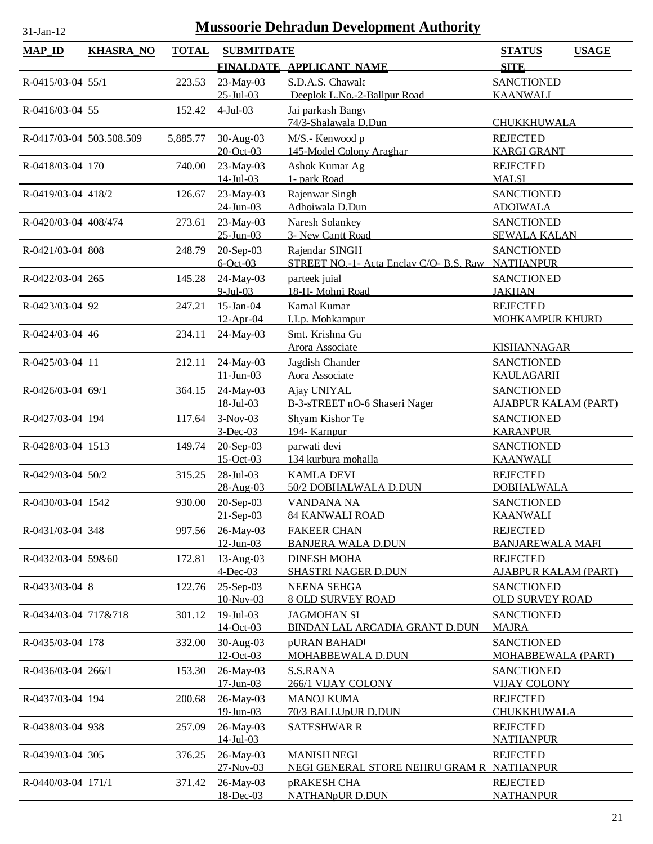| <b>MAP_ID</b>            | <b>KHASRA_NO</b> | <b>TOTAL</b> | <b>SUBMITDATE</b>            | FINALDATE APPLICANT NAME                          | <b>STATUS</b><br><b>SITE</b>                | <b>USAGE</b> |
|--------------------------|------------------|--------------|------------------------------|---------------------------------------------------|---------------------------------------------|--------------|
|                          |                  |              |                              |                                                   |                                             |              |
| R-0415/03-04 55/1        |                  | 223.53       | 23-May-03<br>$25 - Jul - 03$ | S.D.A.S. Chawala<br>Deeplok L.No.-2-Ballpur Road  | <b>SANCTIONED</b><br><b>KAANWALI</b>        |              |
| R-0416/03-04 55          |                  | 152.42       | $4-Jul-03$                   | Jai parkash Bangy<br>74/3-Shalawala D.Dun         | CHUKKHUWALA                                 |              |
| R-0417/03-04 503.508.509 |                  | 5,885.77     | 30-Aug-03                    | M/S.- Kenwood p                                   | <b>REJECTED</b>                             |              |
|                          |                  |              | 20-Oct-03                    | 145-Model Colony Araghar                          | <b>KARGI GRANT</b>                          |              |
| R-0418/03-04 170         |                  | 740.00       | 23-May-03<br>$14$ -Jul-03    | Ashok Kumar Ag<br>1- park Road                    | <b>REJECTED</b><br><b>MALSI</b>             |              |
|                          |                  |              |                              |                                                   |                                             |              |
| R-0419/03-04 418/2       |                  | 126.67       | 23-May-03<br>$24$ -Jun-03    | Rajenwar Singh<br>Adhoiwala D.Dun                 | <b>SANCTIONED</b><br><b>ADOIWALA</b>        |              |
| R-0420/03-04 408/474     |                  | 273.61       | 23-May-03                    | Naresh Solankey                                   | <b>SANCTIONED</b>                           |              |
|                          |                  |              | $25 - Jun - 03$              | 3- New Cantt Road                                 | <b>SEWALA KALAN</b>                         |              |
| R-0421/03-04 808         |                  | 248.79       | 20-Sep-03                    | Rajendar SINGH                                    | <b>SANCTIONED</b>                           |              |
|                          |                  |              | $6$ -Oct-03                  | STREET NO.-1- Acta Enclav C/O- B.S. Raw NATHANPUR |                                             |              |
| R-0422/03-04 265         |                  | 145.28       | 24-May-03<br>$9$ -Jul-03     | parteek juial<br>18-H- Mohni Road                 | <b>SANCTIONED</b><br><b>JAKHAN</b>          |              |
| R-0423/03-04 92          |                  | 247.21       | $15$ -Jan-04                 | Kamal Kumar                                       | <b>REJECTED</b>                             |              |
|                          |                  |              | 12-Apr-04                    | I.I.p. Mohkampur                                  | <b>MOHKAMPUR KHURD</b>                      |              |
| R-0424/03-04 46          |                  | 234.11       | 24-May-03                    | Smt. Krishna Gu                                   |                                             |              |
|                          |                  |              |                              | Arora Associate                                   | <b>KISHANNAGAR</b>                          |              |
| R-0425/03-04 11          |                  | 212.11       | 24-May-03<br>$11 - Jun - 03$ | Jagdish Chander<br>Aora Associate                 | <b>SANCTIONED</b><br><b>KAULAGARH</b>       |              |
| R-0426/03-04 69/1        |                  | 364.15       | 24-May-03                    | Ajay UNIYAL                                       | <b>SANCTIONED</b>                           |              |
|                          |                  |              | 18-Jul-03                    | B-3-sTREET nO-6 Shaseri Nager                     | <b>AJABPUR KALAM (PART)</b>                 |              |
| R-0427/03-04 194         |                  | 117.64       | $3-Nov-03$                   | Shyam Kishor Te                                   | <b>SANCTIONED</b>                           |              |
|                          |                  |              | $3$ -Dec-03                  | 194- Karnpur                                      | <b>KARANPUR</b>                             |              |
| R-0428/03-04 1513        |                  | 149.74       | 20-Sep-03                    | parwati devi                                      | <b>SANCTIONED</b>                           |              |
|                          |                  |              | 15-Oct-03                    | 134 kurbura mohalla                               | <b>KAANWALI</b>                             |              |
| R-0429/03-04 50/2        |                  | 315.25       | 28-Jul-03<br>28-Aug-03       | <b>KAMLA DEVI</b><br>50/2 DOBHALWALA D.DUN        | <b>REJECTED</b><br><b>DOBHALWALA</b>        |              |
| R-0430/03-04 1542        |                  | 930.00       | 20-Sep-03                    | VANDANA NA                                        | <b>SANCTIONED</b>                           |              |
|                          |                  |              | $21-Sep-03$                  | 84 KANWALI ROAD                                   | <b>KAANWALI</b>                             |              |
| R-0431/03-04 348         |                  | 997.56       | 26-May-03                    | <b>FAKEER CHAN</b>                                | <b>REJECTED</b>                             |              |
|                          |                  |              | $12 - Jun - 03$              | <b>BANJERA WALA D.DUN</b>                         | <b>BANJAREWALA MAFI</b>                     |              |
| R-0432/03-04 59&60       |                  | 172.81       | $13$ -Aug-03                 | <b>DINESH MOHA</b>                                | <b>REJECTED</b>                             |              |
|                          |                  |              | $4$ -Dec-03                  | <b>SHASTRI NAGER D.DUN</b>                        | <b>AJABPUR KALAM (PART)</b>                 |              |
| R-0433/03-04 8           |                  | 122.76       | 25-Sep-03<br>10-Nov-03       | <b>NEENA SEHGA</b><br><b>8 OLD SURVEY ROAD</b>    | <b>SANCTIONED</b><br><b>OLD SURVEY ROAD</b> |              |
| R-0434/03-04 717&718     |                  | 301.12       | $19$ -Jul-03                 | <b>JAGMOHAN SI</b>                                | <b>SANCTIONED</b>                           |              |
|                          |                  |              | 14-Oct-03                    | BINDAN LAL ARCADIA GRANT D.DUN                    | <b>MAJRA</b>                                |              |
| R-0435/03-04 178         |                  | 332.00       | 30-Aug-03                    | pURAN BAHADI                                      | <b>SANCTIONED</b>                           |              |
|                          |                  |              | 12-Oct-03                    | MOHABBEWALA D.DUN                                 | <b>MOHABBEWALA (PART)</b>                   |              |
| R-0436/03-04 266/1       |                  | 153.30       | 26-May-03<br>$17$ -Jun-03    | S.S.RANA                                          | <b>SANCTIONED</b>                           |              |
| R-0437/03-04 194         |                  | 200.68       | 26-May-03                    | <b>266/1 VIJAY COLONY</b><br><b>MANOJ KUMA</b>    | <b>VIJAY COLONY</b><br><b>REJECTED</b>      |              |
|                          |                  |              | 19-Jun-03                    | 70/3 BALLUpUR D.DUN                               | CHUKKHUWALA                                 |              |
| R-0438/03-04 938         |                  | 257.09       | 26-May-03                    | <b>SATESHWAR R</b>                                | <b>REJECTED</b>                             |              |
|                          |                  |              | $14$ -Jul-03                 |                                                   | <b>NATHANPUR</b>                            |              |
| R-0439/03-04 305         |                  | 376.25       | 26-May-03                    | <b>MANISH NEGI</b>                                | <b>REJECTED</b>                             |              |
|                          |                  |              | $27 - Nov - 03$              | NEGI GENERAL STORE NEHRU GRAM R NATHANPUR         |                                             |              |
| R-0440/03-04 171/1       |                  | 371.42       | 26-May-03<br>18-Dec-03       | pRAKESH CHA<br><b>NATHANpUR D.DUN</b>             | <b>REJECTED</b><br><b>NATHANPUR</b>         |              |
|                          |                  |              |                              |                                                   |                                             |              |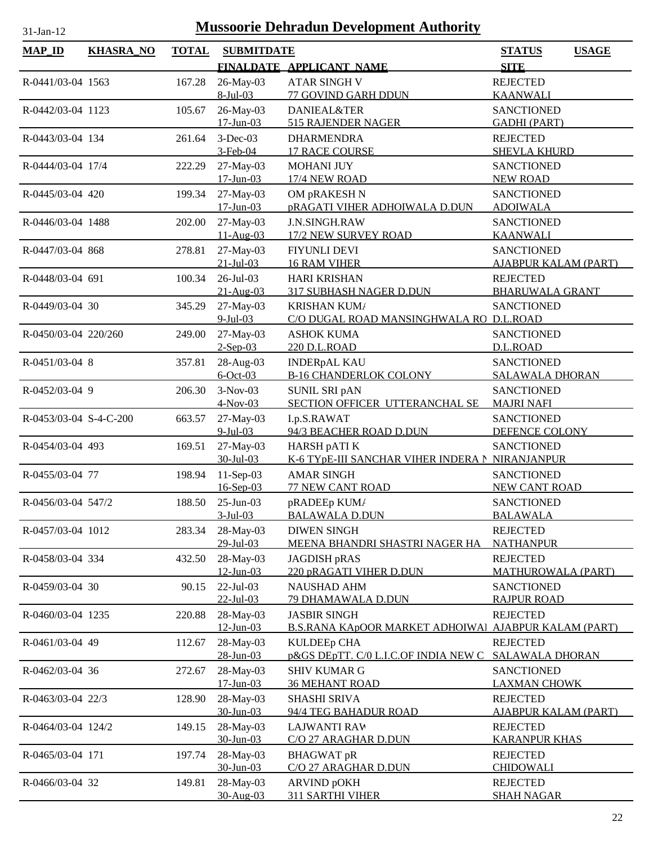| <b>MAP_ID</b>          | <b>KHASRA_NO</b> | <b>TOTAL</b> | <b>SUBMITDATE</b>            |                                                                 | <b>STATUS</b><br><b>USAGE</b>                    |
|------------------------|------------------|--------------|------------------------------|-----------------------------------------------------------------|--------------------------------------------------|
|                        |                  |              |                              | FINALDATE APPLICANT NAME                                        | <b>SITE</b>                                      |
| R-0441/03-04 1563      |                  | 167.28       | 26-May-03<br>8-Jul-03        | <b>ATAR SINGH V</b><br>77 GOVIND GARH DDUN                      | <b>REJECTED</b><br><b>KAANWALI</b>               |
| R-0442/03-04 1123      |                  | 105.67       | 26-May-03<br>$17 - Jun - 03$ | <b>DANIEAL&amp;TER</b><br>515 RAJENDER NAGER                    | <b>SANCTIONED</b><br><b>GADHI (PART)</b>         |
| R-0443/03-04 134       |                  | 261.64       | $3-Dec-03$<br>$3-Feb-04$     | <b>DHARMENDRA</b><br><b>17 RACE COURSE</b>                      | <b>REJECTED</b><br><b>SHEVLA KHURD</b>           |
| R-0444/03-04 17/4      |                  | 222.29       | 27-May-03<br>$17 - Jun - 03$ | <b>MOHANI JUY</b><br>17/4 NEW ROAD                              | <b>SANCTIONED</b><br><b>NEW ROAD</b>             |
| R-0445/03-04 420       |                  | 199.34       | 27-May-03<br>$17 - Jun - 03$ | OM pRAKESH N<br><b>pRAGATI VIHER ADHOIWALA D.DUN</b>            | <b>SANCTIONED</b><br><b>ADOIWALA</b>             |
| R-0446/03-04 1488      |                  | 202.00       | 27-May-03<br>11-Aug-03       | J.N.SINGH.RAW<br>17/2 NEW SURVEY ROAD                           | <b>SANCTIONED</b><br><b>KAANWALI</b>             |
| R-0447/03-04 868       |                  | 278.81       | 27-May-03<br>$21 - Jul - 03$ | <b>FIYUNLI DEVI</b><br><b>16 RAM VIHER</b>                      | <b>SANCTIONED</b><br><u>AJABPUR KALAM (PART)</u> |
| R-0448/03-04 691       |                  | 100.34       | $26$ -Jul-03<br>$21-Au$ g-03 | <b>HARI KRISHAN</b><br>317 SUBHASH NAGER D.DUN                  | <b>REJECTED</b><br><b>BHARUWALA GRANT</b>        |
| R-0449/03-04 30        |                  | 345.29       | 27-May-03<br>$9$ -Jul-03     | <b>KRISHAN KUM/</b><br>C/O DUGAL ROAD MANSINGHWALA RO D.L.ROAD  | <b>SANCTIONED</b>                                |
| R-0450/03-04 220/260   |                  | 249.00       | 27-May-03<br>$2-Sep-03$      | <b>ASHOK KUMA</b><br>220 D.L.ROAD                               | <b>SANCTIONED</b><br>D.L.ROAD                    |
| R-0451/03-04 8         |                  | 357.81       | 28-Aug-03<br>$6$ -Oct-03     | <b>INDERpAL KAU</b><br><b>B-16 CHANDERLOK COLONY</b>            | <b>SANCTIONED</b><br><b>SALAWALA DHORAN</b>      |
| R-0452/03-04 9         |                  | 206.30       | $3-Nov-03$<br>$4-Nov-03$     | SUNIL SRI pAN<br>SECTION OFFICER UTTERANCHAL SE                 | <b>SANCTIONED</b><br><b>MAJRI NAFI</b>           |
| R-0453/03-04 S-4-C-200 |                  | 663.57       | 27-May-03<br>$9$ -Jul-03     | I.p.S.RAWAT<br>94/3 BEACHER ROAD D.DUN                          | <b>SANCTIONED</b><br>DEFENCE COLONY              |
| R-0454/03-04 493       |                  | 169.51       | 27-May-03<br>30-Jul-03       | HARSH pATI K<br>K-6 TYpE-III SANCHAR VIHER INDERA N NIRANJANPUR | <b>SANCTIONED</b>                                |
| R-0455/03-04 77        |                  | 198.94       | $11-Sep-03$<br>$16$ -Sep-03  | <b>AMAR SINGH</b><br><b>77 NEW CANT ROAD</b>                    | <b>SANCTIONED</b><br><b>NEW CANT ROAD</b>        |
| R-0456/03-04 547/2     |                  | 188.50       | $25$ -Jun-03<br>$3$ -Jul-03  | pRADEEp KUM/<br><b>BALAWALA D.DUN</b>                           | <b>SANCTIONED</b><br><b>BALAWALA</b>             |
| R-0457/03-04 1012      |                  | 283.34       | 28-May-03<br>29-Jul-03       | <b>DIWEN SINGH</b><br>MEENA BHANDRI SHASTRI NAGER HA            | <b>REJECTED</b><br><b>NATHANPUR</b>              |
| R-0458/03-04 334       |                  | 432.50       | 28-May-03<br>$12$ -Jun-03    | JAGDISH pRAS<br>220 pRAGATI VIHER D.DUN                         | <b>REJECTED</b><br><b>MATHUROWALA (PART)</b>     |
| R-0459/03-04 30        |                  | 90.15        | 22-Jul-03<br>$22$ -Jul-03    | <b>NAUSHAD AHM</b><br>79 DHAMAWALA D.DUN                        | <b>SANCTIONED</b><br><b>RAJPUR ROAD</b>          |
| R-0460/03-04 1235      |                  | 220.88       | 28-May-03<br>$12$ -Jun-03    | <b>JASBIR SINGH</b><br><b>B.S.RANA KApOOR MARKET ADHOIWAL</b>   | <b>REJECTED</b><br><b>AJABPUR KALAM (PART)</b>   |
| R-0461/03-04 49        |                  | 112.67       | 28-May-03<br>28-Jun-03       | <b>KULDEEp CHA</b><br>p&GS DEpTT. C/0 L.I.C.OF INDIA NEW C      | <b>REJECTED</b><br><b>SALAWALA DHORAN</b>        |
| R-0462/03-04 36        |                  | 272.67       | 28-May-03<br>$17 - Jun - 03$ | <b>SHIV KUMAR G</b><br><b>36 MEHANT ROAD</b>                    | <b>SANCTIONED</b><br><u>LAXMAN CHOWK</u>         |
| R-0463/03-04 22/3      |                  | 128.90       | 28-May-03<br>30-Jun-03       | <b>SHASHI SRIVA</b><br>94/4 TEG BAHADUR ROAD                    | <b>REJECTED</b><br><b>AJABPUR KALAM (PART)</b>   |
| R-0464/03-04 124/2     |                  | 149.15       | 28-May-03<br>30-Jun-03       | <b>LAJWANTI RAW</b><br>C/O 27 ARAGHAR D.DUN                     | <b>REJECTED</b><br><b>KARANPUR KHAS</b>          |
| R-0465/03-04 171       |                  | 197.74       | 28-May-03<br>$30$ -Jun-03    | <b>BHAGWAT</b> pR<br>C/O 27 ARAGHAR D.DUN                       | <b>REJECTED</b><br><b>CHIDOWALI</b>              |
| R-0466/03-04 32        |                  | 149.81       | 28-May-03<br>30-Aug-03       | ARVIND pOKH<br><b>311 SARTHI VIHER</b>                          | <b>REJECTED</b><br><b>SHAH NAGAR</b>             |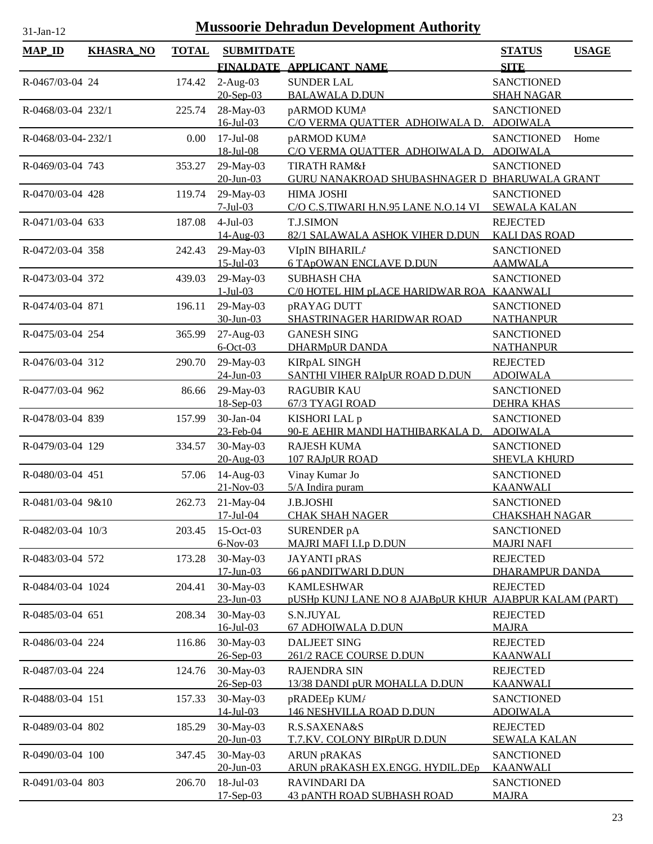| <b>MAP_ID</b>      | <b>KHASRA_NO</b> | <b>TOTAL</b> | <b>SUBMITDATE</b>            |                                                                     | <b>STATUS</b><br><b>USAGE</b>                |
|--------------------|------------------|--------------|------------------------------|---------------------------------------------------------------------|----------------------------------------------|
|                    |                  |              |                              | FINALDATE APPLICANT NAME                                            | <b>SITE</b>                                  |
| R-0467/03-04 24    |                  | 174.42       | $2-Aug-03$                   | <b>SUNDER LAL</b>                                                   | <b>SANCTIONED</b>                            |
|                    |                  |              | $20$ -Sep-03                 | <b>BALAWALA D.DUN</b>                                               | <b>SHAH NAGAR</b>                            |
| R-0468/03-04 232/1 |                  | 225.74       | 28-May-03<br>$16$ -Jul-03    | pARMOD KUMA<br>C/O VERMA OUATTER ADHOIWALA D.                       | <b>SANCTIONED</b><br><b>ADOIWALA</b>         |
| R-0468/03-04-232/1 |                  | 0.00         | $17$ -Jul-08<br>18-Jul-08    | pARMOD KUMA<br>C/O VERMA QUATTER ADHOIWALA D.                       | <b>SANCTIONED</b><br>Home<br><b>ADOIWALA</b> |
| R-0469/03-04 743   |                  | 353.27       | 29-May-03                    | <b>TIRATH RAM&amp;I</b>                                             | <b>SANCTIONED</b>                            |
|                    |                  |              | $20 - Jun - 03$              | GURU NANAKROAD SHUBASHNAGER D BHARUWALA GRANT                       |                                              |
| R-0470/03-04 428   |                  | 119.74       | 29-May-03<br>$7-Jul-03$      | <b>HIMA JOSHI</b><br>C/O C.S.TIWARI H.N.95 LANE N.O.14 VI           | <b>SANCTIONED</b><br><b>SEWALA KALAN</b>     |
| R-0471/03-04 633   |                  | 187.08       | $4-Jul-03$                   | <b>T.J.SIMON</b>                                                    | <b>REJECTED</b>                              |
|                    |                  |              | 14-Aug-03                    | 82/1 SALAWALA ASHOK VIHER D.DUN                                     | <b>KALI DAS ROAD</b>                         |
| R-0472/03-04 358   |                  | 242.43       | 29-May-03                    | VIpIN BIHARIL/                                                      | <b>SANCTIONED</b>                            |
|                    |                  |              | $15 -$ Jul $-03$             | 6 TApOWAN ENCLAVE D.DUN                                             | <b>AAMWALA</b>                               |
| R-0473/03-04 372   |                  | 439.03       | 29-May-03<br>$1-Jul-03$      | <b>SUBHASH CHA</b><br>C/0 HOTEL HIM pLACE HARIDWAR ROA              | <b>SANCTIONED</b><br><b>KAANWALI</b>         |
| R-0474/03-04 871   |                  | 196.11       | 29-May-03                    | pRAYAG DUTT                                                         | <b>SANCTIONED</b>                            |
|                    |                  |              | 30-Jun-03                    | SHASTRINAGER HARIDWAR ROAD                                          | <b>NATHANPUR</b>                             |
| R-0475/03-04 254   |                  | 365.99       | 27-Aug-03                    | <b>GANESH SING</b>                                                  | <b>SANCTIONED</b>                            |
|                    |                  |              | $6$ -Oct-03                  | <b>DHARMpUR DANDA</b>                                               | <b>NATHANPUR</b>                             |
| R-0476/03-04 312   |                  | 290.70       | 29-May-03<br>$24$ -Jun-03    | <b>KIRpAL SINGH</b><br>SANTHI VIHER RAIpUR ROAD D.DUN               | <b>REJECTED</b><br><b>ADOIWALA</b>           |
| R-0477/03-04 962   |                  | 86.66        | 29-May-03                    | <b>RAGUBIR KAU</b>                                                  | <b>SANCTIONED</b>                            |
|                    |                  |              | 18-Sep-03                    | 67/3 TYAGI ROAD                                                     | <b>DEHRA KHAS</b>                            |
| R-0478/03-04 839   |                  | 157.99       | 30-Jan-04                    | KISHORI LAL p                                                       | <b>SANCTIONED</b>                            |
|                    |                  |              | 23-Feb-04                    | 90-E AEHIR MANDI HATHIBARKALA D.                                    | <b>ADOIWALA</b>                              |
| R-0479/03-04 129   |                  | 334.57       | 30-May-03<br>20-Aug-03       | <b>RAJESH KUMA</b><br>107 RAJpUR ROAD                               | <b>SANCTIONED</b><br><b>SHEVLA KHURD</b>     |
| R-0480/03-04 451   |                  | 57.06        | 14-Aug-03                    | Vinay Kumar Jo                                                      | <b>SANCTIONED</b>                            |
|                    |                  |              | $21-Nov-03$                  | 5/A Indira puram                                                    | <b>KAANWALI</b>                              |
| R-0481/03-04 9&10  |                  | 262.73       | 21-May-04                    | J.B.JOSHI                                                           | <b>SANCTIONED</b>                            |
|                    |                  |              | 17-Jul-04                    | <b>CHAK SHAH NAGER</b>                                              | <b>CHAKSHAH NAGAR</b>                        |
| R-0482/03-04 10/3  |                  | 203.45       | 15-Oct-03<br>$6-Nov-03$      | <b>SURENDER pA</b><br><b>MAJRI MAFI I.I.p D.DUN</b>                 | <b>SANCTIONED</b><br><b>MAJRI NAFI</b>       |
| R-0483/03-04 572   |                  | 173.28       | 30-May-03                    | JAYANTI pRAS                                                        | <b>REJECTED</b>                              |
|                    |                  |              | $17 - Jun - 03$              | 66 pANDITWARI D.DUN                                                 | <b>DHARAMPUR DANDA</b>                       |
| R-0484/03-04 1024  |                  | 204.41       | 30-May-03                    | <b>KAMLESHWAR</b>                                                   | <b>REJECTED</b>                              |
| R-0485/03-04 651   |                  | 208.34       | $23 - Jun - 03$<br>30-May-03 | pUSHp KUNJ LANE NO 8 AJABpUR KHUR AJABPUR KALAM (PART)<br>S.N.JUYAL | <b>REJECTED</b>                              |
|                    |                  |              | $16$ -Jul-03                 | 67 ADHOIWALA D.DUN                                                  | <b>MAJRA</b>                                 |
| R-0486/03-04 224   |                  | 116.86       | 30-May-03                    | <b>DALJEET SING</b>                                                 | <b>REJECTED</b>                              |
|                    |                  |              | 26-Sep-03                    | <b>261/2 RACE COURSE D.DUN</b>                                      | <u>KAANWALI</u>                              |
| R-0487/03-04 224   |                  | 124.76       | 30-May-03<br>26-Sep-03       | <b>RAJENDRA SIN</b><br>13/38 DANDI pUR MOHALLA D.DUN                | <b>REJECTED</b><br><b>KAANWALI</b>           |
| R-0488/03-04 151   |                  | 157.33       | 30-May-03                    | pRADEEp KUM/                                                        | <b>SANCTIONED</b>                            |
|                    |                  |              | $14$ -Jul-03                 | <b>146 NESHVILLA ROAD D.DUN</b>                                     | <b>ADOIWALA</b>                              |
| R-0489/03-04 802   |                  | 185.29       | 30-May-03<br>$20$ -Jun-03    | R.S.SAXENA&S<br>T.7.KV. COLONY BIRpUR D.DUN                         | <b>REJECTED</b><br><b>SEWALA KALAN</b>       |
| R-0490/03-04 100   |                  | 347.45       | 30-May-03                    | <b>ARUN pRAKAS</b>                                                  | <b>SANCTIONED</b>                            |
|                    |                  |              | $20$ -Jun-03                 | <u>ARUN pRAKASH EX.ENGG. HYDIL.DEp</u>                              | <b>KAANWALI</b>                              |
| R-0491/03-04 803   |                  | 206.70       | 18-Jul-03                    | <b>RAVINDARI DA</b>                                                 | <b>SANCTIONED</b>                            |
|                    |                  |              | $17-Sep-03$                  | <b>43 pANTH ROAD SUBHASH ROAD</b>                                   | <b>MAJRA</b>                                 |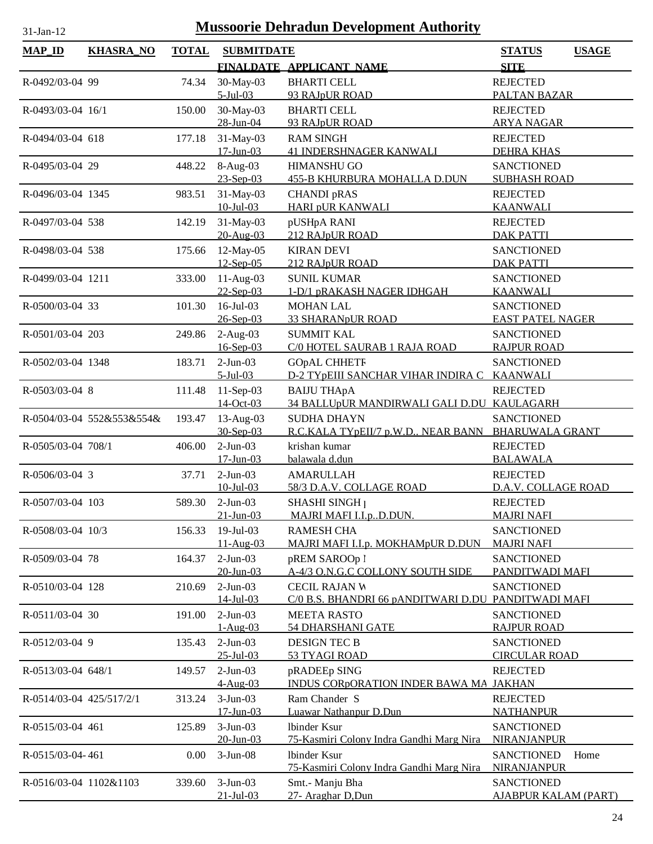| <b>MAP_ID</b>            | <b>KHASRA_NO</b>          | <b>TOTAL</b> | <b>SUBMITDATE</b>             |                                                                  | <b>STATUS</b>                        | <b>USAGE</b> |
|--------------------------|---------------------------|--------------|-------------------------------|------------------------------------------------------------------|--------------------------------------|--------------|
|                          |                           |              |                               | FINALDATE APPLICANT NAME                                         | <b>SITE</b>                          |              |
| R-0492/03-04 99          |                           | 74.34        | 30-May-03                     | <b>BHARTI CELL</b>                                               | <b>REJECTED</b>                      |              |
|                          |                           |              | $5$ -Jul-03                   | 93 RAJpUR ROAD                                                   | PALTAN BAZAR                         |              |
| R-0493/03-04 16/1        |                           | 150.00       | 30-May-03                     | <b>BHARTI CELL</b>                                               | <b>REJECTED</b>                      |              |
|                          |                           |              | 28-Jun-04                     | 93 RAJpUR ROAD                                                   | <b>ARYA NAGAR</b>                    |              |
| R-0494/03-04 618         |                           | 177.18       | 31-May-03                     | <b>RAM SINGH</b>                                                 | <b>REJECTED</b>                      |              |
|                          |                           |              | $17$ -Jun-03                  | <b>41 INDERSHNAGER KANWALI</b>                                   | <b>DEHRA KHAS</b>                    |              |
| R-0495/03-04 29          |                           | 448.22       | 8-Aug-03                      | <b>HIMANSHU GO</b>                                               | <b>SANCTIONED</b>                    |              |
|                          |                           |              | 23-Sep-03                     | <b>455-B KHURBURA MOHALLA D.DUN</b>                              | <b>SUBHASH ROAD</b>                  |              |
| R-0496/03-04 1345        |                           | 983.51       | 31-May-03<br>$10 -$ Jul $-03$ | <b>CHANDI pRAS</b><br><b>HARI pUR KANWALI</b>                    | <b>REJECTED</b><br><b>KAANWALI</b>   |              |
| R-0497/03-04 538         |                           | 142.19       | 31-May-03                     | pUSHpA RANI                                                      | <b>REJECTED</b>                      |              |
|                          |                           |              | 20-Aug-03                     | 212 RAJpUR ROAD                                                  | <b>DAK PATTI</b>                     |              |
| R-0498/03-04 538         |                           | 175.66       | 12-May-05                     | <b>KIRAN DEVI</b>                                                | <b>SANCTIONED</b>                    |              |
|                          |                           |              | $12$ -Sep-05                  | 212 RAJpUR ROAD                                                  | <b>DAK PATTI</b>                     |              |
| R-0499/03-04 1211        |                           | 333.00       | $11-Aug-03$                   | <b>SUNIL KUMAR</b>                                               | <b>SANCTIONED</b>                    |              |
|                          |                           |              | $22-Sep-03$                   | 1-D/1 pRAKASH NAGER IDHGAH                                       | <b>KAANWALI</b>                      |              |
| R-0500/03-04 33          |                           | 101.30       | $16$ -Jul-03                  | <b>MOHAN LAL</b>                                                 | <b>SANCTIONED</b>                    |              |
|                          |                           |              | 26-Sep-03                     | <b>33 SHARANpUR ROAD</b>                                         | <b>EAST PATEL NAGER</b>              |              |
| R-0501/03-04 203         |                           | 249.86       | $2-Aug-03$                    | <b>SUMMIT KAL</b>                                                | <b>SANCTIONED</b>                    |              |
|                          |                           |              | $16$ -Sep-03                  | C/0 HOTEL SAURAB 1 RAJA ROAD                                     | <b>RAJPUR ROAD</b>                   |              |
| R-0502/03-04 1348        |                           | 183.71       | $2-Jun-03$                    | <b>GOpAL CHHETF</b>                                              | <b>SANCTIONED</b>                    |              |
|                          |                           |              | $5$ -Jul-03                   | D-2 TYpEIII SANCHAR VIHAR INDIRA C                               | <b>KAANWALI</b>                      |              |
| R-0503/03-04 8           |                           | 111.48       | $11-Sep-03$<br>14-Oct-03      | <b>BAIJU THApA</b><br>34 BALLUpUR MANDIRWALI GALI D.DU KAULAGARH | <b>REJECTED</b>                      |              |
|                          | R-0504/03-04 552&553&554& | 193.47       | 13-Aug-03                     | <b>SUDHA DHAYN</b>                                               | <b>SANCTIONED</b>                    |              |
|                          |                           |              | 30-Sep-03                     | R.C.KALA TYpEII/7 p.W.D NEAR BANN BHARUWALA GRANT                |                                      |              |
| R-0505/03-04 708/1       |                           | 406.00       | $2-Jun-03$                    | krishan kumar                                                    | <b>REJECTED</b>                      |              |
|                          |                           |              | $17 - Jun - 03$               | balawala d.dun                                                   | <b>BALAWALA</b>                      |              |
| R-0506/03-04 3           |                           | 37.71        | $2-Jun-03$                    | <b>AMARULLAH</b>                                                 | <b>REJECTED</b>                      |              |
|                          |                           |              | $10$ -Jul-03                  | 58/3 D.A.V. COLLAGE ROAD                                         | D.A.V. COLLAGE ROAD                  |              |
| R-0507/03-04 103         |                           | 589.30       | $2-Jun-03$                    | SHASHI SINGH <sub>1</sub>                                        | <b>REJECTED</b>                      |              |
|                          |                           |              | $21 - Jun - 03$               | MAJRI MAFI I.I.pD.DUN.                                           | <b>MAJRI NAFI</b>                    |              |
| R-0508/03-04 10/3        |                           | 156.33       | $19$ -Jul-03                  | <b>RAMESH CHA</b>                                                | <b>SANCTIONED</b>                    |              |
|                          |                           |              | 11-Aug-03                     | MAJRI MAFI I.I.p. MOKHAMpUR D.DUN                                | <b>MAJRI NAFI</b>                    |              |
| R-0509/03-04 78          |                           | 164.37       | $2-Jun-03$                    | pREM SAROOp l                                                    | <b>SANCTIONED</b>                    |              |
|                          |                           |              | $20$ -Jun-03                  | A-4/3 O.N.G.C COLLONY SOUTH SIDE                                 | PANDITWADI MAFI                      |              |
| R-0510/03-04 128         |                           | 210.69       | $2-Jun-03$<br>14-Jul-03       | <b>CECIL RAJAN W</b><br>C/0 B.S. BHANDRI 66 pANDITWARI D.DU      | <b>SANCTIONED</b><br>PANDITWADI MAFI |              |
| R-0511/03-04 30          |                           |              | $2-Jun-03$                    | <b>MEETA RASTO</b>                                               | <b>SANCTIONED</b>                    |              |
|                          |                           | 191.00       | $1-Aug-03$                    | <b>54 DHARSHANI GATE</b>                                         | <b>RAJPUR ROAD</b>                   |              |
| R-0512/03-04 9           |                           | 135.43       | $2-Jun-03$                    | <b>DESIGN TEC B</b>                                              | <b>SANCTIONED</b>                    |              |
|                          |                           |              | $25 - Jul - 03$               | 53 TYAGI ROAD                                                    | <b>CIRCULAR ROAD</b>                 |              |
| R-0513/03-04 648/1       |                           | 149.57       | $2-Jun-03$                    | pRADEEp SING                                                     | <b>REJECTED</b>                      |              |
|                          |                           |              | 4-Aug-03                      | <b>INDUS CORPORATION INDER BAWA MA</b>                           | <b>JAKHAN</b>                        |              |
| R-0514/03-04 425/517/2/1 |                           | 313.24       | $3-Jun-03$                    | Ram Chander S                                                    | <b>REJECTED</b>                      |              |
|                          |                           |              | $17$ -Jun-03                  | Luawar Nathanpur D.Dun                                           | <b>NATHANPUR</b>                     |              |
| R-0515/03-04 461         |                           | 125.89       | $3-Jun-03$                    | <b>lbinder</b> Ksur                                              | <b>SANCTIONED</b>                    |              |
|                          |                           |              | $20$ -Jun-03                  | 75-Kasmiri Colony Indra Gandhi Marg Nira                         | NIRANJANPUR                          |              |
| R-0515/03-04-461         |                           | 0.00         | $3-Jun-08$                    | Ibinder Ksur<br>75-Kasmiri Colony Indra Gandhi Marg Nira         | <b>SANCTIONED</b><br>NIRANJANPUR     | Home         |
| R-0516/03-04 1102&1103   |                           | 339.60       | $3-Jun-03$                    | Smt.- Manju Bha                                                  | <b>SANCTIONED</b>                    |              |
|                          |                           |              | $21 - Jul - 03$               | 27- Araghar D, Dun                                               | <b>AJABPUR KALAM (PART)</b>          |              |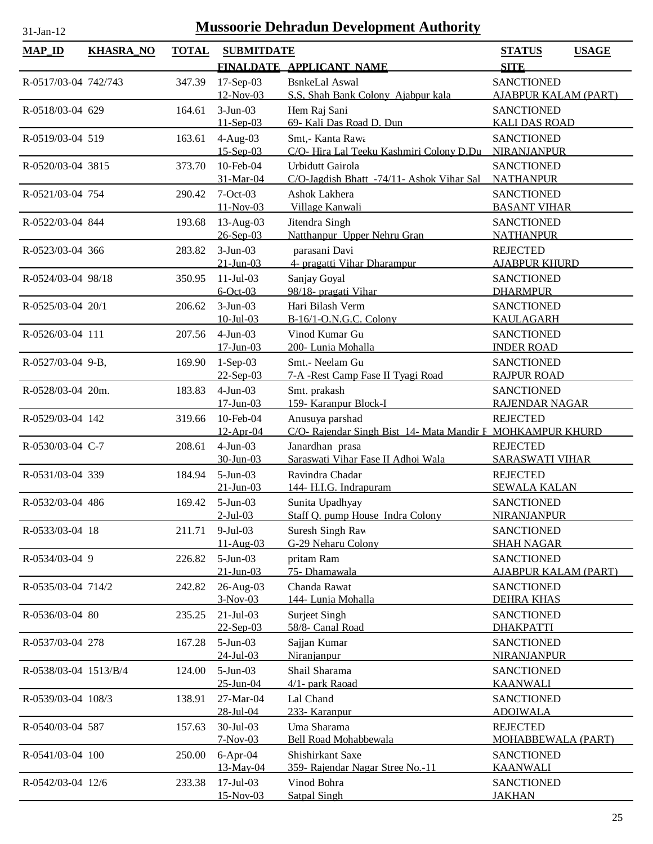| <b>MAP_ID</b>         | <b>KHASRA_NO</b> | <b>TOTAL</b> | <b>SUBMITDATE</b>          | FINALDATE APPLICANT NAME                                   | <b>STATUS</b><br><b>USAGE</b><br><b>SITE</b> |
|-----------------------|------------------|--------------|----------------------------|------------------------------------------------------------|----------------------------------------------|
| R-0517/03-04 742/743  |                  | 347.39       | $17-Sep-03$                | <b>BsnkeLal Aswal</b>                                      | <b>SANCTIONED</b>                            |
|                       |                  |              | 12-Nov-03                  | S.S. Shah Bank Colony Ajabpur kala                         | <b>AJABPUR KALAM (PART)</b>                  |
| R-0518/03-04 629      |                  | 164.61       | $3-Jun-03$                 | Hem Raj Sani                                               | <b>SANCTIONED</b>                            |
|                       |                  |              | $11-Sep-03$                | 69- Kali Das Road D. Dun                                   | <b>KALI DAS ROAD</b>                         |
| R-0519/03-04 519      |                  | 163.61       | $4-Aug-03$                 | Smt,- Kanta Rawa                                           | <b>SANCTIONED</b>                            |
|                       |                  |              | $15 - Sep-03$              | C/O-Hira Lal Teeku Kashmiri Colony D.Du                    | NIRANJANPUR                                  |
| R-0520/03-04 3815     |                  | 373.70       | 10-Feb-04                  | Urbidutt Gairola                                           | <b>SANCTIONED</b>                            |
|                       |                  |              | 31-Mar-04                  | C/O-Jagdish Bhatt -74/11- Ashok Vihar Sal                  | <b>NATHANPUR</b>                             |
| R-0521/03-04 754      |                  | 290.42       | $7-Oct-03$<br>11-Nov-03    | Ashok Lakhera<br>Village Kanwali                           | <b>SANCTIONED</b><br><b>BASANT VIHAR</b>     |
| R-0522/03-04 844      |                  | 193.68       | $13$ -Aug-03               | Jitendra Singh                                             | <b>SANCTIONED</b>                            |
|                       |                  |              | $26 - Sep-03$              | Natthanpur Upper Nehru Gran                                | <b>NATHANPUR</b>                             |
| R-0523/03-04 366      |                  | 283.82       | $3-Jun-03$                 | parasani Davi                                              | <b>REJECTED</b>                              |
|                       |                  |              | $21$ -Jun-03               | 4- pragatti Vihar Dharampur                                | <b>AJABPUR KHURD</b>                         |
| R-0524/03-04 98/18    |                  | 350.95       | $11-Jul-03$                | Sanjay Goyal                                               | <b>SANCTIONED</b>                            |
|                       |                  |              | $6$ -Oct-03                | 98/18- pragati Vihar                                       | <b>DHARMPUR</b>                              |
| R-0525/03-04 20/1     |                  | 206.62       | $3-Jun-03$                 | Hari Bilash Verm                                           | <b>SANCTIONED</b>                            |
|                       |                  |              | $10$ -Jul-03               | B-16/1-O.N.G.C. Colony                                     | KAULAGARH                                    |
| R-0526/03-04 111      |                  | 207.56       | $4-Jun-03$<br>$17$ -Jun-03 | Vinod Kumar Gu<br>200- Lunia Mohalla                       | <b>SANCTIONED</b><br><b>INDER ROAD</b>       |
| R-0527/03-04 9-B,     |                  | 169.90       | $1-Sep-03$                 | Smt.- Neelam Gu                                            | <b>SANCTIONED</b>                            |
|                       |                  |              | $22-Sep-03$                | 7-A -Rest Camp Fase II Tyagi Road                          | <b>RAJPUR ROAD</b>                           |
| R-0528/03-04 20m.     |                  | 183.83       | $4-Jun-03$                 | Smt. prakash                                               | <b>SANCTIONED</b>                            |
|                       |                  |              | $17 - Jun - 03$            | 159- Karanpur Block-I                                      | RAJENDAR NAGAR                               |
| R-0529/03-04 142      |                  | 319.66       | 10-Feb-04                  | Anusuya parshad                                            | <b>REJECTED</b>                              |
|                       |                  |              | 12-Apr-04                  | C/O- Rajendar Singh Bist 14- Mata Mandir F MOHKAMPUR KHURD |                                              |
| R-0530/03-04 C-7      |                  | 208.61       | $4-Jun-03$                 | Janardhan prasa                                            | <b>REJECTED</b>                              |
|                       |                  |              | 30-Jun-03                  | Saraswati Vihar Fase II Adhoi Wala                         | <b>SARASWATI VIHAR</b>                       |
| R-0531/03-04 339      |                  | 184.94       | $5-Jun-03$                 | Ravindra Chadar                                            | <b>REJECTED</b>                              |
|                       |                  |              | $21$ -Jun-03               | 144- H.I.G. Indrapuram                                     | <b>SEWALA KALAN</b>                          |
| R-0532/03-04 486      |                  | 169.42       | $5-Jun-03$<br>$2$ -Jul-03  | Sunita Upadhyay<br>Staff Q. pump House Indra Colony        | <b>SANCTIONED</b><br>NIRANJANPUR             |
| R-0533/03-04 18       |                  | 211.71       | $9-Jul-03$                 | Suresh Singh Raw                                           | <b>SANCTIONED</b>                            |
|                       |                  |              | $11-Aug-03$                | G-29 Neharu Colony                                         | <b>SHAH NAGAR</b>                            |
| R-0534/03-04 9        |                  | 226.82       | $5-Jun-03$                 | pritam Ram                                                 | <b>SANCTIONED</b>                            |
|                       |                  |              | $21$ -Jun-03               | 75- Dhamawala                                              | <b>AJABPUR KALAM (PART)</b>                  |
| R-0535/03-04 714/2    |                  | 242.82       | 26-Aug-03                  | Chanda Rawat                                               | <b>SANCTIONED</b>                            |
|                       |                  |              | $3-Nov-03$                 | 144- Lunia Mohalla                                         | <b>DEHRA KHAS</b>                            |
| R-0536/03-04 80       |                  | 235.25       | $21-Jul-03$                | Surject Singh                                              | <b>SANCTIONED</b>                            |
|                       |                  |              | $22-Sep-03$                | 58/8- Canal Road                                           | <b>DHAKPATTI</b>                             |
| R-0537/03-04 278      |                  | 167.28       | $5-Jun-03$<br>24-Jul-03    | Sajjan Kumar<br>Niranjanpur                                | <b>SANCTIONED</b><br><b>NIRANJANPUR</b>      |
| R-0538/03-04 1513/B/4 |                  | 124.00       | $5-Jun-03$                 | Shail Sharama                                              | <b>SANCTIONED</b>                            |
|                       |                  |              | $25 - Jun - 04$            | 4/1- park Raoad                                            | <b>KAANWALI</b>                              |
| R-0539/03-04 108/3    |                  | 138.91       | 27-Mar-04                  | Lal Chand                                                  | <b>SANCTIONED</b>                            |
|                       |                  |              | 28-Jul-04                  | 233- Karanpur                                              | <b>ADOIWALA</b>                              |
| R-0540/03-04 587      |                  | 157.63       | 30-Jul-03                  | Uma Sharama                                                | <b>REJECTED</b>                              |
|                       |                  |              | $7-Nov-03$                 | Bell Road Mohabbewala                                      | <b>MOHABBEWALA (PART)</b>                    |
| R-0541/03-04 100      |                  | 250.00       | $6-Apr-04$                 | Shishirkant Saxe                                           | <b>SANCTIONED</b>                            |
|                       |                  |              | 13-May-04                  | 359- Rajendar Nagar Stree No.-11                           | <b>KAANWALI</b>                              |
| R-0542/03-04 12/6     |                  | 233.38       | $17$ -Jul-03<br>15-Nov-03  | Vinod Bohra<br>Satpal Singh                                | <b>SANCTIONED</b><br><b>JAKHAN</b>           |
|                       |                  |              |                            |                                                            |                                              |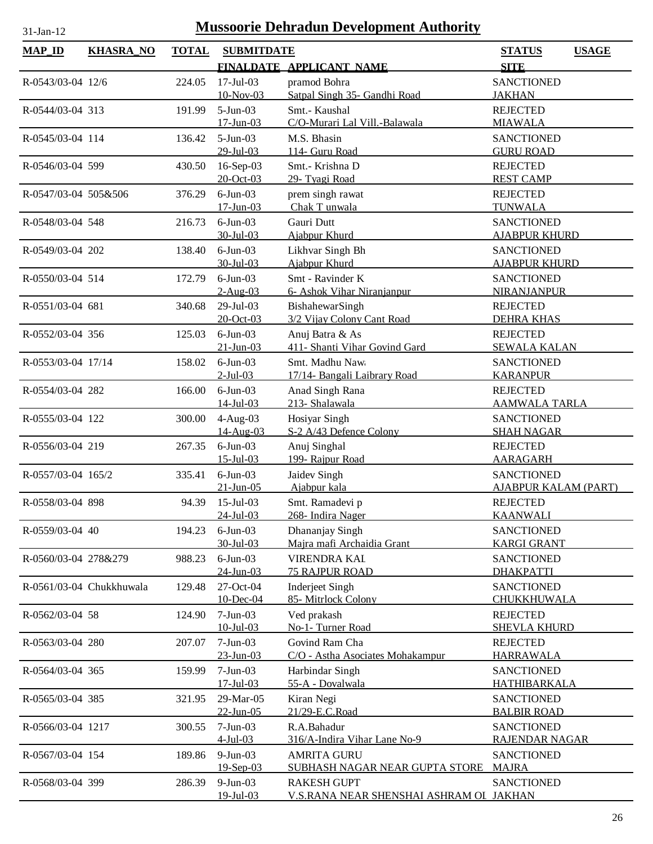| <b>MAP_ID</b>        | <b>KHASRA_NO</b>         | <b>TOTAL</b> | <b>SUBMITDATE</b>                 |                                                               | <b>STATUS</b><br><b>USAGE</b>                    |
|----------------------|--------------------------|--------------|-----------------------------------|---------------------------------------------------------------|--------------------------------------------------|
|                      |                          |              |                                   | FINALDATE APPLICANT NAME                                      | <b>SITE</b>                                      |
| R-0543/03-04 12/6    |                          | 224.05       | $17$ -Jul-03<br>10-Nov-03         | pramod Bohra<br>Satpal Singh 35- Gandhi Road                  | <b>SANCTIONED</b><br><b>JAKHAN</b>               |
| R-0544/03-04 313     |                          | 191.99       | $5-Jun-03$                        | Smt.- Kaushal<br>C/O-Murari Lal Vill.-Balawala                | <b>REJECTED</b>                                  |
|                      |                          |              | $17$ -Jun-03                      |                                                               | <b>MIAWALA</b>                                   |
| R-0545/03-04 114     |                          | 136.42       | $5-Jun-03$<br>$29$ -Jul-03        | M.S. Bhasin<br>114- Guru Road                                 | <b>SANCTIONED</b><br><b>GURU ROAD</b>            |
| R-0546/03-04 599     |                          | 430.50       | 16-Sep-03<br>20-Oct-03            | Smt.- Krishna D<br>29- Tyagi Road                             | <b>REJECTED</b><br><b>REST CAMP</b>              |
| R-0547/03-04 505&506 |                          | 376.29       | $6$ -Jun $-03$<br>$17$ -Jun-03    | prem singh rawat<br>Chak T unwala                             | <b>REJECTED</b><br><b>TUNWALA</b>                |
| R-0548/03-04 548     |                          | 216.73       | $6$ -Jun $-03$<br>$30$ -Jul-03    | Gauri Dutt<br>Ajabpur Khurd                                   | <b>SANCTIONED</b><br><b>AJABPUR KHURD</b>        |
| R-0549/03-04 202     |                          | 138.40       | $6$ -Jun $-03$<br>30-Jul-03       | Likhvar Singh Bh<br>Ajabpur Khurd                             | <b>SANCTIONED</b><br><b>AJABPUR KHURD</b>        |
| R-0550/03-04 514     |                          | 172.79       | $6$ -Jun $-03$                    | Smt - Ravinder K                                              | <b>SANCTIONED</b>                                |
| R-0551/03-04 681     |                          | 340.68       | $2-Au$ g-03<br>29-Jul-03          | 6- Ashok Vihar Niranjanpur<br>BishahewarSingh                 | <b>NIRANJANPUR</b><br><b>REJECTED</b>            |
|                      |                          |              | $20 - Oct - 03$                   | 3/2 Vijay Colony Cant Road                                    | <b>DEHRA KHAS</b>                                |
| R-0552/03-04 356     |                          | 125.03       | $6$ -Jun-03<br>$21$ -Jun-03       | Anuj Batra & As<br>411- Shanti Vihar Govind Gard              | <b>REJECTED</b><br><b>SEWALA KALAN</b>           |
| R-0553/03-04 17/14   |                          | 158.02       | $6$ -Jun $-03$<br>$2$ -Jul-03     | Smt. Madhu Naw<br>17/14- Bangali Laibrary Road                | <b>SANCTIONED</b><br><b>KARANPUR</b>             |
| R-0554/03-04 282     |                          | 166.00       | $6$ -Jun $-03$<br>$14$ -Jul-03    | Anad Singh Rana<br>213- Shalawala                             | <b>REJECTED</b><br><b>AAMWALA TARLA</b>          |
| R-0555/03-04 122     |                          | 300.00       | $4-Aug-03$<br>14-Aug-03           | Hosiyar Singh<br>S-2 A/43 Defence Colony                      | <b>SANCTIONED</b><br><b>SHAH NAGAR</b>           |
| R-0556/03-04 219     |                          | 267.35       | $6$ -Jun $-03$<br>$15$ -Jul $-03$ | Anuj Singhal<br>199- Rajpur Road                              | <b>REJECTED</b><br><b>AARAGARH</b>               |
| R-0557/03-04 165/2   |                          | 335.41       | $6$ -Jun $-03$<br>$21$ -Jun-05    | Jaidev Singh                                                  | <b>SANCTIONED</b><br><b>AJABPUR KALAM (PART)</b> |
| R-0558/03-04 898     |                          | 94.39        | $15$ -Jul-03                      | Ajabpur kala<br>Smt. Ramadevi p                               | <b>REJECTED</b>                                  |
| R-0559/03-04 40      |                          | 194.23       | $24$ -Jul-03<br>$6$ -Jun $-03$    | 268- Indira Nager<br>Dhananjay Singh                          | <b>KAANWALI</b><br><b>SANCTIONED</b>             |
| R-0560/03-04 278&279 |                          | 988.23       | $30 - Jul - 03$<br>$6$ -Jun $-03$ | Majra mafi Archaidia Grant<br><b>VIRENDRA KAL</b>             | <b>KARGI GRANT</b><br><b>SANCTIONED</b>          |
|                      |                          |              | $24$ -Jun-03                      | <b>75 RAJPUR ROAD</b>                                         | <b>DHAKPATTI</b>                                 |
|                      | R-0561/03-04 Chukkhuwala | 129.48       | 27-Oct-04<br>10-Dec-04            | Inderjeet Singh<br>85- Mitrlock Colony                        | <b>SANCTIONED</b><br>CHUKKHUWALA                 |
| R-0562/03-04 58      |                          | 124.90       | $7-Jun-03$<br>$10$ -Jul-03        | Ved prakash<br>No-1-Turner Road                               | <b>REJECTED</b><br><b>SHEVLA KHURD</b>           |
| R-0563/03-04 280     |                          | 207.07       | $7-Jun-03$<br>$23 - Jun - 03$     | Govind Ram Cha<br>C/O - Astha Asociates Mohakampur            | <b>REJECTED</b><br><b>HARRAWALA</b>              |
| R-0564/03-04 365     |                          | 159.99       | $7-Jun-03$                        | Harbindar Singh                                               | <b>SANCTIONED</b>                                |
|                      |                          |              | $17 -$ Jul $-03$<br>29-Mar-05     | 55-A - Dovalwala                                              | <b>HATHIBARKALA</b>                              |
| R-0565/03-04 385     |                          | 321.95       | $22 - Jun - 05$                   | Kiran Negi<br>21/29-E.C.Road                                  | <b>SANCTIONED</b><br><b>BALBIR ROAD</b>          |
| R-0566/03-04 1217    |                          | 300.55       | $7-Jun-03$<br>$4$ -Jul $-03$      | R.A.Bahadur<br>316/A-Indira Vihar Lane No-9                   | <b>SANCTIONED</b><br>RAJENDAR NAGAR              |
| R-0567/03-04 154     |                          | 189.86       | $9$ -Jun $-03$<br>19-Sep-03       | <b>AMRITA GURU</b><br>SUBHASH NAGAR NEAR GUPTA STORE          | <b>SANCTIONED</b><br><b>MAJRA</b>                |
| R-0568/03-04 399     |                          | 286.39       | $9-Jun-03$<br>19-Jul-03           | <b>RAKESH GUPT</b><br>V.S.RANA NEAR SHENSHAI ASHRAM OL JAKHAN | <b>SANCTIONED</b>                                |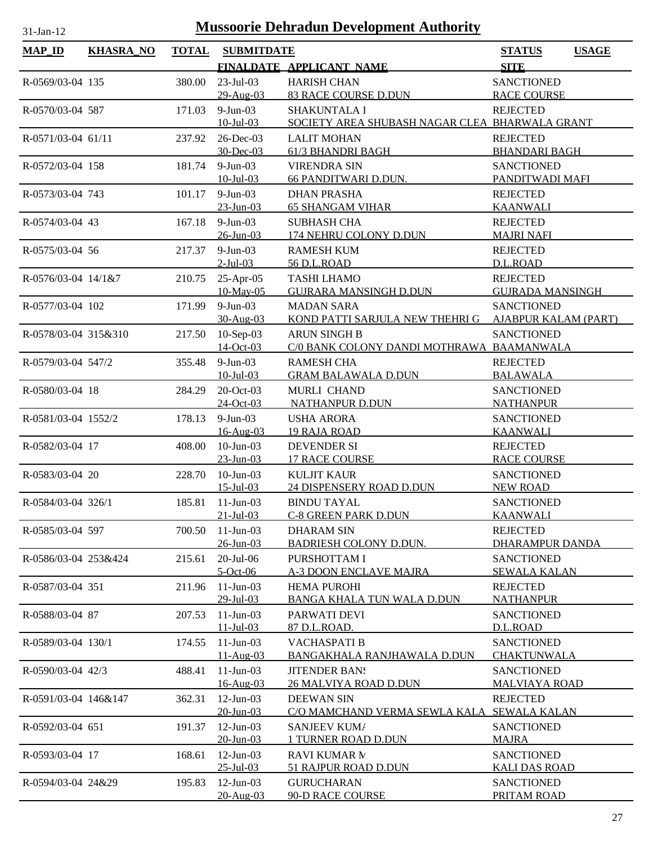| $MAP$ ID             | <b>KHASRA_NO</b> | <b>TOTAL</b> | <b>SUBMITDATE</b>                  |                                                      | <b>STATUS</b><br><b>USAGE</b>             |
|----------------------|------------------|--------------|------------------------------------|------------------------------------------------------|-------------------------------------------|
|                      |                  |              |                                    | FINALDATE APPLICANT NAME                             | <b>SITE</b>                               |
| R-0569/03-04 135     |                  | 380.00       | $23$ -Jul-03                       | <b>HARISH CHAN</b>                                   | <b>SANCTIONED</b>                         |
|                      |                  |              | 29-Aug-03                          | <b>83 RACE COURSE D.DUN</b>                          | <b>RACE COURSE</b>                        |
| R-0570/03-04 587     |                  | 171.03       | $9-Jun-03$                         | <b>SHAKUNTALA I</b>                                  | <b>REJECTED</b>                           |
|                      |                  |              | $10 -$ Jul $-03$                   | SOCIETY AREA SHUBASH NAGAR CLEA BHARWALA GRANT       |                                           |
| R-0571/03-04 61/11   |                  | 237.92       | 26-Dec-03                          | <b>LALIT MOHAN</b>                                   | <b>REJECTED</b>                           |
|                      |                  |              | 30-Dec-03                          | 61/3 BHANDRI BAGH                                    | <b>BHANDARI BAGH</b>                      |
| R-0572/03-04 158     |                  | 181.74       | $9-Jun-03$                         | <b>VIRENDRA SIN</b>                                  | <b>SANCTIONED</b>                         |
|                      |                  |              | $10 -$ Jul $-03$                   | 66 PANDITWARI D.DUN.                                 | PANDITWADI MAFI                           |
| R-0573/03-04 743     |                  | 101.17       | $9-Jun-03$                         | <b>DHAN PRASHA</b>                                   | <b>REJECTED</b>                           |
|                      |                  |              | $23 - Jun - 03$                    | <b>65 SHANGAM VIHAR</b>                              | <b>KAANWALI</b>                           |
| R-0574/03-04 43      |                  | 167.18       | $9-Jun-03$<br>$26$ -Jun-03         | <b>SUBHASH CHA</b><br>174 NEHRU COLONY D.DUN         | <b>REJECTED</b><br><b>MAJRI NAFI</b>      |
| R-0575/03-04 56      |                  | 217.37       | $9-Jun-03$                         | <b>RAMESH KUM</b>                                    | <b>REJECTED</b>                           |
|                      |                  |              | $2$ -Jul-03                        | 56 D.L.ROAD                                          | D.L.ROAD                                  |
| R-0576/03-04 14/1&7  |                  | 210.75       | $25$ -Apr-05                       | <b>TASHI LHAMO</b>                                   | <b>REJECTED</b>                           |
|                      |                  |              | 10-May-05                          | <b>GUJRARA MANSINGH D.DUN</b>                        | <b>GUJRADA MANSINGH</b>                   |
| R-0577/03-04 102     |                  | 171.99       | $9-Jun-03$                         | <b>MADAN SARA</b>                                    | <b>SANCTIONED</b>                         |
|                      |                  |              | 30-Aug-03                          | KOND PATTI SARJULA NEW THEHRI G                      | <b>AJABPUR KALAM (PART)</b>               |
| R-0578/03-04 315&310 |                  | 217.50       | 10-Sep-03                          | <b>ARUN SINGH B</b>                                  | <b>SANCTIONED</b>                         |
|                      |                  |              | 14-Oct-03                          | C/0 BANK COLONY DANDI MOTHRAWA BAAMANWALA            |                                           |
| R-0579/03-04 547/2   |                  | 355.48       | $9-Jun-03$                         | <b>RAMESH CHA</b>                                    | <b>REJECTED</b>                           |
|                      |                  |              | $10 -$ Jul $-03$                   | <b>GRAM BALAWALA D.DUN</b>                           | <b>BALAWALA</b>                           |
| R-0580/03-04 18      |                  | 284.29       | 20-Oct-03                          | MURLI CHAND                                          | <b>SANCTIONED</b>                         |
|                      |                  |              | 24-Oct-03                          | <b>NATHANPUR D.DUN</b>                               | <b>NATHANPUR</b>                          |
| R-0581/03-04 1552/2  |                  | 178.13       | $9-Jun-03$                         | <b>USHA ARORA</b>                                    | <b>SANCTIONED</b>                         |
|                      |                  |              | 16-Aug-03                          | <b>19 RAJA ROAD</b>                                  | <b>KAANWALI</b>                           |
| R-0582/03-04 17      |                  | 408.00       | $10$ -Jun- $03$<br>$23 - Jun - 03$ | <b>DEVENDER SI</b><br><b>17 RACE COURSE</b>          | <b>REJECTED</b><br><b>RACE COURSE</b>     |
| R-0583/03-04 20      |                  | 228.70       | $10$ -Jun-03                       | <b>KULJIT KAUR</b>                                   | <b>SANCTIONED</b>                         |
|                      |                  |              | $15$ -Jul-03                       | 24 DISPENSERY ROAD D.DUN                             | <b>NEW ROAD</b>                           |
| R-0584/03-04 326/1   |                  | 185.81       | $11-Jun-03$                        | <b>BINDU TAYAL</b>                                   | <b>SANCTIONED</b>                         |
|                      |                  |              | $21 - Jul - 03$                    | <b>C-8 GREEN PARK D.DUN</b>                          | <b>KAANWALI</b>                           |
| R-0585/03-04 597     |                  | 700.50       | $11-Jun-03$                        | <b>DHARAM SIN</b>                                    | <b>REJECTED</b>                           |
|                      |                  |              | 26-Jun-03                          | <b>BADRIESH COLONY D.DUN.</b>                        | DHARAMPUR DANDA                           |
| R-0586/03-04 253&424 |                  | 215.61       | $20$ -Jul- $06$                    | PURSHOTTAM I                                         | <b>SANCTIONED</b>                         |
|                      |                  |              | $5-Oct-06$                         | <b>A-3 DOON ENCLAVE MAJRA</b>                        | <b>SEWALA KALAN</b>                       |
| R-0587/03-04 351     |                  | 211.96       | $11-Jun-03$                        | <b>HEMA PUROHI</b>                                   | <b>REJECTED</b>                           |
|                      |                  |              | $29$ -Jul-03                       | <b>BANGA KHALA TUN WALA D.DUN</b>                    | <b>NATHANPUR</b>                          |
| R-0588/03-04 87      |                  | 207.53       | $11-Jun-03$                        | PARWATI DEVI                                         | <b>SANCTIONED</b>                         |
|                      |                  |              | $11 - \text{Jul} - 03$             | 87 D.L.ROAD.                                         | D.L.ROAD                                  |
| R-0589/03-04 130/1   |                  | 174.55       | $11-Jun-03$                        | VACHASPATI B                                         | <b>SANCTIONED</b>                         |
|                      |                  |              | $11-Aug-03$                        | BANGAKHALA RANJHAWALA D.DUN                          | <b>CHAKTUNWALA</b>                        |
| R-0590/03-04 42/3    |                  | 488.41       | $11-Jun-03$<br>16-Aug-03           | <b>JITENDER BAN!</b><br><b>26 MALVIYA ROAD D.DUN</b> | <b>SANCTIONED</b><br><b>MALVIAYA ROAD</b> |
| R-0591/03-04 146&147 |                  | 362.31       | $12$ -Jun-03                       | <b>DEEWAN SIN</b>                                    | <b>REJECTED</b>                           |
|                      |                  |              | $20$ -Jun-03                       | C/O MAMCHAND VERMA SEWLA KALA                        | <b>SEWALA KALAN</b>                       |
| R-0592/03-04 651     |                  | 191.37       | $12$ -Jun-03                       | SANJEEV KUM/                                         | <b>SANCTIONED</b>                         |
|                      |                  |              | 20-Jun-03                          | <b>1 TURNER ROAD D.DUN</b>                           | <b>MAJRA</b>                              |
| R-0593/03-04 17      |                  | 168.61       | $12$ -Jun-03                       | <b>RAVI KUMAR M</b>                                  | <b>SANCTIONED</b>                         |
|                      |                  |              | $25 - Jul - 03$                    | 51 RAJPUR ROAD D.DUN                                 | <b>KALI DAS ROAD</b>                      |
| R-0594/03-04 24&29   |                  | 195.83       | $12$ -Jun-03                       | <b>GURUCHARAN</b>                                    | <b>SANCTIONED</b>                         |
|                      |                  |              | 20-Aug-03                          | <b>90-D RACE COURSE</b>                              | PRITAM ROAD                               |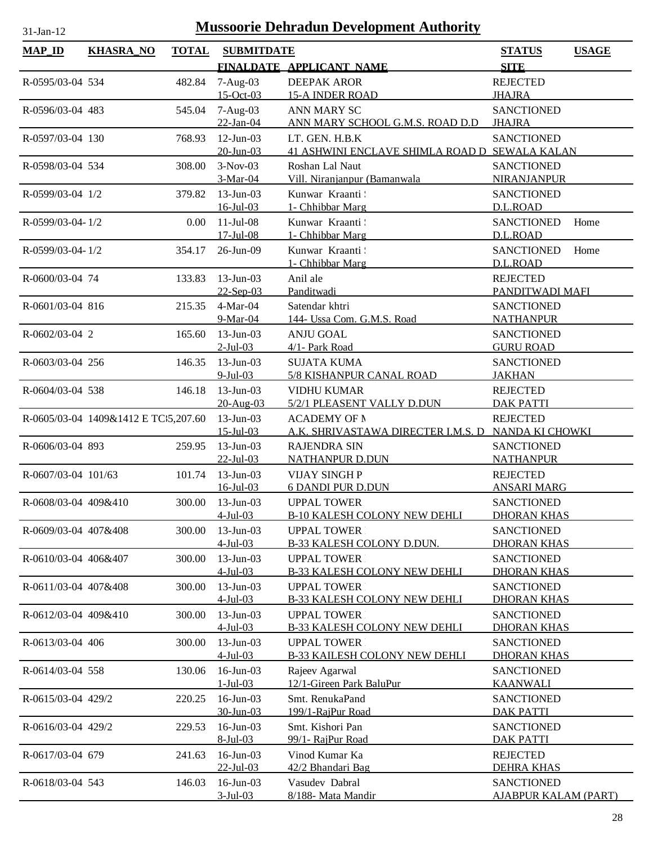| <b>MAP_ID</b>        | <b>KHASRA_NO</b>                     | <b>TOTAL</b> | <b>SUBMITDATE</b>               |                                                                 | <b>STATUS</b>                                    | <b>USAGE</b> |
|----------------------|--------------------------------------|--------------|---------------------------------|-----------------------------------------------------------------|--------------------------------------------------|--------------|
|                      |                                      |              |                                 | FINALDATE APPLICANT NAME                                        | <b>SITE</b>                                      |              |
| R-0595/03-04 534     |                                      | 482.84       | $7-Aug-03$<br>$15$ -Oct-03      | <b>DEEPAK AROR</b><br><b>15-A INDER ROAD</b>                    | <b>REJECTED</b><br><b>JHAJRA</b>                 |              |
| R-0596/03-04 483     |                                      | 545.04       | $7-Aug-03$<br>$22$ -Jan-04      | <b>ANN MARY SC</b><br>ANN MARY SCHOOL G.M.S. ROAD D.D           | <b>SANCTIONED</b><br><b>JHAJRA</b>               |              |
| R-0597/03-04 130     |                                      | 768.93       | $12$ -Jun-03<br>20-Jun-03       | LT. GEN. H.B.K<br>41 ASHWINI ENCLAVE SHIMLA ROAD D SEWALA KALAN | <b>SANCTIONED</b>                                |              |
| R-0598/03-04 534     |                                      | 308.00       | $3-Nov-03$<br>3-Mar-04          | Roshan Lal Naut<br>Vill. Niranjanpur (Bamanwala                 | <b>SANCTIONED</b><br><b>NIRANJANPUR</b>          |              |
| R-0599/03-04 1/2     |                                      | 379.82       | $13$ -Jun-03<br>$16$ -Jul-03    | Kunwar Kraanti<br>1- Chhibbar Marg                              | <b>SANCTIONED</b><br>D.L.ROAD                    |              |
| R-0599/03-04-1/2     |                                      | 0.00         | $11-Jul-08$<br>$17$ -Jul-08     | Kunwar Kraanti<br>1- Chhibbar Marg                              | <b>SANCTIONED</b><br>D.L.ROAD                    | Home         |
| R-0599/03-04-1/2     |                                      | 354.17       | 26-Jun-09                       | Kunwar Kraanti<br>1- Chhibbar Marg                              | <b>SANCTIONED</b><br>D.L.ROAD                    | Home         |
| R-0600/03-04 74      |                                      | 133.83       | 13-Jun-03<br>22-Sep-03          | Anil ale<br>Panditwadi                                          | <b>REJECTED</b><br>PANDITWADI MAFI               |              |
| R-0601/03-04 816     |                                      | 215.35       | $4-Mar-04$<br>9-Mar-04          | Satendar khtri<br>144- Ussa Com. G.M.S. Road                    | <b>SANCTIONED</b><br><b>NATHANPUR</b>            |              |
| R-0602/03-04 2       |                                      | 165.60       | $13$ -Jun-03<br>$2$ -Jul-03     | <b>ANJU GOAL</b><br>4/1- Park Road                              | <b>SANCTIONED</b><br><b>GURU ROAD</b>            |              |
| R-0603/03-04 256     |                                      | 146.35       | $13$ -Jun-03<br>$9$ -Jul-03     | <b>SUJATA KUMA</b><br>5/8 KISHANPUR CANAL ROAD                  | <b>SANCTIONED</b><br><b>JAKHAN</b>               |              |
| R-0604/03-04 538     |                                      | 146.18       | $13$ -Jun-03<br>20-Aug-03       | <b>VIDHU KUMAR</b><br>5/2/1 PLEASENT VALLY D.DUN                | <b>REJECTED</b><br><b>DAK PATTI</b>              |              |
|                      | R-0605/03-04 1409&1412 E TC:5,207.60 |              | $13$ -Jun-03<br>$15 - Jul - 03$ | <b>ACADEMY OF N</b><br>A.K. SHRIVASTAWA DIRECTER I.M.S. D       | <b>REJECTED</b><br>NANDA KI CHOWKI               |              |
| R-0606/03-04 893     |                                      | 259.95       | $13$ -Jun-03<br>$22$ -Jul-03    | <b>RAJENDRA SIN</b><br><b>NATHANPUR D.DUN</b>                   | <b>SANCTIONED</b><br><b>NATHANPUR</b>            |              |
| R-0607/03-04 101/63  |                                      | 101.74       | $13$ -Jun-03<br>$16$ -Jul $-03$ | <b>VIJAY SINGHP</b><br><b>6 DANDI PUR D.DUN</b>                 | <b>REJECTED</b><br><b>ANSARI MARG</b>            |              |
| R-0608/03-04 409&410 |                                      | 300.00       | $13$ -Jun-03<br>$4$ -Jul-03     | <b>UPPAL TOWER</b><br><b>B-10 KALESH COLONY NEW DEHLI</b>       | <b>SANCTIONED</b><br><b>DHORAN KHAS</b>          |              |
| R-0609/03-04 407&408 |                                      | 300.00       | $13$ -Jun-03<br>$4-Jul-03$      | <b>UPPAL TOWER</b><br><b>B-33 KALESH COLONY D.DUN.</b>          | <b>SANCTIONED</b><br><b>DHORAN KHAS</b>          |              |
| R-0610/03-04 406&407 |                                      | 300.00       | $13$ -Jun-03<br>$4$ -Jul-03     | <b>UPPAL TOWER</b><br><b>B-33 KALESH COLONY NEW DEHLI</b>       | <b>SANCTIONED</b><br><b>DHORAN KHAS</b>          |              |
| R-0611/03-04 407&408 |                                      | 300.00       | $13$ -Jun-03<br>$4$ -Jul-03     | <b>UPPAL TOWER</b><br><b>B-33 KALESH COLONY NEW DEHLI</b>       | <b>SANCTIONED</b><br><b>DHORAN KHAS</b>          |              |
| R-0612/03-04 409&410 |                                      | 300.00       | 13-Jun-03<br>$4$ -Jul-03        | <b>UPPAL TOWER</b><br><b>B-33 KALESH COLONY NEW DEHLI</b>       | <b>SANCTIONED</b><br><b>DHORAN KHAS</b>          |              |
| R-0613/03-04 406     |                                      | 300.00       | $13$ -Jun-03<br>$4-Jul-03$      | <b>UPPAL TOWER</b><br><b>B-33 KAILESH COLONY NEW DEHLI</b>      | <b>SANCTIONED</b><br><b>DHORAN KHAS</b>          |              |
| R-0614/03-04 558     |                                      | 130.06       | $16$ -Jun-03<br>$1-Jul-03$      | Rajeev Agarwal<br>12/1-Gireen Park BaluPur                      | <b>SANCTIONED</b><br><b>KAANWALI</b>             |              |
| R-0615/03-04 429/2   |                                      | 220.25       | $16$ -Jun-03<br>30-Jun-03       | Smt. RenukaPand<br>199/1-RajPur Road                            | <b>SANCTIONED</b><br><b>DAK PATTI</b>            |              |
| R-0616/03-04 429/2   |                                      | 229.53       | 16-Jun-03<br>8-Jul-03           | Smt. Kishori Pan<br>99/1- RajPur Road                           | <b>SANCTIONED</b><br><b>DAK PATTI</b>            |              |
| R-0617/03-04 679     |                                      | 241.63       | 16-Jun-03<br>22-Jul-03          | Vinod Kumar Ka<br>42/2 Bhandari Bag                             | <b>REJECTED</b><br><b>DEHRA KHAS</b>             |              |
| R-0618/03-04 543     |                                      | 146.03       | 16-Jun-03<br>$3$ -Jul-03        | Vasudev Dabral<br>8/188- Mata Mandir                            | <b>SANCTIONED</b><br><b>AJABPUR KALAM (PART)</b> |              |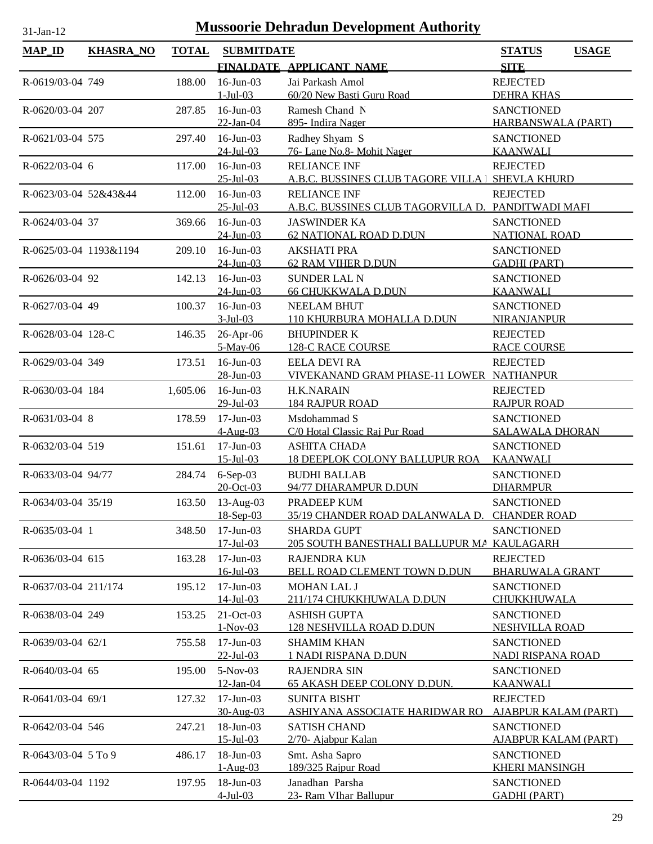| <b>MAP_ID</b>          | <b>KHASRA_NO</b> | <b>TOTAL</b> | <b>SUBMITDATE</b>               |                                                              | <b>STATUS</b><br><b>USAGE</b>                  |
|------------------------|------------------|--------------|---------------------------------|--------------------------------------------------------------|------------------------------------------------|
|                        |                  |              |                                 | FINALDATE APPLICANT NAME                                     | <b>SITE</b>                                    |
| R-0619/03-04 749       |                  | 188.00       | $16$ -Jun-03                    | Jai Parkash Amol                                             | <b>REJECTED</b>                                |
|                        |                  |              | $1-Jul-03$                      | 60/20 New Basti Guru Road                                    | <b>DEHRA KHAS</b>                              |
| R-0620/03-04 207       |                  | 287.85       | 16-Jun-03                       | Ramesh Chand N                                               | <b>SANCTIONED</b>                              |
|                        |                  |              | 22-Jan-04                       | 895- Indira Nager                                            | <b>HARBANSWALA (PART)</b>                      |
| R-0621/03-04 575       |                  | 297.40       | $16$ -Jun-03                    | Radhey Shyam S                                               | <b>SANCTIONED</b>                              |
|                        |                  |              | $24$ -Jul-03                    | 76-Lane No.8- Mohit Nager                                    | <b>KAANWALI</b>                                |
| R-0622/03-04 6         |                  | 117.00       | 16-Jun-03                       | <b>RELIANCE INF</b>                                          | <b>REJECTED</b>                                |
|                        |                  |              | $25 - Jul - 03$                 | <u>A.B.C. BUSSINES CLUB TAGORE VILLA I</u>                   | <b>SHEVLA KHURD</b>                            |
| R-0623/03-04 52&43&44  |                  | 112.00       | $16$ -Jun-03                    | <b>RELIANCE INF</b>                                          | <b>REJECTED</b>                                |
|                        |                  |              | $25 - Jul - 03$                 | A.B.C. BUSSINES CLUB TAGORVILLA D.                           | PANDITWADI MAFI                                |
| R-0624/03-04 37        |                  | 369.66       | $16$ -Jun-03<br>$24$ -Jun-03    | <b>JASWINDER KA</b><br>62 NATIONAL ROAD D.DUN                | <b>SANCTIONED</b><br><b>NATIONAL ROAD</b>      |
| R-0625/03-04 1193&1194 |                  | 209.10       | $16$ -Jun-03                    | <b>AKSHATI PRA</b>                                           | <b>SANCTIONED</b>                              |
|                        |                  |              | $24$ -Jun-03                    | <b>62 RAM VIHER D.DUN</b>                                    | <b>GADHI (PART)</b>                            |
| R-0626/03-04 92        |                  | 142.13       | $16$ -Jun-03                    | <b>SUNDER LAL N</b>                                          | <b>SANCTIONED</b>                              |
|                        |                  |              | $24$ -Jun-03                    | <b>66 CHUKKWALA D.DUN</b>                                    | <b>KAANWALI</b>                                |
| R-0627/03-04 49        |                  | 100.37       | 16-Jun-03                       | <b>NEELAM BHUT</b>                                           | <b>SANCTIONED</b>                              |
|                        |                  |              | $3$ -Jul-03                     | 110 KHURBURA MOHALLA D.DUN                                   | <b>NIRANJANPUR</b>                             |
| R-0628/03-04 128-C     |                  | 146.35       | 26-Apr-06                       | <b>BHUPINDER K</b>                                           | <b>REJECTED</b>                                |
|                        |                  |              | 5-May-06                        | 128-C RACE COURSE                                            | <b>RACE COURSE</b>                             |
| R-0629/03-04 349       |                  | 173.51       | $16$ -Jun-03                    | <b>EELA DEVI RA</b>                                          | <b>REJECTED</b>                                |
|                        |                  |              | 28-Jun-03                       | VIVEKANAND GRAM PHASE-11 LOWER                               | <b>NATHANPUR</b>                               |
| R-0630/03-04 184       |                  | 1,605.06     | 16-Jun-03                       | <b>H.K.NARAIN</b>                                            | <b>REJECTED</b>                                |
|                        |                  |              | $29$ -Jul-03                    | <b>184 RAJPUR ROAD</b>                                       | <b>RAJPUR ROAD</b>                             |
| R-0631/03-04 8         |                  | 178.59       | $17$ -Jun-03                    | Msdohammad S                                                 | <b>SANCTIONED</b>                              |
|                        |                  |              | $4-Aug-03$                      | C/0 Hotal Classic Raj Pur Road                               | <b>SALAWALA DHORAN</b>                         |
| R-0632/03-04 519       |                  | 151.61       | $17$ -Jun-03<br>$15 - Jul - 03$ | <b>ASHITA CHADA</b><br><b>18 DEEPLOK COLONY BALLUPUR ROA</b> | <b>SANCTIONED</b><br><b>KAANWALI</b>           |
| R-0633/03-04 94/77     |                  |              |                                 |                                                              | <b>SANCTIONED</b>                              |
|                        |                  | 284.74       | $6-Sep-03$<br>20-Oct-03         | <b>BUDHI BALLAB</b><br>94/77 DHARAMPUR D.DUN                 | <b>DHARMPUR</b>                                |
| R-0634/03-04 35/19     |                  | 163.50       | $13-Aug-03$                     | PRADEEP KUM                                                  | <b>SANCTIONED</b>                              |
|                        |                  |              | 18-Sep-03                       | 35/19 CHANDER ROAD DALANWALA D. CHANDER ROAD                 |                                                |
| R-0635/03-04 1         |                  | 348.50       | $17-Jun-03$                     | <b>SHARDA GUPT</b>                                           | <b>SANCTIONED</b>                              |
|                        |                  |              | $17 -$ Jul $-03$                | 205 SOUTH BANESTHALI BALLUPUR MA KAULAGARH                   |                                                |
| R-0636/03-04 615       |                  | 163.28       | $17$ -Jun-03                    | <b>RAJENDRA KUN</b>                                          | <b>REJECTED</b>                                |
|                        |                  |              | $16$ -Jul-03                    | BELL ROAD CLEMENT TOWN D.DUN                                 | <b>BHARUWALA GRANT</b>                         |
| R-0637/03-04 211/174   |                  | 195.12       | $17-Jun-03$                     | MOHAN LAL J                                                  | <b>SANCTIONED</b>                              |
|                        |                  |              | $14$ -Jul-03                    | 211/174 CHUKKHUWALA D.DUN                                    | CHUKKHUWALA                                    |
| R-0638/03-04 249       |                  | 153.25       | 21-Oct-03                       | <b>ASHISH GUPTA</b>                                          | <b>SANCTIONED</b>                              |
|                        |                  |              | $1-Nov-03$                      | <b>128 NESHVILLA ROAD D.DUN</b>                              | <b>NESHVILLA ROAD</b>                          |
| R-0639/03-04 62/1      |                  | 755.58       | 17-Jun-03                       | <b>SHAMIM KHAN</b>                                           | <b>SANCTIONED</b>                              |
|                        |                  |              | $22$ -Jul-03                    | 1 NADI RISPANA D.DUN                                         | NADI RISPANA ROAD                              |
| R-0640/03-04 65        |                  | 195.00       | 5-Nov-03                        | <b>RAJENDRA SIN</b>                                          | <b>SANCTIONED</b>                              |
|                        |                  |              | 12-Jan-04<br>$17$ -Jun-03       | <b>65 AKASH DEEP COLONY D.DUN.</b>                           | <b>KAANWALI</b>                                |
| R-0641/03-04 69/1      |                  | 127.32       | 30-Aug-03                       | <b>SUNITA BISHT</b><br>ASHIYANA ASSOCIATE HARIDWAR RO        | <b>REJECTED</b><br><b>AJABPUR KALAM (PART)</b> |
| R-0642/03-04 546       |                  | 247.21       | 18-Jun-03                       | <b>SATISH CHAND</b>                                          | <b>SANCTIONED</b>                              |
|                        |                  |              | $15$ -Jul-03                    | 2/70- Ajabpur Kalan                                          | <b>AJABPUR KALAM (PART)</b>                    |
| R-0643/03-04 5 To 9    |                  | 486.17       | 18-Jun-03                       | Smt. Asha Sapro                                              | <b>SANCTIONED</b>                              |
|                        |                  |              | $1-Aug-03$                      | 189/325 Rajpur Road                                          | <b>KHERI MANSINGH</b>                          |
| R-0644/03-04 1192      |                  | 197.95       | 18-Jun-03                       | Janadhan Parsha                                              | <b>SANCTIONED</b>                              |
|                        |                  |              | $4$ -Jul-03                     | 23- Ram VIhar Ballupur                                       | <b>GADHI (PART)</b>                            |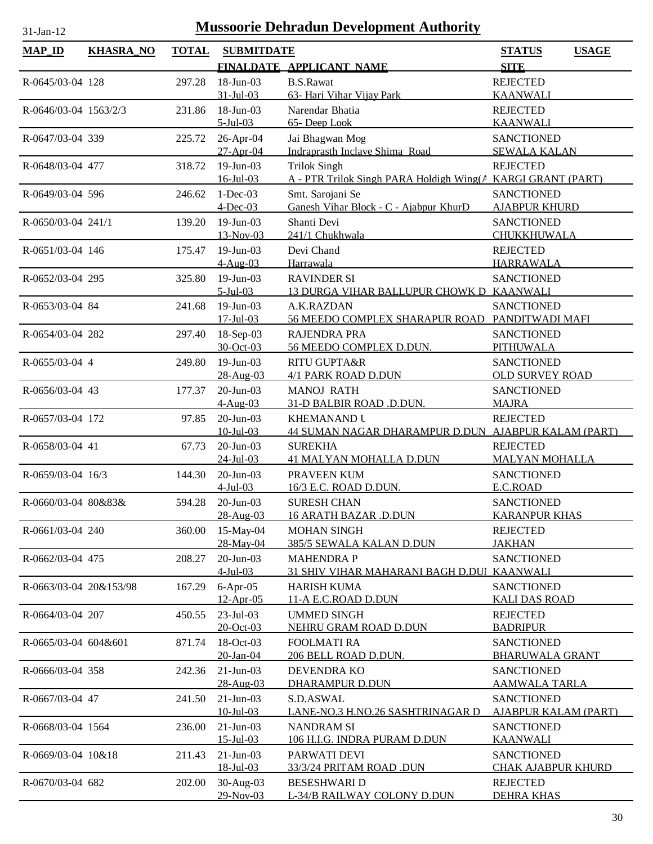| <b>MAP_ID</b>             | <b>KHASRA_NO</b> | <b>TOTAL</b> | <b>SUBMITDATE</b>           |                                                             | <b>STATUS</b><br><b>USAGE</b>                    |
|---------------------------|------------------|--------------|-----------------------------|-------------------------------------------------------------|--------------------------------------------------|
|                           |                  |              |                             | FINALDATE APPLICANT NAME                                    | <b>SITE</b>                                      |
| R-0645/03-04 128          |                  | 297.28       | 18-Jun-03                   | <b>B.S.Rawat</b>                                            | <b>REJECTED</b>                                  |
|                           |                  |              | $31 - Jul - 03$             | 63- Hari Vihar Vijay Park                                   | <b>KAANWALI</b>                                  |
| R-0646/03-04 1563/2/3     |                  | 231.86       | 18-Jun-03                   | Narendar Bhatia                                             | <b>REJECTED</b>                                  |
|                           |                  |              | $5$ -Jul-03                 | 65- Deep Look                                               | <b>KAANWALI</b>                                  |
| R-0647/03-04 339          |                  | 225.72       | 26-Apr-04                   | Jai Bhagwan Mog                                             | <b>SANCTIONED</b>                                |
|                           |                  |              | $27-Apr-04$                 | Indraprasth Inclave Shima Road                              | <b>SEWALA KALAN</b>                              |
| R-0648/03-04 477          |                  | 318.72       | 19-Jun-03                   | <b>Trilok Singh</b>                                         | <b>REJECTED</b>                                  |
|                           |                  |              | $16$ -Jul-03                | A - PTR Trilok Singh PARA Holdigh Wing(A KARGI GRANT (PART) |                                                  |
| R-0649/03-04 596          |                  | 246.62       | $1-Dec-03$                  | Smt. Sarojani Se                                            | <b>SANCTIONED</b>                                |
|                           |                  |              | $4$ -Dec-03                 | Ganesh Vihar Block - C - Ajabpur KhurD                      | <b>AJABPUR KHURD</b>                             |
| R-0650/03-04 241/1        |                  | 139.20       | 19-Jun-03                   | Shanti Devi                                                 | <b>SANCTIONED</b>                                |
|                           |                  |              | 13-Nov-03                   | 241/1 Chukhwala                                             | CHUKKHUWALA                                      |
| R-0651/03-04 146          |                  | 175.47       | 19-Jun-03                   | Devi Chand                                                  | <b>REJECTED</b>                                  |
|                           |                  |              | $4-Aug-03$                  | Harrawala                                                   | <b>HARRAWALA</b>                                 |
| R-0652/03-04 295          |                  | 325.80       | $19$ -Jun-03                | <b>RAVINDER SI</b>                                          | <b>SANCTIONED</b>                                |
|                           |                  |              | $5$ -Jul-03                 | 13 DURGA VIHAR BALLUPUR CHOWK D KAANWALI                    |                                                  |
| R-0653/03-04 84           |                  | 241.68       | $19-Jun-03$                 | A.K.RAZDAN                                                  | <b>SANCTIONED</b>                                |
|                           |                  |              | $17 -$ Jul $-03$            | 56 MEEDO COMPLEX SHARAPUR ROAD                              | PANDITWADI MAFI                                  |
| R-0654/03-04 282          |                  | 297.40       | 18-Sep-03<br>30-Oct-03      | <b>RAJENDRA PRA</b>                                         | <b>SANCTIONED</b>                                |
|                           |                  |              |                             | 56 MEEDO COMPLEX D.DUN.                                     | <b>PITHUWALA</b>                                 |
| R-0655/03-04 4            |                  | 249.80       | 19-Jun-03<br>28-Aug-03      | RITU GUPTA&R<br>4/1 PARK ROAD D.DUN                         | <b>SANCTIONED</b><br><b>OLD SURVEY ROAD</b>      |
| R-0656/03-04 43           |                  | 177.37       | 20-Jun-03                   | <b>MANOJ RATH</b>                                           | <b>SANCTIONED</b>                                |
|                           |                  |              | $4-Aug-03$                  | 31-D BALBIR ROAD .D.DUN.                                    | <b>MAJRA</b>                                     |
| R-0657/03-04 172          |                  | 97.85        | 20-Jun-03                   | <b>KHEMANAND U</b>                                          | <b>REJECTED</b>                                  |
|                           |                  |              | $10$ -Jul-03                | 44 SUMAN NAGAR DHARAMPUR D.DUN AJABPUR KALAM (PART)         |                                                  |
| R-0658/03-04 41           |                  | 67.73        | $20$ -Jun-03                | <b>SUREKHA</b>                                              | <b>REJECTED</b>                                  |
|                           |                  |              | $24$ -Jul-03                | <b>41 MALYAN MOHALLA D.DUN</b>                              | <b>MALYAN MOHALLA</b>                            |
| R-0659/03-04 16/3         |                  | 144.30       | 20-Jun-03                   | PRAVEEN KUM                                                 | <b>SANCTIONED</b>                                |
|                           |                  |              | $4$ -Jul-03                 | 16/3 E.C. ROAD D.DUN.                                       | E.C.ROAD                                         |
| $R - 0660/03 - 0480&83&6$ |                  | 594.28       | 20-Jun-03                   | <b>SURESH CHAN</b>                                          | <b>SANCTIONED</b>                                |
|                           |                  |              | 28-Aug-03                   | <b>16 ARATH BAZAR .D.DUN</b>                                | <b>KARANPUR KHAS</b>                             |
| R-0661/03-04 240          |                  | 360.00       | 15-May-04                   | <b>MOHAN SINGH</b>                                          | <b>REJECTED</b>                                  |
|                           |                  |              | 28-May-04                   | 385/5 SEWALA KALAN D.DUN                                    | <b>JAKHAN</b>                                    |
| R-0662/03-04 475          |                  | 208.27       | $20$ -Jun-03                | <b>MAHENDRAP</b>                                            | <b>SANCTIONED</b>                                |
|                           |                  |              | $4$ -Jul-03                 | 31 SHIV VIHAR MAHARANI BAGH D.DUI KAANWALI                  |                                                  |
| R-0663/03-04 20&153/98    |                  | 167.29       | $6-Apr-05$                  | <b>HARISH KUMA</b>                                          | <b>SANCTIONED</b>                                |
|                           |                  |              | $12-Apr-05$                 | 11-A E.C.ROAD D.DUN                                         | <b>KALI DAS ROAD</b>                             |
| R-0664/03-04 207          |                  | 450.55       | $23$ -Jul-03                | <b>UMMED SINGH</b>                                          | <b>REJECTED</b>                                  |
|                           |                  |              | 20-Oct-03                   | NEHRU GRAM ROAD D.DUN                                       | <b>BADRIPUR</b>                                  |
| R-0665/03-04 604&601      |                  | 871.74       | 18-Oct-03                   | <b>FOOLMATI RA</b>                                          | <b>SANCTIONED</b>                                |
|                           |                  |              | 20-Jan-04                   | 206 BELL ROAD D.DUN.                                        | <b>BHARUWALA GRANT</b>                           |
| R-0666/03-04 358          |                  | 242.36       | $21-Jun-03$                 | DEVENDRA KO                                                 | <b>SANCTIONED</b>                                |
|                           |                  |              | 28-Aug-03                   | <b>DHARAMPUR D.DUN</b>                                      | <u>AAMWALA TARLA</u>                             |
| R-0667/03-04 47           |                  | 241.50       | $21-Jun-03$<br>$10$ -Jul-03 | S.D.ASWAL<br>LANE-NO.3 H.NO.26 SASHTRINAGAR D               | <b>SANCTIONED</b><br><b>AJABPUR KALAM (PART)</b> |
|                           |                  |              |                             | <b>NANDRAM SI</b>                                           |                                                  |
| R-0668/03-04 1564         |                  | 236.00       | $21-Jun-03$<br>$15$ -Jul-03 | 106 H.I.G. INDRA PURAM D.DUN                                | <b>SANCTIONED</b><br><b>KAANWALI</b>             |
| R-0669/03-04 10&18        |                  | 211.43       | $21-Jun-03$                 | PARWATI DEVI                                                | <b>SANCTIONED</b>                                |
|                           |                  |              | 18-Jul-03                   | 33/3/24 PRITAM ROAD .DUN                                    | <b>CHAK AJABPUR KHURD</b>                        |
| R-0670/03-04 682          |                  | 202.00       | 30-Aug-03                   | <b>BESESHWARI D</b>                                         | <b>REJECTED</b>                                  |
|                           |                  |              | 29-Nov-03                   | L-34/B RAILWAY COLONY D.DUN                                 | <b>DEHRA KHAS</b>                                |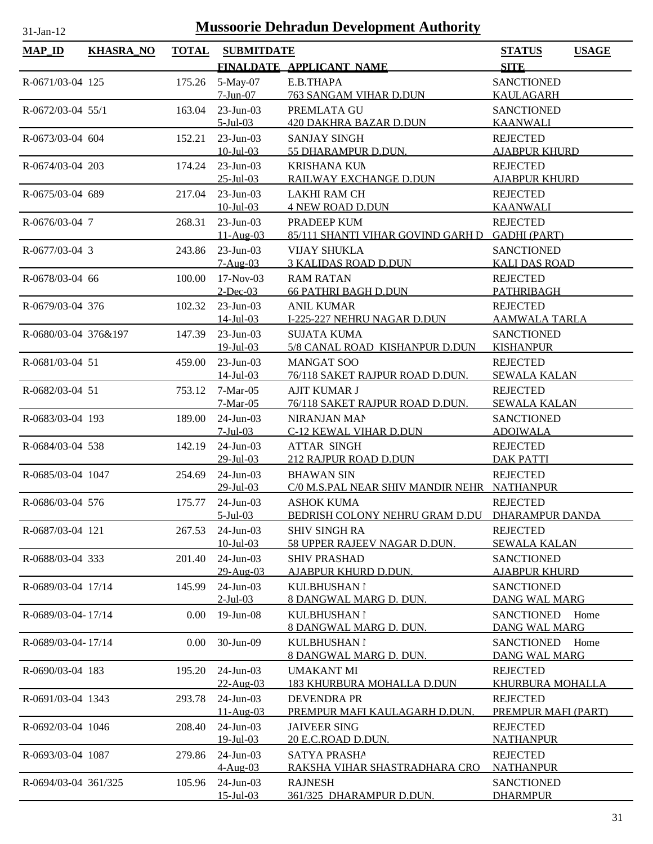| <b>MAP_ID</b>        | <b>KHASRA_NO</b> | <b>TOTAL</b> | <b>SUBMITDATE</b>            |                                                                  | <b>STATUS</b><br><b>USAGE</b>          |
|----------------------|------------------|--------------|------------------------------|------------------------------------------------------------------|----------------------------------------|
|                      |                  |              |                              | FINALDATE APPLICANT NAME                                         | <b>SITE</b>                            |
| R-0671/03-04 125     |                  | 175.26       | 5-May-07                     | E.B.THAPA                                                        | <b>SANCTIONED</b>                      |
|                      |                  |              | $7-Jun-07$                   | <b>763 SANGAM VIHAR D.DUN</b>                                    | <b>KAULAGARH</b>                       |
| R-0672/03-04 55/1    |                  | 163.04       | 23-Jun-03                    | PREMLATA GU                                                      | <b>SANCTIONED</b>                      |
|                      |                  |              | $5$ -Jul-03                  | <b>420 DAKHRA BAZAR D.DUN</b>                                    | <b>KAANWALI</b>                        |
| R-0673/03-04 604     |                  | 152.21       | 23-Jun-03                    | <b>SANJAY SINGH</b>                                              | <b>REJECTED</b>                        |
|                      |                  |              | $10$ -Jul-03                 | 55 DHARAMPUR D.DUN.                                              | <b>AJABPUR KHURD</b>                   |
| R-0674/03-04 203     |                  | 174.24       | $23$ -Jun-03                 | <b>KRISHANA KUN</b>                                              | <b>REJECTED</b>                        |
|                      |                  |              | $25$ -Jul-03                 | RAILWAY EXCHANGE D.DUN                                           | <b>AJABPUR KHURD</b>                   |
| R-0675/03-04 689     |                  | 217.04       | $23$ -Jun-03                 | <b>LAKHI RAM CH</b>                                              | <b>REJECTED</b>                        |
|                      |                  |              | $10$ -Jul-03                 | <b>4 NEW ROAD D.DUN</b>                                          | <b>KAANWALI</b>                        |
| R-0676/03-04 7       |                  | 268.31       | $23$ -Jun-03<br>11-Aug-03    | PRADEEP KUM<br>85/111 SHANTI VIHAR GOVIND GARH D                 | <b>REJECTED</b><br><b>GADHI (PART)</b> |
| R-0677/03-04 3       |                  | 243.86       | 23-Jun-03                    | <b>VIJAY SHUKLA</b>                                              | <b>SANCTIONED</b>                      |
|                      |                  |              | $7-Aug-03$                   | <b>3 KALIDAS ROAD D.DUN</b>                                      | <b>KALI DAS ROAD</b>                   |
| R-0678/03-04 66      |                  | 100.00       | $17-Nov-03$                  | <b>RAM RATAN</b>                                                 | <b>REJECTED</b>                        |
|                      |                  |              | $2$ -Dec-03                  | <b>66 PATHRI BAGH D.DUN</b>                                      | <b>PATHRIBAGH</b>                      |
| R-0679/03-04 376     |                  | 102.32       | $23$ -Jun-03                 | <b>ANIL KUMAR</b>                                                | <b>REJECTED</b>                        |
|                      |                  |              | $14$ -Jul-03                 | I-225-227 NEHRU NAGAR D.DUN                                      | <b>AAMWALA TARLA</b>                   |
| R-0680/03-04 376&197 |                  | 147.39       | $23$ -Jun-03                 | <b>SUJATA KUMA</b>                                               | <b>SANCTIONED</b>                      |
|                      |                  |              | $19$ -Jul-03                 | 5/8 CANAL ROAD KISHANPUR D.DUN                                   | <b>KISHANPUR</b>                       |
| R-0681/03-04 51      |                  | 459.00       | $23$ -Jun-03                 | <b>MANGAT SOO</b>                                                | <b>REJECTED</b>                        |
|                      |                  |              | $14$ -Jul-03                 | 76/118 SAKET RAJPUR ROAD D.DUN.                                  | <b>SEWALA KALAN</b>                    |
| R-0682/03-04 51      |                  | 753.12       | 7-Mar-05                     | <b>AJIT KUMAR J</b>                                              | <b>REJECTED</b>                        |
|                      |                  |              | $7-Mar-05$                   | 76/118 SAKET RAJPUR ROAD D.DUN.                                  | <b>SEWALA KALAN</b>                    |
| R-0683/03-04 193     |                  | 189.00       | 24-Jun-03                    | NIRANJAN MAN                                                     | <b>SANCTIONED</b>                      |
|                      |                  |              | $7-Jul-03$                   | C-12 KEWAL VIHAR D.DUN                                           | <b>ADOIWALA</b>                        |
| R-0684/03-04 538     |                  | 142.19       | 24-Jun-03                    | <b>ATTAR SINGH</b><br>212 RAJPUR ROAD D.DUN                      | <b>REJECTED</b><br><b>DAK PATTI</b>    |
|                      |                  |              | $29$ -Jul-03                 |                                                                  |                                        |
| R-0685/03-04 1047    |                  | 254.69       | $24$ -Jun-03<br>$29$ -Jul-03 | <b>BHAWAN SIN</b><br>C/0 M.S.PAL NEAR SHIV MANDIR NEHR NATHANPUR | <b>REJECTED</b>                        |
| R-0686/03-04 576     |                  | 175.77       | $24$ -Jun-03                 | <b>ASHOK KUMA</b>                                                | <b>REJECTED</b>                        |
|                      |                  |              | $5$ -Jul $-03$               | BEDRISH COLONY NEHRU GRAM D.DU DHARAMPUR DANDA                   |                                        |
| R-0687/03-04 121     |                  | 267.53       | $24$ -Jun-03                 | <b>SHIV SINGH RA</b>                                             | <b>REJECTED</b>                        |
|                      |                  |              | $10$ -Jul-03                 | 58 UPPER RAJEEV NAGAR D.DUN.                                     | <b>SEWALA KALAN</b>                    |
| R-0688/03-04 333     |                  | 201.40       | $24$ -Jun-03                 | <b>SHIV PRASHAD</b>                                              | <b>SANCTIONED</b>                      |
|                      |                  |              | 29-Aug-03                    | AJABPUR KHURD D.DUN.                                             | <b>AJABPUR KHURD</b>                   |
| R-0689/03-04 17/14   |                  | 145.99       | $24$ -Jun-03                 | KULBHUSHAN I                                                     | <b>SANCTIONED</b>                      |
|                      |                  |              | $2-Jul-03$                   | 8 DANGWAL MARG D. DUN.                                           | DANG WAL MARG                          |
| R-0689/03-04-17/14   |                  | 0.00         | 19-Jun-08                    | <b>KULBHUSHAN I</b>                                              | <b>SANCTIONED</b><br>Home              |
|                      |                  |              |                              | 8 DANGWAL MARG D. DUN.                                           | <b>DANG WAL MARG</b>                   |
| R-0689/03-04-17/14   |                  | 0.00         | 30-Jun-09                    | KULBHUSHAN I                                                     | <b>SANCTIONED</b><br>Home              |
|                      |                  |              |                              | 8 DANGWAL MARG D. DUN.                                           | <b>DANG WAL MARG</b>                   |
| R-0690/03-04 183     |                  | 195.20       | 24-Jun-03                    | <b>UMAKANT MI</b>                                                | <b>REJECTED</b>                        |
|                      |                  |              | 22-Aug-03                    | <u>183 KHURBURA MOHALLA D.DUN</u>                                | <u>KHURBURA MOHALLA</u>                |
| R-0691/03-04 1343    |                  | 293.78       | $24$ -Jun-03<br>$11-Au$ g-03 | <b>DEVENDRA PR</b><br>PREMPUR MAFI KAULAGARH D.DUN.              | <b>REJECTED</b><br>PREMPUR MAFI (PART) |
| R-0692/03-04 1046    |                  | 208.40       | 24-Jun-03                    | <b>JAIVEER SING</b>                                              | <b>REJECTED</b>                        |
|                      |                  |              | 19-Jul-03                    | 20 E.C.ROAD D.DUN.                                               | <b>NATHANPUR</b>                       |
| R-0693/03-04 1087    |                  | 279.86       | $24$ -Jun-03                 | <b>SATYA PRASHA</b>                                              | <b>REJECTED</b>                        |
|                      |                  |              | 4-Aug-03                     | RAKSHA VIHAR SHASTRADHARA CRO                                    | <b>NATHANPUR</b>                       |
| R-0694/03-04 361/325 |                  | 105.96       | $24$ -Jun-03                 | <b>RAJNESH</b>                                                   | <b>SANCTIONED</b>                      |
|                      |                  |              | $15 - Jul - 03$              | 361/325 DHARAMPUR D.DUN.                                         | <b>DHARMPUR</b>                        |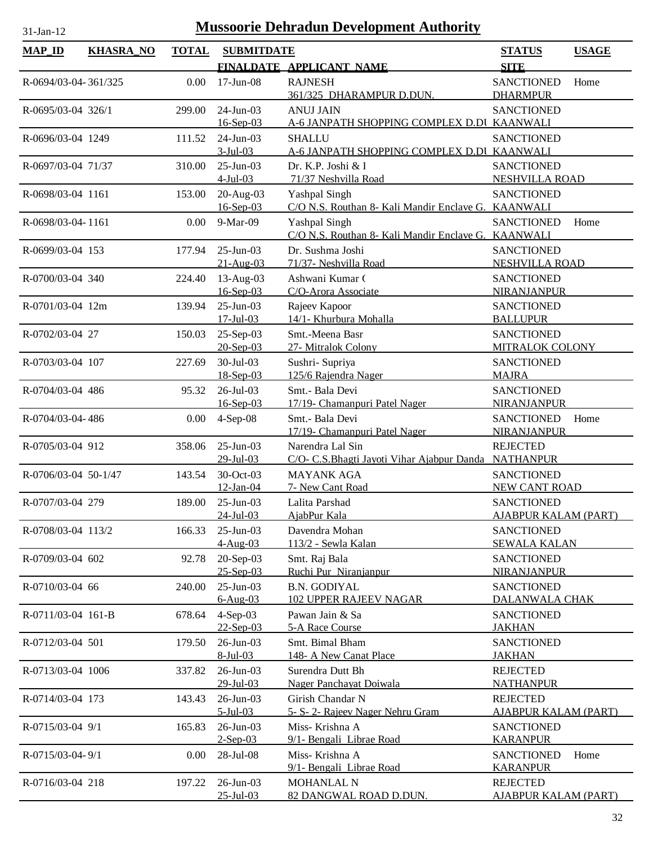| <b>MAP_ID</b>        | <b>KHASRA_NO</b> | <b>TOTAL</b> | <b>SUBMITDATE</b>                |                                                                      | <b>STATUS</b>                                    | <b>USAGE</b> |
|----------------------|------------------|--------------|----------------------------------|----------------------------------------------------------------------|--------------------------------------------------|--------------|
|                      |                  |              |                                  | FINALDATE APPLICANT NAME                                             | <b>SITE</b>                                      |              |
| R-0694/03-04-361/325 |                  | 0.00         | $17$ -Jun-08                     | <b>RAJNESH</b><br>361/325_DHARAMPUR D.DUN.                           | <b>SANCTIONED</b><br><b>DHARMPUR</b>             | Home         |
| R-0695/03-04 326/1   |                  | 299.00       | 24-Jun-03<br>16-Sep-03           | <b>ANUJ JAIN</b><br>A-6 JANPATH SHOPPING COMPLEX D.DI KAANWALI       | <b>SANCTIONED</b>                                |              |
| R-0696/03-04 1249    |                  | 111.52       | 24-Jun-03<br>$3-Jul-03$          | <b>SHALLU</b><br>A-6 JANPATH SHOPPING COMPLEX D.DI KAANWALI          | <b>SANCTIONED</b>                                |              |
| R-0697/03-04 71/37   |                  | 310.00       | 25-Jun-03<br>$4-Jul-03$          | Dr. K.P. Joshi $&$ l<br>71/37 Neshvilla Road                         | <b>SANCTIONED</b><br>NESHVILLA ROAD              |              |
| R-0698/03-04 1161    |                  | 153.00       | 20-Aug-03<br>16-Sep-03           | Yashpal Singh<br>C/O N.S. Routhan 8- Kali Mandir Enclave G. KAANWALI | <b>SANCTIONED</b>                                |              |
| R-0698/03-04-1161    |                  | 0.00         | 9-Mar-09                         | Yashpal Singh<br>C/O N.S. Routhan 8- Kali Mandir Enclave G. KAANWALI | <b>SANCTIONED</b>                                | Home         |
| R-0699/03-04 153     |                  | 177.94       | 25-Jun-03<br>$21 - Aug-03$       | Dr. Sushma Joshi<br>71/37- Neshvilla Road                            | <b>SANCTIONED</b><br><b>NESHVILLA ROAD</b>       |              |
| R-0700/03-04 340     |                  | 224.40       | 13-Aug-03<br>16-Sep-03           | Ashwani Kumar (<br>C/O-Arora Associate                               | <b>SANCTIONED</b><br>NIRANJANPUR                 |              |
| R-0701/03-04 12m     |                  | 139.94       | $25$ -Jun-03<br>$17 -$ Jul $-03$ | Rajeev Kapoor<br>14/1- Khurbura Mohalla                              | <b>SANCTIONED</b><br><b>BALLUPUR</b>             |              |
| R-0702/03-04 27      |                  | 150.03       | $25-Sep-03$<br>20-Sep-03         | Smt.-Meena Basr<br>27- Mitralok Colony                               | <b>SANCTIONED</b><br><b>MITRALOK COLONY</b>      |              |
| R-0703/03-04 107     |                  | 227.69       | 30-Jul-03<br>18-Sep-03           | Sushri-Supriya<br>125/6 Rajendra Nager                               | <b>SANCTIONED</b><br><b>MAJRA</b>                |              |
| R-0704/03-04 486     |                  | 95.32        | 26-Jul-03<br>$16 - Sep-03$       | Smt.- Bala Devi<br>17/19- Chamanpuri Patel Nager                     | <b>SANCTIONED</b><br>NIRANJANPUR                 |              |
| R-0704/03-04-486     |                  | 0.00         | 4-Sep-08                         | Smt.- Bala Devi<br>17/19- Chamanpuri Patel Nager                     | <b>SANCTIONED</b><br><b>NIRANJANPUR</b>          | Home         |
| R-0705/03-04 912     |                  | 358.06       | 25-Jun-03<br>29-Jul-03           | Narendra Lal Sin<br>C/O- C.S. Bhagti Jayoti Vihar Ajabpur Danda      | <b>REJECTED</b><br><b>NATHANPUR</b>              |              |
| R-0706/03-04 50-1/47 |                  | 143.54       | 30-Oct-03<br>$12$ -Jan-04        | <b>MAYANK AGA</b><br>7- New Cant Road                                | <b>SANCTIONED</b><br><b>NEW CANT ROAD</b>        |              |
| R-0707/03-04 279     |                  | 189.00       | $25$ -Jun-03<br>24-Jul-03        | Lalita Parshad<br>AjabPur Kala                                       | <b>SANCTIONED</b><br><b>AJABPUR KALAM (PART)</b> |              |
| R-0708/03-04 113/2   |                  | 166.33       | $25 - Jun - 03$<br>4-Aug-03      | Davendra Mohan<br>113/2 - Sewla Kalan                                | <b>SANCTIONED</b><br><b>SEWALA KALAN</b>         |              |
| R-0709/03-04 602     |                  | 92.78        | 20-Sep-03<br>25-Sep-03           | Smt. Raj Bala<br>Ruchi Pur Niranjanpur                               | <b>SANCTIONED</b><br>NIRANJANPUR                 |              |
| R-0710/03-04 66      |                  | 240.00       | $25$ -Jun-03<br>$6-Aug-03$       | <b>B.N. GODIYAL</b><br><b>102 UPPER RAJEEV NAGAR</b>                 | <b>SANCTIONED</b><br>DALANWALA CHAK              |              |
| R-0711/03-04 161-B   |                  | 678.64       | $4-Sep-03$<br>$22$ -Sep-03       | Pawan Jain & Sa<br>5-A Race Course                                   | <b>SANCTIONED</b><br><b>JAKHAN</b>               |              |
| R-0712/03-04 501     |                  | 179.50       | 26-Jun-03<br>8-Jul-03            | Smt. Bimal Bham<br>148- A New Canat Place                            | <b>SANCTIONED</b><br><b>JAKHAN</b>               |              |
| R-0713/03-04 1006    |                  | 337.82       | 26-Jun-03<br>29-Jul-03           | Surendra Dutt Bh<br>Nager Panchayat Doiwala                          | <b>REJECTED</b><br><b>NATHANPUR</b>              |              |
| R-0714/03-04 173     |                  | 143.43       | 26-Jun-03<br>$5$ -Jul-03         | Girish Chandar N<br>5- S- 2- Rajeev Nager Nehru Gram                 | <b>REJECTED</b><br><b>AJABPUR KALAM (PART)</b>   |              |
| R-0715/03-04 9/1     |                  | 165.83       | 26-Jun-03<br>$2-Sep-03$          | Miss-Krishna A<br>9/1- Bengali Librae Road                           | <b>SANCTIONED</b><br><b>KARANPUR</b>             |              |
| R-0715/03-04-9/1     |                  | 0.00         | 28-Jul-08                        | Miss-Krishna A<br>9/1- Bengali Librae Road                           | <b>SANCTIONED</b><br><b>KARANPUR</b>             | Home         |
| R-0716/03-04 218     |                  | 197.22       | 26-Jun-03<br>$25 - Jul - 03$     | MOHANLAL N<br>82 DANGWAL ROAD D.DUN.                                 | <b>REJECTED</b><br><b>AJABPUR KALAM (PART)</b>   |              |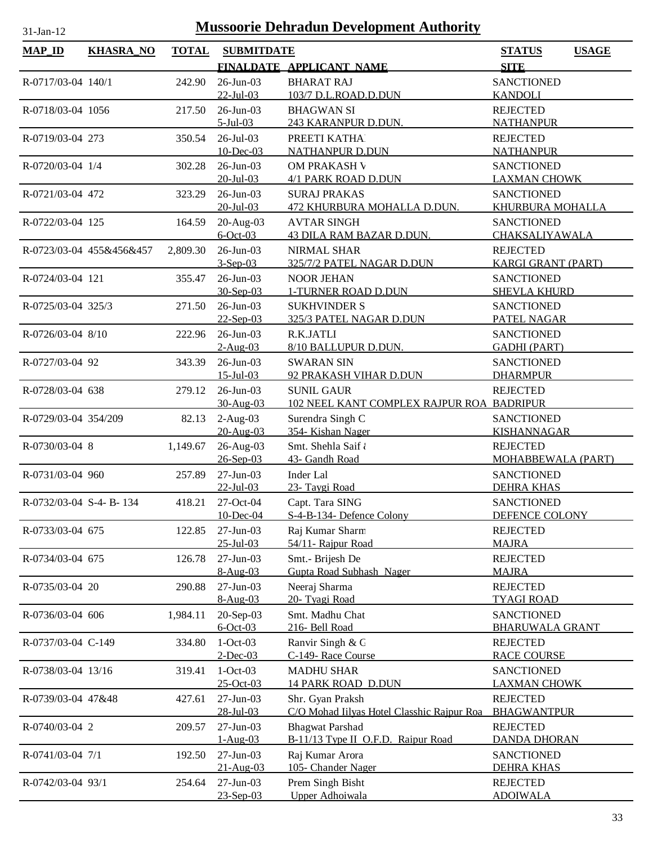| <b>SITE</b><br>FINALDATE APPLICANT NAME<br>242.90<br>26-Jun-03<br><b>BHARAT RAJ</b><br><b>SANCTIONED</b><br>R-0717/03-04 140/1<br>$22$ -Jul-03<br><b>KANDOLI</b><br>103/7 D.L.ROAD.D.DUN<br>26-Jun-03<br>217.50<br><b>BHAGWAN SI</b><br><b>REJECTED</b><br>R-0718/03-04 1056<br>$5$ -Jul-03<br>243 KARANPUR D.DUN.<br><b>NATHANPUR</b><br>$26$ -Jul-03<br>PREETI KATHA<br><b>REJECTED</b><br>R-0719/03-04 273<br>350.54<br>10-Dec-03<br>NATHANPUR D.DUN<br><b>NATHANPUR</b><br>26-Jun-03<br>R-0720/03-04 1/4<br>302.28<br>OM PRAKASH V<br><b>SANCTIONED</b><br>$20 - Jul - 03$<br>4/1 PARK ROAD D.DUN<br><b>LAXMAN CHOWK</b><br>26-Jun-03<br><b>SANCTIONED</b><br><b>SURAJ PRAKAS</b><br>R-0721/03-04 472<br>323.29<br>$20$ -Jul-03<br>472 KHURBURA MOHALLA D.DUN.<br>KHURBURA MOHALLA<br>$20$ -Aug-03<br><b>AVTAR SINGH</b><br><b>SANCTIONED</b><br>R-0722/03-04 125<br>164.59<br>$6$ -Oct-03<br><b>43 DILA RAM BAZAR D.DUN.</b><br>CHAKSALIYAWALA<br>26-Jun-03<br>R-0723/03-04 455&456&457<br>2,809.30<br>NIRMAL SHAR<br><b>REJECTED</b><br>$3-Sep-03$<br>325/7/2 PATEL NAGAR D.DUN<br><b>KARGI GRANT (PART)</b><br>26-Jun-03<br><b>SANCTIONED</b><br>R-0724/03-04 121<br>355.47<br><b>NOOR JEHAN</b><br>30-Sep-03<br>1-TURNER ROAD D.DUN<br><b>SHEVLA KHURD</b><br>26-Jun-03<br>R-0725/03-04 325/3<br>271.50<br><b>SUKHVINDER S</b><br><b>SANCTIONED</b><br>$22-Sep-03$<br>325/3 PATEL NAGAR D.DUN<br>PATEL NAGAR<br>26-Jun-03<br><b>SANCTIONED</b><br>R-0726/03-04 8/10<br>R.K.JATLI<br>222.96<br>8/10 BALLUPUR D.DUN.<br><b>GADHI (PART)</b><br>$2-Aug-03$<br>26-Jun-03<br>R-0727/03-04 92<br>343.39<br><b>SWARAN SIN</b><br><b>SANCTIONED</b><br>$15$ -Jul-03<br>92 PRAKASH VIHAR D.DUN<br><b>DHARMPUR</b><br>26-Jun-03<br><b>SUNIL GAUR</b><br>R-0728/03-04 638<br>279.12<br><b>REJECTED</b><br>30-Aug-03<br>102 NEEL KANT COMPLEX RAJPUR ROA BADRIPUR<br>$2-Aug-03$<br>Surendra Singh C<br>R-0729/03-04 354/209<br>82.13<br><b>SANCTIONED</b><br>20-Aug-03<br>354- Kishan Nager<br><b>KISHANNAGAR</b><br>26-Aug-03<br>Smt. Shehla Saif<br>R-0730/03-04 8<br>1,149.67<br><b>REJECTED</b><br>$26 - Sep-03$<br>43- Gandh Road<br>MOHABBEWALA (PART)<br>$27$ -Jun-03<br>Inder Lal<br>R-0731/03-04 960<br>257.89<br><b>SANCTIONED</b><br>23- Taygi Road<br>$22$ -Jul-03<br><b>DEHRA KHAS</b><br>27-Oct-04<br>Capt. Tara SING<br><b>SANCTIONED</b><br>R-0732/03-04 S-4- B-134<br>418.21<br>DEFENCE COLONY<br>10-Dec-04<br>S-4-B-134- Defence Colony<br>R-0733/03-04 675<br><b>REJECTED</b><br>122.85<br>$27$ -Jun-03<br>Raj Kumar Sharm<br>$25 - Jul - 03$<br>54/11- Rajpur Road<br><b>MAJRA</b><br>Smt.- Brijesh De<br>$27 - Jun-03$<br><b>REJECTED</b><br>R-0734/03-04 675<br>126.78<br>Gupta Road Subhash Nager<br><b>MAJRA</b><br>$8-Aug-03$<br>R-0735/03-04 20<br>27-Jun-03<br>Neeraj Sharma<br><b>REJECTED</b><br>290.88<br>$8-Aug-03$<br>20- Tyagi Road<br><b>TYAGI ROAD</b><br>1,984.11<br>20-Sep-03<br>Smt. Madhu Chat<br><b>SANCTIONED</b><br>R-0736/03-04 606<br>$6$ -Oct-03<br>216- Bell Road<br><b>BHARUWALA GRANT</b><br>$1-Oct-03$<br>Ranvir Singh & C<br>334.80<br><b>REJECTED</b><br>R-0737/03-04 C-149<br>$2$ -Dec-03<br>C-149- Race Course<br><b>RACE COURSE</b><br>R-0738/03-04 13/16<br>319.41<br>$1-Oct-03$<br><b>MADHU SHAR</b><br><b>SANCTIONED</b><br>25-Oct-03<br><b>14 PARK ROAD D.DUN</b><br><b>LAXMAN CHOWK</b><br>27-Jun-03<br>Shr. Gyan Praksh<br><b>REJECTED</b><br>R-0739/03-04 47&48<br>427.61<br>28-Jul-03<br>C/O Mohad Iilyas Hotel Classhic Rajpur Roa<br><b>BHAGWANTPUR</b><br>27-Jun-03<br><b>Bhagwat Parshad</b><br>R-0740/03-04 2<br><b>REJECTED</b><br>209.57<br>$1-Aug-03$<br>B-11/13 Type II O.F.D. Raipur Road<br><b>DANDA DHORAN</b><br>R-0741/03-04 7/1<br>27-Jun-03<br>Raj Kumar Arora<br>192.50<br><b>SANCTIONED</b><br>21-Aug-03<br>105- Chander Nager<br><b>DEHRA KHAS</b><br>Prem Singh Bisht<br><b>REJECTED</b><br>R-0742/03-04 93/1<br>$27-Jun-03$<br>254.64<br>Upper Adhoiwala<br>23-Sep-03<br><b>ADOIWALA</b> | $MAP$ <sub>ID</sub> | <b>KHASRA_NO</b> | <b>TOTAL</b> | <b>SUBMITDATE</b> | <b>STATUS</b><br><b>USAGE</b> |
|-------------------------------------------------------------------------------------------------------------------------------------------------------------------------------------------------------------------------------------------------------------------------------------------------------------------------------------------------------------------------------------------------------------------------------------------------------------------------------------------------------------------------------------------------------------------------------------------------------------------------------------------------------------------------------------------------------------------------------------------------------------------------------------------------------------------------------------------------------------------------------------------------------------------------------------------------------------------------------------------------------------------------------------------------------------------------------------------------------------------------------------------------------------------------------------------------------------------------------------------------------------------------------------------------------------------------------------------------------------------------------------------------------------------------------------------------------------------------------------------------------------------------------------------------------------------------------------------------------------------------------------------------------------------------------------------------------------------------------------------------------------------------------------------------------------------------------------------------------------------------------------------------------------------------------------------------------------------------------------------------------------------------------------------------------------------------------------------------------------------------------------------------------------------------------------------------------------------------------------------------------------------------------------------------------------------------------------------------------------------------------------------------------------------------------------------------------------------------------------------------------------------------------------------------------------------------------------------------------------------------------------------------------------------------------------------------------------------------------------------------------------------------------------------------------------------------------------------------------------------------------------------------------------------------------------------------------------------------------------------------------------------------------------------------------------------------------------------------------------------------------------------------------------------------------------------------------------------------------------------------------------------------------------------------------------------------------------------------------------------------------------------------------------------------------------------------------------------------------------------------------------------------------------------------------------------------------------------------------------------------------------------------------------------------------------------------------------------------------------------------------------------------------------------------------------------------------------------------------------------------------------------------------------------------------------------------------------------------|---------------------|------------------|--------------|-------------------|-------------------------------|
|                                                                                                                                                                                                                                                                                                                                                                                                                                                                                                                                                                                                                                                                                                                                                                                                                                                                                                                                                                                                                                                                                                                                                                                                                                                                                                                                                                                                                                                                                                                                                                                                                                                                                                                                                                                                                                                                                                                                                                                                                                                                                                                                                                                                                                                                                                                                                                                                                                                                                                                                                                                                                                                                                                                                                                                                                                                                                                                                                                                                                                                                                                                                                                                                                                                                                                                                                                                                                                                                                                                                                                                                                                                                                                                                                                                                                                                                                                                                                                         |                     |                  |              |                   |                               |
|                                                                                                                                                                                                                                                                                                                                                                                                                                                                                                                                                                                                                                                                                                                                                                                                                                                                                                                                                                                                                                                                                                                                                                                                                                                                                                                                                                                                                                                                                                                                                                                                                                                                                                                                                                                                                                                                                                                                                                                                                                                                                                                                                                                                                                                                                                                                                                                                                                                                                                                                                                                                                                                                                                                                                                                                                                                                                                                                                                                                                                                                                                                                                                                                                                                                                                                                                                                                                                                                                                                                                                                                                                                                                                                                                                                                                                                                                                                                                                         |                     |                  |              |                   |                               |
|                                                                                                                                                                                                                                                                                                                                                                                                                                                                                                                                                                                                                                                                                                                                                                                                                                                                                                                                                                                                                                                                                                                                                                                                                                                                                                                                                                                                                                                                                                                                                                                                                                                                                                                                                                                                                                                                                                                                                                                                                                                                                                                                                                                                                                                                                                                                                                                                                                                                                                                                                                                                                                                                                                                                                                                                                                                                                                                                                                                                                                                                                                                                                                                                                                                                                                                                                                                                                                                                                                                                                                                                                                                                                                                                                                                                                                                                                                                                                                         |                     |                  |              |                   |                               |
|                                                                                                                                                                                                                                                                                                                                                                                                                                                                                                                                                                                                                                                                                                                                                                                                                                                                                                                                                                                                                                                                                                                                                                                                                                                                                                                                                                                                                                                                                                                                                                                                                                                                                                                                                                                                                                                                                                                                                                                                                                                                                                                                                                                                                                                                                                                                                                                                                                                                                                                                                                                                                                                                                                                                                                                                                                                                                                                                                                                                                                                                                                                                                                                                                                                                                                                                                                                                                                                                                                                                                                                                                                                                                                                                                                                                                                                                                                                                                                         |                     |                  |              |                   |                               |
|                                                                                                                                                                                                                                                                                                                                                                                                                                                                                                                                                                                                                                                                                                                                                                                                                                                                                                                                                                                                                                                                                                                                                                                                                                                                                                                                                                                                                                                                                                                                                                                                                                                                                                                                                                                                                                                                                                                                                                                                                                                                                                                                                                                                                                                                                                                                                                                                                                                                                                                                                                                                                                                                                                                                                                                                                                                                                                                                                                                                                                                                                                                                                                                                                                                                                                                                                                                                                                                                                                                                                                                                                                                                                                                                                                                                                                                                                                                                                                         |                     |                  |              |                   |                               |
|                                                                                                                                                                                                                                                                                                                                                                                                                                                                                                                                                                                                                                                                                                                                                                                                                                                                                                                                                                                                                                                                                                                                                                                                                                                                                                                                                                                                                                                                                                                                                                                                                                                                                                                                                                                                                                                                                                                                                                                                                                                                                                                                                                                                                                                                                                                                                                                                                                                                                                                                                                                                                                                                                                                                                                                                                                                                                                                                                                                                                                                                                                                                                                                                                                                                                                                                                                                                                                                                                                                                                                                                                                                                                                                                                                                                                                                                                                                                                                         |                     |                  |              |                   |                               |
|                                                                                                                                                                                                                                                                                                                                                                                                                                                                                                                                                                                                                                                                                                                                                                                                                                                                                                                                                                                                                                                                                                                                                                                                                                                                                                                                                                                                                                                                                                                                                                                                                                                                                                                                                                                                                                                                                                                                                                                                                                                                                                                                                                                                                                                                                                                                                                                                                                                                                                                                                                                                                                                                                                                                                                                                                                                                                                                                                                                                                                                                                                                                                                                                                                                                                                                                                                                                                                                                                                                                                                                                                                                                                                                                                                                                                                                                                                                                                                         |                     |                  |              |                   |                               |
|                                                                                                                                                                                                                                                                                                                                                                                                                                                                                                                                                                                                                                                                                                                                                                                                                                                                                                                                                                                                                                                                                                                                                                                                                                                                                                                                                                                                                                                                                                                                                                                                                                                                                                                                                                                                                                                                                                                                                                                                                                                                                                                                                                                                                                                                                                                                                                                                                                                                                                                                                                                                                                                                                                                                                                                                                                                                                                                                                                                                                                                                                                                                                                                                                                                                                                                                                                                                                                                                                                                                                                                                                                                                                                                                                                                                                                                                                                                                                                         |                     |                  |              |                   |                               |
|                                                                                                                                                                                                                                                                                                                                                                                                                                                                                                                                                                                                                                                                                                                                                                                                                                                                                                                                                                                                                                                                                                                                                                                                                                                                                                                                                                                                                                                                                                                                                                                                                                                                                                                                                                                                                                                                                                                                                                                                                                                                                                                                                                                                                                                                                                                                                                                                                                                                                                                                                                                                                                                                                                                                                                                                                                                                                                                                                                                                                                                                                                                                                                                                                                                                                                                                                                                                                                                                                                                                                                                                                                                                                                                                                                                                                                                                                                                                                                         |                     |                  |              |                   |                               |
|                                                                                                                                                                                                                                                                                                                                                                                                                                                                                                                                                                                                                                                                                                                                                                                                                                                                                                                                                                                                                                                                                                                                                                                                                                                                                                                                                                                                                                                                                                                                                                                                                                                                                                                                                                                                                                                                                                                                                                                                                                                                                                                                                                                                                                                                                                                                                                                                                                                                                                                                                                                                                                                                                                                                                                                                                                                                                                                                                                                                                                                                                                                                                                                                                                                                                                                                                                                                                                                                                                                                                                                                                                                                                                                                                                                                                                                                                                                                                                         |                     |                  |              |                   |                               |
|                                                                                                                                                                                                                                                                                                                                                                                                                                                                                                                                                                                                                                                                                                                                                                                                                                                                                                                                                                                                                                                                                                                                                                                                                                                                                                                                                                                                                                                                                                                                                                                                                                                                                                                                                                                                                                                                                                                                                                                                                                                                                                                                                                                                                                                                                                                                                                                                                                                                                                                                                                                                                                                                                                                                                                                                                                                                                                                                                                                                                                                                                                                                                                                                                                                                                                                                                                                                                                                                                                                                                                                                                                                                                                                                                                                                                                                                                                                                                                         |                     |                  |              |                   |                               |
|                                                                                                                                                                                                                                                                                                                                                                                                                                                                                                                                                                                                                                                                                                                                                                                                                                                                                                                                                                                                                                                                                                                                                                                                                                                                                                                                                                                                                                                                                                                                                                                                                                                                                                                                                                                                                                                                                                                                                                                                                                                                                                                                                                                                                                                                                                                                                                                                                                                                                                                                                                                                                                                                                                                                                                                                                                                                                                                                                                                                                                                                                                                                                                                                                                                                                                                                                                                                                                                                                                                                                                                                                                                                                                                                                                                                                                                                                                                                                                         |                     |                  |              |                   |                               |
|                                                                                                                                                                                                                                                                                                                                                                                                                                                                                                                                                                                                                                                                                                                                                                                                                                                                                                                                                                                                                                                                                                                                                                                                                                                                                                                                                                                                                                                                                                                                                                                                                                                                                                                                                                                                                                                                                                                                                                                                                                                                                                                                                                                                                                                                                                                                                                                                                                                                                                                                                                                                                                                                                                                                                                                                                                                                                                                                                                                                                                                                                                                                                                                                                                                                                                                                                                                                                                                                                                                                                                                                                                                                                                                                                                                                                                                                                                                                                                         |                     |                  |              |                   |                               |
|                                                                                                                                                                                                                                                                                                                                                                                                                                                                                                                                                                                                                                                                                                                                                                                                                                                                                                                                                                                                                                                                                                                                                                                                                                                                                                                                                                                                                                                                                                                                                                                                                                                                                                                                                                                                                                                                                                                                                                                                                                                                                                                                                                                                                                                                                                                                                                                                                                                                                                                                                                                                                                                                                                                                                                                                                                                                                                                                                                                                                                                                                                                                                                                                                                                                                                                                                                                                                                                                                                                                                                                                                                                                                                                                                                                                                                                                                                                                                                         |                     |                  |              |                   |                               |
|                                                                                                                                                                                                                                                                                                                                                                                                                                                                                                                                                                                                                                                                                                                                                                                                                                                                                                                                                                                                                                                                                                                                                                                                                                                                                                                                                                                                                                                                                                                                                                                                                                                                                                                                                                                                                                                                                                                                                                                                                                                                                                                                                                                                                                                                                                                                                                                                                                                                                                                                                                                                                                                                                                                                                                                                                                                                                                                                                                                                                                                                                                                                                                                                                                                                                                                                                                                                                                                                                                                                                                                                                                                                                                                                                                                                                                                                                                                                                                         |                     |                  |              |                   |                               |
|                                                                                                                                                                                                                                                                                                                                                                                                                                                                                                                                                                                                                                                                                                                                                                                                                                                                                                                                                                                                                                                                                                                                                                                                                                                                                                                                                                                                                                                                                                                                                                                                                                                                                                                                                                                                                                                                                                                                                                                                                                                                                                                                                                                                                                                                                                                                                                                                                                                                                                                                                                                                                                                                                                                                                                                                                                                                                                                                                                                                                                                                                                                                                                                                                                                                                                                                                                                                                                                                                                                                                                                                                                                                                                                                                                                                                                                                                                                                                                         |                     |                  |              |                   |                               |
|                                                                                                                                                                                                                                                                                                                                                                                                                                                                                                                                                                                                                                                                                                                                                                                                                                                                                                                                                                                                                                                                                                                                                                                                                                                                                                                                                                                                                                                                                                                                                                                                                                                                                                                                                                                                                                                                                                                                                                                                                                                                                                                                                                                                                                                                                                                                                                                                                                                                                                                                                                                                                                                                                                                                                                                                                                                                                                                                                                                                                                                                                                                                                                                                                                                                                                                                                                                                                                                                                                                                                                                                                                                                                                                                                                                                                                                                                                                                                                         |                     |                  |              |                   |                               |
|                                                                                                                                                                                                                                                                                                                                                                                                                                                                                                                                                                                                                                                                                                                                                                                                                                                                                                                                                                                                                                                                                                                                                                                                                                                                                                                                                                                                                                                                                                                                                                                                                                                                                                                                                                                                                                                                                                                                                                                                                                                                                                                                                                                                                                                                                                                                                                                                                                                                                                                                                                                                                                                                                                                                                                                                                                                                                                                                                                                                                                                                                                                                                                                                                                                                                                                                                                                                                                                                                                                                                                                                                                                                                                                                                                                                                                                                                                                                                                         |                     |                  |              |                   |                               |
|                                                                                                                                                                                                                                                                                                                                                                                                                                                                                                                                                                                                                                                                                                                                                                                                                                                                                                                                                                                                                                                                                                                                                                                                                                                                                                                                                                                                                                                                                                                                                                                                                                                                                                                                                                                                                                                                                                                                                                                                                                                                                                                                                                                                                                                                                                                                                                                                                                                                                                                                                                                                                                                                                                                                                                                                                                                                                                                                                                                                                                                                                                                                                                                                                                                                                                                                                                                                                                                                                                                                                                                                                                                                                                                                                                                                                                                                                                                                                                         |                     |                  |              |                   |                               |
|                                                                                                                                                                                                                                                                                                                                                                                                                                                                                                                                                                                                                                                                                                                                                                                                                                                                                                                                                                                                                                                                                                                                                                                                                                                                                                                                                                                                                                                                                                                                                                                                                                                                                                                                                                                                                                                                                                                                                                                                                                                                                                                                                                                                                                                                                                                                                                                                                                                                                                                                                                                                                                                                                                                                                                                                                                                                                                                                                                                                                                                                                                                                                                                                                                                                                                                                                                                                                                                                                                                                                                                                                                                                                                                                                                                                                                                                                                                                                                         |                     |                  |              |                   |                               |
|                                                                                                                                                                                                                                                                                                                                                                                                                                                                                                                                                                                                                                                                                                                                                                                                                                                                                                                                                                                                                                                                                                                                                                                                                                                                                                                                                                                                                                                                                                                                                                                                                                                                                                                                                                                                                                                                                                                                                                                                                                                                                                                                                                                                                                                                                                                                                                                                                                                                                                                                                                                                                                                                                                                                                                                                                                                                                                                                                                                                                                                                                                                                                                                                                                                                                                                                                                                                                                                                                                                                                                                                                                                                                                                                                                                                                                                                                                                                                                         |                     |                  |              |                   |                               |
|                                                                                                                                                                                                                                                                                                                                                                                                                                                                                                                                                                                                                                                                                                                                                                                                                                                                                                                                                                                                                                                                                                                                                                                                                                                                                                                                                                                                                                                                                                                                                                                                                                                                                                                                                                                                                                                                                                                                                                                                                                                                                                                                                                                                                                                                                                                                                                                                                                                                                                                                                                                                                                                                                                                                                                                                                                                                                                                                                                                                                                                                                                                                                                                                                                                                                                                                                                                                                                                                                                                                                                                                                                                                                                                                                                                                                                                                                                                                                                         |                     |                  |              |                   |                               |
|                                                                                                                                                                                                                                                                                                                                                                                                                                                                                                                                                                                                                                                                                                                                                                                                                                                                                                                                                                                                                                                                                                                                                                                                                                                                                                                                                                                                                                                                                                                                                                                                                                                                                                                                                                                                                                                                                                                                                                                                                                                                                                                                                                                                                                                                                                                                                                                                                                                                                                                                                                                                                                                                                                                                                                                                                                                                                                                                                                                                                                                                                                                                                                                                                                                                                                                                                                                                                                                                                                                                                                                                                                                                                                                                                                                                                                                                                                                                                                         |                     |                  |              |                   |                               |
|                                                                                                                                                                                                                                                                                                                                                                                                                                                                                                                                                                                                                                                                                                                                                                                                                                                                                                                                                                                                                                                                                                                                                                                                                                                                                                                                                                                                                                                                                                                                                                                                                                                                                                                                                                                                                                                                                                                                                                                                                                                                                                                                                                                                                                                                                                                                                                                                                                                                                                                                                                                                                                                                                                                                                                                                                                                                                                                                                                                                                                                                                                                                                                                                                                                                                                                                                                                                                                                                                                                                                                                                                                                                                                                                                                                                                                                                                                                                                                         |                     |                  |              |                   |                               |
|                                                                                                                                                                                                                                                                                                                                                                                                                                                                                                                                                                                                                                                                                                                                                                                                                                                                                                                                                                                                                                                                                                                                                                                                                                                                                                                                                                                                                                                                                                                                                                                                                                                                                                                                                                                                                                                                                                                                                                                                                                                                                                                                                                                                                                                                                                                                                                                                                                                                                                                                                                                                                                                                                                                                                                                                                                                                                                                                                                                                                                                                                                                                                                                                                                                                                                                                                                                                                                                                                                                                                                                                                                                                                                                                                                                                                                                                                                                                                                         |                     |                  |              |                   |                               |
|                                                                                                                                                                                                                                                                                                                                                                                                                                                                                                                                                                                                                                                                                                                                                                                                                                                                                                                                                                                                                                                                                                                                                                                                                                                                                                                                                                                                                                                                                                                                                                                                                                                                                                                                                                                                                                                                                                                                                                                                                                                                                                                                                                                                                                                                                                                                                                                                                                                                                                                                                                                                                                                                                                                                                                                                                                                                                                                                                                                                                                                                                                                                                                                                                                                                                                                                                                                                                                                                                                                                                                                                                                                                                                                                                                                                                                                                                                                                                                         |                     |                  |              |                   |                               |
|                                                                                                                                                                                                                                                                                                                                                                                                                                                                                                                                                                                                                                                                                                                                                                                                                                                                                                                                                                                                                                                                                                                                                                                                                                                                                                                                                                                                                                                                                                                                                                                                                                                                                                                                                                                                                                                                                                                                                                                                                                                                                                                                                                                                                                                                                                                                                                                                                                                                                                                                                                                                                                                                                                                                                                                                                                                                                                                                                                                                                                                                                                                                                                                                                                                                                                                                                                                                                                                                                                                                                                                                                                                                                                                                                                                                                                                                                                                                                                         |                     |                  |              |                   |                               |
|                                                                                                                                                                                                                                                                                                                                                                                                                                                                                                                                                                                                                                                                                                                                                                                                                                                                                                                                                                                                                                                                                                                                                                                                                                                                                                                                                                                                                                                                                                                                                                                                                                                                                                                                                                                                                                                                                                                                                                                                                                                                                                                                                                                                                                                                                                                                                                                                                                                                                                                                                                                                                                                                                                                                                                                                                                                                                                                                                                                                                                                                                                                                                                                                                                                                                                                                                                                                                                                                                                                                                                                                                                                                                                                                                                                                                                                                                                                                                                         |                     |                  |              |                   |                               |
|                                                                                                                                                                                                                                                                                                                                                                                                                                                                                                                                                                                                                                                                                                                                                                                                                                                                                                                                                                                                                                                                                                                                                                                                                                                                                                                                                                                                                                                                                                                                                                                                                                                                                                                                                                                                                                                                                                                                                                                                                                                                                                                                                                                                                                                                                                                                                                                                                                                                                                                                                                                                                                                                                                                                                                                                                                                                                                                                                                                                                                                                                                                                                                                                                                                                                                                                                                                                                                                                                                                                                                                                                                                                                                                                                                                                                                                                                                                                                                         |                     |                  |              |                   |                               |
|                                                                                                                                                                                                                                                                                                                                                                                                                                                                                                                                                                                                                                                                                                                                                                                                                                                                                                                                                                                                                                                                                                                                                                                                                                                                                                                                                                                                                                                                                                                                                                                                                                                                                                                                                                                                                                                                                                                                                                                                                                                                                                                                                                                                                                                                                                                                                                                                                                                                                                                                                                                                                                                                                                                                                                                                                                                                                                                                                                                                                                                                                                                                                                                                                                                                                                                                                                                                                                                                                                                                                                                                                                                                                                                                                                                                                                                                                                                                                                         |                     |                  |              |                   |                               |
|                                                                                                                                                                                                                                                                                                                                                                                                                                                                                                                                                                                                                                                                                                                                                                                                                                                                                                                                                                                                                                                                                                                                                                                                                                                                                                                                                                                                                                                                                                                                                                                                                                                                                                                                                                                                                                                                                                                                                                                                                                                                                                                                                                                                                                                                                                                                                                                                                                                                                                                                                                                                                                                                                                                                                                                                                                                                                                                                                                                                                                                                                                                                                                                                                                                                                                                                                                                                                                                                                                                                                                                                                                                                                                                                                                                                                                                                                                                                                                         |                     |                  |              |                   |                               |
|                                                                                                                                                                                                                                                                                                                                                                                                                                                                                                                                                                                                                                                                                                                                                                                                                                                                                                                                                                                                                                                                                                                                                                                                                                                                                                                                                                                                                                                                                                                                                                                                                                                                                                                                                                                                                                                                                                                                                                                                                                                                                                                                                                                                                                                                                                                                                                                                                                                                                                                                                                                                                                                                                                                                                                                                                                                                                                                                                                                                                                                                                                                                                                                                                                                                                                                                                                                                                                                                                                                                                                                                                                                                                                                                                                                                                                                                                                                                                                         |                     |                  |              |                   |                               |
|                                                                                                                                                                                                                                                                                                                                                                                                                                                                                                                                                                                                                                                                                                                                                                                                                                                                                                                                                                                                                                                                                                                                                                                                                                                                                                                                                                                                                                                                                                                                                                                                                                                                                                                                                                                                                                                                                                                                                                                                                                                                                                                                                                                                                                                                                                                                                                                                                                                                                                                                                                                                                                                                                                                                                                                                                                                                                                                                                                                                                                                                                                                                                                                                                                                                                                                                                                                                                                                                                                                                                                                                                                                                                                                                                                                                                                                                                                                                                                         |                     |                  |              |                   |                               |
|                                                                                                                                                                                                                                                                                                                                                                                                                                                                                                                                                                                                                                                                                                                                                                                                                                                                                                                                                                                                                                                                                                                                                                                                                                                                                                                                                                                                                                                                                                                                                                                                                                                                                                                                                                                                                                                                                                                                                                                                                                                                                                                                                                                                                                                                                                                                                                                                                                                                                                                                                                                                                                                                                                                                                                                                                                                                                                                                                                                                                                                                                                                                                                                                                                                                                                                                                                                                                                                                                                                                                                                                                                                                                                                                                                                                                                                                                                                                                                         |                     |                  |              |                   |                               |
|                                                                                                                                                                                                                                                                                                                                                                                                                                                                                                                                                                                                                                                                                                                                                                                                                                                                                                                                                                                                                                                                                                                                                                                                                                                                                                                                                                                                                                                                                                                                                                                                                                                                                                                                                                                                                                                                                                                                                                                                                                                                                                                                                                                                                                                                                                                                                                                                                                                                                                                                                                                                                                                                                                                                                                                                                                                                                                                                                                                                                                                                                                                                                                                                                                                                                                                                                                                                                                                                                                                                                                                                                                                                                                                                                                                                                                                                                                                                                                         |                     |                  |              |                   |                               |
|                                                                                                                                                                                                                                                                                                                                                                                                                                                                                                                                                                                                                                                                                                                                                                                                                                                                                                                                                                                                                                                                                                                                                                                                                                                                                                                                                                                                                                                                                                                                                                                                                                                                                                                                                                                                                                                                                                                                                                                                                                                                                                                                                                                                                                                                                                                                                                                                                                                                                                                                                                                                                                                                                                                                                                                                                                                                                                                                                                                                                                                                                                                                                                                                                                                                                                                                                                                                                                                                                                                                                                                                                                                                                                                                                                                                                                                                                                                                                                         |                     |                  |              |                   |                               |
|                                                                                                                                                                                                                                                                                                                                                                                                                                                                                                                                                                                                                                                                                                                                                                                                                                                                                                                                                                                                                                                                                                                                                                                                                                                                                                                                                                                                                                                                                                                                                                                                                                                                                                                                                                                                                                                                                                                                                                                                                                                                                                                                                                                                                                                                                                                                                                                                                                                                                                                                                                                                                                                                                                                                                                                                                                                                                                                                                                                                                                                                                                                                                                                                                                                                                                                                                                                                                                                                                                                                                                                                                                                                                                                                                                                                                                                                                                                                                                         |                     |                  |              |                   |                               |
|                                                                                                                                                                                                                                                                                                                                                                                                                                                                                                                                                                                                                                                                                                                                                                                                                                                                                                                                                                                                                                                                                                                                                                                                                                                                                                                                                                                                                                                                                                                                                                                                                                                                                                                                                                                                                                                                                                                                                                                                                                                                                                                                                                                                                                                                                                                                                                                                                                                                                                                                                                                                                                                                                                                                                                                                                                                                                                                                                                                                                                                                                                                                                                                                                                                                                                                                                                                                                                                                                                                                                                                                                                                                                                                                                                                                                                                                                                                                                                         |                     |                  |              |                   |                               |
|                                                                                                                                                                                                                                                                                                                                                                                                                                                                                                                                                                                                                                                                                                                                                                                                                                                                                                                                                                                                                                                                                                                                                                                                                                                                                                                                                                                                                                                                                                                                                                                                                                                                                                                                                                                                                                                                                                                                                                                                                                                                                                                                                                                                                                                                                                                                                                                                                                                                                                                                                                                                                                                                                                                                                                                                                                                                                                                                                                                                                                                                                                                                                                                                                                                                                                                                                                                                                                                                                                                                                                                                                                                                                                                                                                                                                                                                                                                                                                         |                     |                  |              |                   |                               |
|                                                                                                                                                                                                                                                                                                                                                                                                                                                                                                                                                                                                                                                                                                                                                                                                                                                                                                                                                                                                                                                                                                                                                                                                                                                                                                                                                                                                                                                                                                                                                                                                                                                                                                                                                                                                                                                                                                                                                                                                                                                                                                                                                                                                                                                                                                                                                                                                                                                                                                                                                                                                                                                                                                                                                                                                                                                                                                                                                                                                                                                                                                                                                                                                                                                                                                                                                                                                                                                                                                                                                                                                                                                                                                                                                                                                                                                                                                                                                                         |                     |                  |              |                   |                               |
|                                                                                                                                                                                                                                                                                                                                                                                                                                                                                                                                                                                                                                                                                                                                                                                                                                                                                                                                                                                                                                                                                                                                                                                                                                                                                                                                                                                                                                                                                                                                                                                                                                                                                                                                                                                                                                                                                                                                                                                                                                                                                                                                                                                                                                                                                                                                                                                                                                                                                                                                                                                                                                                                                                                                                                                                                                                                                                                                                                                                                                                                                                                                                                                                                                                                                                                                                                                                                                                                                                                                                                                                                                                                                                                                                                                                                                                                                                                                                                         |                     |                  |              |                   |                               |
|                                                                                                                                                                                                                                                                                                                                                                                                                                                                                                                                                                                                                                                                                                                                                                                                                                                                                                                                                                                                                                                                                                                                                                                                                                                                                                                                                                                                                                                                                                                                                                                                                                                                                                                                                                                                                                                                                                                                                                                                                                                                                                                                                                                                                                                                                                                                                                                                                                                                                                                                                                                                                                                                                                                                                                                                                                                                                                                                                                                                                                                                                                                                                                                                                                                                                                                                                                                                                                                                                                                                                                                                                                                                                                                                                                                                                                                                                                                                                                         |                     |                  |              |                   |                               |
|                                                                                                                                                                                                                                                                                                                                                                                                                                                                                                                                                                                                                                                                                                                                                                                                                                                                                                                                                                                                                                                                                                                                                                                                                                                                                                                                                                                                                                                                                                                                                                                                                                                                                                                                                                                                                                                                                                                                                                                                                                                                                                                                                                                                                                                                                                                                                                                                                                                                                                                                                                                                                                                                                                                                                                                                                                                                                                                                                                                                                                                                                                                                                                                                                                                                                                                                                                                                                                                                                                                                                                                                                                                                                                                                                                                                                                                                                                                                                                         |                     |                  |              |                   |                               |
|                                                                                                                                                                                                                                                                                                                                                                                                                                                                                                                                                                                                                                                                                                                                                                                                                                                                                                                                                                                                                                                                                                                                                                                                                                                                                                                                                                                                                                                                                                                                                                                                                                                                                                                                                                                                                                                                                                                                                                                                                                                                                                                                                                                                                                                                                                                                                                                                                                                                                                                                                                                                                                                                                                                                                                                                                                                                                                                                                                                                                                                                                                                                                                                                                                                                                                                                                                                                                                                                                                                                                                                                                                                                                                                                                                                                                                                                                                                                                                         |                     |                  |              |                   |                               |
|                                                                                                                                                                                                                                                                                                                                                                                                                                                                                                                                                                                                                                                                                                                                                                                                                                                                                                                                                                                                                                                                                                                                                                                                                                                                                                                                                                                                                                                                                                                                                                                                                                                                                                                                                                                                                                                                                                                                                                                                                                                                                                                                                                                                                                                                                                                                                                                                                                                                                                                                                                                                                                                                                                                                                                                                                                                                                                                                                                                                                                                                                                                                                                                                                                                                                                                                                                                                                                                                                                                                                                                                                                                                                                                                                                                                                                                                                                                                                                         |                     |                  |              |                   |                               |
|                                                                                                                                                                                                                                                                                                                                                                                                                                                                                                                                                                                                                                                                                                                                                                                                                                                                                                                                                                                                                                                                                                                                                                                                                                                                                                                                                                                                                                                                                                                                                                                                                                                                                                                                                                                                                                                                                                                                                                                                                                                                                                                                                                                                                                                                                                                                                                                                                                                                                                                                                                                                                                                                                                                                                                                                                                                                                                                                                                                                                                                                                                                                                                                                                                                                                                                                                                                                                                                                                                                                                                                                                                                                                                                                                                                                                                                                                                                                                                         |                     |                  |              |                   |                               |
|                                                                                                                                                                                                                                                                                                                                                                                                                                                                                                                                                                                                                                                                                                                                                                                                                                                                                                                                                                                                                                                                                                                                                                                                                                                                                                                                                                                                                                                                                                                                                                                                                                                                                                                                                                                                                                                                                                                                                                                                                                                                                                                                                                                                                                                                                                                                                                                                                                                                                                                                                                                                                                                                                                                                                                                                                                                                                                                                                                                                                                                                                                                                                                                                                                                                                                                                                                                                                                                                                                                                                                                                                                                                                                                                                                                                                                                                                                                                                                         |                     |                  |              |                   |                               |
|                                                                                                                                                                                                                                                                                                                                                                                                                                                                                                                                                                                                                                                                                                                                                                                                                                                                                                                                                                                                                                                                                                                                                                                                                                                                                                                                                                                                                                                                                                                                                                                                                                                                                                                                                                                                                                                                                                                                                                                                                                                                                                                                                                                                                                                                                                                                                                                                                                                                                                                                                                                                                                                                                                                                                                                                                                                                                                                                                                                                                                                                                                                                                                                                                                                                                                                                                                                                                                                                                                                                                                                                                                                                                                                                                                                                                                                                                                                                                                         |                     |                  |              |                   |                               |
|                                                                                                                                                                                                                                                                                                                                                                                                                                                                                                                                                                                                                                                                                                                                                                                                                                                                                                                                                                                                                                                                                                                                                                                                                                                                                                                                                                                                                                                                                                                                                                                                                                                                                                                                                                                                                                                                                                                                                                                                                                                                                                                                                                                                                                                                                                                                                                                                                                                                                                                                                                                                                                                                                                                                                                                                                                                                                                                                                                                                                                                                                                                                                                                                                                                                                                                                                                                                                                                                                                                                                                                                                                                                                                                                                                                                                                                                                                                                                                         |                     |                  |              |                   |                               |
|                                                                                                                                                                                                                                                                                                                                                                                                                                                                                                                                                                                                                                                                                                                                                                                                                                                                                                                                                                                                                                                                                                                                                                                                                                                                                                                                                                                                                                                                                                                                                                                                                                                                                                                                                                                                                                                                                                                                                                                                                                                                                                                                                                                                                                                                                                                                                                                                                                                                                                                                                                                                                                                                                                                                                                                                                                                                                                                                                                                                                                                                                                                                                                                                                                                                                                                                                                                                                                                                                                                                                                                                                                                                                                                                                                                                                                                                                                                                                                         |                     |                  |              |                   |                               |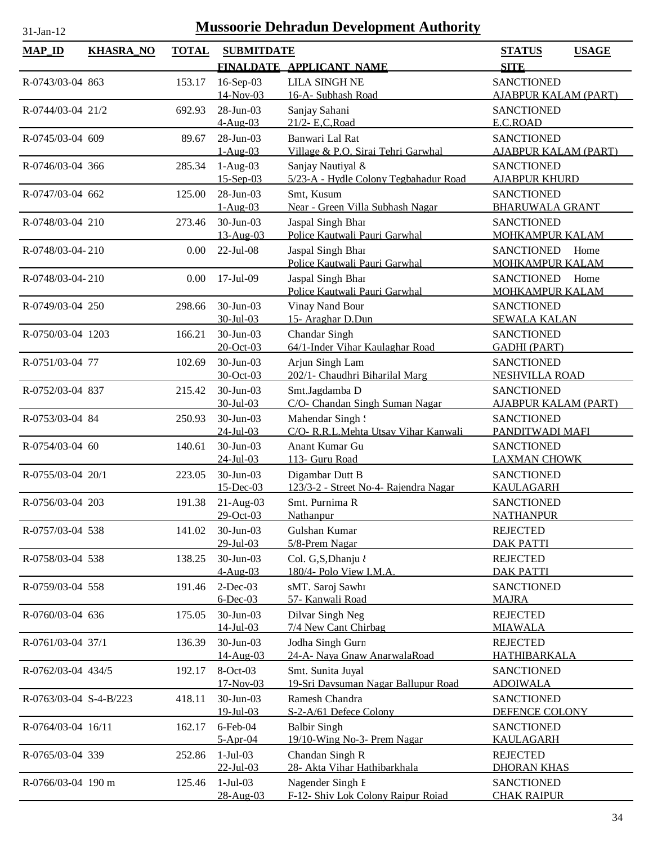| <b>MAP_ID</b>          | <b>KHASRA_NO</b> | <b>TOTAL</b> | <b>SUBMITDATE</b>            |                                                            | <b>STATUS</b><br><b>USAGE</b>                       |
|------------------------|------------------|--------------|------------------------------|------------------------------------------------------------|-----------------------------------------------------|
|                        |                  |              |                              | FINALDATE APPLICANT NAME                                   | <b>SITE</b>                                         |
| R-0743/03-04 863       |                  | 153.17       | 16-Sep-03<br>14-Nov-03       | <b>LILA SINGH NE</b><br>16-A- Subhash Road                 | <b>SANCTIONED</b><br><b>AJABPUR KALAM (PART)</b>    |
| R-0744/03-04 21/2      |                  | 692.93       | 28-Jun-03<br>$4-Aug-03$      | Sanjay Sahani<br>21/2- E.C.Road                            | <b>SANCTIONED</b><br>E.C.ROAD                       |
| R-0745/03-04 609       |                  | 89.67        | 28-Jun-03<br>$1-Aug-03$      | Banwari Lal Rat<br>Village & P.O. Sirai Tehri Garwhal      | <b>SANCTIONED</b><br><b>AJABPUR KALAM (PART)</b>    |
| R-0746/03-04 366       |                  | 285.34       | $1-Aug-03$<br>$15 - Sep-03$  | Sanjay Nautiyal &<br>5/23-A - Hydle Colony Tegbahadur Road | <b>SANCTIONED</b><br><b>AJABPUR KHURD</b>           |
| R-0747/03-04 662       |                  | 125.00       | 28-Jun-03<br>$1-Aug-03$      | Smt, Kusum<br>Near - Green Villa Subhash Nagar             | <b>SANCTIONED</b><br><b>BHARUWALA GRANT</b>         |
| R-0748/03-04 210       |                  | 273.46       | 30-Jun-03<br>13-Aug-03       | Jaspal Singh Bhar<br>Police Kautwali Pauri Garwhal         | <b>SANCTIONED</b><br><b>MOHKAMPUR KALAM</b>         |
| R-0748/03-04-210       |                  | 0.00         | $22$ -Jul-08                 | Jaspal Singh Bhar<br>Police Kautwali Pauri Garwhal         | <b>SANCTIONED</b><br>Home<br><b>MOHKAMPUR KALAM</b> |
| R-0748/03-04-210       |                  | 0.00         | 17-Jul-09                    | Jaspal Singh Bhar<br>Police Kautwali Pauri Garwhal         | <b>SANCTIONED</b><br>Home<br><b>MOHKAMPUR KALAM</b> |
| R-0749/03-04 250       |                  | 298.66       | $30$ -Jun-03<br>$30$ -Jul-03 | Vinay Nand Bour<br>15- Araghar D.Dun                       | <b>SANCTIONED</b><br><b>SEWALA KALAN</b>            |
| R-0750/03-04 1203      |                  | 166.21       | 30-Jun-03<br>20-Oct-03       | Chandar Singh<br>64/1-Inder Vihar Kaulaghar Road           | <b>SANCTIONED</b><br><b>GADHI (PART)</b>            |
| R-0751/03-04 77        |                  | 102.69       | 30-Jun-03<br>30-Oct-03       | Arjun Singh Lam<br>202/1- Chaudhri Biharilal Marg          | <b>SANCTIONED</b><br><b>NESHVILLA ROAD</b>          |
| R-0752/03-04 837       |                  | 215.42       | 30-Jun-03<br>30-Jul-03       | Smt.Jagdamba D<br>C/O- Chandan Singh Suman Nagar           | <b>SANCTIONED</b><br><b>AJABPUR KALAM (PART)</b>    |
| R-0753/03-04 84        |                  | 250.93       | 30-Jun-03<br>24-Jul-03       | Mahendar Singh!<br>C/O- R.R.L.Mehta Utsav Vihar Kanwali    | <b>SANCTIONED</b><br>PANDITWADI MAFI                |
| R-0754/03-04 60        |                  | 140.61       | 30-Jun-03<br>24-Jul-03       | Anant Kumar Gu<br>113- Guru Road                           | <b>SANCTIONED</b><br><b>LAXMAN CHOWK</b>            |
| R-0755/03-04 20/1      |                  | 223.05       | 30-Jun-03<br>$15$ -Dec-03    | Digambar Dutt B<br>123/3-2 - Street No-4- Rajendra Nagar   | <b>SANCTIONED</b><br><b>KAULAGARH</b>               |
| R-0756/03-04 203       |                  | 191.38       | $21-Aug-03$<br>29-Oct-03     | Smt. Purnima R<br>Nathanpur                                | <b>SANCTIONED</b><br><b>NATHANPUR</b>               |
| R-0757/03-04 538       |                  | 141.02       | 30-Jun-03<br>29-Jul-03       | Gulshan Kumar<br>5/8-Prem Nagar                            | <b>REJECTED</b><br><b>DAK PATTI</b>                 |
| R-0758/03-04 538       |                  | 138.25       | 30-Jun-03<br>$4-Aug-03$      | Col. G,S,Dhanju<br>180/4- Polo View I.M.A.                 | <b>REJECTED</b><br><b>DAK PATTI</b>                 |
| R-0759/03-04 558       |                  | 191.46       | $2$ -Dec-03<br>$6$ -Dec-03   | sMT. Saroj Sawhı<br>57- Kanwali Road                       | <b>SANCTIONED</b><br><b>MAJRA</b>                   |
| R-0760/03-04 636       |                  | 175.05       | 30-Jun-03<br>$14$ -Jul-03    | Dilvar Singh Neg<br>7/4 New Cant Chirbag                   | <b>REJECTED</b><br><b>MIAWALA</b>                   |
| R-0761/03-04 37/1      |                  | 136.39       | 30-Jun-03<br>14-Aug-03       | Jodha Singh Gurn<br>24-A- Naya Gnaw AnarwalaRoad           | <b>REJECTED</b><br><b>HATHIBARKALA</b>              |
| R-0762/03-04 434/5     |                  | 192.17       | 8-Oct-03<br>$17-Nov-03$      | Smt. Sunita Juyal<br>19-Sri Davsuman Nagar Ballupur Road   | <b>SANCTIONED</b><br><b>ADOIWALA</b>                |
| R-0763/03-04 S-4-B/223 |                  | 418.11       | 30-Jun-03<br>$19 - Jul - 03$ | Ramesh Chandra<br>S-2-A/61 Defece Colony                   | <b>SANCTIONED</b><br>DEFENCE COLONY                 |
| R-0764/03-04 16/11     |                  | 162.17       | $6$ -Feb-04<br>$5-Apr-04$    | <b>Balbir Singh</b><br>19/10-Wing No-3- Prem Nagar         | <b>SANCTIONED</b><br><b>KAULAGARH</b>               |
| R-0765/03-04 339       |                  | 252.86       | $1-Jul-03$<br>$22$ -Jul-03   | Chandan Singh R<br>28- Akta Vihar Hathibarkhala            | <b>REJECTED</b><br><b>DHORAN KHAS</b>               |
| R-0766/03-04 190 m     |                  | 125.46       | $1-Jul-03$<br>28-Aug-03      | Nagender Singh E<br>F-12- Shiv Lok Colony Raipur Roiad     | <b>SANCTIONED</b><br><b>CHAK RAIPUR</b>             |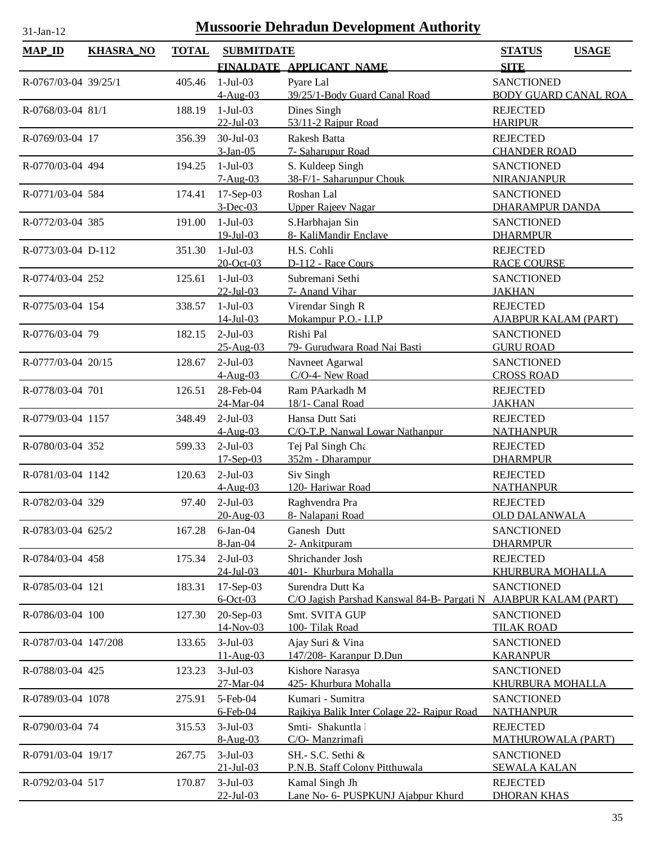| <b>MAP_ID</b>        | <b>KHASRA_NO</b> | <b>TOTAL</b> | <b>SUBMITDATE</b>         |                                                                 | <b>STATUS</b>                         | <b>USAGE</b> |
|----------------------|------------------|--------------|---------------------------|-----------------------------------------------------------------|---------------------------------------|--------------|
|                      |                  |              |                           | FINALDATE APPLICANT NAME                                        | <b>SITE</b>                           |              |
| R-0767/03-04 39/25/1 |                  | 405.46       | $1-Jul-03$                | Pyare Lal                                                       | <b>SANCTIONED</b>                     |              |
|                      |                  |              | $4-Aug-03$                | 39/25/1-Body Guard Canal Road                                   | <b>BODY GUARD CANAL ROA</b>           |              |
| R-0768/03-04 81/1    |                  | 188.19       | $1-Jul-03$                | Dines Singh                                                     | <b>REJECTED</b>                       |              |
|                      |                  |              | $22$ -Jul-03              | 53/11-2 Rajpur Road                                             | <b>HARIPUR</b>                        |              |
| R-0769/03-04 17      |                  | 356.39       | 30-Jul-03                 | Rakesh Batta                                                    | <b>REJECTED</b>                       |              |
|                      |                  |              | $3-Jan-05$                | 7- Saharupur Road                                               | <b>CHANDER ROAD</b>                   |              |
| R-0770/03-04 494     |                  | 194.25       | $1-Jul-03$                | S. Kuldeep Singh                                                | <b>SANCTIONED</b>                     |              |
|                      |                  |              | $7-Aug-03$                | 38-F/1- Saharunpur Chouk                                        | <b>NIRANJANPUR</b>                    |              |
| R-0771/03-04 584     |                  | 174.41       | $17-Sep-03$               | Roshan Lal                                                      | <b>SANCTIONED</b>                     |              |
|                      |                  |              | $3$ -Dec-03               | <b>Upper Rajeev Nagar</b>                                       | DHARAMPUR DANDA                       |              |
| R-0772/03-04 385     |                  | 191.00       | $1-Jul-03$<br>19-Jul-03   | S.Harbhajan Sin<br>8- KaliMandir Enclave                        | <b>SANCTIONED</b><br><b>DHARMPUR</b>  |              |
| R-0773/03-04 D-112   |                  | 351.30       | $1-Jul-03$                | H.S. Cohli                                                      | <b>REJECTED</b>                       |              |
|                      |                  |              | $20$ -Oct-03              | D-112 - Race Cours                                              | <b>RACE COURSE</b>                    |              |
| R-0774/03-04 252     |                  | 125.61       | $1-Jul-03$                | Subremani Sethi                                                 | <b>SANCTIONED</b>                     |              |
|                      |                  |              | $22$ -Jul-03              | 7- Anand Vihar                                                  | <b>JAKHAN</b>                         |              |
| R-0775/03-04 154     |                  | 338.57       | $1-Jul-03$                | Virendar Singh R                                                | <b>REJECTED</b>                       |              |
|                      |                  |              | $14$ -Jul-03              | Mokampur P.O.- I.I.P                                            | <b>AJABPUR KALAM (PART)</b>           |              |
| R-0776/03-04 79      |                  | 182.15       | $2-Jul-03$                | Rishi Pal                                                       | <b>SANCTIONED</b>                     |              |
|                      |                  |              | 25-Aug-03                 | 79- Gurudwara Road Nai Basti                                    | <b>GURU ROAD</b>                      |              |
| R-0777/03-04 20/15   |                  | 128.67       | $2-Jul-03$                | Navneet Agarwal                                                 | <b>SANCTIONED</b>                     |              |
|                      |                  |              | $4-Aug-03$                | C/O-4- New Road                                                 | <b>CROSS ROAD</b>                     |              |
| R-0778/03-04 701     |                  | 126.51       | 28-Feb-04                 | Ram PAarkadh M                                                  | <b>REJECTED</b>                       |              |
|                      |                  |              | 24-Mar-04                 | 18/1- Canal Road                                                | <b>JAKHAN</b>                         |              |
| R-0779/03-04 1157    |                  | 348.49       | $2-Jul-03$                | Hansa Dutt Sati                                                 | <b>REJECTED</b>                       |              |
|                      |                  |              | $4-Aug-03$                | C/O-T.P. Nanwal Lowar Nathanpur                                 | <b>NATHANPUR</b>                      |              |
| R-0780/03-04 352     |                  | 599.33       | $2-Jul-03$<br>$17-Sep-03$ | Tej Pal Singh Cht<br>352m - Dharampur                           | <b>REJECTED</b><br><b>DHARMPUR</b>    |              |
|                      |                  |              | $2-Jul-03$                |                                                                 | <b>REJECTED</b>                       |              |
| R-0781/03-04 1142    |                  | 120.63       | $4-Aug-03$                | Siv Singh<br>120- Hariwar Road                                  | <b>NATHANPUR</b>                      |              |
| R-0782/03-04 329     |                  | 97.40        | $2-Jul-03$                | Raghvendra Pra                                                  | <b>REJECTED</b>                       |              |
|                      |                  |              | 20-Aug-03                 | 8- Nalapani Road                                                | <b>OLD DALANWALA</b>                  |              |
| R-0783/03-04 625/2   |                  | 167.28       | $6$ -Jan- $04$            | Ganesh Dutt                                                     | <b>SANCTIONED</b>                     |              |
|                      |                  |              | 8-Jan-04                  | 2- Ankitpuram                                                   | <b>DHARMPUR</b>                       |              |
| R-0784/03-04 458     |                  | 175.34       | $2-Jul-03$                | Shrichander Josh                                                | <b>REJECTED</b>                       |              |
|                      |                  |              | $24$ -Jul-03              | 401- Khurbura Mohalla                                           | <b>KHURBURA MOHALLA</b>               |              |
| R-0785/03-04 121     |                  | 183.31       | $17-Sep-03$               | Surendra Dutt Ka                                                | <b>SANCTIONED</b>                     |              |
|                      |                  |              | $6$ -Oct-03               | C/O Jagish Parshad Kanswal 84-B- Pargati N AJABPUR KALAM (PART) |                                       |              |
| R-0786/03-04 100     |                  | 127.30       | 20-Sep-03                 | Smt. SVITA GUP                                                  | <b>SANCTIONED</b>                     |              |
|                      |                  |              | 14-Nov-03                 | 100-Tilak Road                                                  | <b>TILAK ROAD</b>                     |              |
| R-0787/03-04 147/208 |                  | 133.65       | $3-Jul-03$                | Ajay Suri & Vina                                                | <b>SANCTIONED</b>                     |              |
|                      |                  |              | $11-Aug-03$               | 147/208- Karanpur D.Dun                                         | <b>KARANPUR</b>                       |              |
| R-0788/03-04 425     |                  | 123.23       | $3-Jul-03$                | Kishore Narasya                                                 | <b>SANCTIONED</b>                     |              |
|                      |                  |              | 27-Mar-04<br>5-Feb-04     | 425- Khurbura Mohalla<br>Kumari - Sumitra                       | KHURBURA MOHALLA                      |              |
| R-0789/03-04 1078    |                  | 275.91       | $6$ -Feb-04               | Rajkiya Balik Inter Colage 22- Rajpur Road                      | <b>SANCTIONED</b><br><b>NATHANPUR</b> |              |
| R-0790/03-04 74      |                  | 315.53       | $3-Jul-03$                | Smti-Shakuntla 1                                                | <b>REJECTED</b>                       |              |
|                      |                  |              | $8-Aug-03$                | C/O- Manzrimafi                                                 | <b>MATHUROWALA (PART)</b>             |              |
| R-0791/03-04 19/17   |                  | 267.75       | $3-Jul-03$                | SH.- S.C. Sethi &                                               | <b>SANCTIONED</b>                     |              |
|                      |                  |              | $21 -$ Jul $-03$          | P.N.B. Staff Colony Pitthuwala                                  | <b>SEWALA KALAN</b>                   |              |
| R-0792/03-04 517     |                  | 170.87       | $3-Jul-03$                | Kamal Singh Jh                                                  | <b>REJECTED</b>                       |              |
|                      |                  |              | $22 - Jul - 03$           | Lane No- 6- PUSPKUNJ Ajabpur Khurd                              | <b>DHORAN KHAS</b>                    |              |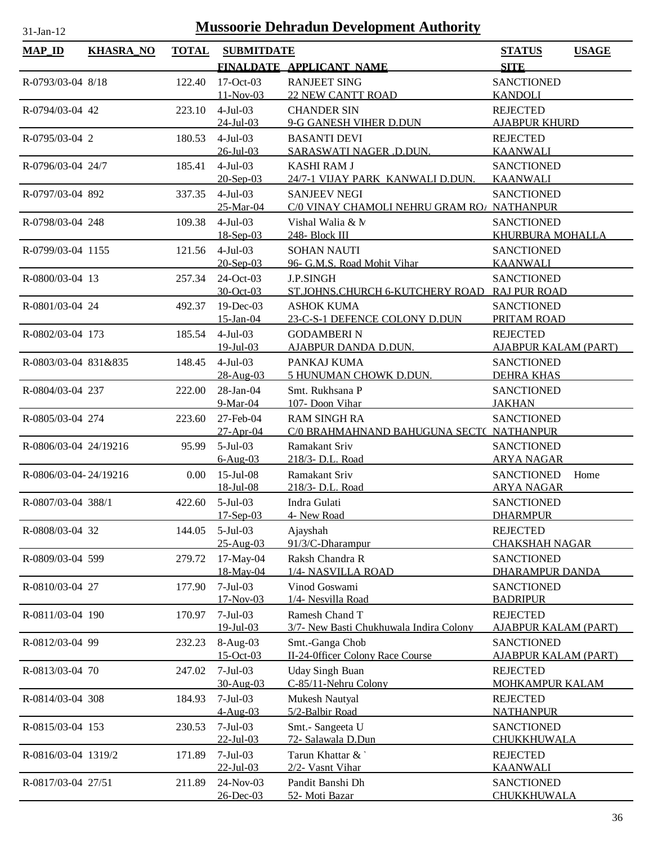| <b>MAP_ID</b>         | <b>KHASRA_NO</b> | <b>TOTAL</b> | <b>SUBMITDATE</b>            |                                                                   | <b>STATUS</b>                                    | <b>USAGE</b> |
|-----------------------|------------------|--------------|------------------------------|-------------------------------------------------------------------|--------------------------------------------------|--------------|
|                       |                  |              |                              | FINALDATE APPLICANT NAME                                          | <b>SITE</b>                                      |              |
| R-0793/03-04 8/18     |                  | 122.40       | 17-Oct-03<br>$11-Nov-03$     | <b>RANJEET SING</b><br><b>22 NEW CANTT ROAD</b>                   | <b>SANCTIONED</b><br><b>KANDOLI</b>              |              |
| R-0794/03-04 42       |                  | 223.10       | $4-Jul-03$<br>$24$ -Jul-03   | <b>CHANDER SIN</b><br>9-G GANESH VIHER D.DUN                      | <b>REJECTED</b><br><b>AJABPUR KHURD</b>          |              |
| R-0795/03-04 2        |                  | 180.53       | $4-Jul-03$<br>26-Jul-03      | <b>BASANTI DEVI</b><br>SARASWATI NAGER .D.DUN.                    | <b>REJECTED</b><br><b>KAANWALI</b>               |              |
| R-0796/03-04 24/7     |                  | 185.41       | $4-Jul-03$<br>$20-Sep-03$    | <b>KASHI RAM J</b><br>24/7-1 VIJAY PARK KANWALI D.DUN.            | <b>SANCTIONED</b><br><b>KAANWALI</b>             |              |
| R-0797/03-04 892      |                  | 337.35       | $4-Jul-03$<br>25-Mar-04      | <b>SANJEEV NEGI</b><br>C/0 VINAY CHAMOLI NEHRU GRAM ROA NATHANPUR | <b>SANCTIONED</b>                                |              |
| R-0798/03-04 248      |                  | 109.38       | $4-Jul-03$<br>$18-Sep-03$    | Vishal Walia & N<br>248- Block III                                | <b>SANCTIONED</b><br><b>KHURBURA MOHALLA</b>     |              |
| R-0799/03-04 1155     |                  | 121.56       | $4-Jul-03$<br>$20-Sep-03$    | <b>SOHAN NAUTI</b><br>96- G.M.S. Road Mohit Vihar                 | <b>SANCTIONED</b><br><b>KAANWALI</b>             |              |
| R-0800/03-04 13       |                  | 257.34       | $24$ -Oct-03<br>30-Oct-03    | <b>J.P.SINGH</b><br>ST.JOHNS.CHURCH 6-KUTCHERY ROAD RAJ PUR ROAD  | <b>SANCTIONED</b>                                |              |
| R-0801/03-04 24       |                  | 492.37       | $19$ -Dec-03<br>15-Jan-04    | <b>ASHOK KUMA</b><br>23-C-S-1 DEFENCE COLONY D.DUN                | <b>SANCTIONED</b><br>PRITAM ROAD                 |              |
| R-0802/03-04 173      |                  | 185.54       | $4-Jul-03$<br>$19$ -Jul-03   | <b>GODAMBERI N</b><br>AJABPUR DANDA D.DUN.                        | <b>REJECTED</b><br><b>AJABPUR KALAM (PART)</b>   |              |
| R-0803/03-04 831&835  |                  | 148.45       | $4-Jul-03$<br>28-Aug-03      | PANKAJ KUMA<br>5 HUNUMAN CHOWK D.DUN.                             | <b>SANCTIONED</b><br><b>DEHRA KHAS</b>           |              |
| R-0804/03-04 237      |                  | 222.00       | 28-Jan-04<br>9-Mar-04        | Smt. Rukhsana P<br>107- Doon Vihar                                | <b>SANCTIONED</b><br><b>JAKHAN</b>               |              |
| R-0805/03-04 274      |                  | 223.60       | 27-Feb-04<br>$27-Apr-04$     | <b>RAM SINGH RA</b><br>C/0 BRAHMAHNAND BAHUGUNA SECT( NATHANPUR   | <b>SANCTIONED</b>                                |              |
| R-0806/03-04 24/19216 |                  | 95.99        | $5-Jul-03$<br>$6 - Aug-03$   | Ramakant Sriv<br>218/3- D.L. Road                                 | <b>SANCTIONED</b><br><b>ARYA NAGAR</b>           |              |
| R-0806/03-04-24/19216 |                  | 0.00         | $15$ -Jul-08<br>$18$ -Jul-08 | Ramakant Sriv<br>218/3- D.L. Road                                 | <b>SANCTIONED</b><br><b>ARYA NAGAR</b>           | Home         |
| R-0807/03-04 388/1    |                  | 422.60       | $5-Jul-03$<br>$17-Sep-03$    | Indra Gulati<br>4- New Road                                       | <b>SANCTIONED</b><br><b>DHARMPUR</b>             |              |
| R-0808/03-04 32       |                  | 144.05       | $5$ -Jul $-03$<br>25-Aug-03  | Ajayshah<br>91/3/C-Dharampur                                      | <b>REJECTED</b><br><b>CHAKSHAH NAGAR</b>         |              |
| R-0809/03-04 599      |                  | 279.72       | 17-May-04<br>18-May-04       | Raksh Chandra R<br>1/4- NASVILLA ROAD                             | <b>SANCTIONED</b><br><b>DHARAMPUR DANDA</b>      |              |
| R-0810/03-04 27       |                  | 177.90       | $7-Jul-03$<br>17-Nov-03      | Vinod Goswami<br>1/4- Nesvilla Road                               | <b>SANCTIONED</b><br><b>BADRIPUR</b>             |              |
| R-0811/03-04 190      |                  | 170.97       | $7-Jul-03$<br>$19$ -Jul-03   | Ramesh Chand T<br>3/7- New Basti Chukhuwala Indira Colony         | <b>REJECTED</b><br><b>AJABPUR KALAM (PART)</b>   |              |
| R-0812/03-04 99       |                  | 232.23       | 8-Aug-03<br>$15-Oct-03$      | Smt.-Ganga Chob<br>II-24-Officer Colony Race Course               | <b>SANCTIONED</b><br><b>AJABPUR KALAM (PART)</b> |              |
| R-0813/03-04 70       |                  | 247.02       | $7-Jul-03$<br>30-Aug-03      | <b>Uday Singh Buan</b><br>C-85/11-Nehru Colony                    | <b>REJECTED</b><br><b>MOHKAMPUR KALAM</b>        |              |
| R-0814/03-04 308      |                  | 184.93       | $7-Jul-03$<br>$4-Aug-03$     | Mukesh Nautyal<br>5/2-Balbir Road                                 | <b>REJECTED</b><br><b>NATHANPUR</b>              |              |
| R-0815/03-04 153      |                  | 230.53       | $7-Jul-03$<br>$22$ -Jul-03   | Smt.- Sangeeta U<br>72- Salawala D.Dun                            | <b>SANCTIONED</b><br>CHUKKHUWALA                 |              |
| R-0816/03-04 1319/2   |                  | 171.89       | $7-Jul-03$<br>$22$ -Jul-03   | Tarun Khattar &<br>2/2- Vasnt Vihar                               | <b>REJECTED</b><br><b>KAANWALI</b>               |              |
| R-0817/03-04 27/51    |                  | 211.89       | 24-Nov-03<br>26-Dec-03       | Pandit Banshi Dh<br>52- Moti Bazar                                | <b>SANCTIONED</b><br>CHUKKHUWALA                 |              |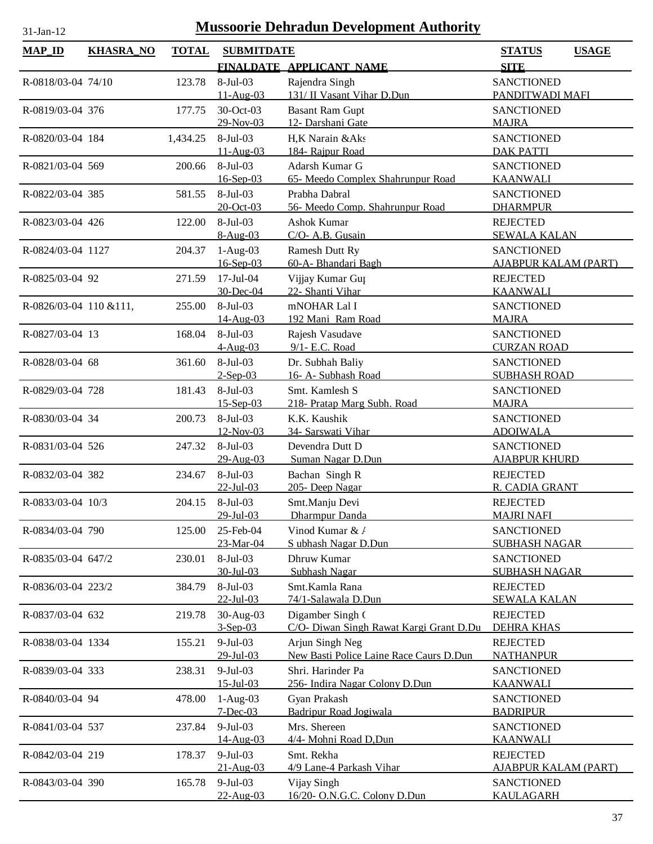| <b>MAP_ID</b>          | <b>KHASRA_NO</b> | <b>TOTAL</b> | <b>SUBMITDATE</b>       |                                         | <b>STATUS</b><br><b>USAGE</b>                  |
|------------------------|------------------|--------------|-------------------------|-----------------------------------------|------------------------------------------------|
|                        |                  |              |                         | FINALDATE APPLICANT NAME                | <b>SITE</b>                                    |
| R-0818/03-04 74/10     |                  | 123.78       | 8-Jul-03                | Rajendra Singh                          | <b>SANCTIONED</b>                              |
|                        |                  |              | 11-Aug-03               | 131/ II Vasant Vihar D.Dun              | PANDITWADI MAFI                                |
| R-0819/03-04 376       |                  | 177.75       | 30-Oct-03               | <b>Basant Ram Gupt</b>                  | <b>SANCTIONED</b>                              |
|                        |                  |              | 29-Nov-03               | 12- Darshani Gate                       | <b>MAJRA</b>                                   |
| R-0820/03-04 184       |                  | 1,434.25     | 8-Jul-03                | H,K Narain &Aks                         | <b>SANCTIONED</b>                              |
|                        |                  |              | $11-Aug-03$             | 184- Rajpur Road                        | <b>DAK PATTI</b>                               |
| R-0821/03-04 569       |                  | 200.66       | 8-Jul-03                | Adarsh Kumar G                          | <b>SANCTIONED</b>                              |
|                        |                  |              | $16-Sep-03$             | 65- Meedo Complex Shahrunpur Road       | <b>KAANWALI</b>                                |
| R-0822/03-04 385       |                  | 581.55       | 8-Jul-03                | Prabha Dabral                           | <b>SANCTIONED</b>                              |
|                        |                  |              | $20$ -Oct-03            | 56- Meedo Comp. Shahrunpur Road         | <b>DHARMPUR</b>                                |
| R-0823/03-04 426       |                  | 122.00       | 8-Jul-03                | Ashok Kumar                             | <b>REJECTED</b>                                |
|                        |                  |              | $8-Aug-03$              | C/O- A.B. Gusain                        | <b>SEWALA KALAN</b>                            |
| R-0824/03-04 1127      |                  | 204.37       | $1-Aug-03$              | Ramesh Dutt Ry                          | <b>SANCTIONED</b>                              |
|                        |                  |              | 16-Sep-03               | 60-A- Bhandari Bagh                     | <b>AJABPUR KALAM (PART)</b>                    |
| R-0825/03-04 92        |                  | 271.59       | 17-Jul-04<br>30-Dec-04  | Vijjay Kumar Gut<br>22- Shanti Vihar    | <b>REJECTED</b><br><b>KAANWALI</b>             |
|                        |                  | 255.00       | 8-Jul-03                | mNOHAR Lal I                            | <b>SANCTIONED</b>                              |
| R-0826/03-04 110 &111, |                  |              | 14-Aug-03               | 192 Mani Ram Road                       | <b>MAJRA</b>                                   |
| R-0827/03-04 13        |                  | 168.04       | $8-Jul-03$              | Rajesh Vasudave                         | <b>SANCTIONED</b>                              |
|                        |                  |              | $4-Aug-03$              | 9/1- E.C. Road                          | <b>CURZAN ROAD</b>                             |
| R-0828/03-04 68        |                  | 361.60       | 8-Jul-03                | Dr. Subhah Baliy                        | <b>SANCTIONED</b>                              |
|                        |                  |              | $2-Sep-03$              | 16- A- Subhash Road                     | <b>SUBHASH ROAD</b>                            |
| R-0829/03-04 728       |                  | 181.43       | 8-Jul-03                | Smt. Kamlesh S                          | <b>SANCTIONED</b>                              |
|                        |                  |              | $15-Sep-03$             | 218- Pratap Marg Subh. Road             | <b>MAJRA</b>                                   |
| R-0830/03-04 34        |                  | 200.73       | 8-Jul-03                | K.K. Kaushik                            | <b>SANCTIONED</b>                              |
|                        |                  |              | 12-Nov-03               | 34- Sarswati Vihar                      | <b>ADOIWALA</b>                                |
| R-0831/03-04 526       |                  | 247.32       | 8-Jul-03                | Devendra Dutt D                         | <b>SANCTIONED</b>                              |
|                        |                  |              | 29-Aug-03               | Suman Nagar D.Dun                       | <b>AJABPUR KHURD</b>                           |
| R-0832/03-04 382       |                  | 234.67       | 8-Jul-03                | Bachan Singh R                          | <b>REJECTED</b>                                |
|                        |                  |              | $22$ -Jul-03            | 205- Deep Nagar                         | R. CADIA GRANT                                 |
| R-0833/03-04 10/3      |                  | 204.15       | 8-Jul-03<br>29-Jul-03   | Smt.Manju Devi<br>Dharmpur Danda        | <b>REJECTED</b><br><b>MAJRI NAFI</b>           |
| R-0834/03-04 790       |                  |              | 25-Feb-04               | Vinod Kumar & /                         |                                                |
|                        |                  | 125.00       | 23-Mar-04               | S ubhash Nagar D.Dun                    | <b>SANCTIONED</b><br><b>SUBHASH NAGAR</b>      |
| R-0835/03-04 647/2     |                  | 230.01       | 8-Jul-03                | Dhruw Kumar                             | <b>SANCTIONED</b>                              |
|                        |                  |              | $30 - Jul - 03$         | Subhash Nagar                           | <b>SUBHASH NAGAR</b>                           |
| R-0836/03-04 223/2     |                  | 384.79       | $8-Jul-03$              | Smt.Kamla Rana                          | <b>REJECTED</b>                                |
|                        |                  |              | $22 -$ Jul-03           | 74/1-Salawala D.Dun                     | <b>SEWALA KALAN</b>                            |
| R-0837/03-04 632       |                  | 219.78       | 30-Aug-03               | Digamber Singh (                        | <b>REJECTED</b>                                |
|                        |                  |              | $3-Sep-03$              | C/O- Diwan Singh Rawat Kargi Grant D.Du | <b>DEHRA KHAS</b>                              |
| R-0838/03-04 1334      |                  | 155.21       | $9-Jul-03$              | Arjun Singh Neg                         | <b>REJECTED</b>                                |
|                        |                  |              | 29-Jul-03               | New Basti Police Laine Race Caurs D.Dun | <b>NATHANPUR</b>                               |
| R-0839/03-04 333       |                  | 238.31       | $9-Jul-03$              | Shri. Harinder Pa                       | <b>SANCTIONED</b>                              |
|                        |                  |              | $15 -$ Jul $-03$        | 256- Indira Nagar Colony D.Dun          | <u>KAANWALI</u>                                |
| R-0840/03-04 94        |                  | 478.00       | $1-Aug-03$              | Gyan Prakash                            | <b>SANCTIONED</b>                              |
|                        |                  |              | $7 - Dec-03$            | Badripur Road Jogiwala                  | <b>BADRIPUR</b>                                |
| R-0841/03-04 537       |                  | 237.84       | $9$ -Jul-03             | Mrs. Shereen                            | <b>SANCTIONED</b>                              |
|                        |                  |              | 14-Aug-03<br>$9-Jul-03$ | 4/4- Mohni Road D, Dun<br>Smt. Rekha    | <b>KAANWALI</b>                                |
| R-0842/03-04 219       |                  | 178.37       | 21-Aug-03               | 4/9 Lane-4 Parkash Vihar                | <b>REJECTED</b><br><b>AJABPUR KALAM (PART)</b> |
| R-0843/03-04 390       |                  | 165.78       | $9-Jul-03$              | Vijay Singh                             | <b>SANCTIONED</b>                              |
|                        |                  |              | 22-Aug-03               | 16/20- O.N.G.C. Colony D.Dun            | <b>KAULAGARH</b>                               |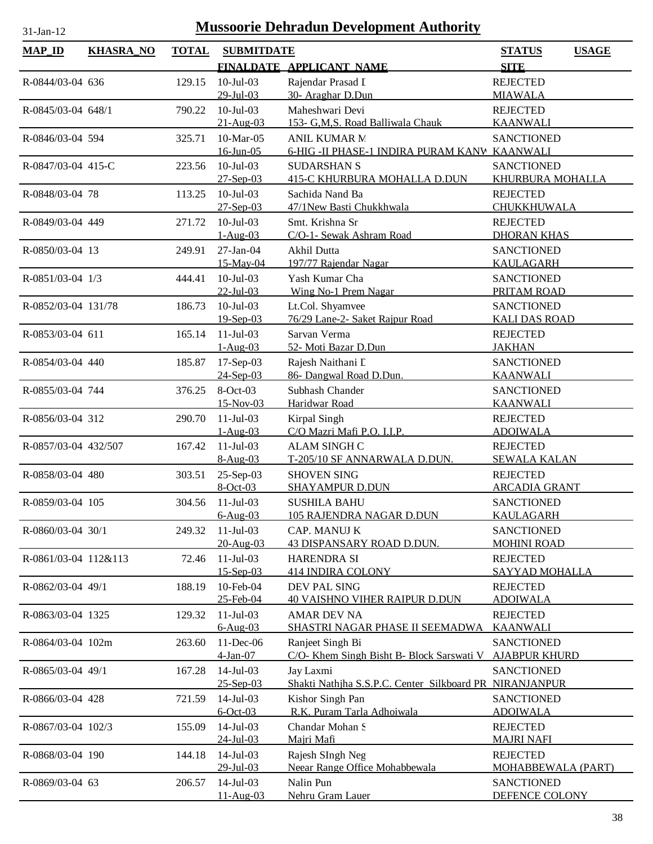| <b>MAP_ID</b>        | <b>KHASRA_NO</b> | <b>TOTAL</b> | <b>SUBMITDATE</b>            | FINALDATE APPLICANT NAME                                             | <b>STATUS</b><br><b>USAGE</b><br><b>SITE</b> |
|----------------------|------------------|--------------|------------------------------|----------------------------------------------------------------------|----------------------------------------------|
|                      |                  |              |                              |                                                                      |                                              |
| R-0844/03-04 636     |                  | 129.15       | $10$ -Jul-03<br>$29$ -Jul-03 | Rajendar Prasad I<br>30- Araghar D.Dun                               | <b>REJECTED</b><br><b>MIAWALA</b>            |
| R-0845/03-04 648/1   |                  | 790.22       | $10$ -Jul-03                 | Maheshwari Devi                                                      | <b>REJECTED</b>                              |
|                      |                  |              | $21-Au$ g-03                 | 153- G.M.S. Road Balliwala Chauk                                     | <b>KAANWALI</b>                              |
| R-0846/03-04 594     |                  | 325.71       | 10-Mar-05<br>$16$ -Jun-05    | <b>ANIL KUMAR N</b><br>6-HIG - II PHASE-1 INDIRA PURAM KANV KAANWALI | <b>SANCTIONED</b>                            |
| R-0847/03-04 415-C   |                  | 223.56       | $10$ -Jul-03                 | <b>SUDARSHAN S</b>                                                   | <b>SANCTIONED</b>                            |
|                      |                  |              | $27-Sep-03$                  | <b>415-C KHURBURA MOHALLA D.DUN</b>                                  | KHURBURA MOHALLA                             |
| R-0848/03-04 78      |                  | 113.25       | $10$ -Jul-03                 | Sachida Nand Ba                                                      | <b>REJECTED</b>                              |
|                      |                  |              | $27 - Sep-03$                | 47/1New Basti Chukkhwala                                             | <b>CHUKKHUWALA</b>                           |
| R-0849/03-04 449     |                  | 271.72       | $10$ -Jul-03                 | Smt. Krishna Sr                                                      | <b>REJECTED</b>                              |
|                      |                  |              | $1-Aug-03$                   | C/O-1- Sewak Ashram Road                                             | <b>DHORAN KHAS</b>                           |
| R-0850/03-04 13      |                  | 249.91       | 27-Jan-04<br>15-May-04       | Akhil Dutta<br>197/77 Rajendar Nagar                                 | <b>SANCTIONED</b><br><b>KAULAGARH</b>        |
| R-0851/03-04 1/3     |                  | 444.41       | $10$ -Jul- $03$              | Yash Kumar Cha                                                       | <b>SANCTIONED</b>                            |
|                      |                  |              | $22$ -Jul-03                 | Wing No-1 Prem Nagar                                                 | PRITAM ROAD                                  |
| R-0852/03-04 131/78  |                  | 186.73       | $10$ -Jul-03                 | Lt.Col. Shyamvee                                                     | <b>SANCTIONED</b>                            |
|                      |                  |              | 19-Sep-03                    | 76/29 Lane-2- Saket Rajpur Road                                      | <b>KALI DAS ROAD</b>                         |
| R-0853/03-04 611     |                  | 165.14       | $11-Jul-03$                  | Sarvan Verma                                                         | <b>REJECTED</b>                              |
|                      |                  |              | $1-Aug-03$                   | 52- Moti Bazar D.Dun                                                 | <b>JAKHAN</b>                                |
| R-0854/03-04 440     |                  | 185.87       | 17-Sep-03                    | Rajesh Naithani L                                                    | <b>SANCTIONED</b>                            |
|                      |                  |              | $24-Sep-03$                  | 86- Dangwal Road D.Dun.                                              | <b>KAANWALI</b>                              |
| R-0855/03-04 744     |                  | 376.25       | 8-Oct-03                     | Subhash Chander                                                      | <b>SANCTIONED</b>                            |
|                      |                  |              | 15-Nov-03<br>$11-Jul-03$     | Haridwar Road                                                        | <b>KAANWALI</b>                              |
| R-0856/03-04 312     |                  | 290.70       | $1-Aug-03$                   | Kirpal Singh<br>C/O Mazri Mafi P.O. I.I.P.                           | <b>REJECTED</b><br><b>ADOIWALA</b>           |
| R-0857/03-04 432/507 |                  | 167.42       | $11-Jul-03$                  | <b>ALAM SINGH C</b>                                                  | <b>REJECTED</b>                              |
|                      |                  |              | $8-Aug-03$                   | T-205/10 SF ANNARWALA D.DUN.                                         | <b>SEWALA KALAN</b>                          |
| R-0858/03-04 480     |                  | 303.51       | 25-Sep-03                    | <b>SHOVEN SING</b>                                                   | <b>REJECTED</b>                              |
|                      |                  |              | 8-Oct-03                     | <b>SHAYAMPUR D.DUN</b>                                               | <b>ARCADIA GRANT</b>                         |
| R-0859/03-04 105     |                  | 304.56       | $11-Jul-03$                  | <b>SUSHILA BAHU</b>                                                  | <b>SANCTIONED</b>                            |
|                      |                  |              | $6-Aug-03$                   | 105 RAJENDRA NAGAR D.DUN                                             | <b>KAULAGARH</b>                             |
| R-0860/03-04 30/1    |                  | 249.32       | $11-Jul-03$                  | CAP. MANUJ K                                                         | <b>SANCTIONED</b>                            |
| R-0861/03-04 112&113 |                  | 72.46        | 20-Aug-03<br>$11-Jul-03$     | 43 DISPANSARY ROAD D.DUN.<br><b>HARENDRA SI</b>                      | <b>MOHINI ROAD</b><br><b>REJECTED</b>        |
|                      |                  |              | $15 -$ Sep $-03$             | <b>414 INDIRA COLONY</b>                                             | SAYYAD MOHALLA                               |
| R-0862/03-04 49/1    |                  | 188.19       | 10-Feb-04                    | DEV PAL SING                                                         | <b>REJECTED</b>                              |
|                      |                  |              | 25-Feb-04                    | <b>40 VAISHNO VIHER RAIPUR D.DUN</b>                                 | <b>ADOIWALA</b>                              |
| R-0863/03-04 1325    |                  | 129.32       | $11-Jul-03$                  | <b>AMAR DEV NA</b>                                                   | <b>REJECTED</b>                              |
|                      |                  |              | $6-Aug-03$                   | SHASTRI NAGAR PHASE II SEEMADWA                                      | <b>KAANWALI</b>                              |
| R-0864/03-04 102m    |                  | 263.60       | 11-Dec-06<br>4-Jan-07        | Ranjeet Singh Bi<br>C/O- Khem Singh Bisht B- Block Sarswati V        | <b>SANCTIONED</b><br><b>AJABPUR KHURD</b>    |
| R-0865/03-04 49/1    |                  | 167.28       | $14$ -Jul-03                 | Jay Laxmi                                                            | <b>SANCTIONED</b>                            |
|                      |                  |              | $25 - Sep-03$                | Shakti Nathiha S.S.P.C. Center Silkboard PR NIRANJANPUR              |                                              |
| R-0866/03-04 428     |                  | 721.59       | $14$ -Jul-03                 | Kishor Singh Pan                                                     | <b>SANCTIONED</b>                            |
|                      |                  |              | $6$ -Oct-03                  | R.K. Puram Tarla Adhoiwala                                           | <b>ADOIWALA</b>                              |
| R-0867/03-04 102/3   |                  | 155.09       | $14$ -Jul-03                 | Chandar Mohan S                                                      | <b>REJECTED</b>                              |
|                      |                  |              | $24$ -Jul-03                 | Majri Mafi                                                           | <b>MAJRI NAFI</b>                            |
| R-0868/03-04 190     |                  | 144.18       | $14$ -Jul-03<br>29-Jul-03    | Rajesh SIngh Neg<br>Neear Range Office Mohabbewala                   | <b>REJECTED</b><br><b>MOHABBEWALA (PART)</b> |
| R-0869/03-04 63      |                  | 206.57       | $14$ -Jul-03                 | Nalin Pun                                                            | <b>SANCTIONED</b>                            |
|                      |                  |              | $11 - Aug-03$                | Nehru Gram Lauer                                                     | DEFENCE COLONY                               |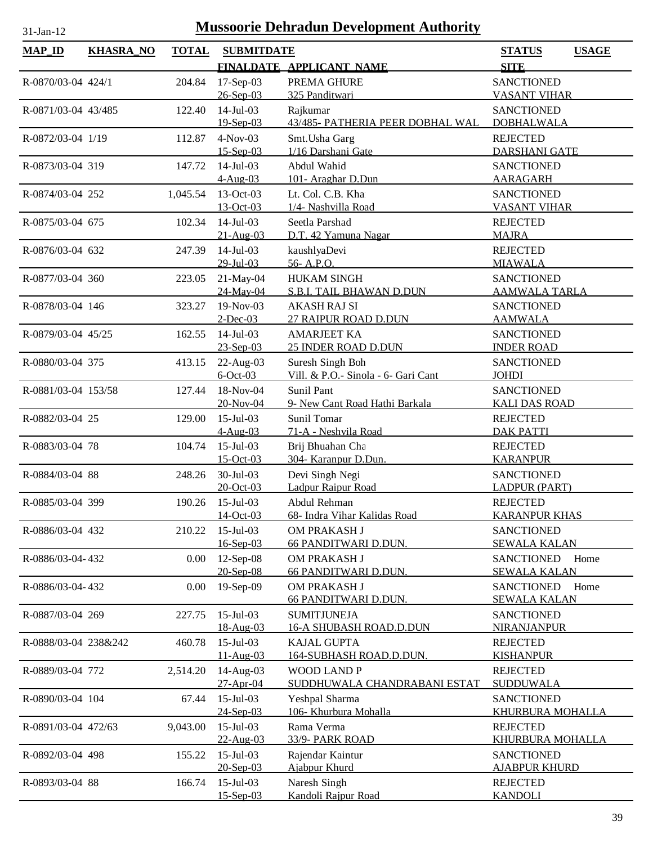| <b>MAP_ID</b>        | <b>KHASRA_NO</b> | <b>TOTAL</b> | <b>SUBMITDATE</b>             |                                                      | <b>STATUS</b>                           | <b>USAGE</b> |
|----------------------|------------------|--------------|-------------------------------|------------------------------------------------------|-----------------------------------------|--------------|
|                      |                  |              |                               | FINALDATE APPLICANT NAME                             | <b>SITE</b>                             |              |
| R-0870/03-04 424/1   |                  | 204.84       | 17-Sep-03                     | PREMA GHURE                                          | <b>SANCTIONED</b>                       |              |
|                      |                  |              | $26 - Sep-03$                 | 325 Panditwari                                       | <b>VASANT VIHAR</b>                     |              |
| R-0871/03-04 43/485  |                  | 122.40       | $14$ -Jul-03                  | Rajkumar                                             | <b>SANCTIONED</b>                       |              |
|                      |                  |              | 19-Sep-03                     | 43/485- PATHERIA PEER DOBHAL WAL                     | <b>DOBHALWALA</b>                       |              |
| R-0872/03-04 1/19    |                  | 112.87       | $4-Nov-03$                    | Smt. Usha Garg                                       | <b>REJECTED</b>                         |              |
|                      |                  |              | $15 - Sep-03$                 | 1/16 Darshani Gate                                   | <b>DARSHANI GATE</b>                    |              |
| R-0873/03-04 319     |                  | 147.72       | $14$ -Jul-03                  | Abdul Wahid                                          | <b>SANCTIONED</b>                       |              |
|                      |                  |              | $4-Aug-03$                    | 101- Araghar D.Dun                                   | <b>AARAGARH</b>                         |              |
| R-0874/03-04 252     |                  | 1,045.54     | 13-Oct-03                     | Lt. Col. C.B. Kha                                    | <b>SANCTIONED</b>                       |              |
|                      |                  |              | 13-Oct-03                     | 1/4- Nashvilla Road                                  | <b>VASANT VIHAR</b>                     |              |
| R-0875/03-04 675     |                  | 102.34       | $14-Jul-03$                   | Seetla Parshad                                       | <b>REJECTED</b>                         |              |
|                      |                  |              | $21 - Aug-03$                 | D.T. 42 Yamuna Nagar<br>kaushlyaDevi                 | <b>MAJRA</b><br><b>REJECTED</b>         |              |
| R-0876/03-04 632     |                  | 247.39       | $14$ -Jul-03<br>29-Jul-03     | 56-A.P.O.                                            | <b>MIAWALA</b>                          |              |
| R-0877/03-04 360     |                  | 223.05       | 21-May-04                     | <b>HUKAM SINGH</b>                                   | <b>SANCTIONED</b>                       |              |
|                      |                  |              | 24-May-04                     | S.B.I. TAIL BHAWAN D.DUN                             | <b>AAMWALA TARLA</b>                    |              |
| R-0878/03-04 146     |                  | 323.27       | 19-Nov-03                     | <b>AKASH RAJ SI</b>                                  | <b>SANCTIONED</b>                       |              |
|                      |                  |              | $2$ -Dec-03                   | 27 RAIPUR ROAD D.DUN                                 | <b>AAMWALA</b>                          |              |
| R-0879/03-04 45/25   |                  | 162.55       | $14$ -Jul-03                  | <b>AMARJEET KA</b>                                   | <b>SANCTIONED</b>                       |              |
|                      |                  |              | $23 - Sep-03$                 | 25 INDER ROAD D.DUN                                  | <b>INDER ROAD</b>                       |              |
| R-0880/03-04 375     |                  | 413.15       | $22$ -Aug-03                  | Suresh Singh Boh                                     | <b>SANCTIONED</b>                       |              |
|                      |                  |              | $6$ -Oct-03                   | Vill. & P.O.- Sinola - 6- Gari Cant                  | <b>JOHDI</b>                            |              |
| R-0881/03-04 153/58  |                  | 127.44       | 18-Nov-04                     | Sunil Pant                                           | <b>SANCTIONED</b>                       |              |
|                      |                  |              | 20-Nov-04                     | 9- New Cant Road Hathi Barkala                       | <b>KALI DAS ROAD</b>                    |              |
| R-0882/03-04 25      |                  | 129.00       | $15$ -Jul-03                  | Sunil Tomar                                          | <b>REJECTED</b>                         |              |
| R-0883/03-04 78      |                  | 104.74       | $4-Aug-03$<br>$15$ -Jul-03    | 71-A - Neshvila Road<br>Brij Bhuahan Cha             | <b>DAK PATTI</b><br><b>REJECTED</b>     |              |
|                      |                  |              | 15-Oct-03                     | 304- Karanpur D.Dun.                                 | <b>KARANPUR</b>                         |              |
| R-0884/03-04 88      |                  | 248.26       | 30-Jul-03                     | Devi Singh Negi                                      | <b>SANCTIONED</b>                       |              |
|                      |                  |              | $20 - Oct - 03$               | Ladpur Raipur Road                                   | <b>LADPUR (PART)</b>                    |              |
| R-0885/03-04 399     |                  | 190.26       | $15$ -Jul-03                  | Abdul Rehman                                         | <b>REJECTED</b>                         |              |
|                      |                  |              | 14-Oct-03                     | 68- Indra Vihar Kalidas Road                         | <b>KARANPUR KHAS</b>                    |              |
| R-0886/03-04 432     |                  | 210.22       | $15$ -Jul-03                  | OM PRAKASH J                                         | <b>SANCTIONED</b>                       |              |
|                      |                  |              | 16-Sep-03                     | 66 PANDITWARI D.DUN.                                 | <b>SEWALA KALAN</b>                     |              |
| R-0886/03-04-432     |                  | 0.00         | 12-Sep-08                     | OM PRAKASH J                                         | <b>SANCTIONED</b>                       | Home         |
|                      |                  |              | 20-Sep-08                     | 66 PANDITWARI D.DUN.                                 | <b>SEWALA KALAN</b>                     |              |
| R-0886/03-04-432     |                  | 0.00         | 19-Sep-09                     | OM PRAKASH J                                         | <b>SANCTIONED</b>                       | Home         |
|                      |                  |              | 15-Jul-03                     | 66 PANDITWARI D.DUN.                                 | <b>SEWALA KALAN</b>                     |              |
| R-0887/03-04 269     |                  | 227.75       | 18-Aug-03                     | <b>SUMITJUNEJA</b><br><b>16-A SHUBASH ROAD.D.DUN</b> | <b>SANCTIONED</b><br><b>NIRANJANPUR</b> |              |
| R-0888/03-04 238&242 |                  | 460.78       | $15$ -Jul-03                  | <b>KAJAL GUPTA</b>                                   | <b>REJECTED</b>                         |              |
|                      |                  |              | $11-Aug-03$                   | <b>164-SUBHASH ROAD.D.DUN.</b>                       | <b>KISHANPUR</b>                        |              |
| R-0889/03-04 772     |                  | 2,514.20     | 14-Aug-03                     | <b>WOOD LAND P</b>                                   | <b>REJECTED</b>                         |              |
|                      |                  |              | 27-Apr-04                     | SUDDHUWALA CHANDRABANI ESTAT                         | SUDDUWALA                               |              |
| R-0890/03-04 104     |                  | 67.44        | $15$ -Jul-03                  | Yeshpal Sharma                                       | <b>SANCTIONED</b>                       |              |
|                      |                  |              | 24-Sep-03                     | 106- Khurbura Mohalla                                | <b>KHURBURA MOHALLA</b>                 |              |
| R-0891/03-04 472/63  |                  | 9,043.00     | $15$ -Jul-03                  | Rama Verma                                           | <b>REJECTED</b>                         |              |
|                      |                  |              | 22-Aug-03                     | 33/9- PARK ROAD                                      | KHURBURA MOHALLA                        |              |
| R-0892/03-04 498     |                  | 155.22       | $15$ -Jul-03                  | Rajendar Kaintur                                     | <b>SANCTIONED</b>                       |              |
|                      |                  |              | 20-Sep-03                     | Ajabpur Khurd                                        | <b>AJABPUR KHURD</b>                    |              |
| R-0893/03-04 88      |                  | 166.74       | $15$ -Jul-03<br>$15 - Sep-03$ | Naresh Singh<br>Kandoli Rajpur Road                  | <b>REJECTED</b><br><b>KANDOLI</b>       |              |
|                      |                  |              |                               |                                                      |                                         |              |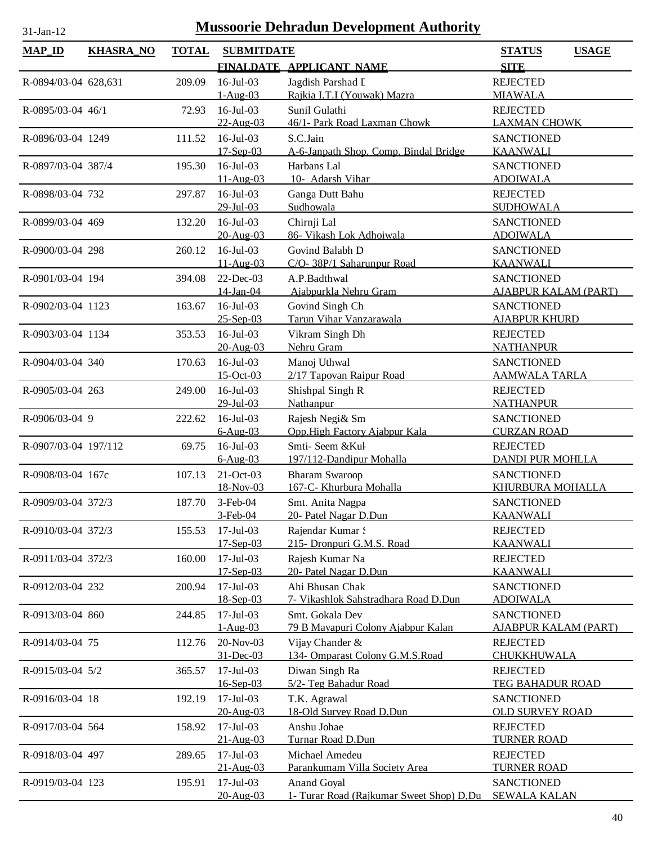| <b>MAP_ID</b>        | <b>KHASRA_NO</b> | <b>TOTAL</b> | <b>SUBMITDATE</b>           |                                                 | <b>STATUS</b><br><b>USAGE</b>           |
|----------------------|------------------|--------------|-----------------------------|-------------------------------------------------|-----------------------------------------|
|                      |                  |              |                             | FINALDATE APPLICANT NAME                        | <b>SITE</b>                             |
| R-0894/03-04 628,631 |                  | 209.09       | $16$ -Jul-03                | Jagdish Parshad L                               | <b>REJECTED</b>                         |
|                      |                  |              | $1-Aug-03$                  | Rajkia I.T.I (Youwak) Mazra                     | <b>MIAWALA</b>                          |
| R-0895/03-04 46/1    |                  | 72.93        | $16$ -Jul-03                | Sunil Gulathi                                   | <b>REJECTED</b>                         |
|                      |                  |              | 22-Aug-03                   | 46/1- Park Road Laxman Chowk                    | <b>LAXMAN CHOWK</b>                     |
| R-0896/03-04 1249    |                  | 111.52       | $16$ -Jul-03                | S.C.Jain                                        | <b>SANCTIONED</b>                       |
|                      |                  |              | $17 - Sep-03$               | A-6-Janpath Shop. Comp. Bindal Bridge           | <b>KAANWALI</b>                         |
| R-0897/03-04 387/4   |                  | 195.30       | $16$ -Jul-03                | Harbans Lal                                     | <b>SANCTIONED</b>                       |
|                      |                  |              | $11-Aug-03$                 | 10- Adarsh Vihar                                | <b>ADOIWALA</b>                         |
| R-0898/03-04 732     |                  | 297.87       | $16$ -Jul $-03$             | Ganga Dutt Bahu                                 | <b>REJECTED</b>                         |
|                      |                  |              | 29-Jul-03                   | Sudhowala                                       | <b>SUDHOWALA</b>                        |
| R-0899/03-04 469     |                  | 132.20       | $16$ -Jul-03                | Chirnji Lal                                     | <b>SANCTIONED</b>                       |
|                      |                  |              | 20-Aug-03                   | 86- Vikash Lok Adhoiwala                        | <b>ADOIWALA</b>                         |
| R-0900/03-04 298     |                  | 260.12       | $16$ -Jul-03                | Govind Balabh D                                 | <b>SANCTIONED</b>                       |
|                      |                  |              | 11-Aug-03                   | C/O- 38P/1 Saharunpur Road                      | <b>KAANWALI</b>                         |
| R-0901/03-04 194     |                  | 394.08       | $22$ -Dec-03                | A.P.Badthwal                                    | <b>SANCTIONED</b>                       |
|                      |                  |              | 14-Jan-04                   | Ajabpurkla Nehru Gram                           | <b>AJABPUR KALAM (PART)</b>             |
| R-0902/03-04 1123    |                  | 163.67       | 16-Jul-03                   | Govind Singh Ch                                 | <b>SANCTIONED</b>                       |
|                      |                  |              | $25 -$ Sep $-03$            | Tarun Vihar Vanzarawala                         | <b>AJABPUR KHURD</b>                    |
| R-0903/03-04 1134    |                  | 353.53       | $16$ -Jul-03                | Vikram Singh Dh                                 | <b>REJECTED</b>                         |
|                      |                  |              | 20-Aug-03                   | Nehru Gram                                      | <b>NATHANPUR</b>                        |
| R-0904/03-04 340     |                  | 170.63       | $16$ -Jul-03<br>$15-Oct-03$ | Manoj Uthwal<br>2/17 Tapovan Raipur Road        | <b>SANCTIONED</b>                       |
|                      |                  |              | 16-Jul-03                   |                                                 | <b>AAMWALA TARLA</b><br><b>REJECTED</b> |
| R-0905/03-04 263     |                  | 249.00       | 29-Jul-03                   | Shishpal Singh R<br>Nathanpur                   | <b>NATHANPUR</b>                        |
| R-0906/03-04 9       |                  | 222.62       | 16-Jul-03                   | Rajesh Negi& Sm                                 | <b>SANCTIONED</b>                       |
|                      |                  |              | $6-Aug-03$                  | Opp.High Factory Ajabpur Kala                   | <b>CURZAN ROAD</b>                      |
| R-0907/03-04 197/112 |                  | 69.75        | 16-Jul-03                   | Smti-Seem &Kul                                  | <b>REJECTED</b>                         |
|                      |                  |              | $6-Aug-03$                  | 197/112-Dandipur Mohalla                        | <b>DANDI PUR MOHLLA</b>                 |
| R-0908/03-04 167c    |                  | 107.13       | 21-Oct-03                   | <b>Bharam Swaroop</b>                           | <b>SANCTIONED</b>                       |
|                      |                  |              | 18-Nov-03                   | 167-C- Khurbura Mohalla                         | <b>KHURBURA MOHALLA</b>                 |
| R-0909/03-04 372/3   |                  | 187.70       | $3-Feb-04$                  | Smt. Anita Nagpa                                | <b>SANCTIONED</b>                       |
|                      |                  |              | 3-Feb-04                    | 20- Patel Nagar D.Dun                           | <b>KAANWALI</b>                         |
| R-0910/03-04 372/3   |                  | 155.53       | $17$ -Jul-03                | Rajendar Kumar S                                | <b>REJECTED</b>                         |
|                      |                  |              | $17 - Sep-03$               | 215- Dronpuri G.M.S. Road                       | <b>KAANWALI</b>                         |
| R-0911/03-04 372/3   |                  | 160.00       | $17$ -Jul-03                | Rajesh Kumar Na                                 | <b>REJECTED</b>                         |
|                      |                  |              | $17 -$ Sep $-03$            | 20- Patel Nagar D.Dun                           | <b>KAANWALI</b>                         |
| R-0912/03-04 232     |                  | 200.94       | $17$ -Jul-03                | Ahi Bhusan Chak                                 | <b>SANCTIONED</b>                       |
|                      |                  |              | 18-Sep-03                   | 7- Vikashlok Sahstradhara Road D.Dun            | <b>ADOIWALA</b>                         |
| R-0913/03-04 860     |                  | 244.85       | $17$ -Jul-03                | Smt. Gokala Dev                                 | <b>SANCTIONED</b>                       |
|                      |                  |              | $1-Aug-03$                  | 79 B Mayapuri Colony Ajabpur Kalan              | <b>AJABPUR KALAM (PART)</b>             |
| R-0914/03-04 75      |                  | 112.76       | 20-Nov-03                   | Vijay Chander &                                 | <b>REJECTED</b>                         |
|                      |                  |              | 31-Dec-03                   | 134- Omparast Colony G.M.S.Road                 | CHUKKHUWALA                             |
| R-0915/03-04 5/2     |                  | 365.57       | $17$ -Jul-03                | Diwan Singh Ra                                  | <b>REJECTED</b>                         |
|                      |                  |              | 16-Sep-03                   | 5/2- Teg Bahadur Road                           | <b>TEG BAHADUR ROAD</b>                 |
| R-0916/03-04 18      |                  | 192.19       | $17$ -Jul-03                | T.K. Agrawal                                    | <b>SANCTIONED</b>                       |
|                      |                  |              | 20-Aug-03                   | 18-Old Survey Road D.Dun                        | <b>OLD SURVEY ROAD</b>                  |
| R-0917/03-04 564     |                  | 158.92       | $17 -$ Jul $-03$            | Anshu Johae                                     | <b>REJECTED</b>                         |
|                      |                  |              | $21 - Aug-03$               | Turnar Road D.Dun                               | <b>TURNER ROAD</b>                      |
| R-0918/03-04 497     |                  | 289.65       | 17-Jul-03<br>21-Aug-03      | Michael Amedeu<br>Parankumam Villa Society Area | <b>REJECTED</b><br><b>TURNER ROAD</b>   |
| R-0919/03-04 123     |                  | 195.91       | $17$ -Jul-03                | Anand Goyal                                     | <b>SANCTIONED</b>                       |
|                      |                  |              | 20-Aug-03                   | 1- Turar Road (Rajkumar Sweet Shop) D,Du        | <b>SEWALA KALAN</b>                     |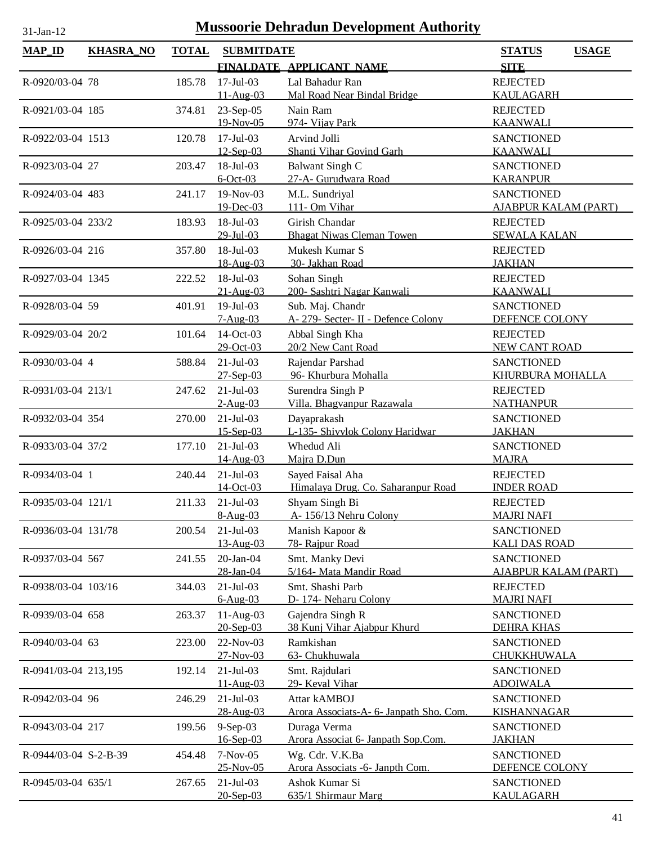|  | и |  |
|--|---|--|

| <b>MAP_ID</b>         | <b>KHASRA_NO</b> | <b>TOTAL</b> | <b>SUBMITDATE</b>            |                                            | <b>STATUS</b><br><b>USAGE</b>                    |
|-----------------------|------------------|--------------|------------------------------|--------------------------------------------|--------------------------------------------------|
|                       |                  |              |                              | FINALDATE APPLICANT NAME                   | <b>SITE</b>                                      |
| R-0920/03-04 78       |                  | 185.78       | $17$ -Jul-03                 | Lal Bahadur Ran                            | <b>REJECTED</b>                                  |
|                       |                  |              | 11-Aug-03                    | Mal Road Near Bindal Bridge                | <b>KAULAGARH</b>                                 |
| R-0921/03-04 185      |                  | 374.81       | $23-Sep-05$                  | Nain Ram                                   | <b>REJECTED</b>                                  |
|                       |                  |              | 19-Nov-05                    | 974- Vijay Park                            | <b>KAANWALI</b>                                  |
| R-0922/03-04 1513     |                  | 120.78       | $17$ -Jul-03                 | Arvind Jolli                               | <b>SANCTIONED</b>                                |
|                       |                  |              | $12-Sep-03$                  | Shanti Vihar Govind Garh                   | <b>KAANWALI</b>                                  |
| R-0923/03-04 27       |                  | 203.47       | 18-Jul-03                    | Balwant Singh C                            | <b>SANCTIONED</b>                                |
|                       |                  |              | $6$ -Oct-03                  | 27-A- Gurudwara Road                       | <b>KARANPUR</b>                                  |
| R-0924/03-04 483      |                  | 241.17       | 19-Nov-03                    | M.L. Sundriyal                             | <b>SANCTIONED</b>                                |
|                       |                  |              | 19-Dec-03                    | 111- Om Vihar                              | <b>AJABPUR KALAM (PART)</b>                      |
| R-0925/03-04 233/2    |                  | 183.93       | 18-Jul-03                    | Girish Chandar                             | <b>REJECTED</b>                                  |
|                       |                  |              | $29$ -Jul-03                 | <b>Bhagat Niwas Cleman Towen</b>           | <b>SEWALA KALAN</b>                              |
| R-0926/03-04 216      |                  | 357.80       | 18-Jul-03                    | Mukesh Kumar S                             | <b>REJECTED</b>                                  |
|                       |                  |              | 18-Aug-03                    | 30- Jakhan Road                            | <b>JAKHAN</b>                                    |
| R-0927/03-04 1345     |                  | 222.52       | 18-Jul-03<br>21-Aug-03       | Sohan Singh<br>200- Sashtri Nagar Kanwali  | <b>REJECTED</b><br><b>KAANWALI</b>               |
| R-0928/03-04 59       |                  | 401.91       | 19-Jul-03                    | Sub. Maj. Chandr                           | <b>SANCTIONED</b>                                |
|                       |                  |              | $7-Aug-03$                   | A- 279- Secter- II - Defence Colony        | DEFENCE COLONY                                   |
| R-0929/03-04 20/2     |                  | 101.64       | 14-Oct-03                    | Abbal Singh Kha                            | <b>REJECTED</b>                                  |
|                       |                  |              | 29-Oct-03                    | 20/2 New Cant Road                         | NEW CANT ROAD                                    |
| R-0930/03-04 4        |                  | 588.84       | $21-Jul-03$                  | Rajendar Parshad                           | <b>SANCTIONED</b>                                |
|                       |                  |              | 27-Sep-03                    | 96- Khurbura Mohalla                       | KHURBURA MOHALLA                                 |
| R-0931/03-04 213/1    |                  | 247.62       | $21-Jul-03$                  | Surendra Singh P                           | <b>REJECTED</b>                                  |
|                       |                  |              | $2-Aug-03$                   | Villa. Bhagvanpur Razawala                 | <b>NATHANPUR</b>                                 |
| R-0932/03-04 354      |                  | 270.00       | $21-Jul-03$                  | Dayaprakash                                | <b>SANCTIONED</b>                                |
|                       |                  |              | $15$ -Sep-03                 | L-135- Shivylok Colony Haridwar            | <b>JAKHAN</b>                                    |
| R-0933/03-04 37/2     |                  | 177.10       | $21-Jul-03$                  | Whedud Ali                                 | <b>SANCTIONED</b>                                |
|                       |                  |              | 14-Aug-03                    | Majra D.Dun                                | <b>MAJRA</b>                                     |
| R-0934/03-04 1        |                  | 240.44       | $21-Jul-03$                  | Sayed Faisal Aha                           | <b>REJECTED</b>                                  |
|                       |                  |              | 14-Oct-03                    | Himalaya Drug. Co. Saharanpur Road         | <b>INDER ROAD</b>                                |
| R-0935/03-04 121/1    |                  | 211.33       | $21-Jul-03$                  | Shyam Singh Bi                             | <b>REJECTED</b>                                  |
|                       |                  |              | 8-Aug-03                     | A-156/13 Nehru Colony                      | <b>MAJRI NAFI</b>                                |
| R-0936/03-04 131/78   |                  | 200.54       | $21-Jul-03$                  | Manish Kapoor &                            | <b>SANCTIONED</b>                                |
|                       |                  |              | 13-Aug-03                    | 78- Rajpur Road                            | <b>KALI DAS ROAD</b>                             |
| R-0937/03-04 567      |                  | 241.55       | $20$ -Jan- $04$<br>28-Jan-04 | Smt. Manky Devi<br>5/164- Mata Mandir Road | <b>SANCTIONED</b><br><b>AJABPUR KALAM (PART)</b> |
| R-0938/03-04 103/16   |                  | 344.03       | $21-Jul-03$                  | Smt. Shashi Parb                           | <b>REJECTED</b>                                  |
|                       |                  |              | $6-Aug-03$                   | D-174- Neharu Colony                       | <b>MAJRI NAFI</b>                                |
| R-0939/03-04 658      |                  | 263.37       | $11-Aug-03$                  | Gajendra Singh R                           | <b>SANCTIONED</b>                                |
|                       |                  |              | $20$ -Sep-03                 | 38 Kunj Vihar Ajabpur Khurd                | <b>DEHRA KHAS</b>                                |
| R-0940/03-04 63       |                  | 223.00       | $22-Nov-03$                  | Ramkishan                                  | <b>SANCTIONED</b>                                |
|                       |                  |              | 27-Nov-03                    | 63- Chukhuwala                             | CHUKKHUWALA                                      |
| R-0941/03-04 213,195  |                  | 192.14       | $21-Jul-03$                  | Smt. Rajdulari                             | <b>SANCTIONED</b>                                |
|                       |                  |              | 11-Aug-03                    | 29- Keval Vihar                            | <b>ADOIWALA</b>                                  |
| R-0942/03-04 96       |                  | 246.29       | $21-Jul-03$                  | Attar kAMBOJ                               | <b>SANCTIONED</b>                                |
|                       |                  |              | 28-Aug-03                    | Arora Associats-A- 6- Janpath Sho. Com.    | <b>KISHANNAGAR</b>                               |
| R-0943/03-04 217      |                  | 199.56       | $9-Sep-03$                   | Duraga Verma                               | <b>SANCTIONED</b>                                |
|                       |                  |              | 16-Sep-03                    | Arora Associat 6- Janpath Sop.Com.         | <b>JAKHAN</b>                                    |
| R-0944/03-04 S-2-B-39 |                  | 454.48       | 7-Nov-05                     | Wg. Cdr. V.K.Ba                            | <b>SANCTIONED</b>                                |
|                       |                  |              | 25-Nov-05                    | Arora Associats -6- Janpth Com.            | DEFENCE COLONY                                   |
| R-0945/03-04 635/1    |                  | 267.65       | $21-Jul-03$                  | Ashok Kumar Si                             | <b>SANCTIONED</b>                                |
|                       |                  |              | 20-Sep-03                    | 635/1 Shirmaur Marg                        | <b>KAULAGARH</b>                                 |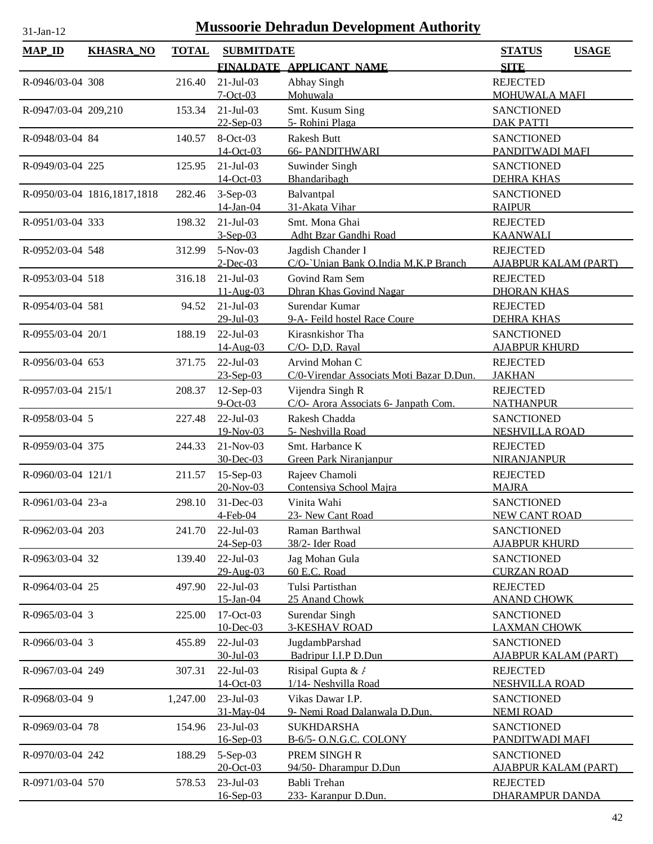| <b>MAP_ID</b>        | <b>KHASRA NO</b>            | <b>TOTAL</b> | <b>SUBMITDATE</b>             |                                                            | <b>STATUS</b><br><b>USAGE</b>                    |
|----------------------|-----------------------------|--------------|-------------------------------|------------------------------------------------------------|--------------------------------------------------|
|                      |                             |              |                               | FINALDATE APPLICANT NAME                                   | <b>SITE</b>                                      |
| R-0946/03-04 308     |                             | 216.40       | $21-Jul-03$<br>$7 - Oct - 03$ | Abhay Singh<br>Mohuwala                                    | <b>REJECTED</b><br><b>MOHUWALA MAFI</b>          |
| R-0947/03-04 209,210 |                             | 153.34       | $21-Jul-03$<br>$22-$ Sep-03   | Smt. Kusum Sing<br>5- Rohini Plaga                         | <b>SANCTIONED</b><br><b>DAK PATTI</b>            |
| R-0948/03-04 84      |                             | 140.57       | 8-Oct-03<br>14-Oct-03         | Rakesh Butt<br><b>66- PANDITHWARI</b>                      | <b>SANCTIONED</b><br>PANDITWADI MAFI             |
| R-0949/03-04 225     |                             | 125.95       | $21-Jul-03$<br>14-Oct-03      | Suwinder Singh<br>Bhandaribagh                             | <b>SANCTIONED</b><br><b>DEHRA KHAS</b>           |
|                      | R-0950/03-04 1816,1817,1818 | 282.46       | $3-Sep-03$<br>14-Jan-04       | Balvantpal<br>31-Akata Vihar                               | <b>SANCTIONED</b><br><b>RAIPUR</b>               |
| R-0951/03-04 333     |                             | 198.32       | $21-Jul-03$<br>$3-Sep-03$     | Smt. Mona Ghai<br>Adht Bzar Gandhi Road                    | <b>REJECTED</b><br><b>KAANWALI</b>               |
| R-0952/03-04 548     |                             | 312.99       | $5-Nov-03$<br>$2$ -Dec-03     | Jagdish Chander 1<br>C/O-`Unian Bank O.India M.K.P Branch  | <b>REJECTED</b><br><b>AJABPUR KALAM (PART)</b>   |
| R-0953/03-04 518     |                             | 316.18       | $21-Jul-03$<br>$11-Aug-03$    | Govind Ram Sem<br>Dhran Khas Govind Nagar                  | <b>REJECTED</b><br><b>DHORAN KHAS</b>            |
| R-0954/03-04 581     |                             | 94.52        | $21-Jul-03$<br>29-Jul-03      | Surendar Kumar<br>9-A- Feild hostel Race Coure             | <b>REJECTED</b><br><b>DEHRA KHAS</b>             |
| R-0955/03-04 20/1    |                             | 188.19       | $22$ -Jul-03<br>14-Aug-03     | Kirasnkishor Tha<br>C/O- D,D. Rayal                        | <b>SANCTIONED</b><br><b>AJABPUR KHURD</b>        |
| R-0956/03-04 653     |                             | 371.75       | $22$ -Jul-03<br>$23 - Sep-03$ | Arvind Mohan C<br>C/0-Virendar Associats Moti Bazar D.Dun. | <b>REJECTED</b><br><b>JAKHAN</b>                 |
| R-0957/03-04 215/1   |                             | 208.37       | $12$ -Sep-03<br>$9$ -Oct-03   | Vijendra Singh R<br>C/O- Arora Associats 6- Janpath Com.   | <b>REJECTED</b><br><b>NATHANPUR</b>              |
| R-0958/03-04 5       |                             | 227.48       | $22$ -Jul-03<br>19-Nov-03     | Rakesh Chadda<br>5- Neshvilla Road                         | <b>SANCTIONED</b><br><b>NESHVILLA ROAD</b>       |
| R-0959/03-04 375     |                             | 244.33       | 21-Nov-03<br>30-Dec-03        | Smt. Harbance K<br>Green Park Niranjanpur                  | <b>REJECTED</b><br><b>NIRANJANPUR</b>            |
| R-0960/03-04 121/1   |                             | 211.57       | $15-Sep-03$<br>20-Nov-03      | Rajeev Chamoli<br>Contensiya School Majra                  | <b>REJECTED</b><br><b>MAJRA</b>                  |
| R-0961/03-04 23-a    |                             | 298.10       | 31-Dec-03<br>$4$ -Feb- $04$   | Vinita Wahi<br>23- New Cant Road                           | <b>SANCTIONED</b><br>NEW CANT ROAD               |
| R-0962/03-04 203     |                             | 241.70       | 22-Jul-03<br>24-Sep-03        | Raman Barthwal<br>38/2- Ider Road                          | <b>SANCTIONED</b><br><b>AJABPUR KHURD</b>        |
| R-0963/03-04 32      |                             | 139.40       | 22-Jul-03<br>29-Aug-03        | Jag Mohan Gula<br>60 E.C. Road                             | <b>SANCTIONED</b><br><b>CURZAN ROAD</b>          |
| R-0964/03-04 25      |                             | 497.90       | 22-Jul-03<br>15-Jan-04        | Tulsi Partisthan<br>25 Anand Chowk                         | <b>REJECTED</b><br><b>ANAND CHOWK</b>            |
| R-0965/03-04 3       |                             | 225.00       | 17-Oct-03<br>10-Dec-03        | Surendar Singh<br><b>3-KESHAV ROAD</b>                     | <b>SANCTIONED</b><br><b>LAXMAN CHOWK</b>         |
| R-0966/03-04 3       |                             | 455.89       | $22$ -Jul-03<br>30-Jul-03     | JugdambParshad<br>Badripur I.I.P D.Dun                     | <b>SANCTIONED</b><br><b>AJABPUR KALAM (PART)</b> |
| R-0967/03-04 249     |                             | 307.31       | $22$ -Jul-03<br>14-Oct-03     | Risipal Gupta & /<br>1/14- Neshvilla Road                  | <b>REJECTED</b><br><b>NESHVILLA ROAD</b>         |
| R-0968/03-04 9       |                             | 1,247.00     | 23-Jul-03<br>31-May-04        | Vikas Dawar I.P.<br>9- Nemi Road Dalanwala D.Dun.          | <b>SANCTIONED</b><br><b>NEMI ROAD</b>            |
| R-0969/03-04 78      |                             | 154.96       | 23-Jul-03<br>$16 - Sep-03$    | <b>SUKHDARSHA</b><br>B-6/5- O.N.G.C. COLONY                | <b>SANCTIONED</b><br>PANDITWADI MAFI             |
| R-0970/03-04 242     |                             | 188.29       | 5-Sep-03<br>20-Oct-03         | PREM SINGH R<br>94/50- Dharampur D.Dun                     | <b>SANCTIONED</b><br><b>AJABPUR KALAM (PART)</b> |
| R-0971/03-04 570     |                             | 578.53       | 23-Jul-03<br>16-Sep-03        | Babli Trehan<br>233- Karanpur D.Dun.                       | <b>REJECTED</b><br><b>DHARAMPUR DANDA</b>        |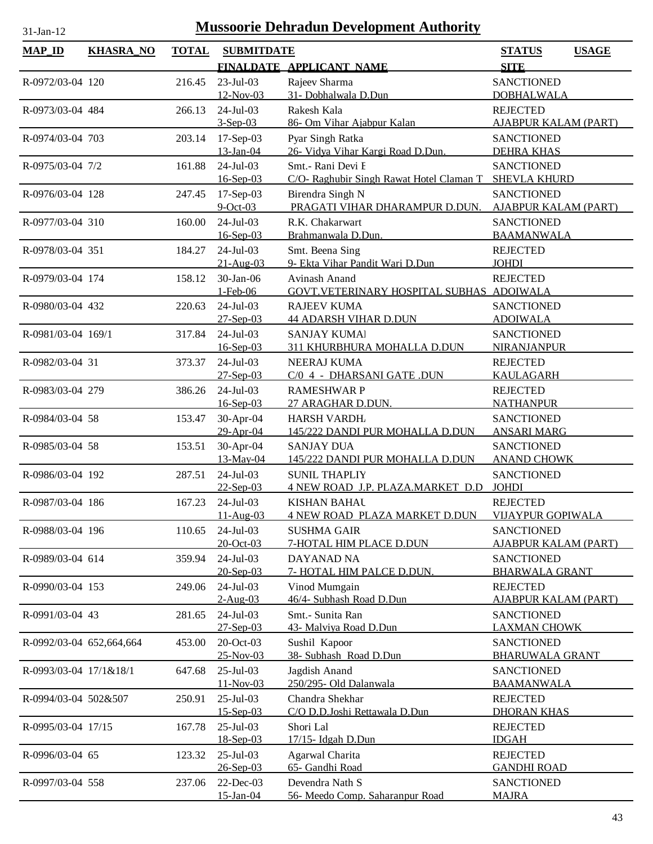| <b>MAP_ID</b>            | <b>KHASRA_NO</b> | <b>TOTAL</b> | <b>SUBMITDATE</b>          |                                                       | <b>STATUS</b><br><b>USAGE</b>                    |
|--------------------------|------------------|--------------|----------------------------|-------------------------------------------------------|--------------------------------------------------|
|                          |                  |              |                            | FINALDATE APPLICANT NAME                              | <b>SITE</b>                                      |
| R-0972/03-04 120         |                  | 216.45       | 23-Jul-03                  | Rajeev Sharma                                         | <b>SANCTIONED</b>                                |
|                          |                  |              | 12-Nov-03                  | 31- Dobhalwala D.Dun                                  | <b>DOBHALWALA</b>                                |
| R-0973/03-04 484         |                  | 266.13       | $24$ -Jul-03               | Rakesh Kala                                           | <b>REJECTED</b>                                  |
|                          |                  |              | $3-Sep-03$                 | 86- Om Vihar Ajabpur Kalan                            | <b>AJABPUR KALAM (PART)</b>                      |
| R-0974/03-04 703         |                  | 203.14       | $17-Sep-03$                | Pyar Singh Ratka                                      | <b>SANCTIONED</b>                                |
|                          |                  |              | 13-Jan-04                  | 26- Vidya Vihar Kargi Road D.Dun.                     | <b>DEHRA KHAS</b>                                |
| R-0975/03-04 7/2         |                  | 161.88       | 24-Jul-03                  | Smt.- Rani Devi F                                     | <b>SANCTIONED</b>                                |
|                          |                  |              | $16 - Sep-03$              | C/O- Raghubir Singh Rawat Hotel Claman T              | <b>SHEVLA KHURD</b>                              |
| R-0976/03-04 128         |                  | 247.45       | $17-Sep-03$<br>$9$ -Oct-03 | Birendra Singh N<br>PRAGATI VIHAR DHARAMPUR D.DUN.    | <b>SANCTIONED</b>                                |
| R-0977/03-04 310         |                  | 160.00       | $24-Jul-03$                | R.K. Chakarwart                                       | <b>AJABPUR KALAM (PART)</b><br><b>SANCTIONED</b> |
|                          |                  |              | 16-Sep-03                  | Brahmanwala D.Dun.                                    | <b>BAAMANWALA</b>                                |
| R-0978/03-04 351         |                  | 184.27       | 24-Jul-03                  | Smt. Beena Sing                                       | <b>REJECTED</b>                                  |
|                          |                  |              | $21-Aug-03$                | 9- Ekta Vihar Pandit Wari D.Dun                       | <b>JOHDI</b>                                     |
| R-0979/03-04 174         |                  | 158.12       | 30-Jan-06                  | Avinash Anand                                         | <b>REJECTED</b>                                  |
|                          |                  |              | 1-Feb-06                   | GOVT. VETERINARY HOSPITAL SUBHAS ADOIWALA             |                                                  |
| R-0980/03-04 432         |                  | 220.63       | 24-Jul-03                  | <b>RAJEEV KUMA</b>                                    | <b>SANCTIONED</b>                                |
|                          |                  |              | 27-Sep-03                  | <b>44 ADARSH VIHAR D.DUN</b>                          | <b>ADOIWALA</b>                                  |
| R-0981/03-04 169/1       |                  | 317.84       | $24-Jul-03$                | <b>SANJAY KUMA</b>                                    | <b>SANCTIONED</b>                                |
|                          |                  |              | $16 - Sep-03$              | 311 KHURBHURA MOHALLA D.DUN                           | <b>NIRANJANPUR</b>                               |
| R-0982/03-04 31          |                  | 373.37       | 24-Jul-03                  | NEERAJ KUMA                                           | <b>REJECTED</b>                                  |
|                          |                  |              | $27 - Sep-03$              | C/0 4 - DHARSANI GATE .DUN                            | <b>KAULAGARH</b>                                 |
| R-0983/03-04 279         |                  | 386.26       | 24-Jul-03                  | <b>RAMESHWAR P</b>                                    | <b>REJECTED</b>                                  |
|                          |                  |              | 16-Sep-03                  | 27 ARAGHAR D.DUN.                                     | <b>NATHANPUR</b>                                 |
| R-0984/03-04 58          |                  | 153.47       | 30-Apr-04<br>29-Apr-04     | <b>HARSH VARDH</b><br>145/222 DANDI PUR MOHALLA D.DUN | <b>SANCTIONED</b><br><b>ANSARI MARG</b>          |
| R-0985/03-04 58          |                  | 153.51       | 30-Apr-04                  | <b>SANJAY DUA</b>                                     | <b>SANCTIONED</b>                                |
|                          |                  |              | 13-May-04                  | 145/222 DANDI PUR MOHALLA D.DUN                       | <b>ANAND CHOWK</b>                               |
| R-0986/03-04 192         |                  | 287.51       | 24-Jul-03                  | <b>SUNIL THAPLIY</b>                                  | <b>SANCTIONED</b>                                |
|                          |                  |              | $22-$ Sep-03               | 4 NEW ROAD J.P. PLAZA.MARKET D.D                      | <b>JOHDI</b>                                     |
| R-0987/03-04 186         |                  | 167.23       | $24-Jul-03$                | <b>KISHAN BAHAL</b>                                   | <b>REJECTED</b>                                  |
|                          |                  |              | 11-Aug-03                  | <b>4 NEW ROAD PLAZA MARKET D.DUN</b>                  | <b>VIJAYPUR GOPIWALA</b>                         |
| R-0988/03-04 196         |                  | 110.65       | $24$ -Jul-03               | <b>SUSHMA GAIR</b>                                    | <b>SANCTIONED</b>                                |
|                          |                  |              | 20-Oct-03                  | <b>7-HOTAL HIM PLACE D.DUN</b>                        | <b>AJABPUR KALAM (PART)</b>                      |
| R-0989/03-04 614         |                  | 359.94       | 24-Jul-03                  | <b>DAYANAD NA</b>                                     | <b>SANCTIONED</b>                                |
|                          |                  |              | $20$ -Sep-03               | 7- HOTAL HIM PALCE D.DUN.                             | <b>BHARWALA GRANT</b>                            |
| R-0990/03-04 153         |                  | 249.06       | 24-Jul-03                  | Vinod Mumgain                                         | <b>REJECTED</b>                                  |
|                          |                  |              | $2-Aug-03$                 | 46/4- Subhash Road D.Dun                              | AJABPUR KALAM (PART)                             |
| R-0991/03-04 43          |                  | 281.65       | 24-Jul-03<br>$27-Sep-03$   | Smt.- Sunita Ran                                      | <b>SANCTIONED</b><br><b>LAXMAN CHOWK</b>         |
| R-0992/03-04 652,664,664 |                  | 453.00       | 20-Oct-03                  | 43- Malviya Road D.Dun<br>Sushil Kapoor               | <b>SANCTIONED</b>                                |
|                          |                  |              | 25-Nov-03                  | 38- Subhash Road D.Dun                                | <b>BHARUWALA GRANT</b>                           |
| R-0993/03-04 17/1&18/1   |                  | 647.68       | 25-Jul-03                  | Jagdish Anand                                         | <b>SANCTIONED</b>                                |
|                          |                  |              | $11-Nov-03$                | 250/295- Old Dalanwala                                | <b>BAAMANWALA</b>                                |
| R-0994/03-04 502&507     |                  | 250.91       | $25$ -Jul-03               | Chandra Shekhar                                       | <b>REJECTED</b>                                  |
|                          |                  |              | $15 -$ Sep $-03$           | C/O D.D.Joshi Rettawala D.Dun                         | <b>DHORAN KHAS</b>                               |
| R-0995/03-04 17/15       |                  | 167.78       | 25-Jul-03                  | Shori Lal                                             | <b>REJECTED</b>                                  |
|                          |                  |              | 18-Sep-03                  | 17/15- Idgah D.Dun                                    | <b>IDGAH</b>                                     |
| R-0996/03-04 65          |                  | 123.32       | 25-Jul-03                  | Agarwal Charita                                       | <b>REJECTED</b>                                  |
|                          |                  |              | 26-Sep-03                  | 65- Gandhi Road                                       | <b>GANDHI ROAD</b>                               |
| R-0997/03-04 558         |                  | 237.06       | 22-Dec-03                  | Devendra Nath S                                       | <b>SANCTIONED</b>                                |
|                          |                  |              | 15-Jan-04                  | 56- Meedo Comp. Saharanpur Road                       | <b>MAJRA</b>                                     |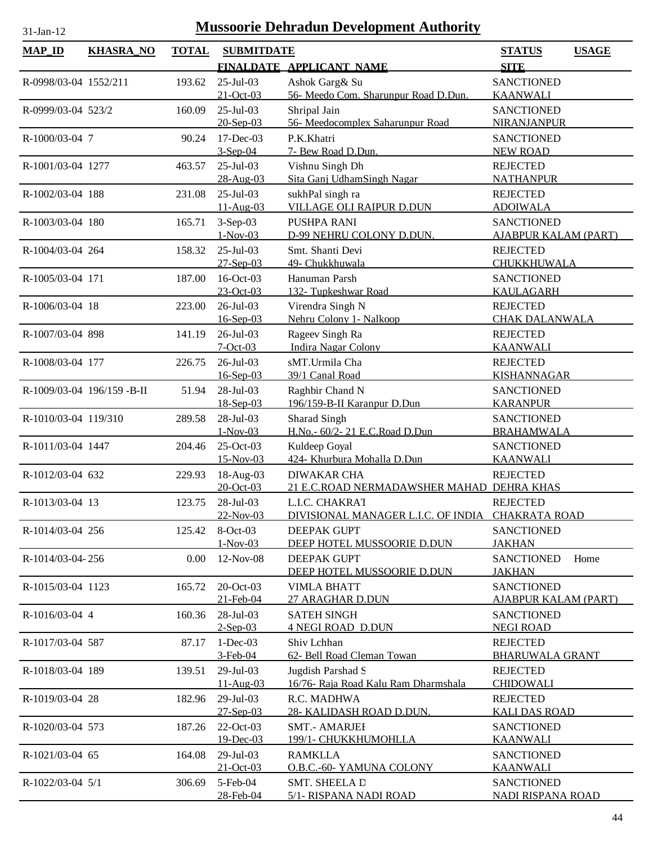| <b>MAP_ID</b>         | <b>KHASRA_NO</b>          | <b>TOTAL</b> | <b>SUBMITDATE</b> |                                           | <b>USAGE</b><br><b>STATUS</b> |
|-----------------------|---------------------------|--------------|-------------------|-------------------------------------------|-------------------------------|
|                       |                           |              |                   | FINALDATE APPLICANT NAME                  | <b>SITE</b>                   |
| R-0998/03-04 1552/211 |                           | 193.62       | 25-Jul-03         | Ashok Garg& Su                            | <b>SANCTIONED</b>             |
|                       |                           |              | $21-Oct-03$       | 56- Meedo Com. Sharunpur Road D.Dun.      | <b>KAANWALI</b>               |
| R-0999/03-04 523/2    |                           | 160.09       | 25-Jul-03         | Shripal Jain                              | <b>SANCTIONED</b>             |
|                       |                           |              | 20-Sep-03         | 56- Meedocomplex Saharunpur Road          | NIRANJANPUR                   |
| R-1000/03-04 7        |                           | 90.24        | 17-Dec-03         | P.K.Khatri                                | <b>SANCTIONED</b>             |
|                       |                           |              | $3-Sep-04$        | 7- Bew Road D.Dun.                        | <b>NEW ROAD</b>               |
| R-1001/03-04 1277     |                           | 463.57       | 25-Jul-03         | Vishnu Singh Dh                           | <b>REJECTED</b>               |
|                       |                           |              | 28-Aug-03         | Sita Ganj UdhamSingh Nagar                | <b>NATHANPUR</b>              |
| R-1002/03-04 188      |                           | 231.08       | $25$ -Jul-03      | sukhPal singh ra                          | <b>REJECTED</b>               |
|                       |                           |              | $11-Aug-03$       | <b>VILLAGE OLI RAIPUR D.DUN</b>           | <b>ADOIWALA</b>               |
| R-1003/03-04 180      |                           | 165.71       | 3-Sep-03          | PUSHPA RANI                               | <b>SANCTIONED</b>             |
|                       |                           |              | $1-Nov-03$        | D-99 NEHRU COLONY D.DUN.                  | <b>AJABPUR KALAM (PART)</b>   |
| R-1004/03-04 264      |                           | 158.32       | 25-Jul-03         | Smt. Shanti Devi                          | <b>REJECTED</b>               |
|                       |                           |              | 27-Sep-03         | 49- Chukkhuwala                           | CHUKKHUWALA                   |
| R-1005/03-04 171      |                           | 187.00       | 16-Oct-03         | Hanuman Parsh                             | <b>SANCTIONED</b>             |
|                       |                           |              | $23-Oct-03$       | 132- Tupkeshwar Road                      | <b>KAULAGARH</b>              |
| R-1006/03-04 18       |                           | 223.00       | 26-Jul-03         | Virendra Singh N                          | <b>REJECTED</b>               |
|                       |                           |              | 16-Sep-03         | Nehru Colony 1- Nalkoop                   | <b>CHAK DALANWALA</b>         |
| R-1007/03-04 898      |                           | 141.19       | 26-Jul-03         | Rageev Singh Ra                           | <b>REJECTED</b>               |
|                       |                           |              | $7 - Oct - 03$    | <b>Indira Nagar Colony</b>                | <b>KAANWALI</b>               |
| R-1008/03-04 177      |                           | 226.75       | 26-Jul-03         | sMT.Urmila Cha                            | <b>REJECTED</b>               |
|                       |                           |              | $16 - Sep-03$     | 39/1 Canal Road                           | <b>KISHANNAGAR</b>            |
|                       | R-1009/03-04 196/159-B-II | 51.94        | 28-Jul-03         | Raghbir Chand N                           | <b>SANCTIONED</b>             |
|                       |                           |              | 18-Sep-03         | 196/159-B-II Karanpur D.Dun               | <b>KARANPUR</b>               |
| R-1010/03-04 119/310  |                           | 289.58       | 28-Jul-03         | Sharad Singh                              | <b>SANCTIONED</b>             |
|                       |                           |              | $1-Nov-03$        | H.No.- 60/2-21 E.C.Road D.Dun             | <b>BRAHAMWALA</b>             |
| R-1011/03-04 1447     |                           | 204.46       | 25-Oct-03         | Kuldeep Goyal                             | <b>SANCTIONED</b>             |
|                       |                           |              | 15-Nov-03         | 424- Khurbura Mohalla D.Dun               | <b>KAANWALI</b>               |
| R-1012/03-04 632      |                           | 229.93       | 18-Aug-03         | <b>DIWAKAR CHA</b>                        | <b>REJECTED</b>               |
|                       |                           |              | 20-Oct-03         | 21 E.C.ROAD NERMADAWSHER MAHAD DEHRA KHAS |                               |
| R-1013/03-04 13       |                           | 123.75       | 28-Jul-03         | L.I.C. CHAKRAT                            | <b>REJECTED</b>               |
|                       |                           |              | 22-Nov-03         | DIVISIONAL MANAGER L.I.C. OF INDIA        | <b>CHAKRATA ROAD</b>          |
| R-1014/03-04 256      |                           | 125.42       | 8-Oct-03          | <b>DEEPAK GUPT</b>                        | <b>SANCTIONED</b>             |
|                       |                           |              | $1-Nov-03$        | DEEP HOTEL MUSSOORIE D.DUN                | <b>JAKHAN</b>                 |
| R-1014/03-04-256      |                           | 0.00         | 12-Nov-08         | <b>DEEPAK GUPT</b>                        | Home<br><b>SANCTIONED</b>     |
|                       |                           |              |                   | DEEP HOTEL MUSSOORIE D.DUN                | <b>JAKHAN</b>                 |
| R-1015/03-04 1123     |                           | 165.72       | 20-Oct-03         | <b>VIMLA BHATT</b>                        | <b>SANCTIONED</b>             |
|                       |                           |              | 21-Feb-04         | 27 ARAGHAR D.DUN                          | AJABPUR KALAM (PART)          |
| R-1016/03-04 4        |                           | 160.36       | $28$ -Jul-03      | <b>SATEH SINGH</b>                        | <b>SANCTIONED</b>             |
|                       |                           |              | $2-Sep-03$        | <b>4 NEGI ROAD D.DUN</b>                  | <b>NEGI ROAD</b>              |
| R-1017/03-04 587      |                           | 87.17        | $1-Dec-03$        | Shiv Lchhan                               | <b>REJECTED</b>               |
|                       |                           |              | 3-Feb-04          | 62- Bell Road Cleman Towan                | <b>BHARUWALA GRANT</b>        |
| R-1018/03-04 189      |                           | 139.51       | $29$ -Jul-03      | Jugdish Parshad S                         | <b>REJECTED</b>               |
|                       |                           |              | $11-Aug-03$       | 16/76- Raja Road Kalu Ram Dharmshala      | <b>CHIDOWALI</b>              |
| R-1019/03-04 28       |                           | 182.96       | 29-Jul-03         | R.C. MADHWA                               | <b>REJECTED</b>               |
|                       |                           |              | $27$ -Sep-03      | 28- KALIDASH ROAD D.DUN.                  | <b>KALI DAS ROAD</b>          |
| R-1020/03-04 573      |                           | 187.26       | 22-Oct-03         | <b>SMT.- AMARJEI</b>                      | <b>SANCTIONED</b>             |
|                       |                           |              | 19-Dec-03         | 199/1- CHUKKHUMOHLLA                      | <b>KAANWALI</b>               |
| R-1021/03-04 65       |                           | 164.08       | $29$ -Jul-03      | <b>RAMKLLA</b>                            | <b>SANCTIONED</b>             |
|                       |                           |              | 21-Oct-03         | <b>O.B.C.-60- YAMUNA COLONY</b>           | <b>KAANWALI</b>               |
| R-1022/03-04 5/1      |                           | 306.69       | 5-Feb-04          | <b>SMT. SHEELA D</b>                      | <b>SANCTIONED</b>             |
|                       |                           |              | 28-Feb-04         | 5/1- RISPANA NADI ROAD                    | NADI RISPANA ROAD             |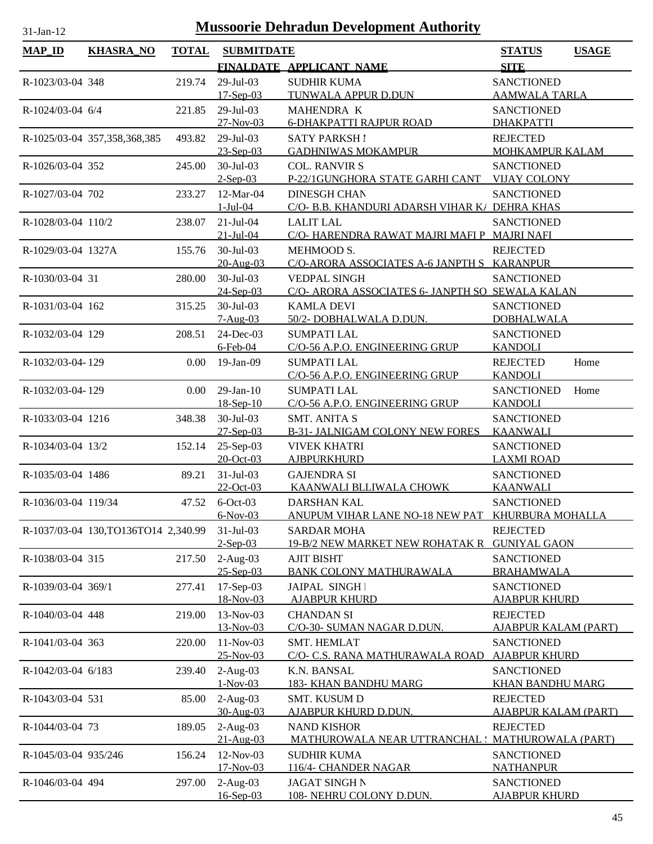| $MAP$ ID             | <b>KHASRA_NO</b>                     | <b>TOTAL</b> | <b>SUBMITDATE</b>           |                                                     | <b>STATUS</b><br><b>USAGE</b>             |
|----------------------|--------------------------------------|--------------|-----------------------------|-----------------------------------------------------|-------------------------------------------|
|                      |                                      |              |                             | FINALDATE APPLICANT NAME                            | <b>SITE</b>                               |
| R-1023/03-04 348     |                                      | 219.74       | 29-Jul-03                   | <b>SUDHIR KUMA</b>                                  | <b>SANCTIONED</b>                         |
|                      |                                      |              | $17-Sep-03$                 | TUNWALA APPUR D.DUN                                 | <b>AAMWALA TARLA</b>                      |
| R-1024/03-04 6/4     |                                      | 221.85       | 29-Jul-03                   | MAHENDRA K                                          | <b>SANCTIONED</b>                         |
|                      |                                      |              | 27-Nov-03                   | <b>6-DHAKPATTI RAJPUR ROAD</b>                      | <b>DHAKPATTI</b>                          |
|                      | R-1025/03-04 357,358,368,385         | 493.82       | 29-Jul-03                   | <b>SATY PARKSH1</b>                                 | <b>REJECTED</b>                           |
|                      |                                      |              | $23 - Sep-03$               | <b>GADHNIWAS MOKAMPUR</b>                           | MOHKAMPUR KALAM                           |
| R-1026/03-04 352     |                                      | 245.00       | 30-Jul-03                   | <b>COL. RANVIR S</b>                                | <b>SANCTIONED</b>                         |
|                      |                                      |              | $2-Sep-03$                  | P-22/1GUNGHORA STATE GARHI CANT                     | <b>VIJAY COLONY</b>                       |
| R-1027/03-04 702     |                                      | 233.27       | $12-Mar-04$                 | <b>DINESGH CHAN</b>                                 | <b>SANCTIONED</b>                         |
|                      |                                      |              | $1-Jul-04$                  | C/O- B.B. KHANDURI ADARSH VIHAR K/ DEHRA KHAS       |                                           |
| R-1028/03-04 110/2   |                                      | 238.07       | $21-Jul-04$                 | <b>LALIT LAL</b>                                    | <b>SANCTIONED</b>                         |
|                      |                                      |              | $21 - Jul - 04$             | C/O- HARENDRA RAWAT MAJRI MAFI P MAJRI NAFI         |                                           |
| R-1029/03-04 1327A   |                                      | 155.76       | $30$ -Jul-03                | MEHMOOD S.                                          | <b>REJECTED</b>                           |
|                      |                                      |              | 20-Aug-03                   | C/O-ARORA ASSOCIATES A-6 JANPTH S KARANPUR          |                                           |
| R-1030/03-04 31      |                                      | 280.00       | 30-Jul-03                   | <b>VEDPAL SINGH</b>                                 | <b>SANCTIONED</b>                         |
|                      |                                      |              | 24-Sep-03                   | C/O- ARORA ASSOCIATES 6- JANPTH SO SEWALA KALAN     |                                           |
| R-1031/03-04 162     |                                      | 315.25       | 30-Jul-03<br>$7-Aug-03$     | <b>KAMLA DEVI</b><br>50/2-DOBHALWALA D.DUN.         | <b>SANCTIONED</b><br><b>DOBHALWALA</b>    |
| R-1032/03-04 129     |                                      | 208.51       | 24-Dec-03                   | <b>SUMPATI LAL</b>                                  | <b>SANCTIONED</b>                         |
|                      |                                      |              | $6$ -Feb-04                 | C/O-56 A.P.O. ENGINEERING GRUP                      | <b>KANDOLI</b>                            |
| R-1032/03-04-129     |                                      | 0.00         | $19-Jan-09$                 | <b>SUMPATI LAL</b>                                  | <b>REJECTED</b><br>Home                   |
|                      |                                      |              |                             | C/O-56 A.P.O. ENGINEERING GRUP                      | <b>KANDOLI</b>                            |
| R-1032/03-04-129     |                                      | 0.00         | $29$ -Jan- $10$             | <b>SUMPATI LAL</b>                                  | <b>SANCTIONED</b><br>Home                 |
|                      |                                      |              | $18-Sep-10$                 | C/O-56 A.P.O. ENGINEERING GRUP                      | <b>KANDOLI</b>                            |
| R-1033/03-04 1216    |                                      | 348.38       | $30$ -Jul-03                | <b>SMT. ANITA S</b>                                 | <b>SANCTIONED</b>                         |
|                      |                                      |              | $27-$ Sep $-03$             | <b>B-31- JALNIGAM COLONY NEW FORES</b>              | <b>KAANWALI</b>                           |
| R-1034/03-04 13/2    |                                      | 152.14       | 25-Sep-03                   | <b>VIVEK KHATRI</b>                                 | <b>SANCTIONED</b>                         |
|                      |                                      |              | 20-Oct-03                   | <b>AJBPURKHURD</b>                                  | <b>LAXMI ROAD</b>                         |
| R-1035/03-04 1486    |                                      | 89.21        | $31-Jul-03$                 | <b>GAJENDRA SI</b>                                  | <b>SANCTIONED</b>                         |
|                      |                                      |              | 22-Oct-03                   | KAANWALI BLLIWALA CHOWK                             | <b>KAANWALI</b>                           |
| R-1036/03-04 119/34  |                                      |              | 47.52 6-Oct-03              | DARSHAN KAL                                         | <b>SANCTIONED</b>                         |
|                      |                                      |              | $6-Nov-03$                  | ANUPUM VIHAR LANE NO-18 NEW PAT KHURBURA MOHALLA    |                                           |
|                      | R-1037/03-04 130, TO136TO14 2,340.99 |              | $31-Jul-03$                 | <b>SARDAR MOHA</b>                                  | <b>REJECTED</b>                           |
|                      |                                      |              | $2-Sep-03$                  | 19-B/2 NEW MARKET NEW ROHATAK R                     | <b>GUNIYAL GAON</b>                       |
| R-1038/03-04 315     |                                      | 217.50       | $2-Aug-03$<br>$25 - Sep-03$ | <b>AJIT BISHT</b><br><b>BANK COLONY MATHURAWALA</b> | <b>SANCTIONED</b><br><b>BRAHAMWALA</b>    |
| R-1039/03-04 369/1   |                                      | 277.41       | 17-Sep-03                   | JAIPAL SINGH I                                      | <b>SANCTIONED</b>                         |
|                      |                                      |              | 18-Nov-03                   | <b>AJABPUR KHURD</b>                                | <b>AJABPUR KHURD</b>                      |
| R-1040/03-04 448     |                                      | 219.00       | 13-Nov-03                   | <b>CHANDAN SI</b>                                   | <b>REJECTED</b>                           |
|                      |                                      |              | 13-Nov-03                   | C/O-30- SUMAN NAGAR D.DUN.                          | <b>AJABPUR KALAM (PART)</b>               |
| R-1041/03-04 363     |                                      | 220.00       | 11-Nov-03                   | <b>SMT. HEMLAT</b>                                  | <b>SANCTIONED</b>                         |
|                      |                                      |              | 25-Nov-03                   | C/O- C.S. RANA MATHURAWALA ROAD                     | <b>AJABPUR KHURD</b>                      |
| R-1042/03-04 6/183   |                                      | 239.40       | $2-Aug-03$                  | K.N. BANSAL                                         | <b>SANCTIONED</b>                         |
|                      |                                      |              | $1-Nov-03$                  | <u>183- KHAN BANDHU MARG</u>                        | <u>KHAN BANDHU MARG</u>                   |
| R-1043/03-04 531     |                                      | 85.00        | $2-Aug-03$                  | SMT. KUSUM D                                        | <b>REJECTED</b>                           |
|                      |                                      |              | 30-Aug-03                   | AJABPUR KHURD D.DUN.                                | <b>AJABPUR KALAM (PART)</b>               |
| R-1044/03-04 73      |                                      | 189.05       | $2-Aug-03$                  | <b>NAND KISHOR</b>                                  | <b>REJECTED</b>                           |
|                      |                                      |              | 21-Aug-03                   | MATHUROWALA NEAR UTTRANCHAL : MATHUROWALA (PART)    |                                           |
| R-1045/03-04 935/246 |                                      | 156.24       | 12-Nov-03                   | <b>SUDHIR KUMA</b>                                  | <b>SANCTIONED</b>                         |
|                      |                                      |              | 17-Nov-03                   | 116/4- CHANDER NAGAR                                | <b>NATHANPUR</b>                          |
| R-1046/03-04 494     |                                      | 297.00       | $2-Aug-03$<br>16-Sep-03     | <b>JAGAT SINGH N</b><br>108- NEHRU COLONY D.DUN.    | <b>SANCTIONED</b><br><b>AJABPUR KHURD</b> |
|                      |                                      |              |                             |                                                     |                                           |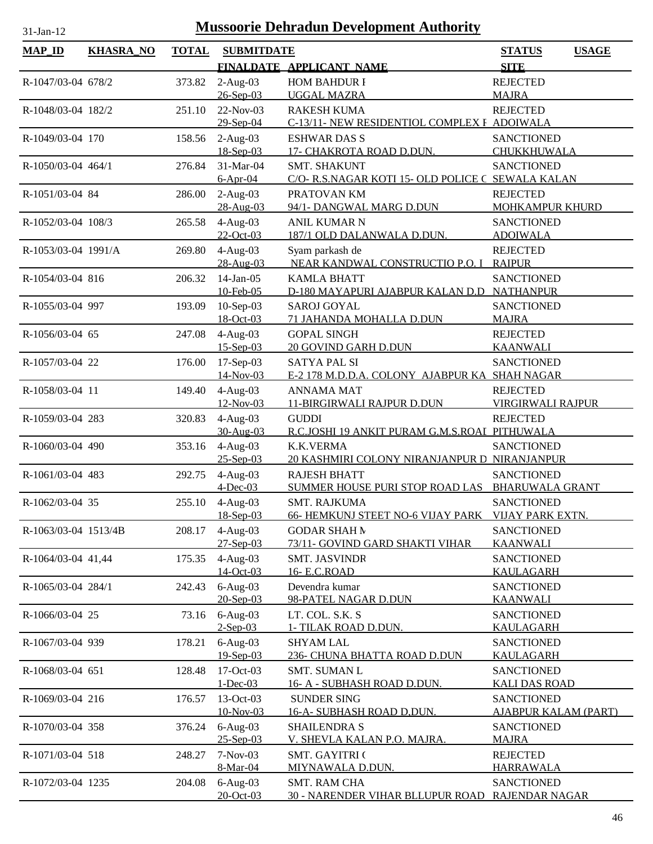| <b>MAP_ID</b>        | <b>KHASRA_NO</b> | <b>TOTAL</b> | <b>SUBMITDATE</b>                   |                                                                                           | <b>USAGE</b><br><b>STATUS</b>                                  |
|----------------------|------------------|--------------|-------------------------------------|-------------------------------------------------------------------------------------------|----------------------------------------------------------------|
|                      |                  |              |                                     | FINALDATE APPLICANT NAME                                                                  | <b>SITE</b>                                                    |
| R-1047/03-04 678/2   |                  | 373.82       | $2-Aug-03$<br>26-Sep-03             | <b>HOM BAHDUR I</b><br><b>UGGAL MAZRA</b>                                                 | <b>REJECTED</b><br><b>MAJRA</b>                                |
| R-1048/03-04 182/2   |                  | 251.10       | 22-Nov-03                           | <b>RAKESH KUMA</b>                                                                        | <b>REJECTED</b>                                                |
| R-1049/03-04 170     |                  | 158.56       | 29-Sep-04<br>$2-Aug-03$             | C-13/11- NEW RESIDENTIOL COMPLEX F ADOIWALA<br><b>ESHWAR DAS S</b>                        | <b>SANCTIONED</b>                                              |
| R-1050/03-04 464/1   |                  | 276.84       | 18-Sep-03<br>31-Mar-04              | 17- CHAKROTA ROAD D.DUN.<br><b>SMT. SHAKUNT</b>                                           | CHUKKHUWALA<br><b>SANCTIONED</b>                               |
| R-1051/03-04 84      |                  | 286.00       | $6-Apr-04$<br>$2-Aug-03$            | C/O-R.S.NAGAR KOTI 15- OLD POLICE C SEWALA KALAN<br>PRATOVAN KM                           | <b>REJECTED</b>                                                |
| R-1052/03-04 108/3   |                  | 265.58       | 28-Aug-03<br>$4-Aug-03$             | 94/1- DANGWAL MARG D.DUN<br><b>ANIL KUMAR N</b>                                           | <b>MOHKAMPUR KHURD</b><br><b>SANCTIONED</b>                    |
| R-1053/03-04 1991/A  |                  | 269.80       | 22-Oct-03<br>$4-Aug-03$             | 187/1 OLD DALANWALA D.DUN.<br>Syam parkash de                                             | <b>ADOIWALA</b><br><b>REJECTED</b>                             |
| R-1054/03-04 816     |                  | 206.32       | 28-Aug-03<br>$14$ -Jan-05           | NEAR KANDWAL CONSTRUCTIO P.O. I<br><b>KAMLA BHATT</b>                                     | <b>RAIPUR</b><br><b>SANCTIONED</b>                             |
|                      |                  |              | 10-Feb-05                           | D-180 MAYAPURI AJABPUR KALAN D.D NATHANPUR                                                |                                                                |
| R-1055/03-04 997     |                  | 193.09       | $10-Sep-03$<br>18-Oct-03            | <b>SAROJ GOYAL</b><br>71 JAHANDA MOHALLA D.DUN                                            | <b>SANCTIONED</b><br><b>MAJRA</b>                              |
| R-1056/03-04 65      |                  | 247.08       | $4-Aug-03$<br>$15 - Sep-03$         | <b>GOPAL SINGH</b><br><b>20 GOVIND GARH D.DUN</b>                                         | <b>REJECTED</b><br><b>KAANWALI</b>                             |
| R-1057/03-04 22      |                  | 176.00       | $17-Sep-03$<br>14-Nov-03            | <b>SATYA PAL SI</b><br>E-2 178 M.D.D.A. COLONY AJABPUR KA SHAH NAGAR                      | <b>SANCTIONED</b>                                              |
| R-1058/03-04 11      |                  | 149.40       | $4-Aug-03$<br>12-Nov-03             | <b>ANNAMA MAT</b><br>11-BIRGIRWALI RAJPUR D.DUN                                           | <b>REJECTED</b><br><b>VIRGIRWALI RAJPUR</b>                    |
| R-1059/03-04 283     |                  | 320.83       | $4-Aug-03$<br>30-Aug-03             | <b>GUDDI</b><br>R.C.JOSHI 19 ANKIT PURAM G.M.S.ROAI PITHUWALA                             | <b>REJECTED</b>                                                |
| R-1060/03-04 490     |                  | 353.16       | $4-Aug-03$                          | <b>K.K.VERMA</b>                                                                          | <b>SANCTIONED</b>                                              |
| R-1061/03-04 483     |                  | 292.75       | 25-Sep-03<br>$4-Aug-03$             | 20 KASHMIRI COLONY NIRANJANPUR D NIRANJANPUR<br><b>RAJESH BHATT</b>                       | <b>SANCTIONED</b>                                              |
| R-1062/03-04 35      |                  | 255.10       | $4$ -Dec-03<br>$4-Aug-03$           | SUMMER HOUSE PURI STOP ROAD LAS<br>SMT. RAJKUMA                                           | <b>BHARUWALA GRANT</b><br><b>SANCTIONED</b>                    |
| R-1063/03-04 1513/4B |                  | 208.17       | 18-Sep-03<br>$4-Aug-03$             | 66- HEMKUNJ STEET NO-6 VIJAY PARK VIJAY PARK EXTN.<br><b>GODAR SHAH M</b>                 | <b>SANCTIONED</b>                                              |
| R-1064/03-04 41,44   |                  | 175.35       | 27-Sep-03<br>$4-Aug-03$             | 73/11- GOVIND GARD SHAKTI VIHAR<br><b>SMT. JASVINDR</b>                                   | <b>KAANWALI</b><br><b>SANCTIONED</b>                           |
|                      |                  |              | 14-Oct-03                           | 16- E.C.ROAD                                                                              | <b>KAULAGARH</b>                                               |
| R-1065/03-04 284/1   |                  | 242.43       | $6-Aug-03$<br>20-Sep-03             | Devendra kumar<br>98-PATEL NAGAR D.DUN                                                    | <b>SANCTIONED</b><br><b>KAANWALI</b>                           |
| R-1066/03-04 25      |                  | 73.16        | $6-Aug-03$<br>$2$ -Sep-03           | LT. COL. S.K. S<br><u>1- TILAK ROAD D.DUN.</u>                                            | <b>SANCTIONED</b><br><b>KAULAGARH</b>                          |
| R-1067/03-04 939     |                  | 178.21       | $6-Aug-03$<br>19-Sep-03             | <b>SHYAM LAL</b><br>236- CHUNA BHATTA ROAD D.DUN                                          | <b>SANCTIONED</b><br><b>KAULAGARH</b>                          |
| R-1068/03-04 651     |                  | 128.48       | 17-Oct-03<br>$1 - Dec-03$           | SMT. SUMAN L<br><u> 16- A - SUBHASH ROAD D.DUN.</u>                                       | <b>SANCTIONED</b><br><u>KALI DAS ROAD</u>                      |
| R-1069/03-04 216     |                  | 176.57       | 13-Oct-03<br>10-Nov-03              | <b>SUNDER SING</b><br><u>16-A- SUBHASH ROAD D,DUN.</u>                                    | <b>SANCTIONED</b><br><u>AJABPUR KALAM (PART)</u>               |
| R-1070/03-04 358     |                  | 376.24       | $6-Aug-03$                          | <b>SHAILENDRA S</b>                                                                       | <b>SANCTIONED</b>                                              |
| R-1071/03-04 518     |                  | 248.27       | 25-Sep-03<br>7-Nov-03               | V. SHEVLA KALAN P.O. MAJRA.<br><b>SMT. GAYITRI (</b>                                      | <b>MAJRA</b><br><b>REJECTED</b>                                |
| R-1072/03-04 1235    |                  | 204.08       | 8-Mar-04<br>$6-Aug-03$<br>20-Oct-03 | <b>MIYNAWALA D.DUN.</b><br><b>SMT. RAM CHA</b><br><b>30 - NARENDER VIHAR BLLUPUR ROAD</b> | <b>HARRAWALA</b><br><b>SANCTIONED</b><br><b>RAJENDAR NAGAR</b> |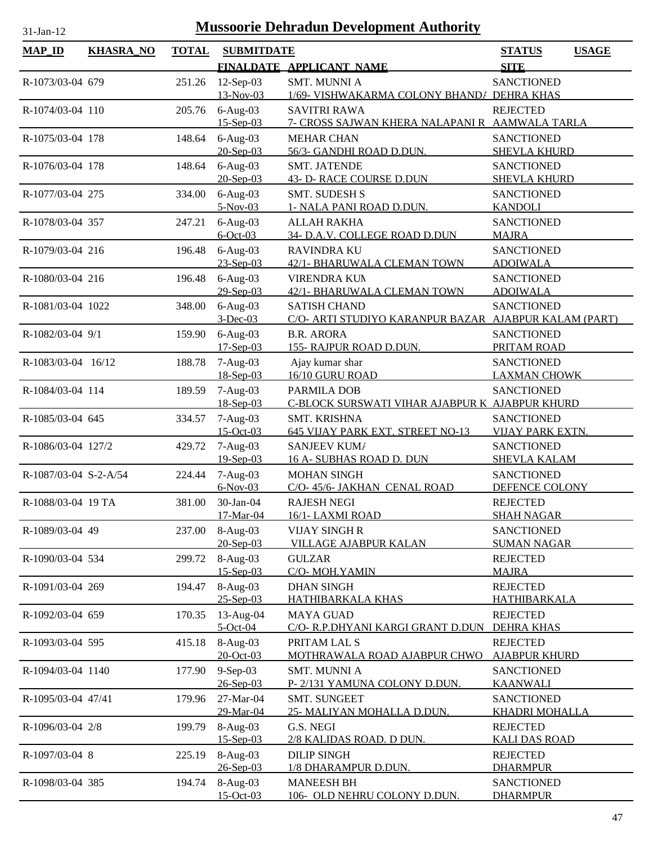| <b>MAP_ID</b>         | <b>KHASRA_NO</b> | <b>TOTAL</b> | <b>SUBMITDATE</b>         |                                                 | <b>STATUS</b><br><b>USAGE</b>            |
|-----------------------|------------------|--------------|---------------------------|-------------------------------------------------|------------------------------------------|
|                       |                  |              |                           | FINALDATE APPLICANT NAME                        | <b>SITE</b>                              |
| R-1073/03-04 679      |                  | 251.26       | 12-Sep-03                 | <b>SMT. MUNNI A</b>                             | <b>SANCTIONED</b>                        |
|                       |                  |              | 13-Nov-03                 | 1/69- VISHWAKARMA COLONY BHAND/ DEHRA KHAS      |                                          |
| R-1074/03-04 110      |                  | 205.76       | $6-Aug-03$                | <b>SAVITRI RAWA</b>                             | <b>REJECTED</b>                          |
|                       |                  |              | $15 -$ Sep $-03$          | 7- CROSS SAJWAN KHERA NALAPANI R AAMWALA TARLA  |                                          |
| R-1075/03-04 178      |                  | 148.64       | $6-Aug-03$                | <b>MEHAR CHAN</b>                               | <b>SANCTIONED</b>                        |
|                       |                  |              | 20-Sep-03                 | 56/3- GANDHI ROAD D.DUN.                        | <b>SHEVLA KHURD</b>                      |
| R-1076/03-04 178      |                  | 148.64       | $6-Aug-03$<br>$20-Sep-03$ | <b>SMT. JATENDE</b><br>43- D- RACE COURSE D.DUN | <b>SANCTIONED</b>                        |
| R-1077/03-04 275      |                  | 334.00       | $6-Aug-03$                | <b>SMT. SUDESH S</b>                            | <b>SHEVLA KHURD</b><br><b>SANCTIONED</b> |
|                       |                  |              | 5-Nov-03                  | 1- NALA PANI ROAD D.DUN.                        | <b>KANDOLI</b>                           |
| R-1078/03-04 357      |                  | 247.21       | $6-Aug-03$                | <b>ALLAH RAKHA</b>                              | <b>SANCTIONED</b>                        |
|                       |                  |              | $6$ -Oct-03               | 34- D.A.V. COLLEGE ROAD D.DUN                   | <b>MAJRA</b>                             |
| R-1079/03-04 216      |                  | 196.48       | $6-Aug-03$                | <b>RAVINDRA KU</b>                              | <b>SANCTIONED</b>                        |
|                       |                  |              | $23-Sep-03$               | 42/1- BHARUWALA CLEMAN TOWN                     | <b>ADOIWALA</b>                          |
| R-1080/03-04 216      |                  | 196.48       | $6-Aug-03$                | <b>VIRENDRA KUN</b>                             | <b>SANCTIONED</b>                        |
|                       |                  |              | 29-Sep-03                 | 42/1- BHARUWALA CLEMAN TOWN                     | <b>ADOIWALA</b>                          |
| R-1081/03-04 1022     |                  | 348.00       | $6-Aug-03$                | <b>SATISH CHAND</b>                             | <b>SANCTIONED</b>                        |
|                       |                  |              | $3-Dec-03$                | C/O- ARTI STUDIYO KARANPUR BAZAR                | <b>AJABPUR KALAM (PART)</b>              |
| R-1082/03-04 9/1      |                  | 159.90       | $6-Aug-03$<br>$17-Sep-03$ | <b>B.R. ARORA</b><br>155- RAJPUR ROAD D.DUN.    | <b>SANCTIONED</b><br>PRITAM ROAD         |
| R-1083/03-04 16/12    |                  | 188.78       | $7-Aug-03$                | Ajay kumar shar                                 | <b>SANCTIONED</b>                        |
|                       |                  |              | 18-Sep-03                 | 16/10 GURU ROAD                                 | <b>LAXMAN CHOWK</b>                      |
| R-1084/03-04 114      |                  | 189.59       | $7-Aug-03$                | PARMILA DOB                                     | <b>SANCTIONED</b>                        |
|                       |                  |              | $18-Sep-03$               | C-BLOCK SURSWATI VIHAR AJABPUR K AJABPUR KHURD  |                                          |
| R-1085/03-04 645      |                  | 334.57       | $7-Aug-03$                | <b>SMT. KRISHNA</b>                             | <b>SANCTIONED</b>                        |
|                       |                  |              | $15$ -Oct-03              | 645 VIJAY PARK EXT. STREET NO-13                | <b>VIJAY PARK EXTN.</b>                  |
| R-1086/03-04 127/2    |                  | 429.72       | $7-Aug-03$                | SANJEEV KUM/                                    | <b>SANCTIONED</b>                        |
|                       |                  |              | 19-Sep-03                 | <u>16 A- SUBHAS ROAD D. DUN</u>                 | <b>SHEVLA KALAM</b>                      |
| R-1087/03-04 S-2-A/54 |                  | 224.44       | $7-Aug-03$                | <b>MOHAN SINGH</b>                              | <b>SANCTIONED</b>                        |
|                       |                  |              | $6-Nov-03$                | C/O-45/6- JAKHAN CENAL ROAD                     | DEFENCE COLONY                           |
| R-1088/03-04 19 TA    |                  | 381.00       | 30-Jan-04<br>17-Mar-04    | <b>RAJESH NEGI</b><br>16/1-LAXMI ROAD           | <b>REJECTED</b><br><b>SHAH NAGAR</b>     |
| R-1089/03-04 49       |                  | 237.00       | $8-Aug-03$                | <b>VIJAY SINGH R</b>                            | <b>SANCTIONED</b>                        |
|                       |                  |              | $20 - Sep-03$             | <b>VILLAGE AJABPUR KALAN</b>                    | <b>SUMAN NAGAR</b>                       |
| R-1090/03-04 534      |                  | 299.72       | $8-Aug-03$                | <b>GULZAR</b>                                   | <b>REJECTED</b>                          |
|                       |                  |              | $15$ -Sep-03              | C/O- MOH. YAMIN                                 | <b>MAJRA</b>                             |
| R-1091/03-04 269      |                  | 194.47       | 8-Aug-03                  | <b>DHAN SINGH</b>                               | <b>REJECTED</b>                          |
|                       |                  |              | $25 - Sep-03$             | HATHIBARKALA KHAS                               | HATHIBARKALA                             |
| R-1092/03-04 659      |                  | 170.35       | 13-Aug-04                 | <b>MAYA GUAD</b>                                | <b>REJECTED</b>                          |
|                       |                  |              | $5-Oct-04$                | C/O- R.P.DHYANI KARGI GRANT D.DUN               | <b>DEHRA KHAS</b>                        |
| R-1093/03-04 595      |                  | 415.18       | $8-Aug-03$<br>20-Oct-03   | PRITAM LAL S<br>MOTHRAWALA ROAD AJABPUR CHWO    | <b>REJECTED</b><br><b>AJABPUR KHURD</b>  |
| R-1094/03-04 1140     |                  |              | 9-Sep-03                  | <b>SMT. MUNNI A</b>                             | <b>SANCTIONED</b>                        |
|                       |                  | 177.90       | 26-Sep-03                 | P-2/131 YAMUNA COLONY D.DUN.                    | <b>KAANWALI</b>                          |
| R-1095/03-04 47/41    |                  | 179.96       | 27-Mar-04                 | <b>SMT. SUNGEET</b>                             | <b>SANCTIONED</b>                        |
|                       |                  |              | 29-Mar-04                 | 25- MALIYAN MOHALLA D.DUN.                      | <u>KHADRI MOHALLA</u>                    |
| R-1096/03-04 2/8      |                  | 199.79       | 8-Aug-03                  | G.S. NEGI                                       | <b>REJECTED</b>                          |
|                       |                  |              | $15 - Sep-03$             | 2/8 KALIDAS ROAD. D DUN.                        | <b>KALI DAS ROAD</b>                     |
| R-1097/03-04 8        |                  | 225.19       | $8-Aug-03$                | <b>DILIP SINGH</b>                              | <b>REJECTED</b>                          |
|                       |                  |              | $26 - Sep-03$             | 1/8 DHARAMPUR D.DUN.                            | <b>DHARMPUR</b>                          |
| R-1098/03-04 385      |                  | 194.74       | 8-Aug-03                  | <b>MANEESH BH</b>                               | <b>SANCTIONED</b>                        |
|                       |                  |              | $15-Oct-03$               | 106- OLD NEHRU COLONY D.DUN.                    | <b>DHARMPUR</b>                          |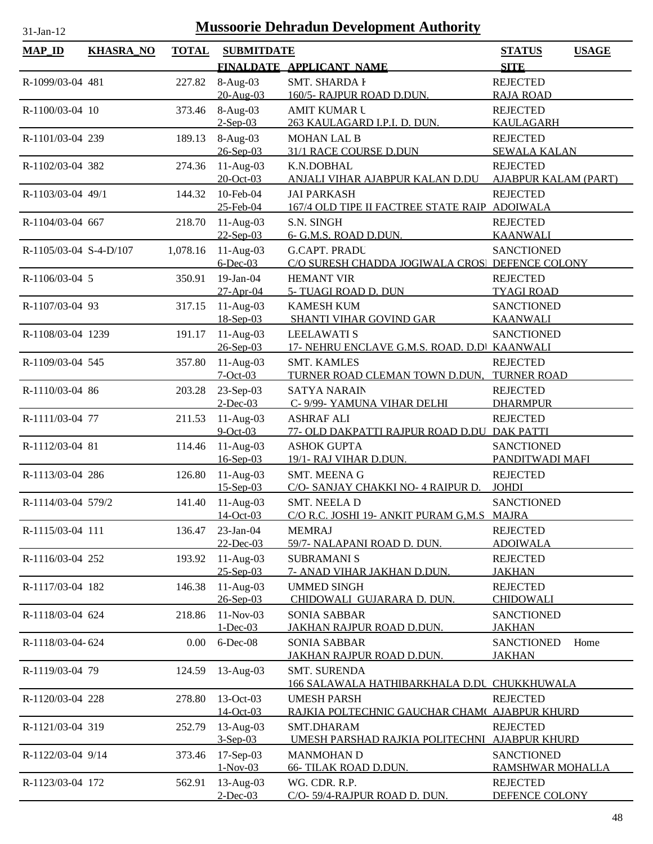| <b>MAP_ID</b>          | <b>KHASRA_NO</b> | <b>TOTAL</b> | <b>SUBMITDATE</b>        |                                                                     | <b>STATUS</b><br><b>USAGE</b>       |
|------------------------|------------------|--------------|--------------------------|---------------------------------------------------------------------|-------------------------------------|
|                        |                  |              |                          | FINALDATE APPLICANT NAME                                            | <b>SITE</b>                         |
| R-1099/03-04 481       |                  | 227.82       | 8-Aug-03                 | <b>SMT. SHARDA I</b>                                                | <b>REJECTED</b>                     |
|                        |                  |              | 20-Aug-03                | 160/5- RAJPUR ROAD D.DUN.                                           | <b>RAJA ROAD</b>                    |
| R-1100/03-04 10        |                  | 373.46       | 8-Aug-03                 | <b>AMIT KUMAR U</b>                                                 | <b>REJECTED</b>                     |
|                        |                  |              | $2-Sep-03$               | 263 KAULAGARD I.P.I. D. DUN.                                        | <b>KAULAGARH</b>                    |
| R-1101/03-04 239       |                  | 189.13       | 8-Aug-03                 | <b>MOHAN LAL B</b>                                                  | <b>REJECTED</b>                     |
|                        |                  |              | $26 - Sep-03$            | 31/1 RACE COURSE D.DUN                                              | <b>SEWALA KALAN</b>                 |
| R-1102/03-04 382       |                  | 274.36       | $11-Aug-03$              | K.N.DOBHAL                                                          | <b>REJECTED</b>                     |
|                        |                  |              | 20-Oct-03                | ANJALI VIHAR AJABPUR KALAN D.DU                                     | AJABPUR KALAM (PART)                |
| R-1103/03-04 49/1      |                  | 144.32       | 10-Feb-04<br>25-Feb-04   | <b>JAI PARKASH</b><br>167/4 OLD TIPE II FACTREE STATE RAIP ADOIWALA | <b>REJECTED</b>                     |
| R-1104/03-04 667       |                  | 218.70       | $11-Aug-03$              | S.N. SINGH                                                          | <b>REJECTED</b>                     |
|                        |                  |              | $22-Sep-03$              | 6- G.M.S. ROAD D.DUN.                                               | <b>KAANWALI</b>                     |
| R-1105/03-04 S-4-D/107 |                  | 1,078.16     | $11-Aug-03$              | <b>G.CAPT. PRADU</b>                                                | <b>SANCTIONED</b>                   |
|                        |                  |              | $6$ -Dec-03              | C/O SURESH CHADDA JOGIWALA CROS! DEFENCE COLONY                     |                                     |
| R-1106/03-04 5         |                  | 350.91       | 19-Jan-04                | <b>HEMANT VIR</b>                                                   | <b>REJECTED</b>                     |
|                        |                  |              | 27-Apr-04                | 5- TUAGI ROAD D. DUN                                                | <b>TYAGI ROAD</b>                   |
| R-1107/03-04 93        |                  | 317.15       | $11-Aug-03$              | <b>KAMESH KUM</b>                                                   | <b>SANCTIONED</b>                   |
|                        |                  |              | 18-Sep-03                | SHANTI VIHAR GOVIND GAR                                             | <b>KAANWALI</b>                     |
| R-1108/03-04 1239      |                  | 191.17       | $11-Aug-03$              | <b>LEELAWATI S</b>                                                  | <b>SANCTIONED</b>                   |
|                        |                  |              | $26 - Sep-03$            | 17- NEHRU ENCLAVE G.M.S. ROAD. D.D KAANWALI                         |                                     |
| R-1109/03-04 545       |                  | 357.80       | $11-Aug-03$              | <b>SMT. KAMLES</b>                                                  | <b>REJECTED</b>                     |
|                        |                  |              | $7-Oct-03$               | TURNER ROAD CLEMAN TOWN D.DUN,                                      | <b>TURNER ROAD</b>                  |
| R-1110/03-04 86        |                  | 203.28       | 23-Sep-03<br>$2$ -Dec-03 | <b>SATYA NARAIN</b><br>C- 9/99- YAMUNA VIHAR DELHI                  | <b>REJECTED</b><br><b>DHARMPUR</b>  |
| R-1111/03-04 77        |                  | 211.53       | $11-Aug-03$              | <b>ASHRAF ALI</b>                                                   | <b>REJECTED</b>                     |
|                        |                  |              | $9$ -Oct-03              | 77- OLD DAKPATTI RAJPUR ROAD D.DU DAK PATTI                         |                                     |
| R-1112/03-04 81        |                  | 114.46       | $11-Aug-03$              | <b>ASHOK GUPTA</b>                                                  | <b>SANCTIONED</b>                   |
|                        |                  |              | $16$ -Sep-03             | 19/1- RAJ VIHAR D.DUN.                                              | PANDITWADI MAFI                     |
| R-1113/03-04 286       |                  | 126.80       | $11-Aug-03$              | SMT. MEENA G                                                        | <b>REJECTED</b>                     |
|                        |                  |              | $15-Sep-03$              | C/O- SANJAY CHAKKI NO- 4 RAIPUR D.                                  | <b>JOHDI</b>                        |
| R-1114/03-04 579/2     |                  | 141.40       | $11-Aug-03$              | <b>SMT. NEELA D</b>                                                 | <b>SANCTIONED</b>                   |
|                        |                  |              | 14-Oct-03                | C/O R.C. JOSHI 19- ANKIT PURAM G.M.S MAJRA                          |                                     |
| R-1115/03-04 111       |                  | 136.47       | 23-Jan-04                | <b>MEMRAJ</b>                                                       | <b>REJECTED</b>                     |
|                        |                  |              | 22-Dec-03                | 59/7- NALAPANI ROAD D. DUN.                                         | <b>ADOIWALA</b>                     |
| R-1116/03-04 252       |                  | 193.92       | $11-Aug-03$              | <b>SUBRAMANI S</b>                                                  | <b>REJECTED</b>                     |
|                        |                  |              | $25 - Sep-03$            | 7- ANAD VIHAR JAKHAN D.DUN.                                         | <b>JAKHAN</b>                       |
| R-1117/03-04 182       |                  | 146.38       | $11-Aug-03$<br>26-Sep-03 | <b>UMMED SINGH</b><br>CHIDOWALI GUJARARA D. DUN.                    | <b>REJECTED</b><br><b>CHIDOWALI</b> |
|                        |                  |              | 11-Nov-03                | <b>SONIA SABBAR</b>                                                 | <b>SANCTIONED</b>                   |
| R-1118/03-04 624       |                  | 218.86       | $1 - Dec-03$             | <u>JAKHAN RAJPUR ROAD D.DUN.</u>                                    | <b>JAKHAN</b>                       |
| R-1118/03-04-624       |                  | 0.00         | 6-Dec-08                 | <b>SONIA SABBAR</b>                                                 | <b>SANCTIONED</b><br>Home           |
|                        |                  |              |                          | JAKHAN RAJPUR ROAD D.DUN.                                           | <b>JAKHAN</b>                       |
| R-1119/03-04 79        |                  | 124.59       | 13-Aug-03                | <b>SMT. SURENDA</b>                                                 |                                     |
|                        |                  |              |                          | <u>66 SALAWALA HATHIBARKHALA D.DU</u>                               | CHUKKHUWALA                         |
| R-1120/03-04 228       |                  | 278.80       | 13-Oct-03                | <b>UMESH PARSH</b>                                                  | <b>REJECTED</b>                     |
|                        |                  |              | 14-Oct-03                | RAJKIA POLTECHNIC GAUCHAR CHAM( AJABPUR KHURD                       |                                     |
| R-1121/03-04 319       |                  | 252.79       | $13$ -Aug-03             | SMT.DHARAM                                                          | <b>REJECTED</b>                     |
|                        |                  |              | $3-Sep-03$               | UMESH PARSHAD RAJKIA POLITECHNI                                     | <b>AJABPUR KHURD</b>                |
| R-1122/03-04 9/14      |                  | 373.46       | 17-Sep-03                | <b>MANMOHAN D</b>                                                   | <b>SANCTIONED</b>                   |
|                        |                  |              | $1-Nov-03$               | <b>66- TILAK ROAD D.DUN.</b>                                        | RAMSHWAR MOHALLA                    |
| R-1123/03-04 172       |                  | 562.91       | 13-Aug-03<br>$2$ -Dec-03 | WG. CDR. R.P.<br>C/O-59/4-RAJPUR ROAD D. DUN.                       | <b>REJECTED</b><br>DEFENCE COLONY   |
|                        |                  |              |                          |                                                                     |                                     |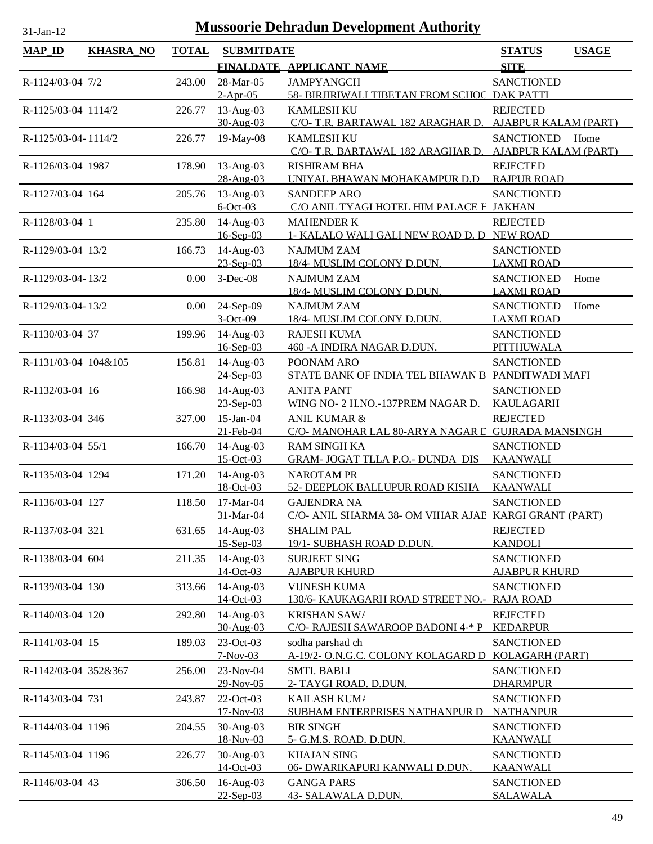| <b>MAP_ID</b>        | <b>KHASRA_NO</b> | <b>TOTAL</b> | <b>SUBMITDATE</b>         |                                                                              | <b>STATUS</b>                      | <b>USAGE</b> |
|----------------------|------------------|--------------|---------------------------|------------------------------------------------------------------------------|------------------------------------|--------------|
|                      |                  |              |                           | FINALDATE APPLICANT NAME                                                     | <b>SITE</b>                        |              |
| R-1124/03-04 7/2     |                  | 243.00       | 28-Mar-05                 | <b>JAMPYANGCH</b>                                                            | <b>SANCTIONED</b>                  |              |
|                      |                  |              | $2-Apr-05$                | 58- BIRJIRIWALI TIBETAN FROM SCHOC DAK PATTI                                 |                                    |              |
| R-1125/03-04 1114/2  |                  | 226.77       | 13-Aug-03                 | <b>KAMLESH KU</b>                                                            | <b>REJECTED</b>                    |              |
|                      |                  |              | 30-Aug-03                 | C/O- T.R. BARTAWAL 182 ARAGHAR D.                                            | <b>AJABPUR KALAM (PART)</b>        |              |
| R-1125/03-04-1114/2  |                  | 226.77       | 19-May-08                 | <b>KAMLESH KU</b>                                                            | SANCTIONED Home                    |              |
|                      |                  |              |                           | C/O- T.R. BARTAWAL 182 ARAGHAR D.                                            | <b>AJABPUR KALAM (PART)</b>        |              |
| R-1126/03-04 1987    |                  | 178.90       | 13-Aug-03                 | <b>RISHIRAM BHA</b>                                                          | <b>REJECTED</b>                    |              |
|                      |                  |              | 28-Aug-03                 | UNIYAL BHAWAN MOHAKAMPUR D.D                                                 | <b>RAJPUR ROAD</b>                 |              |
| R-1127/03-04 164     |                  | 205.76       | 13-Aug-03<br>$6$ -Oct-03  | <b>SANDEEP ARO</b><br>C/O ANIL TYAGI HOTEL HIM PALACE H JAKHAN               | <b>SANCTIONED</b>                  |              |
| R-1128/03-04 1       |                  | 235.80       | 14-Aug-03                 | <b>MAHENDER K</b>                                                            | <b>REJECTED</b>                    |              |
|                      |                  |              | 16-Sep-03                 | 1- KALALO WALI GALI NEW ROAD D. D NEW ROAD                                   |                                    |              |
| R-1129/03-04 13/2    |                  | 166.73       | 14-Aug-03                 | <b>NAJMUM ZAM</b>                                                            | <b>SANCTIONED</b>                  |              |
|                      |                  |              | 23-Sep-03                 | 18/4- MUSLIM COLONY D.DUN.                                                   | <b>LAXMI ROAD</b>                  |              |
| R-1129/03-04-13/2    |                  | 0.00         | $3-Dec-08$                | <b>NAJMUM ZAM</b>                                                            | <b>SANCTIONED</b>                  | Home         |
|                      |                  |              |                           | 18/4- MUSLIM COLONY D.DUN.                                                   | <b>LAXMI ROAD</b>                  |              |
| R-1129/03-04-13/2    |                  | 0.00         | 24-Sep-09                 | <b>NAJMUM ZAM</b>                                                            | <b>SANCTIONED</b>                  | Home         |
|                      |                  |              | $3-Oct-09$                | 18/4- MUSLIM COLONY D.DUN.                                                   | <b>LAXMI ROAD</b>                  |              |
| R-1130/03-04 37      |                  | 199.96       | 14-Aug-03                 | <b>RAJESH KUMA</b>                                                           | <b>SANCTIONED</b>                  |              |
|                      |                  |              | 16-Sep-03                 | 460 - A INDIRA NAGAR D.DUN.                                                  | <b>PITTHUWALA</b>                  |              |
| R-1131/03-04 104&105 |                  | 156.81       | 14-Aug-03                 | POONAM ARO                                                                   | <b>SANCTIONED</b>                  |              |
|                      |                  |              | 24-Sep-03                 | STATE BANK OF INDIA TEL BHAWAN B PANDITWADI MAFI                             |                                    |              |
| R-1132/03-04 16      |                  | 166.98       | 14-Aug-03                 | <b>ANITA PANT</b>                                                            | <b>SANCTIONED</b>                  |              |
|                      |                  |              | $23-Sep-03$               | WING NO- 2 H.NO.-137PREM NAGAR D.                                            | KAULAGARH                          |              |
| R-1133/03-04 346     |                  | 327.00       | $15$ -Jan-04<br>21-Feb-04 | <b>ANIL KUMAR &amp;</b><br>C/O- MANOHAR LAL 80-ARYA NAGAR L GUJRADA MANSINGH | <b>REJECTED</b>                    |              |
| R-1134/03-04 55/1    |                  | 166.70       | 14-Aug-03                 | <b>RAM SINGH KA</b>                                                          | <b>SANCTIONED</b>                  |              |
|                      |                  |              | 15-Oct-03                 | <b>GRAM-JOGAT TLLA P.O.- DUNDA DIS</b>                                       | <b>KAANWALI</b>                    |              |
| R-1135/03-04 1294    |                  | 171.20       | 14-Aug-03                 | <b>NAROTAM PR</b>                                                            | <b>SANCTIONED</b>                  |              |
|                      |                  |              | 18-Oct-03                 | 52- DEEPLOK BALLUPUR ROAD KISHA                                              | <b>KAANWALI</b>                    |              |
| R-1136/03-04 127     |                  | 118.50       | $17-Mar-04$               | <b>GAJENDRA NA</b>                                                           | <b>SANCTIONED</b>                  |              |
|                      |                  |              | 31-Mar-04                 | C/O- ANIL SHARMA 38- OM VIHAR AJAB KARGI GRANT (PART)                        |                                    |              |
| R-1137/03-04 321     |                  | 631.65       | 14-Aug-03                 | <b>SHALIM PAL</b>                                                            | <b>REJECTED</b>                    |              |
|                      |                  |              | $15 - Sep-03$             | 19/1- SUBHASH ROAD D.DUN.                                                    | <b>KANDOLI</b>                     |              |
| R-1138/03-04 604     |                  | 211.35       | 14-Aug-03                 | <b>SURJEET SING</b>                                                          | <b>SANCTIONED</b>                  |              |
|                      |                  |              | 14-Oct-03                 | <b>AJABPUR KHURD</b>                                                         | <b>AJABPUR KHURD</b>               |              |
| R-1139/03-04 130     |                  | 313.66       | $14$ -Aug-03              | <b>VIJNESH KUMA</b>                                                          | <b>SANCTIONED</b>                  |              |
|                      |                  |              | 14-Oct-03                 | 130/6- KAUKAGARH ROAD STREET NO.-                                            | <b>RAJA ROAD</b>                   |              |
| R-1140/03-04 120     |                  | 292.80       | 14-Aug-03<br>30-Aug-03    | <b>KRISHAN SAW/</b><br>C/O- RAJESH SAWAROOP BADONI 4-* P                     | <b>REJECTED</b><br><b>KEDARPUR</b> |              |
| R-1141/03-04 15      |                  | 189.03       | 23-Oct-03                 | sodha parshad ch                                                             | <b>SANCTIONED</b>                  |              |
|                      |                  |              | $7-Nov-03$                | A-19/2- O.N.G.C. COLONY KOLAGARD D KOLAGARH (PART)                           |                                    |              |
| R-1142/03-04 352&367 |                  | 256.00       | 23-Nov-04                 | <b>SMTI. BABLI</b>                                                           | <b>SANCTIONED</b>                  |              |
|                      |                  |              | 29-Nov-05                 | 2- TAYGI ROAD. D.DUN.                                                        | <b>DHARMPUR</b>                    |              |
| R-1143/03-04 731     |                  | 243.87       | 22-Oct-03                 | KAILASH KUM/                                                                 | <b>SANCTIONED</b>                  |              |
|                      |                  |              | 17-Nov-03                 | SUBHAM ENTERPRISES NATHANPUR D                                               | <b>NATHANPUR</b>                   |              |
| R-1144/03-04 1196    |                  | 204.55       | 30-Aug-03                 | <b>BIR SINGH</b>                                                             | <b>SANCTIONED</b>                  |              |
|                      |                  |              | 18-Nov-03                 | 5- G.M.S. ROAD. D.DUN.                                                       | <b>KAANWALI</b>                    |              |
| R-1145/03-04 1196    |                  | 226.77       | 30-Aug-03                 | <b>KHAJAN SING</b>                                                           | <b>SANCTIONED</b>                  |              |
|                      |                  |              | 14-Oct-03                 | 06- DWARIKAPURI KANWALI D.DUN.                                               | <b>KAANWALI</b>                    |              |
| R-1146/03-04 43      |                  | 306.50       | 16-Aug-03                 | <b>GANGA PARS</b>                                                            | <b>SANCTIONED</b>                  |              |
|                      |                  |              | $22-Sep-03$               | 43- SALAWALA D.DUN.                                                          | <b>SALAWALA</b>                    |              |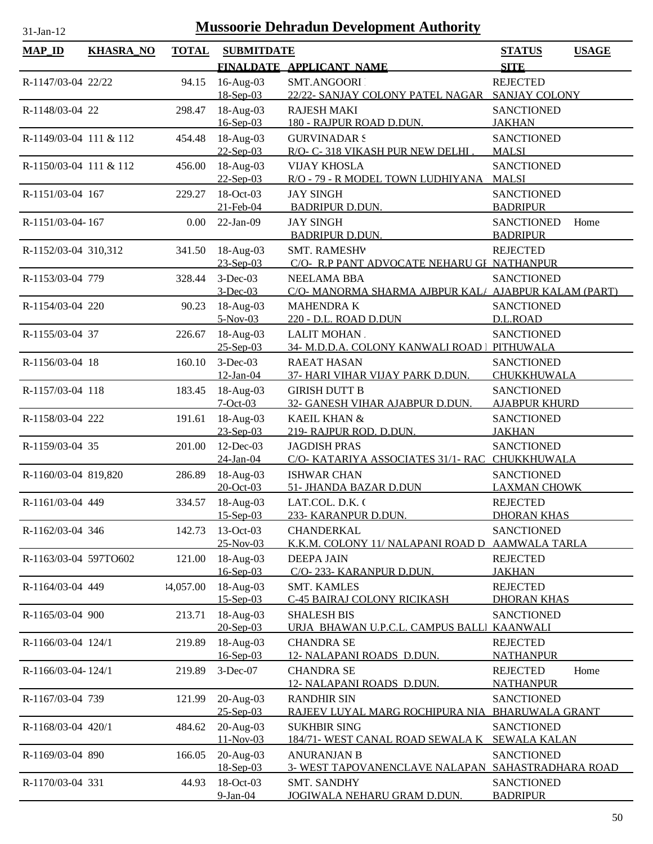| и |  |
|---|--|
|   |  |

| <b>MAP_ID</b>          | <b>KHASRA_NO</b> | <b>TOTAL</b> | <b>SUBMITDATE</b>             |                                                                          | <b>STATUS</b>                               | <b>USAGE</b> |
|------------------------|------------------|--------------|-------------------------------|--------------------------------------------------------------------------|---------------------------------------------|--------------|
|                        |                  |              |                               | FINALDATE APPLICANT NAME                                                 | <b>SITE</b>                                 |              |
| R-1147/03-04 22/22     |                  | 94.15        | 16-Aug-03<br>18-Sep-03        | SMT.ANGOORI<br>22/22- SANJAY COLONY PATEL NAGAR SANJAY COLONY            | <b>REJECTED</b>                             |              |
| R-1148/03-04 22        |                  | 298.47       | 18-Aug-03                     | <b>RAJESH MAKI</b>                                                       | <b>SANCTIONED</b>                           |              |
| R-1149/03-04 111 & 112 |                  | 454.48       | 16-Sep-03<br>18-Aug-03        | 180 - RAJPUR ROAD D.DUN.<br><b>GURVINADAR S</b>                          | <b>JAKHAN</b><br><b>SANCTIONED</b>          |              |
|                        |                  |              | $22-Sep-03$                   | R/O- C-318 VIKASH PUR NEW DELHI.                                         | <b>MALSI</b>                                |              |
| R-1150/03-04 111 & 112 |                  | 456.00       | 18-Aug-03<br>$22-Sep-03$      | <b>VIJAY KHOSLA</b><br>R/O - 79 - R MODEL TOWN LUDHIYANA                 | <b>SANCTIONED</b><br><b>MALSI</b>           |              |
| R-1151/03-04 167       |                  | 229.27       | 18-Oct-03<br>21-Feb-04        | <b>JAY SINGH</b><br><b>BADRIPUR D.DUN.</b>                               | <b>SANCTIONED</b><br><b>BADRIPUR</b>        |              |
| R-1151/03-04-167       |                  | 0.00         | $22-Jan-09$                   | <b>JAY SINGH</b><br><b>BADRIPUR D.DUN.</b>                               | <b>SANCTIONED</b><br><b>BADRIPUR</b>        | Home         |
| R-1152/03-04 310,312   |                  | 341.50       | $18-Aug-03$<br>23-Sep-03      | <b>SMT. RAMESHV</b><br>C/O- R.P PANT ADVOCATE NEHARU GI NATHANPUR        | <b>REJECTED</b>                             |              |
| R-1153/03-04 779       |                  | 328.44       | $3-Dec-03$                    | <b>NEELAMA BBA</b>                                                       | <b>SANCTIONED</b>                           |              |
| R-1154/03-04 220       |                  | 90.23        | $3$ -Dec-03<br>18-Aug-03      | C/O- MANORMA SHARMA AJBPUR KAL/ AJABPUR KALAM (PART)<br><b>MAHENDRAK</b> | <b>SANCTIONED</b>                           |              |
|                        |                  |              | $5-Nov-03$                    | 220 - D.L. ROAD D.DUN                                                    | D.L.ROAD                                    |              |
| R-1155/03-04 37        |                  | 226.67       | 18-Aug-03<br>$25 - Sep-03$    | LALIT MOHAN.<br>34- M.D.D.A. COLONY KANWALI ROAD   PITHUWALA             | <b>SANCTIONED</b>                           |              |
| R-1156/03-04 18        |                  | 160.10       | $3-Dec-03$<br>12-Jan-04       | <b>RAEAT HASAN</b><br>37- HARI VIHAR VIJAY PARK D.DUN.                   | <b>SANCTIONED</b><br>CHUKKHUWALA            |              |
| R-1157/03-04 118       |                  | 183.45       | 18-Aug-03                     | <b>GIRISH DUTT B</b>                                                     | <b>SANCTIONED</b>                           |              |
| R-1158/03-04 222       |                  | 191.61       | $7-Oct-03$<br>18-Aug-03       | 32- GANESH VIHAR AJABPUR D.DUN.<br>KAEIL KHAN &                          | <b>AJABPUR KHURD</b><br><b>SANCTIONED</b>   |              |
|                        |                  |              | 23-Sep-03                     | 219- RAJPUR ROD. D.DUN.                                                  | <b>JAKHAN</b>                               |              |
| R-1159/03-04 35        |                  | 201.00       | 12-Dec-03<br>24-Jan-04        | <b>JAGDISH PRAS</b><br>C/O- KATARIYA ASSOCIATES 31/1- RAC CHUKKHUWALA    | <b>SANCTIONED</b>                           |              |
| R-1160/03-04 819,820   |                  | 286.89       | 18-Aug-03<br>20-Oct-03        | <b>ISHWAR CHAN</b><br>51- JHANDA BAZAR D.DUN                             | <b>SANCTIONED</b><br><b>LAXMAN CHOWK</b>    |              |
| R-1161/03-04 449       |                  | 334.57       | 18-Aug-03                     | LAT.COL. D.K. (                                                          | <b>REJECTED</b>                             |              |
| R-1162/03-04 346       |                  | 142.73       | $15 -$ Sep $-03$<br>13-Oct-03 | 233- KARANPUR D.DUN.<br><b>CHANDERKAL</b>                                | <b>DHORAN KHAS</b><br><b>SANCTIONED</b>     |              |
|                        |                  |              | 25-Nov-03                     | K.K.M. COLONY 11/ NALAPANI ROAD D                                        | <b>AAMWALA TARLA</b>                        |              |
| R-1163/03-04 597TO602  |                  | 121.00       | 18-Aug-03<br>16-Sep-03        | <b>DEEPA JAIN</b><br>C/O-233- KARANPUR D.DUN.                            | <b>REJECTED</b><br><b>JAKHAN</b>            |              |
| R-1164/03-04 449       |                  | 4,057.00     | 18-Aug-03                     | <b>SMT. KAMLES</b>                                                       | <b>REJECTED</b>                             |              |
| R-1165/03-04 900       |                  | 213.71       | $15 - Sep-03$<br>18-Aug-03    | <b>C-45 BAIRAJ COLONY RICIKASH</b><br><b>SHALESH BIS</b>                 | <b>DHORAN KHAS</b><br><b>SANCTIONED</b>     |              |
| R-1166/03-04 124/1     |                  | 219.89       | $20$ -Sep-03<br>18-Aug-03     | URJA BHAWAN U.P.C.L. CAMPUS BALLI<br><b>CHANDRA SE</b>                   | <b>KAANWALI</b><br><b>REJECTED</b>          |              |
|                        |                  |              | 16-Sep-03                     | 12- NALAPANI ROADS D.DUN.                                                | <b>NATHANPUR</b>                            |              |
| R-1166/03-04-124/1     |                  | 219.89       | 3-Dec-07                      | <b>CHANDRA SE</b><br>12- NALAPANI ROADS D.DUN.                           | <b>REJECTED</b><br><b>NATHANPUR</b>         | Home         |
| R-1167/03-04 739       |                  | 121.99       | 20-Aug-03<br>25-Sep-03        | <b>RANDHIR SIN</b><br>RAJEEV LUYAL MARG ROCHIPURA NIA                    | <b>SANCTIONED</b><br><b>BHARUWALA GRANT</b> |              |
| R-1168/03-04 420/1     |                  | 484.62       | 20-Aug-03<br>11-Nov-03        | <b>SUKHBIR SING</b><br>184/71- WEST CANAL ROAD SEWALA K                  | <b>SANCTIONED</b><br><b>SEWALA KALAN</b>    |              |
| R-1169/03-04 890       |                  | 166.05       | 20-Aug-03<br>18-Sep-03        | <b>ANURANJAN B</b><br>3- WEST TAPOVANENCLAVE NALAPAN SAHASTRADHARA ROAD  | <b>SANCTIONED</b>                           |              |
| R-1170/03-04 331       |                  | 44.93        | 18-Oct-03<br>9-Jan-04         | <b>SMT. SANDHY</b><br><u>JOGIWALA NEHARU GRAM D.DUN.</u>                 | <b>SANCTIONED</b><br><b>BADRIPUR</b>        |              |
|                        |                  |              |                               |                                                                          |                                             |              |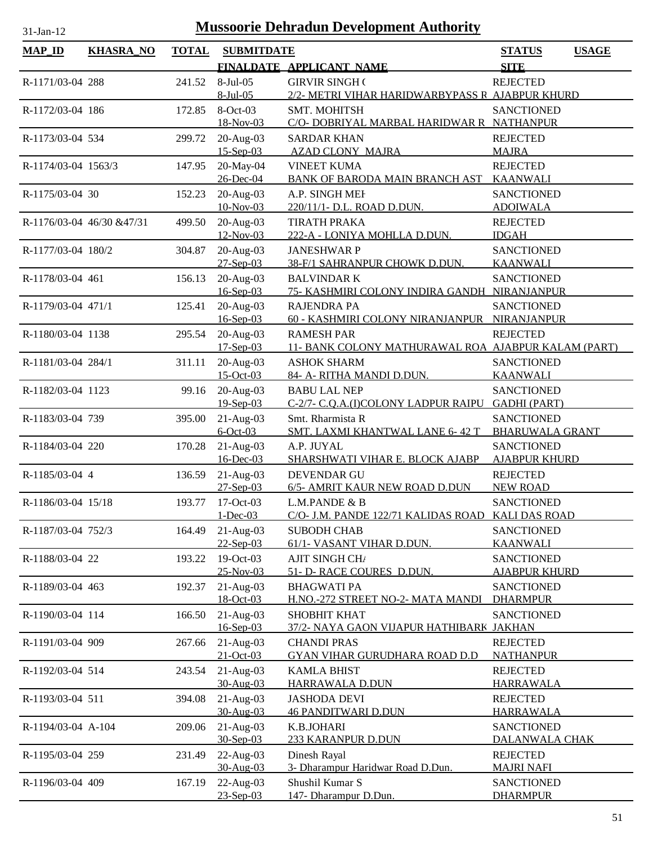| $MAP$ <sub>ID</sub> | <b>KHASRA_NO</b>           | <b>TOTAL</b> | <b>SUBMITDATE</b>            |                                                             | <b>STATUS</b>                             | <b>USAGE</b> |
|---------------------|----------------------------|--------------|------------------------------|-------------------------------------------------------------|-------------------------------------------|--------------|
|                     |                            |              |                              | FINALDATE APPLICANT NAME                                    | <b>SITE</b>                               |              |
| R-1171/03-04 288    |                            | 241.52       | 8-Jul-05                     | <b>GIRVIR SINGH (</b>                                       | <b>REJECTED</b>                           |              |
|                     |                            |              | $8$ -Jul-05                  | 2/2- METRI VIHAR HARIDWARBYPASS R AJABPUR KHURD             |                                           |              |
| R-1172/03-04 186    |                            | 172.85       | 8-Oct-03<br>18-Nov-03        | SMT. MOHITSH<br>C/O- DOBRIYAL MARBAL HARIDWAR R NATHANPUR   | <b>SANCTIONED</b>                         |              |
| R-1173/03-04 534    |                            | 299.72       | $20-Aug-03$<br>$15 - Sep-03$ | <b>SARDAR KHAN</b><br><b>AZAD CLONY MAJRA</b>               | <b>REJECTED</b><br><b>MAJRA</b>           |              |
| R-1174/03-04 1563/3 |                            | 147.95       | 20-May-04<br>26-Dec-04       | <b>VINEET KUMA</b><br>BANK OF BARODA MAIN BRANCH AST        | <b>REJECTED</b><br><b>KAANWALI</b>        |              |
| R-1175/03-04 30     |                            | 152.23       | 20-Aug-03<br>10-Nov-03       | A.P. SINGH MEI<br>220/11/1- D.L. ROAD D.DUN.                | <b>SANCTIONED</b><br><b>ADOIWALA</b>      |              |
|                     | R-1176/03-04 46/30 & 47/31 | 499.50       | $20-Aug-03$<br>12-Nov-03     | <b>TIRATH PRAKA</b><br>222-A - LONIYA MOHLLA D.DUN.         | <b>REJECTED</b><br><b>IDGAH</b>           |              |
| R-1177/03-04 180/2  |                            | 304.87       | 20-Aug-03                    | <b>JANESHWAR P</b>                                          | <b>SANCTIONED</b>                         |              |
|                     |                            |              | $27 - Sep-03$                | 38-F/1 SAHRANPUR CHOWK D.DUN.                               | <b>KAANWALI</b>                           |              |
| R-1178/03-04 461    |                            | 156.13       | 20-Aug-03                    | <b>BALVINDARK</b>                                           | <b>SANCTIONED</b>                         |              |
| R-1179/03-04 471/1  |                            | 125.41       | $16$ -Sep-03<br>20-Aug-03    | 75- KASHMIRI COLONY INDIRA GANDH NIRANJANPUR<br>RAJENDRA PA | <b>SANCTIONED</b>                         |              |
|                     |                            |              | $16$ -Sep-03                 | 60 - KASHMIRI COLONY NIRANJANPUR                            | NIRANJANPUR                               |              |
| R-1180/03-04 1138   |                            | 295.54       | $20-Aug-03$                  | <b>RAMESH PAR</b>                                           | <b>REJECTED</b>                           |              |
|                     |                            |              | $17-Sep-03$                  | 11- BANK COLONY MATHURAWAL ROA AJABPUR KALAM (PART)         |                                           |              |
| R-1181/03-04 284/1  |                            | 311.11       | $20-Aug-03$<br>15-Oct-03     | <b>ASHOK SHARM</b><br>84- A- RITHA MANDI D.DUN.             | <b>SANCTIONED</b><br><b>KAANWALI</b>      |              |
| R-1182/03-04 1123   |                            | 99.16        | $20-Aug-03$                  | <b>BABU LAL NEP</b>                                         | <b>SANCTIONED</b>                         |              |
|                     |                            |              | $19-Sep-03$                  | C-2/7- C.Q.A.(I)COLONY LADPUR RAIPU                         | <b>GADHI (PART)</b>                       |              |
| R-1183/03-04 739    |                            | 395.00       | $21-Aug-03$                  | Smt. Rharmista R                                            | <b>SANCTIONED</b>                         |              |
|                     |                            |              | $6$ -Oct-03                  | <b>SMT. LAXMI KHANTWAL LANE 6-42 T</b>                      | <b>BHARUWALA GRANT</b>                    |              |
| R-1184/03-04 220    |                            | 170.28       | $21-Aug-03$<br>16-Dec-03     | A.P. JUYAL<br>SHARSHWATI VIHAR E. BLOCK AJABP               | <b>SANCTIONED</b><br><b>AJABPUR KHURD</b> |              |
|                     |                            |              |                              |                                                             |                                           |              |
| R-1185/03-04 4      |                            | 136.59       | $21-Aug-03$<br>$27-Sep-03$   | <b>DEVENDAR GU</b><br>6/5- AMRIT KAUR NEW ROAD D.DUN        | <b>REJECTED</b><br><b>NEW ROAD</b>        |              |
| R-1186/03-04 15/18  |                            | 193.77       | 17-Oct-03                    | L.M.PANDE & B                                               | <b>SANCTIONED</b>                         |              |
|                     |                            |              | $1 - Dec-03$                 | C/O- J.M. PANDE 122/71 KALIDAS ROAD KALI DAS ROAD           |                                           |              |
| R-1187/03-04 752/3  |                            | 164.49       | $21-Aug-03$                  | <b>SUBODH CHAB</b>                                          | <b>SANCTIONED</b>                         |              |
|                     |                            |              | $22-Sep-03$                  | 61/1- VASANT VIHAR D.DUN.                                   | <b>KAANWALI</b>                           |              |
| R-1188/03-04 22     |                            | 193.22       | 19-Oct-03<br>25-Nov-03       | AJIT SINGH CHA<br>51- D- RACE COURES D.DUN.                 | <b>SANCTIONED</b><br><b>AJABPUR KHURD</b> |              |
| R-1189/03-04 463    |                            | 192.37       | $21-Aug-03$                  | <b>BHAGWATI PA</b>                                          | <b>SANCTIONED</b>                         |              |
|                     |                            |              | 18-Oct-03                    | H.NO.-272 STREET NO-2- MATA MANDI                           | <b>DHARMPUR</b>                           |              |
| R-1190/03-04 114    |                            | 166.50       | $21-Aug-03$                  | <b>SHOBHIT KHAT</b>                                         | <b>SANCTIONED</b>                         |              |
|                     |                            |              | $16$ -Sep-03                 | 37/2- NAYA GAON VIJAPUR HATHIBARK JAKHAN                    |                                           |              |
| R-1191/03-04 909    |                            | 267.66       | $21-Aug-03$<br>$21-Oct-03$   | <b>CHANDI PRAS</b><br><b>GYAN VIHAR GURUDHARA ROAD D.D</b>  | <b>REJECTED</b><br><b>NATHANPUR</b>       |              |
| R-1192/03-04 514    |                            | 243.54       | $21-Aug-03$                  | <b>KAMLA BHIST</b>                                          | <b>REJECTED</b>                           |              |
|                     |                            |              | 30-Aug-03                    | HARRAWALA D.DUN                                             | <b>HARRAWALA</b>                          |              |
| R-1193/03-04 511    |                            | 394.08       | $21-Aug-03$                  | <b>JASHODA DEVI</b>                                         | <b>REJECTED</b>                           |              |
|                     |                            |              | 30-Aug-03                    | <b>46 PANDITWARI D.DUN</b>                                  | <b>HARRAWALA</b>                          |              |
| R-1194/03-04 A-104  |                            | 209.06       | $21-Aug-03$<br>30-Sep-03     | K.B.JOHARI<br>233 KARANPUR D.DUN                            | <b>SANCTIONED</b><br>DALANWALA CHAK       |              |
| R-1195/03-04 259    |                            | 231.49       | 22-Aug-03                    | Dinesh Rayal                                                | <b>REJECTED</b>                           |              |
|                     |                            |              | 30-Aug-03                    | 3- Dharampur Haridwar Road D.Dun.                           | <b>MAJRI NAFI</b>                         |              |
| R-1196/03-04 409    |                            | 167.19       | 22-Aug-03                    | Shushil Kumar S                                             | <b>SANCTIONED</b>                         |              |
|                     |                            |              | 23-Sep-03                    | 147- Dharampur D.Dun.                                       | <b>DHARMPUR</b>                           |              |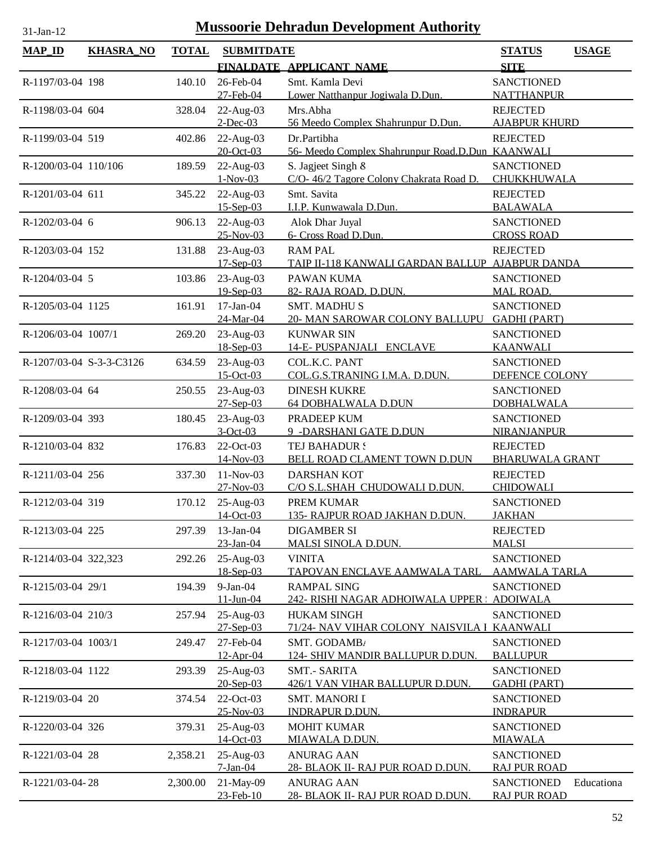| $MAP$ <sub>ID</sub>      | <b>KHASRA_NO</b> | <b>TOTAL</b> | <b>SUBMITDATE</b>          |                                                         | <b>USAGE</b><br><b>STATUS</b>            |
|--------------------------|------------------|--------------|----------------------------|---------------------------------------------------------|------------------------------------------|
|                          |                  |              |                            | FINALDATE APPLICANT NAME                                | <b>SITE</b>                              |
| R-1197/03-04 198         |                  | 140.10       | 26-Feb-04                  | Smt. Kamla Devi                                         | <b>SANCTIONED</b>                        |
|                          |                  |              | 27-Feb-04                  | Lower Natthanpur Jogiwala D.Dun.                        | <b>NATTHANPUR</b>                        |
| R-1198/03-04 604         |                  | 328.04       | $22$ -Aug-03               | Mrs.Abha                                                | <b>REJECTED</b>                          |
|                          |                  |              | $2$ -Dec-03                | 56 Meedo Complex Shahrunpur D.Dun.                      | <b>AJABPUR KHURD</b>                     |
| R-1199/03-04 519         |                  | 402.86       | 22-Aug-03                  | Dr.Partibha                                             | <b>REJECTED</b>                          |
|                          |                  |              | 20-Oct-03                  | 56- Meedo Complex Shahrunpur Road.D.Dun KAANWALI        |                                          |
| R-1200/03-04 110/106     |                  | 189.59       | 22-Aug-03                  | S. Jagjeet Singh &                                      | <b>SANCTIONED</b>                        |
|                          |                  |              | $1-Nov-03$                 | C/O-46/2 Tagore Colony Chakrata Road D.                 | CHUKKHUWALA                              |
| R-1201/03-04 611         |                  | 345.22       | 22-Aug-03                  | Smt. Savita                                             | <b>REJECTED</b>                          |
|                          |                  |              | $15-Sep-03$                | I.I.P. Kunwawala D.Dun.                                 | <b>BALAWALA</b>                          |
| R-1202/03-04 6           |                  | 906.13       | 22-Aug-03<br>25-Nov-03     | Alok Dhar Juyal<br>6- Cross Road D.Dun.                 | <b>SANCTIONED</b><br><b>CROSS ROAD</b>   |
| R-1203/03-04 152         |                  | 131.88       | 23-Aug-03                  | <b>RAM PAL</b>                                          | <b>REJECTED</b>                          |
|                          |                  |              | $17-Sep-03$                | TAIP II-118 KANWALI GARDAN BALLUP AJABPUR DANDA         |                                          |
| R-1204/03-04 5           |                  | 103.86       | 23-Aug-03                  | PAWAN KUMA                                              | <b>SANCTIONED</b>                        |
|                          |                  |              | 19-Sep-03                  | 82- RAJA ROAD. D.DUN.                                   | <b>MAL ROAD.</b>                         |
| R-1205/03-04 1125        |                  | 161.91       | $17-Jan-04$                | <b>SMT. MADHUS</b>                                      | <b>SANCTIONED</b>                        |
|                          |                  |              | 24-Mar-04                  | 20- MAN SAROWAR COLONY BALLUPU                          | <b>GADHI (PART)</b>                      |
| R-1206/03-04 1007/1      |                  | 269.20       | 23-Aug-03                  | <b>KUNWAR SIN</b>                                       | <b>SANCTIONED</b>                        |
|                          |                  |              | 18-Sep-03                  | 14-E-PUSPANJALI ENCLAVE                                 | <b>KAANWALI</b>                          |
| R-1207/03-04 S-3-3-C3126 |                  | 634.59       | 23-Aug-03                  | COL.K.C. PANT                                           | <b>SANCTIONED</b>                        |
|                          |                  |              | $15-Oct-03$                | COL.G.S.TRANING I.M.A. D.DUN.                           | DEFENCE COLONY                           |
| R-1208/03-04 64          |                  | 250.55       | 23-Aug-03<br>$27 - Sep-03$ | <b>DINESH KUKRE</b><br><b>64 DOBHALWALA D.DUN</b>       | <b>SANCTIONED</b><br><b>DOBHALWALA</b>   |
| R-1209/03-04 393         |                  | 180.45       | 23-Aug-03                  | PRADEEP KUM                                             | <b>SANCTIONED</b>                        |
|                          |                  |              | $3-Oct-03$                 | 9 - DARSHANI GATE D.DUN                                 | <b>NIRANJANPUR</b>                       |
| R-1210/03-04 832         |                  | 176.83       | 22-Oct-03                  | TEJ BAHADUR !                                           | <b>REJECTED</b>                          |
|                          |                  |              | 14-Nov-03                  | BELL ROAD CLAMENT TOWN D.DUN                            | <b>BHARUWALA GRANT</b>                   |
| R-1211/03-04 256         |                  | 337.30       | $11-Nov-03$                | <b>DARSHAN KOT</b>                                      | <b>REJECTED</b>                          |
|                          |                  |              | $27-Nov-03$                | C/O S.L.SHAH CHUDOWALI D.DUN.                           | <b>CHIDOWALI</b>                         |
| R-1212/03-04 319         |                  |              | 170.12 25-Aug-03           | PREM KUMAR                                              | <b>SANCTIONED</b>                        |
|                          |                  |              | 14-Oct-03                  | 135- RAJPUR ROAD JAKHAN D.DUN.                          | <b>JAKHAN</b>                            |
| R-1213/03-04 225         |                  | 297.39       | $13$ -Jan-04<br>23-Jan-04  | <b>DIGAMBER SI</b><br><b>MALSI SINOLA D.DUN.</b>        | <b>REJECTED</b><br><b>MALSI</b>          |
| R-1214/03-04 322,323     |                  | 292.26       | 25-Aug-03                  | <b>VINITA</b>                                           | <b>SANCTIONED</b>                        |
|                          |                  |              | 18-Sep-03                  | <u>TAPOVAN ENCLAVE AAMWALA TARL</u>                     | <b>AAMWALA TARLA</b>                     |
| R-1215/03-04 29/1        |                  | 194.39       | $9-Jan-04$                 | <b>RAMPAL SING</b>                                      | <b>SANCTIONED</b>                        |
|                          |                  |              | $11 - Jun-04$              | 242- RISHI NAGAR ADHOIWALA UPPER : ADOIWALA             |                                          |
| R-1216/03-04 210/3       |                  | 257.94       | $25-Aug-03$                | <b>HUKAM SINGH</b>                                      | <b>SANCTIONED</b>                        |
|                          |                  |              | $27-Sep-03$                | 71/24- NAV VIHAR COLONY NAISVILA I KAANWALI             |                                          |
| R-1217/03-04 1003/1      |                  | 249.47       | 27-Feb-04                  | SMT. GODAMB/                                            | <b>SANCTIONED</b>                        |
|                          |                  |              | 12-Apr-04                  | 124- SHIV MANDIR BALLUPUR D.DUN.                        | <b>BALLUPUR</b>                          |
| R-1218/03-04 1122        |                  | 293.39       | 25-Aug-03                  | <b>SMT.- SARITA</b>                                     | <b>SANCTIONED</b>                        |
| R-1219/03-04 20          |                  | 374.54       | 20-Sep-03<br>22-Oct-03     | 426/1 VAN VIHAR BALLUPUR D.DUN.<br><b>SMT. MANORI I</b> | <b>GADHI (PART)</b><br><b>SANCTIONED</b> |
|                          |                  |              | $25-Nov-03$                | <b>INDRAPUR D.DUN.</b>                                  | <b>INDRAPUR</b>                          |
| R-1220/03-04 326         |                  | 379.31       | $25-Aug-03$                | <b>MOHIT KUMAR</b>                                      | <b>SANCTIONED</b>                        |
|                          |                  |              | $14-Oct-03$                | <b>MIAWALA D.DUN.</b>                                   | <b>MIAWALA</b>                           |
| R-1221/03-04 28          |                  | 2,358.21     | 25-Aug-03                  | <b>ANURAG AAN</b>                                       | <b>SANCTIONED</b>                        |
|                          |                  |              | $7-Ian-04$                 | 28- BLAOK II- RAJ PUR ROAD D.DUN.                       | <b>RAJ PUR ROAD</b>                      |
| R-1221/03-04-28          |                  | 2,300.00     | 21-May-09                  | <b>ANURAG AAN</b>                                       | Educationa<br><b>SANCTIONED</b>          |
|                          |                  |              | 23-Feb-10                  | 28- BLAOK II- RAJ PUR ROAD D.DUN.                       | <b>RAJ PUR ROAD</b>                      |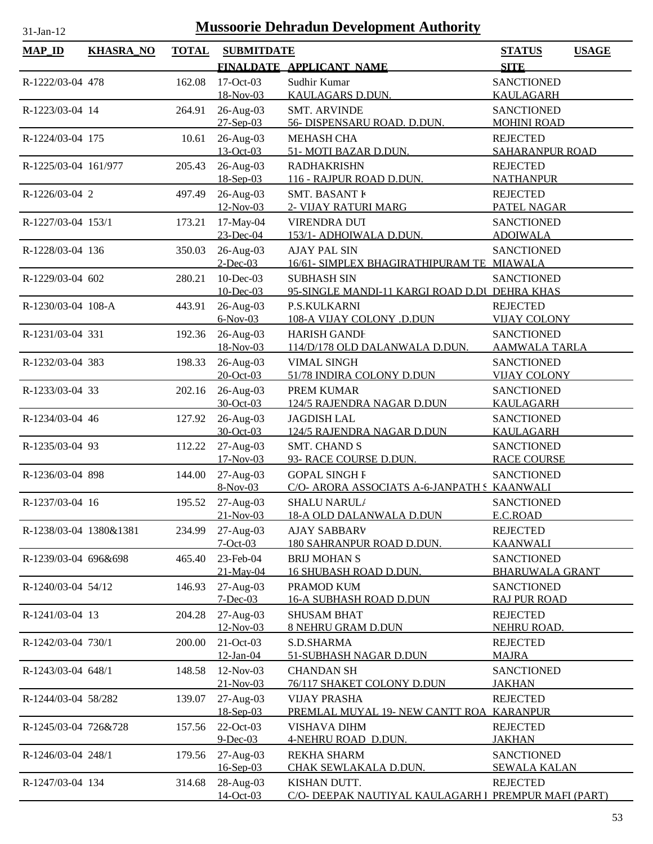| $MAP$ <sub>ID</sub>    | <b>KHASRA_NO</b> | <b>TOTAL</b> | <b>SUBMITDATE</b>        |                                                                  | <b>STATUS</b>                           | <b>USAGE</b> |
|------------------------|------------------|--------------|--------------------------|------------------------------------------------------------------|-----------------------------------------|--------------|
|                        |                  |              |                          | FINALDATE APPLICANT NAME                                         | <b>SITE</b>                             |              |
| R-1222/03-04 478       |                  | 162.08       | $17-Oct-03$              | Sudhir Kumar                                                     | <b>SANCTIONED</b>                       |              |
|                        |                  |              | 18-Nov-03                | KAULAGARS D.DUN.                                                 | <b>KAULAGARH</b>                        |              |
| R-1223/03-04 14        |                  | 264.91       | 26-Aug-03                | <b>SMT. ARVINDE</b>                                              | <b>SANCTIONED</b>                       |              |
|                        |                  |              | $27-Sep-03$              | 56- DISPENSARU ROAD. D.DUN.                                      | <b>MOHINI ROAD</b>                      |              |
| R-1224/03-04 175       |                  | 10.61        | 26-Aug-03                | <b>MEHASH CHA</b>                                                | <b>REJECTED</b>                         |              |
|                        |                  |              | 13-Oct-03                | 51- MOTI BAZAR D.DUN.                                            | SAHARANPUR ROAD                         |              |
| R-1225/03-04 161/977   |                  | 205.43       | 26-Aug-03                | <b>RADHAKRISHN</b>                                               | <b>REJECTED</b>                         |              |
|                        |                  |              | 18-Sep-03                | 116 - RAJPUR ROAD D.DUN.                                         | <b>NATHANPUR</b>                        |              |
| R-1226/03-04 2         |                  | 497.49       | 26-Aug-03                | <b>SMT. BASANT F</b>                                             | <b>REJECTED</b>                         |              |
|                        |                  |              | 12-Nov-03                | 2- VIJAY RATURI MARG                                             | PATEL NAGAR                             |              |
| R-1227/03-04 153/1     |                  | 173.21       | 17-May-04                | VIRENDRA DUT                                                     | <b>SANCTIONED</b>                       |              |
|                        |                  |              | 23-Dec-04                | 153/1- ADHOIWALA D.DUN.                                          | <b>ADOIWALA</b>                         |              |
| R-1228/03-04 136       |                  | 350.03       | 26-Aug-03<br>$2$ -Dec-03 | <b>AJAY PAL SIN</b><br>16/61- SIMPLEX BHAGIRATHIPURAM TE MIAWALA | <b>SANCTIONED</b>                       |              |
| R-1229/03-04 602       |                  | 280.21       | 10-Dec-03                | <b>SUBHASH SIN</b>                                               | <b>SANCTIONED</b>                       |              |
|                        |                  |              | $10$ -Dec-03             | 95-SINGLE MANDI-11 KARGI ROAD D.DI DEHRA KHAS                    |                                         |              |
| R-1230/03-04 108-A     |                  | 443.91       | 26-Aug-03                | P.S.KULKARNI                                                     | <b>REJECTED</b>                         |              |
|                        |                  |              | $6-Nov-03$               | 108-A VIJAY COLONY .D.DUN                                        | <b>VIJAY COLONY</b>                     |              |
| R-1231/03-04 331       |                  | 192.36       | 26-Aug-03                | <b>HARISH GANDE</b>                                              | <b>SANCTIONED</b>                       |              |
|                        |                  |              | 18-Nov-03                | 114/D/178 OLD DALANWALA D.DUN.                                   | <b>AAMWALA TARLA</b>                    |              |
| R-1232/03-04 383       |                  | 198.33       | 26-Aug-03                | <b>VIMAL SINGH</b>                                               | <b>SANCTIONED</b>                       |              |
|                        |                  |              | 20-Oct-03                | 51/78 INDIRA COLONY D.DUN                                        | <b>VIJAY COLONY</b>                     |              |
| R-1233/03-04 33        |                  | 202.16       | 26-Aug-03                | PREM KUMAR                                                       | <b>SANCTIONED</b>                       |              |
|                        |                  |              | 30-Oct-03                | 124/5 RAJENDRA NAGAR D.DUN                                       | <b>KAULAGARH</b>                        |              |
| R-1234/03-04 46        |                  | 127.92       | 26-Aug-03                | <b>JAGDISH LAL</b>                                               | <b>SANCTIONED</b>                       |              |
|                        |                  |              | 30-Oct-03                | 124/5 RAJENDRA NAGAR D.DUN                                       | KAULAGARH                               |              |
| R-1235/03-04 93        |                  | 112.22       | 27-Aug-03<br>17-Nov-03   | <b>SMT. CHAND S</b><br>93- RACE COURSE D.DUN.                    | <b>SANCTIONED</b><br><b>RACE COURSE</b> |              |
| R-1236/03-04 898       |                  |              |                          | <b>GOPAL SINGH F</b>                                             | <b>SANCTIONED</b>                       |              |
|                        |                  | 144.00       | $27-Aug-03$<br>8-Nov-03  | C/O- ARORA ASSOCIATS A-6-JANPATH S KAANWALI                      |                                         |              |
| R-1237/03-04 16        |                  |              | 195.52 27-Aug-03         | SHALU NARUL/                                                     | <b>SANCTIONED</b>                       |              |
|                        |                  |              | $21 - Nov - 03$          | <b>18-A OLD DALANWALA D.DUN</b>                                  | E.C.ROAD                                |              |
| R-1238/03-04 1380&1381 |                  | 234.99       | 27-Aug-03                | <b>AJAY SABBARV</b>                                              | <b>REJECTED</b>                         |              |
|                        |                  |              | $7 - Oct - 03$           | 180 SAHRANPUR ROAD D.DUN.                                        | <b>KAANWALI</b>                         |              |
| R-1239/03-04 696&698   |                  | 465.40       | 23-Feb-04                | <b>BRIJ MOHAN S</b>                                              | <b>SANCTIONED</b>                       |              |
|                        |                  |              | 21-May-04                | 16 SHUBASH ROAD D.DUN.                                           | <b>BHARUWALA GRANT</b>                  |              |
| R-1240/03-04 54/12     |                  | 146.93       | $27-Aug-03$              | PRAMOD KUM                                                       | <b>SANCTIONED</b>                       |              |
|                        |                  |              | $7 - Dec-03$             | <b>16-A SUBHASH ROAD D.DUN</b>                                   | <b>RAJ PUR ROAD</b>                     |              |
| R-1241/03-04 13        |                  | 204.28       | 27-Aug-03                | <b>SHUSAM BHAT</b>                                               | <b>REJECTED</b>                         |              |
|                        |                  |              | 12-Nov-03                | 8 NEHRU GRAM D.DUN                                               | NEHRU ROAD.                             |              |
| R-1242/03-04 730/1     |                  | 200.00       | $21-Oct-03$              | S.D.SHARMA                                                       | <b>REJECTED</b>                         |              |
|                        |                  |              | 12-Jan-04                | 51-SUBHASH NAGAR D.DUN                                           | <b>MAJRA</b>                            |              |
| R-1243/03-04 648/1     |                  | 148.58       | 12-Nov-03                | <b>CHANDAN SH</b>                                                | <b>SANCTIONED</b>                       |              |
|                        |                  |              | 21-Nov-03                | 76/117 SHAKET COLONY D.DUN<br><b>VIJAY PRASHA</b>                | <b>JAKHAN</b><br><b>REJECTED</b>        |              |
| R-1244/03-04 58/282    |                  | 139.07       | 27-Aug-03<br>18-Sep-03   | PREMLAL MUYAL 19- NEW CANTT ROA                                  | <b>KARANPUR</b>                         |              |
| R-1245/03-04 726&728   |                  | 157.56       | 22-Oct-03                | <b>VISHAVA DIHM</b>                                              | <b>REJECTED</b>                         |              |
|                        |                  |              | $9$ -Dec-03              | 4-NEHRU ROAD D.DUN.                                              | <b>JAKHAN</b>                           |              |
| R-1246/03-04 248/1     |                  | 179.56       | 27-Aug-03                | <b>REKHA SHARM</b>                                               | <b>SANCTIONED</b>                       |              |
|                        |                  |              | 16-Sep-03                | CHAK SEWLAKALA D.DUN.                                            | <b>SEWALA KALAN</b>                     |              |
| R-1247/03-04 134       |                  | 314.68       | 28-Aug-03                | KISHAN DUTT.                                                     | <b>REJECTED</b>                         |              |
|                        |                  |              | 14-Oct-03                | C/O- DEEPAK NAUTIYAL KAULAGARH I PREMPUR MAFI (PART)             |                                         |              |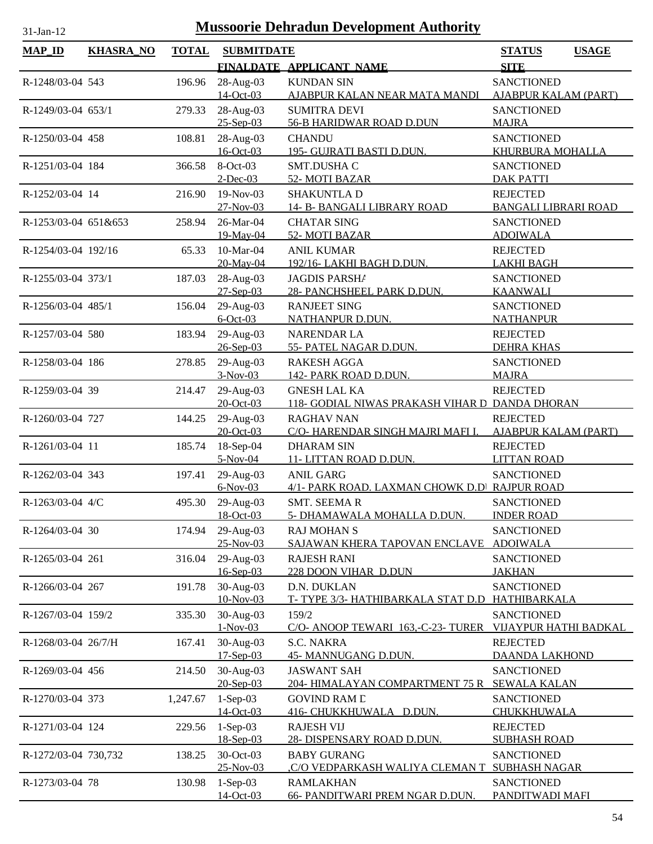| <b>TOTAL</b><br><b>KHASRA_NO</b><br><b>SUBMITDATE</b><br><b>STATUS</b><br><b>USAGE</b><br>FINALDATE APPLICANT NAME<br><b>SITE</b><br>28-Aug-03<br><b>KUNDAN SIN</b><br><b>SANCTIONED</b><br>R-1248/03-04 543<br>196.96<br>$14-Oct-03$<br><b>AJABPUR KALAM (PART)</b><br><u>AJABPUR KALAN NEAR MATA MANDI</u><br>28-Aug-03<br><b>SANCTIONED</b><br>R-1249/03-04 653/1<br>279.33<br><b>SUMITRA DEVI</b><br>$25 - Sep-03$<br>56-B HARIDWAR ROAD D.DUN<br><b>MAJRA</b><br>108.81<br>28-Aug-03<br><b>SANCTIONED</b><br>R-1250/03-04 458<br><b>CHANDU</b><br>16-Oct-03<br>195- GUJRATI BASTI D.DUN.<br><b>KHURBURA MOHALLA</b><br>$8-Oct-03$<br>SMT.DUSHA C<br>366.58<br><b>SANCTIONED</b><br>R-1251/03-04 184<br>$2$ -Dec-03<br>52-MOTI BAZAR<br><b>DAK PATTI</b><br>216.90<br>19-Nov-03<br>SHAKUNTLA D<br><b>REJECTED</b><br>R-1252/03-04 14<br>27-Nov-03<br>14- B- BANGALI LIBRARY ROAD<br><b>BANGALI LIBRARI ROAD</b><br>26-Mar-04<br><b>CHATAR SING</b><br><b>SANCTIONED</b><br>R-1253/03-04 651&653<br>258.94<br>52-MOTI BAZAR<br><b>ADOIWALA</b><br>19-May-04<br>10-Mar-04<br>R-1254/03-04 192/16<br>65.33<br><b>ANIL KUMAR</b><br><b>REJECTED</b><br>20-May-04<br>192/16-LAKHI BAGH D.DUN.<br><b>LAKHI BAGH</b><br>187.03<br>28-Aug-03<br>R-1255/03-04 373/1<br><b>JAGDIS PARSHA</b><br><b>SANCTIONED</b><br>$27-Sep-03$<br>28- PANCHSHEEL PARK D.DUN.<br><b>KAANWALI</b><br>29-Aug-03<br>156.04<br><b>RANJEET SING</b><br><b>SANCTIONED</b><br>R-1256/03-04 485/1<br>$6$ -Oct-03<br><b>NATHANPUR D.DUN.</b><br><b>NATHANPUR</b><br>29-Aug-03<br><b>REJECTED</b><br>R-1257/03-04 580<br>183.94<br>NARENDAR LA<br>$26 - Sep-03$<br>55- PATEL NAGAR D.DUN.<br><b>DEHRA KHAS</b><br>29-Aug-03<br>R-1258/03-04 186<br>278.85<br><b>RAKESH AGGA</b><br><b>SANCTIONED</b><br>$3-Nov-03$<br>142- PARK ROAD D.DUN.<br><b>MAJRA</b><br>29-Aug-03<br><b>GNESH LAL KA</b><br><b>REJECTED</b><br>R-1259/03-04 39<br>214.47<br>$20 - Oct - 03$<br>118- GODIAL NIWAS PRAKASH VIHAR D DANDA DHORAN<br>29-Aug-03<br>R-1260/03-04 727<br>144.25<br><b>RAGHAV NAN</b><br><b>REJECTED</b><br>20-Oct-03<br>C/O-HARENDAR SINGH MAJRI MAFI I.<br><b>AJABPUR KALAM (PART)</b><br>18-Sep-04<br><b>DHARAM SIN</b><br><b>REJECTED</b><br>R-1261/03-04 11<br>185.74<br>$5-Nov-04$<br>11- LITTAN ROAD D.DUN.<br><b>LITTAN ROAD</b><br>29-Aug-03<br>R-1262/03-04 343<br>197.41<br><b>ANIL GARG</b><br><b>SANCTIONED</b><br>$6-Nov-03$<br>4/1- PARK ROAD. LAXMAN CHOWK D.D RAJPUR ROAD<br>R-1263/03-04 4/C<br>29-Aug-03<br><b>SMT. SEEMAR</b><br><b>SANCTIONED</b><br>495.30<br>18-Oct-03<br><b>INDER ROAD</b><br><u>5- DHAMAWALA MOHALLA D.DUN.</u><br>29-Aug-03<br><b>RAJ MOHAN S</b><br><b>SANCTIONED</b><br>R-1264/03-04 30<br>174.94<br>25-Nov-03<br><b>ADOIWALA</b><br>SAJAWAN KHERA TAPOVAN ENCLAVE<br>29-Aug-03<br>316.04<br><b>RAJESH RANI</b><br><b>SANCTIONED</b><br>R-1265/03-04 261<br>16-Sep-03<br>228 DOON VIHAR D.DUN<br><b>JAKHAN</b><br>30-Aug-03<br>R-1266/03-04 267<br>191.78<br>D.N. DUKLAN<br><b>SANCTIONED</b><br>10-Nov-03<br>HATHIBARKALA<br>T-TYPE 3/3-HATHIBARKALA STAT D.D<br><b>SANCTIONED</b><br>30-Aug-03<br>159/2<br>R-1267/03-04 159/2<br>335.30<br>$1-Nov-03$<br>C/O- ANOOP TEWARI 163,-C-23- TURER<br><b>VIJAYPUR HATHI BADKAL</b><br>30-Aug-03<br><b>S.C. NAKRA</b><br>R-1268/03-04 26/7/H<br>167.41<br><b>REJECTED</b><br>17-Sep-03<br><b>45- MANNUGANG D.DUN.</b><br><b>DAANDA LAKHOND</b><br>30-Aug-03<br><b>JASWANT SAH</b><br><b>SANCTIONED</b><br>R-1269/03-04 456<br>214.50<br>$20$ -Sep-03<br>204- HIMALAYAN COMPARTMENT 75 R SEWALA KALAN<br>$1-Sep-03$<br><b>SANCTIONED</b><br>1,247.67<br><b>GOVIND RAM L</b><br>R-1270/03-04 373<br>14-Oct-03<br>416- CHUKKHUWALA D.DUN.<br>CHUKKHUWALA<br>$1-Sep-03$<br>R-1271/03-04 124<br>229.56<br><b>RAJESH VIJ</b><br><b>REJECTED</b><br>18-Sep-03<br><b>28- DISPENSARY ROAD D.DUN.</b><br><b>SUBHASH ROAD</b><br>30-Oct-03<br><b>SANCTIONED</b><br>138.25<br><b>BABY GURANG</b><br>R-1272/03-04 730,732<br>25-Nov-03<br><u>.C/O VEDPARKASH WALIYA CLEMAN T</u><br><b>SUBHASH NAGAR</b><br>$1-Sep-03$<br><b>RAMLAKHAN</b><br><b>SANCTIONED</b><br>R-1273/03-04 78<br>130.98<br>14-Oct-03<br>66- PANDITWARI PREM NGAR D.DUN.<br>PANDITWADI MAFI | <b>Mussoorie Dehradun Development Authority</b><br>31-Jan-12 |  |  |  |  |  |  |
|----------------------------------------------------------------------------------------------------------------------------------------------------------------------------------------------------------------------------------------------------------------------------------------------------------------------------------------------------------------------------------------------------------------------------------------------------------------------------------------------------------------------------------------------------------------------------------------------------------------------------------------------------------------------------------------------------------------------------------------------------------------------------------------------------------------------------------------------------------------------------------------------------------------------------------------------------------------------------------------------------------------------------------------------------------------------------------------------------------------------------------------------------------------------------------------------------------------------------------------------------------------------------------------------------------------------------------------------------------------------------------------------------------------------------------------------------------------------------------------------------------------------------------------------------------------------------------------------------------------------------------------------------------------------------------------------------------------------------------------------------------------------------------------------------------------------------------------------------------------------------------------------------------------------------------------------------------------------------------------------------------------------------------------------------------------------------------------------------------------------------------------------------------------------------------------------------------------------------------------------------------------------------------------------------------------------------------------------------------------------------------------------------------------------------------------------------------------------------------------------------------------------------------------------------------------------------------------------------------------------------------------------------------------------------------------------------------------------------------------------------------------------------------------------------------------------------------------------------------------------------------------------------------------------------------------------------------------------------------------------------------------------------------------------------------------------------------------------------------------------------------------------------------------------------------------------------------------------------------------------------------------------------------------------------------------------------------------------------------------------------------------------------------------------------------------------------------------------------------------------------------------------------------------------------------------------------------------------------------------------------------------------------------------------------------------------------------------------------------------------------------------------------------------------------------------------------------------------------------------------------------------------------------------------------------------------------------------------------------------------------------------------------------------------------------------------------------------------------------------------------------------------------------------------------------------------------------|--------------------------------------------------------------|--|--|--|--|--|--|
|                                                                                                                                                                                                                                                                                                                                                                                                                                                                                                                                                                                                                                                                                                                                                                                                                                                                                                                                                                                                                                                                                                                                                                                                                                                                                                                                                                                                                                                                                                                                                                                                                                                                                                                                                                                                                                                                                                                                                                                                                                                                                                                                                                                                                                                                                                                                                                                                                                                                                                                                                                                                                                                                                                                                                                                                                                                                                                                                                                                                                                                                                                                                                                                                                                                                                                                                                                                                                                                                                                                                                                                                                                                                                                                                                                                                                                                                                                                                                                                                                                                                                                                                                                                                          | <b>MAP_ID</b>                                                |  |  |  |  |  |  |
|                                                                                                                                                                                                                                                                                                                                                                                                                                                                                                                                                                                                                                                                                                                                                                                                                                                                                                                                                                                                                                                                                                                                                                                                                                                                                                                                                                                                                                                                                                                                                                                                                                                                                                                                                                                                                                                                                                                                                                                                                                                                                                                                                                                                                                                                                                                                                                                                                                                                                                                                                                                                                                                                                                                                                                                                                                                                                                                                                                                                                                                                                                                                                                                                                                                                                                                                                                                                                                                                                                                                                                                                                                                                                                                                                                                                                                                                                                                                                                                                                                                                                                                                                                                                          |                                                              |  |  |  |  |  |  |
|                                                                                                                                                                                                                                                                                                                                                                                                                                                                                                                                                                                                                                                                                                                                                                                                                                                                                                                                                                                                                                                                                                                                                                                                                                                                                                                                                                                                                                                                                                                                                                                                                                                                                                                                                                                                                                                                                                                                                                                                                                                                                                                                                                                                                                                                                                                                                                                                                                                                                                                                                                                                                                                                                                                                                                                                                                                                                                                                                                                                                                                                                                                                                                                                                                                                                                                                                                                                                                                                                                                                                                                                                                                                                                                                                                                                                                                                                                                                                                                                                                                                                                                                                                                                          |                                                              |  |  |  |  |  |  |
|                                                                                                                                                                                                                                                                                                                                                                                                                                                                                                                                                                                                                                                                                                                                                                                                                                                                                                                                                                                                                                                                                                                                                                                                                                                                                                                                                                                                                                                                                                                                                                                                                                                                                                                                                                                                                                                                                                                                                                                                                                                                                                                                                                                                                                                                                                                                                                                                                                                                                                                                                                                                                                                                                                                                                                                                                                                                                                                                                                                                                                                                                                                                                                                                                                                                                                                                                                                                                                                                                                                                                                                                                                                                                                                                                                                                                                                                                                                                                                                                                                                                                                                                                                                                          |                                                              |  |  |  |  |  |  |
|                                                                                                                                                                                                                                                                                                                                                                                                                                                                                                                                                                                                                                                                                                                                                                                                                                                                                                                                                                                                                                                                                                                                                                                                                                                                                                                                                                                                                                                                                                                                                                                                                                                                                                                                                                                                                                                                                                                                                                                                                                                                                                                                                                                                                                                                                                                                                                                                                                                                                                                                                                                                                                                                                                                                                                                                                                                                                                                                                                                                                                                                                                                                                                                                                                                                                                                                                                                                                                                                                                                                                                                                                                                                                                                                                                                                                                                                                                                                                                                                                                                                                                                                                                                                          |                                                              |  |  |  |  |  |  |
|                                                                                                                                                                                                                                                                                                                                                                                                                                                                                                                                                                                                                                                                                                                                                                                                                                                                                                                                                                                                                                                                                                                                                                                                                                                                                                                                                                                                                                                                                                                                                                                                                                                                                                                                                                                                                                                                                                                                                                                                                                                                                                                                                                                                                                                                                                                                                                                                                                                                                                                                                                                                                                                                                                                                                                                                                                                                                                                                                                                                                                                                                                                                                                                                                                                                                                                                                                                                                                                                                                                                                                                                                                                                                                                                                                                                                                                                                                                                                                                                                                                                                                                                                                                                          |                                                              |  |  |  |  |  |  |
|                                                                                                                                                                                                                                                                                                                                                                                                                                                                                                                                                                                                                                                                                                                                                                                                                                                                                                                                                                                                                                                                                                                                                                                                                                                                                                                                                                                                                                                                                                                                                                                                                                                                                                                                                                                                                                                                                                                                                                                                                                                                                                                                                                                                                                                                                                                                                                                                                                                                                                                                                                                                                                                                                                                                                                                                                                                                                                                                                                                                                                                                                                                                                                                                                                                                                                                                                                                                                                                                                                                                                                                                                                                                                                                                                                                                                                                                                                                                                                                                                                                                                                                                                                                                          |                                                              |  |  |  |  |  |  |
|                                                                                                                                                                                                                                                                                                                                                                                                                                                                                                                                                                                                                                                                                                                                                                                                                                                                                                                                                                                                                                                                                                                                                                                                                                                                                                                                                                                                                                                                                                                                                                                                                                                                                                                                                                                                                                                                                                                                                                                                                                                                                                                                                                                                                                                                                                                                                                                                                                                                                                                                                                                                                                                                                                                                                                                                                                                                                                                                                                                                                                                                                                                                                                                                                                                                                                                                                                                                                                                                                                                                                                                                                                                                                                                                                                                                                                                                                                                                                                                                                                                                                                                                                                                                          |                                                              |  |  |  |  |  |  |
|                                                                                                                                                                                                                                                                                                                                                                                                                                                                                                                                                                                                                                                                                                                                                                                                                                                                                                                                                                                                                                                                                                                                                                                                                                                                                                                                                                                                                                                                                                                                                                                                                                                                                                                                                                                                                                                                                                                                                                                                                                                                                                                                                                                                                                                                                                                                                                                                                                                                                                                                                                                                                                                                                                                                                                                                                                                                                                                                                                                                                                                                                                                                                                                                                                                                                                                                                                                                                                                                                                                                                                                                                                                                                                                                                                                                                                                                                                                                                                                                                                                                                                                                                                                                          |                                                              |  |  |  |  |  |  |
|                                                                                                                                                                                                                                                                                                                                                                                                                                                                                                                                                                                                                                                                                                                                                                                                                                                                                                                                                                                                                                                                                                                                                                                                                                                                                                                                                                                                                                                                                                                                                                                                                                                                                                                                                                                                                                                                                                                                                                                                                                                                                                                                                                                                                                                                                                                                                                                                                                                                                                                                                                                                                                                                                                                                                                                                                                                                                                                                                                                                                                                                                                                                                                                                                                                                                                                                                                                                                                                                                                                                                                                                                                                                                                                                                                                                                                                                                                                                                                                                                                                                                                                                                                                                          |                                                              |  |  |  |  |  |  |
|                                                                                                                                                                                                                                                                                                                                                                                                                                                                                                                                                                                                                                                                                                                                                                                                                                                                                                                                                                                                                                                                                                                                                                                                                                                                                                                                                                                                                                                                                                                                                                                                                                                                                                                                                                                                                                                                                                                                                                                                                                                                                                                                                                                                                                                                                                                                                                                                                                                                                                                                                                                                                                                                                                                                                                                                                                                                                                                                                                                                                                                                                                                                                                                                                                                                                                                                                                                                                                                                                                                                                                                                                                                                                                                                                                                                                                                                                                                                                                                                                                                                                                                                                                                                          |                                                              |  |  |  |  |  |  |
|                                                                                                                                                                                                                                                                                                                                                                                                                                                                                                                                                                                                                                                                                                                                                                                                                                                                                                                                                                                                                                                                                                                                                                                                                                                                                                                                                                                                                                                                                                                                                                                                                                                                                                                                                                                                                                                                                                                                                                                                                                                                                                                                                                                                                                                                                                                                                                                                                                                                                                                                                                                                                                                                                                                                                                                                                                                                                                                                                                                                                                                                                                                                                                                                                                                                                                                                                                                                                                                                                                                                                                                                                                                                                                                                                                                                                                                                                                                                                                                                                                                                                                                                                                                                          |                                                              |  |  |  |  |  |  |
|                                                                                                                                                                                                                                                                                                                                                                                                                                                                                                                                                                                                                                                                                                                                                                                                                                                                                                                                                                                                                                                                                                                                                                                                                                                                                                                                                                                                                                                                                                                                                                                                                                                                                                                                                                                                                                                                                                                                                                                                                                                                                                                                                                                                                                                                                                                                                                                                                                                                                                                                                                                                                                                                                                                                                                                                                                                                                                                                                                                                                                                                                                                                                                                                                                                                                                                                                                                                                                                                                                                                                                                                                                                                                                                                                                                                                                                                                                                                                                                                                                                                                                                                                                                                          |                                                              |  |  |  |  |  |  |
|                                                                                                                                                                                                                                                                                                                                                                                                                                                                                                                                                                                                                                                                                                                                                                                                                                                                                                                                                                                                                                                                                                                                                                                                                                                                                                                                                                                                                                                                                                                                                                                                                                                                                                                                                                                                                                                                                                                                                                                                                                                                                                                                                                                                                                                                                                                                                                                                                                                                                                                                                                                                                                                                                                                                                                                                                                                                                                                                                                                                                                                                                                                                                                                                                                                                                                                                                                                                                                                                                                                                                                                                                                                                                                                                                                                                                                                                                                                                                                                                                                                                                                                                                                                                          |                                                              |  |  |  |  |  |  |
|                                                                                                                                                                                                                                                                                                                                                                                                                                                                                                                                                                                                                                                                                                                                                                                                                                                                                                                                                                                                                                                                                                                                                                                                                                                                                                                                                                                                                                                                                                                                                                                                                                                                                                                                                                                                                                                                                                                                                                                                                                                                                                                                                                                                                                                                                                                                                                                                                                                                                                                                                                                                                                                                                                                                                                                                                                                                                                                                                                                                                                                                                                                                                                                                                                                                                                                                                                                                                                                                                                                                                                                                                                                                                                                                                                                                                                                                                                                                                                                                                                                                                                                                                                                                          |                                                              |  |  |  |  |  |  |
|                                                                                                                                                                                                                                                                                                                                                                                                                                                                                                                                                                                                                                                                                                                                                                                                                                                                                                                                                                                                                                                                                                                                                                                                                                                                                                                                                                                                                                                                                                                                                                                                                                                                                                                                                                                                                                                                                                                                                                                                                                                                                                                                                                                                                                                                                                                                                                                                                                                                                                                                                                                                                                                                                                                                                                                                                                                                                                                                                                                                                                                                                                                                                                                                                                                                                                                                                                                                                                                                                                                                                                                                                                                                                                                                                                                                                                                                                                                                                                                                                                                                                                                                                                                                          |                                                              |  |  |  |  |  |  |
|                                                                                                                                                                                                                                                                                                                                                                                                                                                                                                                                                                                                                                                                                                                                                                                                                                                                                                                                                                                                                                                                                                                                                                                                                                                                                                                                                                                                                                                                                                                                                                                                                                                                                                                                                                                                                                                                                                                                                                                                                                                                                                                                                                                                                                                                                                                                                                                                                                                                                                                                                                                                                                                                                                                                                                                                                                                                                                                                                                                                                                                                                                                                                                                                                                                                                                                                                                                                                                                                                                                                                                                                                                                                                                                                                                                                                                                                                                                                                                                                                                                                                                                                                                                                          |                                                              |  |  |  |  |  |  |
|                                                                                                                                                                                                                                                                                                                                                                                                                                                                                                                                                                                                                                                                                                                                                                                                                                                                                                                                                                                                                                                                                                                                                                                                                                                                                                                                                                                                                                                                                                                                                                                                                                                                                                                                                                                                                                                                                                                                                                                                                                                                                                                                                                                                                                                                                                                                                                                                                                                                                                                                                                                                                                                                                                                                                                                                                                                                                                                                                                                                                                                                                                                                                                                                                                                                                                                                                                                                                                                                                                                                                                                                                                                                                                                                                                                                                                                                                                                                                                                                                                                                                                                                                                                                          |                                                              |  |  |  |  |  |  |
|                                                                                                                                                                                                                                                                                                                                                                                                                                                                                                                                                                                                                                                                                                                                                                                                                                                                                                                                                                                                                                                                                                                                                                                                                                                                                                                                                                                                                                                                                                                                                                                                                                                                                                                                                                                                                                                                                                                                                                                                                                                                                                                                                                                                                                                                                                                                                                                                                                                                                                                                                                                                                                                                                                                                                                                                                                                                                                                                                                                                                                                                                                                                                                                                                                                                                                                                                                                                                                                                                                                                                                                                                                                                                                                                                                                                                                                                                                                                                                                                                                                                                                                                                                                                          |                                                              |  |  |  |  |  |  |
|                                                                                                                                                                                                                                                                                                                                                                                                                                                                                                                                                                                                                                                                                                                                                                                                                                                                                                                                                                                                                                                                                                                                                                                                                                                                                                                                                                                                                                                                                                                                                                                                                                                                                                                                                                                                                                                                                                                                                                                                                                                                                                                                                                                                                                                                                                                                                                                                                                                                                                                                                                                                                                                                                                                                                                                                                                                                                                                                                                                                                                                                                                                                                                                                                                                                                                                                                                                                                                                                                                                                                                                                                                                                                                                                                                                                                                                                                                                                                                                                                                                                                                                                                                                                          |                                                              |  |  |  |  |  |  |
|                                                                                                                                                                                                                                                                                                                                                                                                                                                                                                                                                                                                                                                                                                                                                                                                                                                                                                                                                                                                                                                                                                                                                                                                                                                                                                                                                                                                                                                                                                                                                                                                                                                                                                                                                                                                                                                                                                                                                                                                                                                                                                                                                                                                                                                                                                                                                                                                                                                                                                                                                                                                                                                                                                                                                                                                                                                                                                                                                                                                                                                                                                                                                                                                                                                                                                                                                                                                                                                                                                                                                                                                                                                                                                                                                                                                                                                                                                                                                                                                                                                                                                                                                                                                          |                                                              |  |  |  |  |  |  |
|                                                                                                                                                                                                                                                                                                                                                                                                                                                                                                                                                                                                                                                                                                                                                                                                                                                                                                                                                                                                                                                                                                                                                                                                                                                                                                                                                                                                                                                                                                                                                                                                                                                                                                                                                                                                                                                                                                                                                                                                                                                                                                                                                                                                                                                                                                                                                                                                                                                                                                                                                                                                                                                                                                                                                                                                                                                                                                                                                                                                                                                                                                                                                                                                                                                                                                                                                                                                                                                                                                                                                                                                                                                                                                                                                                                                                                                                                                                                                                                                                                                                                                                                                                                                          |                                                              |  |  |  |  |  |  |
|                                                                                                                                                                                                                                                                                                                                                                                                                                                                                                                                                                                                                                                                                                                                                                                                                                                                                                                                                                                                                                                                                                                                                                                                                                                                                                                                                                                                                                                                                                                                                                                                                                                                                                                                                                                                                                                                                                                                                                                                                                                                                                                                                                                                                                                                                                                                                                                                                                                                                                                                                                                                                                                                                                                                                                                                                                                                                                                                                                                                                                                                                                                                                                                                                                                                                                                                                                                                                                                                                                                                                                                                                                                                                                                                                                                                                                                                                                                                                                                                                                                                                                                                                                                                          |                                                              |  |  |  |  |  |  |
|                                                                                                                                                                                                                                                                                                                                                                                                                                                                                                                                                                                                                                                                                                                                                                                                                                                                                                                                                                                                                                                                                                                                                                                                                                                                                                                                                                                                                                                                                                                                                                                                                                                                                                                                                                                                                                                                                                                                                                                                                                                                                                                                                                                                                                                                                                                                                                                                                                                                                                                                                                                                                                                                                                                                                                                                                                                                                                                                                                                                                                                                                                                                                                                                                                                                                                                                                                                                                                                                                                                                                                                                                                                                                                                                                                                                                                                                                                                                                                                                                                                                                                                                                                                                          |                                                              |  |  |  |  |  |  |
|                                                                                                                                                                                                                                                                                                                                                                                                                                                                                                                                                                                                                                                                                                                                                                                                                                                                                                                                                                                                                                                                                                                                                                                                                                                                                                                                                                                                                                                                                                                                                                                                                                                                                                                                                                                                                                                                                                                                                                                                                                                                                                                                                                                                                                                                                                                                                                                                                                                                                                                                                                                                                                                                                                                                                                                                                                                                                                                                                                                                                                                                                                                                                                                                                                                                                                                                                                                                                                                                                                                                                                                                                                                                                                                                                                                                                                                                                                                                                                                                                                                                                                                                                                                                          |                                                              |  |  |  |  |  |  |
|                                                                                                                                                                                                                                                                                                                                                                                                                                                                                                                                                                                                                                                                                                                                                                                                                                                                                                                                                                                                                                                                                                                                                                                                                                                                                                                                                                                                                                                                                                                                                                                                                                                                                                                                                                                                                                                                                                                                                                                                                                                                                                                                                                                                                                                                                                                                                                                                                                                                                                                                                                                                                                                                                                                                                                                                                                                                                                                                                                                                                                                                                                                                                                                                                                                                                                                                                                                                                                                                                                                                                                                                                                                                                                                                                                                                                                                                                                                                                                                                                                                                                                                                                                                                          |                                                              |  |  |  |  |  |  |
|                                                                                                                                                                                                                                                                                                                                                                                                                                                                                                                                                                                                                                                                                                                                                                                                                                                                                                                                                                                                                                                                                                                                                                                                                                                                                                                                                                                                                                                                                                                                                                                                                                                                                                                                                                                                                                                                                                                                                                                                                                                                                                                                                                                                                                                                                                                                                                                                                                                                                                                                                                                                                                                                                                                                                                                                                                                                                                                                                                                                                                                                                                                                                                                                                                                                                                                                                                                                                                                                                                                                                                                                                                                                                                                                                                                                                                                                                                                                                                                                                                                                                                                                                                                                          |                                                              |  |  |  |  |  |  |
|                                                                                                                                                                                                                                                                                                                                                                                                                                                                                                                                                                                                                                                                                                                                                                                                                                                                                                                                                                                                                                                                                                                                                                                                                                                                                                                                                                                                                                                                                                                                                                                                                                                                                                                                                                                                                                                                                                                                                                                                                                                                                                                                                                                                                                                                                                                                                                                                                                                                                                                                                                                                                                                                                                                                                                                                                                                                                                                                                                                                                                                                                                                                                                                                                                                                                                                                                                                                                                                                                                                                                                                                                                                                                                                                                                                                                                                                                                                                                                                                                                                                                                                                                                                                          |                                                              |  |  |  |  |  |  |
|                                                                                                                                                                                                                                                                                                                                                                                                                                                                                                                                                                                                                                                                                                                                                                                                                                                                                                                                                                                                                                                                                                                                                                                                                                                                                                                                                                                                                                                                                                                                                                                                                                                                                                                                                                                                                                                                                                                                                                                                                                                                                                                                                                                                                                                                                                                                                                                                                                                                                                                                                                                                                                                                                                                                                                                                                                                                                                                                                                                                                                                                                                                                                                                                                                                                                                                                                                                                                                                                                                                                                                                                                                                                                                                                                                                                                                                                                                                                                                                                                                                                                                                                                                                                          |                                                              |  |  |  |  |  |  |
|                                                                                                                                                                                                                                                                                                                                                                                                                                                                                                                                                                                                                                                                                                                                                                                                                                                                                                                                                                                                                                                                                                                                                                                                                                                                                                                                                                                                                                                                                                                                                                                                                                                                                                                                                                                                                                                                                                                                                                                                                                                                                                                                                                                                                                                                                                                                                                                                                                                                                                                                                                                                                                                                                                                                                                                                                                                                                                                                                                                                                                                                                                                                                                                                                                                                                                                                                                                                                                                                                                                                                                                                                                                                                                                                                                                                                                                                                                                                                                                                                                                                                                                                                                                                          |                                                              |  |  |  |  |  |  |
|                                                                                                                                                                                                                                                                                                                                                                                                                                                                                                                                                                                                                                                                                                                                                                                                                                                                                                                                                                                                                                                                                                                                                                                                                                                                                                                                                                                                                                                                                                                                                                                                                                                                                                                                                                                                                                                                                                                                                                                                                                                                                                                                                                                                                                                                                                                                                                                                                                                                                                                                                                                                                                                                                                                                                                                                                                                                                                                                                                                                                                                                                                                                                                                                                                                                                                                                                                                                                                                                                                                                                                                                                                                                                                                                                                                                                                                                                                                                                                                                                                                                                                                                                                                                          |                                                              |  |  |  |  |  |  |
|                                                                                                                                                                                                                                                                                                                                                                                                                                                                                                                                                                                                                                                                                                                                                                                                                                                                                                                                                                                                                                                                                                                                                                                                                                                                                                                                                                                                                                                                                                                                                                                                                                                                                                                                                                                                                                                                                                                                                                                                                                                                                                                                                                                                                                                                                                                                                                                                                                                                                                                                                                                                                                                                                                                                                                                                                                                                                                                                                                                                                                                                                                                                                                                                                                                                                                                                                                                                                                                                                                                                                                                                                                                                                                                                                                                                                                                                                                                                                                                                                                                                                                                                                                                                          |                                                              |  |  |  |  |  |  |
|                                                                                                                                                                                                                                                                                                                                                                                                                                                                                                                                                                                                                                                                                                                                                                                                                                                                                                                                                                                                                                                                                                                                                                                                                                                                                                                                                                                                                                                                                                                                                                                                                                                                                                                                                                                                                                                                                                                                                                                                                                                                                                                                                                                                                                                                                                                                                                                                                                                                                                                                                                                                                                                                                                                                                                                                                                                                                                                                                                                                                                                                                                                                                                                                                                                                                                                                                                                                                                                                                                                                                                                                                                                                                                                                                                                                                                                                                                                                                                                                                                                                                                                                                                                                          |                                                              |  |  |  |  |  |  |
|                                                                                                                                                                                                                                                                                                                                                                                                                                                                                                                                                                                                                                                                                                                                                                                                                                                                                                                                                                                                                                                                                                                                                                                                                                                                                                                                                                                                                                                                                                                                                                                                                                                                                                                                                                                                                                                                                                                                                                                                                                                                                                                                                                                                                                                                                                                                                                                                                                                                                                                                                                                                                                                                                                                                                                                                                                                                                                                                                                                                                                                                                                                                                                                                                                                                                                                                                                                                                                                                                                                                                                                                                                                                                                                                                                                                                                                                                                                                                                                                                                                                                                                                                                                                          |                                                              |  |  |  |  |  |  |
|                                                                                                                                                                                                                                                                                                                                                                                                                                                                                                                                                                                                                                                                                                                                                                                                                                                                                                                                                                                                                                                                                                                                                                                                                                                                                                                                                                                                                                                                                                                                                                                                                                                                                                                                                                                                                                                                                                                                                                                                                                                                                                                                                                                                                                                                                                                                                                                                                                                                                                                                                                                                                                                                                                                                                                                                                                                                                                                                                                                                                                                                                                                                                                                                                                                                                                                                                                                                                                                                                                                                                                                                                                                                                                                                                                                                                                                                                                                                                                                                                                                                                                                                                                                                          |                                                              |  |  |  |  |  |  |
|                                                                                                                                                                                                                                                                                                                                                                                                                                                                                                                                                                                                                                                                                                                                                                                                                                                                                                                                                                                                                                                                                                                                                                                                                                                                                                                                                                                                                                                                                                                                                                                                                                                                                                                                                                                                                                                                                                                                                                                                                                                                                                                                                                                                                                                                                                                                                                                                                                                                                                                                                                                                                                                                                                                                                                                                                                                                                                                                                                                                                                                                                                                                                                                                                                                                                                                                                                                                                                                                                                                                                                                                                                                                                                                                                                                                                                                                                                                                                                                                                                                                                                                                                                                                          |                                                              |  |  |  |  |  |  |
|                                                                                                                                                                                                                                                                                                                                                                                                                                                                                                                                                                                                                                                                                                                                                                                                                                                                                                                                                                                                                                                                                                                                                                                                                                                                                                                                                                                                                                                                                                                                                                                                                                                                                                                                                                                                                                                                                                                                                                                                                                                                                                                                                                                                                                                                                                                                                                                                                                                                                                                                                                                                                                                                                                                                                                                                                                                                                                                                                                                                                                                                                                                                                                                                                                                                                                                                                                                                                                                                                                                                                                                                                                                                                                                                                                                                                                                                                                                                                                                                                                                                                                                                                                                                          |                                                              |  |  |  |  |  |  |
|                                                                                                                                                                                                                                                                                                                                                                                                                                                                                                                                                                                                                                                                                                                                                                                                                                                                                                                                                                                                                                                                                                                                                                                                                                                                                                                                                                                                                                                                                                                                                                                                                                                                                                                                                                                                                                                                                                                                                                                                                                                                                                                                                                                                                                                                                                                                                                                                                                                                                                                                                                                                                                                                                                                                                                                                                                                                                                                                                                                                                                                                                                                                                                                                                                                                                                                                                                                                                                                                                                                                                                                                                                                                                                                                                                                                                                                                                                                                                                                                                                                                                                                                                                                                          |                                                              |  |  |  |  |  |  |
|                                                                                                                                                                                                                                                                                                                                                                                                                                                                                                                                                                                                                                                                                                                                                                                                                                                                                                                                                                                                                                                                                                                                                                                                                                                                                                                                                                                                                                                                                                                                                                                                                                                                                                                                                                                                                                                                                                                                                                                                                                                                                                                                                                                                                                                                                                                                                                                                                                                                                                                                                                                                                                                                                                                                                                                                                                                                                                                                                                                                                                                                                                                                                                                                                                                                                                                                                                                                                                                                                                                                                                                                                                                                                                                                                                                                                                                                                                                                                                                                                                                                                                                                                                                                          |                                                              |  |  |  |  |  |  |
|                                                                                                                                                                                                                                                                                                                                                                                                                                                                                                                                                                                                                                                                                                                                                                                                                                                                                                                                                                                                                                                                                                                                                                                                                                                                                                                                                                                                                                                                                                                                                                                                                                                                                                                                                                                                                                                                                                                                                                                                                                                                                                                                                                                                                                                                                                                                                                                                                                                                                                                                                                                                                                                                                                                                                                                                                                                                                                                                                                                                                                                                                                                                                                                                                                                                                                                                                                                                                                                                                                                                                                                                                                                                                                                                                                                                                                                                                                                                                                                                                                                                                                                                                                                                          |                                                              |  |  |  |  |  |  |
|                                                                                                                                                                                                                                                                                                                                                                                                                                                                                                                                                                                                                                                                                                                                                                                                                                                                                                                                                                                                                                                                                                                                                                                                                                                                                                                                                                                                                                                                                                                                                                                                                                                                                                                                                                                                                                                                                                                                                                                                                                                                                                                                                                                                                                                                                                                                                                                                                                                                                                                                                                                                                                                                                                                                                                                                                                                                                                                                                                                                                                                                                                                                                                                                                                                                                                                                                                                                                                                                                                                                                                                                                                                                                                                                                                                                                                                                                                                                                                                                                                                                                                                                                                                                          |                                                              |  |  |  |  |  |  |
|                                                                                                                                                                                                                                                                                                                                                                                                                                                                                                                                                                                                                                                                                                                                                                                                                                                                                                                                                                                                                                                                                                                                                                                                                                                                                                                                                                                                                                                                                                                                                                                                                                                                                                                                                                                                                                                                                                                                                                                                                                                                                                                                                                                                                                                                                                                                                                                                                                                                                                                                                                                                                                                                                                                                                                                                                                                                                                                                                                                                                                                                                                                                                                                                                                                                                                                                                                                                                                                                                                                                                                                                                                                                                                                                                                                                                                                                                                                                                                                                                                                                                                                                                                                                          |                                                              |  |  |  |  |  |  |
|                                                                                                                                                                                                                                                                                                                                                                                                                                                                                                                                                                                                                                                                                                                                                                                                                                                                                                                                                                                                                                                                                                                                                                                                                                                                                                                                                                                                                                                                                                                                                                                                                                                                                                                                                                                                                                                                                                                                                                                                                                                                                                                                                                                                                                                                                                                                                                                                                                                                                                                                                                                                                                                                                                                                                                                                                                                                                                                                                                                                                                                                                                                                                                                                                                                                                                                                                                                                                                                                                                                                                                                                                                                                                                                                                                                                                                                                                                                                                                                                                                                                                                                                                                                                          |                                                              |  |  |  |  |  |  |
|                                                                                                                                                                                                                                                                                                                                                                                                                                                                                                                                                                                                                                                                                                                                                                                                                                                                                                                                                                                                                                                                                                                                                                                                                                                                                                                                                                                                                                                                                                                                                                                                                                                                                                                                                                                                                                                                                                                                                                                                                                                                                                                                                                                                                                                                                                                                                                                                                                                                                                                                                                                                                                                                                                                                                                                                                                                                                                                                                                                                                                                                                                                                                                                                                                                                                                                                                                                                                                                                                                                                                                                                                                                                                                                                                                                                                                                                                                                                                                                                                                                                                                                                                                                                          |                                                              |  |  |  |  |  |  |
|                                                                                                                                                                                                                                                                                                                                                                                                                                                                                                                                                                                                                                                                                                                                                                                                                                                                                                                                                                                                                                                                                                                                                                                                                                                                                                                                                                                                                                                                                                                                                                                                                                                                                                                                                                                                                                                                                                                                                                                                                                                                                                                                                                                                                                                                                                                                                                                                                                                                                                                                                                                                                                                                                                                                                                                                                                                                                                                                                                                                                                                                                                                                                                                                                                                                                                                                                                                                                                                                                                                                                                                                                                                                                                                                                                                                                                                                                                                                                                                                                                                                                                                                                                                                          |                                                              |  |  |  |  |  |  |
|                                                                                                                                                                                                                                                                                                                                                                                                                                                                                                                                                                                                                                                                                                                                                                                                                                                                                                                                                                                                                                                                                                                                                                                                                                                                                                                                                                                                                                                                                                                                                                                                                                                                                                                                                                                                                                                                                                                                                                                                                                                                                                                                                                                                                                                                                                                                                                                                                                                                                                                                                                                                                                                                                                                                                                                                                                                                                                                                                                                                                                                                                                                                                                                                                                                                                                                                                                                                                                                                                                                                                                                                                                                                                                                                                                                                                                                                                                                                                                                                                                                                                                                                                                                                          |                                                              |  |  |  |  |  |  |
|                                                                                                                                                                                                                                                                                                                                                                                                                                                                                                                                                                                                                                                                                                                                                                                                                                                                                                                                                                                                                                                                                                                                                                                                                                                                                                                                                                                                                                                                                                                                                                                                                                                                                                                                                                                                                                                                                                                                                                                                                                                                                                                                                                                                                                                                                                                                                                                                                                                                                                                                                                                                                                                                                                                                                                                                                                                                                                                                                                                                                                                                                                                                                                                                                                                                                                                                                                                                                                                                                                                                                                                                                                                                                                                                                                                                                                                                                                                                                                                                                                                                                                                                                                                                          |                                                              |  |  |  |  |  |  |
|                                                                                                                                                                                                                                                                                                                                                                                                                                                                                                                                                                                                                                                                                                                                                                                                                                                                                                                                                                                                                                                                                                                                                                                                                                                                                                                                                                                                                                                                                                                                                                                                                                                                                                                                                                                                                                                                                                                                                                                                                                                                                                                                                                                                                                                                                                                                                                                                                                                                                                                                                                                                                                                                                                                                                                                                                                                                                                                                                                                                                                                                                                                                                                                                                                                                                                                                                                                                                                                                                                                                                                                                                                                                                                                                                                                                                                                                                                                                                                                                                                                                                                                                                                                                          |                                                              |  |  |  |  |  |  |
|                                                                                                                                                                                                                                                                                                                                                                                                                                                                                                                                                                                                                                                                                                                                                                                                                                                                                                                                                                                                                                                                                                                                                                                                                                                                                                                                                                                                                                                                                                                                                                                                                                                                                                                                                                                                                                                                                                                                                                                                                                                                                                                                                                                                                                                                                                                                                                                                                                                                                                                                                                                                                                                                                                                                                                                                                                                                                                                                                                                                                                                                                                                                                                                                                                                                                                                                                                                                                                                                                                                                                                                                                                                                                                                                                                                                                                                                                                                                                                                                                                                                                                                                                                                                          |                                                              |  |  |  |  |  |  |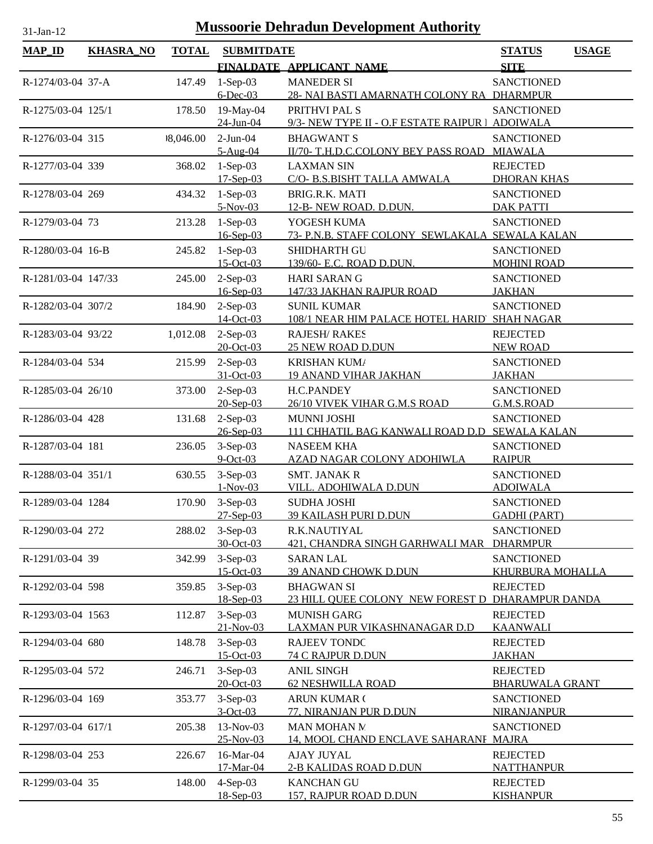| $31$ -Jan-1 |  |
|-------------|--|
|             |  |

| <b>MAP_ID</b>       | <b>KHASRA_NO</b> | <b>TOTAL</b> | <b>SUBMITDATE</b>           |                                                    | <b>STATUS</b>                           | <b>USAGE</b> |
|---------------------|------------------|--------------|-----------------------------|----------------------------------------------------|-----------------------------------------|--------------|
|                     |                  |              |                             | FINALDATE APPLICANT NAME                           | <b>SITE</b>                             |              |
| R-1274/03-04 37-A   |                  | 147.49       | $1-Sep-03$                  | <b>MANEDER SI</b>                                  | <b>SANCTIONED</b>                       |              |
|                     |                  |              | $6$ -Dec-03                 | 28- NAI BASTI AMARNATH COLONY RA DHARMPUR          |                                         |              |
| R-1275/03-04 125/1  |                  | 178.50       | 19-May-04                   | PRITHVI PAL S                                      | <b>SANCTIONED</b>                       |              |
|                     |                  |              | 24-Jun-04                   | 9/3- NEW TYPE II - O.F ESTATE RAIPUR   ADOIWALA    |                                         |              |
| R-1276/03-04 315    |                  | 9,046.00     | $2-Jun-04$                  | <b>BHAGWANT S</b>                                  | <b>SANCTIONED</b>                       |              |
|                     |                  |              | $5-Aug-04$                  | II/70- T.H.D.C.COLONY BEY PASS ROAD MIAWALA        |                                         |              |
| R-1277/03-04 339    |                  | 368.02       | $1-Sep-03$                  | <b>LAXMAN SIN</b>                                  | <b>REJECTED</b>                         |              |
| R-1278/03-04 269    |                  |              | $17-Sep-03$                 | C/O- B.S.BISHT TALLA AMWALA<br>BRIG.R.K. MATI      | <b>DHORAN KHAS</b><br><b>SANCTIONED</b> |              |
|                     |                  | 434.32       | $1-Sep-03$<br>$5-Nov-03$    | 12-B-NEW ROAD. D.DUN.                              | <b>DAK PATTI</b>                        |              |
| R-1279/03-04 73     |                  | 213.28       | $1-Sep-03$                  | YOGESH KUMA                                        | <b>SANCTIONED</b>                       |              |
|                     |                  |              | $16 - Sep-03$               | 73- P.N.B. STAFF COLONY SEWLAKALA SEWALA KALAN     |                                         |              |
| R-1280/03-04 16-B   |                  | 245.82       | $1-Sep-03$                  | SHIDHARTH GU                                       | <b>SANCTIONED</b>                       |              |
|                     |                  |              | $15$ -Oct-03                | 139/60- E.C. ROAD D.DUN.                           | <b>MOHINI ROAD</b>                      |              |
| R-1281/03-04 147/33 |                  | 245.00       | $2-Sep-03$                  | <b>HARI SARAN G</b>                                | <b>SANCTIONED</b>                       |              |
|                     |                  |              | $16$ -Sep-03                | 147/33 JAKHAN RAJPUR ROAD                          | <b>JAKHAN</b>                           |              |
| R-1282/03-04 307/2  |                  | 184.90       | $2-Sep-03$                  | <b>SUNIL KUMAR</b>                                 | <b>SANCTIONED</b>                       |              |
|                     |                  |              | 14-Oct-03                   | 108/1 NEAR HIM PALACE HOTEL HARID SHAH NAGAR       |                                         |              |
| R-1283/03-04 93/22  |                  | 1,012.08     | $2-Sep-03$                  | <b>RAJESH/ RAKES</b>                               | <b>REJECTED</b>                         |              |
|                     |                  |              | 20-Oct-03                   | <b>25 NEW ROAD D.DUN</b>                           | <b>NEW ROAD</b>                         |              |
| R-1284/03-04 534    |                  | 215.99       | $2-Sep-03$                  | <b>KRISHAN KUMA</b>                                | <b>SANCTIONED</b>                       |              |
|                     |                  |              | 31-Oct-03                   | <b>19 ANAND VIHAR JAKHAN</b>                       | <b>JAKHAN</b>                           |              |
| R-1285/03-04 26/10  |                  | 373.00       | $2-Sep-03$<br>$20 - Sep-03$ | H.C.PANDEY                                         | <b>SANCTIONED</b>                       |              |
|                     |                  |              | $2-Sep-03$                  | 26/10 VIVEK VIHAR G.M.S ROAD<br><b>MUNNI JOSHI</b> | G.M.S.ROAD<br><b>SANCTIONED</b>         |              |
| R-1286/03-04 428    |                  | 131.68       | $26 - Sep-03$               | 111 CHHATIL BAG KANWALI ROAD D.D SEWALA KALAN      |                                         |              |
| R-1287/03-04 181    |                  | 236.05       | $3-Sep-03$                  | <b>NASEEM KHA</b>                                  | <b>SANCTIONED</b>                       |              |
|                     |                  |              | $9$ -Oct-03                 | AZAD NAGAR COLONY ADOHIWLA                         | <b>RAIPUR</b>                           |              |
| R-1288/03-04 351/1  |                  | 630.55       | $3-Sep-03$                  | <b>SMT. JANAK R</b>                                | <b>SANCTIONED</b>                       |              |
|                     |                  |              | $1-Nov-03$                  | VILL. ADOHIWALA D.DUN                              | <b>ADOIWALA</b>                         |              |
| R-1289/03-04 1284   |                  |              | 170.90 3-Sep-03             | <b>SUDHA JOSHI</b>                                 | <b>SANCTIONED</b>                       |              |
|                     |                  |              | $27-Sep-03$                 | <b>39 KAILASH PURI D.DUN</b>                       | <b>GADHI (PART)</b>                     |              |
| R-1290/03-04 272    |                  | 288.02       | $3-Sep-03$                  | R.K.NAUTIYAL                                       | <b>SANCTIONED</b>                       |              |
|                     |                  |              | 30-Oct-03                   | 421, CHANDRA SINGH GARHWALI MAR                    | <b>DHARMPUR</b>                         |              |
| R-1291/03-04 39     |                  | 342.99       | $3-Sep-03$                  | <b>SARAN LAL</b>                                   | <b>SANCTIONED</b>                       |              |
|                     |                  |              | $15-Oct-03$                 | 39 ANAND CHOWK D.DUN                               | <b>KHURBURA MOHALLA</b>                 |              |
| R-1292/03-04 598    |                  | 359.85       | $3-Sep-03$                  | <b>BHAGWAN SI</b>                                  | <b>REJECTED</b>                         |              |
|                     |                  |              | 18-Sep-03<br>$3-Sep-03$     | 23 HILL QUEE COLONY NEW FOREST D DHARAMPUR DANDA   |                                         |              |
| R-1293/03-04 1563   |                  | 112.87       | $21-Nov-03$                 | <b>MUNISH GARG</b><br>LAXMAN PUR VIKASHNANAGAR D.D | <b>REJECTED</b><br><b>KAANWALI</b>      |              |
| R-1294/03-04 680    |                  | 148.78       | $3-Sep-03$                  | <b>RAJEEV TONDC</b>                                | <b>REJECTED</b>                         |              |
|                     |                  |              | 15-Oct-03                   | <b>74 C RAJPUR D.DUN</b>                           | <b>JAKHAN</b>                           |              |
| R-1295/03-04 572    |                  | 246.71       | $3-Sep-03$                  | <b>ANIL SINGH</b>                                  | <b>REJECTED</b>                         |              |
|                     |                  |              | 20-Oct-03                   | <b>62 NESHWILLA ROAD</b>                           | <b>BHARUWALA GRANT</b>                  |              |
| R-1296/03-04 169    |                  | 353.77       | $3-Sep-03$                  | <b>ARUN KUMAR (</b>                                | <b>SANCTIONED</b>                       |              |
|                     |                  |              | $3-Oct-03$                  | 77, NIRANJAN PUR D.DUN                             | NIRANJANPUR                             |              |
| R-1297/03-04 617/1  |                  | 205.38       | 13-Nov-03                   | MAN MOHAN N                                        | <b>SANCTIONED</b>                       |              |
|                     |                  |              | 25-Nov-03                   | 14, MOOL CHAND ENCLAVE SAHARANF MAJRA              |                                         |              |
| R-1298/03-04 253    |                  | 226.67       | 16-Mar-04                   | <b>AJAY JUYAL</b>                                  | <b>REJECTED</b>                         |              |
|                     |                  |              | 17-Mar-04                   | 2-B KALIDAS ROAD D.DUN                             | <b>NATTHANPUR</b>                       |              |
| R-1299/03-04 35     |                  | 148.00       | $4-Sep-03$                  | <b>KANCHAN GU</b>                                  | <b>REJECTED</b>                         |              |
|                     |                  |              | 18-Sep-03                   | 157, RAJPUR ROAD D.DUN                             | <b>KISHANPUR</b>                        |              |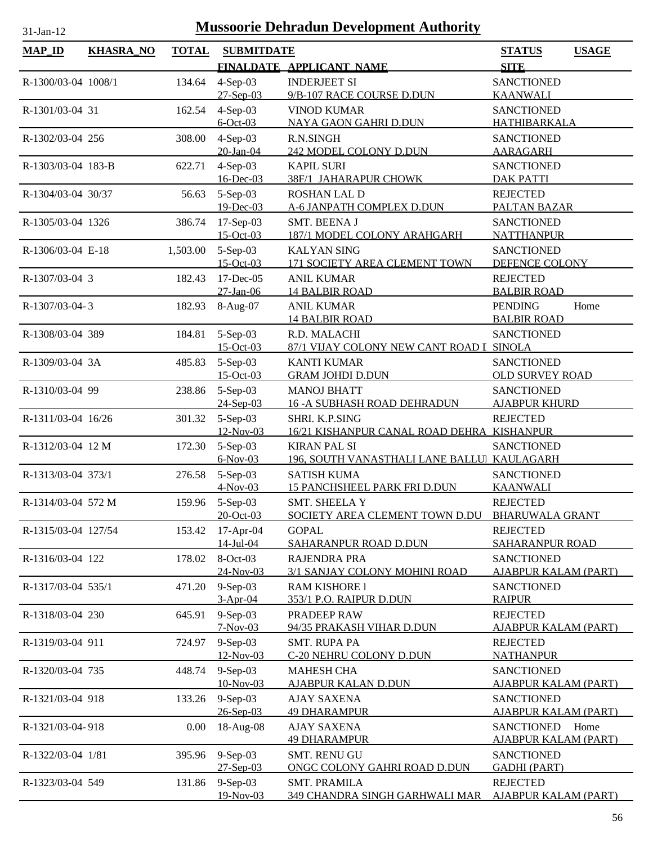| <b>MAP_ID</b>       | <b>KHASRA_NO</b> | <b>TOTAL</b> | <b>SUBMITDATE</b>          |                                                                    | <b>STATUS</b><br><b>USAGE</b>                    |
|---------------------|------------------|--------------|----------------------------|--------------------------------------------------------------------|--------------------------------------------------|
|                     |                  |              |                            | FINALDATE APPLICANT NAME                                           | <b>SITE</b>                                      |
| R-1300/03-04 1008/1 |                  | 134.64       | $4-Sep-03$                 | <b>INDERJEET SI</b>                                                | <b>SANCTIONED</b>                                |
|                     |                  |              | $27 - Sep-03$              | 9/B-107 RACE COURSE D.DUN                                          | <b>KAANWALI</b>                                  |
| R-1301/03-04 31     |                  | 162.54       | $4-Sep-03$                 | <b>VINOD KUMAR</b>                                                 | <b>SANCTIONED</b>                                |
|                     |                  |              | $6$ -Oct-03                | NAYA GAON GAHRI D.DUN                                              | HATHIBARKALA                                     |
| R-1302/03-04 256    |                  | 308.00       | $4-Sep-03$                 | R.N.SINGH                                                          | <b>SANCTIONED</b>                                |
|                     |                  |              | 20-Jan-04                  | 242 MODEL COLONY D.DUN                                             | <b>AARAGARH</b>                                  |
| R-1303/03-04 183-B  |                  | 622.71       | $4-Sep-03$                 | <b>KAPIL SURI</b>                                                  | <b>SANCTIONED</b>                                |
|                     |                  |              | 16-Dec-03                  | 38F/1 JAHARAPUR CHOWK                                              | <b>DAK PATTI</b>                                 |
| R-1304/03-04 30/37  |                  | 56.63        | $5-Sep-03$                 | <b>ROSHAN LAL D</b>                                                | <b>REJECTED</b>                                  |
|                     |                  |              | 19-Dec-03                  | A-6 JANPATH COMPLEX D.DUN                                          | PALTAN BAZAR                                     |
| R-1305/03-04 1326   |                  | 386.74       | $17-Sep-03$<br>$15-Oct-03$ | SMT. BEENA J<br>187/1 MODEL COLONY ARAHGARH                        | <b>SANCTIONED</b><br><b>NATTHANPUR</b>           |
| R-1306/03-04 E-18   |                  | 1,503.00     | $5-Sep-03$                 | <b>KALYAN SING</b>                                                 | <b>SANCTIONED</b>                                |
|                     |                  |              | 15-Oct-03                  | 171 SOCIETY AREA CLEMENT TOWN                                      | DEFENCE COLONY                                   |
| R-1307/03-04 3      |                  | 182.43       | 17-Dec-05                  | <b>ANIL KUMAR</b>                                                  | <b>REJECTED</b>                                  |
|                     |                  |              | $27$ -Jan-06               | <b>14 BALBIR ROAD</b>                                              | <b>BALBIR ROAD</b>                               |
| R-1307/03-04-3      |                  | 182.93       | 8-Aug-07                   | <b>ANIL KUMAR</b>                                                  | <b>PENDING</b><br>Home                           |
|                     |                  |              |                            | <b>14 BALBIR ROAD</b>                                              | <b>BALBIR ROAD</b>                               |
| R-1308/03-04 389    |                  | 184.81       | $5-Sep-03$                 | R.D. MALACHI                                                       | <b>SANCTIONED</b>                                |
|                     |                  |              | 15-Oct-03                  | 87/1 VIJAY COLONY NEW CANT ROAD I SINOLA                           |                                                  |
| R-1309/03-04 3A     |                  | 485.83       | $5-Sep-03$                 | <b>KANTI KUMAR</b>                                                 | <b>SANCTIONED</b>                                |
|                     |                  |              | 15-Oct-03                  | <b>GRAM JOHDI D.DUN</b>                                            | <b>OLD SURVEY ROAD</b>                           |
| R-1310/03-04 99     |                  | 238.86       | $5-Sep-03$                 | <b>MANOJ BHATT</b>                                                 | <b>SANCTIONED</b>                                |
|                     |                  |              | $24-Sep-03$                | <b>16 - A SUBHASH ROAD DEHRADUN</b>                                | <b>AJABPUR KHURD</b>                             |
| R-1311/03-04 16/26  |                  | 301.32       | 5-Sep-03                   | SHRI. K.P.SING                                                     | <b>REJECTED</b>                                  |
|                     |                  |              | $12$ -Nov-03               | 16/21 KISHANPUR CANAL ROAD DEHRA KISHANPUR                         |                                                  |
| R-1312/03-04 12 M   |                  | 172.30       | 5-Sep-03<br>$6-Nov-03$     | <b>KIRAN PAL SI</b><br>196, SOUTH VANASTHALI LANE BALLUI KAULAGARH | <b>SANCTIONED</b>                                |
| R-1313/03-04 373/1  |                  | 276.58       | $5-Sep-03$                 | <b>SATISH KUMA</b>                                                 | <b>SANCTIONED</b>                                |
|                     |                  |              | $4-Nov-03$                 | <b>15 PANCHSHEEL PARK FRI D.DUN</b>                                | <b>KAANWALI</b>                                  |
| R-1314/03-04 572 M  |                  | 159.96       | $5-Sep-03$                 | <b>SMT. SHEELA Y</b>                                               | <b>REJECTED</b>                                  |
|                     |                  |              | 20-Oct-03                  | SOCIETY AREA CLEMENT TOWN D.DU BHARUWALA GRANT                     |                                                  |
| R-1315/03-04 127/54 |                  | 153.42       | $17-Apr-04$                | <b>GOPAL</b>                                                       | <b>REJECTED</b>                                  |
|                     |                  |              | $14$ -Jul-04               | <b>SAHARANPUR ROAD D.DUN</b>                                       | <b>SAHARANPUR ROAD</b>                           |
| R-1316/03-04 122    |                  | 178.02       | 8-Oct-03                   | <b>RAJENDRA PRA</b>                                                | <b>SANCTIONED</b>                                |
|                     |                  |              | 24-Nov-03                  | 3/1 SANJAY COLONY MOHINI ROAD                                      | <u>AJABPUR KALAM (PART)</u>                      |
| R-1317/03-04 535/1  |                  | 471.20       | $9-Sep-03$                 | <b>RAM KISHORE I</b>                                               | <b>SANCTIONED</b>                                |
|                     |                  |              | $3-Apr-04$                 | <u>353/1 P.O. RAIPUR D.DUN</u>                                     | <b>RAIPUR</b>                                    |
| R-1318/03-04 230    |                  | 645.91       | $9-Sep-03$                 | PRADEEP RAW                                                        | <b>REJECTED</b>                                  |
|                     |                  |              | $7-Nov-03$                 | 94/35 PRAKASH VIHAR D.DUN                                          | <u>AJABPUR KALAM (PART)</u>                      |
| R-1319/03-04 911    |                  | 724.97       | 9-Sep-03<br>12-Nov-03      | <b>SMT. RUPA PA</b><br>C-20 NEHRU COLONY D.DUN                     | <b>REJECTED</b><br><b>NATHANPUR</b>              |
| R-1320/03-04 735    |                  |              | 9-Sep-03                   |                                                                    |                                                  |
|                     |                  | 448.74       | 10-Nov-03                  | <b>MAHESH CHA</b><br><u>AJABPUR KALAN D.DUN</u>                    | <b>SANCTIONED</b><br><u>AJABPUR KALAM (PART)</u> |
| R-1321/03-04 918    |                  | 133.26       | $9-Sep-03$                 | <b>AJAY SAXENA</b>                                                 | <b>SANCTIONED</b>                                |
|                     |                  |              | 26-Sep-03                  | <b>49 DHARAMPUR</b>                                                | <u>AJABPUR KALAM (PART)</u>                      |
| R-1321/03-04-918    |                  | 0.00         | 18-Aug-08                  | <b>AJAY SAXENA</b>                                                 | <b>SANCTIONED</b><br>Home                        |
|                     |                  |              |                            | <b>49 DHARAMPUR</b>                                                | <b>AJABPUR KALAM (PART)</b>                      |
| R-1322/03-04 1/81   |                  | 395.96       | 9-Sep-03                   | <b>SMT. RENU GU</b>                                                | <b>SANCTIONED</b>                                |
|                     |                  |              | $27 -$ Sep $-03$           | ONGC COLONY GAHRI ROAD D.DUN                                       | <b>GADHI (PART)</b>                              |
| R-1323/03-04 549    |                  | 131.86       | 9-Sep-03                   | <b>SMT. PRAMILA</b>                                                | <b>REJECTED</b>                                  |
|                     |                  |              | 19-Nov-03                  | <b>349 CHANDRA SINGH GARHWALI MAR</b>                              | <b>AJABPUR KALAM (PART)</b>                      |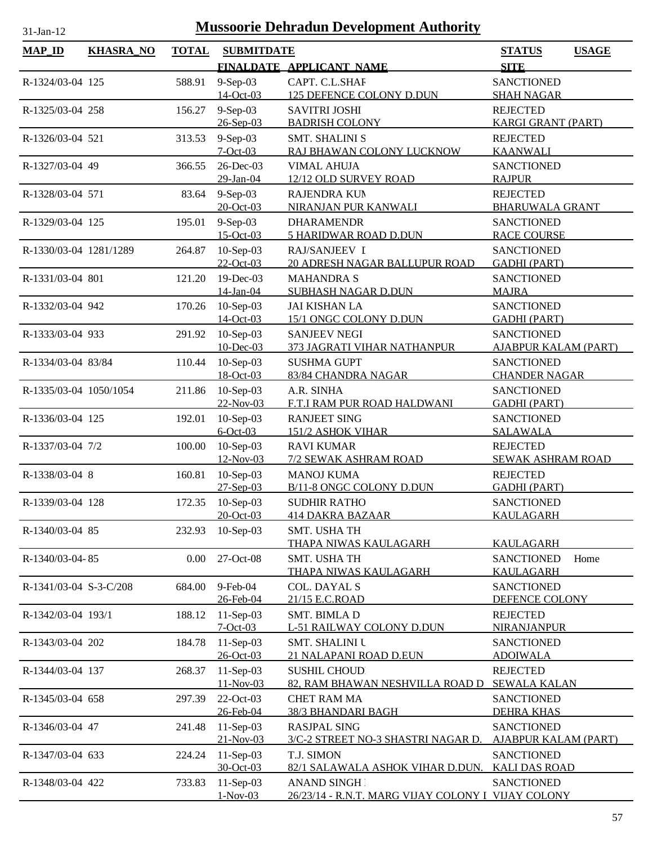| $MAP$ <sub>ID</sub>    | <b>KHASRA_NO</b> | <b>TOTAL</b> | <b>SUBMITDATE</b>          |                                                    | <b>STATUS</b>                            | <b>USAGE</b> |
|------------------------|------------------|--------------|----------------------------|----------------------------------------------------|------------------------------------------|--------------|
|                        |                  |              |                            | FINALDATE APPLICANT NAME                           | <b>SITE</b>                              |              |
| R-1324/03-04 125       |                  | 588.91       | $9-Sep-03$                 | CAPT. C.L.SHAF                                     | <b>SANCTIONED</b>                        |              |
|                        |                  |              | 14-Oct-03                  | <b>125 DEFENCE COLONY D.DUN</b>                    | <b>SHAH NAGAR</b>                        |              |
| R-1325/03-04 258       |                  | 156.27       | $9-Sep-03$                 | <b>SAVITRI JOSHI</b>                               | <b>REJECTED</b>                          |              |
|                        |                  |              | 26-Sep-03                  | <b>BADRISH COLONY</b>                              | <b>KARGI GRANT (PART)</b>                |              |
| R-1326/03-04 521       |                  | 313.53       | $9-Sep-03$                 | <b>SMT. SHALINI S</b>                              | <b>REJECTED</b>                          |              |
|                        |                  |              | $7 - Oct - 03$             | RAJ BHAWAN COLONY LUCKNOW                          | <b>KAANWALI</b>                          |              |
| R-1327/03-04 49        |                  | 366.55       | 26-Dec-03                  | <b>VIMAL AHUJA</b>                                 | <b>SANCTIONED</b>                        |              |
|                        |                  |              | 29-Jan-04                  | 12/12 OLD SURVEY ROAD                              | <b>RAJPUR</b>                            |              |
| R-1328/03-04 571       |                  | 83.64        | $9-Sep-03$                 | RAJENDRA KUN                                       | <b>REJECTED</b>                          |              |
|                        |                  |              | $20 - Oct - 03$            | NIRANJAN PUR KANWALI                               | <b>BHARUWALA GRANT</b>                   |              |
| R-1329/03-04 125       |                  | 195.01       | $9-Sep-03$<br>$15$ -Oct-03 | <b>DHARAMENDR</b><br><b>5 HARIDWAR ROAD D.DUN</b>  | <b>SANCTIONED</b><br><b>RACE COURSE</b>  |              |
|                        |                  |              |                            | RAJ/SANJEEV I                                      |                                          |              |
| R-1330/03-04 1281/1289 |                  | 264.87       | $10-Sep-03$<br>22-Oct-03   | 20 ADRESH NAGAR BALLUPUR ROAD                      | <b>SANCTIONED</b><br><b>GADHI (PART)</b> |              |
| R-1331/03-04 801       |                  | 121.20       | $19$ -Dec-03               | <b>MAHANDRA S</b>                                  | <b>SANCTIONED</b>                        |              |
|                        |                  |              | 14-Jan-04                  | SUBHASH NAGAR D.DUN                                | <b>MAJRA</b>                             |              |
| R-1332/03-04 942       |                  | 170.26       | $10-Sep-03$                | <b>JAI KISHAN LA</b>                               | <b>SANCTIONED</b>                        |              |
|                        |                  |              | 14-Oct-03                  | 15/1 ONGC COLONY D.DUN                             | <b>GADHI (PART)</b>                      |              |
| R-1333/03-04 933       |                  | 291.92       | 10-Sep-03                  | <b>SANJEEV NEGI</b>                                | <b>SANCTIONED</b>                        |              |
|                        |                  |              | 10-Dec-03                  | 373 JAGRATI VIHAR NATHANPUR                        | <b>AJABPUR KALAM (PART)</b>              |              |
| R-1334/03-04 83/84     |                  | 110.44       | $10-Sep-03$                | <b>SUSHMA GUPT</b>                                 | <b>SANCTIONED</b>                        |              |
|                        |                  |              | 18-Oct-03                  | 83/84 CHANDRA NAGAR                                | <b>CHANDER NAGAR</b>                     |              |
| R-1335/03-04 1050/1054 |                  | 211.86       | $10-Sep-03$                | A.R. SINHA                                         | <b>SANCTIONED</b>                        |              |
|                        |                  |              | 22-Nov-03                  | F.T.I RAM PUR ROAD HALDWANI                        | <b>GADHI (PART)</b>                      |              |
| R-1336/03-04 125       |                  | 192.01       | $10-Sep-03$                | <b>RANJEET SING</b>                                | <b>SANCTIONED</b>                        |              |
|                        |                  |              | $6$ -Oct-03                | 151/2 ASHOK VIHAR                                  | <b>SALAWALA</b>                          |              |
| R-1337/03-04 7/2       |                  | 100.00       | $10-Sep-03$                | <b>RAVI KUMAR</b>                                  | <b>REJECTED</b>                          |              |
|                        |                  |              | 12-Nov-03                  | 7/2 SEWAK ASHRAM ROAD                              | <b>SEWAK ASHRAM ROAD</b>                 |              |
| R-1338/03-04 8         |                  | 160.81       | $10-Sep-03$                | <b>MANOJ KUMA</b>                                  | <b>REJECTED</b>                          |              |
|                        |                  |              | $27-Sep-03$                | B/11-8 ONGC COLONY D.DUN                           | <b>GADHI (PART)</b>                      |              |
| R-1339/03-04 128       |                  | 172.35       | $10-Sep-03$                | <b>SUDHIR RATHO</b>                                | <b>SANCTIONED</b>                        |              |
|                        |                  |              | 20-Oct-03                  | <b>414 DAKRA BAZAAR</b>                            | <b>KAULAGARH</b>                         |              |
| R-1340/03-04 85        |                  | 232.93       | $10-Sep-03$                | SMT. USHA TH                                       |                                          |              |
|                        |                  |              |                            | <b>THAPA NIWAS KAULAGARH</b>                       | <b>KAULAGARH</b>                         |              |
| R-1340/03-04-85        |                  | 0.00         | 27-Oct-08                  | <b>SMT. USHA TH</b><br>THAPA NIWAS KAULAGARH       | <b>SANCTIONED</b><br><b>KAULAGARH</b>    | Home         |
| R-1341/03-04 S-3-C/208 |                  | 684.00       | 9-Feb-04                   | <b>COL. DAYAL S</b>                                | <b>SANCTIONED</b>                        |              |
|                        |                  |              | 26-Feb-04                  | 21/15 E.C.ROAD                                     | DEFENCE COLONY                           |              |
| R-1342/03-04 193/1     |                  | 188.12       | 11-Sep-03                  | SMT. BIMLA D                                       | <b>REJECTED</b>                          |              |
|                        |                  |              | $7 - Oct - 03$             | L-51 RAILWAY COLONY D.DUN                          | NIRANJANPUR                              |              |
| R-1343/03-04 202       |                  | 184.78       | $11-Sep-03$                | <b>SMT. SHALINI U</b>                              | <b>SANCTIONED</b>                        |              |
|                        |                  |              | 26-Oct-03                  | 21 NALAPANI ROAD D.EUN                             | <b>ADOIWALA</b>                          |              |
| R-1344/03-04 137       |                  | 268.37       | 11-Sep-03                  | <b>SUSHIL CHOUD</b>                                | <b>REJECTED</b>                          |              |
|                        |                  |              | 11-Nov-03                  | 82, RAM BHAWAN NESHVILLA ROAD D                    | <b>SEWALA KALAN</b>                      |              |
| R-1345/03-04 658       |                  | 297.39       | 22-Oct-03                  | <b>CHET RAM MA</b>                                 | <b>SANCTIONED</b>                        |              |
|                        |                  |              | 26-Feb-04                  | <b>38/3 BHANDARI BAGH</b>                          | <b>DEHRA KHAS</b>                        |              |
| R-1346/03-04 47        |                  | 241.48       | $11-Sep-03$                | <b>RASJPAL SING</b>                                | <b>SANCTIONED</b>                        |              |
|                        |                  |              | 21-Nov-03                  | 3/C-2 STREET NO-3 SHASTRI NAGAR D.                 | <b>AJABPUR KALAM (PART)</b>              |              |
| R-1347/03-04 633       |                  | 224.24       | 11-Sep-03                  | T.J. SIMON                                         | <b>SANCTIONED</b>                        |              |
|                        |                  |              | 30-Oct-03                  | 82/1 SALAWALA ASHOK VIHAR D.DUN.                   | <b>KALI DAS ROAD</b>                     |              |
| R-1348/03-04 422       |                  | 733.83       | 11-Sep-03                  | <b>ANAND SINGH</b>                                 | <b>SANCTIONED</b>                        |              |
|                        |                  |              | $1-Nov-03$                 | 26/23/14 - R.N.T. MARG VIJAY COLONY I VIJAY COLONY |                                          |              |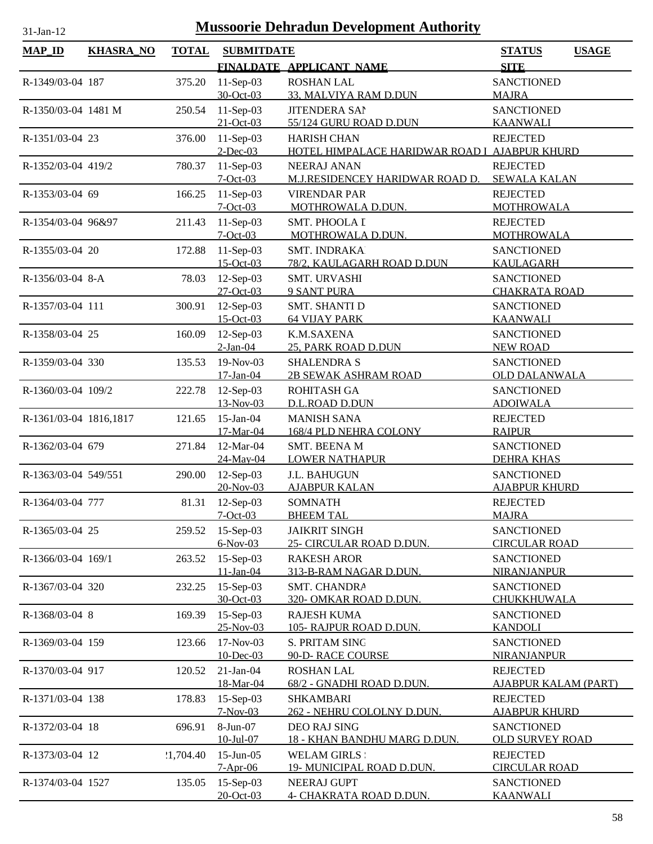| <b>MAP_ID</b>          | <b>KHASRA_NO</b> | <b>TOTAL</b> | <b>SUBMITDATE</b>              |                                                 | <b>STATUS</b><br><b>USAGE</b>           |
|------------------------|------------------|--------------|--------------------------------|-------------------------------------------------|-----------------------------------------|
|                        |                  |              |                                | FINALDATE APPLICANT NAME                        | <b>SITE</b>                             |
| R-1349/03-04 187       |                  | 375.20       | $11-Sep-03$                    | <b>ROSHAN LAL</b>                               | <b>SANCTIONED</b>                       |
|                        |                  |              | 30-Oct-03                      | 33, MALVIYA RAM D.DUN                           | <b>MAJRA</b>                            |
| R-1350/03-04 1481 M    |                  | 250.54       | $11-Sep-03$                    | <b>JITENDERA SAI</b>                            | <b>SANCTIONED</b>                       |
|                        |                  |              | $21-Oct-03$                    | 55/124 GURU ROAD D.DUN                          | <b>KAANWALI</b>                         |
| R-1351/03-04 23        |                  | 376.00       | $11-Sep-03$                    | <b>HARISH CHAN</b>                              | <b>REJECTED</b>                         |
|                        |                  |              | $2$ -Dec-03                    | HOTEL HIMPALACE HARIDWAR ROAD I AJABPUR KHURD   |                                         |
| R-1352/03-04 419/2     |                  | 780.37       | $11-Sep-03$                    | NEERAJ ANAN                                     | <b>REJECTED</b>                         |
|                        |                  |              | $7-Oct-03$                     | M.J.RESIDENCEY HARIDWAR ROAD D.                 | <b>SEWALA KALAN</b>                     |
| R-1353/03-04 69        |                  | 166.25       | 11-Sep-03                      | <b>VIRENDAR PAR</b>                             | <b>REJECTED</b>                         |
|                        |                  |              | $7-Oct-03$                     | MOTHROWALA D.DUN.                               | <b>MOTHROWALA</b>                       |
| R-1354/03-04 96&97     |                  | 211.43       | $11-Sep-03$<br>$7 - Oct - 03$  | <b>SMT. PHOOLA I</b>                            | <b>REJECTED</b>                         |
|                        |                  |              |                                | MOTHROWALA D.DUN.<br>SMT. INDRAKA               | MOTHROWALA                              |
| R-1355/03-04 20        |                  | 172.88       | $11-Sep-03$<br>15-Oct-03       | 78/2, KAULAGARH ROAD D.DUN                      | <b>SANCTIONED</b><br>KAULAGARH          |
| R-1356/03-04 8-A       |                  | 78.03        | $12$ -Sep-03                   | <b>SMT. URVASHI</b>                             | <b>SANCTIONED</b>                       |
|                        |                  |              | 27-Oct-03                      | <b>9 SANT PURA</b>                              | <b>CHAKRATA ROAD</b>                    |
| R-1357/03-04 111       |                  | 300.91       | $12$ -Sep-03                   | <b>SMT. SHANTI D</b>                            | <b>SANCTIONED</b>                       |
|                        |                  |              | $15-Oct-03$                    | <b>64 VIJAY PARK</b>                            | <b>KAANWALI</b>                         |
| R-1358/03-04 25        |                  | 160.09       | $12$ -Sep-03                   | K.M.SAXENA                                      | <b>SANCTIONED</b>                       |
|                        |                  |              | $2-Jan-04$                     | 25, PARK ROAD D.DUN                             | <b>NEW ROAD</b>                         |
| R-1359/03-04 330       |                  | 135.53       | 19-Nov-03                      | <b>SHALENDRA S</b>                              | <b>SANCTIONED</b>                       |
|                        |                  |              | 17-Jan-04                      | <b>2B SEWAK ASHRAM ROAD</b>                     | <b>OLD DALANWALA</b>                    |
| R-1360/03-04 109/2     |                  | 222.78       | $12$ -Sep-03                   | ROHITASH GA                                     | <b>SANCTIONED</b>                       |
|                        |                  |              | 13-Nov-03                      | D.L.ROAD D.DUN                                  | <b>ADOIWALA</b>                         |
| R-1361/03-04 1816,1817 |                  | 121.65       | 15-Jan-04                      | <b>MANISH SANA</b>                              | <b>REJECTED</b>                         |
|                        |                  |              | 17-Mar-04                      | 168/4 PLD NEHRA COLONY                          | <b>RAIPUR</b>                           |
| R-1362/03-04 679       |                  | 271.84       | 12-Mar-04                      | SMT. BEENA M                                    | <b>SANCTIONED</b>                       |
|                        |                  |              | 24-May-04                      | <b>LOWER NATHAPUR</b>                           | <b>DEHRA KHAS</b>                       |
| R-1363/03-04 549/551   |                  | 290.00       | $12$ -Sep-03                   | J.L. BAHUGUN                                    | <b>SANCTIONED</b>                       |
|                        |                  |              | 20-Nov-03                      | <b>AJABPUR KALAN</b>                            | <b>AJABPUR KHURD</b>                    |
| R-1364/03-04 777       |                  | 81.31        | $12$ -Sep-03<br>$7 - Oct - 03$ | <b>SOMNATH</b><br><b>BHEEM TAL</b>              | <b>REJECTED</b><br><b>MAJRA</b>         |
| R-1365/03-04 25        |                  |              | $15-Sep-03$                    | <b>JAIKRIT SINGH</b>                            | <b>SANCTIONED</b>                       |
|                        |                  | 259.52       | $6-Nov-03$                     | 25- CIRCULAR ROAD D.DUN.                        | <b>CIRCULAR ROAD</b>                    |
| R-1366/03-04 169/1     |                  | 263.52       | $15-Sep-03$                    | <b>RAKESH AROR</b>                              | <b>SANCTIONED</b>                       |
|                        |                  |              | $11-Ian-04$                    | 313-B-RAM NAGAR D.DUN.                          | NIRANJANPUR                             |
| R-1367/03-04 320       |                  | 232.25       | $15-Sep-03$                    | SMT. CHANDRA                                    | <b>SANCTIONED</b>                       |
|                        |                  |              | 30-Oct-03                      | 320- OMKAR ROAD D.DUN.                          | CHUKKHUWALA                             |
| R-1368/03-04 8         |                  | 169.39       | 15-Sep-03                      | <b>RAJESH KUMA</b>                              | <b>SANCTIONED</b>                       |
|                        |                  |              | 25-Nov-03                      | 105- RAJPUR ROAD D.DUN.                         | <b>KANDOLI</b>                          |
| R-1369/03-04 159       |                  | 123.66       | 17-Nov-03                      | <b>S. PRITAM SINC</b>                           | <b>SANCTIONED</b>                       |
|                        |                  |              | 10-Dec-03                      | 90-D-RACE COURSE                                | <b>NIRANJANPUR</b>                      |
| R-1370/03-04 917       |                  | 120.52       | $21$ -Jan-04                   | <b>ROSHAN LAL</b>                               | <b>REJECTED</b>                         |
|                        |                  |              | 18-Mar-04                      | 68/2 - GNADHI ROAD D.DUN.                       | <u>AJABPUR KALAM (PART)</u>             |
| R-1371/03-04 138       |                  | 178.83       | $15-Sep-03$                    | <b>SHKAMBARI</b>                                | <b>REJECTED</b>                         |
|                        |                  |              | $7-Nov-03$                     | 262 - NEHRU COLOLNY D.DUN.                      | <b>AJABPUR KHURD</b>                    |
| R-1372/03-04 18        |                  | 696.91       | 8-Jun-07                       | DEO RAJ SING                                    | <b>SANCTIONED</b>                       |
|                        |                  |              | 10-Jul-07                      | <b>18 - KHAN BANDHU MARG D.DUN.</b>             | <b>OLD SURVEY ROAD</b>                  |
| R-1373/03-04 12        |                  | 21,704.40    | $15$ -Jun-05<br>$7-Apr-06$     | <b>WELAM GIRLS</b><br>19- MUNICIPAL ROAD D.DUN. | <b>REJECTED</b><br><b>CIRCULAR ROAD</b> |
| R-1374/03-04 1527      |                  | 135.05       | $15-Sep-03$                    | NEERAJ GUPT                                     | <b>SANCTIONED</b>                       |
|                        |                  |              | 20-Oct-03                      | 4- CHAKRATA ROAD D.DUN.                         | <b>KAANWALI</b>                         |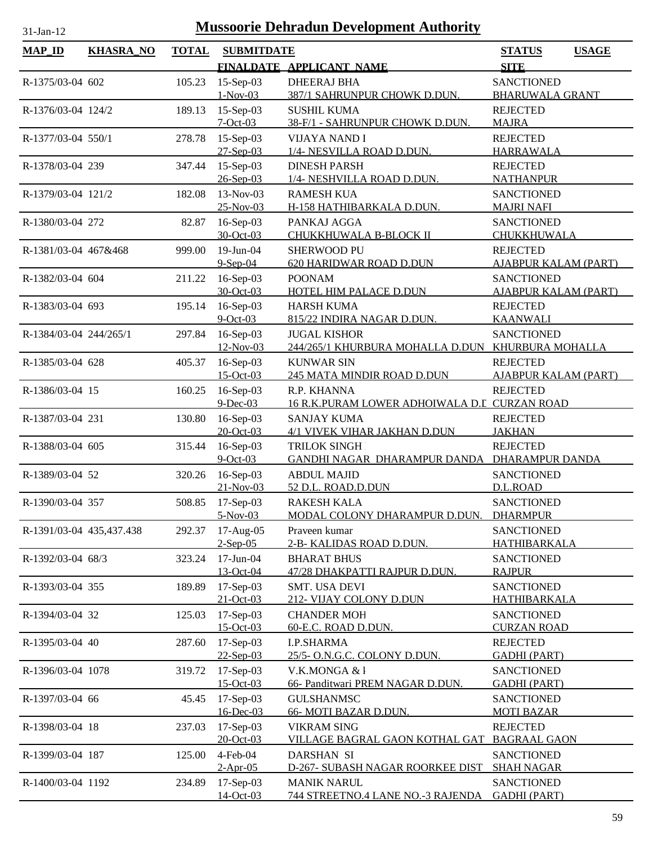| <b>MAP_ID</b>            | <b>KHASRA_NO</b> | <b>TOTAL</b> | <b>SUBMITDATE</b>        |                                                            | <b>STATUS</b><br><b>USAGE</b>             |
|--------------------------|------------------|--------------|--------------------------|------------------------------------------------------------|-------------------------------------------|
|                          |                  |              |                          | FINALDATE APPLICANT NAME                                   | <b>SITE</b>                               |
| R-1375/03-04 602         |                  | 105.23       | 15-Sep-03                | <b>DHEERAJ BHA</b>                                         | <b>SANCTIONED</b>                         |
|                          |                  |              | $1-Nov-03$               | <u>387/1 SAHRUNPUR CHOWK D.DUN.</u>                        | <b>BHARUWALA GRANT</b>                    |
| R-1376/03-04 124/2       |                  | 189.13       | 15-Sep-03                | <b>SUSHIL KUMA</b>                                         | <b>REJECTED</b>                           |
|                          |                  |              | $7-Oct-03$               | 38-F/1 - SAHRUNPUR CHOWK D.DUN.                            | <b>MAJRA</b>                              |
| R-1377/03-04 550/1       |                  | 278.78       | $15-Sep-03$              | <b>VIJAYA NAND I</b>                                       | <b>REJECTED</b>                           |
| R-1378/03-04 239         |                  | 347.44       | 27-Sep-03<br>15-Sep-03   | 1/4- NESVILLA ROAD D.DUN.<br><b>DINESH PARSH</b>           | <b>HARRAWALA</b><br><b>REJECTED</b>       |
|                          |                  |              | 26-Sep-03                | 1/4- NESHVILLA ROAD D.DUN.                                 | <b>NATHANPUR</b>                          |
| R-1379/03-04 121/2       |                  | 182.08       | 13-Nov-03                | <b>RAMESH KUA</b>                                          | <b>SANCTIONED</b>                         |
|                          |                  |              | 25-Nov-03                | H-158 HATHIBARKALA D.DUN.                                  | <b>MAJRI NAFI</b>                         |
| R-1380/03-04 272         |                  | 82.87        | 16-Sep-03                | PANKAJ AGGA                                                | <b>SANCTIONED</b>                         |
|                          |                  |              | 30-Oct-03                | CHUKKHUWALA B-BLOCK II                                     | CHUKKHUWALA                               |
| R-1381/03-04 467&468     |                  | 999.00       | 19-Jun-04                | <b>SHERWOOD PU</b>                                         | <b>REJECTED</b>                           |
|                          |                  |              | $9-Sep-04$               | 620 HARIDWAR ROAD D.DUN                                    | <b>AJABPUR KALAM (PART)</b>               |
| R-1382/03-04 604         |                  | 211.22       | 16-Sep-03                | <b>POONAM</b>                                              | <b>SANCTIONED</b>                         |
|                          |                  |              | 30-Oct-03                | HOTEL HIM PALACE D.DUN                                     | <b>AJABPUR KALAM (PART)</b>               |
| R-1383/03-04 693         |                  | 195.14       | 16-Sep-03<br>$9$ -Oct-03 | <b>HARSH KUMA</b><br>815/22 INDIRA NAGAR D.DUN.            | <b>REJECTED</b><br><b>KAANWALI</b>        |
| R-1384/03-04 244/265/1   |                  | 297.84       | 16-Sep-03                | <b>JUGAL KISHOR</b>                                        | <b>SANCTIONED</b>                         |
|                          |                  |              | 12-Nov-03                | 244/265/1 KHURBURA MOHALLA D.DUN                           | KHURBURA MOHALLA                          |
| R-1385/03-04 628         |                  | 405.37       | 16-Sep-03                | <b>KUNWAR SIN</b>                                          | <b>REJECTED</b>                           |
|                          |                  |              | 15-Oct-03                | 245 MATA MINDIR ROAD D.DUN                                 | <b>AJABPUR KALAM (PART)</b>               |
| R-1386/03-04 15          |                  | 160.25       | 16-Sep-03                | R.P. KHANNA                                                | <b>REJECTED</b>                           |
|                          |                  |              | $9$ -Dec-03              | 16 R.K.PURAM LOWER ADHOIWALA D.L CURZAN ROAD               |                                           |
| R-1387/03-04 231         |                  | 130.80       | 16-Sep-03                | <b>SANJAY KUMA</b>                                         | <b>REJECTED</b>                           |
|                          |                  |              | 20-Oct-03                | 4/1 VIVEK VIHAR JAKHAN D.DUN                               | <b>JAKHAN</b>                             |
| R-1388/03-04 605         |                  | 315.44       | 16-Sep-03<br>$9$ -Oct-03 | <b>TRILOK SINGH</b><br><b>GANDHI NAGAR DHARAMPUR DANDA</b> | <b>REJECTED</b><br><b>DHARAMPUR DANDA</b> |
| R-1389/03-04 52          |                  | 320.26       | 16-Sep-03                | <b>ABDUL MAJID</b>                                         | <b>SANCTIONED</b>                         |
|                          |                  |              | $21-Nov-03$              | 52 D.L. ROAD.D.DUN                                         | D.L.ROAD                                  |
| R-1390/03-04 357         |                  | 508.85       | $17-Sep-03$              | <b>RAKESH KALA</b>                                         | <b>SANCTIONED</b>                         |
|                          |                  |              | $5-Nov-03$               | MODAL COLONY DHARAMPUR D.DUN.                              | <b>DHARMPUR</b>                           |
| R-1391/03-04 435,437.438 |                  | 292.37       | 17-Aug-05                | Praveen kumar                                              | <b>SANCTIONED</b>                         |
|                          |                  |              | $2-Sep-05$               | 2-B- KALIDAS ROAD D.DUN.                                   | HATHIBARKALA                              |
| R-1392/03-04 68/3        |                  | 323.24       | 17-Jun-04                | <b>BHARAT BHUS</b>                                         | <b>SANCTIONED</b>                         |
|                          |                  |              | 13-Oct-04                | 47/28 DHAKPATTI RAJPUR D.DUN.                              | <b>RAJPUR</b>                             |
| R-1393/03-04 355         |                  | 189.89       | 17-Sep-03<br>21-Oct-03   | SMT. USA DEVI<br>212- VIJAY COLONY D.DUN                   | <b>SANCTIONED</b><br><b>HATHIBARKALA</b>  |
| R-1394/03-04 32          |                  | 125.03       | 17-Sep-03                | <b>CHANDER MOH</b>                                         | <b>SANCTIONED</b>                         |
|                          |                  |              | $15$ -Oct-03             | 60-E.C. ROAD D.DUN.                                        | <b>CURZAN ROAD</b>                        |
| R-1395/03-04 40          |                  | 287.60       | 17-Sep-03                | <b>I.P.SHARMA</b>                                          | <b>REJECTED</b>                           |
|                          |                  |              | $22-Sep-03$              | 25/5- O.N.G.C. COLONY D.DUN.                               | <b>GADHI (PART)</b>                       |
| R-1396/03-04 1078        |                  | 319.72       | 17-Sep-03                | V.K.MONGA & l                                              | <b>SANCTIONED</b>                         |
|                          |                  |              | $15$ -Oct-03             | 66- Panditwari PREM NAGAR D.DUN.                           | <b>GADHI (PART)</b>                       |
| R-1397/03-04 66          |                  | 45.45        | 17-Sep-03                | <b>GULSHANMSC</b>                                          | <b>SANCTIONED</b>                         |
|                          |                  |              | 16-Dec-03                | 66- MOTI BAZAR D.DUN.                                      | <b>MOTI BAZAR</b>                         |
| R-1398/03-04 18          |                  | 237.03       | 17-Sep-03<br>20-Oct-03   | <b>VIKRAM SING</b><br>VILLAGE BAGRAL GAON KOTHAL GAT       | <b>REJECTED</b><br><b>BAGRAAL GAON</b>    |
| R-1399/03-04 187         |                  | 125.00       | $4$ -Feb-04              | <b>DARSHAN SI</b>                                          | <b>SANCTIONED</b>                         |
|                          |                  |              | $2-Apr-05$               | D-267- SUBASH NAGAR ROORKEE DIST                           | <b>SHAH NAGAR</b>                         |
| R-1400/03-04 1192        |                  | 234.89       | 17-Sep-03                | <b>MANIK NARUL</b>                                         | <b>SANCTIONED</b>                         |
|                          |                  |              | 14-Oct-03                | 744 STREETNO.4 LANE NO.-3 RAJENDA                          | <b>GADHI (PART)</b>                       |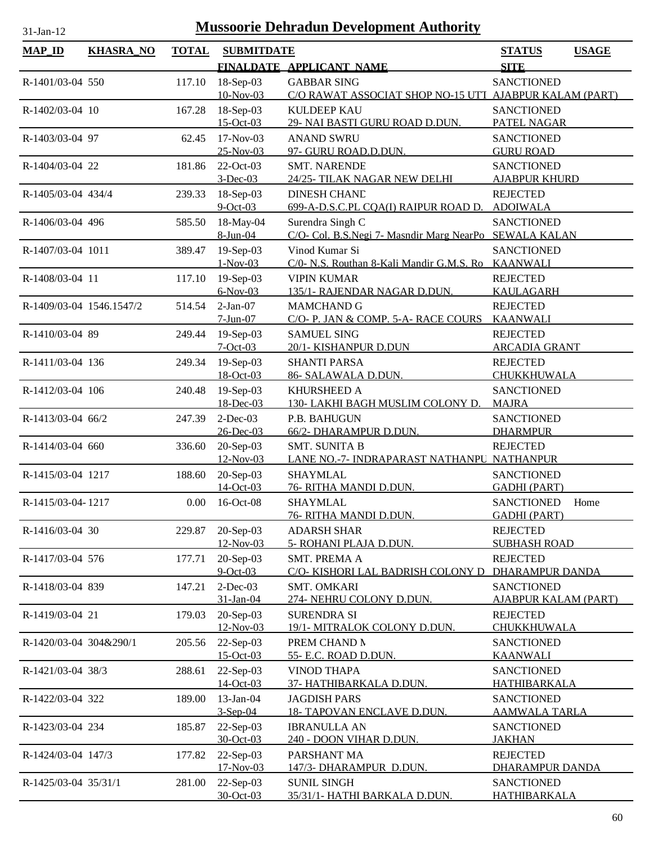| $MAP$ ID                 | <b>KHASRA_NO</b> | <b>TOTAL</b> | <b>SUBMITDATE</b>                   |                                                                                              | <b>STATUS</b>                                  | <b>USAGE</b> |
|--------------------------|------------------|--------------|-------------------------------------|----------------------------------------------------------------------------------------------|------------------------------------------------|--------------|
|                          |                  |              |                                     | FINALDATE APPLICANT NAME                                                                     | <b>SITE</b>                                    |              |
| R-1401/03-04 550         |                  | 117.10       | 18-Sep-03<br>10-Nov-03              | <b>GABBAR SING</b><br>C/O RAWAT ASSOCIAT SHOP NO-15 UTT AJABPUR KALAM (PART)                 | <b>SANCTIONED</b>                              |              |
| R-1402/03-04 10          |                  | 167.28       | 18-Sep-03<br>$15$ -Oct-03           | <b>KULDEEP KAU</b><br>29- NAI BASTI GURU ROAD D.DUN.                                         | <b>SANCTIONED</b><br>PATEL NAGAR               |              |
| R-1403/03-04 97          |                  | 62.45        | 17-Nov-03<br>25-Nov-03              | <b>ANAND SWRU</b><br>97- GURU ROAD.D.DUN.                                                    | <b>SANCTIONED</b><br><b>GURU ROAD</b>          |              |
| R-1404/03-04 22          |                  | 181.86       | 22-Oct-03<br>$3$ -Dec-03            | <b>SMT. NARENDE</b><br>24/25- TILAK NAGAR NEW DELHI                                          | <b>SANCTIONED</b><br><b>AJABPUR KHURD</b>      |              |
| R-1405/03-04 434/4       |                  | 239.33       | $18-Sep-03$<br>$9$ -Oct-03          | DINESH CHAND<br>699-A-D.S.C.PL CQA(I) RAIPUR ROAD D.                                         | <b>REJECTED</b><br><b>ADOIWALA</b>             |              |
| R-1406/03-04 496         |                  | 585.50       | 18-May-04<br>8-Jun-04               | Surendra Singh C<br>C/O- Col. B.S.Negi 7- Masndir Marg NearPo SEWALA KALAN                   | <b>SANCTIONED</b>                              |              |
| R-1407/03-04 1011        |                  | 389.47       | 19-Sep-03<br>$1-Nov-03$             | Vinod Kumar Si<br>C/0- N.S. Routhan 8-Kali Mandir G.M.S. Ro KAANWALI                         | <b>SANCTIONED</b>                              |              |
| R-1408/03-04 11          |                  | 117.10       | 19-Sep-03<br>$6-Nov-03$             | <b>VIPIN KUMAR</b><br>135/1- RAJENDAR NAGAR D.DUN.                                           | <b>REJECTED</b><br><b>KAULAGARH</b>            |              |
| R-1409/03-04 1546.1547/2 |                  | 514.54       | $2-Jan-07$<br>$7-Jun-07$            | <b>MAMCHAND G</b><br>C/O- P. JAN & COMP. 5-A- RACE COURS                                     | <b>REJECTED</b><br><b>KAANWALI</b>             |              |
| R-1410/03-04 89          |                  | 249.44       | $19-Sep-03$<br>$7-Oct-03$           | <b>SAMUEL SING</b><br>20/1-KISHANPUR D.DUN                                                   | <b>REJECTED</b><br><b>ARCADIA GRANT</b>        |              |
| R-1411/03-04 136         |                  | 249.34       | 19-Sep-03<br>18-Oct-03              | <b>SHANTI PARSA</b><br>86- SALAWALA D.DUN.                                                   | <b>REJECTED</b><br><b>CHUKKHUWALA</b>          |              |
| R-1412/03-04 106         |                  | 240.48       | 19-Sep-03<br>18-Dec-03              | <b>KHURSHEED A</b><br>130- LAKHI BAGH MUSLIM COLONY D.                                       | <b>SANCTIONED</b><br><b>MAJRA</b>              |              |
| R-1413/03-04 66/2        |                  | 247.39       | $2$ -Dec-03                         | P.B. BAHUGUN                                                                                 | <b>SANCTIONED</b>                              |              |
| R-1414/03-04 660         |                  | 336.60       | 26-Dec-03<br>20-Sep-03<br>12-Nov-03 | 66/2- DHARAMPUR D.DUN.<br><b>SMT. SUNITA B</b><br>LANE NO.-7- INDRAPARAST NATHANPU NATHANPUR | <b>DHARMPUR</b><br><b>REJECTED</b>             |              |
| R-1415/03-04 1217        |                  | 188.60       | 20-Sep-03                           | <b>SHAYMLAL</b>                                                                              | <b>SANCTIONED</b>                              |              |
| R-1415/03-04-1217        |                  | 0.00         | 14-Oct-03<br>16-Oct-08              | 76- RITHA MANDI D.DUN.<br><b>SHAYMLAL</b>                                                    | <b>GADHI (PART)</b><br><b>SANCTIONED</b>       | Home         |
| R-1416/03-04 30          |                  | 229.87       | $20-Sep-03$                         | 76- RITHA MANDI D.DUN.<br><b>ADARSH SHAR</b>                                                 | <b>GADHI (PART)</b><br><b>REJECTED</b>         |              |
| R-1417/03-04 576         |                  | 177.71       | 12-Nov-03<br>20-Sep-03              | 5- ROHANI PLAJA D.DUN.<br><b>SMT. PREMA A</b>                                                | <b>SUBHASH ROAD</b><br><b>REJECTED</b>         |              |
| R-1418/03-04 839         |                  | 147.21       | $9-Oct-03$<br>$2$ -Dec-03           | C/O- KISHORI LAL BADRISH COLONY D<br>SMT. OMKARI                                             | <b>DHARAMPUR DANDA</b><br><b>SANCTIONED</b>    |              |
| R-1419/03-04 21          |                  | 179.03       | 31-Jan-04<br>$20-Sep-03$            | 274- NEHRU COLONY D.DUN.<br><b>SURENDRA SI</b>                                               | <b>AJABPUR KALAM (PART)</b><br><b>REJECTED</b> |              |
| R-1420/03-04 304&290/1   |                  | 205.56       | 12-Nov-03<br>22-Sep-03              | 19/1- MITRALOK COLONY D.DUN.<br>PREM CHAND N                                                 | CHUKKHUWALA<br><b>SANCTIONED</b>               |              |
| R-1421/03-04 38/3        |                  | 288.61       | 15-Oct-03<br>22-Sep-03              | 55- E.C. ROAD D.DUN.<br><b>VINOD THAPA</b>                                                   | <b>KAANWALI</b><br><b>SANCTIONED</b>           |              |
| R-1422/03-04 322         |                  | 189.00       | 14-Oct-03<br>13-Jan-04              | 37- HATHIBARKALA D.DUN.<br><b>JAGDISH PARS</b>                                               | <b>HATHIBARKALA</b><br><b>SANCTIONED</b>       |              |
| R-1423/03-04 234         |                  | 185.87       | $3-Sep-04$<br>22-Sep-03             | <b>18- TAPOVAN ENCLAVE D.DUN.</b><br><b>IBRANULLA AN</b>                                     | <b>AAMWALA TARLA</b><br><b>SANCTIONED</b>      |              |
| R-1424/03-04 147/3       |                  | 177.82       | 30-Oct-03<br>22-Sep-03              | 240 - DOON VIHAR D.DUN.<br>PARSHANT MA                                                       | <b>JAKHAN</b><br><b>REJECTED</b>               |              |
|                          |                  |              | 17-Nov-03                           | 147/3- DHARAMPUR D.DUN.                                                                      | <b>DHARAMPUR DANDA</b>                         |              |
| R-1425/03-04 35/31/1     |                  | 281.00       | 22-Sep-03<br>30-Oct-03              | <b>SUNIL SINGH</b><br><u>35/31/1- HATHI BARKALA D.DUN.</u>                                   | <b>SANCTIONED</b><br>HATHIBARKALA              |              |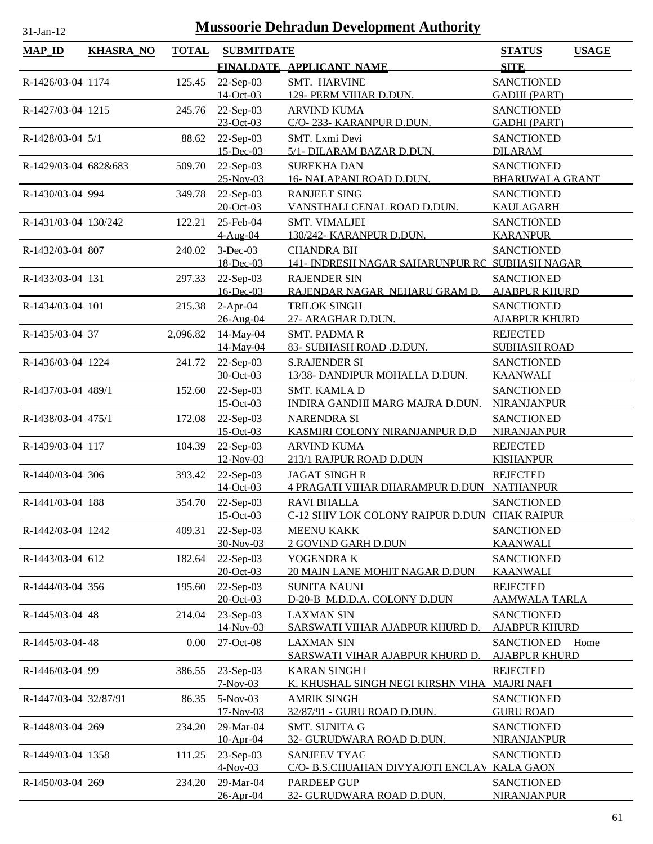| $MAP$ <sub>ID</sub>   | <b>KHASRA_NO</b> | <b>TOTAL</b> | <b>SUBMITDATE</b>             |                                                                     | <b>STATUS</b><br><b>USAGE</b>             |
|-----------------------|------------------|--------------|-------------------------------|---------------------------------------------------------------------|-------------------------------------------|
|                       |                  |              |                               | FINALDATE APPLICANT NAME                                            | <b>SITE</b>                               |
| R-1426/03-04 1174     |                  | 125.45       | 22-Sep-03                     | SMT. HARVIND                                                        | <b>SANCTIONED</b>                         |
|                       |                  |              | 14-Oct-03                     | 129- PERM VIHAR D.DUN.                                              | <b>GADHI (PART)</b>                       |
| R-1427/03-04 1215     |                  | 245.76       | 22-Sep-03                     | <b>ARVIND KUMA</b>                                                  | <b>SANCTIONED</b>                         |
|                       |                  |              | $23-Oct-03$                   | C/O-233- KARANPUR D.DUN.                                            | <b>GADHI (PART)</b>                       |
| R-1428/03-04 5/1      |                  | 88.62        | 22-Sep-03                     | SMT. Lxmi Devi                                                      | <b>SANCTIONED</b>                         |
|                       |                  |              | 15-Dec-03                     | 5/1- DILARAM BAZAR D.DUN.                                           | <b>DILARAM</b>                            |
| R-1429/03-04 682&683  |                  | 509.70       | 22-Sep-03                     | <b>SUREKHA DAN</b>                                                  | <b>SANCTIONED</b>                         |
|                       |                  |              | 25-Nov-03                     | 16- NALAPANI ROAD D.DUN.                                            | <b>BHARUWALA GRANT</b>                    |
| R-1430/03-04 994      |                  | 349.78       | 22-Sep-03                     | <b>RANJEET SING</b>                                                 | <b>SANCTIONED</b>                         |
|                       |                  |              | 20-Oct-03                     | VANSTHALI CENAL ROAD D.DUN.                                         | <b>KAULAGARH</b>                          |
| R-1431/03-04 130/242  |                  | 122.21       | 25-Feb-04                     | <b>SMT. VIMALJEE</b>                                                | <b>SANCTIONED</b>                         |
|                       |                  |              | 4-Aug-04                      | 130/242- KARANPUR D.DUN.                                            | <b>KARANPUR</b>                           |
| R-1432/03-04 807      |                  | 240.02       | $3-Dec-03$                    | <b>CHANDRA BH</b>                                                   | <b>SANCTIONED</b>                         |
|                       |                  |              | 18-Dec-03                     | 141- INDRESH NAGAR SAHARUNPUR RO SUBHASH NAGAR                      |                                           |
| R-1433/03-04 131      |                  | 297.33       | $22-Sep-03$<br>16-Dec-03      | <b>RAJENDER SIN</b><br>RAJENDAR NAGAR NEHARU GRAM D.                | <b>SANCTIONED</b>                         |
| R-1434/03-04 101      |                  |              | $2-Apr-04$                    | <b>TRILOK SINGH</b>                                                 | <b>AJABPUR KHURD</b><br><b>SANCTIONED</b> |
|                       |                  | 215.38       | 26-Aug-04                     | 27- ARAGHAR D.DUN.                                                  | <b>AJABPUR KHURD</b>                      |
| R-1435/03-04 37       |                  | 2,096.82     | 14-May-04                     | <b>SMT. PADMAR</b>                                                  | <b>REJECTED</b>                           |
|                       |                  |              | 14-May-04                     | 83- SUBHASH ROAD .D.DUN.                                            | <b>SUBHASH ROAD</b>                       |
| R-1436/03-04 1224     |                  | 241.72       | $22$ -Sep-03                  | <b>S.RAJENDER SI</b>                                                | <b>SANCTIONED</b>                         |
|                       |                  |              | 30-Oct-03                     | 13/38- DANDIPUR MOHALLA D.DUN.                                      | <b>KAANWALI</b>                           |
| R-1437/03-04 489/1    |                  | 152.60       | 22-Sep-03                     | SMT. KAMLA D                                                        | <b>SANCTIONED</b>                         |
|                       |                  |              | $15$ -Oct-03                  | INDIRA GANDHI MARG MAJRA D.DUN.                                     | <b>NIRANJANPUR</b>                        |
| R-1438/03-04 475/1    |                  | 172.08       | 22-Sep-03                     | <b>NARENDRA SI</b>                                                  | <b>SANCTIONED</b>                         |
|                       |                  |              | 15-Oct-03                     | KASMIRI COLONY NIRANJANPUR D.D                                      | NIRANJANPUR                               |
| R-1439/03-04 117      |                  | 104.39       | 22-Sep-03                     | <b>ARVIND KUMA</b>                                                  | <b>REJECTED</b>                           |
|                       |                  |              | 12-Nov-03                     | 213/1 RAJPUR ROAD D.DUN                                             | <b>KISHANPUR</b>                          |
| R-1440/03-04 306      |                  | 393.42       | 22-Sep-03                     | <b>JAGAT SINGHR</b>                                                 | <b>REJECTED</b>                           |
|                       |                  |              | 14-Oct-03                     | 4 PRAGATI VIHAR DHARAMPUR D.DUN NATHANPUR                           |                                           |
| R-1441/03-04 188      |                  |              | 354.70 22-Sep-03<br>15-Oct-03 | <b>RAVI BHALLA</b><br>C-12 SHIV LOK COLONY RAIPUR D.DUN CHAK RAIPUR | <b>SANCTIONED</b>                         |
| R-1442/03-04 1242     |                  | 409.31       | $22-Sep-03$                   | <b>MEENU KAKK</b>                                                   | <b>SANCTIONED</b>                         |
|                       |                  |              | 30-Nov-03                     | 2 GOVIND GARH D.DUN                                                 | <b>KAANWALI</b>                           |
| R-1443/03-04 612      |                  | 182.64       | $22$ -Sep-03                  | YOGENDRA K                                                          | <b>SANCTIONED</b>                         |
|                       |                  |              | 20-Oct-03                     | 20 MAIN LANE MOHIT NAGAR D.DUN                                      | <b>KAANWALI</b>                           |
| R-1444/03-04 356      |                  | 195.60       | 22-Sep-03                     | <b>SUNITA NAUNI</b>                                                 | <b>REJECTED</b>                           |
|                       |                  |              | 20-Oct-03                     | D-20-B M.D.D.A. COLONY D.DUN                                        | <u>AAMWALA TARLA</u>                      |
| R-1445/03-04 48       |                  | 214.04       | 23-Sep-03                     | <b>LAXMAN SIN</b>                                                   | <b>SANCTIONED</b>                         |
|                       |                  |              | 14-Nov-03                     | SARSWATI VIHAR AJABPUR KHURD D.                                     | <b>AJABPUR KHURD</b>                      |
| R-1445/03-04-48       |                  | 0.00         | 27-Oct-08                     | <b>LAXMAN SIN</b>                                                   | <b>SANCTIONED</b><br>Home                 |
|                       |                  |              |                               | SARSWATI VIHAR AJABPUR KHURD D.                                     | <b>AJABPUR KHURD</b>                      |
| R-1446/03-04 99       |                  | 386.55       | 23-Sep-03                     | <b>KARAN SINGH I</b>                                                | <b>REJECTED</b>                           |
|                       |                  |              | $7-Nov-03$                    | <u>K. KHUSHAL SINGH NEGI KIRSHN VIHA</u>                            | <b>MAJRI NAFI</b>                         |
| R-1447/03-04 32/87/91 |                  | 86.35        | 5-Nov-03                      | <b>AMRIK SINGH</b>                                                  | <b>SANCTIONED</b>                         |
|                       |                  |              | 17-Nov-03                     | 32/87/91 - GURU ROAD D.DUN.                                         | <b>GURU ROAD</b>                          |
| R-1448/03-04 269      |                  | 234.20       | 29-Mar-04<br>10-Apr-04        | <b>SMT. SUNITA G</b><br><u>32- GURUDWARA ROAD D.DUN.</u>            | <b>SANCTIONED</b><br><b>NIRANJANPUR</b>   |
| R-1449/03-04 1358     |                  | 111.25       | 23-Sep-03                     | <b>SANJEEV TYAG</b>                                                 | <b>SANCTIONED</b>                         |
|                       |                  |              | $4-Nov-03$                    | C/O- B.S.CHUAHAN DIVYAJOTI ENCLAV KALA GAON                         |                                           |
| R-1450/03-04 269      |                  | 234.20       | 29-Mar-04                     | PARDEEP GUP                                                         | <b>SANCTIONED</b>                         |
|                       |                  |              | 26-Apr-04                     | 32- GURUDWARA ROAD D.DUN.                                           | <b>NIRANJANPUR</b>                        |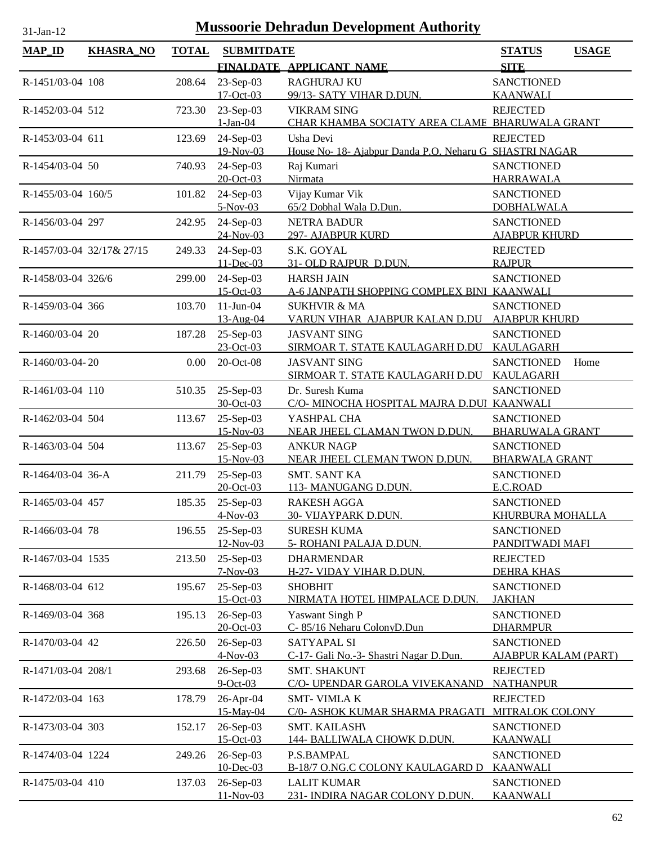| $31$ -Jan-1 |  |
|-------------|--|
|             |  |

| <b>MAP_ID</b>      | <b>KHASRA_NO</b>          | <b>TOTAL</b> | <b>SUBMITDATE</b>          | FINALDATE APPLICANT NAME                                             | <b>STATUS</b><br><b>SITE</b>                     | <b>USAGE</b> |
|--------------------|---------------------------|--------------|----------------------------|----------------------------------------------------------------------|--------------------------------------------------|--------------|
| R-1451/03-04 108   |                           | 208.64       | 23-Sep-03                  | <b>RAGHURAJ KU</b>                                                   | <b>SANCTIONED</b>                                |              |
|                    |                           |              | $17-Oct-03$                | 99/13- SATY VIHAR D.DUN.                                             | <b>KAANWALI</b>                                  |              |
| R-1452/03-04 512   |                           | 723.30       | 23-Sep-03<br>$1-Jan-04$    | <b>VIKRAM SING</b><br>CHAR KHAMBA SOCIATY AREA CLAME BHARUWALA GRANT | <b>REJECTED</b>                                  |              |
| R-1453/03-04 611   |                           | 123.69       | 24-Sep-03<br>19-Nov-03     | Usha Devi<br>House No- 18- Ajabpur Danda P.O. Neharu G SHASTRI NAGAR | <b>REJECTED</b>                                  |              |
| R-1454/03-04 50    |                           | 740.93       | 24-Sep-03<br>20-Oct-03     | Raj Kumari<br>Nirmata                                                | <b>SANCTIONED</b><br><b>HARRAWALA</b>            |              |
| R-1455/03-04 160/5 |                           | 101.82       | 24-Sep-03<br>$5-Nov-03$    | Vijay Kumar Vik<br>65/2 Dobhal Wala D.Dun.                           | <b>SANCTIONED</b><br><b>DOBHALWALA</b>           |              |
| R-1456/03-04 297   |                           | 242.95       | 24-Sep-03<br>24-Nov-03     | <b>NETRA BADUR</b><br>297- AJABPUR KURD                              | <b>SANCTIONED</b><br><b>AJABPUR KHURD</b>        |              |
|                    | R-1457/03-04 32/17& 27/15 | 249.33       | 24-Sep-03<br>$11 - Dec-03$ | S.K. GOYAL<br>31-OLD RAJPUR D.DUN.                                   | <b>REJECTED</b><br><b>RAJPUR</b>                 |              |
| R-1458/03-04 326/6 |                           | 299.00       | 24-Sep-03<br>$15$ -Oct-03  | <b>HARSH JAIN</b><br>A-6 JANPATH SHOPPING COMPLEX BINI KAANWALI      | <b>SANCTIONED</b>                                |              |
| R-1459/03-04 366   |                           | 103.70       | $11-Jun-04$<br>13-Aug-04   | <b>SUKHVIR &amp; MA</b><br>VARUN VIHAR AJABPUR KALAN D.DU            | <b>SANCTIONED</b><br><b>AJABPUR KHURD</b>        |              |
| R-1460/03-04 20    |                           | 187.28       | 25-Sep-03<br>23-Oct-03     | <b>JASVANT SING</b><br>SIRMOAR T. STATE KAULAGARH D.DU               | <b>SANCTIONED</b><br><b>KAULAGARH</b>            |              |
| R-1460/03-04-20    |                           | 0.00         | 20-Oct-08                  | <b>JASVANT SING</b><br>SIRMOAR T. STATE KAULAGARH D.DU               | <b>SANCTIONED</b><br>KAULAGARH                   | Home         |
| R-1461/03-04 110   |                           | 510.35       | 25-Sep-03<br>30-Oct-03     | Dr. Suresh Kuma<br>C/O- MINOCHA HOSPITAL MAJRA D.DUI KAANWALI        | <b>SANCTIONED</b>                                |              |
| R-1462/03-04 504   |                           | 113.67       | 25-Sep-03<br>15-Nov-03     | YASHPAL CHA<br>NEAR JHEEL CLAMAN TWON D.DUN.                         | <b>SANCTIONED</b><br><b>BHARUWALA GRANT</b>      |              |
| R-1463/03-04 504   |                           | 113.67       | 25-Sep-03<br>15-Nov-03     | <b>ANKUR NAGP</b><br>NEAR JHEEL CLEMAN TWON D.DUN.                   | <b>SANCTIONED</b><br><b>BHARWALA GRANT</b>       |              |
| R-1464/03-04 36-A  |                           | 211.79       | 25-Sep-03<br>20-Oct-03     | <b>SMT. SANT KA</b><br>113- MANUGANG D.DUN.                          | <b>SANCTIONED</b><br>E.C.ROAD                    |              |
| R-1465/03-04 457   |                           | 185.35       | 25-Sep-03<br>$4$ -Nov-03   | <b>RAKESH AGGA</b><br><u>30- VIJAYPARK D.DUN.</u>                    | <b>SANCTIONED</b><br><u>KHURBURA MOHALLA</u>     |              |
| R-1466/03-04 78    |                           | 196.55       | 25-Sep-03<br>12-Nov-03     | <b>SURESH KUMA</b><br>5- ROHANI PALAJA D.DUN.                        | <b>SANCTIONED</b><br>PANDITWADI MAFI             |              |
| R-1467/03-04 1535  |                           | 213.50       | 25-Sep-03<br>$7-Nov-03$    | <b>DHARMENDAR</b><br><b>H-27- VIDAY VIHAR D.DUN</b>                  | <b>REJECTED</b><br><b>DEHRA KHAS</b>             |              |
| R-1468/03-04 612   |                           | 195.67       | 25-Sep-03<br>15-Oct-03     | <b>SHOBHIT</b><br>NIRMATA HOTEL HIMPALACE D.DUN.                     | <b>SANCTIONED</b><br><b>JAKHAN</b>               |              |
| R-1469/03-04 368   |                           | 195.13       | 26-Sep-03<br>20-Oct-03     | Yaswant Singh P<br>C-85/16 Neharu ColonyD.Dun                        | <b>SANCTIONED</b><br><b>DHARMPUR</b>             |              |
| R-1470/03-04 42    |                           | 226.50       | 26-Sep-03<br>$4-Nov-03$    | <b>SATYAPAL SI</b><br>C-17- Gali No.-3- Shastri Nagar D.Dun.         | <b>SANCTIONED</b><br><u>AJABPUR KALAM (PART)</u> |              |
| R-1471/03-04 208/1 |                           | 293.68       | 26-Sep-03<br>$9$ -Oct-03   | <b>SMT. SHAKUNT</b><br>C/O- UPENDAR GAROLA VIVEKANAND                | <b>REJECTED</b><br><b>NATHANPUR</b>              |              |
| R-1472/03-04 163   |                           | 178.79       | 26-Apr-04<br>15-May-04     | <b>SMT- VIMLA K</b><br>C/0- ASHOK KUMAR SHARMA PRAGATI               | <b>REJECTED</b><br>MITRALOK COLONY               |              |
| R-1473/03-04 303   |                           | 152.17       | 26-Sep-03<br>15-Oct-03     | <b>SMT. KAILASHV</b><br>144- BALLIWALA CHOWK D.DUN.                  | <b>SANCTIONED</b><br><b>KAANWALI</b>             |              |
| R-1474/03-04 1224  |                           | 249.26       | 26-Sep-03<br>10-Dec-03     | P.S.BAMPAL<br>B-18/7 O.NG.C COLONY KAULAGARD D                       | <b>SANCTIONED</b><br><b>KAANWALI</b>             |              |
| R-1475/03-04 410   |                           | 137.03       | 26-Sep-03<br>$11-Nov-03$   | <b>LALIT KUMAR</b><br>231- INDIRA NAGAR COLONY D.DUN.                | <b>SANCTIONED</b><br><b>KAANWALI</b>             |              |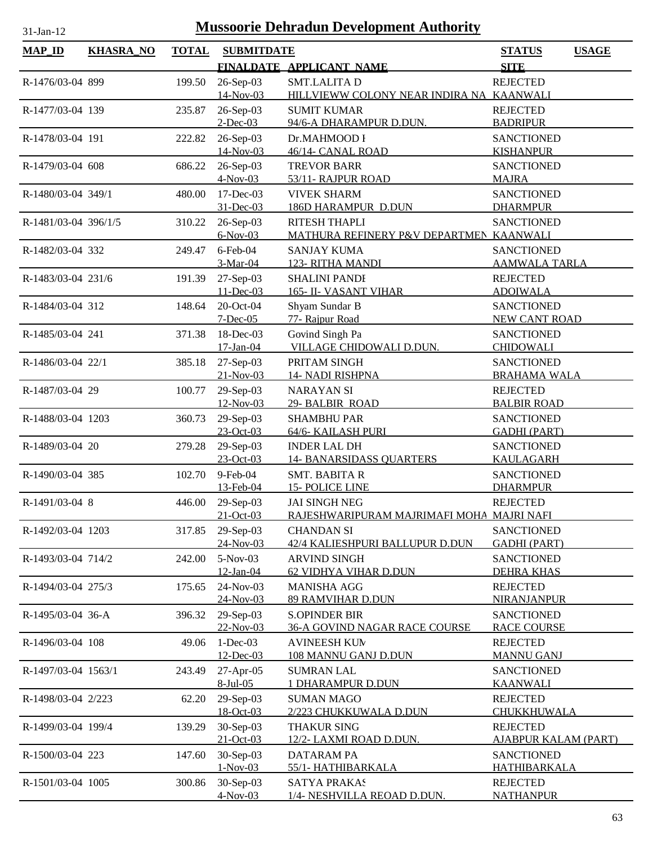| $MAP$ ID             | <b>KHASRA_NO</b> | <b>TOTAL</b> | <b>SUBMITDATE</b>          |                                                                   | <b>STATUS</b><br><b>USAGE</b><br><b>SITE</b> |
|----------------------|------------------|--------------|----------------------------|-------------------------------------------------------------------|----------------------------------------------|
|                      |                  |              |                            | FINALDATE APPLICANT NAME                                          |                                              |
| R-1476/03-04 899     |                  | 199.50       | 26-Sep-03                  | <b>SMT.LALITAD</b>                                                | <b>REJECTED</b>                              |
| R-1477/03-04 139     |                  | 235.87       | 14-Nov-03                  | HILLVIEWW COLONY NEAR INDIRA NA KAANWALI                          | <b>REJECTED</b>                              |
|                      |                  |              | 26-Sep-03<br>$2$ -Dec-03   | <b>SUMIT KUMAR</b><br>94/6-A DHARAMPUR D.DUN.                     | <b>BADRIPUR</b>                              |
| R-1478/03-04 191     |                  | 222.82       | 26-Sep-03                  | Dr.MAHMOOD I                                                      | <b>SANCTIONED</b>                            |
|                      |                  |              | 14-Nov-03                  | 46/14- CANAL ROAD                                                 | <b>KISHANPUR</b>                             |
| R-1479/03-04 608     |                  | 686.22       | 26-Sep-03                  | <b>TREVOR BARR</b>                                                | <b>SANCTIONED</b>                            |
|                      |                  |              | $4-Nov-03$                 | 53/11- RAJPUR ROAD                                                | <b>MAJRA</b>                                 |
| R-1480/03-04 349/1   |                  | 480.00       | 17-Dec-03                  | <b>VIVEK SHARM</b>                                                | <b>SANCTIONED</b>                            |
|                      |                  |              | 31-Dec-03                  | <b>186D HARAMPUR D.DUN</b>                                        | <b>DHARMPUR</b>                              |
| R-1481/03-04 396/1/5 |                  | 310.22       | 26-Sep-03                  | RITESH THAPLI                                                     | <b>SANCTIONED</b>                            |
|                      |                  |              | $6-Nov-03$                 | MATHURA REFINERY P&V DEPARTMEN KAANWALI                           |                                              |
| R-1482/03-04 332     |                  | 249.47       | $6$ -Feb-04                | <b>SANJAY KUMA</b>                                                | <b>SANCTIONED</b>                            |
|                      |                  |              | 3-Mar-04                   | 123- RITHA MANDI                                                  | <b>AAMWALA TARLA</b>                         |
| R-1483/03-04 231/6   |                  | 191.39       | 27-Sep-03                  | <b>SHALINI PANDI</b>                                              | <b>REJECTED</b>                              |
|                      |                  |              | $11 - Dec-03$<br>20-Oct-04 | <b>165- II- VASANT VIHAR</b>                                      | <b>ADOIWALA</b>                              |
| R-1484/03-04 312     |                  | 148.64       | $7 - Dec-05$               | Shyam Sundar B<br>77- Rajpur Road                                 | <b>SANCTIONED</b><br><b>NEW CANT ROAD</b>    |
| R-1485/03-04 241     |                  | 371.38       | 18-Dec-03                  | Govind Singh Pa                                                   | <b>SANCTIONED</b>                            |
|                      |                  |              | 17-Jan-04                  | VILLAGE CHIDOWALI D.DUN.                                          | <b>CHIDOWALI</b>                             |
| R-1486/03-04 22/1    |                  | 385.18       | 27-Sep-03                  | PRITAM SINGH                                                      | <b>SANCTIONED</b>                            |
|                      |                  |              | $21-Nov-03$                | <b>14- NADI RISHPNA</b>                                           | <b>BRAHAMA WALA</b>                          |
| R-1487/03-04 29      |                  | 100.77       | 29-Sep-03                  | <b>NARAYAN SI</b>                                                 | <b>REJECTED</b>                              |
|                      |                  |              | 12-Nov-03                  | 29- BALBIR ROAD                                                   | <b>BALBIR ROAD</b>                           |
| R-1488/03-04 1203    |                  | 360.73       | 29-Sep-03                  | <b>SHAMBHU PAR</b>                                                | <b>SANCTIONED</b>                            |
|                      |                  |              | 23-Oct-03                  | 64/6- KAILASH PURI                                                | <b>GADHI (PART)</b>                          |
| R-1489/03-04 20      |                  | 279.28       | 29-Sep-03                  | <b>INDER LAL DH</b>                                               | <b>SANCTIONED</b>                            |
|                      |                  |              | 23-Oct-03                  | <b>14- BANARSIDASS QUARTERS</b>                                   | <b>KAULAGARH</b>                             |
| R-1490/03-04 385     |                  | 102.70       | 9-Feb-04                   | <b>SMT. BABITA R</b>                                              | <b>SANCTIONED</b>                            |
|                      |                  |              | 13-Feb-04                  | <b>15- POLICE LINE</b>                                            | <b>DHARMPUR</b>                              |
| R-1491/03-04 8       |                  | 446.00       | $29-Sep-03$<br>21-Oct-03   | <b>JAI SINGH NEG</b><br>RAJESHWARIPURAM MAJRIMAFI MOHA MAJRI NAFI | <b>REJECTED</b>                              |
| R-1492/03-04 1203    |                  | 317.85       | 29-Sep-03                  | <b>CHANDAN SI</b>                                                 | <b>SANCTIONED</b>                            |
|                      |                  |              | 24-Nov-03                  | 42/4 KALIESHPURI BALLUPUR D.DUN                                   | <b>GADHI (PART)</b>                          |
| R-1493/03-04 714/2   |                  | 242.00       | 5-Nov-03                   | <b>ARVIND SINGH</b>                                               | <b>SANCTIONED</b>                            |
|                      |                  |              | 12-Jan-04                  | <b>62 VIDHYA VIHAR D.DUN</b>                                      | <b>DEHRA KHAS</b>                            |
| R-1494/03-04 275/3   |                  | 175.65       | 24-Nov-03                  | <b>MANISHA AGG</b>                                                | <b>REJECTED</b>                              |
|                      |                  |              | 24-Nov-03                  | <b>89 RAMVIHAR D.DUN</b>                                          | <b>NIRANJANPUR</b>                           |
| R-1495/03-04 36-A    |                  | 396.32       | 29-Sep-03                  | <b>S.OPINDER BIR</b>                                              | <b>SANCTIONED</b>                            |
|                      |                  |              | 22-Nov-03                  | <b>36-A GOVIND NAGAR RACE COURSE</b>                              | <b>RACE COURSE</b>                           |
| R-1496/03-04 108     |                  | 49.06        | $1-Dec-03$                 | <b>AVINEESH KUN</b>                                               | <b>REJECTED</b>                              |
|                      |                  |              | 12-Dec-03                  | 108 MANNU GANJ D.DUN                                              | <b>MANNU GANJ</b>                            |
| R-1497/03-04 1563/1  |                  | 243.49       | 27-Apr-05                  | <b>SUMRAN LAL</b>                                                 | <b>SANCTIONED</b>                            |
|                      |                  |              | $8$ -Jul-05                | <b>1 DHARAMPUR D.DUN</b>                                          | <b>KAANWALI</b>                              |
| R-1498/03-04 2/223   |                  | 62.20        | 29-Sep-03<br>18-Oct-03     | <b>SUMAN MAGO</b><br>2/223 CHUKKUWALA D.DUN                       | <b>REJECTED</b><br>CHUKKHUWALA               |
| R-1499/03-04 199/4   |                  | 139.29       | 30-Sep-03                  | <b>THAKUR SING</b>                                                | <b>REJECTED</b>                              |
|                      |                  |              | 21-Oct-03                  | 12/2-LAXMI ROAD D.DUN.                                            | <u>AJABPUR KALAM (PART)</u>                  |
| R-1500/03-04 223     |                  | 147.60       | 30-Sep-03                  | DATARAM PA                                                        | <b>SANCTIONED</b>                            |
|                      |                  |              | $1-Nov-03$                 | 55/1- HATHIBARKALA                                                | <b>HATHIBARKALA</b>                          |
| R-1501/03-04 1005    |                  | 300.86       | 30-Sep-03                  | <b>SATYA PRAKAS</b>                                               | <b>REJECTED</b>                              |
|                      |                  |              | $4-Nov-03$                 | 1/4- NESHVILLA REOAD D.DUN.                                       | <b>NATHANPUR</b>                             |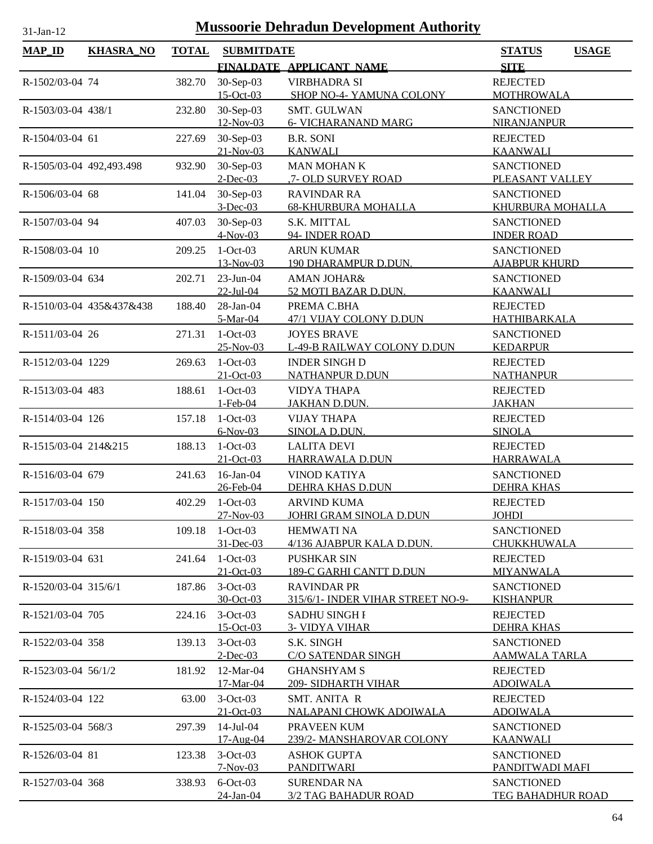| $MAP$ ID                 | <b>KHASRA_NO</b>         | <b>TOTAL</b> | <b>SUBMITDATE</b>            |                                                           | <b>STATUS</b><br><b>USAGE</b>             |
|--------------------------|--------------------------|--------------|------------------------------|-----------------------------------------------------------|-------------------------------------------|
|                          |                          |              |                              | FINALDATE APPLICANT NAME                                  | <b>SITE</b>                               |
| R-1502/03-04 74          |                          | 382.70       | 30-Sep-03                    | <b>VIRBHADRA SI</b>                                       | <b>REJECTED</b>                           |
| R-1503/03-04 438/1       |                          | 232.80       | $15$ -Oct-03<br>30-Sep-03    | SHOP NO-4- YAMUNA COLONY<br>SMT. GULWAN                   | <b>MOTHROWALA</b><br><b>SANCTIONED</b>    |
|                          |                          |              | 12-Nov-03                    | <b>6- VICHARANAND MARG</b>                                | NIRANJANPUR                               |
| R-1504/03-04 61          |                          | 227.69       | 30-Sep-03<br>$21 - Nov - 03$ | <b>B.R. SONI</b><br><b>KANWALI</b>                        | <b>REJECTED</b><br><b>KAANWALI</b>        |
| R-1505/03-04 492,493.498 |                          | 932.90       | 30-Sep-03<br>$2$ -Dec-03     | <b>MAN MOHAN K</b><br><u>,7- OLD SURVEY ROAD</u>          | <b>SANCTIONED</b><br>PLEASANT VALLEY      |
| R-1506/03-04 68          |                          | 141.04       | 30-Sep-03<br>$3-Dec-03$      | <b>RAVINDAR RA</b><br><b>68-KHURBURA MOHALLA</b>          | <b>SANCTIONED</b><br>KHURBURA MOHALLA     |
| R-1507/03-04 94          |                          | 407.03       | 30-Sep-03<br>$4-Nov-03$      | S.K. MITTAL<br>94- INDER ROAD                             | <b>SANCTIONED</b><br><b>INDER ROAD</b>    |
| R-1508/03-04 10          |                          | 209.25       | $1-Oct-03$                   | <b>ARUN KUMAR</b>                                         | <b>SANCTIONED</b>                         |
| R-1509/03-04 634         |                          | 202.71       | 13-Nov-03<br>$23-Jun-04$     | 190 DHARAMPUR D.DUN.<br><b>AMAN JOHAR&amp;</b>            | <b>AJABPUR KHURD</b><br><b>SANCTIONED</b> |
|                          | R-1510/03-04 435&437&438 | 188.40       | 22-Jul-04<br>28-Jan-04       | 52 MOTI BAZAR D.DUN.<br>PREMA C.BHA                       | <b>KAANWALI</b><br><b>REJECTED</b>        |
|                          |                          |              | 5-Mar-04                     | 47/1 VIJAY COLONY D.DUN                                   | <b>HATHIBARKALA</b>                       |
| R-1511/03-04 26          |                          | 271.31       | $1-Oct-03$<br>25-Nov-03      | <b>JOYES BRAVE</b><br>L-49-B RAILWAY COLONY D.DUN         | <b>SANCTIONED</b><br><b>KEDARPUR</b>      |
| R-1512/03-04 1229        |                          | 269.63       | $1-Oct-03$<br>$21-Oct-03$    | <b>INDER SINGH D</b><br><b>NATHANPUR D.DUN</b>            | <b>REJECTED</b><br><b>NATHANPUR</b>       |
| R-1513/03-04 483         |                          | 188.61       | $1-Oct-03$<br>1-Feb-04       | <b>VIDYA THAPA</b><br>JAKHAN D.DUN.                       | <b>REJECTED</b><br><b>JAKHAN</b>          |
| R-1514/03-04 126         |                          | 157.18       | $1-Oct-03$<br>$6-Nov-03$     | <b>VIJAY THAPA</b><br>SINOLA D.DUN.                       | <b>REJECTED</b><br><b>SINOLA</b>          |
| R-1515/03-04 214&215     |                          | 188.13       | $1-Oct-03$                   | <b>LALITA DEVI</b>                                        | <b>REJECTED</b>                           |
|                          |                          |              | $21-Oct-03$                  | HARRAWALA D.DUN                                           | <b>HARRAWALA</b>                          |
| R-1516/03-04 679         |                          | 241.63       | $16$ -Jan-04<br>26-Feb-04    | VINOD KATIYA<br>DEHRA KHAS D.DUN                          | <b>SANCTIONED</b><br><b>DEHRA KHAS</b>    |
| R-1517/03-04 150         |                          | 402.29       | $1-Oct-03$<br>27-Nov-03      | <b>ARVIND KUMA</b><br>JOHRI GRAM SINOLA D.DUN             | <b>REJECTED</b><br><b>JOHDI</b>           |
| R-1518/03-04 358         |                          | 109.18       | $1-Oct-03$<br>31-Dec-03      | <b>HEMWATI NA</b><br>4/136 AJABPUR KALA D.DUN.            | <b>SANCTIONED</b><br><b>CHUKKHUWALA</b>   |
| R-1519/03-04 631         |                          | 241.64       | $1-Oct-03$                   | <b>PUSHKAR SIN</b>                                        | <b>REJECTED</b>                           |
| R-1520/03-04 315/6/1     |                          | 187.86       | $21-Oct-03$<br>$3-Oct-03$    | 189-C GARHI CANTT D.DUN<br><b>RAVINDAR PR</b>             | MIYANWALA<br><b>SANCTIONED</b>            |
| R-1521/03-04 705         |                          | 224.16       | 30-Oct-03<br>$3-Oct-03$      | 315/6/1- INDER VIHAR STREET NO-9-<br><b>SADHU SINGH I</b> | <b>KISHANPUR</b><br><b>REJECTED</b>       |
| R-1522/03-04 358         |                          | 139.13       | 15-Oct-03<br>$3-Oct-03$      | <b>3- VIDYA VIHAR</b><br>S.K. SINGH                       | <b>DEHRA KHAS</b><br><b>SANCTIONED</b>    |
|                          |                          |              | $2$ -Dec-03                  | <b>C/O SATENDAR SINGH</b>                                 | <b>AAMWALA TARLA</b>                      |
| R-1523/03-04 56/1/2      |                          | 181.92       | 12-Mar-04<br>17-Mar-04       | <b>GHANSHYAM S</b><br>209- SIDHARTH VIHAR                 | <b>REJECTED</b><br><b>ADOIWALA</b>        |
| R-1524/03-04 122         |                          | 63.00        | $3-Oct-03$<br>$21-Oct-03$    | <b>SMT. ANITA R</b><br>NALAPANI CHOWK ADOIWALA            | <b>REJECTED</b><br><b>ADOIWALA</b>        |
| R-1525/03-04 568/3       |                          | 297.39       | 14-Jul-04<br>$17 - Aug-04$   | PRAVEEN KUM<br>239/2- MANSHAROVAR COLONY                  | <b>SANCTIONED</b><br><b>KAANWALI</b>      |
| R-1526/03-04 81          |                          | 123.38       | $3-Oct-03$<br>$7-Nov-03$     | <b>ASHOK GUPTA</b><br><b>PANDITWARI</b>                   | <b>SANCTIONED</b><br>PANDITWADI MAFI      |
| R-1527/03-04 368         |                          | 338.93       | $6$ -Oct-03<br>24-Jan-04     | <b>SURENDAR NA</b><br><b>3/2 TAG BAHADUR ROAD</b>         | <b>SANCTIONED</b><br>TEG BAHADHUR ROAD    |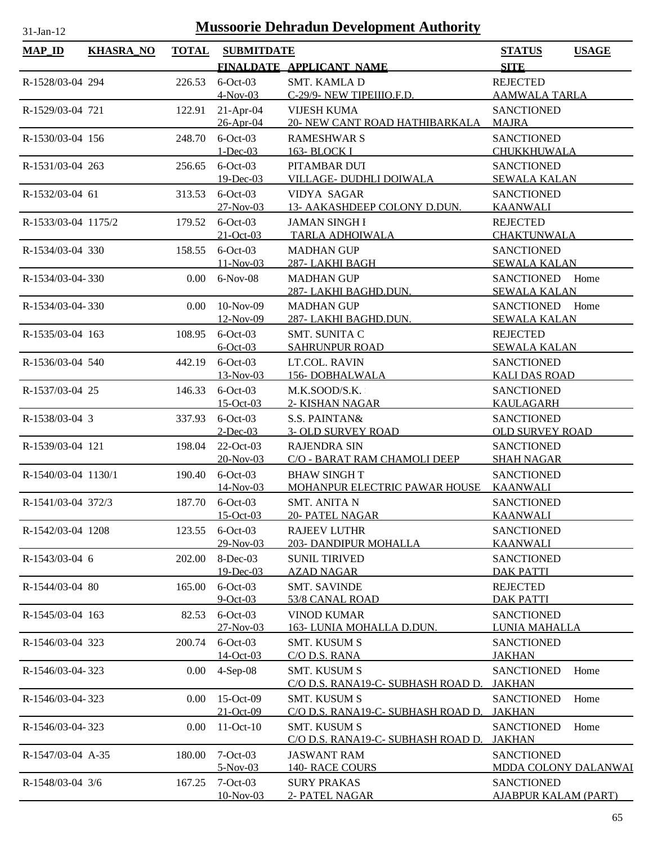| <b>MAP_ID</b>       | <b>KHASRA_NO</b> | <b>TOTAL</b> | <b>SUBMITDATE</b>          |                                                           | <b>STATUS</b><br><b>USAGE</b>              |
|---------------------|------------------|--------------|----------------------------|-----------------------------------------------------------|--------------------------------------------|
|                     |                  |              |                            | FINALDATE APPLICANT NAME                                  | <b>SITE</b>                                |
| R-1528/03-04 294    |                  | 226.53       | $6$ -Oct-03                | <b>SMT. KAMLA D</b>                                       | <b>REJECTED</b>                            |
|                     |                  |              | $4-Nov-03$                 | C-29/9- NEW TIPEIIIO.F.D.                                 | <b>AAMWALA TARLA</b>                       |
| R-1529/03-04 721    |                  | 122.91       | $21-Apr-04$                | <b>VIJESH KUMA</b>                                        | <b>SANCTIONED</b>                          |
|                     |                  |              | 26-Apr-04                  | 20- NEW CANT ROAD HATHIBARKALA                            | <b>MAJRA</b>                               |
| R-1530/03-04 156    |                  | 248.70       | $6$ -Oct-03                | <b>RAMESHWAR S</b>                                        | <b>SANCTIONED</b>                          |
|                     |                  |              | $1 - Dec-03$               | <b>163- BLOCK I</b>                                       | CHUKKHUWALA                                |
| R-1531/03-04 263    |                  | 256.65       | $6$ -Oct-03                | PITAMBAR DUT                                              | <b>SANCTIONED</b>                          |
|                     |                  |              | 19-Dec-03                  | VILLAGE-DUDHLI DOIWALA                                    | <b>SEWALA KALAN</b>                        |
| R-1532/03-04 61     |                  | 313.53       | $6$ -Oct-03                | VIDYA SAGAR                                               | <b>SANCTIONED</b>                          |
|                     |                  |              | 27-Nov-03                  | 13- AAKASHDEEP COLONY D.DUN.                              | <b>KAANWALI</b>                            |
| R-1533/03-04 1175/2 |                  | 179.52       | $6$ -Oct-03                | <b>JAMAN SINGH I</b>                                      | <b>REJECTED</b>                            |
|                     |                  |              | $21-Oct-03$<br>$6$ -Oct-03 | <b>TARLA ADHOIWALA</b><br><b>MADHAN GUP</b>               | CHAKTUNWALA                                |
| R-1534/03-04 330    |                  | 158.55       | $11-Nov-03$                | 287-LAKHI BAGH                                            | <b>SANCTIONED</b><br><b>SEWALA KALAN</b>   |
| R-1534/03-04-330    |                  | $0.00\,$     | 6-Nov-08                   | <b>MADHAN GUP</b>                                         | SANCTIONED Home                            |
|                     |                  |              |                            | 287-LAKHI BAGHD.DUN.                                      | <b>SEWALA KALAN</b>                        |
| R-1534/03-04-330    |                  | $0.00\,$     | $10-Nov-09$                | <b>MADHAN GUP</b>                                         | SANCTIONED Home                            |
|                     |                  |              | $12-Nov-09$                | 287-LAKHI BAGHD.DUN.                                      | <b>SEWALA KALAN</b>                        |
| R-1535/03-04 163    |                  | 108.95       | $6$ -Oct-03                | SMT. SUNITA C                                             | <b>REJECTED</b>                            |
|                     |                  |              | $6$ -Oct-03                | <b>SAHRUNPUR ROAD</b>                                     | <b>SEWALA KALAN</b>                        |
| R-1536/03-04 540    |                  | 442.19       | $6$ -Oct-03                | LT.COL. RAVIN                                             | <b>SANCTIONED</b>                          |
|                     |                  |              | 13-Nov-03                  | <b>156-DOBHALWALA</b>                                     | <b>KALI DAS ROAD</b>                       |
| R-1537/03-04 25     |                  | 146.33       | $6$ -Oct-03                | M.K.SOOD/S.K.                                             | <b>SANCTIONED</b>                          |
|                     |                  |              | 15-Oct-03                  | 2- KISHAN NAGAR                                           | <b>KAULAGARH</b>                           |
| R-1538/03-04 3      |                  | 337.93       | $6$ -Oct-03                | S.S. PAINTAN&                                             | <b>SANCTIONED</b>                          |
|                     |                  |              | $2$ -Dec-03                | <b>3- OLD SURVEY ROAD</b>                                 | <b>OLD SURVEY ROAD</b>                     |
| R-1539/03-04 121    |                  | 198.04       | 22-Oct-03                  | <b>RAJENDRA SIN</b>                                       | <b>SANCTIONED</b>                          |
|                     |                  |              | 20-Nov-03                  | C/O - BARAT RAM CHAMOLI DEEP                              | <b>SHAH NAGAR</b>                          |
| R-1540/03-04 1130/1 |                  | 190.40       | $6$ -Oct-03<br>14-Nov-03   | <b>BHAW SINGHT</b><br>MOHANPUR ELECTRIC PAWAR HOUSE       | <b>SANCTIONED</b>                          |
|                     |                  |              | 187.70 6-Oct-03            |                                                           | <b>KAANWALI</b><br><b>SANCTIONED</b>       |
| R-1541/03-04 372/3  |                  |              | 15-Oct-03                  | <b>SMT. ANITA N</b><br>20- PATEL NAGAR                    | <b>KAANWALI</b>                            |
| R-1542/03-04 1208   |                  | 123.55       | $6$ -Oct-03                | <b>RAJEEV LUTHR</b>                                       | <b>SANCTIONED</b>                          |
|                     |                  |              | 29-Nov-03                  | 203- DANDIPUR MOHALLA                                     | <b>KAANWALI</b>                            |
| R-1543/03-04 6      |                  | 202.00       | 8-Dec-03                   | <b>SUNIL TIRIVED</b>                                      | <b>SANCTIONED</b>                          |
|                     |                  |              | 19-Dec-03                  | <b>AZAD NAGAR</b>                                         | <b>DAK PATTI</b>                           |
| R-1544/03-04 80     |                  | 165.00       | $6$ -Oct-03                | <b>SMT. SAVINDE</b>                                       | <b>REJECTED</b>                            |
|                     |                  |              | $9-Oct-03$                 | 53/8 CANAL ROAD                                           | <b>DAK PATTI</b>                           |
| R-1545/03-04 163    |                  | 82.53        | $6$ -Oct-03                | <b>VINOD KUMAR</b>                                        | <b>SANCTIONED</b>                          |
|                     |                  |              | 27-Nov-03                  | 163- LUNIA MOHALLA D.DUN.                                 | LUNIA MAHALLA                              |
| R-1546/03-04 323    |                  | 200.74       | $6$ -Oct-03                | SMT. KUSUM S                                              | <b>SANCTIONED</b>                          |
|                     |                  |              | 14-Oct-03                  | C/O D.S. RANA                                             | <b>JAKHAN</b>                              |
| R-1546/03-04-323    |                  | 0.00         | $4-Sep-08$                 | <b>SMT. KUSUM S</b>                                       | <b>SANCTIONED</b><br>Home                  |
|                     |                  |              |                            | C/O D.S. RANA19-C- SUBHASH ROAD D.                        | <u>JAKHAN</u>                              |
| R-1546/03-04-323    |                  | 0.00         | 15-Oct-09<br>21-Oct-09     | <b>SMT. KUSUM S</b><br>C/O D.S. RANA19-C- SUBHASH ROAD D. | <b>SANCTIONED</b><br>Home                  |
|                     |                  |              |                            |                                                           | <b>JAKHAN</b>                              |
| R-1546/03-04-323    |                  | 0.00         | $11-Oct-10$                | <b>SMT. KUSUM S</b><br>C/O D.S. RANA19-C- SUBHASH ROAD D. | Home<br><b>SANCTIONED</b><br><b>JAKHAN</b> |
| R-1547/03-04 A-35   |                  | 180.00       | $7 - Oct - 03$             | <b>JASWANT RAM</b>                                        | <b>SANCTIONED</b>                          |
|                     |                  |              | $5-Nov-03$                 | 140-RACE COURS                                            | <b>MDDA COLONY DALANWAI</b>                |
| R-1548/03-04 3/6    |                  | 167.25       | $7-Oct-03$                 | <b>SURY PRAKAS</b>                                        | <b>SANCTIONED</b>                          |
|                     |                  |              | 10-Nov-03                  | 2- PATEL NAGAR                                            | <b>AJABPUR KALAM (PART)</b>                |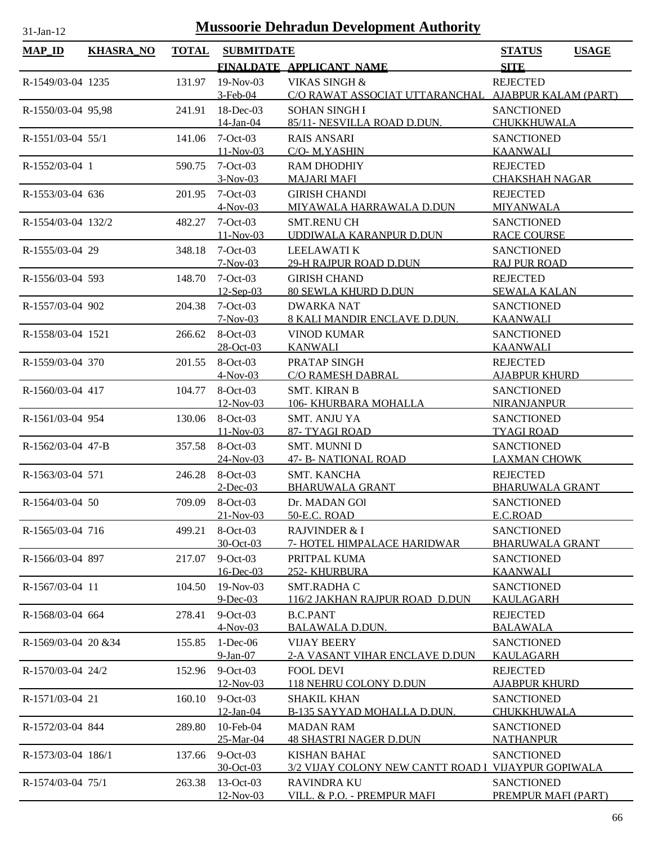| <b>MAP_ID</b>        | KHASRA_NO | <b>TOTAL</b> | <b>SUBMITDATE</b>          |                                                     | <b>STATUS</b>                           | <b>USAGE</b> |
|----------------------|-----------|--------------|----------------------------|-----------------------------------------------------|-----------------------------------------|--------------|
|                      |           |              |                            | FINALDATE APPLICANT NAME                            | <b>SITE</b>                             |              |
| R-1549/03-04 1235    |           | 131.97       | $19-Nov-03$                | VIKAS SINGH &                                       | <b>REJECTED</b>                         |              |
|                      |           |              | $3$ -Feb-04                | C/O RAWAT ASSOCIAT UTTARANCHAL AJABPUR KALAM (PART) |                                         |              |
| R-1550/03-04 95,98   |           | 241.91       | $18$ -Dec-03               | <b>SOHAN SINGH I</b>                                | <b>SANCTIONED</b>                       |              |
|                      |           |              | 14-Jan-04                  | 85/11- NESVILLA ROAD D.DUN.                         | <b>CHUKKHUWALA</b>                      |              |
| R-1551/03-04 55/1    |           | 141.06       | $7-Oct-03$                 | <b>RAIS ANSARI</b>                                  | <b>SANCTIONED</b>                       |              |
|                      |           |              | $11-Nov-03$                | C/O- M.YASHIN                                       | <b>KAANWALI</b>                         |              |
| R-1552/03-04 1       |           | 590.75       | $7-Oct-03$                 | <b>RAM DHODHIY</b>                                  | <b>REJECTED</b>                         |              |
|                      |           |              | $3-Nov-03$                 | <b>MAJARI MAFI</b>                                  | <b>CHAKSHAH NAGAR</b>                   |              |
| R-1553/03-04 636     |           | 201.95       | $7-Oct-03$<br>$4-Nov-03$   | <b>GIRISH CHANDI</b><br>MIYAWALA HARRAWALA D.DUN    | <b>REJECTED</b><br><b>MIYANWALA</b>     |              |
| R-1554/03-04 132/2   |           | 482.27       | $7-Oct-03$                 | <b>SMT.RENU CH</b>                                  | <b>SANCTIONED</b>                       |              |
|                      |           |              | $11-Nov-03$                | UDDIWALA KARANPUR D.DUN                             | <b>RACE COURSE</b>                      |              |
| R-1555/03-04 29      |           | 348.18       | $7-Oct-03$                 | <b>LEELAWATI K</b>                                  | <b>SANCTIONED</b>                       |              |
|                      |           |              | $7-Nov-03$                 | 29-H RAJPUR ROAD D.DUN                              | <b>RAJ PUR ROAD</b>                     |              |
| R-1556/03-04 593     |           | 148.70       | $7-Oct-03$                 | <b>GIRISH CHAND</b>                                 | <b>REJECTED</b>                         |              |
|                      |           |              | $12-$ Sep-03               | <b>80 SEWLA KHURD D.DUN</b>                         | <b>SEWALA KALAN</b>                     |              |
| R-1557/03-04 902     |           | 204.38       | $7-Oct-03$                 | <b>DWARKA NAT</b>                                   | <b>SANCTIONED</b>                       |              |
|                      |           |              | $7-Nov-03$                 | 8 KALI MANDIR ENCLAVE D.DUN.                        | <b>KAANWALI</b>                         |              |
| R-1558/03-04 1521    |           | 266.62       | 8-Oct-03                   | <b>VINOD KUMAR</b>                                  | <b>SANCTIONED</b>                       |              |
|                      |           |              | 28-Oct-03                  | <b>KANWALI</b>                                      | <b>KAANWALI</b>                         |              |
| R-1559/03-04 370     |           | 201.55       | 8-Oct-03                   | PRATAP SINGH                                        | <b>REJECTED</b>                         |              |
|                      |           |              | $4-Nov-03$                 | C/O RAMESH DABRAL                                   | <b>AJABPUR KHURD</b>                    |              |
| R-1560/03-04 417     |           | 104.77       | $8-Oct-03$                 | <b>SMT. KIRAN B</b>                                 | <b>SANCTIONED</b>                       |              |
| R-1561/03-04 954     |           |              | $12-Nov-03$<br>8-Oct-03    | 106- KHURBARA MOHALLA<br><b>SMT. ANJU YA</b>        | <b>NIRANJANPUR</b><br><b>SANCTIONED</b> |              |
|                      |           | 130.06       | $11-Nov-03$                | 87- TYAGI ROAD                                      | <b>TYAGI ROAD</b>                       |              |
| R-1562/03-04 47-B    |           | 357.58       | 8-Oct-03                   | <b>SMT. MUNNI D</b>                                 | <b>SANCTIONED</b>                       |              |
|                      |           |              | 24-Nov-03                  | <b>47- B- NATIONAL ROAD</b>                         | <b>LAXMAN CHOWK</b>                     |              |
| R-1563/03-04 571     |           | 246.28       | 8-Oct-03                   | SMT. KANCHA                                         | <b>REJECTED</b>                         |              |
|                      |           |              | $2$ -Dec-03                | <b>BHARUWALA GRANT</b>                              | <b>BHARUWALA GRANT</b>                  |              |
| R-1564/03-04 50      |           |              | 709.09 8-Oct-03            | Dr. MADAN GOI                                       | <b>SANCTIONED</b>                       |              |
|                      |           |              | $21-Nov-03$                | 50-E.C. ROAD                                        | E.C.ROAD                                |              |
| R-1565/03-04 716     |           | 499.21       | $8-Oct-03$                 | <b>RAJVINDER &amp; I</b>                            | <b>SANCTIONED</b>                       |              |
|                      |           |              | 30-Oct-03                  | 7- HOTEL HIMPALACE HARIDWAR                         | <b>BHARUWALA GRANT</b>                  |              |
| R-1566/03-04 897     |           | 217.07       | $9-Oct-03$                 | PRITPAL KUMA                                        | <b>SANCTIONED</b>                       |              |
|                      |           |              | 16-Dec-03                  | 252- KHURBURA                                       | <b>KAANWALI</b>                         |              |
| R-1567/03-04 11      |           | 104.50       | $19-Nov-03$                | <b>SMT.RADHA C</b>                                  | <b>SANCTIONED</b>                       |              |
|                      |           |              | $9$ -Dec-03                | 116/2 JAKHAN RAJPUR ROAD D.DUN                      | <b>KAULAGARH</b>                        |              |
| R-1568/03-04 664     |           | 278.41       | $9$ -Oct-03<br>$4$ -Nov-03 | <b>B.C.PANT</b><br><u>BALAWALA D.DUN.</u>           | <b>REJECTED</b><br><b>BALAWALA</b>      |              |
| R-1569/03-04 20 & 34 |           | 155.85       | $1-Dec-06$                 | <b>VIJAY BEERY</b>                                  | <b>SANCTIONED</b>                       |              |
|                      |           |              | 9-Jan-07                   | 2-A VASANT VIHAR ENCLAVE D.DUN                      | <b>KAULAGARH</b>                        |              |
| R-1570/03-04 24/2    |           | 152.96       | $9$ -Oct-03                | FOOL DEVI                                           | REJECTED                                |              |
|                      |           |              | 12-Nov-03                  | 118 NEHRU COLONY D.DUN                              | <b>AJABPUR KHURD</b>                    |              |
| R-1571/03-04 21      |           | 160.10       | $9$ -Oct-03                | <b>SHAKIL KHAN</b>                                  | <b>SANCTIONED</b>                       |              |
|                      |           |              | 12-Jan-04                  | B-135 SAYYAD MOHALLA D.DUN.                         | CHUKKHUWALA                             |              |
| R-1572/03-04 844     |           | 289.80       | 10-Feb-04                  | <b>MADAN RAM</b>                                    | <b>SANCTIONED</b>                       |              |
|                      |           |              | 25-Mar-04                  | <b>48 SHASTRI NAGER D.DUN</b>                       | <b>NATHANPUR</b>                        |              |
| R-1573/03-04 186/1   |           | 137.66       | $9$ -Oct-03                | <b>KISHAN BAHAL</b>                                 | <b>SANCTIONED</b>                       |              |
|                      |           |              | 30-Oct-03                  | 3/2 VIJAY COLONY NEW CANTT ROAD I VIJAYPUR GOPIWALA |                                         |              |
| R-1574/03-04 75/1    |           | 263.38       | 13-Oct-03                  | <b>RAVINDRA KU</b>                                  | <b>SANCTIONED</b>                       |              |
|                      |           |              | 12-Nov-03                  | <u>VILL. &amp; P.O. - PREMPUR MAFI</u>              | PREMPUR MAFI (PART)                     |              |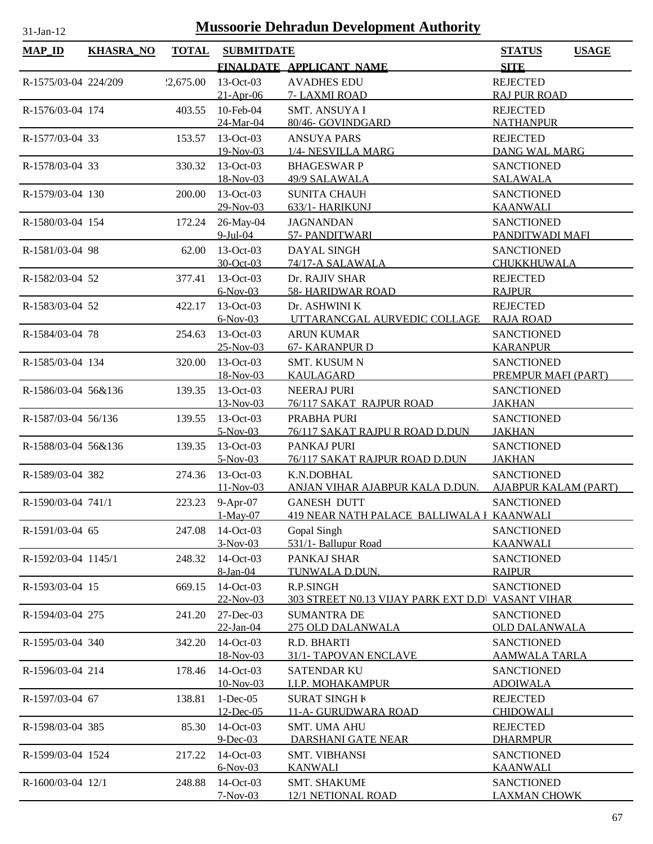| $MAP_ID$             | <b>KHASRA_NO</b> | <b>TOTAL</b> | <b>SUBMITDATE</b>        |                                                  | <b>STATUS</b>                            | <b>USAGE</b> |
|----------------------|------------------|--------------|--------------------------|--------------------------------------------------|------------------------------------------|--------------|
|                      |                  |              |                          | FINALDATE APPLICANT NAME                         | <b>SITE</b>                              |              |
| R-1575/03-04 224/209 |                  | 2,675.00     | $13-Oct-03$              | <b>AVADHES EDU</b>                               | <b>REJECTED</b>                          |              |
|                      |                  |              | $21-Apr-06$              | 7- LAXMI ROAD                                    | <b>RAJ PUR ROAD</b>                      |              |
| R-1576/03-04 174     |                  | 403.55       | 10-Feb-04                | <b>SMT. ANSUYA I</b>                             | <b>REJECTED</b>                          |              |
|                      |                  |              | 24-Mar-04                | 80/46- GOVINDGARD                                | <b>NATHANPUR</b>                         |              |
| R-1577/03-04 33      |                  | 153.57       | $13-Oct-03$              | <b>ANSUYA PARS</b>                               | <b>REJECTED</b>                          |              |
|                      |                  |              | 19-Nov-03                | 1/4- NESVILLA MARG                               | DANG WAL MARG                            |              |
| R-1578/03-04 33      |                  | 330.32       | $13-Oct-03$              | <b>BHAGESWAR P</b>                               | <b>SANCTIONED</b>                        |              |
|                      |                  |              | 18-Nov-03                | 49/9 SALAWALA                                    | <b>SALAWALA</b>                          |              |
| R-1579/03-04 130     |                  | 200.00       | $13-Oct-03$              | <b>SUNITA CHAUH</b>                              | <b>SANCTIONED</b>                        |              |
|                      |                  |              | 29-Nov-03                | 633/1- HARIKUNJ                                  | <b>KAANWALI</b>                          |              |
| R-1580/03-04 154     |                  | 172.24       | 26-May-04                | <b>JAGNANDAN</b>                                 | <b>SANCTIONED</b>                        |              |
|                      |                  |              | $9$ -Jul-04              | 57- PANDITWARI                                   | PANDITWADI MAFI                          |              |
| R-1581/03-04 98      |                  | 62.00        | 13-Oct-03                | DAYAL SINGH                                      | <b>SANCTIONED</b>                        |              |
|                      |                  |              | 30-Oct-03                | 74/17-A SALAWALA                                 | <b>CHUKKHUWALA</b>                       |              |
| R-1582/03-04 52      |                  | 377.41       | 13-Oct-03                | Dr. RAJIV SHAR                                   | <b>REJECTED</b>                          |              |
|                      |                  |              | $6-Nov-03$               | <b>58- HARIDWAR ROAD</b>                         | <b>RAJPUR</b>                            |              |
| R-1583/03-04 52      |                  | 422.17       | $13-Oct-03$              | Dr. ASHWINI K                                    | <b>REJECTED</b>                          |              |
|                      |                  |              | $6-Nov-03$               | UTTARANCGAL AURVEDIC COLLAGE                     | <b>RAJA ROAD</b>                         |              |
| R-1584/03-04 78      |                  | 254.63       | $13-Oct-03$<br>25-Nov-03 | <b>ARUN KUMAR</b>                                | <b>SANCTIONED</b>                        |              |
|                      |                  |              | 13-Oct-03                | 67- KARANPUR D                                   | <b>KARANPUR</b>                          |              |
| R-1585/03-04 134     |                  | 320.00       | 18-Nov-03                | <b>SMT. KUSUM N</b><br><b>KAULAGARD</b>          | <b>SANCTIONED</b><br>PREMPUR MAFI (PART) |              |
| R-1586/03-04 56&136  |                  | 139.35       | $13-Oct-03$              | <b>NEERAJ PURI</b>                               | <b>SANCTIONED</b>                        |              |
|                      |                  |              | 13-Nov-03                | 76/117 SAKAT RAJPUR ROAD                         | <b>JAKHAN</b>                            |              |
| R-1587/03-04 56/136  |                  | 139.55       | $13-Oct-03$              | PRABHA PURI                                      | <b>SANCTIONED</b>                        |              |
|                      |                  |              | $5-Nov-03$               | 76/117 SAKAT RAJPU R ROAD D.DUN                  | <b>JAKHAN</b>                            |              |
| R-1588/03-04 56&136  |                  | 139.35       | 13-Oct-03                | PANKAJ PURI                                      | <b>SANCTIONED</b>                        |              |
|                      |                  |              | $5-Nov-03$               | 76/117 SAKAT RAJPUR ROAD D.DUN                   | <b>JAKHAN</b>                            |              |
| R-1589/03-04 382     |                  | 274.36       | $13-Oct-03$              | K.N.DOBHAL                                       | <b>SANCTIONED</b>                        |              |
|                      |                  |              | $11-Nov-03$              | ANJAN VIHAR AJABPUR KALA D.DUN.                  | <b>AJABPUR KALAM (PART)</b>              |              |
| R-1590/03-04 741/1   |                  |              | 223.23 9-Apr-07          | <b>GANESH DUTT</b>                               | <b>SANCTIONED</b>                        |              |
|                      |                  |              | $1-May-07$               | 419 NEAR NATH PALACE BALLIWALA I KAANWALI        |                                          |              |
| R-1591/03-04 65      |                  | 247.08       | 14-Oct-03                | Gopal Singh                                      | <b>SANCTIONED</b>                        |              |
|                      |                  |              | $3-Nov-03$               | 531/1- Ballupur Road                             | <b>KAANWALI</b>                          |              |
| R-1592/03-04 1145/1  |                  | 248.32       | 14-Oct-03                | PANKAJ SHAR                                      | <b>SANCTIONED</b>                        |              |
|                      |                  |              | 8-Jan-04                 | TUNWALA D.DUN.                                   | <b>RAIPUR</b>                            |              |
| R-1593/03-04 15      |                  | 669.15       | 14-Oct-03                | R.P.SINGH                                        | <b>SANCTIONED</b>                        |              |
|                      |                  |              | 22-Nov-03                | 303 STREET N0.13 VIJAY PARK EXT D.D VASANT VIHAR |                                          |              |
| R-1594/03-04 275     |                  | 241.20       | 27-Dec-03                | <b>SUMANTRA DE</b>                               | <b>SANCTIONED</b>                        |              |
|                      |                  |              | $22$ -Jan-04             | 275 OLD DALANWALA                                | <b>OLD DALANWALA</b>                     |              |
| R-1595/03-04 340     |                  | 342.20       | 14-Oct-03                | R.D. BHARTI                                      | <b>SANCTIONED</b>                        |              |
|                      |                  |              | 18-Nov-03                | 31/1- TAPOVAN ENCLAVE                            | <b>AAMWALA TARLA</b>                     |              |
| R-1596/03-04 214     |                  | 178.46       | 14-Oct-03<br>10-Nov-03   | <b>SATENDAR KU</b><br><u>I.I.P. MOHAKAMPUR</u>   | <b>SANCTIONED</b><br><b>ADOIWALA</b>     |              |
|                      |                  |              | $1 - Dec-05$             | <b>SURAT SINGH K</b>                             | <b>REJECTED</b>                          |              |
| R-1597/03-04 67      |                  | 138.81       | 12-Dec-05                | 11-A- GURUDWARA ROAD                             | <b>CHIDOWALI</b>                         |              |
| R-1598/03-04 385     |                  | 85.30        | 14-Oct-03                | <b>SMT. UMA AHU</b>                              | <b>REJECTED</b>                          |              |
|                      |                  |              | $9$ -Dec-03              | DARSHANI GATE NEAR                               | <b>DHARMPUR</b>                          |              |
| R-1599/03-04 1524    |                  | 217.22       | 14-Oct-03                | <b>SMT. VIBHANSI</b>                             | <b>SANCTIONED</b>                        |              |
|                      |                  |              | $6-Nov-03$               | <b>KANWALI</b>                                   | <b>KAANWALI</b>                          |              |
| R-1600/03-04 12/1    |                  | 248.88       | 14-Oct-03                | <b>SMT. SHAKUME</b>                              | <b>SANCTIONED</b>                        |              |
|                      |                  |              | $7-Nov-03$               | <b>12/1 NETIONAL ROAD</b>                        | <b>LAXMAN CHOWK</b>                      |              |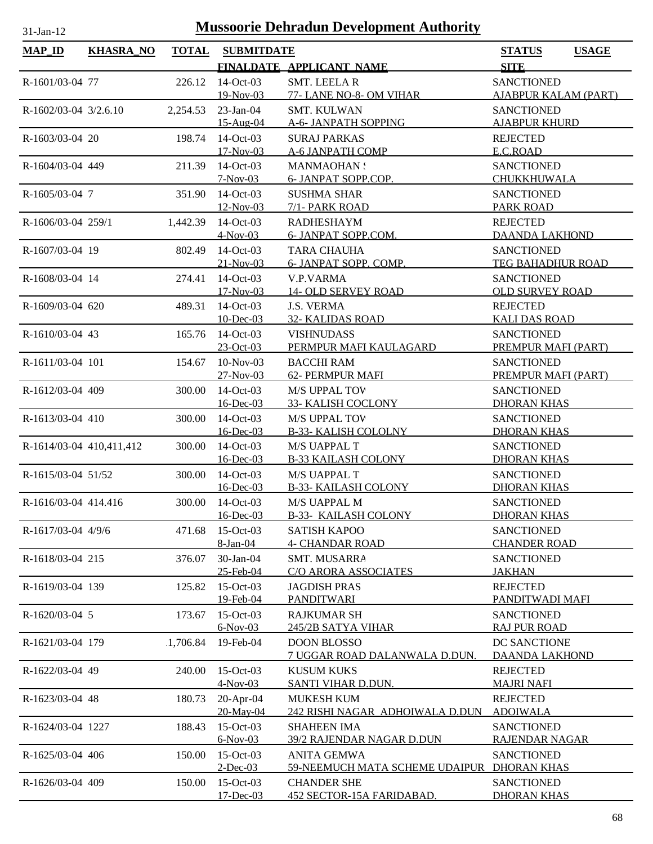| <b>MAP_ID</b>            | <b>KHASRA_NO</b> | <b>TOTAL</b> | <b>SUBMITDATE</b>          |                                                | <b>STATUS</b><br><b>USAGE</b>               |
|--------------------------|------------------|--------------|----------------------------|------------------------------------------------|---------------------------------------------|
|                          |                  |              |                            | FINALDATE APPLICANT NAME                       | <b>SITE</b>                                 |
| R-1601/03-04 77          |                  | 226.12       | 14-Oct-03                  | <b>SMT. LEELAR</b>                             | <b>SANCTIONED</b>                           |
|                          |                  |              | 19-Nov-03                  | 77- LANE NO-8- OM VIHAR                        | <b>AJABPUR KALAM (PART)</b>                 |
| $R-1602/03-04$ 3/2.6.10  |                  | 2,254.53     | $23$ -Jan-04               | <b>SMT. KULWAN</b>                             | <b>SANCTIONED</b>                           |
|                          |                  |              | 15-Aug-04                  | A-6- JANPATH SOPPING                           | <b>AJABPUR KHURD</b>                        |
| R-1603/03-04 20          |                  | 198.74       | 14-Oct-03                  | <b>SURAJ PARKAS</b>                            | <b>REJECTED</b>                             |
|                          |                  |              | 17-Nov-03                  | A-6 JANPATH COMP                               | E.C.ROAD                                    |
| R-1604/03-04 449         |                  | 211.39       | $14-Oct-03$                | <b>MANMAOHAN:</b>                              | <b>SANCTIONED</b>                           |
|                          |                  |              | $7-Nov-03$                 | 6- JANPAT SOPP.COP.                            | CHUKKHUWALA                                 |
| R-1605/03-04 7           |                  | 351.90       | 14-Oct-03                  | <b>SUSHMA SHAR</b>                             | <b>SANCTIONED</b>                           |
|                          |                  |              | 12-Nov-03                  | 7/1- PARK ROAD                                 | <b>PARK ROAD</b>                            |
| R-1606/03-04 259/1       |                  | 1,442.39     | 14-Oct-03                  | <b>RADHESHAYM</b>                              | <b>REJECTED</b>                             |
|                          |                  |              | $4-Nov-03$                 | 6- JANPAT SOPP.COM.                            | <b>DAANDA LAKHOND</b>                       |
| R-1607/03-04 19          |                  | 802.49       | 14-Oct-03                  | <b>TARA CHAUHA</b>                             | <b>SANCTIONED</b>                           |
|                          |                  |              | $21-Nov-03$                | 6- JANPAT SOPP. COMP.                          | <b>TEG BAHADHUR ROAD</b>                    |
| R-1608/03-04 14          |                  | 274.41       | $14-Oct-03$<br>$17-Nov-03$ | <b>V.P.VARMA</b><br><b>14- OLD SERVEY ROAD</b> | <b>SANCTIONED</b><br><b>OLD SURVEY ROAD</b> |
| R-1609/03-04 620         |                  | 489.31       | $14-Oct-03$                | <b>J.S. VERMA</b>                              | <b>REJECTED</b>                             |
|                          |                  |              | $10$ -Dec-03               | <b>32- KALIDAS ROAD</b>                        | <b>KALI DAS ROAD</b>                        |
| R-1610/03-04 43          |                  | 165.76       | $14-Oct-03$                | <b>VISHNUDASS</b>                              | <b>SANCTIONED</b>                           |
|                          |                  |              | 23-Oct-03                  | PERMPUR MAFI KAULAGARD                         | PREMPUR MAFI (PART)                         |
| R-1611/03-04 101         |                  | 154.67       | $10-Nov-03$                | <b>BACCHI RAM</b>                              | <b>SANCTIONED</b>                           |
|                          |                  |              | 27-Nov-03                  | 62- PERMPUR MAFI                               | PREMPUR MAFI (PART)                         |
| R-1612/03-04 409         |                  | 300.00       | 14-Oct-03                  | <b>M/S UPPAL TOV</b>                           | <b>SANCTIONED</b>                           |
|                          |                  |              | 16-Dec-03                  | <b>33- KALISH COCLONY</b>                      | <b>DHORAN KHAS</b>                          |
| R-1613/03-04 410         |                  | 300.00       | 14-Oct-03                  | M/S UPPAL TOV                                  | <b>SANCTIONED</b>                           |
|                          |                  |              | 16-Dec-03                  | <b>B-33- KALISH COLOLNY</b>                    | <b>DHORAN KHAS</b>                          |
| R-1614/03-04 410,411,412 |                  | 300.00       | 14-Oct-03                  | M/S UAPPAL T                                   | <b>SANCTIONED</b>                           |
|                          |                  |              | <u>16-Dec-03</u>           | <b>B-33 KAILASH COLONY</b>                     | <b>DHORAN KHAS</b>                          |
| R-1615/03-04 51/52       |                  | 300.00       | 14-Oct-03                  | M/S UAPPAL T                                   | <b>SANCTIONED</b>                           |
|                          |                  |              | 16-Dec-03                  | <b>B-33- KAILASH COLONY</b>                    | <b>DHORAN KHAS</b>                          |
| R-1616/03-04 414.416     |                  |              | 300.00 14-Oct-03           | M/S UAPPAL M                                   | <b>SANCTIONED</b>                           |
|                          |                  |              | 16-Dec-03                  | <b>B-33- KAILASH COLONY</b>                    | <b>DHORAN KHAS</b>                          |
| $R-1617/03-04$ 4/9/6     |                  | 471.68       | $15$ -Oct-03               | <b>SATISH KAPOO</b>                            | <b>SANCTIONED</b>                           |
|                          |                  |              | 8-Jan-04                   | <b>4- CHANDAR ROAD</b>                         | <b>CHANDER ROAD</b>                         |
| R-1618/03-04 215         |                  | 376.07       | 30-Jan-04<br>25-Feb-04     | SMT. MUSARRA<br><b>C/O ARORA ASSOCIATES</b>    | <b>SANCTIONED</b><br><b>JAKHAN</b>          |
| R-1619/03-04 139         |                  | 125.82       | $15$ -Oct-03               | <b>JAGDISH PRAS</b>                            | <b>REJECTED</b>                             |
|                          |                  |              | 19-Feb-04                  | <b>PANDITWARI</b>                              | PANDITWADI MAFI                             |
| R-1620/03-04 5           |                  | 173.67       | 15-Oct-03                  | <b>RAJKUMAR SH</b>                             | <b>SANCTIONED</b>                           |
|                          |                  |              | $6-Nov-03$                 | 245/2B SATYA VIHAR                             | <b>RAJ PUR ROAD</b>                         |
| R-1621/03-04 179         |                  | 1,706.84     | 19-Feb-04                  | <b>DOON BLOSSO</b>                             | DC SANCTIONE                                |
|                          |                  |              |                            | 7 UGGAR ROAD DALANWALA D.DUN.                  | <b>DAANDA LAKHOND</b>                       |
| R-1622/03-04 49          |                  | 240.00       | 15-Oct-03                  | <b>KUSUM KUKS</b>                              | <b>REJECTED</b>                             |
|                          |                  |              | $4-Nov-03$                 | <b>SANTI VIHAR D.DUN.</b>                      | <b>MAJRI NAFI</b>                           |
| R-1623/03-04 48          |                  | 180.73       | 20-Apr-04                  | <b>MUKESH KUM</b>                              | <b>REJECTED</b>                             |
|                          |                  |              | 20-May-04                  | 242 RISHI NAGAR ADHOIWALA D.DUN                | <b>ADOIWALA</b>                             |
| R-1624/03-04 1227        |                  | 188.43       | 15-Oct-03                  | <b>SHAHEEN IMA</b>                             | <b>SANCTIONED</b>                           |
|                          |                  |              | $6-Nov-03$                 | 39/2 RAJENDAR NAGAR D.DUN                      | RAJENDAR NAGAR                              |
| R-1625/03-04 406         |                  | 150.00       | 15-Oct-03                  | <b>ANITA GEMWA</b>                             | <b>SANCTIONED</b>                           |
|                          |                  |              | $2$ -Dec-03                | 59-NEEMUCH MATA SCHEME UDAIPUR DHORAN KHAS     |                                             |
| R-1626/03-04 409         |                  | 150.00       | 15-Oct-03                  | <b>CHANDER SHE</b>                             | <b>SANCTIONED</b>                           |
|                          |                  |              | 17-Dec-03                  | 452 SECTOR-15A FARIDABAD.                      | <b>DHORAN KHAS</b>                          |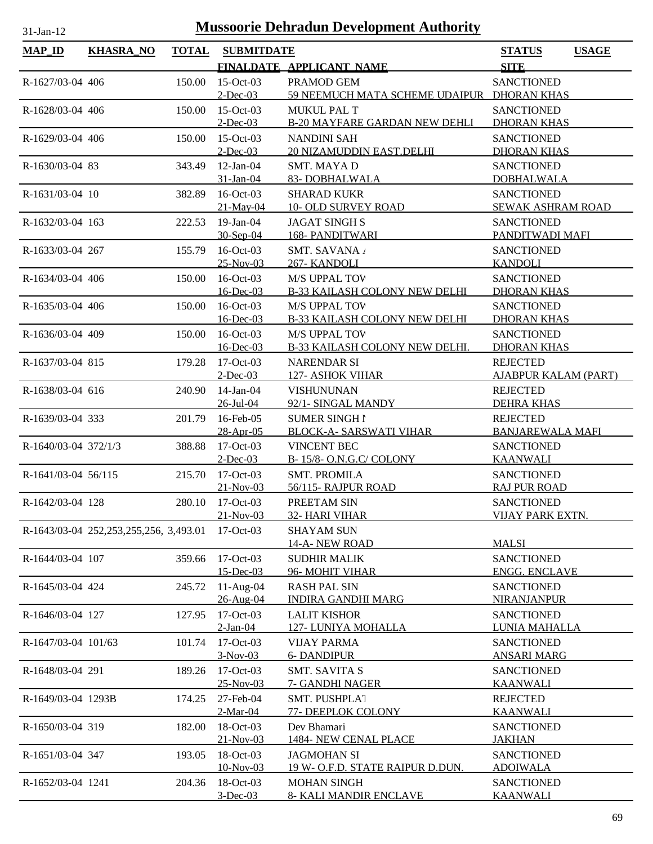| <b>MAP_ID</b>        | KHASRA_NO                              | <b>TOTAL</b> | <b>SUBMITDATE</b>          |                                               | <b>STATUS</b>                            | <b>USAGE</b> |
|----------------------|----------------------------------------|--------------|----------------------------|-----------------------------------------------|------------------------------------------|--------------|
|                      |                                        |              |                            | FINALDATE APPLICANT NAME                      | <b>SITE</b>                              |              |
| R-1627/03-04 406     |                                        | 150.00       | $15$ -Oct-03               | PRAMOD GEM                                    | <b>SANCTIONED</b>                        |              |
|                      |                                        |              | $2$ -Dec-03                | 59 NEEMUCH MATA SCHEME UDAIPUR                | <b>DHORAN KHAS</b>                       |              |
| R-1628/03-04 406     |                                        | 150.00       | $15-Oct-03$                | <b>MUKUL PAL T</b>                            | <b>SANCTIONED</b>                        |              |
|                      |                                        |              | $2$ -Dec-03                | <b>B-20 MAYFARE GARDAN NEW DEHLI</b>          | <b>DHORAN KHAS</b>                       |              |
| R-1629/03-04 406     |                                        | 150.00       | $15-Oct-03$                | <b>NANDINI SAH</b>                            | <b>SANCTIONED</b>                        |              |
|                      |                                        |              | $2$ -Dec-03                | 20 NIZAMUDDIN EAST.DELHI                      | <b>DHORAN KHAS</b>                       |              |
| R-1630/03-04 83      |                                        | 343.49       | $12$ -Jan-04               | SMT. MAYA D                                   | <b>SANCTIONED</b>                        |              |
|                      |                                        |              | 31-Jan-04                  | 83-DOBHALWALA                                 | <b>DOBHALWALA</b>                        |              |
| R-1631/03-04 10      |                                        | 382.89       | $16$ -Oct-03               | <b>SHARAD KUKR</b>                            | <b>SANCTIONED</b>                        |              |
|                      |                                        |              | $21$ -May-04               | <b>10- OLD SURVEY ROAD</b>                    | SEWAK ASHRAM ROAD                        |              |
| R-1632/03-04 163     |                                        | 222.53       | $19$ -Jan-04               | <b>JAGAT SINGH S</b>                          | <b>SANCTIONED</b>                        |              |
|                      |                                        |              | 30-Sep-04                  | <b>168- PANDITWARI</b>                        | PANDITWADI MAFI                          |              |
| R-1633/03-04 267     |                                        | 155.79       | 16-Oct-03                  | SMT. SAVANA                                   | <b>SANCTIONED</b>                        |              |
|                      |                                        |              | $25-Nov-03$                | 267- KANDOLI                                  | <b>KANDOLI</b>                           |              |
| R-1634/03-04 406     |                                        | 150.00       | $16$ -Oct-03               | <b>M/S UPPAL TOV</b>                          | <b>SANCTIONED</b>                        |              |
|                      |                                        |              | 16-Dec-03                  | <b>B-33 KAILASH COLONY NEW DELHI</b>          | <b>DHORAN KHAS</b>                       |              |
| R-1635/03-04 406     |                                        | 150.00       | $16$ -Oct-03               | <b>M/S UPPAL TOV</b>                          | <b>SANCTIONED</b>                        |              |
|                      |                                        |              | $16$ -Dec-03               | <b>B-33 KAILASH COLONY NEW DELHI</b>          | <b>DHORAN KHAS</b>                       |              |
| R-1636/03-04 409     |                                        | 150.00       | $16$ -Oct-03               | <b>M/S UPPAL TOV</b>                          | <b>SANCTIONED</b>                        |              |
|                      |                                        |              | $16$ -Dec-03               | B-33 KAILASH COLONY NEW DELHI.                | <b>DHORAN KHAS</b>                       |              |
| R-1637/03-04 815     |                                        | 179.28       | $17-Oct-03$                | <b>NARENDAR SI</b>                            | <b>REJECTED</b>                          |              |
|                      |                                        |              | $2$ -Dec-03                | <b>127- ASHOK VIHAR</b>                       | <b>AJABPUR KALAM (PART)</b>              |              |
| R-1638/03-04 616     |                                        | 240.90       | $14$ -Jan- $04$            | <b>VISHUNUNAN</b>                             | <b>REJECTED</b>                          |              |
|                      |                                        |              | $26$ -Jul-04               | 92/1- SINGAL MANDY                            | <b>DEHRA KHAS</b>                        |              |
| R-1639/03-04 333     |                                        | 201.79       | 16-Feb-05                  | <b>SUMER SINGH1</b>                           | <b>REJECTED</b>                          |              |
|                      |                                        |              | 28-Apr-05                  | <b>BLOCK-A- SARSWATI VIHAR</b>                | <b>BANJAREWALA MAFI</b>                  |              |
| R-1640/03-04 372/1/3 |                                        | 388.88       | $17-Oct-03$                | <b>VINCENT BEC</b><br>B-15/8- O.N.G.C/ COLONY | <b>SANCTIONED</b><br><b>KAANWALI</b>     |              |
|                      |                                        |              | $2$ -Dec-03                |                                               |                                          |              |
| R-1641/03-04 56/115  |                                        | 215.70       | $17-Oct-03$<br>$21-Nov-03$ | <b>SMT. PROMILA</b><br>56/115-RAJPUR ROAD     | <b>SANCTIONED</b><br><b>RAJ PUR ROAD</b> |              |
| R-1642/03-04 128     |                                        |              | $17-Oct-03$                | PREETAM SIN                                   | <b>SANCTIONED</b>                        |              |
|                      |                                        | 280.10       | $21-Nov-03$                | 32- HARI VIHAR                                | <b>VIJAY PARK EXTN.</b>                  |              |
|                      | R-1643/03-04 252,253,255,256, 3,493.01 |              | $17-Oct-03$                | <b>SHAYAM SUN</b>                             |                                          |              |
|                      |                                        |              |                            | 14-A-NEW ROAD                                 | <b>MALSI</b>                             |              |
| R-1644/03-04 107     |                                        | 359.66       | $17-Oct-03$                | <b>SUDHIR MALIK</b>                           | <b>SANCTIONED</b>                        |              |
|                      |                                        |              | $15$ -Dec-03               | 96- MOHIT VIHAR                               | <b>ENGG. ENCLAVE</b>                     |              |
| R-1645/03-04 424     |                                        | 245.72       | 11-Aug-04                  | <b>RASH PAL SIN</b>                           | <b>SANCTIONED</b>                        |              |
|                      |                                        |              | 26-Aug-04                  | <b>INDIRA GANDHI MARG</b>                     | <b>NIRANJANPUR</b>                       |              |
| R-1646/03-04 127     |                                        | 127.95       | $17-Oct-03$                | <b>LALIT KISHOR</b>                           | <b>SANCTIONED</b>                        |              |
|                      |                                        |              | $2-Ian-04$                 | 127-LUNIYA MOHALLA                            | LUNIA MAHALLA                            |              |
| R-1647/03-04 101/63  |                                        | 101.74       | 17-Oct-03                  | <b>VIJAY PARMA</b>                            | <b>SANCTIONED</b>                        |              |
|                      |                                        |              | $3-Nov-03$                 | <b>6- DANDIPUR</b>                            | <b>ANSARI MARG</b>                       |              |
| R-1648/03-04 291     |                                        | 189.26       | $17-Oct-03$                | <b>SMT. SAVITA S</b>                          | <b>SANCTIONED</b>                        |              |
|                      |                                        |              | 25-Nov-03                  | 7- GANDHI NAGER                               | <b>KAANWALI</b>                          |              |
| R-1649/03-04 1293B   |                                        | 174.25       | 27-Feb-04                  | <b>SMT. PUSHPLAT</b>                          | <b>REJECTED</b>                          |              |
|                      |                                        |              | $2-Mar-04$                 | <b>77- DEEPLOK COLONY</b>                     | <b>KAANWALI</b>                          |              |
| R-1650/03-04 319     |                                        | 182.00       | 18-Oct-03                  | Dev Bhamari                                   | <b>SANCTIONED</b>                        |              |
|                      |                                        |              | $21-Nov-03$                | 1484- NEW CENAL PLACE                         | <b>JAKHAN</b>                            |              |
| R-1651/03-04 347     |                                        | 193.05       | 18-Oct-03                  | <b>JAGMOHAN SI</b>                            | <b>SANCTIONED</b>                        |              |
|                      |                                        |              | 10-Nov-03                  | 19 W- O.F.D. STATE RAIPUR D.DUN.              | <b>ADOIWALA</b>                          |              |
| R-1652/03-04 1241    |                                        | 204.36       | 18-Oct-03                  | <b>MOHAN SINGH</b>                            | <b>SANCTIONED</b>                        |              |
|                      |                                        |              | $3-Dec-03$                 | 8- KALI MANDIR ENCLAVE                        | <b>KAANWALI</b>                          |              |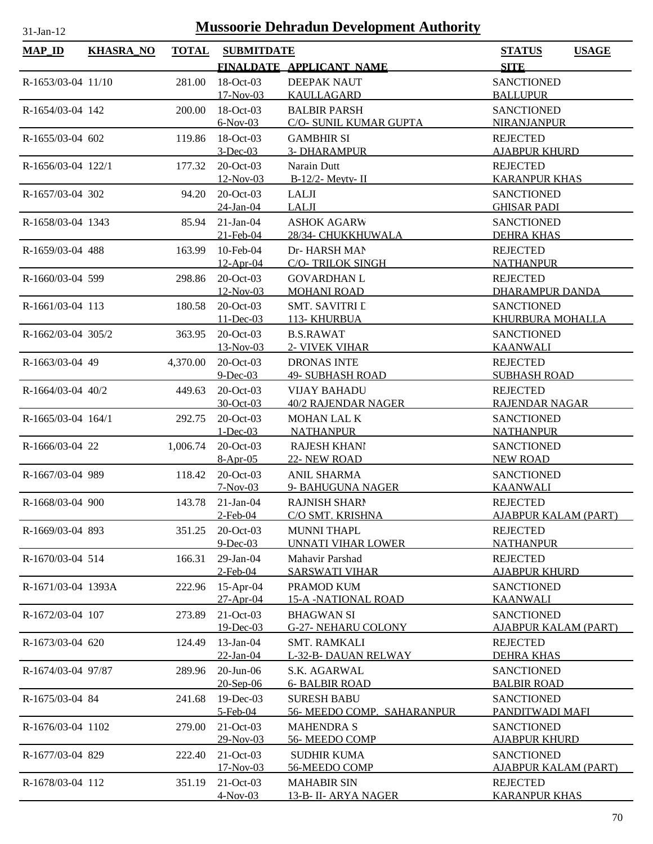| <b>MAP_ID</b>      | <b>KHASRA_NO</b> | <b>TOTAL</b> | <b>SUBMITDATE</b>        |                                                  | <b>USAGE</b><br><b>STATUS</b>          |
|--------------------|------------------|--------------|--------------------------|--------------------------------------------------|----------------------------------------|
|                    |                  |              |                          | FINALDATE APPLICANT NAME                         | <b>SITE</b>                            |
| R-1653/03-04 11/10 |                  | 281.00       | 18-Oct-03                | <b>DEEPAK NAUT</b>                               | <b>SANCTIONED</b>                      |
|                    |                  |              | 17-Nov-03                | KAULLAGARD                                       | <b>BALLUPUR</b>                        |
| R-1654/03-04 142   |                  | 200.00       | 18-Oct-03                | <b>BALBIR PARSH</b>                              | <b>SANCTIONED</b>                      |
|                    |                  |              | $6-Nov-03$               | C/O- SUNIL KUMAR GUPTA                           | NIRANJANPUR                            |
| R-1655/03-04 602   |                  | 119.86       | 18-Oct-03                | <b>GAMBHIR SI</b>                                | <b>REJECTED</b>                        |
|                    |                  |              | $3$ -Dec-03              | <b>3- DHARAMPUR</b>                              | <b>AJABPUR KHURD</b>                   |
| R-1656/03-04 122/1 |                  | 177.32       | 20-Oct-03                | Narain Dutt                                      | <b>REJECTED</b>                        |
|                    |                  |              | 12-Nov-03                | $B-12/2$ - Meyty- II                             | <b>KARANPUR KHAS</b>                   |
| R-1657/03-04 302   |                  | 94.20        | 20-Oct-03                | LALJI                                            | <b>SANCTIONED</b>                      |
|                    |                  |              | 24-Jan-04                | <b>LALJI</b>                                     | <b>GHISAR PADI</b>                     |
| R-1658/03-04 1343  |                  | 85.94        | $21-Jan-04$              | <b>ASHOK AGARW</b>                               | <b>SANCTIONED</b>                      |
|                    |                  |              | 21-Feb-04                | 28/34- CHUKKHUWALA                               | <b>DEHRA KHAS</b>                      |
| R-1659/03-04 488   |                  | 163.99       | 10-Feb-04                | Dr- HARSH MAN                                    | <b>REJECTED</b>                        |
|                    |                  |              | $12-Apr-04$              | <b>C/O- TRILOK SINGH</b>                         | <b>NATHANPUR</b>                       |
| R-1660/03-04 599   |                  | 298.86       | 20-Oct-03                | <b>GOVARDHAN L</b>                               | <b>REJECTED</b>                        |
|                    |                  |              | 12-Nov-03                | <b>MOHANI ROAD</b>                               | <b>DHARAMPUR DANDA</b>                 |
| R-1661/03-04 113   |                  | 180.58       | 20-Oct-03                | <b>SMT. SAVITRI L</b>                            | <b>SANCTIONED</b>                      |
|                    |                  |              | 11-Dec-03                | 113- KHURBUA                                     | KHURBURA MOHALLA                       |
| R-1662/03-04 305/2 |                  | 363.95       | $20$ -Oct-03             | <b>B.S.RAWAT</b>                                 | <b>SANCTIONED</b><br><b>KAANWALI</b>   |
|                    |                  |              | 13-Nov-03<br>20-Oct-03   | 2- VIVEK VIHAR                                   |                                        |
| R-1663/03-04 49    |                  | 4,370.00     | $9$ -Dec-03              | <b>DRONAS INTE</b><br><b>49- SUBHASH ROAD</b>    | <b>REJECTED</b><br><b>SUBHASH ROAD</b> |
| R-1664/03-04 40/2  |                  | 449.63       | 20-Oct-03                | <b>VIJAY BAHADU</b>                              | <b>REJECTED</b>                        |
|                    |                  |              | 30-Oct-03                | <b>40/2 RAJENDAR NAGER</b>                       | RAJENDAR NAGAR                         |
| R-1665/03-04 164/1 |                  | 292.75       | 20-Oct-03                | MOHAN LAL K                                      | <b>SANCTIONED</b>                      |
|                    |                  |              | $1 - Dec-03$             | <b>NATHANPUR</b>                                 | <b>NATHANPUR</b>                       |
| R-1666/03-04 22    |                  | 1,006.74     | 20-Oct-03                | <b>RAJESH KHANI</b>                              | <b>SANCTIONED</b>                      |
|                    |                  |              | $8-Apr-05$               | 22- NEW ROAD                                     | <b>NEW ROAD</b>                        |
| R-1667/03-04 989   |                  | 118.42       | 20-Oct-03                | <b>ANIL SHARMA</b>                               | <b>SANCTIONED</b>                      |
|                    |                  |              | $7-Nov-03$               | 9- BAHUGUNA NAGER                                | <b>KAANWALI</b>                        |
| R-1668/03-04 900   |                  | 143.78       | $21-Jan-04$              | <b>RAJNISH SHARI</b>                             | <b>REJECTED</b>                        |
|                    |                  |              | $2$ -Feb-04              | C/O SMT. KRISHNA                                 | <b>AJABPUR KALAM (PART)</b>            |
| R-1669/03-04 893   |                  | 351.25       | 20-Oct-03                | <b>MUNNI THAPL</b>                               | <b>REJECTED</b>                        |
|                    |                  |              | $9$ -Dec-03              | <b>UNNATI VIHAR LOWER</b>                        | <b>NATHANPUR</b>                       |
| R-1670/03-04 514   |                  | 166.31       | 29-Jan-04                | Mahavir Parshad                                  | <b>REJECTED</b>                        |
|                    |                  |              | $2$ -Feb-04              | <b>SARSWATI VIHAR</b>                            | <b>AJABPUR KHURD</b>                   |
| R-1671/03-04 1393A |                  | 222.96       | $15$ -Apr-04             | PRAMOD KUM                                       | <b>SANCTIONED</b>                      |
|                    |                  |              | 27-Apr-04                | <b>15-A -NATIONAL ROAD</b>                       | <b>KAANWALI</b>                        |
| R-1672/03-04 107   |                  | 273.89       | 21-Oct-03                | <b>BHAGWAN SI</b>                                | <b>SANCTIONED</b>                      |
|                    |                  |              | 19-Dec-03                | <b>G-27- NEHARU COLONY</b>                       | <b>AJABPUR KALAM (PART)</b>            |
| R-1673/03-04 620   |                  | 124.49       | $13$ -Jan-04             | SMT. RAMKALI                                     | <b>REJECTED</b>                        |
|                    |                  |              | $22$ -Jan-04             | L-32-B-DAUAN RELWAY                              | <b>DEHRA KHAS</b>                      |
| R-1674/03-04 97/87 |                  | 289.96       | $20$ -Jun- $06$          | S.K. AGARWAL                                     | <b>SANCTIONED</b>                      |
|                    |                  |              | 20-Sep-06                | <b>6- BALBIR ROAD</b>                            | <b>BALBIR ROAD</b>                     |
| R-1675/03-04 84    |                  | 241.68       | $19$ -Dec-03<br>5-Feb-04 | <b>SURESH BABU</b><br>56- MEEDO COMP. SAHARANPUR | <b>SANCTIONED</b><br>PANDITWADI MAFI   |
| R-1676/03-04 1102  |                  | 279.00       | 21-Oct-03                | <b>MAHENDRA S</b>                                | <b>SANCTIONED</b>                      |
|                    |                  |              | 29-Nov-03                | 56-MEEDO COMP                                    | <b>AJABPUR KHURD</b>                   |
| R-1677/03-04 829   |                  | 222.40       | 21-Oct-03                | <b>SUDHIR KUMA</b>                               | <b>SANCTIONED</b>                      |
|                    |                  |              | 17-Nov-03                | 56-MEEDO COMP                                    | <b>AJABPUR KALAM (PART)</b>            |
| R-1678/03-04 112   |                  | 351.19       | $21-Oct-03$              | <b>MAHABIR SIN</b>                               | <b>REJECTED</b>                        |
|                    |                  |              | $4-Nov-03$               | <u>13-B- II- ARYA NAGER</u>                      | <b>KARANPUR KHAS</b>                   |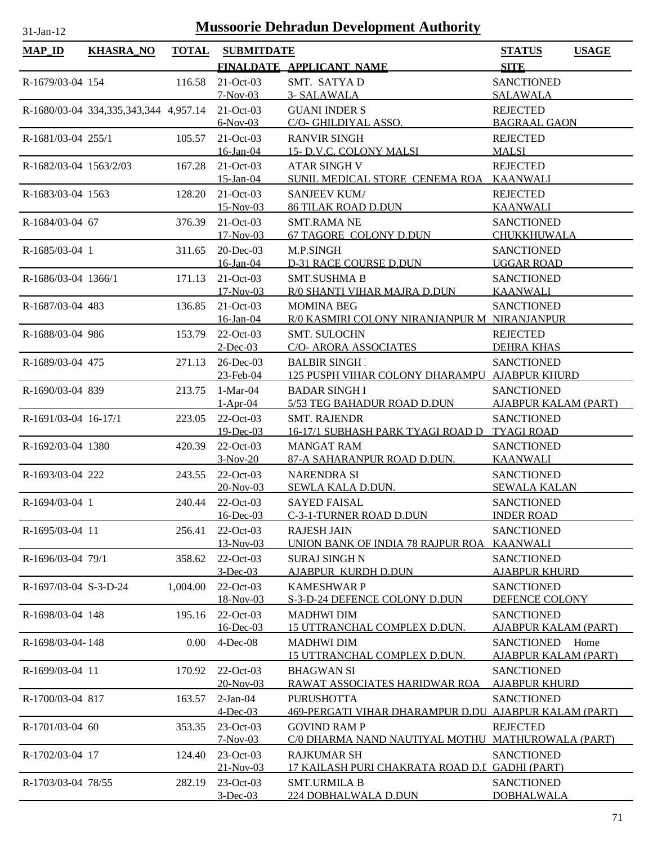| <b>MAP_ID</b>          | <b>KHASRA_NO</b>                      | <b>TOTAL</b> | <b>SUBMITDATE</b>           |                                                       | <b>STATUS</b>                             | <b>USAGE</b> |
|------------------------|---------------------------------------|--------------|-----------------------------|-------------------------------------------------------|-------------------------------------------|--------------|
|                        |                                       |              |                             | FINALDATE APPLICANT NAME                              | <b>SITE</b>                               |              |
| R-1679/03-04 154       |                                       | 116.58       | 21-Oct-03                   | SMT. SATYA D                                          | <b>SANCTIONED</b>                         |              |
|                        |                                       |              | $7-Nov-03$                  | 3- SALAWALA                                           | <b>SALAWALA</b>                           |              |
|                        | R-1680/03-04 334,335,343,344 4,957.14 |              | $21-Oct-03$                 | <b>GUANI INDER S</b>                                  | <b>REJECTED</b>                           |              |
|                        |                                       |              | $6-Nov-03$                  | C/O- GHILDIYAL ASSO.                                  | <b>BAGRAAL GAON</b>                       |              |
| R-1681/03-04 255/1     |                                       | 105.57       | $21-Oct-03$                 | <b>RANVIR SINGH</b>                                   | <b>REJECTED</b>                           |              |
|                        |                                       |              | 16-Jan-04                   | 15- D.V.C. COLONY MALSI                               | <b>MALSI</b>                              |              |
| R-1682/03-04 1563/2/03 |                                       | 167.28       | $21-Oct-03$                 | <b>ATAR SINGH V</b>                                   | <b>REJECTED</b>                           |              |
|                        |                                       |              | $15$ -Jan-04                | SUNIL MEDICAL STORE CENEMA ROA                        | <b>KAANWALI</b>                           |              |
| R-1683/03-04 1563      |                                       | 128.20       | 21-Oct-03                   | <b>SANJEEV KUM/</b>                                   | <b>REJECTED</b>                           |              |
|                        |                                       |              | 15-Nov-03                   | <b>86 TILAK ROAD D.DUN</b>                            | <b>KAANWALI</b>                           |              |
| R-1684/03-04 67        |                                       | 376.39       | $21-Oct-03$                 | <b>SMT.RAMA NE</b>                                    | <b>SANCTIONED</b>                         |              |
|                        |                                       |              | 17-Nov-03                   | <b>67 TAGORE COLONY D.DUN</b>                         | CHUKKHUWALA                               |              |
| R-1685/03-04 1         |                                       | 311.65       | $20$ -Dec-03                | M.P.SINGH                                             | <b>SANCTIONED</b>                         |              |
|                        |                                       |              | 16-Jan-04                   | <b>D-31 RACE COURSE D.DUN</b>                         | <b>UGGAR ROAD</b>                         |              |
| R-1686/03-04 1366/1    |                                       | 171.13       | 21-Oct-03                   | <b>SMT.SUSHMA B</b>                                   | <b>SANCTIONED</b>                         |              |
|                        |                                       |              | 17-Nov-03                   | R/0 SHANTI VIHAR MAJRA D.DUN                          | <b>KAANWALI</b>                           |              |
| R-1687/03-04 483       |                                       | 136.85       | 21-Oct-03                   | <b>MOMINA BEG</b>                                     | <b>SANCTIONED</b>                         |              |
|                        |                                       |              | 16-Jan-04                   | R/0 KASMIRI COLONY NIRANJANPUR M NIRANJANPUR          |                                           |              |
| R-1688/03-04 986       |                                       | 153.79       | $22$ -Oct-03<br>$2$ -Dec-03 | <b>SMT. SULOCHN</b><br>C/O- ARORA ASSOCIATES          | <b>REJECTED</b><br><b>DEHRA KHAS</b>      |              |
|                        |                                       | 271.13       | 26-Dec-03                   | <b>BALBIR SINGH</b>                                   | <b>SANCTIONED</b>                         |              |
| R-1689/03-04 475       |                                       |              | 23-Feb-04                   | 125 PUSPH VIHAR COLONY DHARAMPU AJABPUR KHURD         |                                           |              |
| R-1690/03-04 839       |                                       | 213.75       | $1-Mar-04$                  | <b>BADAR SINGH I</b>                                  | <b>SANCTIONED</b>                         |              |
|                        |                                       |              | $1-Apr-04$                  | 5/53 TEG BAHADUR ROAD D.DUN                           | <b>AJABPUR KALAM (PART)</b>               |              |
| R-1691/03-04 16-17/1   |                                       | 223.05       | 22-Oct-03                   | <b>SMT. RAJENDR</b>                                   | <b>SANCTIONED</b>                         |              |
|                        |                                       |              | 19-Dec-03                   | 16-17/1 SUBHASH PARK TYAGI ROAD D                     | <b>TYAGI ROAD</b>                         |              |
| R-1692/03-04 1380      |                                       | 420.39       | 22-Oct-03                   | <b>MANGAT RAM</b>                                     | <b>SANCTIONED</b>                         |              |
|                        |                                       |              | $3-Nov-20$                  | 87-A SAHARANPUR ROAD D.DUN.                           | <b>KAANWALI</b>                           |              |
| R-1693/03-04 222       |                                       | 243.55       | $22$ -Oct-03                | <b>NARENDRA SI</b>                                    | <b>SANCTIONED</b>                         |              |
|                        |                                       |              | 20-Nov-03                   | SEWLA KALA D.DUN.                                     | <b>SEWALA KALAN</b>                       |              |
| R-1694/03-04 1         |                                       | 240.44       | 22-Oct-03                   | <b>SAYED FAISAL</b>                                   | <b>SANCTIONED</b>                         |              |
|                        |                                       |              | 16-Dec-03                   | C-3-1-TURNER ROAD D.DUN                               | <b>INDER ROAD</b>                         |              |
| R-1695/03-04 11        |                                       | 256.41       | $22-Oct-03$                 | <b>RAJESH JAIN</b>                                    | <b>SANCTIONED</b>                         |              |
|                        |                                       |              | 13-Nov-03                   | UNION BANK OF INDIA 78 RAJPUR ROA                     | <b>KAANWALI</b>                           |              |
| R-1696/03-04 79/1      |                                       | 358.62       | 22-Oct-03                   | <b>SURAJ SINGH N</b>                                  | <b>SANCTIONED</b>                         |              |
|                        |                                       |              | $3$ -Dec-03                 | <b>AJABPUR KURDH D.DUN</b>                            | <b>AJABPUR KHURD</b>                      |              |
| R-1697/03-04 S-3-D-24  |                                       | 1,004.00     | 22-Oct-03                   | <b>KAMESHWAR P</b>                                    | <b>SANCTIONED</b>                         |              |
|                        |                                       |              | 18-Nov-03                   | S-3-D-24 DEFENCE COLONY D.DUN                         | DEFENCE COLONY                            |              |
| R-1698/03-04 148       |                                       | 195.16       | 22-Oct-03                   | <b>MADHWI DIM</b>                                     | <b>SANCTIONED</b>                         |              |
|                        |                                       |              | 16-Dec-03                   | <b>15 UTTRANCHAL COMPLEX D.DUN.</b>                   | <b>AJABPUR KALAM (PART)</b>               |              |
| R-1698/03-04-148       |                                       | 0.00         | $4$ -Dec-08                 | <b>MADHWI DIM</b>                                     | <b>SANCTIONED</b>                         | Home         |
|                        |                                       |              |                             | 15 UTTRANCHAL COMPLEX D.DUN.                          | <b>AJABPUR KALAM (PART)</b>               |              |
| R-1699/03-04 11        |                                       | 170.92       | 22-Oct-03<br>$20-Nov-03$    | <b>BHAGWAN SI</b><br>RAWAT ASSOCIATES HARIDWAR ROA    | <b>SANCTIONED</b><br><b>AJABPUR KHURD</b> |              |
| R-1700/03-04 817       |                                       | 163.57       | $2-Jan-04$                  | <b>PURUSHOTTA</b>                                     | <b>SANCTIONED</b>                         |              |
|                        |                                       |              | $4$ -Dec-03                 | 469-PERGATI VIHAR DHARAMPUR D.DU AJABPUR KALAM (PART) |                                           |              |
| R-1701/03-04 60        |                                       | 353.35       | 23-Oct-03                   | <b>GOVIND RAM P</b>                                   | <b>REJECTED</b>                           |              |
|                        |                                       |              | $7-Nov-03$                  | C/0 DHARMA NAND NAUTIYAL MOTHU MATHUROWALA (PART)     |                                           |              |
| R-1702/03-04 17        |                                       | 124.40       | 23-Oct-03                   | <b>RAJKUMAR SH</b>                                    | <b>SANCTIONED</b>                         |              |
|                        |                                       |              | 21-Nov-03                   | 17 KAILASH PURI CHAKRATA ROAD D.I GADHI (PART)        |                                           |              |
| R-1703/03-04 78/55     |                                       | 282.19       | 23-Oct-03                   | <b>SMT.URMILA B</b>                                   | <b>SANCTIONED</b>                         |              |
|                        |                                       |              | $3$ -Dec-03                 | 224 DOBHALWALA D.DUN                                  | <b>DOBHALWALA</b>                         |              |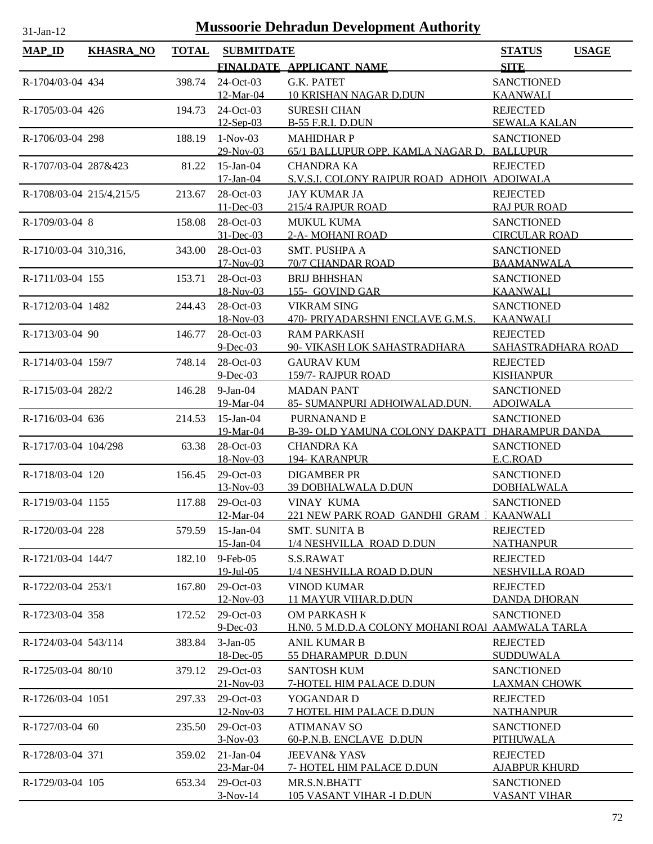| <b>Mussoorie Dehradun Development Authority</b><br>$31-Jan-12$ |                  |              |                           |                                                                  |                                           |              |  |
|----------------------------------------------------------------|------------------|--------------|---------------------------|------------------------------------------------------------------|-------------------------------------------|--------------|--|
| <b>MAP_ID</b>                                                  | <b>KHASRA_NO</b> | <b>TOTAL</b> | <b>SUBMITDATE</b>         |                                                                  | <b>STATUS</b>                             | <b>USAGE</b> |  |
|                                                                |                  |              |                           | FINALDATE APPLICANT NAME                                         | <b>SITE</b>                               |              |  |
| R-1704/03-04 434                                               |                  | 398.74       | 24-Oct-03                 | G.K. PATET                                                       | <b>SANCTIONED</b>                         |              |  |
|                                                                |                  |              | 12-Mar-04                 | <b>10 KRISHAN NAGAR D.DUN</b>                                    | <b>KAANWALI</b>                           |              |  |
| R-1705/03-04 426                                               |                  | 194.73       | 24-Oct-03                 | <b>SURESH CHAN</b>                                               | <b>REJECTED</b>                           |              |  |
|                                                                |                  |              | $12-$ Sep $-03$           | <b>B-55 F.R.I. D.DUN</b>                                         | <b>SEWALA KALAN</b>                       |              |  |
| R-1706/03-04 298                                               |                  | 188.19       | $1-Nov-03$                | <b>MAHIDHARP</b>                                                 | <b>SANCTIONED</b>                         |              |  |
| R-1707/03-04 287&423                                           |                  |              | 29-Nov-03<br>$15$ -Jan-04 | 65/1 BALLUPUR OPP. KAMLA NAGAR D. BALLUPUR<br><b>CHANDRA KA</b>  | <b>REJECTED</b>                           |              |  |
|                                                                |                  | 81.22        | 17-Jan-04                 | S.V.S.I. COLONY RAIPUR ROAD ADHOIV ADOIWALA                      |                                           |              |  |
| R-1708/03-04 215/4,215/5                                       |                  | 213.67       | 28-Oct-03                 | <b>JAY KUMAR JA</b>                                              | <b>REJECTED</b>                           |              |  |
|                                                                |                  |              | 11-Dec-03                 | 215/4 RAJPUR ROAD                                                | <b>RAJ PUR ROAD</b>                       |              |  |
| R-1709/03-04 8                                                 |                  | 158.08       | 28-Oct-03                 | <b>MUKUL KUMA</b>                                                | <b>SANCTIONED</b>                         |              |  |
|                                                                |                  |              | $31$ -Dec-03              | 2-A- MOHANI ROAD                                                 | <b>CIRCULAR ROAD</b>                      |              |  |
| R-1710/03-04 310,316,                                          |                  | 343.00       | 28-Oct-03                 | <b>SMT. PUSHPA A</b>                                             | <b>SANCTIONED</b>                         |              |  |
|                                                                |                  |              | $17-Nov-03$               | 70/7 CHANDAR ROAD                                                | <b>BAAMANWALA</b>                         |              |  |
| R-1711/03-04 155                                               |                  | 153.71       | 28-Oct-03                 | <b>BRIJ BHHSHAN</b>                                              | <b>SANCTIONED</b>                         |              |  |
|                                                                |                  |              | 18-Nov-03                 | 155- GOVIND GAR                                                  | <b>KAANWALI</b>                           |              |  |
| R-1712/03-04 1482                                              |                  | 244.43       | 28-Oct-03<br>18-Nov-03    | <b>VIKRAM SING</b><br>470- PRIYADARSHNI ENCLAVE G.M.S.           | <b>SANCTIONED</b><br><b>KAANWALI</b>      |              |  |
| R-1713/03-04 90                                                |                  | 146.77       | 28-Oct-03                 | <b>RAM PARKASH</b>                                               | <b>REJECTED</b>                           |              |  |
|                                                                |                  |              | $9$ -Dec-03               | 90- VIKASH LOK SAHASTRADHARA                                     | SAHASTRADHARA ROAD                        |              |  |
| R-1714/03-04 159/7                                             |                  | 748.14       | 28-Oct-03                 | <b>GAURAV KUM</b>                                                | <b>REJECTED</b>                           |              |  |
|                                                                |                  |              | $9$ -Dec-03               | 159/7- RAJPUR ROAD                                               | <b>KISHANPUR</b>                          |              |  |
| R-1715/03-04 282/2                                             |                  | 146.28       | $9-Jan-04$                | <b>MADAN PANT</b>                                                | <b>SANCTIONED</b>                         |              |  |
|                                                                |                  |              | 19-Mar-04                 | 85- SUMANPURI ADHOIWALAD.DUN.                                    | <b>ADOIWALA</b>                           |              |  |
| R-1716/03-04 636                                               |                  | 214.53       | 15-Jan-04                 | <b>PURNANAND B</b>                                               | <b>SANCTIONED</b>                         |              |  |
|                                                                |                  |              | 19-Mar-04                 | B-39- OLD YAMUNA COLONY DAKPATT DHARAMPUR DANDA                  |                                           |              |  |
| R-1717/03-04 104/298                                           |                  | 63.38        | 28-Oct-03                 | <b>CHANDRA KA</b><br>194- KARANPUR                               | <b>SANCTIONED</b>                         |              |  |
| R-1718/03-04 120                                               |                  | 156.45       | 18-Nov-03<br>29-Oct-03    | <b>DIGAMBER PR</b>                                               | E.C.ROAD<br><b>SANCTIONED</b>             |              |  |
|                                                                |                  |              | 13-Nov-03                 | <b>39 DOBHALWALA D.DUN</b>                                       | <b>DOBHALWALA</b>                         |              |  |
| R-1719/03-04 1155                                              |                  | 117.88       | 29-Oct-03                 | <b>VINAY KUMA</b>                                                | <b>SANCTIONED</b>                         |              |  |
|                                                                |                  |              | 12-Mar-04                 | 221 NEW PARK ROAD GANDHI GRAM 1                                  | <b>KAANWALI</b>                           |              |  |
| R-1720/03-04 228                                               |                  | 579.59       | 15-Jan-04                 | <b>SMT. SUNITA B</b>                                             | <b>REJECTED</b>                           |              |  |
|                                                                |                  |              | 15-Jan-04                 | 1/4 NESHVILLA ROAD D.DUN                                         | <b>NATHANPUR</b>                          |              |  |
| R-1721/03-04 144/7                                             |                  | 182.10       | $9$ -Feb-05               | S.S.RAWAT                                                        | <b>REJECTED</b>                           |              |  |
|                                                                |                  |              | 19-Jul-05                 | 1/4 NESHVILLA ROAD D.DUN                                         | <b>NESHVILLA ROAD</b>                     |              |  |
| R-1722/03-04 253/1                                             |                  | 167.80       | 29-Oct-03                 | <b>VINOD KUMAR</b>                                               | <b>REJECTED</b>                           |              |  |
|                                                                |                  |              | 12-Nov-03                 | <b>11 MAYUR VIHAR.D.DUN</b>                                      | <b>DANDA DHORAN</b>                       |              |  |
| R-1723/03-04 358                                               |                  | 172.52       | 29-Oct-03<br>$9$ -Dec-03  | OM PARKASH K<br>H.NO. 5 M.D.D.A COLONY MOHANI ROAl AAMWALA TARLA | <b>SANCTIONED</b>                         |              |  |
| R-1724/03-04 543/114                                           |                  | 383.84       | $3-Jan-05$                | <b>ANIL KUMAR B</b>                                              | <b>REJECTED</b>                           |              |  |
|                                                                |                  |              | 18-Dec-05                 | 55 DHARAMPUR D.DUN                                               | <b>SUDDUWALA</b>                          |              |  |
| R-1725/03-04 80/10                                             |                  | 379.12       | $29-Oct-03$               | <b>SANTOSH KUM</b>                                               | <b>SANCTIONED</b>                         |              |  |
|                                                                |                  |              | $21-Nov-03$               | 7-HOTEL HIM PALACE D.DUN                                         | <b>LAXMAN CHOWK</b>                       |              |  |
| R-1726/03-04 1051                                              |                  | 297.33       | 29-Oct-03                 | YOGANDAR D                                                       | <b>REJECTED</b>                           |              |  |
|                                                                |                  |              | 12-Nov-03                 | 7 HOTEL HIM PALACE D.DUN                                         | <b>NATHANPUR</b>                          |              |  |
| R-1727/03-04 60                                                |                  | 235.50       | 29-Oct-03                 | <b>ATIMANAV SO</b>                                               | <b>SANCTIONED</b>                         |              |  |
|                                                                |                  |              | $3-Nov-03$                | 60-P.N.B. ENCLAVE D.DUN                                          | PITHUWALA                                 |              |  |
| R-1728/03-04 371                                               |                  | 359.02       | $21-Jan-04$               | <b>JEEVAN&amp; YASV</b>                                          | <b>REJECTED</b>                           |              |  |
| R-1729/03-04 105                                               |                  | 653.34       | 23-Mar-04<br>29-Oct-03    | 7- HOTEL HIM PALACE D.DUN<br>MR.S.N.BHATT                        | <b>AJABPUR KHURD</b><br><b>SANCTIONED</b> |              |  |
|                                                                |                  |              | $3-Nov-14$                | 105 VASANT VIHAR -I D.DUN                                        | <b>VASANT VIHAR</b>                       |              |  |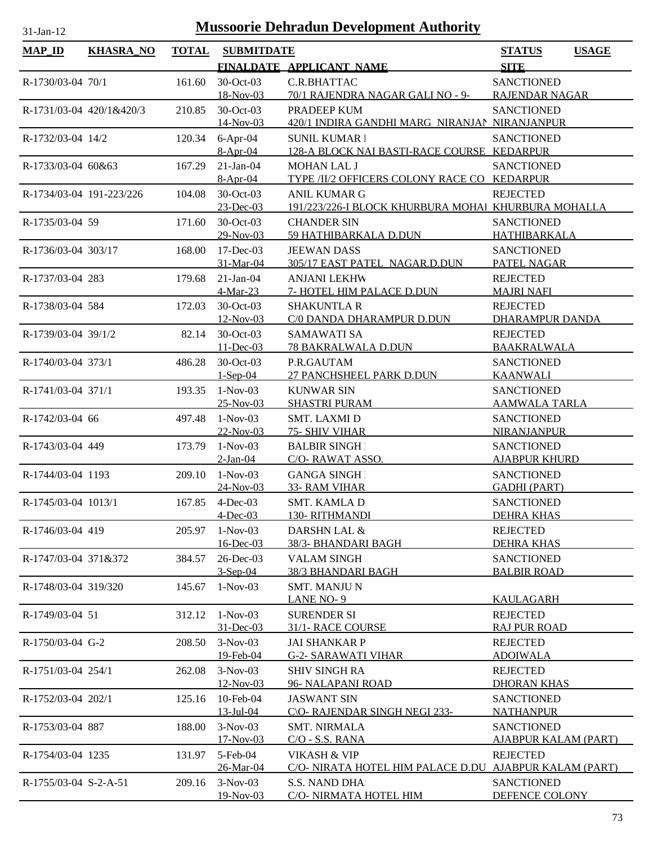| $MAP$ ID                 | <b>KHASRA_NO</b>         | <b>TOTAL</b> | <b>SUBMITDATE</b>            |                                                          | <b>STATUS</b><br><b>USAGE</b>            |
|--------------------------|--------------------------|--------------|------------------------------|----------------------------------------------------------|------------------------------------------|
|                          |                          |              |                              | FINALDATE APPLICANT NAME                                 | <b>SITE</b>                              |
| R-1730/03-04 70/1        |                          | 161.60       | 30-Oct-03                    | C.R.BHATTAC                                              | <b>SANCTIONED</b>                        |
|                          |                          |              | 18-Nov-03                    | 70/1 RAJENDRA NAGAR GALI NO - 9-                         | <b>RAJENDAR NAGAR</b>                    |
|                          | R-1731/03-04 420/1&420/3 | 210.85       | 30-Oct-03                    | PRADEEP KUM                                              | <b>SANCTIONED</b>                        |
|                          |                          |              | 14-Nov-03                    | 420/1 INDIRA GANDHI MARG NIRANJAN NIRANJANPUR            |                                          |
| R-1732/03-04 14/2        |                          | 120.34       | $6-Apr-04$                   | <b>SUNIL KUMAR 1</b>                                     | <b>SANCTIONED</b>                        |
|                          |                          |              | $8-Apr-04$                   | 128-A BLOCK NAI BASTI-RACE COURSE KEDARPUR               |                                          |
| R-1733/03-04 60&63       |                          | 167.29       | $21-Ian-04$<br>$8-Apr-04$    | <b>MOHAN LAL J</b><br>TYPE /II/2 OFFICERS COLONY RACE CO | <b>SANCTIONED</b><br><b>KEDARPUR</b>     |
| R-1734/03-04 191-223/226 |                          | 104.08       | 30-Oct-03                    | <b>ANIL KUMAR G</b>                                      | <b>REJECTED</b>                          |
|                          |                          |              | $23$ -Dec-03                 | 191/223/226-I BLOCK KHURBURA MOHAI KHURBURA MOHALLA      |                                          |
| R-1735/03-04 59          |                          | 171.60       | 30-Oct-03                    | <b>CHANDER SIN</b>                                       | <b>SANCTIONED</b>                        |
|                          |                          |              | 29-Nov-03                    | 59 HATHIBARKALA D.DUN                                    | <b>HATHIBARKALA</b>                      |
| R-1736/03-04 303/17      |                          | 168.00       | 17-Dec-03                    | <b>JEEWAN DASS</b>                                       | <b>SANCTIONED</b>                        |
|                          |                          |              | 31-Mar-04                    | 305/17 EAST PATEL NAGAR.D.DUN                            | PATEL NAGAR                              |
| R-1737/03-04 283         |                          | 179.68       | $21-Jan-04$                  | <b>ANJANI LEKHW</b>                                      | <b>REJECTED</b>                          |
|                          |                          |              | 4-Mar-23                     | 7- HOTEL HIM PALACE D.DUN                                | <b>MAJRI NAFI</b>                        |
| R-1738/03-04 584         |                          | 172.03       | 30-Oct-03                    | <b>SHAKUNTLA R</b>                                       | <b>REJECTED</b>                          |
|                          |                          |              | 12-Nov-03                    | C/0 DANDA DHARAMPUR D.DUN                                | <b>DHARAMPUR DANDA</b>                   |
| R-1739/03-04 39/1/2      |                          | 82.14        | 30-Oct-03<br>11-Dec-03       | <b>SAMAWATI SA</b><br>78 BAKRALWALA D.DUN                | <b>REJECTED</b><br><b>BAAKRALWALA</b>    |
| R-1740/03-04 373/1       |                          | 486.28       | 30-Oct-03                    | P.R.GAUTAM                                               | <b>SANCTIONED</b>                        |
|                          |                          |              | $1-Sep-04$                   | 27 PANCHSHEEL PARK D.DUN                                 | <b>KAANWALI</b>                          |
| R-1741/03-04 371/1       |                          | 193.35       | $1-Nov-03$                   | <b>KUNWAR SIN</b>                                        | <b>SANCTIONED</b>                        |
|                          |                          |              | $25-Nov-03$                  | <b>SHASTRI PURAM</b>                                     | <b>AAMWALA TARLA</b>                     |
| R-1742/03-04 66          |                          | 497.48       | $1-Nov-03$                   | <b>SMT. LAXMID</b>                                       | <b>SANCTIONED</b>                        |
|                          |                          |              | 22-Nov-03                    | 75- SHIV VIHAR                                           | <b>NIRANJANPUR</b>                       |
| R-1743/03-04 449         |                          | 173.79       | $1-Nov-03$                   | <b>BALBIR SINGHT</b>                                     | <b>SANCTIONED</b>                        |
|                          |                          |              | $2-Jan-04$                   | C/O-RAWAT ASSO.                                          | <b>AJABPUR KHURD</b>                     |
| R-1744/03-04 1193        |                          | 209.10       | $1-Nov-03$                   | <b>GANGA SINGH</b>                                       | <b>SANCTIONED</b>                        |
| R-1745/03-04 1013/1      |                          |              | 24-Nov-03<br>167.85 4-Dec-03 | 33- RAM VIHAR<br>SMT. KAMLA D                            | <b>GADHI (PART)</b><br><b>SANCTIONED</b> |
|                          |                          |              | $4$ -Dec-03                  | 130-RITHMANDI                                            | <b>DEHRA KHAS</b>                        |
| R-1746/03-04 419         |                          | 205.97       | $1-Nov-03$                   | DARSHN LAL &                                             | <b>REJECTED</b>                          |
|                          |                          |              | 16-Dec-03                    | 38/3- BHANDARI BAGH                                      | <b>DEHRA KHAS</b>                        |
| R-1747/03-04 371&372     |                          | 384.57       | $26$ -Dec-03                 | <b>VALAM SINGH</b>                                       | <b>SANCTIONED</b>                        |
|                          |                          |              | $3-Sep-04$                   | 38/3 BHANDARI BAGH                                       | <b>BALBIR ROAD</b>                       |
| R-1748/03-04 319/320     |                          | 145.67       | $1-Nov-03$                   | <b>SMT. MANJUN</b>                                       |                                          |
|                          |                          |              |                              | LANE NO-9                                                | <b>KAULAGARH</b>                         |
| R-1749/03-04 51          |                          | 312.12       | $1-Nov-03$                   | <b>SURENDER SI</b>                                       | <b>REJECTED</b>                          |
|                          |                          |              | $31$ -Dec-03                 | 31/1- RACE COURSE                                        | <b>RAJ PUR ROAD</b><br><b>REJECTED</b>   |
| R-1750/03-04 G-2         |                          | 208.50       | $3-Nov-03$<br>19-Feb-04      | <b>JAI SHANKAR P</b><br><b>G-2- SARAWATI VIHAR</b>       | <b>ADOIWALA</b>                          |
| R-1751/03-04 254/1       |                          | 262.08       | $3-Nov-03$                   | <b>SHIV SINGH RA</b>                                     | <b>REJECTED</b>                          |
|                          |                          |              | 12-Nov-03                    | 96- NALAPANI ROAD                                        | <b>DHORAN KHAS</b>                       |
| R-1752/03-04 202/1       |                          | 125.16       | 10-Feb-04                    | <b>JASWANT SIN</b>                                       | <b>SANCTIONED</b>                        |
|                          |                          |              | 13-Jul-04                    | C\O- RAJENDAR SINGH NEGI 233-                            | <b>NATHANPUR</b>                         |
| R-1753/03-04 887         |                          | 188.00       | $3-Nov-03$                   | <b>SMT. NIRMALA</b>                                      | <b>SANCTIONED</b>                        |
|                          |                          |              | $17-Nov-03$                  | $C/O - S.S. RANA$                                        | <b>AJABPUR KALAM (PART)</b>              |
| R-1754/03-04 1235        |                          | 131.97       | 5-Feb-04                     | VIKASH & VIP                                             | <b>REJECTED</b>                          |
|                          |                          |              | 26-Mar-04                    | <u>C/O- NIRATA HOTEL HIM PALACE D.DU </u>                | <u>AJABPUR KALAM (PART)</u>              |
| R-1755/03-04 S-2-A-51    |                          | 209.16       | $3-Nov-03$<br>19-Nov-03      | S.S. NAND DHA<br>C/O- NIRMATA HOTEL HIM                  | <b>SANCTIONED</b><br>DEFENCE COLONY      |
|                          |                          |              |                              |                                                          |                                          |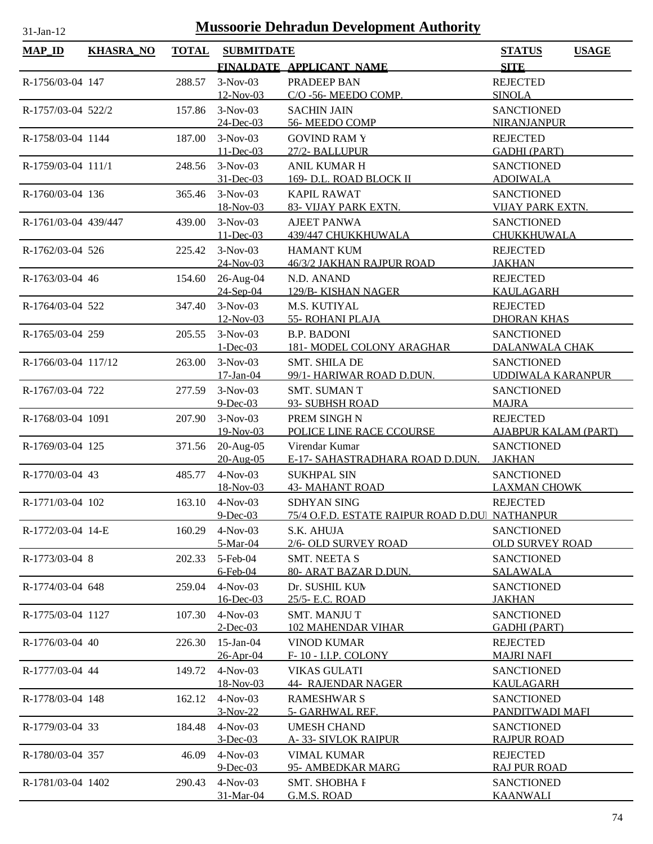| $MAP_ID$             | <b>KHASRA_NO</b> | <b>TOTAL</b> | <b>SUBMITDATE</b>         |                                                  | <b>STATUS</b><br><b>USAGE</b>                    |
|----------------------|------------------|--------------|---------------------------|--------------------------------------------------|--------------------------------------------------|
|                      |                  |              |                           | FINALDATE APPLICANT NAME                         | <b>SITE</b>                                      |
| R-1756/03-04 147     |                  | 288.57       | $3-Nov-03$                | PRADEEP BAN                                      | <b>REJECTED</b>                                  |
|                      |                  |              | $12-Nov-03$               | C/O -56- MEEDO COMP.                             | <b>SINOLA</b>                                    |
| R-1757/03-04 522/2   |                  | 157.86       | $3-Nov-03$                | <b>SACHIN JAIN</b>                               | <b>SANCTIONED</b>                                |
|                      |                  |              | 24-Dec-03                 | 56-MEEDO COMP                                    | <b>NIRANJANPUR</b>                               |
| R-1758/03-04 1144    |                  | 187.00       | $3-Nov-03$                | <b>GOVIND RAM Y</b>                              | <b>REJECTED</b>                                  |
|                      |                  |              | $11$ -Dec-03              | 27/2- BALLUPUR                                   | <b>GADHI (PART)</b>                              |
| R-1759/03-04 111/1   |                  | 248.56       | $3-Nov-03$                | <b>ANIL KUMAR H</b>                              | <b>SANCTIONED</b>                                |
|                      |                  |              | $31$ -Dec-03              | 169- D.L. ROAD BLOCK II                          | <b>ADOIWALA</b>                                  |
| R-1760/03-04 136     |                  | 365.46       | $3-Nov-03$<br>18-Nov-03   | <b>KAPIL RAWAT</b><br>83- VIJAY PARK EXTN.       | <b>SANCTIONED</b><br><b>VIJAY PARK EXTN.</b>     |
|                      |                  |              | $3-Nov-03$                |                                                  |                                                  |
| R-1761/03-04 439/447 |                  | 439.00       | $11 - Dec-03$             | <b>AJEET PANWA</b><br>439/447 CHUKKHUWALA        | <b>SANCTIONED</b><br>CHUKKHUWALA                 |
| R-1762/03-04 526     |                  | 225.42       | $3-Nov-03$                | HAMANT KUM                                       | <b>REJECTED</b>                                  |
|                      |                  |              | $24$ -Nov-03              | 46/3/2 JAKHAN RAJPUR ROAD                        | <b>JAKHAN</b>                                    |
| R-1763/03-04 46      |                  | 154.60       | 26-Aug-04                 | N.D. ANAND                                       | <b>REJECTED</b>                                  |
|                      |                  |              | 24-Sep-04                 | 129/B-KISHAN NAGER                               | <b>KAULAGARH</b>                                 |
| R-1764/03-04 522     |                  | 347.40       | $3-Nov-03$                | M.S. KUTIYAL                                     | <b>REJECTED</b>                                  |
|                      |                  |              | 12-Nov-03                 | 55- ROHANI PLAJA                                 | <b>DHORAN KHAS</b>                               |
| R-1765/03-04 259     |                  | 205.55       | $3-Nov-03$                | <b>B.P. BADONI</b>                               | <b>SANCTIONED</b>                                |
|                      |                  |              | $1 - Dec-03$              | <b>181- MODEL COLONY ARAGHAR</b>                 | DALANWALA CHAK                                   |
| R-1766/03-04 117/12  |                  | 263.00       | $3-Nov-03$                | SMT. SHILA DE                                    | <b>SANCTIONED</b>                                |
|                      |                  |              | 17-Jan-04                 | 99/1- HARIWAR ROAD D.DUN.                        | UDDIWALA KARANPUR                                |
| R-1767/03-04 722     |                  | 277.59       | $3-Nov-03$                | <b>SMT. SUMAN T</b>                              | <b>SANCTIONED</b>                                |
|                      |                  |              | $9$ -Dec-03               | 93- SUBHSH ROAD                                  | <b>MAJRA</b>                                     |
| R-1768/03-04 1091    |                  | 207.90       | $3-Nov-03$                | PREM SINGH N                                     | <b>REJECTED</b>                                  |
| R-1769/03-04 125     |                  |              | 19-Nov-03<br>20-Aug-05    | POLICE LINE RACE CCOURSE<br>Virendar Kumar       | <b>AJABPUR KALAM (PART)</b><br><b>SANCTIONED</b> |
|                      |                  | 371.56       | 20-Aug-05                 | E-17- SAHASTRADHARA ROAD D.DUN.                  | <b>JAKHAN</b>                                    |
| R-1770/03-04 43      |                  | 485.77       | $4-Nov-03$                | <b>SUKHPAL SIN</b>                               | <b>SANCTIONED</b>                                |
|                      |                  |              | 18-Nov-03                 | <b>43- MAHANT ROAD</b>                           | <b>LAXMAN CHOWK</b>                              |
| R-1771/03-04 102     |                  |              | 163.10 4-Nov-03           | <b>SDHYAN SING</b>                               | <b>REJECTED</b>                                  |
|                      |                  |              | $9 - Dec - 03$            | 75/4 O.F.D. ESTATE RAIPUR ROAD D.DUI NATHANPUR   |                                                  |
| R-1772/03-04 14-E    |                  | 160.29       | $4-Nov-03$                | S.K. AHUJA                                       | <b>SANCTIONED</b>                                |
|                      |                  |              | 5-Mar-04                  | 2/6- OLD SURVEY ROAD                             | <b>OLD SURVEY ROAD</b>                           |
| R-1773/03-04 8       |                  | 202.33       | $5$ -Feb-04               | <b>SMT. NEETA S</b>                              | <b>SANCTIONED</b>                                |
|                      |                  |              | $6$ -Feb-04               | 80- ARAT BAZAR D.DUN.                            | <b>SALAWALA</b>                                  |
| R-1774/03-04 648     |                  | 259.04       | $4-Nov-03$                | Dr. SUSHIL KUN                                   | <b>SANCTIONED</b>                                |
|                      |                  |              | 16-Dec-03                 | 25/5- E.C. ROAD                                  | <b>JAKHAN</b>                                    |
| R-1775/03-04 1127    |                  | 107.30       | $4-Nov-03$                | <b>SMT. MANJUT</b>                               | <b>SANCTIONED</b>                                |
|                      |                  |              | $2$ -Dec-03               | <b>102 MAHENDAR VIHAR</b>                        | <b>GADHI (PART)</b>                              |
| R-1776/03-04 40      |                  | 226.30       | $15$ -Jan-04<br>26-Apr-04 | <b>VINOD KUMAR</b>                               | <b>REJECTED</b>                                  |
|                      |                  |              |                           | F-10 - I.I.P. COLONY                             | <b>MAJRI NAFI</b>                                |
| R-1777/03-04 44      |                  | 149.72       | $4-Nov-03$<br>$18-Nov-03$ | <b>VIKAS GULATI</b><br><b>44- RAJENDAR NAGER</b> | <b>SANCTIONED</b><br><b>KAULAGARH</b>            |
| R-1778/03-04 148     |                  | 162.12       | $4-Nov-03$                | <b>RAMESHWAR S</b>                               | <b>SANCTIONED</b>                                |
|                      |                  |              | $3-Nov-22$                | 5- GARHWAL REF.                                  | PANDITWADI MAFI                                  |
| R-1779/03-04 33      |                  | 184.48       | $4-Nov-03$                | <b>UMESH CHAND</b>                               | <b>SANCTIONED</b>                                |
|                      |                  |              | $3$ -Dec-03               | <u>A- 33- SIVLOK RAIPUR</u>                      | <b>RAJPUR ROAD</b>                               |
| R-1780/03-04 357     |                  | 46.09        | $4-Nov-03$                | <b>VIMAL KUMAR</b>                               | <b>REJECTED</b>                                  |
|                      |                  |              | $9$ -Dec-03               | 95- AMBEDKAR MARG                                | <b>RAJ PUR ROAD</b>                              |
| R-1781/03-04 1402    |                  | 290.43       | $4-Nov-03$                | SMT. SHOBHA F                                    | <b>SANCTIONED</b>                                |
|                      |                  |              | 31-Mar-04                 | G.M.S. ROAD                                      | <b>KAANWALI</b>                                  |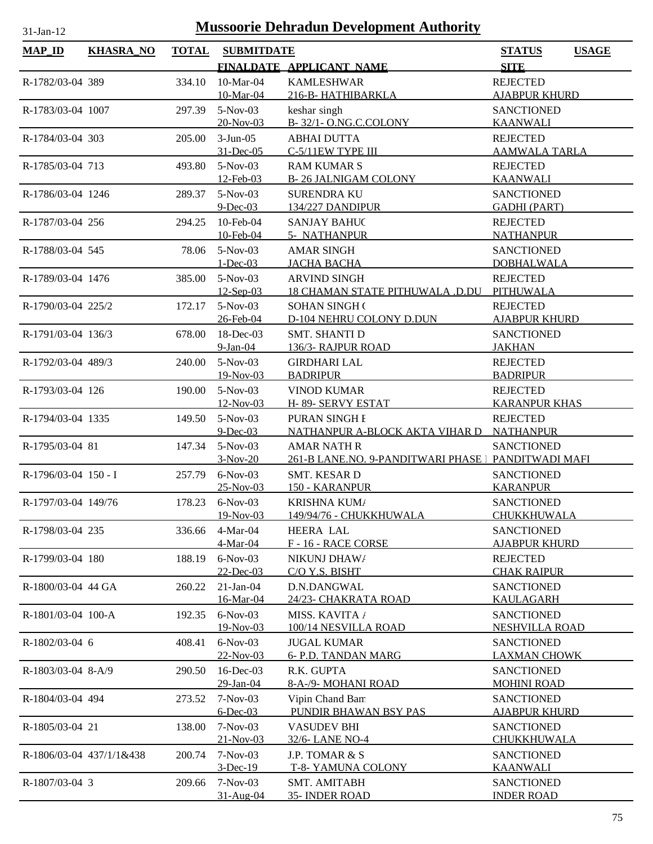| lan |  |
|-----|--|

| <b>MAP_ID</b>        | <b>KHASRA_NO</b>         | <b>TOTAL</b> | <b>SUBMITDATE</b> |                                                     | <b>STATUS</b><br><b>USAGE</b> |
|----------------------|--------------------------|--------------|-------------------|-----------------------------------------------------|-------------------------------|
|                      |                          |              |                   | FINALDATE APPLICANT NAME                            | <b>SITE</b>                   |
| R-1782/03-04 389     |                          | 334.10       | 10-Mar-04         | <b>KAMLESHWAR</b>                                   | <b>REJECTED</b>               |
|                      |                          |              | 10-Mar-04         | 216-B- HATHIBARKLA                                  | <b>AJABPUR KHURD</b>          |
| R-1783/03-04 1007    |                          | 297.39       | 5-Nov-03          | keshar singh                                        | <b>SANCTIONED</b>             |
|                      |                          |              | 20-Nov-03         | B-32/1-O.NG.C.COLONY                                | <b>KAANWALI</b>               |
| R-1784/03-04 303     |                          | 205.00       | $3-Jun-05$        | <b>ABHAI DUTTA</b>                                  | <b>REJECTED</b>               |
|                      |                          |              | 31-Dec-05         | C-5/11EW TYPE III                                   | <b>AAMWALA TARLA</b>          |
| R-1785/03-04 713     |                          | 493.80       | $5-Nov-03$        | <b>RAM KUMAR S</b>                                  | <b>REJECTED</b>               |
|                      |                          |              | 12-Feb-03         | <b>B-26 JALNIGAM COLONY</b>                         | <b>KAANWALI</b>               |
| R-1786/03-04 1246    |                          | 289.37       | $5-Nov-03$        | <b>SURENDRA KU</b>                                  | <b>SANCTIONED</b>             |
|                      |                          |              | $9$ -Dec-03       | 134/227 DANDIPUR                                    | <b>GADHI (PART)</b>           |
| R-1787/03-04 256     |                          | 294.25       | 10-Feb-04         | <b>SANJAY BAHUC</b>                                 | <b>REJECTED</b>               |
|                      |                          |              | 10-Feb-04         | 5- NATHANPUR                                        | <b>NATHANPUR</b>              |
| R-1788/03-04 545     |                          | 78.06        | $5-Nov-03$        | <b>AMAR SINGH</b>                                   | <b>SANCTIONED</b>             |
|                      |                          |              | $1 - Dec-03$      | <b>JACHA BACHA</b>                                  | <b>DOBHALWALA</b>             |
| R-1789/03-04 1476    |                          | 385.00       | $5-Nov-03$        | <b>ARVIND SINGH</b>                                 | <b>REJECTED</b>               |
|                      |                          |              | $12$ -Sep-03      | <b>18 CHAMAN STATE PITHUWALA .D.DU</b>              | PITHUWALA                     |
| R-1790/03-04 225/2   |                          | 172.17       | $5-Nov-03$        | <b>SOHAN SINGH (</b>                                | <b>REJECTED</b>               |
|                      |                          |              | 26-Feb-04         | D-104 NEHRU COLONY D.DUN                            | <b>AJABPUR KHURD</b>          |
| R-1791/03-04 136/3   |                          | 678.00       | 18-Dec-03         | <b>SMT. SHANTI D</b>                                | <b>SANCTIONED</b>             |
|                      |                          |              | $9-Ian-04$        | 136/3- RAJPUR ROAD                                  | <b>JAKHAN</b>                 |
| R-1792/03-04 489/3   |                          | 240.00       | 5-Nov-03          | <b>GIRDHARI LAL</b>                                 | <b>REJECTED</b>               |
|                      |                          |              | $19-Nov-03$       | <b>BADRIPUR</b>                                     | <b>BADRIPUR</b>               |
| R-1793/03-04 126     |                          | 190.00       | 5-Nov-03          | <b>VINOD KUMAR</b>                                  | <b>REJECTED</b>               |
|                      |                          |              | 12-Nov-03         | H-89-SERVY ESTAT                                    | <b>KARANPUR KHAS</b>          |
| R-1794/03-04 1335    |                          | 149.50       | 5-Nov-03          | PURAN SINGH I                                       | <b>REJECTED</b>               |
|                      |                          |              | $9$ -Dec-03       | <u>NATHANPUR A-BLOCK AKTA VIHAR D</u>               | <b>NATHANPUR</b>              |
| R-1795/03-04 81      |                          | 147.34       | 5-Nov-03          | <b>AMAR NATH R</b>                                  | <b>SANCTIONED</b>             |
|                      |                          |              | $3-Nov-20$        | 261-B LANE.NO. 9-PANDITWARI PHASE   PANDITWADI MAFI |                               |
| R-1796/03-04 150 - I |                          | 257.79       | $6-Nov-03$        | SMT. KESAR D                                        | <b>SANCTIONED</b>             |
|                      |                          |              | $25-Nov-03$       | 150 - KARANPUR                                      | <b>KARANPUR</b>               |
| R-1797/03-04 149/76  |                          | 178.23       | $6-Nov-03$        | KRISHNA KUM/                                        | <b>SANCTIONED</b>             |
|                      |                          |              | 19-Nov-03         | 149/94/76 - CHUKKHUWALA                             | <u>CHUKKHUWALA</u>            |
| R-1798/03-04 235     |                          | 336.66       | $4-Mar-04$        | <b>HEERA LAL</b>                                    | <b>SANCTIONED</b>             |
|                      |                          |              | 4-Mar-04          | F-16-RACE CORSE                                     | <b>AJABPUR KHURD</b>          |
| R-1799/03-04 180     |                          | 188.19       | $6-Nov-03$        | NIKUNJ DHAW/                                        | <b>REJECTED</b>               |
|                      |                          |              | 22-Dec-03         | C/O Y.S. BISHT                                      | <b>CHAK RAIPUR</b>            |
| R-1800/03-04 44 GA   |                          | 260.22       | $21-Jan-04$       | D.N.DANGWAL                                         | <b>SANCTIONED</b>             |
|                      |                          |              | 16-Mar-04         | 24/23- CHAKRATA ROAD                                | <b>KAULAGARH</b>              |
| R-1801/03-04 100-A   |                          | 192.35       | $6-Nov-03$        | <b>MISS. KAVITA /</b>                               | <b>SANCTIONED</b>             |
|                      |                          |              | 19-Nov-03         | 100/14 NESVILLA ROAD                                | <b>NESHVILLA ROAD</b>         |
| R-1802/03-04 6       |                          | 408.41       | $6-Nov-03$        | <b>JUGAL KUMAR</b>                                  | <b>SANCTIONED</b>             |
|                      |                          |              | 22-Nov-03         | 6- P.D. TANDAN MARG                                 | <u>LAXMAN CHOWK</u>           |
| $R-1803/03-04$ 8-A/9 |                          | 290.50       | $16$ -Dec-03      | R.K. GUPTA                                          | <b>SANCTIONED</b>             |
|                      |                          |              | 29-Jan-04         | 8-A-/9- MOHANI ROAD                                 | <b>MOHINI ROAD</b>            |
| R-1804/03-04 494     |                          | 273.52       | $7-Nov-03$        | Vipin Chand Ban                                     | <b>SANCTIONED</b>             |
|                      |                          |              | $6$ -Dec-03       | PUNDIR BHAWAN BSY PAS                               | <b>AJABPUR KHURD</b>          |
| R-1805/03-04 21      |                          | 138.00       | $7-Nov-03$        | <b>VASUDEV BHI</b>                                  | <b>SANCTIONED</b>             |
|                      |                          |              | $21-Nov-03$       | 32/6-LANE NO-4                                      | CHUKKHUWALA                   |
|                      | R-1806/03-04 437/1/1&438 | 200.74       | $7-Nov-03$        | J.P. TOMAR & S                                      | <b>SANCTIONED</b>             |
|                      |                          |              | $3-Dec-19$        | <b>T-8- YAMUNA COLONY</b>                           | <b>KAANWALI</b>               |
| R-1807/03-04 3       |                          | 209.66       | $7-Nov-03$        | SMT. AMITABH                                        | <b>SANCTIONED</b>             |
|                      |                          |              | 31-Aug-04         | 35- INDER ROAD                                      | <b>INDER ROAD</b>             |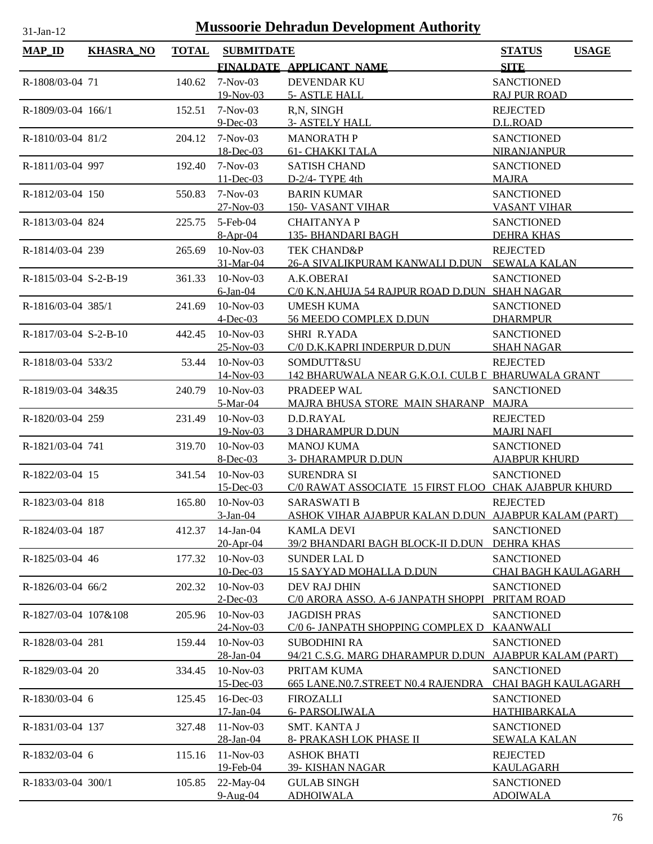| <b>MAP_ID</b>         | <b>KHASRA_NO</b> | <b>TOTAL</b> | <b>SUBMITDATE</b>                |                                                                            | <b>USAGE</b><br><b>STATUS</b>            |
|-----------------------|------------------|--------------|----------------------------------|----------------------------------------------------------------------------|------------------------------------------|
|                       |                  |              |                                  | FINALDATE APPLICANT NAME                                                   | <b>SITE</b>                              |
| R-1808/03-04 71       |                  | 140.62       | $7-Nov-03$<br>19-Nov-03          | <b>DEVENDAR KU</b><br>5- ASTLE HALL                                        | <b>SANCTIONED</b><br><b>RAJ PUR ROAD</b> |
| R-1809/03-04 166/1    |                  | 152.51       | $7-Nov-03$                       | R,N, SINGH                                                                 | <b>REJECTED</b>                          |
|                       |                  |              | $9$ -Dec-03                      | <b>3- ASTELY HALL</b>                                                      | D.L.ROAD                                 |
| R-1810/03-04 81/2     |                  | 204.12       | $7-Nov-03$                       | <b>MANORATHP</b>                                                           | <b>SANCTIONED</b>                        |
|                       |                  |              | 18-Dec-03                        | <b>61- CHAKKI TALA</b>                                                     | <b>NIRANJANPUR</b>                       |
| R-1811/03-04 997      |                  | 192.40       | $7-Nov-03$                       | <b>SATISH CHAND</b>                                                        | <b>SANCTIONED</b>                        |
|                       |                  |              | $11$ -Dec-03                     | D-2/4- TYPE 4th                                                            | <b>MAJRA</b>                             |
| R-1812/03-04 150      |                  | 550.83       | $7-Nov-03$                       | <b>BARIN KUMAR</b>                                                         | <b>SANCTIONED</b>                        |
|                       |                  |              | $27 - Nov - 03$                  | <b>150- VASANT VIHAR</b>                                                   | <b>VASANT VIHAR</b>                      |
| R-1813/03-04 824      |                  | 225.75       | 5-Feb-04                         | <b>CHAITANYAP</b>                                                          | <b>SANCTIONED</b>                        |
|                       |                  |              | $8-Apr-04$                       | <b>135- BHANDARI BAGH</b>                                                  | <b>DEHRA KHAS</b>                        |
| R-1814/03-04 239      |                  | 265.69       | $10-Nov-03$                      | <b>TEK CHAND&amp;P</b>                                                     | <b>REJECTED</b>                          |
|                       |                  |              | 31-Mar-04                        | 26-A SIVALIKPURAM KANWALI D.DUN SEWALA KALAN                               |                                          |
| R-1815/03-04 S-2-B-19 |                  | 361.33       | $10$ -Nov-03<br>$6$ -Jan-04      | A.K.OBERAI<br>C/0 K.N.AHUJA 54 RAJPUR ROAD D.DUN SHAH NAGAR                | <b>SANCTIONED</b>                        |
| R-1816/03-04 385/1    |                  | 241.69       | $10-Nov-03$                      | <b>UMESH KUMA</b>                                                          | <b>SANCTIONED</b>                        |
|                       |                  |              | $4$ -Dec-03                      | 56 MEEDO COMPLEX D.DUN                                                     | <b>DHARMPUR</b>                          |
| R-1817/03-04 S-2-B-10 |                  | 442.45       | $10-Nov-03$                      | <b>SHRI R.YADA</b>                                                         | <b>SANCTIONED</b>                        |
|                       |                  |              | 25-Nov-03                        | C/0 D.K.KAPRI INDERPUR D.DUN                                               | <b>SHAH NAGAR</b>                        |
| R-1818/03-04 533/2    |                  | 53.44        | $10-Nov-03$                      | SOMDUTT&SU                                                                 | <b>REJECTED</b>                          |
|                       |                  |              | <u>14-Nov-03</u>                 | 142 BHARUWALA NEAR G.K.O.I. CULB L BHARUWALA GRANT                         |                                          |
| R-1819/03-04 34&35    |                  | 240.79       | $10-Nov-03$                      | PRADEEP WAL                                                                | <b>SANCTIONED</b>                        |
|                       |                  |              | 5-Mar-04                         | MAJRA BHUSA STORE MAIN SHARANP MAJRA                                       |                                          |
| R-1820/03-04 259      |                  | 231.49       | $10-Nov-03$                      | D.D.RAYAL                                                                  | <b>REJECTED</b>                          |
|                       |                  |              | 19-Nov-03                        | <b>3 DHARAMPUR D.DUN</b>                                                   | <b>MAJRI NAFI</b>                        |
| R-1821/03-04 741      |                  | 319.70       | $10-Nov-03$                      | <b>MANOJ KUMA</b>                                                          | <b>SANCTIONED</b>                        |
|                       |                  |              | $8$ -Dec-03                      | <b>3- DHARAMPUR D.DUN</b>                                                  | <b>AJABPUR KHURD</b>                     |
| R-1822/03-04 15       |                  | 341.54       | $10-Nov-03$                      | <b>SURENDRA SI</b>                                                         | <b>SANCTIONED</b>                        |
|                       |                  |              | $15$ -Dec-03<br>165.80 10-Nov-03 | C/0 RAWAT ASSOCIATE 15 FIRST FLOO CHAK AJABPUR KHURD<br><b>SARASWATI B</b> |                                          |
| R-1823/03-04 818      |                  |              | $3-Jan-04$                       | ASHOK VIHAR AJABPUR KALAN D.DUN AJABPUR KALAM (PART)                       | <b>REJECTED</b>                          |
| R-1824/03-04 187      |                  | 412.37       | $14$ -Jan- $04$                  | <b>KAMLA DEVI</b>                                                          | <b>SANCTIONED</b>                        |
|                       |                  |              | 20-Apr-04                        | 39/2 BHANDARI BAGH BLOCK-II D.DUN                                          | <b>DEHRA KHAS</b>                        |
| R-1825/03-04 46       |                  | 177.32       | 10-Nov-03                        | <b>SUNDER LAL D</b>                                                        | <b>SANCTIONED</b>                        |
|                       |                  |              | 10-Dec-03                        | 15 SAYYAD MOHALLA D.DUN                                                    | <b>CHAI BAGH KAULAGARH</b>               |
| R-1826/03-04 66/2     |                  | 202.32       | 10-Nov-03                        | DEV RAJ DHIN                                                               | <b>SANCTIONED</b>                        |
|                       |                  |              | $2$ -Dec-03                      | C/0 ARORA ASSO. A-6 JANPATH SHOPPI                                         | PRITAM ROAD                              |
| R-1827/03-04 107&108  |                  | 205.96       | 10-Nov-03                        | <b>JAGDISH PRAS</b>                                                        | <b>SANCTIONED</b>                        |
|                       |                  |              | 24-Nov-03                        | C/0 6- JANPATH SHOPPING COMPLEX D                                          | <b>KAANWALI</b>                          |
| R-1828/03-04 281      |                  | 159.44       | $10-Nov-03$                      | <b>SUBODHINI RA</b>                                                        | <b>SANCTIONED</b>                        |
|                       |                  |              | 28-Jan-04                        | 94/21 C.S.G. MARG DHARAMPUR D.DUN AJABPUR KALAM (PART)                     |                                          |
| R-1829/03-04 20       |                  | 334.45       | $10-Nov-03$                      | PRITAM KUMA                                                                | <b>SANCTIONED</b>                        |
|                       |                  |              | $15$ -Dec-03                     | 665 LANE.NO.7.STREET NO.4 RAJENDRA                                         | <b>CHAI BAGH KAULAGARH</b>               |
| R-1830/03-04 6        |                  | 125.45       | 16-Dec-03<br>17-Jan-04           | <b>FIROZALLI</b><br><b>6- PARSOLIWALA</b>                                  | <b>SANCTIONED</b><br><u>HATHIBARKALA</u> |
| R-1831/03-04 137      |                  | 327.48       | $11-Nov-03$                      | SMT. KANTA J                                                               | <b>SANCTIONED</b>                        |
|                       |                  |              | 28-Jan-04                        | 8- PRAKASH LOK PHASE II                                                    | <b>SEWALA KALAN</b>                      |
| R-1832/03-04 6        |                  | 115.16       | $11-Nov-03$                      | <b>ASHOK BHATI</b>                                                         | <b>REJECTED</b>                          |
|                       |                  |              | 19-Feb-04                        | 39- KISHAN NAGAR                                                           | KAULAGARH                                |
| R-1833/03-04 300/1    |                  | 105.85       | 22-May-04                        | <b>GULAB SINGH</b>                                                         | <b>SANCTIONED</b>                        |
|                       |                  |              | $9-Aug-04$                       | <b>ADHOIWALA</b>                                                           | <b>ADOIWALA</b>                          |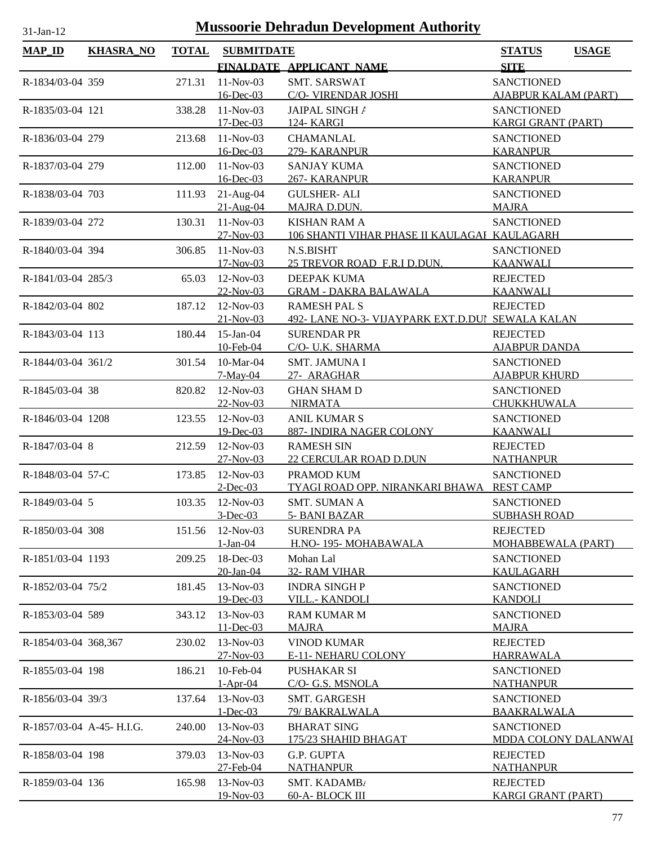| $31-Jan-12$               | <b>Mussoorie Dehradun Development Authority</b> |              |                                 |                                                                         |                                                |              |  |  |
|---------------------------|-------------------------------------------------|--------------|---------------------------------|-------------------------------------------------------------------------|------------------------------------------------|--------------|--|--|
| <b>MAP_ID</b>             | <b>KHASRA_NO</b>                                | <b>TOTAL</b> | <b>SUBMITDATE</b>               |                                                                         | <b>STATUS</b>                                  | <b>USAGE</b> |  |  |
|                           |                                                 |              |                                 | FINALDATE APPLICANT NAME                                                | <b>SITE</b>                                    |              |  |  |
| R-1834/03-04 359          |                                                 | 271.31       | 11-Nov-03                       | <b>SMT. SARSWAT</b>                                                     | <b>SANCTIONED</b>                              |              |  |  |
|                           |                                                 |              | 16-Dec-03                       | C/O- VIRENDAR JOSHI                                                     | <b>AJABPUR KALAM (PART)</b>                    |              |  |  |
| R-1835/03-04 121          |                                                 | 338.28       | $11-Nov-03$<br>$17 - Dec-03$    | JAIPAL SINGH /                                                          | <b>SANCTIONED</b>                              |              |  |  |
| R-1836/03-04 279          |                                                 | 213.68       | $11-Nov-03$                     | 124- KARGI<br><b>CHAMANLAL</b>                                          | <b>KARGI GRANT (PART)</b><br><b>SANCTIONED</b> |              |  |  |
|                           |                                                 |              | 16-Dec-03                       | 279- KARANPUR                                                           | <b>KARANPUR</b>                                |              |  |  |
| R-1837/03-04 279          |                                                 | 112.00       | $11-Nov-03$                     | <b>SANJAY KUMA</b>                                                      | <b>SANCTIONED</b>                              |              |  |  |
|                           |                                                 |              | 16-Dec-03                       | 267- KARANPUR                                                           | <b>KARANPUR</b>                                |              |  |  |
| R-1838/03-04 703          |                                                 | 111.93       | $21-Aug-04$                     | <b>GULSHER- ALI</b>                                                     | <b>SANCTIONED</b>                              |              |  |  |
|                           |                                                 |              | $21-Aug-04$<br>11-Nov-03        | <b>MAJRA D.DUN.</b>                                                     | <b>MAJRA</b>                                   |              |  |  |
| R-1839/03-04 272          |                                                 | 130.31       | $27-Nov-03$                     | <b>KISHAN RAM A</b><br>106 SHANTI VIHAR PHASE II KAULAGAI KAULAGARH     | <b>SANCTIONED</b>                              |              |  |  |
| R-1840/03-04 394          |                                                 | 306.85       | 11-Nov-03                       | N.S.BISHT                                                               | <b>SANCTIONED</b>                              |              |  |  |
|                           |                                                 |              | $17-Nov-03$                     | 25 TREVOR ROAD F.R.I D.DUN.                                             | <b>KAANWALI</b>                                |              |  |  |
| R-1841/03-04 285/3        |                                                 | 65.03        | 12-Nov-03                       | DEEPAK KUMA                                                             | <b>REJECTED</b>                                |              |  |  |
|                           |                                                 |              | 22-Nov-03                       | <b>GRAM - DAKRA BALAWALA</b>                                            | <b>KAANWALI</b>                                |              |  |  |
| R-1842/03-04 802          |                                                 | 187.12       | 12-Nov-03<br>$21 - Nov - 03$    | <b>RAMESH PAL S</b><br>492- LANE NO-3- VIJAYPARK EXT.D.DUI SEWALA KALAN | <b>REJECTED</b>                                |              |  |  |
| R-1843/03-04 113          |                                                 | 180.44       | $15$ -Jan-04                    | <b>SURENDAR PR</b>                                                      | <b>REJECTED</b>                                |              |  |  |
|                           |                                                 |              | 10-Feb-04                       | C/O- U.K. SHARMA                                                        | <b>AJABPUR DANDA</b>                           |              |  |  |
| R-1844/03-04 361/2        |                                                 | 301.54       | 10-Mar-04                       | <b>SMT. JAMUNA I</b>                                                    | <b>SANCTIONED</b>                              |              |  |  |
|                           |                                                 |              | $7-May-04$                      | 27- ARAGHAR                                                             | <b>AJABPUR KHURD</b>                           |              |  |  |
| R-1845/03-04 38           |                                                 | 820.82       | $12-Nov-03$<br>22-Nov-03        | <b>GHAN SHAM D</b><br><b>NIRMATA</b>                                    | <b>SANCTIONED</b><br>CHUKKHUWALA               |              |  |  |
| R-1846/03-04 1208         |                                                 | 123.55       | 12-Nov-03                       | <b>ANIL KUMAR S</b>                                                     | <b>SANCTIONED</b>                              |              |  |  |
|                           |                                                 |              | 19-Dec-03                       | 887- INDIRA NAGER COLONY                                                | <b>KAANWALI</b>                                |              |  |  |
| R-1847/03-04 8            |                                                 | 212.59       | 12-Nov-03                       | <b>RAMESH SIN</b>                                                       | <b>REJECTED</b>                                |              |  |  |
|                           |                                                 |              | $27 - Nov - 03$                 | <b>22 CERCULAR ROAD D.DUN</b>                                           | <b>NATHANPUR</b>                               |              |  |  |
| R-1848/03-04 57-C         |                                                 | 173.85       | $12-Nov-03$                     | PRAMOD KUM                                                              | <b>SANCTIONED</b>                              |              |  |  |
|                           |                                                 |              | $2$ -Dec-03<br>103.35 12-Nov-03 | TYAGI ROAD OPP. NIRANKARI BHAWA REST CAMP<br><b>SMT. SUMAN A</b>        |                                                |              |  |  |
| R-1849/03-04 5            |                                                 |              | $3$ -Dec-03                     | 5- BANI BAZAR                                                           | <b>SANCTIONED</b><br><b>SUBHASH ROAD</b>       |              |  |  |
| R-1850/03-04 308          |                                                 | 151.56       | $12-Nov-03$                     | <b>SURENDRA PA</b>                                                      | <b>REJECTED</b>                                |              |  |  |
|                           |                                                 |              | $1-Jan-04$                      | H.NO-195-MOHABAWALA                                                     | MOHABBEWALA (PART)                             |              |  |  |
| R-1851/03-04 1193         |                                                 | 209.25       | 18-Dec-03                       | Mohan Lal                                                               | <b>SANCTIONED</b>                              |              |  |  |
|                           |                                                 |              | 20-Jan-04                       | 32- RAM VIHAR                                                           | KAULAGARH                                      |              |  |  |
| R-1852/03-04 75/2         |                                                 | 181.45       | 13-Nov-03<br>19-Dec-03          | <b>INDRA SINGHP</b><br><b>VILL.- KANDOLI</b>                            | <b>SANCTIONED</b><br><b>KANDOLI</b>            |              |  |  |
| R-1853/03-04 589          |                                                 | 343.12       | $13-Nov-03$                     | <b>RAM KUMAR M</b>                                                      | <b>SANCTIONED</b>                              |              |  |  |
|                           |                                                 |              | 11-Dec-03                       | <b>MAJRA</b>                                                            | <b>MAJRA</b>                                   |              |  |  |
| R-1854/03-04 368,367      |                                                 | 230.02       | 13-Nov-03                       | <b>VINOD KUMAR</b>                                                      | <b>REJECTED</b>                                |              |  |  |
|                           |                                                 |              | $27 - Nov - 03$                 | E-11- NEHARU COLONY                                                     | <b>HARRAWALA</b>                               |              |  |  |
| R-1855/03-04 198          |                                                 | 186.21       | 10-Feb-04<br>$1-Apr-04$         | PUSHAKAR SI<br>C/O- G.S. MSNOLA                                         | <b>SANCTIONED</b><br><b>NATHANPUR</b>          |              |  |  |
| R-1856/03-04 39/3         |                                                 | 137.64       | $13-Nov-03$                     | SMT. GARGESH                                                            | <b>SANCTIONED</b>                              |              |  |  |
|                           |                                                 |              | $1-Dec-03$                      | 79/ BAKRALWALA                                                          | <b>BAAKRALWALA</b>                             |              |  |  |
| R-1857/03-04 A-45- H.I.G. |                                                 | 240.00       | 13-Nov-03                       | <b>BHARAT SING</b>                                                      | <b>SANCTIONED</b>                              |              |  |  |
|                           |                                                 |              | 24-Nov-03                       | 175/23 SHAHID BHAGAT                                                    | MDDA COLONY DALANWAI                           |              |  |  |
| R-1858/03-04 198          |                                                 | 379.03       | 13-Nov-03                       | G.P. GUPTA                                                              | <b>REJECTED</b>                                |              |  |  |
| R-1859/03-04 136          |                                                 | 165.98       | 27-Feb-04<br>13-Nov-03          | <b>NATHANPUR</b><br>SMT. KADAMB/                                        | <b>NATHANPUR</b><br><b>REJECTED</b>            |              |  |  |
|                           |                                                 |              | 19-Nov-03                       | 60-A- BLOCK III                                                         | <b>KARGI GRANT (PART)</b>                      |              |  |  |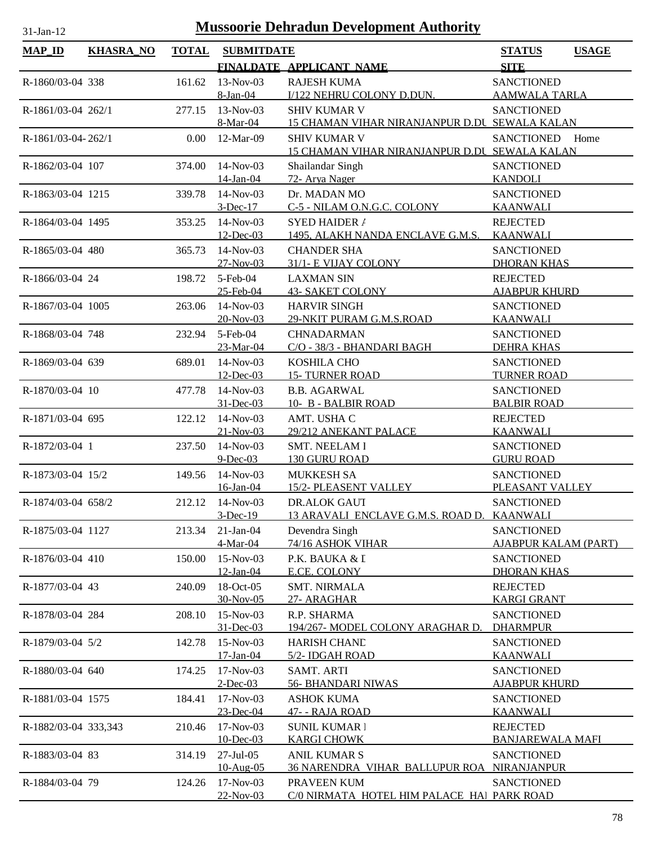| $MAP$ ID             | <b>KHASRA_NO</b> | <b>TOTAL</b> | <b>SUBMITDATE</b>      |                                               | <b>STATUS</b><br><b>USAGE</b>           |
|----------------------|------------------|--------------|------------------------|-----------------------------------------------|-----------------------------------------|
|                      |                  |              |                        | FINALDATE APPLICANT NAME                      | <b>SITE</b>                             |
| R-1860/03-04 338     |                  | 161.62       | $13-Nov-03$            | <b>RAJESH KUMA</b>                            | <b>SANCTIONED</b>                       |
|                      |                  |              | 8-Jan-04               | I/122 NEHRU COLONY D.DUN.                     | <b>AAMWALA TARLA</b>                    |
| R-1861/03-04 262/1   |                  | 277.15       | 13-Nov-03              | <b>SHIV KUMAR V</b>                           | <b>SANCTIONED</b>                       |
|                      |                  |              | 8-Mar-04               | 15 CHAMAN VIHAR NIRANJANPUR D.DU SEWALA KALAN |                                         |
| R-1861/03-04-262/1   |                  | 0.00         | 12-Mar-09              | <b>SHIV KUMAR V</b>                           | SANCTIONED<br>Home                      |
|                      |                  |              |                        | 15 CHAMAN VIHAR NIRANJANPUR D.DU SEWALA KALAN |                                         |
| R-1862/03-04 107     |                  | 374.00       | $14$ -Nov-03           | Shailandar Singh                              | <b>SANCTIONED</b>                       |
|                      |                  |              | 14-Jan-04              | 72- Arya Nager                                | <b>KANDOLI</b>                          |
| R-1863/03-04 1215    |                  | 339.78       | $14-Nov-03$            | Dr. MADAN MO                                  | <b>SANCTIONED</b>                       |
|                      |                  |              | $3-Dec-17$             | C-5 - NILAM O.N.G.C. COLONY                   | <b>KAANWALI</b>                         |
| R-1864/03-04 1495    |                  | 353.25       | 14-Nov-03              | <b>SYED HAIDER /</b>                          | <b>REJECTED</b>                         |
|                      |                  |              | $12$ -Dec-03           | 1495, ALAKH NANDA ENCLAVE G.M.S.              | <b>KAANWALI</b>                         |
| R-1865/03-04 480     |                  | 365.73       | 14-Nov-03              | <b>CHANDER SHA</b>                            | <b>SANCTIONED</b>                       |
|                      |                  |              | $27 - Nov - 03$        | 31/1- E VIJAY COLONY                          | <b>DHORAN KHAS</b>                      |
| R-1866/03-04 24      |                  | 198.72       | 5-Feb-04<br>25-Feb-04  | <b>LAXMAN SIN</b><br><b>43- SAKET COLONY</b>  | <b>REJECTED</b><br><b>AJABPUR KHURD</b> |
| R-1867/03-04 1005    |                  | 263.06       | 14-Nov-03              | <b>HARVIR SINGH</b>                           | <b>SANCTIONED</b>                       |
|                      |                  |              | 20-Nov-03              | 29-NKIT PURAM G.M.S.ROAD                      | <b>KAANWALI</b>                         |
| R-1868/03-04 748     |                  | 232.94       | 5-Feb-04               | <b>CHNADARMAN</b>                             | <b>SANCTIONED</b>                       |
|                      |                  |              | 23-Mar-04              | C/O - 38/3 - BHANDARI BAGH                    | <b>DEHRA KHAS</b>                       |
| R-1869/03-04 639     |                  | 689.01       | 14-Nov-03              | KOSHILA CHO                                   | <b>SANCTIONED</b>                       |
|                      |                  |              | 12-Dec-03              | <b>15- TURNER ROAD</b>                        | <b>TURNER ROAD</b>                      |
| R-1870/03-04 10      |                  | 477.78       | 14-Nov-03              | <b>B.B. AGARWAL</b>                           | <b>SANCTIONED</b>                       |
|                      |                  |              | 31-Dec-03              | 10- B - BALBIR ROAD                           | <b>BALBIR ROAD</b>                      |
| R-1871/03-04 695     |                  | 122.12       | $14$ -Nov-03           | AMT. USHA C                                   | <b>REJECTED</b>                         |
|                      |                  |              | $21-Nov-03$            | 29/212 ANEKANT PALACE                         | <b>KAANWALI</b>                         |
| R-1872/03-04 1       |                  | 237.50       | $14$ -Nov-03           | <b>SMT. NEELAM I</b>                          | <b>SANCTIONED</b>                       |
|                      |                  |              | $9$ -Dec-03            | <b>130 GURU ROAD</b>                          | <b>GURU ROAD</b>                        |
| R-1873/03-04 15/2    |                  | 149.56       | $14-Nov-03$            | <b>MUKKESH SA</b>                             | <b>SANCTIONED</b>                       |
|                      |                  |              | 16-Jan-04              | 15/2- PLEASENT VALLEY                         | PLEASANT VALLEY                         |
| R-1874/03-04 658/2   |                  | 212.12       | $14$ -Nov-03           | DR.ALOK GAUT                                  | <b>SANCTIONED</b>                       |
|                      |                  |              | $3-Dec-19$             | 13 ARAVALI ENCLAVE G.M.S. ROAD D. KAANWALI    |                                         |
| R-1875/03-04 1127    |                  | 213.34       | $21-Jan-04$            | Devendra Singh                                | <b>SANCTIONED</b>                       |
|                      |                  |              | 4-Mar-04               | 74/16 ASHOK VIHAR                             | <b>AJABPUR KALAM (PART)</b>             |
| R-1876/03-04 410     |                  | 150.00       | 15-Nov-03              | P.K. BAUKA & I                                | <b>SANCTIONED</b>                       |
|                      |                  |              | 12-Jan-04              | <b>E.CE. COLONY</b>                           | <b>DHORAN KHAS</b>                      |
| R-1877/03-04 43      |                  | 240.09       | 18-Oct-05<br>30-Nov-05 | <b>SMT. NIRMALA</b><br>27- ARAGHAR            | <b>REJECTED</b><br><b>KARGI GRANT</b>   |
| R-1878/03-04 284     |                  | 208.10       | 15-Nov-03              | R.P. SHARMA                                   | <b>SANCTIONED</b>                       |
|                      |                  |              | $31$ -Dec-03           | 194/267-MODEL COLONY ARAGHAR D.               | <b>DHARMPUR</b>                         |
| R-1879/03-04 5/2     |                  | 142.78       | 15-Nov-03              | <b>HARISH CHAND</b>                           | <b>SANCTIONED</b>                       |
|                      |                  |              | 17-Jan-04              | 5/2-IDGAH ROAD                                | <b>KAANWALI</b>                         |
| R-1880/03-04 640     |                  | 174.25       | $17-Nov-03$            | <b>SAMT. ARTI</b>                             | <b>SANCTIONED</b>                       |
|                      |                  |              | $2$ -Dec-03            | 56- BHANDARI NIWAS                            | <u>AJABPUR KHURD</u>                    |
| R-1881/03-04 1575    |                  | 184.41       | 17-Nov-03              | <b>ASHOK KUMA</b>                             | <b>SANCTIONED</b>                       |
|                      |                  |              | 23-Dec-04              | 47- - RAJA ROAD                               | <b>KAANWALI</b>                         |
| R-1882/03-04 333,343 |                  | 210.46       | 17-Nov-03              | <b>SUNIL KUMAR1</b>                           | <b>REJECTED</b>                         |
|                      |                  |              | 10-Dec-03              | <b>KARGI CHOWK</b>                            | <b>BANJAREWALA MAFI</b>                 |
| R-1883/03-04 83      |                  | 314.19       | 27-Jul-05              | <b>ANIL KUMAR S</b>                           | <b>SANCTIONED</b>                       |
|                      |                  |              | 10-Aug-05              | <b>36 NARENDRA VIHAR BALLUPUR ROA</b>         | NIRANJANPUR                             |
| R-1884/03-04 79      |                  | 124.26       | 17-Nov-03              | PRAVEEN KUM                                   | <b>SANCTIONED</b>                       |
|                      |                  |              | 22-Nov-03              | C/0 NIRMATA HOTEL HIM PALACE HAI PARK ROAD    |                                         |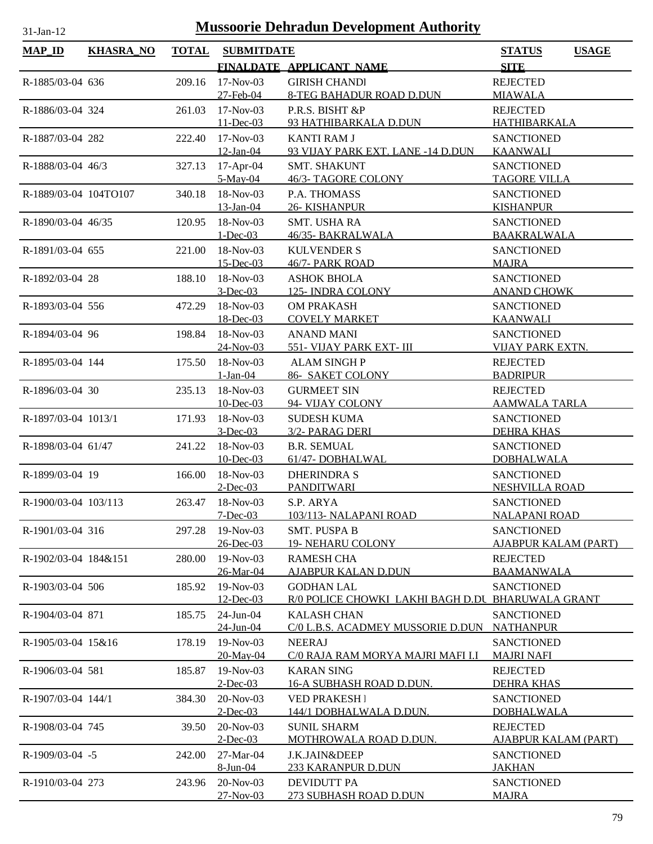| <b>MAP_ID</b>         | <b>KHASRA_NO</b> | <b>TOTAL</b> | <b>SUBMITDATE</b>         |                                                                        | <b>STATUS</b><br><b>USAGE</b>          |
|-----------------------|------------------|--------------|---------------------------|------------------------------------------------------------------------|----------------------------------------|
|                       |                  |              |                           | FINALDATE APPLICANT NAME                                               | <b>SITE</b>                            |
| R-1885/03-04 636      |                  | 209.16       | $17-Nov-03$               | <b>GIRISH CHANDI</b>                                                   | <b>REJECTED</b>                        |
|                       |                  |              | 27-Feb-04<br>$17-Nov-03$  | <b>8-TEG BAHADUR ROAD D.DUN</b><br>P.R.S. BISHT &P                     | <b>MIAWALA</b><br><b>REJECTED</b>      |
| R-1886/03-04 324      |                  | 261.03       | $11 - Dec-03$             | 93 HATHIBARKALA D.DUN                                                  | <b>HATHIBARKALA</b>                    |
| R-1887/03-04 282      |                  | 222.40       | $17-Nov-03$               | <b>KANTI RAM J</b>                                                     | <b>SANCTIONED</b>                      |
|                       |                  |              | $12$ -Jan-04              | 93 VIJAY PARK EXT. LANE -14 D.DUN                                      | <b>KAANWALI</b>                        |
| R-1888/03-04 46/3     |                  | 327.13       | 17-Apr-04                 | <b>SMT. SHAKUNT</b>                                                    | <b>SANCTIONED</b>                      |
|                       |                  |              | $5-May-04$                | 46/3- TAGORE COLONY                                                    | <b>TAGORE VILLA</b>                    |
| R-1889/03-04 104TO107 |                  | 340.18       | 18-Nov-03                 | P.A. THOMASS                                                           | <b>SANCTIONED</b>                      |
|                       |                  |              | 13-Jan-04                 | <b>26- KISHANPUR</b>                                                   | <b>KISHANPUR</b>                       |
| R-1890/03-04 46/35    |                  | 120.95       | 18-Nov-03                 | SMT. USHA RA                                                           | <b>SANCTIONED</b>                      |
|                       |                  |              | $1 - Dec-03$              | 46/35- BAKRALWALA                                                      | <b>BAAKRALWALA</b>                     |
| R-1891/03-04 655      |                  | 221.00       | 18-Nov-03<br>$15$ -Dec-03 | <b>KULVENDER S</b><br>46/7- PARK ROAD                                  | <b>SANCTIONED</b><br><b>MAJRA</b>      |
| R-1892/03-04 28       |                  | 188.10       | 18-Nov-03                 | <b>ASHOK BHOLA</b>                                                     | <b>SANCTIONED</b>                      |
|                       |                  |              | $3 - Dec-03$              | <b>125-INDRA COLONY</b>                                                | <b>ANAND CHOWK</b>                     |
| R-1893/03-04 556      |                  | 472.29       | 18-Nov-03                 | <b>OM PRAKASH</b>                                                      | <b>SANCTIONED</b>                      |
|                       |                  |              | 18-Dec-03                 | <b>COVELY MARKET</b>                                                   | <b>KAANWALI</b>                        |
| R-1894/03-04 96       |                  | 198.84       | 18-Nov-03                 | <b>ANAND MANI</b>                                                      | <b>SANCTIONED</b>                      |
|                       |                  |              | 24-Nov-03                 | 551- VIJAY PARK EXT- III                                               | <b>VIJAY PARK EXTN.</b>                |
| R-1895/03-04 144      |                  | 175.50       | 18-Nov-03                 | <b>ALAM SINGHP</b>                                                     | <b>REJECTED</b>                        |
|                       |                  |              | $1-Jan-04$                | <b>86- SAKET COLONY</b>                                                | <b>BADRIPUR</b>                        |
| R-1896/03-04 30       |                  | 235.13       | 18-Nov-03                 | <b>GURMEET SIN</b>                                                     | <b>REJECTED</b>                        |
|                       |                  |              | 10-Dec-03                 | 94- VIJAY COLONY                                                       | <u>AAMWALA TARLA</u>                   |
| R-1897/03-04 1013/1   |                  | 171.93       | 18-Nov-03<br>$3$ -Dec-03  | <b>SUDESH KUMA</b>                                                     | <b>SANCTIONED</b>                      |
| R-1898/03-04 61/47    |                  | 241.22       | 18-Nov-03                 | 3/2- PARAG DERI<br><b>B.R. SEMUAL</b>                                  | <b>DEHRA KHAS</b><br><b>SANCTIONED</b> |
|                       |                  |              | $10$ -Dec-03              | 61/47-DOBHALWAL                                                        | <b>DOBHALWALA</b>                      |
| R-1899/03-04 19       |                  | 166.00       | 18-Nov-03                 | <b>DHERINDRA S</b>                                                     | <b>SANCTIONED</b>                      |
|                       |                  |              | $2$ -Dec-03               | <b>PANDITWARI</b>                                                      | <b>NESHVILLA ROAD</b>                  |
| R-1900/03-04 103/113  |                  | 263.47       | 18-Nov-03                 | S.P. ARYA                                                              | <b>SANCTIONED</b>                      |
|                       |                  |              | $7 - Dec-03$              | 103/113- NALAPANI ROAD                                                 | <b>NALAPANI ROAD</b>                   |
| R-1901/03-04 316      |                  | 297.28       | $19-Nov-03$               | <b>SMT. PUSPA B</b>                                                    | <b>SANCTIONED</b>                      |
|                       |                  |              | 26-Dec-03                 | <b>19- NEHARU COLONY</b>                                               | <b>AJABPUR KALAM (PART)</b>            |
| R-1902/03-04 184&151  |                  | 280.00       | $19-Nov-03$               | <b>RAMESH CHA</b>                                                      | <b>REJECTED</b>                        |
|                       |                  |              | 26-Mar-04                 | <b>AJABPUR KALAN D.DUN</b>                                             | <b>BAAMANWALA</b>                      |
| R-1903/03-04 506      |                  | 185.92       | 19-Nov-03<br>12-Dec-03    | <b>GODHAN LAL</b><br>R/0 POLICE CHOWKI LAKHI BAGH D.DU BHARUWALA GRANT | <b>SANCTIONED</b>                      |
| R-1904/03-04 871      |                  | 185.75       | 24-Jun-04                 | <b>KALASH CHAN</b>                                                     | <b>SANCTIONED</b>                      |
|                       |                  |              | 24-Jun-04                 | C/0 L.B.S. ACADMEY MUSSORIE D.DUN                                      | <b>NATHANPUR</b>                       |
| R-1905/03-04 15&16    |                  | 178.19       | 19-Nov-03                 | <b>NEERAJ</b>                                                          | <b>SANCTIONED</b>                      |
|                       |                  |              | 20-May-04                 | C/0 RAJA RAM MORYA MAJRI MAFI I.I                                      | <b>MAJRI NAFI</b>                      |
| R-1906/03-04 581      |                  | 185.87       | 19-Nov-03                 | <b>KARAN SING</b>                                                      | <b>REJECTED</b>                        |
|                       |                  |              | $2$ -Dec-03               | <u>16-A SUBHASH ROAD D.DUN.</u>                                        | <b>DEHRA KHAS</b>                      |
| R-1907/03-04 144/1    |                  | 384.30       | 20-Nov-03                 | <b>VED PRAKESH I</b>                                                   | <b>SANCTIONED</b>                      |
|                       |                  |              | $2$ -Dec-03               | <u>144/1 DOBHALWALA D.DUN.</u>                                         | <b>DOBHALWALA</b>                      |
| R-1908/03-04 745      |                  | 39.50        | 20-Nov-03                 | <b>SUNIL SHARM</b>                                                     | <b>REJECTED</b>                        |
|                       |                  |              | $2$ -Dec-03               | MOTHROWALA ROAD D.DUN.                                                 | AJABPUR KALAM (PART)                   |
| R-1909/03-04 -5       |                  | 242.00       | 27-Mar-04<br>8-Jun-04     | <b>J.K.JAIN&amp;DEEP</b><br>233 KARANPUR D.DUN                         | <b>SANCTIONED</b><br><u>JAKHAN</u>     |
| R-1910/03-04 273      |                  | 243.96       | 20-Nov-03                 | <b>DEVIDUTT PA</b>                                                     | <b>SANCTIONED</b>                      |
|                       |                  |              | $27 - Nov - 03$           | 273 SUBHASH ROAD D.DUN                                                 | <b>MAJRA</b>                           |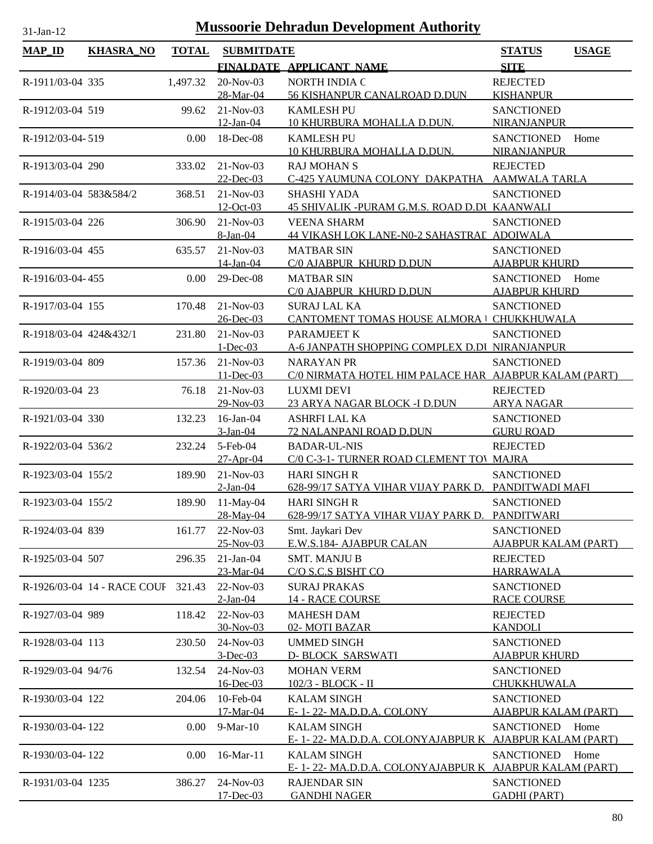| <b>MAP_ID</b>          |                             |              |                             |                                                                            |                                                          |  |
|------------------------|-----------------------------|--------------|-----------------------------|----------------------------------------------------------------------------|----------------------------------------------------------|--|
|                        | <b>KHASRA_NO</b>            | <b>TOTAL</b> | <b>SUBMITDATE</b>           | FINALDATE APPLICANT NAME                                                   | <b>USAGE</b><br><b>STATUS</b><br><b>SITE</b>             |  |
|                        |                             |              |                             |                                                                            |                                                          |  |
| R-1911/03-04 335       |                             | 1,497.32     | 20-Nov-03<br>28-Mar-04      | NORTH INDIA C<br>56 KISHANPUR CANALROAD D.DUN                              | <b>REJECTED</b><br><b>KISHANPUR</b>                      |  |
| R-1912/03-04 519       |                             | 99.62        | $21-Nov-03$<br>12-Jan-04    | <b>KAMLESH PU</b><br>10 KHURBURA MOHALLA D.DUN.                            | <b>SANCTIONED</b><br>NIRANJANPUR                         |  |
| R-1912/03-04-519       |                             | 0.00         | 18-Dec-08                   | <b>KAMLESH PU</b>                                                          | <b>SANCTIONED</b><br>Home                                |  |
|                        |                             |              |                             | 10 KHURBURA MOHALLA D.DUN.                                                 | NIRANJANPUR                                              |  |
| R-1913/03-04 290       |                             | 333.02       | $21-Nov-03$<br>$22$ -Dec-03 | <b>RAJ MOHAN S</b><br>C-425 YAUMUNA COLONY DAKPATHA                        | <b>REJECTED</b><br><b>AAMWALA TARLA</b>                  |  |
| R-1914/03-04 583&584/2 |                             | 368.51       | $21-Nov-03$<br>12-Oct-03    | <b>SHASHI YADA</b><br>45 SHIVALIK -PURAM G.M.S. ROAD D.DI KAANWALI         | <b>SANCTIONED</b>                                        |  |
| R-1915/03-04 226       |                             | 306.90       | $21-Nov-03$<br>8-Jan-04     | <b>VEENA SHARM</b><br>44 VIKASH LOK LANE-N0-2 SAHASTRAE ADOIWALA           | <b>SANCTIONED</b>                                        |  |
| R-1916/03-04 455       |                             | 635.57       | $21-Nov-03$                 | <b>MATBAR SIN</b>                                                          | <b>SANCTIONED</b>                                        |  |
|                        |                             |              | 14-Jan-04                   | C/0 AJABPUR KHURD D.DUN                                                    | <b>AJABPUR KHURD</b>                                     |  |
| R-1916/03-04-455       |                             | 0.00         | 29-Dec-08                   | <b>MATBAR SIN</b>                                                          | <b>SANCTIONED</b><br>Home                                |  |
|                        |                             |              |                             | C/0 AJABPUR KHURD D.DUN                                                    | <b>AJABPUR KHURD</b>                                     |  |
| R-1917/03-04 155       |                             | 170.48       | $21-Nov-03$<br>$26$ -Dec-03 | <b>SURAJ LAL KA</b><br><b>CANTOMENT TOMAS HOUSE ALMORA   CHUKKHUWALA</b>   | <b>SANCTIONED</b>                                        |  |
| R-1918/03-04 424&432/1 |                             | 231.80       | $21-Nov-03$                 | PARAMJEET K                                                                | <b>SANCTIONED</b>                                        |  |
|                        |                             |              | $1 - Dec-03$                | A-6 JANPATH SHOPPING COMPLEX D.DI NIRANJANPUR                              |                                                          |  |
| R-1919/03-04 809       |                             | 157.36       | 21-Nov-03<br>$11 - Dec-03$  | <b>NARAYAN PR</b><br>C/0 NIRMATA HOTEL HIM PALACE HAR AJABPUR KALAM (PART) | <b>SANCTIONED</b>                                        |  |
| R-1920/03-04 23        |                             | 76.18        | $21-Nov-03$                 | <b>LUXMI DEVI</b>                                                          | <b>REJECTED</b>                                          |  |
|                        |                             |              | 29-Nov-03                   | 23 ARYA NAGAR BLOCK -I D.DUN                                               | <b>ARYA NAGAR</b>                                        |  |
| R-1921/03-04 330       |                             | 132.23       | 16-Jan-04                   | <b>ASHRFI LAL KA</b>                                                       | <b>SANCTIONED</b>                                        |  |
|                        |                             |              | 3-Jan-04                    | 72 NALANPANI ROAD D.DUN                                                    | <b>GURU ROAD</b>                                         |  |
| R-1922/03-04 536/2     |                             | 232.24       | 5-Feb-04<br>$27$ -Apr-04    | <b>BADAR-UL-NIS</b><br>C/0 C-3-1- TURNER ROAD CLEMENT TOV MAJRA            | <b>REJECTED</b>                                          |  |
| R-1923/03-04 155/2     |                             | 189.90       | $21-Nov-03$                 | <b>HARI SINGH R</b>                                                        | <b>SANCTIONED</b>                                        |  |
|                        |                             |              | $2-Jan-04$                  | 628-99/17 SATYA VIHAR VIJAY PARK D. PANDITWADI MAFI                        |                                                          |  |
| R-1923/03-04 155/2     |                             | 189.90       | $11-May-04$<br>28-May-04    | <b>HARI SINGH R</b><br>628-99/17 SATYA VIHAR VIJAY PARK D.                 | <b>SANCTIONED</b><br>PANDITWARI                          |  |
| R-1924/03-04 839       |                             | 161.77       | 22-Nov-03                   | Smt. Jaykari Dev                                                           | <b>SANCTIONED</b>                                        |  |
|                        |                             |              | 25-Nov-03                   | E.W.S.184- AJABPUR CALAN                                                   | <b>AJABPUR KALAM (PART)</b>                              |  |
| R-1925/03-04 507       |                             | 296.35       | $21-Jan-04$<br>23-Mar-04    | <b>SMT. MANJU B</b><br>C/O S.C.S BISHT CO                                  | <b>REJECTED</b><br><b>HARRAWALA</b>                      |  |
|                        | R-1926/03-04 14 - RACE COUF | 321.43       | 22-Nov-03                   | <b>SURAJ PRAKAS</b>                                                        | <b>SANCTIONED</b>                                        |  |
|                        |                             |              | $2-Ian-04$                  | <b>14 - RACE COURSE</b>                                                    | <b>RACE COURSE</b>                                       |  |
| R-1927/03-04 989       |                             | 118.42       | $22-Nov-03$                 | <b>MAHESH DAM</b>                                                          | <b>REJECTED</b>                                          |  |
|                        |                             |              | 30-Nov-03                   | 02-MOTI BAZAR                                                              | <b>KANDOLI</b>                                           |  |
| R-1928/03-04 113       |                             | 230.50       | 24-Nov-03                   | <b>UMMED SINGH</b>                                                         | <b>SANCTIONED</b>                                        |  |
| R-1929/03-04 94/76     |                             | 132.54       | $3$ -Dec-03<br>24-Nov-03    | <b>D-BLOCK SARSWATI</b><br><b>MOHAN VERM</b>                               | <b>AJABPUR KHURD</b><br><b>SANCTIONED</b>                |  |
|                        |                             |              | 16-Dec-03                   | 102/3 - BLOCK - II                                                         | CHUKKHUWALA                                              |  |
| R-1930/03-04 122       |                             | 204.06       | 10-Feb-04                   | <b>KALAM SINGH</b>                                                         | <b>SANCTIONED</b>                                        |  |
|                        |                             |              | 17-Mar-04                   | E-1-22-MA.D.D.A. COLONY                                                    | <b>AJABPUR KALAM (PART)</b>                              |  |
| R-1930/03-04-122       |                             | 0.00         | 9-Mar-10                    | <b>KALAM SINGH</b><br>E-1-22-MA.D.D.A. COLONYAJABPURK                      | <b>SANCTIONED</b><br>Home<br><b>AJABPUR KALAM (PART)</b> |  |
| R-1930/03-04-122       |                             | 0.00         | 16-Mar-11                   | <b>KALAM SINGH</b>                                                         | <b>SANCTIONED</b><br>Home                                |  |
|                        |                             |              |                             | E-1-22-MA.D.D.A. COLONYAJABPURK                                            | <b>AJABPUR KALAM (PART)</b>                              |  |
| R-1931/03-04 1235      |                             | 386.27       | 24-Nov-03<br>17-Dec-03      | <b>RAJENDAR SIN</b><br><b>GANDHI NAGER</b>                                 | <b>SANCTIONED</b><br><b>GADHI (PART)</b>                 |  |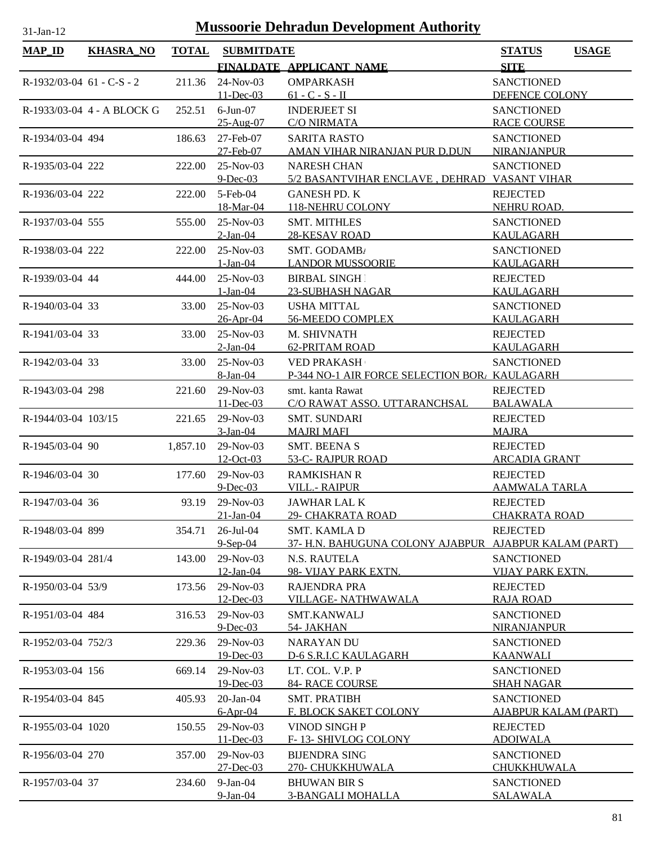| $MAP$ ID                    | KHASRA_NO                  | <b>TOTAL</b> | <b>SUBMITDATE</b>          |                                                  | <b>STATUS</b>                      | <b>USAGE</b> |
|-----------------------------|----------------------------|--------------|----------------------------|--------------------------------------------------|------------------------------------|--------------|
|                             |                            |              |                            | FINALDATE APPLICANT NAME                         | <b>SITE</b>                        |              |
| $R-1932/03-04$ 61 - C-S - 2 |                            | 211.36       | 24-Nov-03                  | <b>OMPARKASH</b>                                 | <b>SANCTIONED</b>                  |              |
|                             |                            |              | $11 - Dec-03$              | $61 - C - S - II$                                | DEFENCE COLONY                     |              |
|                             | R-1933/03-04 4 - A BLOCK G | 252.51       | $6$ -Jun $-07$             | <b>INDERJEET SI</b>                              | <b>SANCTIONED</b>                  |              |
|                             |                            |              | 25-Aug-07                  | <b>C/O NIRMATA</b>                               | <b>RACE COURSE</b>                 |              |
| R-1934/03-04 494            |                            | 186.63       | 27-Feb-07                  | <b>SARITA RASTO</b>                              | <b>SANCTIONED</b>                  |              |
|                             |                            |              | 27-Feb-07                  | AMAN VIHAR NIRANJAN PUR D.DUN                    | <b>NIRANJANPUR</b>                 |              |
| R-1935/03-04 222            |                            | 222.00       | $25-Nov-03$                | <b>NARESH CHAN</b>                               | <b>SANCTIONED</b>                  |              |
|                             |                            |              | $9$ -Dec-03                | 5/2 BASANTVIHAR ENCLAVE, DEHRAD VASANT VIHAR     |                                    |              |
| R-1936/03-04 222            |                            | 222.00       | $5$ -Feb-04                | <b>GANESH PD. K</b>                              | <b>REJECTED</b>                    |              |
|                             |                            |              | 18-Mar-04                  | 118-NEHRU COLONY                                 | NEHRU ROAD.                        |              |
| R-1937/03-04 555            |                            | 555.00       | 25-Nov-03                  | <b>SMT. MITHLES</b>                              | <b>SANCTIONED</b>                  |              |
|                             |                            |              | $2$ -Jan-04                | <b>28-KESAV ROAD</b>                             | <b>KAULAGARH</b>                   |              |
| R-1938/03-04 222            |                            | 222.00       | $25-Nov-03$                | SMT. GODAMB/                                     | <b>SANCTIONED</b>                  |              |
|                             |                            |              | $1-Jan-04$                 | <b>LANDOR MUSSOORIE</b>                          | KAULAGARH                          |              |
| R-1939/03-04 44             |                            | 444.00       | $25-Nov-03$                | <b>BIRBAL SINGH</b>                              | <b>REJECTED</b>                    |              |
|                             |                            |              | $1-Jan-04$                 | 23-SUBHASH NAGAR                                 | KAULAGARH                          |              |
| R-1940/03-04 33             |                            | 33.00        | 25-Nov-03                  | <b>USHA MITTAL</b>                               | <b>SANCTIONED</b>                  |              |
|                             |                            |              | $26 - Apr - 04$            | 56-MEEDO COMPLEX                                 | <b>KAULAGARH</b>                   |              |
| R-1941/03-04 33             |                            | 33.00        | $25-Nov-03$                | M. SHIVNATH                                      | <b>REJECTED</b>                    |              |
|                             |                            |              | $2$ -Jan-04                | <b>62-PRITAM ROAD</b>                            | <b>KAULAGARH</b>                   |              |
| R-1942/03-04 33             |                            | 33.00        | 25-Nov-03                  | <b>VED PRAKASH</b>                               | <b>SANCTIONED</b>                  |              |
|                             |                            |              | 8-Jan-04                   | P-344 NO-1 AIR FORCE SELECTION BOR, KAULAGARH    |                                    |              |
| R-1943/03-04 298            |                            | 221.60       | 29-Nov-03<br>$11$ -Dec-03  | smt. kanta Rawat<br>C/O RAWAT ASSO. UTTARANCHSAL | <b>REJECTED</b><br><b>BALAWALA</b> |              |
| R-1944/03-04 103/15         |                            |              | $29-Nov-03$                | <b>SMT. SUNDARI</b>                              | <b>REJECTED</b>                    |              |
|                             |                            | 221.65       | $3-Jan-04$                 | <b>MAJRI MAFI</b>                                | <b>MAJRA</b>                       |              |
| R-1945/03-04 90             |                            | 1,857.10     | 29-Nov-03                  | <b>SMT. BEENA S</b>                              | <b>REJECTED</b>                    |              |
|                             |                            |              | <u>12-Oct-03</u>           | 53-C- RAJPUR ROAD                                | <b>ARCADIA GRANT</b>               |              |
| R-1946/03-04 30             |                            | 177.60       | 29-Nov-03                  | <b>RAMKISHAN R</b>                               | <b>REJECTED</b>                    |              |
|                             |                            |              | $9$ -Dec-03                | <b>VILL.- RAIPUR</b>                             | <b>AAMWALA TARLA</b>               |              |
| R-1947/03-04 36             |                            | 93.19        | 29-Nov-03                  | <b>JAWHAR LAL K</b>                              | <b>REJECTED</b>                    |              |
|                             |                            |              | $21$ -Jan-04               | 29- CHAKRATA ROAD                                | <b>CHAKRATA ROAD</b>               |              |
| R-1948/03-04 899            |                            | 354.71       | $26$ -Jul-04               | <b>SMT. KAMLA D</b>                              | <b>REJECTED</b>                    |              |
|                             |                            |              | $9-Sep-04$                 | 37- H.N. BAHUGUNA COLONY AJABPUR                 | <b>AJABPUR KALAM (PART)</b>        |              |
| R-1949/03-04 281/4          |                            | 143.00       | 29-Nov-03                  | N.S. RAUTELA                                     | <b>SANCTIONED</b>                  |              |
|                             |                            |              | $12$ -Jan-04               | 98- VIJAY PARK EXTN.                             | <b>VIJAY PARK EXTN.</b>            |              |
| R-1950/03-04 53/9           |                            | 173.56       | 29-Nov-03                  | <b>RAJENDRA PRA</b>                              | <b>REJECTED</b>                    |              |
|                             |                            |              | 12-Dec-03                  | VILLAGE- NATHWAWALA                              | <b>RAJA ROAD</b>                   |              |
| R-1951/03-04 484            |                            | 316.53       | 29-Nov-03                  | <b>SMT.KANWALJ</b>                               | <b>SANCTIONED</b>                  |              |
|                             |                            |              | $9$ -Dec-03                | 54- JAKHAN                                       | <b>NIRANJANPUR</b>                 |              |
| R-1952/03-04 752/3          |                            | 229.36       | 29-Nov-03                  | <b>NARAYAN DU</b>                                | <b>SANCTIONED</b>                  |              |
|                             |                            |              | 19-Dec-03                  | D-6 S.R.I.C KAULAGARH                            | <b>KAANWALI</b>                    |              |
| R-1953/03-04 156            |                            | 669.14       | 29-Nov-03                  | LT. COL. V.P. P                                  | <b>SANCTIONED</b>                  |              |
|                             |                            |              | 19-Dec-03                  | <b>84- RACE COURSE</b>                           | <b>SHAH NAGAR</b>                  |              |
| R-1954/03-04 845            |                            | 405.93       | $20$ -Jan- $04$            | <b>SMT. PRATIBH</b>                              | <b>SANCTIONED</b>                  |              |
|                             |                            |              | $6-Apr-04$                 | F. BLOCK SAKET COLONY                            | <b>AJABPUR KALAM (PART)</b>        |              |
| R-1955/03-04 1020           |                            | 150.55       | 29-Nov-03                  | VINOD SINGH P                                    | <b>REJECTED</b>                    |              |
|                             |                            |              | 11-Dec-03                  | F-13- SHIVLOG COLONY                             | <b>ADOIWALA</b>                    |              |
| R-1956/03-04 270            |                            | 357.00       | 29-Nov-03<br>$27 - Dec-03$ | <b>BIJENDRA SING</b><br>270- CHUKKHUWALA         | <b>SANCTIONED</b><br>CHUKKHUWALA   |              |
| R-1957/03-04 37             |                            | 234.60       | $9$ -Jan- $04$             | <b>BHUWAN BIR S</b>                              | <b>SANCTIONED</b>                  |              |
|                             |                            |              | 9-Jan-04                   | <b>3-BANGALI MOHALLA</b>                         | <b>SALAWALA</b>                    |              |
|                             |                            |              |                            |                                                  |                                    |              |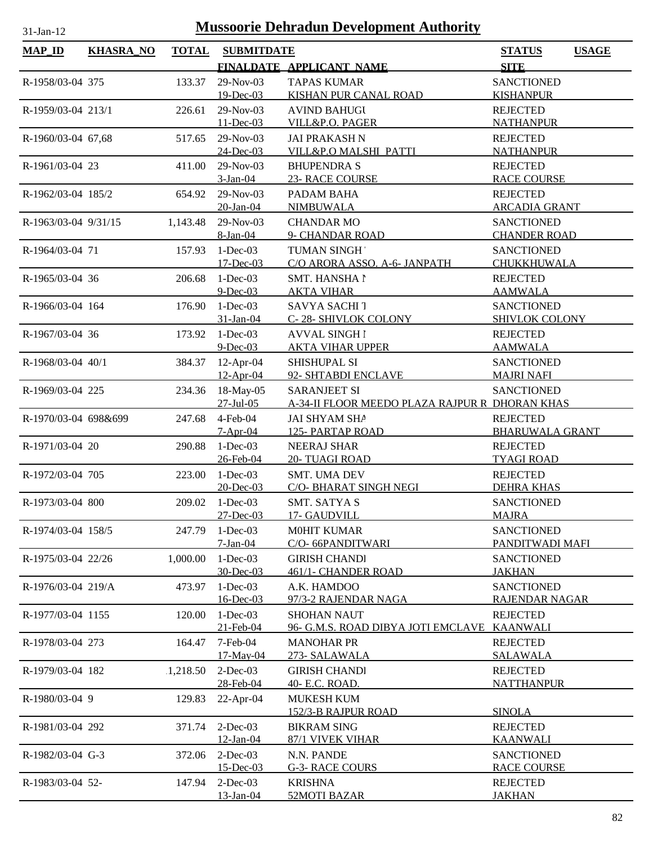| 31-Jan-12            | <b>Mussoorie Dehradun Development Authority</b> |              |                   |                                                |                               |  |  |  |
|----------------------|-------------------------------------------------|--------------|-------------------|------------------------------------------------|-------------------------------|--|--|--|
| <b>MAP_ID</b>        | <b>KHASRA_NO</b>                                | <b>TOTAL</b> | <b>SUBMITDATE</b> |                                                | <b>STATUS</b><br><b>USAGE</b> |  |  |  |
|                      |                                                 |              |                   | FINALDATE APPLICANT NAME                       | <b>SITE</b>                   |  |  |  |
| R-1958/03-04 375     |                                                 | 133.37       | 29-Nov-03         | <b>TAPAS KUMAR</b>                             | <b>SANCTIONED</b>             |  |  |  |
|                      |                                                 |              | $19$ -Dec-03      | KISHAN PUR CANAL ROAD                          | <b>KISHANPUR</b>              |  |  |  |
| R-1959/03-04 213/1   |                                                 | 226.61       | 29-Nov-03         | <b>AVIND BAHUGU</b>                            | <b>REJECTED</b>               |  |  |  |
|                      |                                                 |              | $11 - Dec-03$     | VILL&P.O. PAGER                                | <b>NATHANPUR</b>              |  |  |  |
| R-1960/03-04 67,68   |                                                 | 517.65       | 29-Nov-03         | <b>JAI PRAKASH N</b>                           | <b>REJECTED</b>               |  |  |  |
|                      |                                                 |              | 24-Dec-03         | VILL&P.O MALSHI PATTI                          | <b>NATHANPUR</b>              |  |  |  |
| R-1961/03-04 23      |                                                 | 411.00       | 29-Nov-03         | <b>BHUPENDRA S</b>                             | <b>REJECTED</b>               |  |  |  |
|                      |                                                 |              | $3-Jan-04$        | <b>23- RACE COURSE</b>                         | <b>RACE COURSE</b>            |  |  |  |
| R-1962/03-04 185/2   |                                                 | 654.92       | 29-Nov-03         | PADAM BAHA                                     | <b>REJECTED</b>               |  |  |  |
|                      |                                                 |              | 20-Jan-04         | <b>NIMBUWALA</b>                               | <b>ARCADIA GRANT</b>          |  |  |  |
| R-1963/03-04 9/31/15 |                                                 | 1,143.48     | 29-Nov-03         | <b>CHANDAR MO</b>                              | <b>SANCTIONED</b>             |  |  |  |
|                      |                                                 |              | 8-Jan-04          | 9- CHANDAR ROAD                                | <b>CHANDER ROAD</b>           |  |  |  |
| R-1964/03-04 71      |                                                 | 157.93       | $1-Dec-03$        | TUMAN SINGH                                    | <b>SANCTIONED</b>             |  |  |  |
|                      |                                                 |              | $17 - Dec-03$     | C/O ARORA ASSO. A-6- JANPATH                   | CHUKKHUWALA                   |  |  |  |
| R-1965/03-04 36      |                                                 | 206.68       | $1-Dec-03$        | SMT. HANSHA I                                  | <b>REJECTED</b>               |  |  |  |
|                      |                                                 |              | $9$ -Dec-03       | <b>AKTA VIHAR</b>                              | <b>AAMWALA</b>                |  |  |  |
| R-1966/03-04 164     |                                                 | 176.90       | $1-Dec-03$        | <b>SAVYA SACHI 7</b>                           | <b>SANCTIONED</b>             |  |  |  |
|                      |                                                 |              | $31$ -Jan-04      | C-28- SHIVLOK COLONY                           | <b>SHIVLOK COLONY</b>         |  |  |  |
| R-1967/03-04 36      |                                                 | 173.92       | $1-Dec-03$        | <b>AVVAL SINGH1</b>                            | <b>REJECTED</b>               |  |  |  |
|                      |                                                 |              | $9$ -Dec-03       | <b>AKTA VIHAR UPPER</b>                        | <b>AAMWALA</b>                |  |  |  |
| R-1968/03-04 40/1    |                                                 | 384.37       | 12-Apr-04         | <b>SHISHUPAL SI</b>                            | <b>SANCTIONED</b>             |  |  |  |
|                      |                                                 |              | 12-Apr-04         | 92- SHTABDI ENCLAVE                            | <b>MAJRI NAFI</b>             |  |  |  |
| R-1969/03-04 225     |                                                 | 234.36       | 18-May-05         | <b>SARANJEET SI</b>                            | <b>SANCTIONED</b>             |  |  |  |
|                      |                                                 |              | 27-Jul-05         | A-34-II FLOOR MEEDO PLAZA RAJPUR R DHORAN KHAS |                               |  |  |  |
| R-1970/03-04 698&699 |                                                 | 247.68       | 4-Feb-04          | JAI SHYAM SHA                                  | <b>REJECTED</b>               |  |  |  |
|                      |                                                 |              | $7-Apr-04$        | 125- PARTAP ROAD                               | <b>BHARUWALA GRANT</b>        |  |  |  |
| R-1971/03-04 20      |                                                 | 290.88       | $1-Dec-03$        | <b>NEERAJ SHAR</b>                             | <b>REJECTED</b>               |  |  |  |
|                      |                                                 |              | 26-Feb-04         | 20- TUAGI ROAD                                 | <b>TYAGI ROAD</b>             |  |  |  |
| R-1972/03-04 705     |                                                 | 223.00       | $1 - Dec-03$      | <b>SMT. UMA DEV</b>                            | <b>REJECTED</b>               |  |  |  |
|                      |                                                 |              | 20-Dec-03         | C/O- BHARAT SINGH NEGI                         | <b>DEHRA KHAS</b>             |  |  |  |
| R-1973/03-04 800     |                                                 | 209.02       | $1-Dec-03$        | <b>SMT. SATYA S</b>                            | <b>SANCTIONED</b>             |  |  |  |
|                      |                                                 |              | 27-Dec-03         | 17- GAUDVILL                                   | <b>MAJRA</b>                  |  |  |  |
| R-1974/03-04 158/5   |                                                 | 247.79       | $1-Dec-03$        | <b>MOHIT KUMAR</b>                             | <b>SANCTIONED</b>             |  |  |  |
|                      |                                                 |              | $7-Jan-04$        | C/O-66PANDITWARI                               | PANDITWADI MAFI               |  |  |  |
| R-1975/03-04 22/26   |                                                 | 1,000.00     | $1-Dec-03$        | <b>GIRISH CHANDI</b>                           | <b>SANCTIONED</b>             |  |  |  |
|                      |                                                 |              | 30-Dec-03         | 461/1- CHANDER ROAD                            | <b>JAKHAN</b>                 |  |  |  |
| R-1976/03-04 219/A   |                                                 | 473.97       | $1-Dec-03$        | A.K. HAMDOO                                    | <b>SANCTIONED</b>             |  |  |  |
|                      |                                                 |              | 16-Dec-03         | 97/3-2 RAJENDAR NAGA                           | RAJENDAR NAGAR                |  |  |  |
| R-1977/03-04 1155    |                                                 | 120.00       | $1-Dec-03$        | <b>SHOHAN NAUT</b>                             | <b>REJECTED</b>               |  |  |  |
|                      |                                                 |              | 21-Feb-04         | 96- G.M.S. ROAD DIBYA JOTI EMCLAVE KAANWALI    |                               |  |  |  |
| R-1978/03-04 273     |                                                 | 164.47       | 7-Feb-04          | <b>MANOHAR PR</b>                              | <b>REJECTED</b>               |  |  |  |
|                      |                                                 |              | $17-May-04$       | 273- SALAWALA                                  | <b>SALAWALA</b>               |  |  |  |
| R-1979/03-04 182     |                                                 | 1,218.50     | $2$ -Dec-03       | <b>GIRISH CHANDI</b>                           | <b>REJECTED</b>               |  |  |  |
|                      |                                                 |              | 28-Feb-04         | 40- E.C. ROAD.                                 | <b>NATTHANPUR</b>             |  |  |  |
| R-1980/03-04 9       |                                                 | 129.83       | 22-Apr-04         | <b>MUKESH KUM</b>                              |                               |  |  |  |
|                      |                                                 |              |                   | 152/3-B RAJPUR ROAD                            | <b>SINOLA</b>                 |  |  |  |
| R-1981/03-04 292     |                                                 | 371.74       | $2$ -Dec-03       | <b>BIKRAM SING</b>                             | <b>REJECTED</b>               |  |  |  |
|                      |                                                 |              | 12-Jan-04         | 87/1 VIVEK VIHAR                               | <b>KAANWALI</b>               |  |  |  |
| R-1982/03-04 G-3     |                                                 | 372.06       | $2$ -Dec-03       | N.N. PANDE                                     | <b>SANCTIONED</b>             |  |  |  |
|                      |                                                 |              | $15$ -Dec-03      | <b>G-3- RACE COURS</b>                         | <b>RACE COURSE</b>            |  |  |  |
| R-1983/03-04 52-     |                                                 | 147.94       | $2$ -Dec-03       | <b>KRISHNA</b>                                 | <b>REJECTED</b>               |  |  |  |
|                      |                                                 |              | 13-Jan-04         | 52MOTI BAZAR                                   | <b>JAKHAN</b>                 |  |  |  |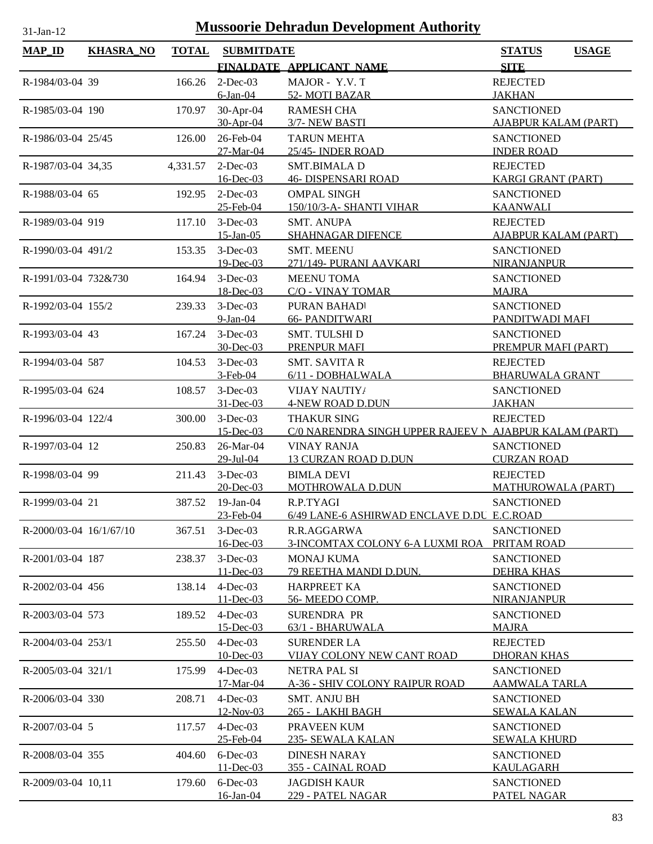| <b>MAP_ID</b>           | <b>KHASRA_NO</b> | <b>TOTAL</b> | <b>SUBMITDATE</b>            |                                                         | <b>STATUS</b><br><b>USAGE</b>                  |
|-------------------------|------------------|--------------|------------------------------|---------------------------------------------------------|------------------------------------------------|
|                         |                  |              |                              | FINALDATE APPLICANT NAME                                | <b>SITE</b>                                    |
| R-1984/03-04 39         |                  | 166.26       | $2$ -Dec-03                  | MAJOR - Y.V. T                                          | <b>REJECTED</b>                                |
|                         |                  |              | $6$ -Jan-04                  | 52-MOTI BAZAR                                           | <b>JAKHAN</b>                                  |
| R-1985/03-04 190        |                  | 170.97       | 30-Apr-04                    | <b>RAMESH CHA</b>                                       | <b>SANCTIONED</b>                              |
|                         |                  |              | 30-Apr-04                    | 3/7-NEW BASTI                                           | <b>AJABPUR KALAM (PART)</b>                    |
| R-1986/03-04 25/45      |                  | 126.00       | 26-Feb-04                    | <b>TARUN MEHTA</b>                                      | <b>SANCTIONED</b>                              |
|                         |                  |              | 27-Mar-04                    | 25/45- INDER ROAD                                       | <b>INDER ROAD</b>                              |
| R-1987/03-04 34,35      |                  | 4,331.57     | $2$ -Dec-03                  | <b>SMT.BIMALAD</b>                                      | <b>REJECTED</b>                                |
| R-1988/03-04 65         |                  |              | 16-Dec-03                    | <b>46- DISPENSARI ROAD</b>                              | <b>KARGI GRANT (PART)</b><br><b>SANCTIONED</b> |
|                         |                  | 192.95       | $2$ -Dec-03<br>25-Feb-04     | <b>OMPAL SINGH</b><br>150/10/3-A- SHANTI VIHAR          | <b>KAANWALI</b>                                |
| R-1989/03-04 919        |                  | 117.10       | $3-Dec-03$                   | <b>SMT. ANUPA</b>                                       | <b>REJECTED</b>                                |
|                         |                  |              | $15$ -Jan-05                 | <b>SHAHNAGAR DIFENCE</b>                                | <b>AJABPUR KALAM (PART)</b>                    |
| R-1990/03-04 491/2      |                  | 153.35       | $3-Dec-03$                   | <b>SMT. MEENU</b>                                       | <b>SANCTIONED</b>                              |
|                         |                  |              | 19-Dec-03                    | 271/149- PURANI AAVKARI                                 | <b>NIRANJANPUR</b>                             |
| R-1991/03-04 732&730    |                  | 164.94       | $3-Dec-03$                   | <b>MEENU TOMA</b>                                       | <b>SANCTIONED</b>                              |
|                         |                  |              | 18-Dec-03                    | C/O - VINAY TOMAR                                       | <b>MAJRA</b>                                   |
| R-1992/03-04 155/2      |                  | 239.33       | $3-Dec-03$                   | PURAN BAHADI                                            | <b>SANCTIONED</b>                              |
|                         |                  |              | $9-Ian-04$                   | <b>66- PANDITWARI</b>                                   | PANDITWADI MAFI                                |
| R-1993/03-04 43         |                  | 167.24       | $3-Dec-03$<br>30-Dec-03      | <b>SMT. TULSHI D</b><br>PRENPUR MAFI                    | <b>SANCTIONED</b><br>PREMPUR MAFI (PART)       |
| R-1994/03-04 587        |                  | 104.53       | $3-Dec-03$                   | <b>SMT. SAVITA R</b>                                    | <b>REJECTED</b>                                |
|                         |                  |              | $3-Feb-04$                   | 6/11 - DOBHALWALA                                       | <b>BHARUWALA GRANT</b>                         |
| R-1995/03-04 624        |                  | 108.57       | $3-Dec-03$                   | <b>VIJAY NAUTIY</b>                                     | <b>SANCTIONED</b>                              |
|                         |                  |              | 31-Dec-03                    | <b>4-NEW ROAD D.DUN</b>                                 | <b>JAKHAN</b>                                  |
| R-1996/03-04 122/4      |                  | 300.00       | $3-Dec-03$                   | <b>THAKUR SING</b>                                      | <b>REJECTED</b>                                |
|                         |                  |              | $15$ -Dec-03                 | C/0 NARENDRA SINGH UPPER RAJEEV N AJABPUR KALAM (PART)  |                                                |
| R-1997/03-04 12         |                  | 250.83       | 26-Mar-04                    | <b>VINAY RANJA</b>                                      | <b>SANCTIONED</b>                              |
|                         |                  |              | 29-Jul-04                    | <b>13 CURZAN ROAD D.DUN</b>                             | <b>CURZAN ROAD</b>                             |
| R-1998/03-04 99         |                  | 211.43       | $3-Dec-03$                   | <b>BIMLA DEVI</b>                                       | <b>REJECTED</b>                                |
|                         |                  |              | 20-Dec-03                    | MOTHROWALA D.DUN                                        | <b>MATHUROWALA (PART)</b>                      |
| R-1999/03-04 21         |                  | 387.52       | $19$ -Jan- $04$<br>23-Feb-04 | R.P.TYAGI<br>6/49 LANE-6 ASHIRWAD ENCLAVE D.DU E.C.ROAD | <b>SANCTIONED</b>                              |
| R-2000/03-04 16/1/67/10 |                  | 367.51       | $3-Dec-03$                   | R.R.AGGARWA                                             | <b>SANCTIONED</b>                              |
|                         |                  |              | 16-Dec-03                    | 3-INCOMTAX COLONY 6-A LUXMI ROA                         | PRITAM ROAD                                    |
| R-2001/03-04 187        |                  | 238.37       | $3-Dec-03$                   | <b>MONAJ KUMA</b>                                       | <b>SANCTIONED</b>                              |
|                         |                  |              | $11 - Dec-03$                | 79 REETHA MANDI D.DUN.                                  | <b>DEHRA KHAS</b>                              |
| R-2002/03-04 456        |                  | 138.14       | $4$ -Dec-03                  | <b>HARPREET KA</b>                                      | <b>SANCTIONED</b>                              |
|                         |                  |              | 11-Dec-03                    | 56- MEEDO COMP.                                         | <b>NIRANJANPUR</b>                             |
| R-2003/03-04 573        |                  | 189.52       | $4$ -Dec-03                  | <b>SURENDRA PR</b>                                      | <b>SANCTIONED</b>                              |
|                         |                  |              | $15$ -Dec-03                 | 63/1 - BHARUWALA                                        | <b>MAJRA</b>                                   |
| R-2004/03-04 253/1      |                  | 255.50       | $4$ -Dec-03<br>10-Dec-03     | <b>SURENDER LA</b><br>VIJAY COLONY NEW CANT ROAD        | <b>REJECTED</b><br><b>DHORAN KHAS</b>          |
| R-2005/03-04 321/1      |                  | 175.99       | $4$ -Dec-03                  | NETRA PAL SI                                            | <b>SANCTIONED</b>                              |
|                         |                  |              | 17-Mar-04                    | <u>A-36 - SHIV COLONY RAIPUR ROAD</u>                   | <u>AAMWALA TARLA</u>                           |
| R-2006/03-04 330        |                  | 208.71       | $4$ -Dec-03                  | <b>SMT. ANJU BH</b>                                     | <b>SANCTIONED</b>                              |
|                         |                  |              | 12-Nov-03                    | 265 - LAKHI BAGH                                        | <u>SEWALA KALAN</u>                            |
| R-2007/03-04 5          |                  | 117.57       | $4$ -Dec-03                  | PRAVEEN KUM                                             | <b>SANCTIONED</b>                              |
|                         |                  |              | 25-Feb-04                    | <u>235- SEWALA KALAN</u>                                | <b>SEWALA KHURD</b>                            |
| R-2008/03-04 355        |                  | 404.60       | $6$ -Dec-03                  | <b>DINESH NARAY</b>                                     | <b>SANCTIONED</b>                              |
|                         |                  |              | $11 - Dec-03$                | 355 - CAINAL ROAD                                       | <b>KAULAGARH</b>                               |
| R-2009/03-04 10,11      |                  | 179.60       | $6$ -Dec-03<br>16-Jan-04     | <b>JAGDISH KAUR</b><br>229 - PATEL NAGAR                | <b>SANCTIONED</b><br>PATEL NAGAR               |
|                         |                  |              |                              |                                                         |                                                |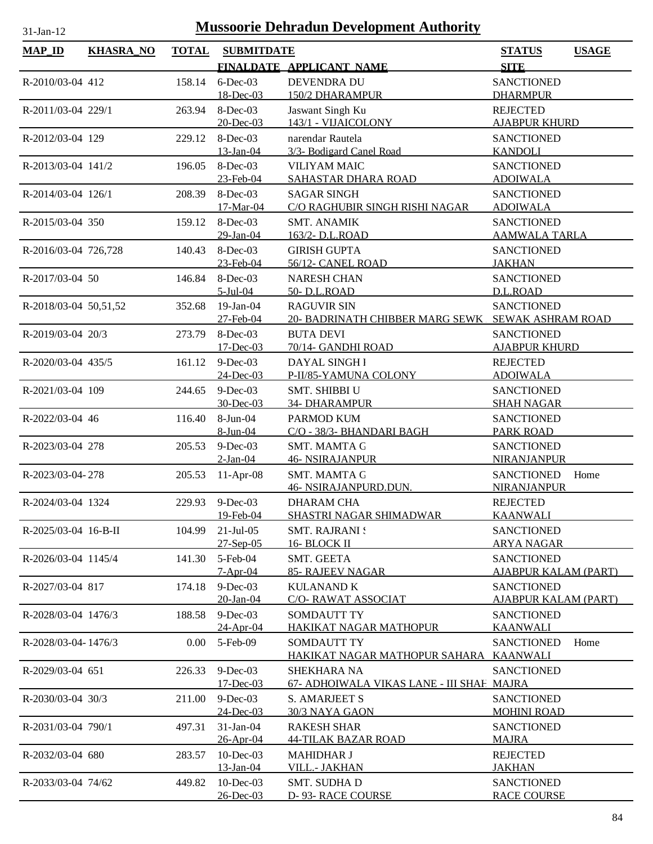| lan |  |
|-----|--|

| <b>MAP_ID</b>          | <b>KHASRA_NO</b> | <b>TOTAL</b> | <b>SUBMITDATE</b>            |                                                                 | <b>STATUS</b><br><b>USAGE</b>                    |
|------------------------|------------------|--------------|------------------------------|-----------------------------------------------------------------|--------------------------------------------------|
|                        |                  |              |                              | FINALDATE APPLICANT NAME                                        | <b>SITE</b>                                      |
| R-2010/03-04 412       |                  | 158.14       | $6$ -Dec-03<br>18-Dec-03     | <b>DEVENDRA DU</b><br>150/2 DHARAMPUR                           | <b>SANCTIONED</b><br><b>DHARMPUR</b>             |
| R-2011/03-04 229/1     |                  | 263.94       | 8-Dec-03                     | Jaswant Singh Ku<br>143/1 - VIJAICOLONY                         | <b>REJECTED</b><br><b>AJABPUR KHURD</b>          |
|                        |                  |              | 20-Dec-03                    |                                                                 |                                                  |
| R-2012/03-04 129       |                  | 229.12       | 8-Dec-03<br>$13$ -Jan-04     | narendar Rautela<br>3/3- Bodigard Canel Road                    | <b>SANCTIONED</b><br><b>KANDOLI</b>              |
| R-2013/03-04 141/2     |                  | 196.05       | $8-Dec-03$<br>23-Feb-04      | <b>VILIYAM MAIC</b><br>SAHASTAR DHARA ROAD                      | <b>SANCTIONED</b><br><b>ADOIWALA</b>             |
| R-2014/03-04 126/1     |                  | 208.39       | 8-Dec-03<br>17-Mar-04        | <b>SAGAR SINGH</b><br>C/O RAGHUBIR SINGH RISHI NAGAR            | <b>SANCTIONED</b><br><b>ADOIWALA</b>             |
| R-2015/03-04 350       |                  | 159.12       | $8$ -Dec-03<br>29-Jan-04     | <b>SMT. ANAMIK</b><br>163/2-D.L.ROAD                            | <b>SANCTIONED</b><br><b>AAMWALA TARLA</b>        |
| R-2016/03-04 726,728   |                  | 140.43       | 8-Dec-03                     | <b>GIRISH GUPTA</b>                                             | <b>SANCTIONED</b>                                |
| R-2017/03-04 50        |                  | 146.84       | 23-Feb-04<br>8-Dec-03        | 56/12- CANEL ROAD<br><b>NARESH CHAN</b>                         | <b>JAKHAN</b><br><b>SANCTIONED</b>               |
|                        |                  |              | $5$ -Jul-04                  | 50- D.L.ROAD                                                    | D.L.ROAD                                         |
| R-2018/03-04 50,51,52  |                  | 352.68       | $19$ -Jan-04<br>27-Feb-04    | <b>RAGUVIR SIN</b><br>20- BADRINATH CHIBBER MARG SEWK           | <b>SANCTIONED</b><br><b>SEWAK ASHRAM ROAD</b>    |
| R-2019/03-04 20/3      |                  | 273.79       | 8-Dec-03                     | <b>BUTA DEVI</b>                                                | <b>SANCTIONED</b>                                |
|                        |                  |              | 17-Dec-03                    | 70/14- GANDHI ROAD                                              | <b>AJABPUR KHURD</b>                             |
| R-2020/03-04 435/5     |                  | 161.12       | $9$ -Dec-03<br>24-Dec-03     | <b>DAYAL SINGH I</b><br>P-II/85-YAMUNA COLONY                   | <b>REJECTED</b><br><b>ADOIWALA</b>               |
| R-2021/03-04 109       |                  | 244.65       | $9-Dec-03$<br>30-Dec-03      | <b>SMT. SHIBBI U</b><br>34- DHARAMPUR                           | <b>SANCTIONED</b><br><b>SHAH NAGAR</b>           |
| R-2022/03-04 46        |                  | 116.40       | 8-Jun-04                     | PARMOD KUM                                                      | <b>SANCTIONED</b>                                |
|                        |                  |              | 8-Jun-04                     | C/O - 38/3- BHANDARI BAGH                                       | <b>PARK ROAD</b>                                 |
| R-2023/03-04 278       |                  | 205.53       | $9-Dec-03$<br>$2-Ian-04$     | <b>SMT. MAMTA G</b><br><b>46- NSIRAJANPUR</b>                   | <b>SANCTIONED</b><br><b>NIRANJANPUR</b>          |
| R-2023/03-04-278       |                  | 205.53       | $11-Apr-08$                  | <b>SMT. MAMTA G</b><br>46- NSIRAJANPURD.DUN.                    | <b>SANCTIONED</b><br>Home<br>NIRANJANPUR         |
| R-2024/03-04 1324      |                  |              | 229.93 9-Dec-03<br>19-Feb-04 | <b>DHARAM CHA</b><br><u>SHASTRI NAGAR SHIMADWAR</u>             | <b>REJECTED</b><br><u>KAANWALI</u>               |
| $R-2025/03-04$ 16-B-II |                  | 104.99       | $21$ -Jul-05                 | <b>SMT. RAJRANI!</b><br>16- BLOCK II                            | <b>SANCTIONED</b>                                |
| R-2026/03-04 1145/4    |                  | 141.30       | 27-Sep-05<br>5-Feb-04        | SMT. GEETA                                                      | <b>ARYA NAGAR</b><br><b>SANCTIONED</b>           |
| R-2027/03-04 817       |                  | 174.18       | $7-Apr-04$<br>$9-Dec-03$     | 85- RAJEEV NAGAR<br><b>KULANAND K</b>                           | <b>AJABPUR KALAM (PART)</b><br><b>SANCTIONED</b> |
|                        |                  |              | 20-Jan-04                    | <b>C/O- RAWAT ASSOCIAT</b>                                      | <b>AJABPUR KALAM (PART)</b>                      |
| R-2028/03-04 1476/3    |                  | 188.58       | $9$ -Dec-03<br>24-Apr-04     | SOMDAUTT TY<br>HAKIKAT NAGAR MATHOPUR                           | <b>SANCTIONED</b><br><b>KAANWALI</b>             |
| R-2028/03-04-1476/3    |                  | 0.00         | 5-Feb-09                     | SOMDAUTT TY<br><u>HAKIKAT NAGAR MATHOPUR SAHARA</u>             | <b>SANCTIONED</b><br>Home<br><b>KAANWALI</b>     |
| R-2029/03-04 651       |                  | 226.33       | $9$ -Dec-03<br>$17 - Dec-03$ | <b>SHEKHARA NA</b><br>67- ADHOIWALA VIKAS LANE - III SHAF MAJRA | <b>SANCTIONED</b>                                |
| R-2030/03-04 30/3      |                  | 211.00       | $9-Dec-03$                   | <b>S. AMARJEET S</b>                                            | <b>SANCTIONED</b>                                |
|                        |                  |              | 24-Dec-03                    | 30/3 NAYA GAON                                                  | <b>MOHINI ROAD</b>                               |
| R-2031/03-04 790/1     |                  | 497.31       | 31-Jan-04<br>26-Apr-04       | <b>RAKESH SHAR</b><br><b>44-TILAK BAZAR ROAD</b>                | <b>SANCTIONED</b><br><b>MAJRA</b>                |
| R-2032/03-04 680       |                  | 283.57       | $10$ -Dec-03<br>13-Jan-04    | <b>MAHIDHAR J</b><br>VILL.- JAKHAN                              | <b>REJECTED</b><br><b>JAKHAN</b>                 |
| R-2033/03-04 74/62     |                  | 449.82       | $10$ -Dec-03                 | SMT. SUDHA D                                                    | <b>SANCTIONED</b>                                |
|                        |                  |              | 26-Dec-03                    | D-93-RACE COURSE                                                | <b>RACE COURSE</b>                               |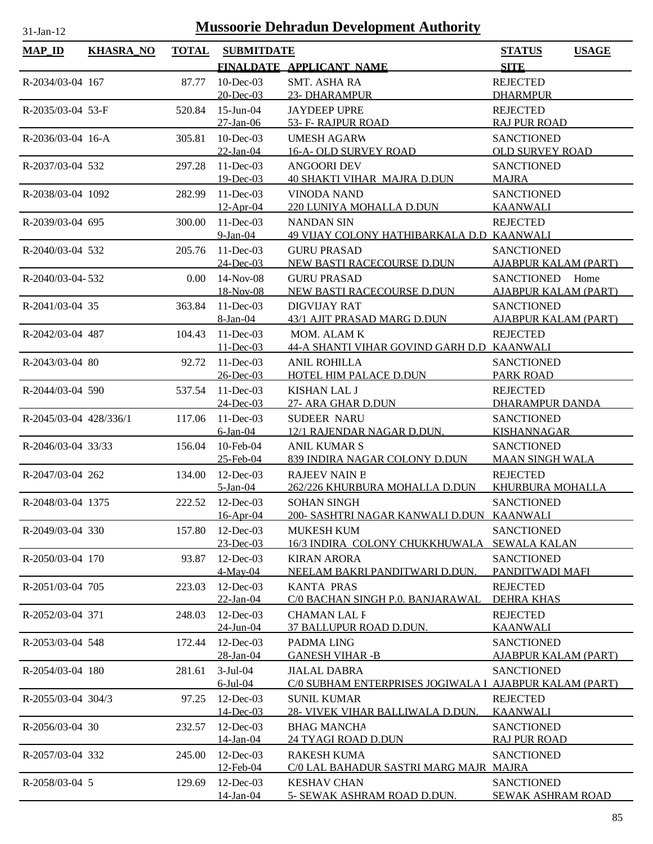| <b>Mussoorie Dehradun Development Authority</b><br>$31$ -Jan-12 |                  |              |                               |                                                                               |                                           |  |
|-----------------------------------------------------------------|------------------|--------------|-------------------------------|-------------------------------------------------------------------------------|-------------------------------------------|--|
| <b>MAP_ID</b>                                                   | <b>KHASRA NO</b> | <b>TOTAL</b> | <b>SUBMITDATE</b>             |                                                                               | <b>STATUS</b><br><b>USAGE</b>             |  |
|                                                                 |                  |              |                               | FINALDATE APPLICANT NAME                                                      | <b>SITE</b>                               |  |
| R-2034/03-04 167                                                |                  | 87.77        | $10$ -Dec-03                  | <b>SMT. ASHA RA</b>                                                           | <b>REJECTED</b>                           |  |
|                                                                 |                  |              | 20-Dec-03                     | 23- DHARAMPUR                                                                 | <b>DHARMPUR</b>                           |  |
| $R-2035/03-04$ 53-F                                             |                  | 520.84       | $15$ -Jun-04                  | <b>JAYDEEP UPRE</b>                                                           | <b>REJECTED</b>                           |  |
| R-2036/03-04 16-A                                               |                  | 305.81       | $27$ -Jan-06<br>$10$ -Dec-03  | 53- F- RAJPUR ROAD<br><b>UMESH AGARW</b>                                      | <b>RAJ PUR ROAD</b><br><b>SANCTIONED</b>  |  |
|                                                                 |                  |              | 22-Jan-04                     | <b>16-A- OLD SURVEY ROAD</b>                                                  | <b>OLD SURVEY ROAD</b>                    |  |
| R-2037/03-04 532                                                |                  | 297.28       | $11$ -Dec-03                  | <b>ANGOORI DEV</b>                                                            | <b>SANCTIONED</b>                         |  |
|                                                                 |                  |              | $19$ -Dec-03                  | <b>40 SHAKTI VIHAR MAJRA D.DUN</b>                                            | <b>MAJRA</b>                              |  |
| R-2038/03-04 1092                                               |                  | 282.99       | $11$ -Dec-03                  | <b>VINODA NAND</b>                                                            | <b>SANCTIONED</b>                         |  |
|                                                                 |                  |              | $12-Apr-04$                   | 220 LUNIYA MOHALLA D.DUN                                                      | <b>KAANWALI</b>                           |  |
| R-2039/03-04 695                                                |                  | 300.00       | $11 - Dec-03$                 | <b>NANDAN SIN</b>                                                             | <b>REJECTED</b>                           |  |
| R-2040/03-04 532                                                |                  | 205.76       | $9-Ian-04$<br>11-Dec-03       | 49 VIJAY COLONY HATHIBARKALA D.D KAANWALI<br><b>GURU PRASAD</b>               | <b>SANCTIONED</b>                         |  |
|                                                                 |                  |              | $24$ -Dec-03                  | NEW BASTI RACECOURSE D.DUN                                                    | AJABPUR KALAM (PART)                      |  |
| R-2040/03-04-532                                                |                  | 0.00         | $14$ -Nov-08                  | <b>GURU PRASAD</b>                                                            | SANCTIONED Home                           |  |
|                                                                 |                  |              | 18-Nov-08                     | NEW BASTI RACECOURSE D.DUN                                                    | <b>AJABPUR KALAM (PART)</b>               |  |
| R-2041/03-04 35                                                 |                  | 363.84       | $11$ -Dec-03                  | <b>DIGVIJAY RAT</b>                                                           | <b>SANCTIONED</b>                         |  |
|                                                                 |                  |              | 8-Jan-04                      | 43/1 AJIT PRASAD MARG D.DUN                                                   | <b>AJABPUR KALAM (PART)</b>               |  |
| R-2042/03-04 487                                                |                  | 104.43       | $11 - Dec-03$                 | MOM. ALAM K                                                                   | <b>REJECTED</b>                           |  |
| R-2043/03-04 80                                                 |                  | 92.72        | $11 - Dec-03$<br>$11$ -Dec-03 | 44-A SHANTI VIHAR GOVIND GARH D.D KAANWALI<br><b>ANIL ROHILLA</b>             | <b>SANCTIONED</b>                         |  |
|                                                                 |                  |              | 26-Dec-03                     | HOTEL HIM PALACE D.DUN                                                        | <b>PARK ROAD</b>                          |  |
| R-2044/03-04 590                                                |                  | 537.54       | $11$ -Dec-03                  | <b>KISHAN LAL J</b>                                                           | <b>REJECTED</b>                           |  |
|                                                                 |                  |              | 24-Dec-03                     | 27- ARA GHAR D.DUN                                                            | DHARAMPUR DANDA                           |  |
| R-2045/03-04 428/336/1                                          |                  | 117.06       | $11$ -Dec-03                  | <b>SUDEER NARU</b>                                                            | <b>SANCTIONED</b>                         |  |
|                                                                 |                  |              | $6$ -Jan- $04$                | 12/1 RAJENDAR NAGAR D.DUN.                                                    | <b>KISHANNAGAR</b>                        |  |
| R-2046/03-04 33/33                                              |                  | 156.04       | 10-Feb-04                     | <b>ANIL KUMAR S</b>                                                           | <b>SANCTIONED</b>                         |  |
| R-2047/03-04 262                                                |                  | 134.00       | 25-Feb-04<br>$12$ -Dec-03     | 839 INDIRA NAGAR COLONY D.DUN<br><b>RAJEEV NAIN B</b>                         | <b>MAAN SINGH WALA</b><br><b>REJECTED</b> |  |
|                                                                 |                  |              | 5-Jan-04                      | 262/226 KHURBURA MOHALLA D.DUN                                                | KHURBURA MOHALLA                          |  |
| R-2048/03-04 1375                                               |                  |              | 222.52 12-Dec-03              | <b>SOHAN SINGH</b>                                                            | <b>SANCTIONED</b>                         |  |
|                                                                 |                  |              | 16-Apr-04                     | 200- SASHTRI NAGAR KANWALI D.DUN KAANWALI                                     |                                           |  |
| R-2049/03-04 330                                                |                  | 157.80       | 12-Dec-03                     | <b>MUKESH KUM</b>                                                             | <b>SANCTIONED</b>                         |  |
|                                                                 |                  |              | 23-Dec-03                     | 16/3 INDIRA COLONY CHUKKHUWALA SEWALA KALAN                                   |                                           |  |
| R-2050/03-04 170                                                |                  | 93.87        | 12-Dec-03<br>$4$ -May-04      | <b>KIRAN ARORA</b><br>NEELAM BAKRI PANDITWARI D.DUN.                          | <b>SANCTIONED</b><br>PANDITWADI MAFI      |  |
| R-2051/03-04 705                                                |                  | 223.03       | 12-Dec-03                     | <b>KANTA PRAS</b>                                                             | <b>REJECTED</b>                           |  |
|                                                                 |                  |              | 22-Jan-04                     | C/0 BACHAN SINGH P.0. BANJARAWAL                                              | <b>DEHRA KHAS</b>                         |  |
| R-2052/03-04 371                                                |                  | 248.03       | $12$ -Dec-03                  | <b>CHAMAN LAL F</b>                                                           | <b>REJECTED</b>                           |  |
|                                                                 |                  |              | 24-Jun-04                     | 37 BALLUPUR ROAD D.DUN.                                                       | <b>KAANWALI</b>                           |  |
| R-2053/03-04 548                                                |                  | 172.44       | $12$ -Dec-03                  | PADMA LING                                                                    | <b>SANCTIONED</b>                         |  |
|                                                                 |                  |              | 28-Jan-04                     | <b>GANESH VIHAR-B</b>                                                         | <b>AJABPUR KALAM (PART)</b>               |  |
| R-2054/03-04 180                                                |                  | 281.61       | $3-Jul-04$<br>$6$ -Jul-04     | <b>JIALAL DABRA</b><br>C/0 SUBHAM ENTERPRISES JOGIWALA I AJABPUR KALAM (PART) | <b>SANCTIONED</b>                         |  |
| R-2055/03-04 304/3                                              |                  | 97.25        | 12-Dec-03                     | <b>SUNIL KUMAR</b>                                                            | <b>REJECTED</b>                           |  |
|                                                                 |                  |              | 14-Dec-03                     | 28- VIVEK VIHAR BALLIWALA D.DUN.                                              | <b>KAANWALI</b>                           |  |
| R-2056/03-04 30                                                 |                  | 232.57       | $12$ -Dec-03                  | <b>BHAG MANCHA</b>                                                            | <b>SANCTIONED</b>                         |  |
|                                                                 |                  |              | 14-Jan-04                     | <u> 24 TYAGI ROAD D.DUN</u>                                                   | <b>RAJ PUR ROAD</b>                       |  |
| R-2057/03-04 332                                                |                  | 245.00       | 12-Dec-03                     | <b>RAKESH KUMA</b>                                                            | <b>SANCTIONED</b>                         |  |
| R-2058/03-04 5                                                  |                  | 129.69       | 12-Feb-04<br>$12$ -Dec-03     | C/0 LAL BAHADUR SASTRI MARG MAJR MAJRA<br><b>KESHAV CHAN</b>                  | <b>SANCTIONED</b>                         |  |
|                                                                 |                  |              | 14-Jan-04                     | 5- SEWAK ASHRAM ROAD D.DUN.                                                   | SEWAK ASHRAM ROAD                         |  |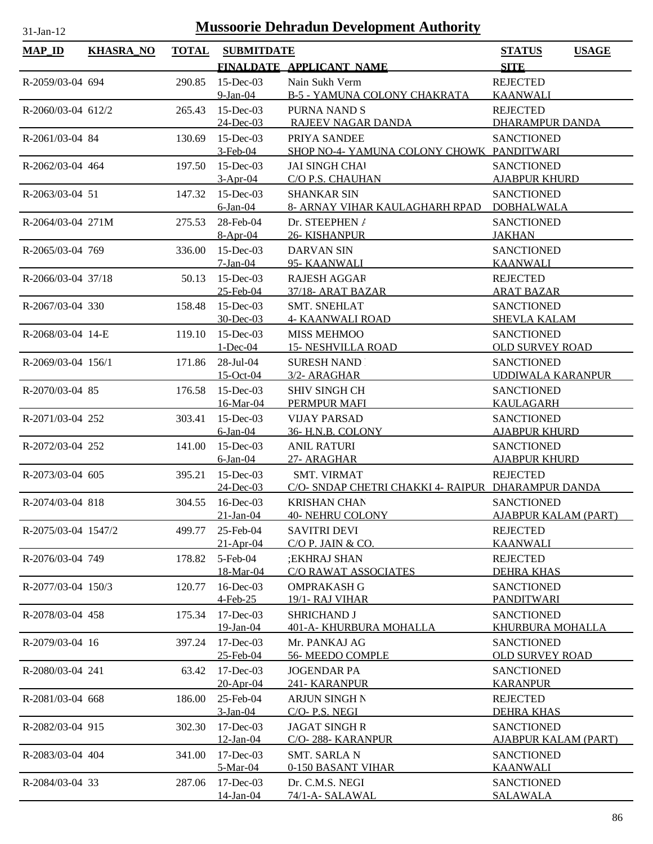| <b>MAP_ID</b>       | <b>KHASRA_NO</b> | <b>TOTAL</b> | <b>SUBMITDATE</b>          |                                                    | <b>STATUS</b><br><b>USAGE</b>             |
|---------------------|------------------|--------------|----------------------------|----------------------------------------------------|-------------------------------------------|
|                     |                  |              |                            | FINALDATE APPLICANT NAME                           | <b>SITE</b>                               |
| R-2059/03-04 694    |                  | 290.85       | $15$ -Dec-03               | Nain Sukh Verm                                     | <b>REJECTED</b>                           |
|                     |                  |              | $9$ -Jan-04                | <b>B-5 - YAMUNA COLONY CHAKRATA</b>                | <b>KAANWALI</b>                           |
| R-2060/03-04 612/2  |                  | 265.43       | $15$ -Dec-03               | <b>PURNA NAND S</b>                                | <b>REJECTED</b>                           |
|                     |                  |              | 24-Dec-03                  | RAJEEV NAGAR DANDA                                 | <b>DHARAMPUR DANDA</b>                    |
| R-2061/03-04 84     |                  | 130.69       | $15$ -Dec-03               | PRIYA SANDEE                                       | <b>SANCTIONED</b>                         |
|                     |                  |              | $3-Feb-04$                 | SHOP NO-4- YAMUNA COLONY CHOWK PANDITWARI          |                                           |
| R-2062/03-04 464    |                  | 197.50       | $15$ -Dec-03<br>$3-Apr-04$ | <b>JAI SINGH CHAI</b><br>C/O P.S. CHAUHAN          | <b>SANCTIONED</b><br><b>AJABPUR KHURD</b> |
| R-2063/03-04 51     |                  | 147.32       | $15$ -Dec-03               | <b>SHANKAR SIN</b>                                 | <b>SANCTIONED</b>                         |
|                     |                  |              | $6$ -Jan-04                | 8- ARNAY VIHAR KAULAGHARH RPAD                     | <b>DOBHALWALA</b>                         |
| R-2064/03-04 271M   |                  | 275.53       | 28-Feb-04                  | Dr. STEEPHEN /                                     | <b>SANCTIONED</b>                         |
|                     |                  |              | $8-Apr-04$                 | 26- KISHANPUR                                      | <b>JAKHAN</b>                             |
| R-2065/03-04 769    |                  | 336.00       | $15$ -Dec-03               | <b>DARVAN SIN</b>                                  | <b>SANCTIONED</b>                         |
|                     |                  |              | $7-Jan-04$                 | 95- KAANWALI                                       | <b>KAANWALI</b>                           |
| R-2066/03-04 37/18  |                  | 50.13        | $15$ -Dec-03               | <b>RAJESH AGGAR</b>                                | <b>REJECTED</b>                           |
|                     |                  |              | 25-Feb-04                  | 37/18- ARAT BAZAR                                  | <b>ARAT BAZAR</b>                         |
| R-2067/03-04 330    |                  | 158.48       | $15$ -Dec-03<br>30-Dec-03  | <b>SMT. SNEHLAT</b><br><b>4- KAANWALI ROAD</b>     | <b>SANCTIONED</b><br><b>SHEVLA KALAM</b>  |
| R-2068/03-04 14-E   |                  | 119.10       | $15$ -Dec-03               | <b>MISS MEHMOO</b>                                 | <b>SANCTIONED</b>                         |
|                     |                  |              | $1 - Dec-04$               | <b>15- NESHVILLA ROAD</b>                          | <b>OLD SURVEY ROAD</b>                    |
| R-2069/03-04 156/1  |                  | 171.86       | 28-Jul-04                  | <b>SURESH NAND</b>                                 | <b>SANCTIONED</b>                         |
|                     |                  |              | 15-Oct-04                  | 3/2- ARAGHAR                                       | <b>UDDIWALA KARANPUR</b>                  |
| R-2070/03-04 85     |                  | 176.58       | $15$ -Dec-03               | <b>SHIV SINGH CH</b>                               | <b>SANCTIONED</b>                         |
|                     |                  |              | 16-Mar-04                  | PERMPUR MAFI                                       | <b>KAULAGARH</b>                          |
| R-2071/03-04 252    |                  | 303.41       | $15$ -Dec-03               | <b>VIJAY PARSAD</b>                                | <b>SANCTIONED</b>                         |
|                     |                  |              | $6$ -Jan- $04$             | 36- H.N.B. COLONY                                  | <b>AJABPUR KHURD</b>                      |
| R-2072/03-04 252    |                  | 141.00       | $15$ -Dec-03<br>6-Jan-04   | <b>ANIL RATURI</b><br>27- ARAGHAR                  | <b>SANCTIONED</b><br><b>AJABPUR KHURD</b> |
| R-2073/03-04 605    |                  | 395.21       | $15$ -Dec-03               | <b>SMT. VIRMAT</b>                                 | <b>REJECTED</b>                           |
|                     |                  |              | $24$ -Dec-03               | C/O- SNDAP CHETRI CHAKKI 4- RAIPUR DHARAMPUR DANDA |                                           |
| R-2074/03-04 818    |                  | 304.55       | $16$ -Dec-03               | <b>KRISHAN CHAN</b>                                | <b>SANCTIONED</b>                         |
|                     |                  |              | $21$ -Jan-04               | <b>40- NEHRU COLONY</b>                            | <b>AJABPUR KALAM (PART)</b>               |
| R-2075/03-04 1547/2 |                  | 499.77       | 25-Feb-04                  | <b>SAVITRI DEVI</b>                                | <b>REJECTED</b>                           |
|                     |                  |              | $21-Apr-04$                | C/O P. JAIN & CO.                                  | <b>KAANWALI</b>                           |
| R-2076/03-04 749    |                  | 178.82       | $5$ -Feb-04                | : EKHRAJ SHAN                                      | <b>REJECTED</b>                           |
| R-2077/03-04 150/3  |                  | 120.77       | 18-Mar-04<br>16-Dec-03     | <b>C/O RAWAT ASSOCIATES</b><br><b>OMPRAKASH G</b>  | <b>DEHRA KHAS</b><br><b>SANCTIONED</b>    |
|                     |                  |              | 4-Feb-25                   | 19/1- RAJ VIHAR                                    | <b>PANDITWARI</b>                         |
| R-2078/03-04 458    |                  | 175.34       | $17 - Dec-03$              | <b>SHRICHAND J</b>                                 | <b>SANCTIONED</b>                         |
|                     |                  |              | 19-Jan-04                  | 401-A- KHURBURA MOHALLA                            | <b>KHURBURA MOHALLA</b>                   |
| R-2079/03-04 16     |                  | 397.24       | 17-Dec-03                  | Mr. PANKAJ AG                                      | <b>SANCTIONED</b>                         |
|                     |                  |              | 25-Feb-04                  | 56-MEEDO COMPLE                                    | <b>OLD SURVEY ROAD</b>                    |
| R-2080/03-04 241    |                  | 63.42        | 17-Dec-03                  | <b>JOGENDAR PA</b>                                 | <b>SANCTIONED</b>                         |
|                     |                  |              | 20-Apr-04                  | 241- KARANPUR                                      | <b>KARANPUR</b>                           |
| R-2081/03-04 668    |                  | 186.00       | 25-Feb-04<br>3-Jan-04      | <b>ARJUN SINGH N</b><br>C/O- P.S. NEGI             | <b>REJECTED</b><br><b>DEHRA KHAS</b>      |
| R-2082/03-04 915    |                  | 302.30       | $17 - Dec-03$              | <b>JAGAT SINGHR</b>                                | <b>SANCTIONED</b>                         |
|                     |                  |              | 12-Jan-04                  | C/O-288- KARANPUR                                  | <b>AJABPUR KALAM (PART)</b>               |
| R-2083/03-04 404    |                  | 341.00       | 17-Dec-03                  | <b>SMT. SARLA N</b>                                | <b>SANCTIONED</b>                         |
|                     |                  |              | 5-Mar-04                   | 0-150 BASANT VIHAR                                 | <b>KAANWALI</b>                           |
| R-2084/03-04 33     |                  | 287.06       | 17-Dec-03                  | Dr. C.M.S. NEGI                                    | <b>SANCTIONED</b>                         |
|                     |                  |              | 14-Jan-04                  | 74/1-A-SALAWAL                                     | <b>SALAWALA</b>                           |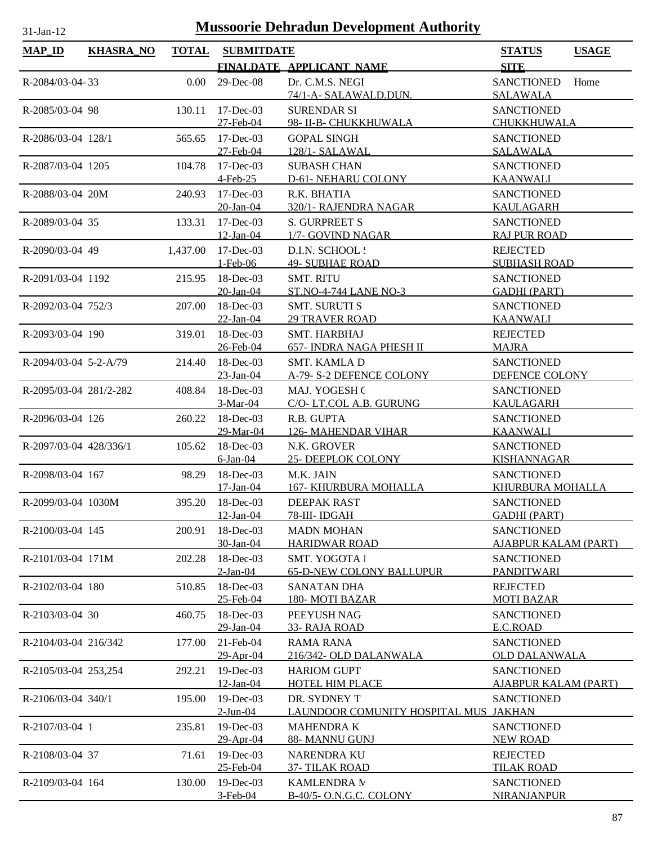| <b>MAP_ID</b>           | <b>KHASRA_NO</b> | <b>TOTAL</b> | <b>SUBMITDATE</b> |                                       | <b>STATUS</b><br><b>USAGE</b> |
|-------------------------|------------------|--------------|-------------------|---------------------------------------|-------------------------------|
|                         |                  |              |                   | FINALDATE APPLICANT NAME              | <b>SITE</b>                   |
| R-2084/03-04-33         |                  | 0.00         | 29-Dec-08         | Dr. C.M.S. NEGI                       | <b>SANCTIONED</b><br>Home     |
|                         |                  |              |                   | 74/1-A- SALAWALD.DUN.                 | <b>SALAWALA</b>               |
| R-2085/03-04 98         |                  | 130.11       | 17-Dec-03         | <b>SURENDAR SI</b>                    | <b>SANCTIONED</b>             |
|                         |                  |              | 27-Feb-04         | 98- II-B- CHUKKHUWALA                 | CHUKKHUWALA                   |
| R-2086/03-04 128/1      |                  | 565.65       | $17 - Dec-03$     | <b>GOPAL SINGH</b>                    | <b>SANCTIONED</b>             |
|                         |                  |              | 27-Feb-04         | 128/1-SALAWAL                         | <b>SALAWALA</b>               |
| R-2087/03-04 1205       |                  | 104.78       | $17 - Dec-03$     | <b>SUBASH CHAN</b>                    | <b>SANCTIONED</b>             |
|                         |                  |              | 4-Feb-25          | D-61- NEHARU COLONY                   | <b>KAANWALI</b>               |
| R-2088/03-04 20M        |                  | 240.93       | $17 - Dec-03$     | R.K. BHATIA                           | <b>SANCTIONED</b>             |
|                         |                  |              | 20-Jan-04         | 320/1- RAJENDRA NAGAR                 | <b>KAULAGARH</b>              |
| R-2089/03-04 35         |                  | 133.31       | $17 - Dec-03$     | <b>S. GURPREET S</b>                  | <b>SANCTIONED</b>             |
|                         |                  |              | 12-Jan-04         | 1/7- GOVIND NAGAR                     | <b>RAJ PUR ROAD</b>           |
| R-2090/03-04 49         |                  | 1,437.00     | $17$ -Dec-03      | D.I.N. SCHOOL :                       | <b>REJECTED</b>               |
|                         |                  |              | $1-Feb-06$        | <b>49- SUBHAE ROAD</b>                | <b>SUBHASH ROAD</b>           |
| R-2091/03-04 1192       |                  | 215.95       | $18$ -Dec-03      | <b>SMT. RITU</b>                      | <b>SANCTIONED</b>             |
|                         |                  |              | 20-Jan-04         | <b>ST.NO-4-744 LANE NO-3</b>          | <b>GADHI (PART)</b>           |
| R-2092/03-04 752/3      |                  | 207.00       | $18$ -Dec-03      | <b>SMT. SURUTI S</b>                  | <b>SANCTIONED</b>             |
|                         |                  |              | 22-Jan-04         | <b>29 TRAVER ROAD</b>                 | <b>KAANWALI</b>               |
| R-2093/03-04 190        |                  | 319.01       | $18$ -Dec-03      | <b>SMT. HARBHAJ</b>                   | <b>REJECTED</b>               |
|                         |                  |              | 26-Feb-04         | 657- INDRA NAGA PHESH II              | <b>MAJRA</b>                  |
| $R-2094/03-04$ 5-2-A/79 |                  | 214.40       | $18$ -Dec-03      | <b>SMT. KAMLA D</b>                   | <b>SANCTIONED</b>             |
|                         |                  |              | 23-Jan-04         | A-79- S-2 DEFENCE COLONY              | DEFENCE COLONY                |
| R-2095/03-04 281/2-282  |                  | 408.84       | $18$ -Dec-03      | <b>MAJ. YOGESH C</b>                  | <b>SANCTIONED</b>             |
|                         |                  |              | 3-Mar-04          | C/O-LT.COL A.B. GURUNG                | <b>KAULAGARH</b>              |
| R-2096/03-04 126        |                  | 260.22       | 18-Dec-03         | R.B. GUPTA                            | <b>SANCTIONED</b>             |
|                         |                  |              | 29-Mar-04         | <b>126- MAHENDAR VIHAR</b>            | <b>KAANWALI</b>               |
| R-2097/03-04 428/336/1  |                  | 105.62       | $18$ -Dec-03      | N.K. GROVER                           | <b>SANCTIONED</b>             |
|                         |                  |              | 6-Jan-04          | <b>25- DEEPLOK COLONY</b>             | <b>KISHANNAGAR</b>            |
| R-2098/03-04 167        |                  | 98.29        | $18$ -Dec-03      | M.K. JAIN                             | <b>SANCTIONED</b>             |
|                         |                  |              | 17-Jan-04         | <b>167- KHURBURA MOHALLA</b>          | KHURBURA MOHALLA              |
| R-2099/03-04 1030M      |                  | 395.20       | 18-Dec-03         | DEEPAK RAST                           | <b>SANCTIONED</b>             |
|                         |                  |              | 12-Jan-04         | 78-III- IDGAH                         | <b>GADHI (PART)</b>           |
| R-2100/03-04 145        |                  | 200.91       | 18-Dec-03         | <b>MADN MOHAN</b>                     | <b>SANCTIONED</b>             |
|                         |                  |              | 30-Jan-04         | <b>HARIDWAR ROAD</b>                  | <b>AJABPUR KALAM (PART)</b>   |
| R-2101/03-04 171M       |                  | 202.28       | $18$ -Dec-03      | SMT. YOGOTA I                         | <b>SANCTIONED</b>             |
|                         |                  |              | $2$ -Jan-04       | <b>65-D-NEW COLONY BALLUPUR</b>       | PANDITWARI                    |
| R-2102/03-04 180        |                  | 510.85       | 18-Dec-03         | <b>SANATAN DHA</b>                    | <b>REJECTED</b>               |
|                         |                  |              | 25-Feb-04         | 180-MOTI BAZAR                        | <b>MOTI BAZAR</b>             |
| R-2103/03-04 30         |                  | 460.75       | $18$ -Dec-03      | PEEYUSH NAG                           | <b>SANCTIONED</b>             |
|                         |                  |              | 29-Jan-04         | 33- RAJA ROAD                         | E.C.ROAD                      |
| R-2104/03-04 216/342    |                  | 177.00       | 21-Feb-04         | RAMA RANA                             | <b>SANCTIONED</b>             |
|                         |                  |              | 29-Apr-04         | 216/342- OLD DALANWALA                | <b>OLD DALANWALA</b>          |
| R-2105/03-04 253,254    |                  | 292.21       | 19-Dec-03         | <b>HARIOM GUPT</b>                    | <b>SANCTIONED</b>             |
|                         |                  |              | 12-Jan-04         | <b>HOTEL HIM PLACE</b>                | <b>AJABPUR KALAM (PART)</b>   |
| R-2106/03-04 340/1      |                  | 195.00       | $19$ -Dec-03      | DR. SYDNEY T                          | <b>SANCTIONED</b>             |
|                         |                  |              | $2$ -Jun-04       | LAUNDOOR COMUNITY HOSPITAL MUS JAKHAN |                               |
| R-2107/03-04 1          |                  | 235.81       | 19-Dec-03         | <b>MAHENDRAK</b>                      | <b>SANCTIONED</b>             |
|                         |                  |              | 29-Apr-04         | 88- MANNU GUNJ                        | <b>NEW ROAD</b>               |
| R-2108/03-04 37         |                  | 71.61        | 19-Dec-03         | <b>NARENDRA KU</b>                    | <b>REJECTED</b>               |
|                         |                  |              | 25-Feb-04         | 37-TILAK ROAD                         | <b>TILAK ROAD</b>             |
| R-2109/03-04 164        |                  | 130.00       | 19-Dec-03         | <b>KAMLENDRA M</b>                    | <b>SANCTIONED</b>             |
|                         |                  |              | 3-Feb-04          | B-40/5- O.N.G.C. COLONY               | <b>NIRANJANPUR</b>            |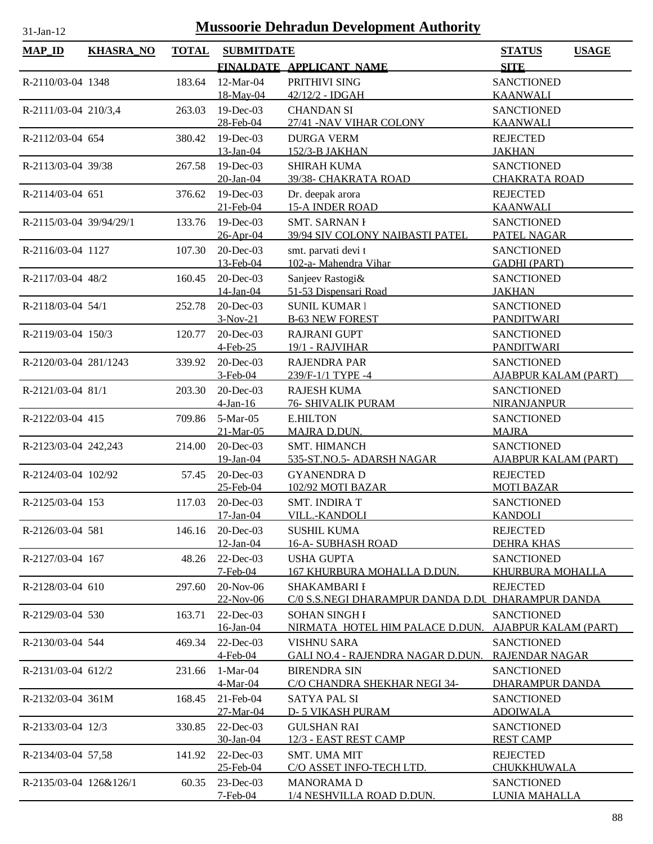| $MAP$ ID                | <b>KHASRA_NO</b> | <b>TOTAL</b> | <b>SUBMITDATE</b>         |                                                         | <b>STATUS</b><br><b>USAGE</b>               |
|-------------------------|------------------|--------------|---------------------------|---------------------------------------------------------|---------------------------------------------|
|                         |                  |              |                           | FINALDATE APPLICANT NAME                                | <b>SITE</b>                                 |
| R-2110/03-04 1348       |                  | 183.64       | 12-Mar-04                 | PRITHIVI SING                                           | <b>SANCTIONED</b>                           |
|                         |                  |              | 18-May-04                 | 42/12/2 - IDGAH                                         | <b>KAANWALI</b>                             |
| R-2111/03-04 210/3,4    |                  | 263.03       | 19-Dec-03                 | <b>CHANDAN SI</b>                                       | <b>SANCTIONED</b>                           |
|                         |                  |              | 28-Feb-04                 | 27/41 -NAV VIHAR COLONY                                 | <b>KAANWALI</b>                             |
| R-2112/03-04 654        |                  | 380.42       | $19$ -Dec-03              | <b>DURGA VERM</b>                                       | <b>REJECTED</b>                             |
|                         |                  |              | 13-Jan-04                 | 152/3-B JAKHAN                                          | <b>JAKHAN</b>                               |
| R-2113/03-04 39/38      |                  | 267.58       | $19$ -Dec-03              | <b>SHIRAH KUMA</b>                                      | <b>SANCTIONED</b>                           |
|                         |                  |              | 20-Jan-04                 | 39/38- CHAKRATA ROAD                                    | <b>CHAKRATA ROAD</b>                        |
| R-2114/03-04 651        |                  | 376.62       | 19-Dec-03                 | Dr. deepak arora                                        | <b>REJECTED</b>                             |
|                         |                  |              | 21-Feb-04                 | <b>15-A INDER ROAD</b>                                  | <b>KAANWALI</b>                             |
| R-2115/03-04 39/94/29/1 |                  | 133.76       | 19-Dec-03<br>26-Apr-04    | <b>SMT. SARNAN I</b><br>39/94 SIV COLONY NAIBASTI PATEL | <b>SANCTIONED</b>                           |
| R-2116/03-04 1127       |                  | 107.30       | 20-Dec-03                 | smt. parvati devi t                                     | PATEL NAGAR<br><b>SANCTIONED</b>            |
|                         |                  |              | 13-Feb-04                 | 102-a- Mahendra Vihar                                   | <b>GADHI (PART)</b>                         |
| R-2117/03-04 48/2       |                  | 160.45       | 20-Dec-03                 | Sanjeev Rastogi&                                        | <b>SANCTIONED</b>                           |
|                         |                  |              | 14-Jan-04                 | 51-53 Dispensari Road                                   | <b>JAKHAN</b>                               |
| R-2118/03-04 54/1       |                  | 252.78       | 20-Dec-03                 | <b>SUNIL KUMAR I</b>                                    | <b>SANCTIONED</b>                           |
|                         |                  |              | $3-Nov-21$                | <b>B-63 NEW FOREST</b>                                  | <b>PANDITWARI</b>                           |
| R-2119/03-04 150/3      |                  | 120.77       | 20-Dec-03                 | <b>RAJRANI GUPT</b>                                     | <b>SANCTIONED</b>                           |
|                         |                  |              | 4-Feb-25                  | 19/1 - RAJVIHAR                                         | <b>PANDITWARI</b>                           |
| R-2120/03-04 281/1243   |                  | 339.92       | 20-Dec-03                 | <b>RAJENDRA PAR</b>                                     | <b>SANCTIONED</b>                           |
|                         |                  |              | $3-Feb-04$                | 239/F-1/1 TYPE -4                                       | <b>AJABPUR KALAM (PART)</b>                 |
| R-2121/03-04 81/1       |                  | 203.30       | 20-Dec-03                 | <b>RAJESH KUMA</b>                                      | <b>SANCTIONED</b>                           |
|                         |                  |              | $4$ -Jan-16               | <b>76- SHIVALIK PURAM</b>                               | <b>NIRANJANPUR</b>                          |
| R-2122/03-04 415        |                  | 709.86       | 5-Mar-05                  | <b>E.HILTON</b>                                         | <b>SANCTIONED</b>                           |
|                         |                  |              | 21-Mar-05                 | MAJRA D.DUN.                                            | <b>MAJRA</b>                                |
| R-2123/03-04 242,243    |                  | 214.00       | 20-Dec-03<br>$19$ -Jan-04 | <b>SMT. HIMANCH</b><br>535-ST.NO.5- ADARSH NAGAR        | <b>SANCTIONED</b><br>AJABPUR KALAM (PART)   |
| R-2124/03-04 102/92     |                  | 57.45        | 20-Dec-03                 | <b>GYANENDRA D</b>                                      | <b>REJECTED</b>                             |
|                         |                  |              | 25-Feb-04                 | 102/92 MOTI BAZAR                                       | <b>MOTI BAZAR</b>                           |
| R-2125/03-04 153        |                  | 117.03       | 20-Dec-03                 | <b>SMT. INDIRA T</b>                                    | <b>SANCTIONED</b>                           |
|                         |                  |              | 17-Jan-04                 | VILL.-KANDOLI                                           | <b>KANDOLI</b>                              |
| R-2126/03-04 581        |                  | 146.16       | $20$ -Dec-03              | <b>SUSHIL KUMA</b>                                      | <b>REJECTED</b>                             |
|                         |                  |              | 12-Jan-04                 | <b>16-A- SUBHASH ROAD</b>                               | <b>DEHRA KHAS</b>                           |
| R-2127/03-04 167        |                  | 48.26        | $22$ -Dec-03              | <b>USHA GUPTA</b>                                       | <b>SANCTIONED</b>                           |
|                         |                  |              | $7-Feb-04$                | 167 KHURBURA MOHALLA D.DUN.                             | <b>KHURBURA MOHALLA</b>                     |
| R-2128/03-04 610        |                  | 297.60       | 20-Nov-06                 | SHAKAMBARI I                                            | <b>REJECTED</b>                             |
|                         |                  |              | 22-Nov-06                 | C/0 S.S.NEGI DHARAMPUR DANDA D.DU DHARAMPUR DANDA       |                                             |
| R-2129/03-04 530        |                  | 163.71       | 22-Dec-03                 | <b>SOHAN SINGH I</b>                                    | <b>SANCTIONED</b>                           |
|                         |                  |              | 16-Jan-04                 | NIRMATA HOTEL HIM PALACE D.DUN.                         | <b>AJABPUR KALAM (PART)</b>                 |
| R-2130/03-04 544        |                  | 469.34       | 22-Dec-03                 | <b>VISHNU SARA</b>                                      | <b>SANCTIONED</b>                           |
|                         |                  |              | 4-Feb-04                  | <b>GALI NO.4 - RAJENDRA NAGAR D.DUN.</b>                | <b>RAJENDAR NAGAR</b>                       |
| R-2131/03-04 612/2      |                  | 231.66       | $1-Mar-04$<br>4-Mar-04    | <b>BIRENDRA SIN</b><br>C/O CHANDRA SHEKHAR NEGI 34-     | <b>SANCTIONED</b><br><b>DHARAMPUR DANDA</b> |
| R-2132/03-04 361M       |                  | 168.45       | $21$ -Feb-04              | <b>SATYA PAL SI</b>                                     | <b>SANCTIONED</b>                           |
|                         |                  |              | 27-Mar-04                 | <b>D-5 VIKASH PURAM</b>                                 | <b>ADOIWALA</b>                             |
| R-2133/03-04 12/3       |                  | 330.85       | 22-Dec-03                 | <b>GULSHAN RAI</b>                                      | <b>SANCTIONED</b>                           |
|                         |                  |              | 30-Jan-04                 | 12/3 - EAST REST CAMP                                   | <b>REST CAMP</b>                            |
| R-2134/03-04 57,58      |                  | 141.92       | $22$ -Dec-03              | <b>SMT. UMA MIT</b>                                     | <b>REJECTED</b>                             |
|                         |                  |              | 25-Feb-04                 | C/O ASSET INFO-TECH LTD.                                | CHUKKHUWALA                                 |
| R-2135/03-04 126&126/1  |                  | 60.35        | $23$ -Dec-03              | <b>MANORAMAD</b>                                        | <b>SANCTIONED</b>                           |
|                         |                  |              | $7-Feb-04$                | 1/4 NESHVILLA ROAD D.DUN.                               | LUNIA MAHALLA                               |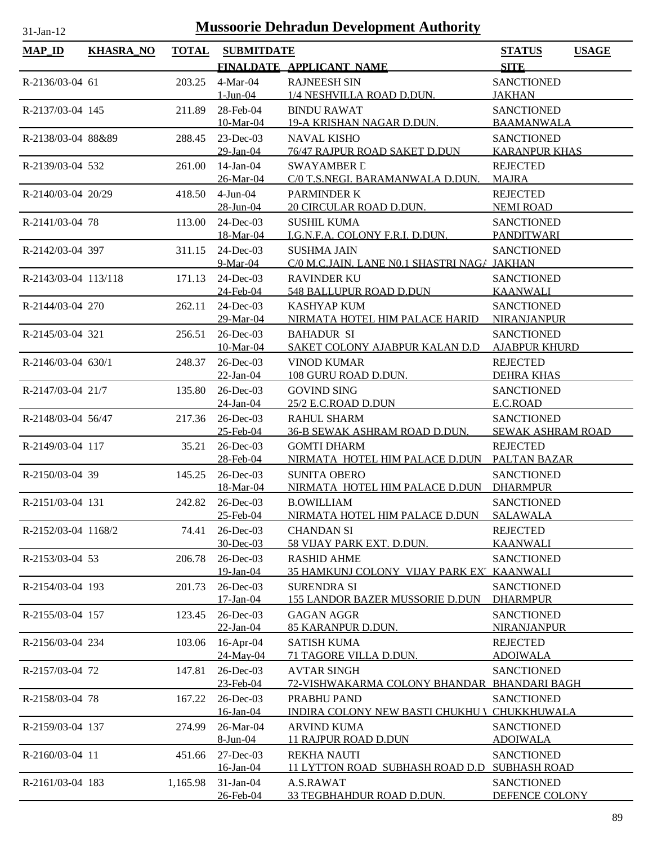| <b>MAP_ID</b>        |                  | <b>TOTAL</b> | <b>SUBMITDATE</b>           |                                                                   |                                              |
|----------------------|------------------|--------------|-----------------------------|-------------------------------------------------------------------|----------------------------------------------|
|                      | <b>KHASRA_NO</b> |              |                             | FINALDATE APPLICANT NAME                                          | <b>USAGE</b><br><b>STATUS</b><br><b>SITE</b> |
| R-2136/03-04 61      |                  | 203.25       | 4-Mar-04                    | <b>RAJNEESH SIN</b>                                               | <b>SANCTIONED</b>                            |
|                      |                  |              | <u>1-Jun-04</u>             | 1/4 NESHVILLA ROAD D.DUN.                                         | <b>JAKHAN</b>                                |
| R-2137/03-04 145     |                  | 211.89       | 28-Feb-04                   | <b>BINDU RAWAT</b>                                                | <b>SANCTIONED</b>                            |
|                      |                  |              | 10-Mar-04                   | 19-A KRISHAN NAGAR D.DUN.                                         | <b>BAAMANWALA</b>                            |
| R-2138/03-04 88&89   |                  | 288.45       | $23$ -Dec-03<br>29-Jan-04   | <b>NAVAL KISHO</b><br>76/47 RAJPUR ROAD SAKET D.DUN               | <b>SANCTIONED</b><br><b>KARANPUR KHAS</b>    |
| R-2139/03-04 532     |                  | 261.00       | $14$ -Jan-04                | <b>SWAYAMBER L</b>                                                | <b>REJECTED</b>                              |
|                      |                  |              | 26-Mar-04                   | C/0 T.S.NEGI. BARAMANWALA D.DUN.                                  | <b>MAJRA</b>                                 |
| R-2140/03-04 20/29   |                  | 418.50       | $4$ -Jun- $04$<br>28-Jun-04 | PARMINDER K<br>20 CIRCULAR ROAD D.DUN.                            | <b>REJECTED</b><br><b>NEMI ROAD</b>          |
| R-2141/03-04 78      |                  | 113.00       | 24-Dec-03                   | <b>SUSHIL KUMA</b>                                                | <b>SANCTIONED</b>                            |
|                      |                  |              | 18-Mar-04                   | I.G.N.F.A. COLONY F.R.I. D.DUN.                                   | PANDITWARI                                   |
| R-2142/03-04 397     |                  | 311.15       | 24-Dec-03<br>9-Mar-04       | <b>SUSHMA JAIN</b><br>C/0 M.C.JAIN. LANE N0.1 SHASTRI NAGA JAKHAN | <b>SANCTIONED</b>                            |
| R-2143/03-04 113/118 |                  | 171.13       | 24-Dec-03                   | <b>RAVINDER KU</b>                                                | <b>SANCTIONED</b>                            |
|                      |                  |              | 24-Feb-04                   | 548 BALLUPUR ROAD D.DUN                                           | <b>KAANWALI</b>                              |
| R-2144/03-04 270     |                  | 262.11       | $24$ -Dec-03                | <b>KASHYAP KUM</b>                                                | <b>SANCTIONED</b>                            |
|                      |                  |              | 29-Mar-04                   | NIRMATA HOTEL HIM PALACE HARID                                    | NIRANJANPUR                                  |
| R-2145/03-04 321     |                  | 256.51       | 26-Dec-03<br>10-Mar-04      | <b>BAHADUR SI</b><br>SAKET COLONY AJABPUR KALAN D.D               | <b>SANCTIONED</b><br><b>AJABPUR KHURD</b>    |
| R-2146/03-04 630/1   |                  | 248.37       | $26$ -Dec-03                | <b>VINOD KUMAR</b>                                                | <b>REJECTED</b>                              |
|                      |                  |              | $22-Ian-04$                 | 108 GURU ROAD D.DUN.                                              | <b>DEHRA KHAS</b>                            |
| R-2147/03-04 21/7    |                  | 135.80       | $26$ -Dec-03                | <b>GOVIND SING</b>                                                | <b>SANCTIONED</b>                            |
|                      |                  |              | 24-Jan-04                   | 25/2 E.C.ROAD D.DUN                                               | E.C.ROAD                                     |
| R-2148/03-04 56/47   |                  | 217.36       | 26-Dec-03                   | <b>RAHUL SHARM</b>                                                | <b>SANCTIONED</b>                            |
|                      |                  |              | 25-Feb-04                   | 36-B SEWAK ASHRAM ROAD D.DUN.                                     | SEWAK ASHRAM ROAD                            |
| R-2149/03-04 117     |                  | 35.21        | 26-Dec-03<br>28-Feb-04      | <b>GOMTI DHARM</b><br>NIRMATA HOTEL HIM PALACE D.DUN PALTAN BAZAR | <b>REJECTED</b>                              |
| R-2150/03-04 39      |                  | 145.25       | $26$ -Dec-03                | <b>SUNITA OBERO</b>                                               | <b>SANCTIONED</b>                            |
|                      |                  |              | 18-Mar-04                   | NIRMATA HOTEL HIM PALACE D.DUN                                    | <b>DHARMPUR</b>                              |
| R-2151/03-04 131     |                  | 242.82       | 26-Dec-03<br>25-Feb-04      | <b>B.OWILLIAM</b><br>NIRMATA HOTEL HIM PALACE D.DUN               | <b>SANCTIONED</b><br><b>SALAWALA</b>         |
| R-2152/03-04 1168/2  |                  | 74.41        | $26$ -Dec-03                | <b>CHANDAN SI</b>                                                 | <b>REJECTED</b>                              |
|                      |                  |              | 30-Dec-03                   | 58 VIJAY PARK EXT. D.DUN.                                         | <b>KAANWALI</b>                              |
| R-2153/03-04 53      |                  | 206.78       | 26-Dec-03                   | <b>RASHID AHME</b>                                                | <b>SANCTIONED</b>                            |
|                      |                  |              | 19-Jan-04                   | 35 HAMKUNJ COLONY VIJAY PARK EX' KAANWALI                         |                                              |
| R-2154/03-04 193     |                  | 201.73       | 26-Dec-03<br>$17-Jan-04$    | <b>SURENDRA SI</b><br><b>155 LANDOR BAZER MUSSORIE D.DUN</b>      | <b>SANCTIONED</b><br><b>DHARMPUR</b>         |
| R-2155/03-04 157     |                  | 123.45       | 26-Dec-03                   | <b>GAGAN AGGR</b>                                                 | <b>SANCTIONED</b>                            |
|                      |                  |              | $22$ -Jan-04                | 85 KARANPUR D.DUN.                                                | NIRANJANPUR                                  |
| R-2156/03-04 234     |                  | 103.06       | 16-Apr-04<br>24-May-04      | <b>SATISH KUMA</b><br>71 TAGORE VILLA D.DUN.                      | <b>REJECTED</b><br><b>ADOIWALA</b>           |
| R-2157/03-04 72      |                  | 147.81       | 26-Dec-03                   | <b>AVTAR SINGH</b>                                                | <b>SANCTIONED</b>                            |
|                      |                  |              | 23-Feb-04                   | 72-VISHWAKARMA COLONY BHANDAR BHANDARI BAGH                       |                                              |
| R-2158/03-04 78      |                  | 167.22       | 26-Dec-03                   | PRABHU PAND                                                       | <b>SANCTIONED</b>                            |
|                      |                  |              | 16-Jan-04                   | INDIRA COLONY NEW BASTI CHUKHU \ CHUKKHUWALA                      |                                              |
| R-2159/03-04 137     |                  | 274.99       | 26-Mar-04<br>8-Jun-04       | <b>ARVIND KUMA</b><br><b>11 RAJPUR ROAD D.DUN</b>                 | <b>SANCTIONED</b><br><b>ADOIWALA</b>         |
| R-2160/03-04 11      |                  | 451.66       | 27-Dec-03                   | <b>REKHA NAUTI</b>                                                | <b>SANCTIONED</b>                            |
|                      |                  |              | 16-Jan-04                   | 11 LYTTON ROAD SUBHASH ROAD D.D SUBHASH ROAD                      |                                              |
| R-2161/03-04 183     |                  | 1,165.98     | $31-Jan-04$                 | A.S.RAWAT                                                         | <b>SANCTIONED</b>                            |
|                      |                  |              | 26-Feb-04                   | <u>33 TEGBHAHDUR ROAD D.DUN.</u>                                  | DEFENCE COLONY                               |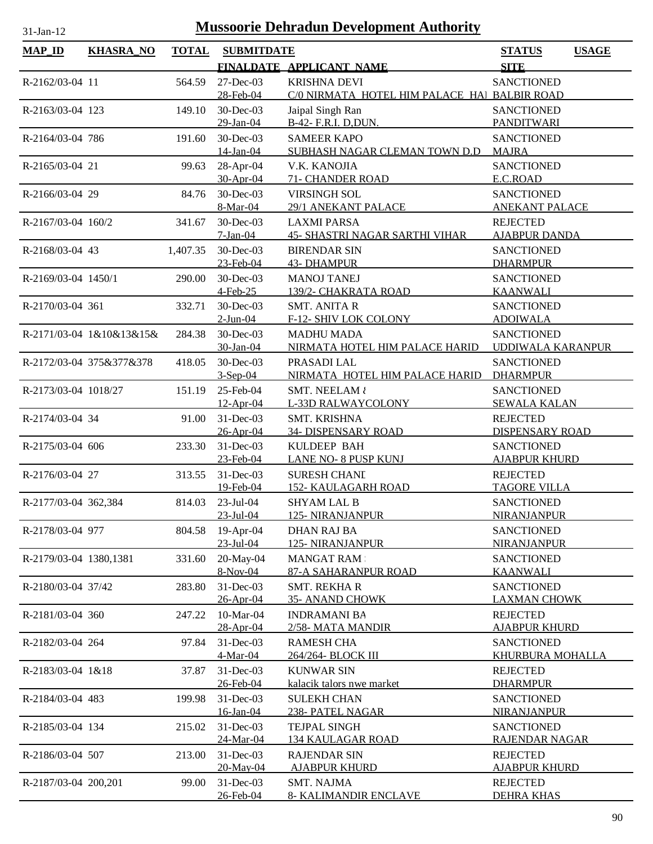| $31$ -Jan-12           | <b>Mussoorie Dehradun Development Authority</b> |              |                         |                                                             |                                               |  |  |
|------------------------|-------------------------------------------------|--------------|-------------------------|-------------------------------------------------------------|-----------------------------------------------|--|--|
| <b>MAP ID</b>          | <b>KHASRA_NO</b>                                | <b>TOTAL</b> | <b>SUBMITDATE</b>       |                                                             | <b>STATUS</b><br><b>USAGE</b>                 |  |  |
|                        |                                                 |              |                         | FINALDATE APPLICANT NAME                                    | <b>SITE</b>                                   |  |  |
| R-2162/03-04 11        |                                                 | 564.59       | $27 - Dec-03$           | <b>KRISHNA DEVI</b>                                         | <b>SANCTIONED</b>                             |  |  |
|                        |                                                 |              | 28-Feb-04               | C/0 NIRMATA HOTEL HIM PALACE HAI BALBIR ROAD                |                                               |  |  |
| R-2163/03-04 123       |                                                 | 149.10       | 30-Dec-03               | Jaipal Singh Ran                                            | <b>SANCTIONED</b>                             |  |  |
|                        |                                                 |              | 29-Jan-04               | B-42- F.R.I. D, DUN.                                        | <b>PANDITWARI</b>                             |  |  |
| R-2164/03-04 786       |                                                 | 191.60       | 30-Dec-03<br>14-Jan-04  | <b>SAMEER KAPO</b><br>SUBHASH NAGAR CLEMAN TOWN D.D         | <b>SANCTIONED</b><br><b>MAJRA</b>             |  |  |
| R-2165/03-04 21        |                                                 | 99.63        | 28-Apr-04<br>30-Apr-04  | V.K. KANOJIA<br>71- CHANDER ROAD                            | <b>SANCTIONED</b><br>E.C.ROAD                 |  |  |
| R-2166/03-04 29        |                                                 | 84.76        | 30-Dec-03               | <b>VIRSINGH SOL</b>                                         | <b>SANCTIONED</b>                             |  |  |
|                        |                                                 |              | 8-Mar-04                | 29/1 ANEKANT PALACE                                         | <b>ANEKANT PALACE</b>                         |  |  |
| R-2167/03-04 160/2     |                                                 | 341.67       | 30-Dec-03<br>$7-Jan-04$ | <b>LAXMI PARSA</b><br><b>45- SHASTRI NAGAR SARTHI VIHAR</b> | <b>REJECTED</b><br><b>AJABPUR DANDA</b>       |  |  |
| R-2168/03-04 43        |                                                 | 1,407.35     | 30-Dec-03               | <b>BIRENDAR SIN</b>                                         | <b>SANCTIONED</b>                             |  |  |
|                        |                                                 |              | 23-Feb-04               | <b>43- DHAMPUR</b>                                          | <b>DHARMPUR</b>                               |  |  |
| R-2169/03-04 1450/1    |                                                 | 290.00       | 30-Dec-03               | <b>MANOJ TANEJ</b>                                          | <b>SANCTIONED</b>                             |  |  |
|                        |                                                 |              | $4$ -Feb-25             | 139/2- CHAKRATA ROAD                                        | <b>KAANWALI</b>                               |  |  |
| R-2170/03-04 361       |                                                 | 332.71       | 30-Dec-03               | <b>SMT. ANITA R</b>                                         | <b>SANCTIONED</b>                             |  |  |
|                        |                                                 |              | $2$ -Jun-04             | F-12- SHIV LOK COLONY                                       | <b>ADOIWALA</b>                               |  |  |
|                        | R-2171/03-04 1&10&13&15&                        | 284.38       | 30-Dec-03<br>30-Jan-04  | <b>MADHU MADA</b><br>NIRMATA HOTEL HIM PALACE HARID         | <b>SANCTIONED</b><br><b>UDDIWALA KARANPUR</b> |  |  |
|                        | R-2172/03-04 375&377&378                        | 418.05       | 30-Dec-03               | PRASADI LAL                                                 | <b>SANCTIONED</b>                             |  |  |
|                        |                                                 |              | $3-Sep-04$              | NIRMATA HOTEL HIM PALACE HARID                              | <b>DHARMPUR</b>                               |  |  |
| R-2173/03-04 1018/27   |                                                 | 151.19       | 25-Feb-04               | <b>SMT. NEELAM &amp;</b>                                    | <b>SANCTIONED</b>                             |  |  |
|                        |                                                 |              | $12-Apr-04$             | L-33D RALWAYCOLONY                                          | <b>SEWALA KALAN</b>                           |  |  |
| R-2174/03-04 34        |                                                 | 91.00        | 31-Dec-03               | SMT. KRISHNA                                                | <b>REJECTED</b>                               |  |  |
| R-2175/03-04 606       |                                                 | 233.30       | 26-Apr-04<br>31-Dec-03  | 34- DISPENSARY ROAD<br>KULDEEP BAH                          | <b>DISPENSARY ROAD</b><br><b>SANCTIONED</b>   |  |  |
|                        |                                                 |              | 23-Feb-04               | LANE NO- 8 PUSP KUNJ                                        | <b>AJABPUR KHURD</b>                          |  |  |
| R-2176/03-04 27        |                                                 | 313.55       | $31$ -Dec-03            | <b>SURESH CHANI</b>                                         | <b>REJECTED</b>                               |  |  |
|                        |                                                 |              | 19-Feb-04               | <b>152- KAULAGARH ROAD</b>                                  | <b>TAGORE VILLA</b>                           |  |  |
| R-2177/03-04 362,384   |                                                 | 814.03       | 23-Jul-04               | <b>SHYAM LAL B</b>                                          | <b>SANCTIONED</b>                             |  |  |
|                        |                                                 |              | $23$ -Jul-04            | <b>125- NIRANJANPUR</b>                                     | NIRANJANPUR                                   |  |  |
| R-2178/03-04 977       |                                                 | 804.58       | 19-Apr-04               | <b>DHAN RAJ BA</b>                                          | <b>SANCTIONED</b>                             |  |  |
|                        |                                                 |              | $23$ -Jul-04            | <b>125- NIRANJANPUR</b>                                     | NIRANJANPUR                                   |  |  |
| R-2179/03-04 1380,1381 |                                                 | 331.60       | 20-May-04<br>8-Nov-04   | MANGAT RAM<br>87-A SAHARANPUR ROAD                          | SANCTIONED<br><b>KAANWALI</b>                 |  |  |
| R-2180/03-04 37/42     |                                                 | 283.80       | 31-Dec-03               | <b>SMT. REKHAR</b>                                          | <b>SANCTIONED</b>                             |  |  |
|                        |                                                 |              | 26-Apr-04               | <b>35- ANAND CHOWK</b>                                      | <b>LAXMAN CHOWK</b>                           |  |  |
| R-2181/03-04 360       |                                                 | 247.22       | 10-Mar-04               | <b>INDRAMANI BA</b>                                         | <b>REJECTED</b>                               |  |  |
|                        |                                                 |              | 28-Apr-04               | 2/58- MATA MANDIR                                           | <b>AJABPUR KHURD</b>                          |  |  |
| R-2182/03-04 264       |                                                 | 97.84        | 31-Dec-03               | <b>RAMESH CHA</b>                                           | <b>SANCTIONED</b>                             |  |  |
|                        |                                                 |              | 4-Mar-04                | 264/264- BLOCK III                                          | KHURBURA MOHALLA                              |  |  |
| R-2183/03-04 1&18      |                                                 | 37.87        | 31-Dec-03<br>26-Feb-04  | <b>KUNWAR SIN</b><br>kalacik talors nwe market              | <b>REJECTED</b><br><b>DHARMPUR</b>            |  |  |
| R-2184/03-04 483       |                                                 | 199.98       | 31-Dec-03               | <b>SULEKH CHAN</b>                                          | <b>SANCTIONED</b>                             |  |  |
|                        |                                                 |              | 16-Jan-04               | 238- PATEL NAGAR                                            | NIRANJANPUR                                   |  |  |
| R-2185/03-04 134       |                                                 | 215.02       | 31-Dec-03               | <b>TEJPAL SINGH</b>                                         | <b>SANCTIONED</b>                             |  |  |
|                        |                                                 |              | 24-Mar-04               | <b>134 KAULAGAR ROAD</b>                                    | <b>RAJENDAR NAGAR</b>                         |  |  |
| R-2186/03-04 507       |                                                 | 213.00       | 31-Dec-03<br>20-May-04  | <b>RAJENDAR SIN</b><br><b>AJABPUR KHURD</b>                 | <b>REJECTED</b><br><b>AJABPUR KHURD</b>       |  |  |
| R-2187/03-04 200,201   |                                                 | 99.00        | 31-Dec-03               | <b>SMT. NAJMA</b>                                           | <b>REJECTED</b>                               |  |  |
|                        |                                                 |              | 26-Feb-04               | 8- KALIMANDIR ENCLAVE                                       | <b>DEHRA KHAS</b>                             |  |  |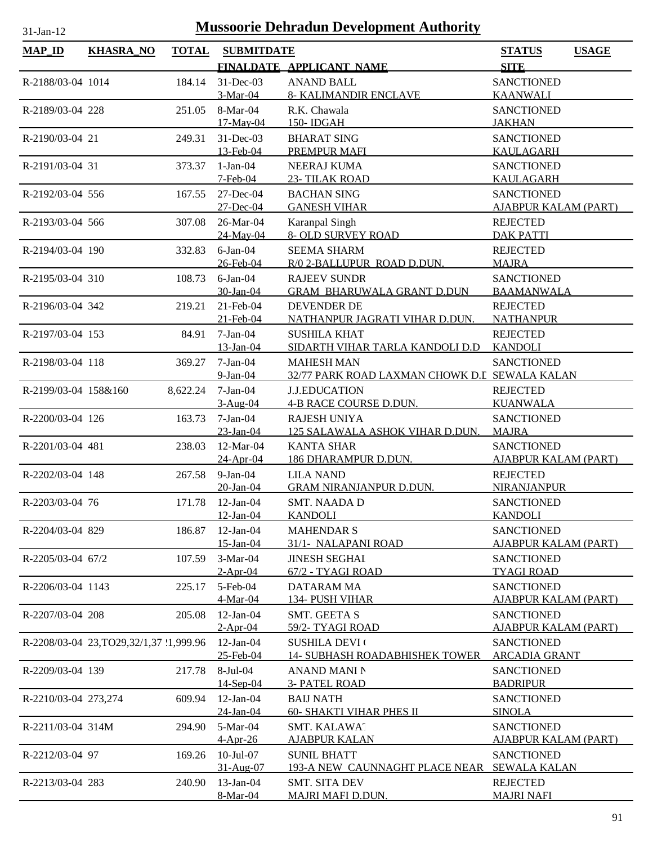| $31$ -Jan-12         | <b>Mussoorie Dehradun Development Authority</b> |              |                          |                                                                       |                                           |              |  |  |
|----------------------|-------------------------------------------------|--------------|--------------------------|-----------------------------------------------------------------------|-------------------------------------------|--------------|--|--|
| <b>MAP_ID</b>        | <b>KHASRA_NO</b>                                | <b>TOTAL</b> | <b>SUBMITDATE</b>        |                                                                       | <b>STATUS</b>                             | <b>USAGE</b> |  |  |
|                      |                                                 |              |                          | FINALDATE APPLICANT NAME                                              | <b>SITE</b>                               |              |  |  |
| R-2188/03-04 1014    |                                                 | 184.14       | $31$ -Dec-03             | <b>ANAND BALL</b>                                                     | <b>SANCTIONED</b>                         |              |  |  |
|                      |                                                 |              | 3-Mar-04                 | <b>8- KALIMANDIR ENCLAVE</b>                                          | <b>KAANWALI</b>                           |              |  |  |
| R-2189/03-04 228     |                                                 | 251.05       | 8-Mar-04                 | R.K. Chawala                                                          | <b>SANCTIONED</b>                         |              |  |  |
|                      |                                                 |              | 17-May-04                | 150-IDGAH                                                             | <b>JAKHAN</b>                             |              |  |  |
| R-2190/03-04 21      |                                                 | 249.31       | 31-Dec-03<br>13-Feb-04   | <b>BHARAT SING</b><br>PREMPUR MAFI                                    | <b>SANCTIONED</b><br><b>KAULAGARH</b>     |              |  |  |
| R-2191/03-04 31      |                                                 | 373.37       | $1-Jan-04$               | <b>NEERAJ KUMA</b>                                                    | <b>SANCTIONED</b>                         |              |  |  |
|                      |                                                 |              | $7$ -Feb-04              | 23- TILAK ROAD                                                        | <b>KAULAGARH</b>                          |              |  |  |
| R-2192/03-04 556     |                                                 | 167.55       | 27-Dec-04                | <b>BACHAN SING</b>                                                    | <b>SANCTIONED</b>                         |              |  |  |
|                      |                                                 |              | 27-Dec-04                | <b>GANESH VIHAR</b>                                                   | <b>AJABPUR KALAM (PART)</b>               |              |  |  |
| R-2193/03-04 566     |                                                 | 307.08       | 26-Mar-04                | Karanpal Singh                                                        | <b>REJECTED</b>                           |              |  |  |
|                      |                                                 |              | 24-May-04                | 8- OLD SURVEY ROAD                                                    | <b>DAK PATTI</b>                          |              |  |  |
| R-2194/03-04 190     |                                                 | 332.83       | $6$ -Jan-04<br>26-Feb-04 | <b>SEEMA SHARM</b><br>R/0 2-BALLUPUR ROAD D.DUN.                      | <b>REJECTED</b><br><b>MAJRA</b>           |              |  |  |
| R-2195/03-04 310     |                                                 | 108.73       | $6$ -Jan- $04$           | <b>RAJEEV SUNDR</b>                                                   | <b>SANCTIONED</b>                         |              |  |  |
|                      |                                                 |              | 30-Jan-04                | <b>GRAM BHARUWALA GRANT D.DUN</b>                                     | <b>BAAMANWALA</b>                         |              |  |  |
| R-2196/03-04 342     |                                                 | 219.21       | 21-Feb-04                | <b>DEVENDER DE</b>                                                    | <b>REJECTED</b>                           |              |  |  |
|                      |                                                 |              | 21-Feb-04                | NATHANPUR JAGRATI VIHAR D.DUN.                                        | <b>NATHANPUR</b>                          |              |  |  |
| R-2197/03-04 153     |                                                 | 84.91        | $7-Jan-04$               | <b>SUSHILA KHAT</b>                                                   | <b>REJECTED</b>                           |              |  |  |
|                      |                                                 |              | 13-Jan-04                | SIDARTH VIHAR TARLA KANDOLI D.D                                       | <b>KANDOLI</b>                            |              |  |  |
| R-2198/03-04 118     |                                                 | 369.27       | $7-Jan-04$               | <b>MAHESH MAN</b>                                                     | <b>SANCTIONED</b>                         |              |  |  |
| R-2199/03-04 158&160 |                                                 | 8,622.24     | $9-Ian-04$<br>$7-Jan-04$ | 32/77 PARK ROAD LAXMAN CHOWK D.I SEWALA KALAN<br><b>J.J.EDUCATION</b> | <b>REJECTED</b>                           |              |  |  |
|                      |                                                 |              | $3-Aug-04$               | 4-B RACE COURSE D.DUN.                                                | <b>KUANWALA</b>                           |              |  |  |
| R-2200/03-04 126     |                                                 | 163.73       | $7-Jan-04$               | <b>RAJESH UNIYA</b>                                                   | <b>SANCTIONED</b>                         |              |  |  |
|                      |                                                 |              | $23$ -Jan-04             | 125 SALAWALA ASHOK VIHAR D.DUN.                                       | <b>MAJRA</b>                              |              |  |  |
| R-2201/03-04 481     |                                                 | 238.03       | 12-Mar-04                | <b>KANTA SHAR</b>                                                     | <b>SANCTIONED</b>                         |              |  |  |
|                      |                                                 |              | 24-Apr-04                | 186 DHARAMPUR D.DUN.                                                  | <b>AJABPUR KALAM (PART)</b>               |              |  |  |
| R-2202/03-04 148     |                                                 | 267.58       | $9-Jan-04$<br>20-Jan-04  | <b>LILA NAND</b><br><b>GRAM NIRANJANPUR D.DUN.</b>                    | <b>REJECTED</b><br><b>NIRANJANPUR</b>     |              |  |  |
| R-2203/03-04 76      |                                                 | 171.78       | $12$ -Jan- $04$          | <b>SMT. NAADAD</b>                                                    | <b>SANCTIONED</b>                         |              |  |  |
|                      |                                                 |              | 12-Jan-04                | <b>KANDOLI</b>                                                        | <b>KANDOLI</b>                            |              |  |  |
| R-2204/03-04 829     |                                                 | 186.87       | $12-Jan-04$              | <b>MAHENDAR S</b>                                                     | <b>SANCTIONED</b>                         |              |  |  |
|                      |                                                 |              | 15-Jan-04                | 31/1- NALAPANI ROAD                                                   | <b>AJABPUR KALAM (PART)</b>               |              |  |  |
| R-2205/03-04 67/2    |                                                 | 107.59       | $3-Mar-04$               | <b>JINESH SEGHAI</b>                                                  | <b>SANCTIONED</b>                         |              |  |  |
|                      |                                                 |              | $2-Apr-04$               | 67/2 - TYAGI ROAD                                                     | <b>TYAGI ROAD</b>                         |              |  |  |
| R-2206/03-04 1143    |                                                 | 225.17       | 5-Feb-04<br>4-Mar-04     | DATARAM MA<br>134- PUSH VIHAR                                         | <b>SANCTIONED</b><br>AJABPUR KALAM (PART) |              |  |  |
| R-2207/03-04 208     |                                                 | 205.08       | $12$ -Jan-04             | <b>SMT. GEETA S</b>                                                   | <b>SANCTIONED</b>                         |              |  |  |
|                      |                                                 |              | $2-Apr-04$               | 59/2- TYAGI ROAD                                                      | <b>AJABPUR KALAM (PART)</b>               |              |  |  |
|                      | R-2208/03-04 23, TO29, 32/1, 37 '1, 999.96      |              | $12-Jan-04$              | <b>SUSHILA DEVI</b> (                                                 | <b>SANCTIONED</b>                         |              |  |  |
|                      |                                                 |              | 25-Feb-04                | <b>14- SUBHASH ROADABHISHEK TOWER</b>                                 | <b>ARCADIA GRANT</b>                      |              |  |  |
| R-2209/03-04 139     |                                                 | 217.78       | 8-Jul-04                 | <b>ANAND MANI N</b>                                                   | <b>SANCTIONED</b>                         |              |  |  |
|                      |                                                 |              | 14-Sep-04                | <b>3- PATEL ROAD</b>                                                  | <b>BADRIPUR</b>                           |              |  |  |
| R-2210/03-04 273,274 |                                                 | 609.94       | $12-Jan-04$<br>24-Jan-04 | <b>BAIJ NATH</b><br><b>60- SHAKTI VIHAR PHES II</b>                   | <b>SANCTIONED</b><br><b>SINOLA</b>        |              |  |  |
| R-2211/03-04 314M    |                                                 | 294.90       | 5-Mar-04                 | SMT. KALAWAT                                                          | <b>SANCTIONED</b>                         |              |  |  |
|                      |                                                 |              | $4-Apr-26$               | <b>AJABPUR KALAN</b>                                                  | <b>AJABPUR KALAM (PART)</b>               |              |  |  |
| R-2212/03-04 97      |                                                 | 169.26       | $10$ -Jul- $07$          | <b>SUNIL BHATT</b>                                                    | <b>SANCTIONED</b>                         |              |  |  |
|                      |                                                 |              | 31-Aug-07                | 193-A NEW CAUNNAGHT PLACE NEAR SEWALA KALAN                           |                                           |              |  |  |
| R-2213/03-04 283     |                                                 | 240.90       | 13-Jan-04                | <b>SMT. SITA DEV</b>                                                  | <b>REJECTED</b>                           |              |  |  |
|                      |                                                 |              | 8-Mar-04                 | <b>MAJRI MAFI D.DUN.</b>                                              | <b>MAJRI NAFI</b>                         |              |  |  |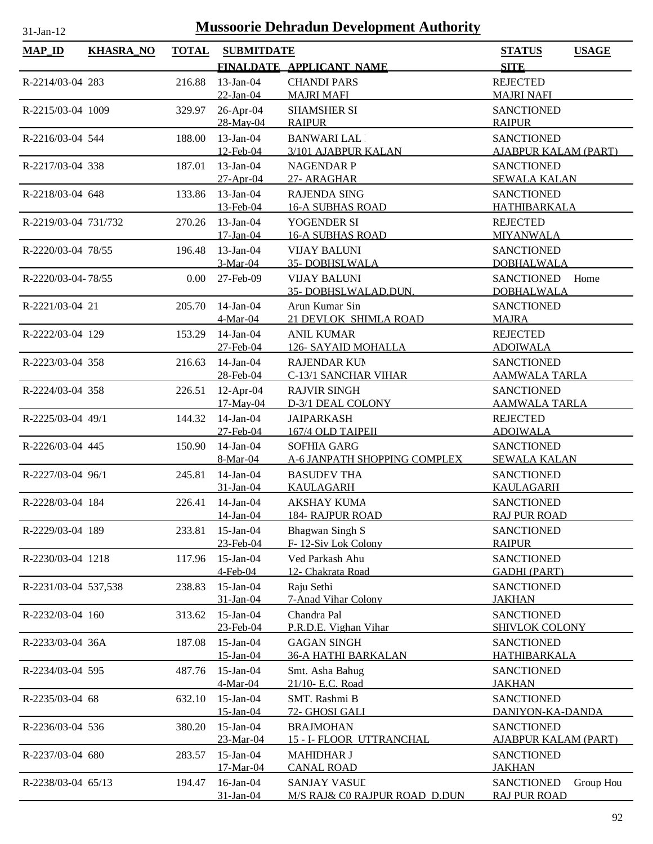| <b>MAP_ID</b>        | <b>KHASRA_NO</b> | <b>TOTAL</b> | <b>SUBMITDATE</b>                      |                                                                           | <b>STATUS</b><br><b>USAGE</b>                                     |
|----------------------|------------------|--------------|----------------------------------------|---------------------------------------------------------------------------|-------------------------------------------------------------------|
|                      |                  |              |                                        | FINALDATE APPLICANT NAME                                                  | <b>SITE</b>                                                       |
| R-2214/03-04 283     |                  | 216.88       | $13$ -Jan-04<br>22-Jan-04              | <b>CHANDI PARS</b><br><b>MAJRI MAFI</b>                                   | <b>REJECTED</b><br><b>MAJRI NAFI</b>                              |
| R-2215/03-04 1009    |                  | 329.97       | 26-Apr-04<br>28-May-04                 | <b>SHAMSHER SI</b><br><b>RAIPUR</b>                                       | <b>SANCTIONED</b><br><b>RAIPUR</b>                                |
| R-2216/03-04 544     |                  | 188.00       | $13$ -Jan-04<br>12-Feb-04              | <b>BANWARI LAL</b><br>3/101 AJABPUR KALAN                                 | <b>SANCTIONED</b><br><b>AJABPUR KALAM (PART)</b>                  |
| R-2217/03-04 338     |                  | 187.01       | $13$ -Jan-04<br>27-Apr-04              | <b>NAGENDAR P</b><br>27- ARAGHAR                                          | <b>SANCTIONED</b><br><b>SEWALA KALAN</b>                          |
| R-2218/03-04 648     |                  | 133.86       | $13$ -Jan-04<br>13-Feb-04              | <b>RAJENDA SING</b><br><b>16-A SUBHAS ROAD</b>                            | <b>SANCTIONED</b><br><b>HATHIBARKALA</b>                          |
| R-2219/03-04 731/732 |                  | 270.26       | $13$ -Jan-04<br>17-Jan-04              | YOGENDER SI<br><b>16-A SUBHAS ROAD</b>                                    | <b>REJECTED</b><br><b>MIYANWALA</b>                               |
| R-2220/03-04 78/55   |                  | 196.48       | 13-Jan-04<br>3-Mar-04                  | <b>VIJAY BALUNI</b><br><b>35-DOBHSLWALA</b>                               | <b>SANCTIONED</b><br><b>DOBHALWALA</b>                            |
| R-2220/03-04-78/55   |                  | 0.00         | 27-Feb-09                              | <b>VIJAY BALUNI</b><br>35-DOBHSLWALAD.DUN.                                | <b>SANCTIONED</b><br>Home<br><b>DOBHALWALA</b>                    |
| R-2221/03-04 21      |                  | 205.70       | 14-Jan-04<br>4-Mar-04                  | Arun Kumar Sin<br>21 DEVLOK SHIMLA ROAD                                   | <b>SANCTIONED</b><br><b>MAJRA</b>                                 |
| R-2222/03-04 129     |                  | 153.29       | $14$ -Jan-04<br>27-Feb-04              | <b>ANIL KUMAR</b><br>126- SAYAID MOHALLA                                  | <b>REJECTED</b><br><b>ADOIWALA</b>                                |
| R-2223/03-04 358     |                  | 216.63       | 14-Jan-04<br>28-Feb-04                 | <b>RAJENDAR KUN</b><br>C-13/1 SANCHAR VIHAR                               | <b>SANCTIONED</b><br><b>AAMWALA TARLA</b>                         |
| R-2224/03-04 358     |                  | 226.51       | 12-Apr-04<br>17-May-04                 | <b>RAJVIR SINGH</b><br>D-3/1 DEAL COLONY                                  | <b>SANCTIONED</b><br><u>AAMWALA TARLA</u>                         |
| R-2225/03-04 49/1    |                  | 144.32       | $14$ -Jan-04<br>27-Feb-04              | <b>JAIPARKASH</b><br>167/4 OLD TAIPEII                                    | <b>REJECTED</b><br><b>ADOIWALA</b>                                |
| R-2226/03-04 445     |                  | 150.90       | 14-Jan-04<br>8-Mar-04                  | SOFHIA GARG<br>A-6 JANPATH SHOPPING COMPLEX                               | <b>SANCTIONED</b><br><b>SEWALA KALAN</b>                          |
| R-2227/03-04 96/1    |                  | 245.81       | $14$ -Jan-04<br>31-Jan-04              | <b>BASUDEV THA</b><br><b>KAULAGARH</b>                                    | <b>SANCTIONED</b><br><b>KAULAGARH</b>                             |
| R-2228/03-04 184     |                  | 226.41       | $14$ -Jan-04<br>$14$ -Jan-04           | <b>AKSHAY KUMA</b><br><b>184- RAJPUR ROAD</b>                             | <b>SANCTIONED</b><br><b>RAJ PUR ROAD</b>                          |
| R-2229/03-04 189     |                  | 233.81       | $15$ -Jan-04<br>23-Feb-04              | Bhagwan Singh S<br>F-12-Siv Lok Colony                                    | <b>SANCTIONED</b><br><b>RAIPUR</b>                                |
| R-2230/03-04 1218    |                  | 117.96       | $15$ -Jan-04<br>4-Feb-04               | Ved Parkash Ahu<br>12- Chakrata Road                                      | <b>SANCTIONED</b><br><b>GADHI (PART)</b>                          |
| R-2231/03-04 537,538 |                  | 238.83       | $15$ -Jan-04<br>31-Jan-04              | Raju Sethi<br>7-Anad Vihar Colony                                         | <b>SANCTIONED</b><br><b>JAKHAN</b>                                |
| R-2232/03-04 160     |                  | 313.62       | $15$ -Jan-04<br>23-Feb-04              | Chandra Pal<br>P.R.D.E. Vighan Vihar                                      | <b>SANCTIONED</b><br><b>SHIVLOK COLONY</b>                        |
| R-2233/03-04 36A     |                  | 187.08       | $15$ -Jan-04<br>15-Jan-04              | <b>GAGAN SINGH</b><br><b>36-A HATHI BARKALAN</b>                          | <b>SANCTIONED</b><br><b>HATHIBARKALA</b>                          |
| R-2234/03-04 595     |                  | 487.76       | 15-Jan-04<br>4-Mar-04                  | Smt. Asha Bahug<br>21/10- E.C. Road                                       | <b>SANCTIONED</b><br><b>JAKHAN</b>                                |
| R-2235/03-04 68      |                  | 632.10       | 15-Jan-04<br>15-Jan-04                 | SMT. Rashmi B<br>72- GHOSI GALI                                           | <b>SANCTIONED</b><br>DANIYON-KA-DANDA                             |
| R-2236/03-04 536     |                  | 380.20       | $15$ -Jan-04                           | <b>BRAJMOHAN</b>                                                          | <b>SANCTIONED</b>                                                 |
| R-2237/03-04 680     |                  | 283.57       | 23-Mar-04<br>$15$ -Jan-04<br>17-Mar-04 | 15 - I- FLOOR UTTRANCHAL<br><b>MAHIDHAR J</b>                             | <b>AJABPUR KALAM (PART)</b><br><b>SANCTIONED</b><br><b>JAKHAN</b> |
| R-2238/03-04 65/13   |                  | 194.47       | 16-Jan-04<br>31-Jan-04                 | <b>CANAL ROAD</b><br><b>SANJAY VASUL</b><br>M/S RAJ& C0 RAJPUR ROAD D.DUN | <b>SANCTIONED</b><br>Group Hou<br><b>RAJ PUR ROAD</b>             |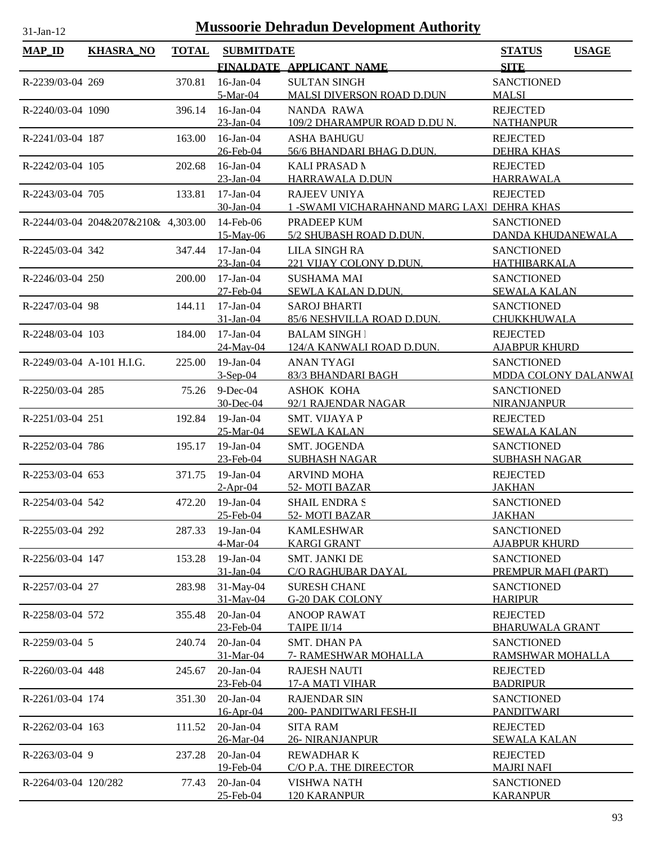| <b>MAP_ID</b>             | <b>KHASRA_NO</b>                   | <b>TOTAL</b> | <b>SUBMITDATE</b>         |                                               | <b>STATUS</b>                            | <b>USAGE</b> |
|---------------------------|------------------------------------|--------------|---------------------------|-----------------------------------------------|------------------------------------------|--------------|
|                           |                                    |              |                           | FINALDATE APPLICANT NAME                      | <b>SITE</b>                              |              |
| R-2239/03-04 269          |                                    | 370.81       | $16$ -Jan-04              | <b>SULTAN SINGH</b>                           | <b>SANCTIONED</b>                        |              |
|                           |                                    |              | 5-Mar-04                  | <b>MALSI DIVERSON ROAD D.DUN</b>              | <b>MALSI</b>                             |              |
| R-2240/03-04 1090         |                                    | 396.14       | $16$ -Jan-04              | NANDA RAWA                                    | <b>REJECTED</b>                          |              |
|                           |                                    |              | 23-Jan-04                 | 109/2 DHARAMPUR ROAD D.DU N.                  | <b>NATHANPUR</b>                         |              |
| R-2241/03-04 187          |                                    | 163.00       | 16-Jan-04                 | <b>ASHA BAHUGU</b>                            | <b>REJECTED</b>                          |              |
|                           |                                    |              | 26-Feb-04                 | 56/6 BHANDARI BHAG D.DUN.                     | <b>DEHRA KHAS</b>                        |              |
| R-2242/03-04 105          |                                    | 202.68       | $16$ -Jan-04              | <b>KALI PRASAD N</b>                          | <b>REJECTED</b>                          |              |
|                           |                                    |              | 23-Jan-04                 | HARRAWALA D.DUN                               | <b>HARRAWALA</b>                         |              |
| R-2243/03-04 705          |                                    | 133.81       | $17$ -Jan-04              | <b>RAJEEV UNIYA</b>                           | <b>REJECTED</b>                          |              |
|                           |                                    |              | 30-Jan-04                 | 1 - SWAMI VICHARAHNAND MARG LAXI DEHRA KHAS   |                                          |              |
|                           | R-2244/03-04 204&207&210& 4,303.00 |              | 14-Feb-06                 | PRADEEP KUM                                   | <b>SANCTIONED</b>                        |              |
|                           |                                    |              | 15-May-06                 | 5/2 SHUBASH ROAD D.DUN.                       | DANDA KHUDANEWALA                        |              |
| R-2245/03-04 342          |                                    | 347.44       | $17$ -Jan- $04$           | <b>LILA SINGH RA</b>                          | <b>SANCTIONED</b>                        |              |
| R-2246/03-04 250          |                                    |              | 23-Jan-04                 | 221 VIJAY COLONY D.DUN.                       | HATHIBARKALA                             |              |
|                           |                                    | 200.00       | $17$ -Jan-04<br>27-Feb-04 | <b>SUSHAMA MAI</b><br>SEWLA KALAN D.DUN.      | <b>SANCTIONED</b><br><b>SEWALA KALAN</b> |              |
| R-2247/03-04 98           |                                    | 144.11       | $17$ -Jan-04              | <b>SAROJ BHARTI</b>                           | <b>SANCTIONED</b>                        |              |
|                           |                                    |              | 31-Jan-04                 | 85/6 NESHVILLA ROAD D.DUN.                    | CHUKKHUWALA                              |              |
| R-2248/03-04 103          |                                    | 184.00       | $17$ -Jan-04              | <b>BALAM SINGH</b>                            | <b>REJECTED</b>                          |              |
|                           |                                    |              | 24-May-04                 | 124/A KANWALI ROAD D.DUN.                     | <b>AJABPUR KHURD</b>                     |              |
| R-2249/03-04 A-101 H.I.G. |                                    | 225.00       | 19-Jan-04                 | <b>ANAN TYAGI</b>                             | <b>SANCTIONED</b>                        |              |
|                           |                                    |              | $3-Sep-04$                | 83/3 BHANDARI BAGH                            | MDDA COLONY DALANWAI                     |              |
| R-2250/03-04 285          |                                    | 75.26        | $9$ -Dec-04               | <b>ASHOK KOHA</b>                             | <b>SANCTIONED</b>                        |              |
|                           |                                    |              | 30-Dec-04                 | 92/1 RAJENDAR NAGAR                           | <b>NIRANJANPUR</b>                       |              |
| R-2251/03-04 251          |                                    | 192.84       | $19$ -Jan-04              | SMT. VIJAYA P                                 | <b>REJECTED</b>                          |              |
|                           |                                    |              | 25-Mar-04                 | <b>SEWLA KALAN</b>                            | <b>SEWALA KALAN</b>                      |              |
| R-2252/03-04 786          |                                    | 195.17       | $19$ -Jan-04              | <b>SMT. JOGENDA</b>                           | <b>SANCTIONED</b>                        |              |
|                           |                                    |              | 23-Feb-04                 | <b>SUBHASH NAGAR</b>                          | <b>SUBHASH NAGAR</b>                     |              |
| R-2253/03-04 653          |                                    | 371.75       | $19$ -Jan-04              | <b>ARVIND MOHA</b>                            | <b>REJECTED</b>                          |              |
|                           |                                    |              | $2-Apr-04$                | 52- MOTI BAZAR                                | <b>JAKHAN</b>                            |              |
| R-2254/03-04 542          |                                    | 472.20       | $19$ -Jan-04              | <b>SHAIL ENDRA S</b>                          | <b>SANCTIONED</b>                        |              |
|                           |                                    |              | 25-Feb-04                 | 52-MOTI BAZAR                                 | <b>JAKHAN</b>                            |              |
| R-2255/03-04 292          |                                    | 287.33       | $19$ -Jan-04              | <b>KAMLESHWAR</b>                             | <b>SANCTIONED</b>                        |              |
|                           |                                    |              | 4-Mar-04                  | <b>KARGI GRANT</b>                            | <b>AJABPUR KHURD</b>                     |              |
| R-2256/03-04 147          |                                    | 153.28       | $19-Jan-04$               | <b>SMT. JANKI DE</b>                          | <b>SANCTIONED</b>                        |              |
|                           |                                    |              | 31-Jan-04                 | C/O RAGHUBAR DAYAL                            | PREMPUR MAFI (PART)                      |              |
| R-2257/03-04 27           |                                    | 283.98       | 31-May-04<br>31-May-04    | <b>SURESH CHANI</b><br><b>G-20 DAK COLONY</b> | <b>SANCTIONED</b><br><b>HARIPUR</b>      |              |
|                           |                                    | 355.48       | $20$ -Jan- $04$           | <b>ANOOP RAWAT</b>                            | <b>REJECTED</b>                          |              |
| R-2258/03-04 572          |                                    |              | 23-Feb-04                 | TAIPE II/14                                   | <b>BHARUWALA GRANT</b>                   |              |
| R-2259/03-04 5            |                                    | 240.74       | 20-Jan-04                 | <b>SMT. DHAN PA</b>                           | <b>SANCTIONED</b>                        |              |
|                           |                                    |              | 31-Mar-04                 | 7- RAMESHWAR MOHALLA                          | RAMSHWAR MOHALLA                         |              |
| R-2260/03-04 448          |                                    | 245.67       | 20-Jan-04                 | <b>RAJESH NAUTI</b>                           | <b>REJECTED</b>                          |              |
|                           |                                    |              | 23-Feb-04                 | 17-A MATI VIHAR                               | <b>BADRIPUR</b>                          |              |
| R-2261/03-04 174          |                                    | 351.30       | $20$ -Jan- $04$           | <b>RAJENDAR SIN</b>                           | <b>SANCTIONED</b>                        |              |
|                           |                                    |              | 16-Apr-04                 | 200- PANDITWARI FESH-II                       | PANDITWARI                               |              |
| R-2262/03-04 163          |                                    | 111.52       | 20-Jan-04                 | <b>SITA RAM</b>                               | <b>REJECTED</b>                          |              |
|                           |                                    |              | 26-Mar-04                 | <b>26- NIRANJANPUR</b>                        | <b>SEWALA KALAN</b>                      |              |
| R-2263/03-04 9            |                                    | 237.28       | $20$ -Jan- $04$           | <b>REWADHARK</b>                              | <b>REJECTED</b>                          |              |
|                           |                                    |              | 19-Feb-04                 | C/O P.A. THE DIREECTOR                        | <b>MAJRI NAFI</b>                        |              |
| R-2264/03-04 120/282      |                                    | 77.43        | 20-Jan-04                 | <b>VISHWA NATH</b>                            | <b>SANCTIONED</b>                        |              |
|                           |                                    |              | 25-Feb-04                 | <b>120 KARANPUR</b>                           | <b>KARANPUR</b>                          |              |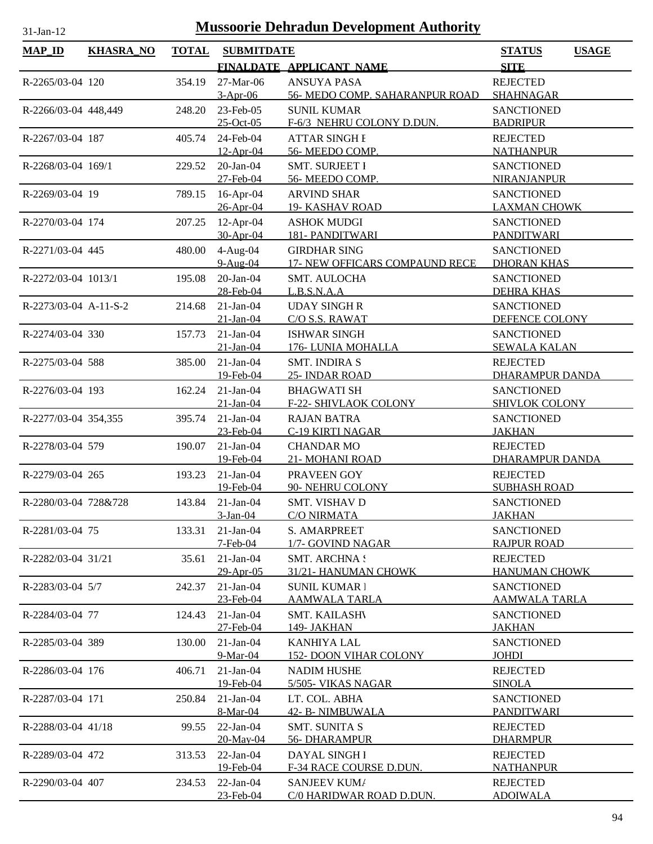| <b>MAP_ID</b>         | <b>KHASRA_NO</b> | <b>TOTAL</b> | <b>SUBMITDATE</b>        | FINALDATE APPLICANT NAME                             | <b>STATUS</b><br><b>USAGE</b><br><b>SITE</b> |
|-----------------------|------------------|--------------|--------------------------|------------------------------------------------------|----------------------------------------------|
|                       |                  |              |                          |                                                      |                                              |
| R-2265/03-04 120      |                  | 354.19       | 27-Mar-06<br>$3-Apr-06$  | <b>ANSUYA PASA</b><br>56- MEDO COMP. SAHARANPUR ROAD | <b>REJECTED</b><br><b>SHAHNAGAR</b>          |
| R-2266/03-04 448,449  |                  | 248.20       | 23-Feb-05                | <b>SUNIL KUMAR</b>                                   | <b>SANCTIONED</b>                            |
|                       |                  |              | $25$ -Oct-05             | F-6/3 NEHRU COLONY D.DUN.                            | <b>BADRIPUR</b>                              |
| R-2267/03-04 187      |                  | 405.74       | 24-Feb-04<br>12-Apr-04   | <b>ATTAR SINGH E</b><br>56- MEEDO COMP.              | <b>REJECTED</b><br><b>NATHANPUR</b>          |
| R-2268/03-04 169/1    |                  | 229.52       | $20$ -Jan- $04$          | <b>SMT. SURJEET I</b>                                | <b>SANCTIONED</b>                            |
|                       |                  |              | 27-Feb-04                | 56- MEEDO COMP.                                      | <b>NIRANJANPUR</b>                           |
| R-2269/03-04 19       |                  | 789.15       | $16$ -Apr-04             | <b>ARVIND SHAR</b>                                   | <b>SANCTIONED</b>                            |
|                       |                  |              | 26-Apr-04                | <b>19- KASHAV ROAD</b>                               | <b>LAXMAN CHOWK</b>                          |
| R-2270/03-04 174      |                  | 207.25       | $12$ -Apr-04             | <b>ASHOK MUDGI</b>                                   | <b>SANCTIONED</b>                            |
|                       |                  |              | 30-Apr-04                | <b>181- PANDITWARI</b>                               | <b>PANDITWARI</b>                            |
| R-2271/03-04 445      |                  | 480.00       | $4-Aug-04$               | <b>GIRDHAR SING</b>                                  | <b>SANCTIONED</b>                            |
|                       |                  |              | 9-Aug-04                 | 17- NEW OFFICARS COMPAUND RECE                       | <b>DHORAN KHAS</b>                           |
| R-2272/03-04 1013/1   |                  | 195.08       | 20-Jan-04                | <b>SMT. AULOCHA</b>                                  | <b>SANCTIONED</b>                            |
|                       |                  |              | 28-Feb-04                | L.B.S.N.A.A                                          | <b>DEHRA KHAS</b>                            |
| R-2273/03-04 A-11-S-2 |                  | 214.68       | $21-Jan-04$              | <b>UDAY SINGHR</b>                                   | <b>SANCTIONED</b>                            |
|                       |                  |              | $21$ -Jan-04             | C/O S.S. RAWAT                                       | DEFENCE COLONY                               |
| R-2274/03-04 330      |                  | 157.73       | $21-Jan-04$              | <b>ISHWAR SINGH</b>                                  | <b>SANCTIONED</b>                            |
|                       |                  |              | $21$ -Jan-04             | 176-LUNIA MOHALLA                                    | <b>SEWALA KALAN</b>                          |
| R-2275/03-04 588      |                  | 385.00       | $21-Jan-04$              | <b>SMT. INDIRA S</b>                                 | <b>REJECTED</b>                              |
|                       |                  |              | 19-Feb-04                | 25- INDAR ROAD                                       | DHARAMPUR DANDA                              |
| R-2276/03-04 193      |                  | 162.24       | $21-Jan-04$              | <b>BHAGWATI SH</b>                                   | <b>SANCTIONED</b>                            |
|                       |                  |              | $21-Ian-04$              | F-22- SHIVLAOK COLONY                                | <b>SHIVLOK COLONY</b>                        |
| R-2277/03-04 354,355  |                  | 395.74       | $21-Jan-04$              | <b>RAJAN BATRA</b>                                   | <b>SANCTIONED</b>                            |
|                       |                  |              | 23-Feb-04                | <b>C-19 KIRTI NAGAR</b>                              | <b>JAKHAN</b>                                |
| R-2278/03-04 579      |                  | 190.07       | $21-Jan-04$              | <b>CHANDAR MO</b>                                    | <b>REJECTED</b>                              |
|                       |                  |              | 19-Feb-04                | 21- MOHANI ROAD                                      | DHARAMPUR DANDA                              |
| R-2279/03-04 265      |                  | 193.23       | $21-Jan-04$<br>19-Feb-04 | PRAVEEN GOY<br>90- NEHRU COLONY                      | <b>REJECTED</b><br><b>SUBHASH ROAD</b>       |
| R-2280/03-04 728&728  |                  |              | 143.84 21-Jan-04         | <b>SMT. VISHAV D</b>                                 | <b>SANCTIONED</b>                            |
|                       |                  |              | $3-Jan-04$               | <b>C/O NIRMATA</b>                                   | <b>JAKHAN</b>                                |
| R-2281/03-04 75       |                  | 133.31       | $21$ -Jan-04             | S. AMARPREET                                         | <b>SANCTIONED</b>                            |
|                       |                  |              | $7-Feb-04$               | 1/7- GOVIND NAGAR                                    | <b>RAJPUR ROAD</b>                           |
| R-2282/03-04 31/21    |                  | 35.61        | $21-Jan-04$              | <b>SMT. ARCHNA!</b>                                  | <b>REJECTED</b>                              |
|                       |                  |              | 29-Apr-05                | 31/21- HANUMAN CHOWK                                 | <b>HANUMAN CHOWK</b>                         |
| R-2283/03-04 5/7      |                  | 242.37       | $21-Jan-04$              | <b>SUNIL KUMAR</b> I                                 | <b>SANCTIONED</b>                            |
|                       |                  |              | 23-Feb-04                | AAMWALA TARLA                                        | <u>AAMWALA TARLA</u>                         |
| R-2284/03-04 77       |                  | 124.43       | $21-Jan-04$              | <b>SMT. KAILASHV</b>                                 | <b>SANCTIONED</b>                            |
|                       |                  |              | 27-Feb-04                | 149- JAKHAN                                          | <b>JAKHAN</b>                                |
| R-2285/03-04 389      |                  | 130.00       | $21$ -Jan-04             | <b>KANHIYA LAL</b>                                   | <b>SANCTIONED</b>                            |
|                       |                  |              | 9-Mar-04                 | <b>152- DOON VIHAR COLONY</b>                        | <b>JOHDI</b>                                 |
| R-2286/03-04 176      |                  | 406.71       | $21-Jan-04$              | <b>NADIM HUSHE</b>                                   | <b>REJECTED</b>                              |
|                       |                  |              | 19-Feb-04                | 5/505- VIKAS NAGAR                                   | <b>SINOLA</b>                                |
| R-2287/03-04 171      |                  | 250.84       | $21-Jan-04$              | LT. COL. ABHA                                        | <b>SANCTIONED</b>                            |
|                       |                  |              | 8-Mar-04                 | 42- B- NIMBUWALA                                     | <b>PANDITWARI</b>                            |
| R-2288/03-04 41/18    |                  | 99.55        | $22-Jan-04$              | <b>SMT. SUNITA S</b>                                 | <b>REJECTED</b>                              |
|                       |                  |              | 20-May-04                | 56- DHARAMPUR                                        | <b>DHARMPUR</b>                              |
| R-2289/03-04 472      |                  | 313.53       | $22$ -Jan-04             | DAYAL SINGH I                                        | <b>REJECTED</b>                              |
|                       |                  |              | 19-Feb-04                | F-34 RACE COURSE D.DUN.                              | <b>NATHANPUR</b>                             |
| R-2290/03-04 407      |                  | 234.53       | $22-Jan-04$              | <b>SANJEEV KUM/</b>                                  | <b>REJECTED</b>                              |
|                       |                  |              | 23-Feb-04                | C/0 HARIDWAR ROAD D.DUN.                             | <b>ADOIWALA</b>                              |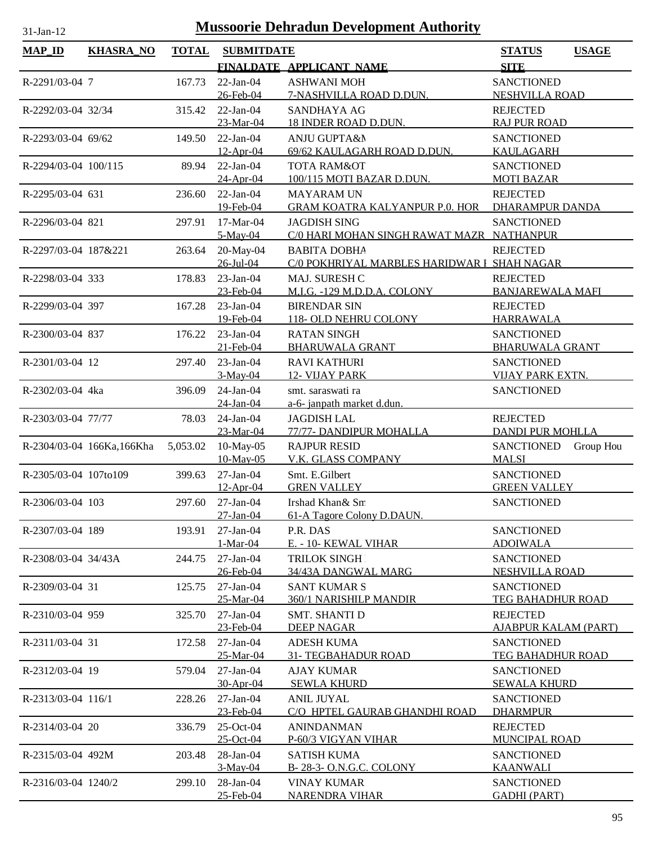| lan |  |
|-----|--|

| <b>MAP_ID</b>         | <b>KHASRA_NO</b>          | <b>TOTAL</b> | <b>SUBMITDATE</b> |                                             | <b>STATUS</b>               | <b>USAGE</b> |
|-----------------------|---------------------------|--------------|-------------------|---------------------------------------------|-----------------------------|--------------|
|                       |                           |              |                   | FINALDATE APPLICANT NAME                    | <b>SITE</b>                 |              |
| R-2291/03-04 7        |                           | 167.73       | $22-Jan-04$       | <b>ASHWANI MOH</b>                          | <b>SANCTIONED</b>           |              |
|                       |                           |              | 26-Feb-04         | 7-NASHVILLA ROAD D.DUN.                     | <b>NESHVILLA ROAD</b>       |              |
| R-2292/03-04 32/34    |                           | 315.42       | $22-Ian-04$       | <b>SANDHAYA AG</b>                          | <b>REJECTED</b>             |              |
|                       |                           |              | 23-Mar-04         | 18 INDER ROAD D.DUN.                        | <b>RAJ PUR ROAD</b>         |              |
| R-2293/03-04 69/62    |                           | 149.50       | $22-Jan-04$       | ANJU GUPTA&N                                | <b>SANCTIONED</b>           |              |
|                       |                           |              | 12-Apr-04         | 69/62 KAULAGARH ROAD D.DUN.                 | <b>KAULAGARH</b>            |              |
| R-2294/03-04 100/115  |                           | 89.94        | $22-Ian-04$       | <b>TOTA RAM&amp;OT</b>                      | <b>SANCTIONED</b>           |              |
|                       |                           |              | 24-Apr-04         | 100/115 MOTI BAZAR D.DUN.                   | <b>MOTI BAZAR</b>           |              |
| R-2295/03-04 631      |                           | 236.60       | $22$ -Jan-04      | <b>MAYARAM UN</b>                           | <b>REJECTED</b>             |              |
|                       |                           |              | 19-Feb-04         | <b>GRAM KOATRA KALYANPUR P.O. HOR</b>       | DHARAMPUR DANDA             |              |
| R-2296/03-04 821      |                           | 297.91       | 17-Mar-04         | <b>JAGDISH SING</b>                         | <b>SANCTIONED</b>           |              |
|                       |                           |              | 5-May-04          | C/0 HARI MOHAN SINGH RAWAT MAZR NATHANPUR   |                             |              |
| R-2297/03-04 187&221  |                           | 263.64       | 20-May-04         | <b>BABITA DOBHA</b>                         | <b>REJECTED</b>             |              |
|                       |                           |              | 26-Jul-04         | C/0 POKHRIYAL MARBLES HARIDWAR I SHAH NAGAR |                             |              |
| R-2298/03-04 333      |                           | 178.83       | $23$ -Jan-04      | MAJ. SURESH C                               | <b>REJECTED</b>             |              |
|                       |                           |              | 23-Feb-04         | M.I.G. - 129 M.D.D.A. COLONY                | <b>BANJAREWALA MAFI</b>     |              |
| R-2299/03-04 397      |                           | 167.28       | 23-Jan-04         | <b>BIRENDAR SIN</b>                         | <b>REJECTED</b>             |              |
|                       |                           |              | 19-Feb-04         | 118- OLD NEHRU COLONY                       | <b>HARRAWALA</b>            |              |
| R-2300/03-04 837      |                           | 176.22       | $23$ -Jan-04      | <b>RATAN SINGH</b>                          | <b>SANCTIONED</b>           |              |
|                       |                           |              | 21-Feb-04         | <b>BHARUWALA GRANT</b>                      | <b>BHARUWALA GRANT</b>      |              |
| R-2301/03-04 12       |                           | 297.40       | $23$ -Jan-04      | <b>RAVI KATHURI</b>                         | <b>SANCTIONED</b>           |              |
|                       |                           |              | $3-May-04$        | 12- VIJAY PARK                              | <b>VIJAY PARK EXTN.</b>     |              |
| R-2302/03-04 4ka      |                           | 396.09       | 24-Jan-04         | smt. saraswati ra                           | <b>SANCTIONED</b>           |              |
|                       |                           |              | 24-Jan-04         | a-6- janpath market d.dun.                  |                             |              |
| R-2303/03-04 77/77    |                           | 78.03        | $24$ -Jan-04      | <b>JAGDISH LAL</b>                          | <b>REJECTED</b>             |              |
|                       |                           |              | 23-Mar-04         | 77/77- DANDIPUR MOHALLA                     | <b>DANDI PUR MOHLLA</b>     |              |
|                       | R-2304/03-04 166Ka,166Kha | 5,053.02     | 10-May-05         | <b>RAJPUR RESID</b>                         | <b>SANCTIONED</b>           | Group Hou    |
|                       |                           |              | 10-May-05         | V.K. GLASS COMPANY                          | <b>MALSI</b>                |              |
| R-2305/03-04 107to109 |                           | 399.63       | $27-Ian-04$       | Smt. E.Gilbert                              | <b>SANCTIONED</b>           |              |
|                       |                           |              | 12-Apr-04         | <b>GREN VALLEY</b>                          | <b>GREEN VALLEY</b>         |              |
| R-2306/03-04 103      |                           | 297.60       | $27$ -Jan-04      | Irshad Khan& Sm                             | <b>SANCTIONED</b>           |              |
|                       |                           |              | 27-Jan-04         | 61-A Tagore Colony D.DAUN.                  |                             |              |
| R-2307/03-04 189      |                           | 193.91       | $27$ -Jan-04      | P.R. DAS                                    | <b>SANCTIONED</b>           |              |
|                       |                           |              | 1-Mar-04          | E. - 10- KEWAL VIHAR                        | <b>ADOIWALA</b>             |              |
| R-2308/03-04 34/43A   |                           | 244.75       | $27-Jan-04$       | <b>TRILOK SINGH</b>                         | <b>SANCTIONED</b>           |              |
|                       |                           |              | 26-Feb-04         | 34/43A DANGWAL MARG                         | <b>NESHVILLA ROAD</b>       |              |
| R-2309/03-04 31       |                           | 125.75       | $27-Ian-04$       | <b>SANT KUMAR S</b>                         | <b>SANCTIONED</b>           |              |
|                       |                           |              | 25-Mar-04         | 360/1 NARISHILP MANDIR                      | TEG BAHADHUR ROAD           |              |
| R-2310/03-04 959      |                           | 325.70       | $27$ -Jan-04      | <b>SMT. SHANTI D</b>                        | <b>REJECTED</b>             |              |
|                       |                           |              | 23-Feb-04         | <b>DEEP NAGAR</b>                           | <b>AJABPUR KALAM (PART)</b> |              |
| R-2311/03-04 31       |                           | 172.58       | $27-Ian-04$       | <b>ADESH KUMA</b>                           | <b>SANCTIONED</b>           |              |
|                       |                           |              | 25-Mar-04         | <b>31- TEGBAHADUR ROAD</b>                  | <b>TEG BAHADHUR ROAD</b>    |              |
| R-2312/03-04 19       |                           | 579.04       | $27$ -Jan-04      | <b>AJAY KUMAR</b>                           | <b>SANCTIONED</b>           |              |
|                       |                           |              | 30-Apr-04         | <b>SEWLA KHURD</b>                          | <b>SEWALA KHURD</b>         |              |
| R-2313/03-04 116/1    |                           | 228.26       | $27-Ian-04$       | <b>ANIL JUYAL</b>                           | <b>SANCTIONED</b>           |              |
|                       |                           |              | 23-Feb-04         | C/O HPTEL GAURAB GHANDHI ROAD               | <b>DHARMPUR</b>             |              |
| R-2314/03-04 20       |                           | 336.79       | 25-Oct-04         | <b>ANINDANMAN</b>                           | <b>REJECTED</b>             |              |
|                       |                           |              | 25-Oct-04         | P-60/3 VIGYAN VIHAR                         | MUNCIPAL ROAD               |              |
| R-2315/03-04 492M     |                           | 203.48       | 28-Jan-04         | <b>SATISH KUMA</b>                          | <b>SANCTIONED</b>           |              |
|                       |                           |              | $3-May-04$        | B-28-3- O.N.G.C. COLONY                     | <b>KAANWALI</b>             |              |
| R-2316/03-04 1240/2   |                           | 299.10       | 28-Jan-04         | <b>VINAY KUMAR</b>                          | <b>SANCTIONED</b>           |              |
|                       |                           |              | 25-Feb-04         | <b>NARENDRA VIHAR</b>                       | <b>GADHI (PART)</b>         |              |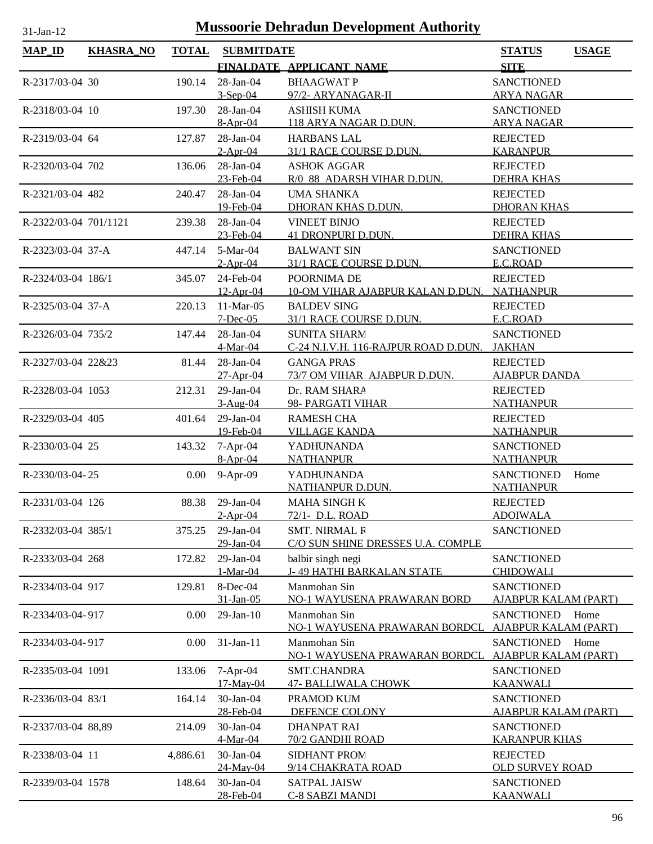| <b>MAP_ID</b>         | <b>KHASRA_NO</b> | <b>TOTAL</b> | <b>SUBMITDATE</b>             |                                                        | <b>STATUS</b>                                    | <b>USAGE</b> |
|-----------------------|------------------|--------------|-------------------------------|--------------------------------------------------------|--------------------------------------------------|--------------|
|                       |                  |              |                               | FINALDATE APPLICANT NAME                               | <b>SITE</b>                                      |              |
| R-2317/03-04 30       |                  | 190.14       | $28$ -Jan-04                  | <b>BHAAGWAT P</b>                                      | <b>SANCTIONED</b>                                |              |
|                       |                  |              | $3-Sep-04$                    | 97/2- ARYANAGAR-II                                     | <b>ARYA NAGAR</b>                                |              |
| R-2318/03-04 10       |                  | 197.30       | $28$ -Jan-04<br>$8-Apr-04$    | <b>ASHISH KUMA</b><br>118 ARYA NAGAR D.DUN.            | <b>SANCTIONED</b><br><b>ARYA NAGAR</b>           |              |
| R-2319/03-04 64       |                  | 127.87       | $28$ -Jan-04                  | <b>HARBANS LAL</b>                                     | <b>REJECTED</b>                                  |              |
|                       |                  |              | $2-Apr-04$                    | 31/1 RACE COURSE D.DUN.                                | <b>KARANPUR</b>                                  |              |
| R-2320/03-04 702      |                  | 136.06       | $28$ -Jan-04                  | <b>ASHOK AGGAR</b>                                     | <b>REJECTED</b>                                  |              |
|                       |                  |              | 23-Feb-04<br>28-Jan-04        | R/0 88 ADARSH VIHAR D.DUN.                             | <b>DEHRA KHAS</b>                                |              |
| R-2321/03-04 482      |                  | 240.47       | 19-Feb-04                     | <b>UMA SHANKA</b><br>DHORAN KHAS D.DUN.                | <b>REJECTED</b><br><b>DHORAN KHAS</b>            |              |
| R-2322/03-04 701/1121 |                  | 239.38       | 28-Jan-04                     | <b>VINEET BINJO</b>                                    | <b>REJECTED</b>                                  |              |
|                       |                  |              | 23-Feb-04                     | <b>41 DRONPURI D.DUN.</b>                              | <b>DEHRA KHAS</b>                                |              |
| R-2323/03-04 37-A     |                  | 447.14       | 5-Mar-04                      | <b>BALWANT SIN</b>                                     | <b>SANCTIONED</b>                                |              |
|                       |                  |              | $2-Apr-04$                    | 31/1 RACE COURSE D.DUN.                                | E.C.ROAD                                         |              |
| R-2324/03-04 186/1    |                  | 345.07       | 24-Feb-04                     | POORNIMA DE                                            | <b>REJECTED</b>                                  |              |
| R-2325/03-04 37-A     |                  | 220.13       | $12$ -Apr-04<br>11-Mar-05     | 10-OM VIHAR AJABPUR KALAN D.DUN.<br><b>BALDEV SING</b> | <b>NATHANPUR</b><br><b>REJECTED</b>              |              |
|                       |                  |              | $7 - Dec-05$                  | 31/1 RACE COURSE D.DUN.                                | E.C.ROAD                                         |              |
| R-2326/03-04 735/2    |                  | 147.44       | 28-Jan-04                     | <b>SUNITA SHARM</b>                                    | <b>SANCTIONED</b>                                |              |
|                       |                  |              | 4-Mar-04                      | C-24 N.I.V.H. 116-RAJPUR ROAD D.DUN.                   | <b>JAKHAN</b>                                    |              |
| R-2327/03-04 22&23    |                  | 81.44        | 28-Jan-04                     | <b>GANGA PRAS</b>                                      | <b>REJECTED</b>                                  |              |
|                       |                  |              | $27 - Apr - 04$               | 73/7 OM VIHAR AJABPUR D.DUN.                           | <b>AJABPUR DANDA</b>                             |              |
| R-2328/03-04 1053     |                  | 212.31       | 29-Jan-04<br>$3-Aug-04$       | Dr. RAM SHARA<br>98- PARGATI VIHAR                     | <b>REJECTED</b><br><b>NATHANPUR</b>              |              |
| R-2329/03-04 405      |                  | 401.64       | 29-Jan-04                     | <b>RAMESH CHA</b>                                      | <b>REJECTED</b>                                  |              |
|                       |                  |              | 19-Feb-04                     | <b>VILLAGE KANDA</b>                                   | <b>NATHANPUR</b>                                 |              |
| R-2330/03-04 25       |                  | 143.32       | $7-Apr-04$                    | <b>YADHUNANDA</b>                                      | <b>SANCTIONED</b>                                |              |
|                       |                  |              | $8-Apr-04$                    | <b>NATHANPUR</b>                                       | <b>NATHANPUR</b>                                 |              |
| R-2330/03-04-25       |                  |              | $0.00$ 9-Apr-09               | YADHUNANDA                                             | <b>SANCTIONED</b>                                | Home         |
|                       |                  |              |                               | NATHANPUR D.DUN.                                       | <b>NATHANPUR</b>                                 |              |
| R-2331/03-04 126      |                  |              | 88.38 29-Jan-04<br>$2-Apr-04$ | <b>MAHA SINGH K</b><br>72/1- D.L. ROAD                 | <b>REJECTED</b><br><b>ADOIWALA</b>               |              |
| R-2332/03-04 385/1    |                  | 375.25       | $29$ -Jan-04                  | <b>SMT. NIRMAL R</b>                                   | <b>SANCTIONED</b>                                |              |
|                       |                  |              | 29-Jan-04                     | C/O SUN SHINE DRESSES U.A. COMPLE                      |                                                  |              |
| R-2333/03-04 268      |                  | 172.82       | 29-Jan-04                     | balbir singh negi                                      | <b>SANCTIONED</b>                                |              |
|                       |                  |              | 1-Mar-04                      | <b>J-49 HATHI BARKALAN STATE</b>                       | <b>CHIDOWALI</b>                                 |              |
| R-2334/03-04 917      |                  | 129.81       | 8-Dec-04<br>31-Jan-05         | Manmohan Sin<br>NO-1 WAYUSENA PRAWARAN BORD            | <b>SANCTIONED</b><br><u>AJABPUR KALAM (PART)</u> |              |
| R-2334/03-04-917      |                  | 0.00         | $29$ -Jan- $10$               | Manmohan Sin                                           | <b>SANCTIONED</b>                                | Home         |
|                       |                  |              |                               | NO-1 WAYUSENA PRAWARAN BORDCL                          | <b>AJABPUR KALAM (PART)</b>                      |              |
| R-2334/03-04-917      |                  | 0.00         | 31-Jan-11                     | Manmohan Sin                                           | <b>SANCTIONED</b>                                | Home         |
|                       |                  |              |                               | NO-1 WAYUSENA PRAWARAN BORDCL                          | <b>AJABPUR KALAM (PART)</b>                      |              |
| R-2335/03-04 1091     |                  | 133.06       | 7-Apr-04                      | SMT.CHANDRA                                            | <b>SANCTIONED</b>                                |              |
| R-2336/03-04 83/1     |                  | 164.14       | 17-May-04<br>30-Jan-04        | <b>47- BALLIWALA CHOWK</b><br>PRAMOD KUM               | <b>KAANWALI</b><br><b>SANCTIONED</b>             |              |
|                       |                  |              | 28-Feb-04                     | DEFENCE COLONY                                         | <b>AJABPUR KALAM (PART)</b>                      |              |
| R-2337/03-04 88,89    |                  | 214.09       | 30-Jan-04                     | <b>DHANPAT RAI</b>                                     | <b>SANCTIONED</b>                                |              |
|                       |                  |              | 4-Mar-04                      | 70/2 GANDHI ROAD                                       | <b>KARANPUR KHAS</b>                             |              |
| R-2338/03-04 11       |                  | 4,886.61     | $30$ -Jan-04                  | <b>SIDHANT PROM</b>                                    | <b>REJECTED</b>                                  |              |
| R-2339/03-04 1578     |                  | 148.64       | 24-May-04<br>30-Jan-04        | 9/14 CHAKRATA ROAD<br><b>SATPAL JAISW</b>              | <b>OLD SURVEY ROAD</b><br><b>SANCTIONED</b>      |              |
|                       |                  |              | 28-Feb-04                     | <b>C-8 SABZI MANDI</b>                                 | <b>KAANWALI</b>                                  |              |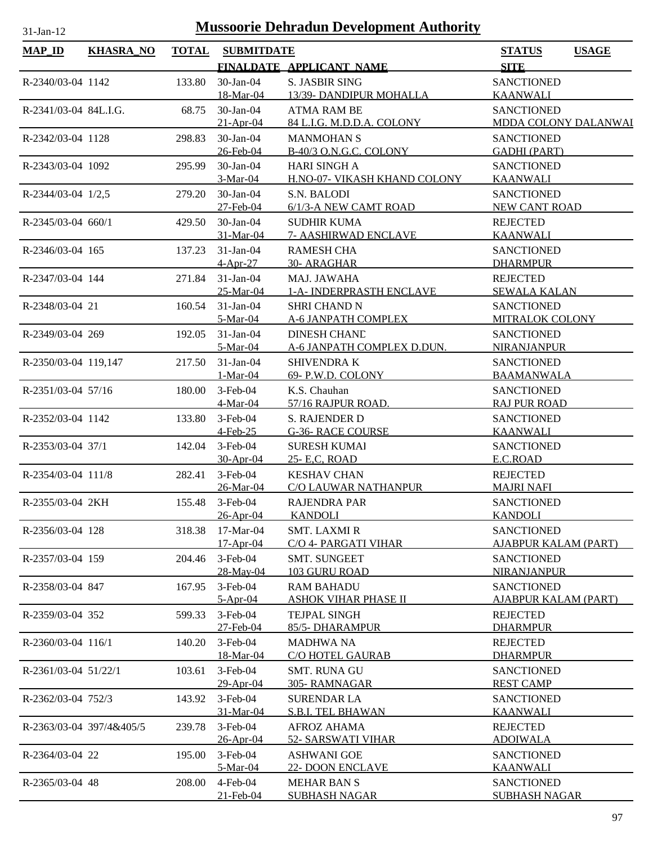| я |  |
|---|--|
|   |  |

| <b>MAP_ID</b>            | <b>KHASRA_NO</b>         | <b>TOTAL</b> | <b>SUBMITDATE</b>              |                                                     | <b>STATUS</b><br><b>USAGE</b>                    |
|--------------------------|--------------------------|--------------|--------------------------------|-----------------------------------------------------|--------------------------------------------------|
|                          |                          |              |                                | FINALDATE APPLICANT NAME                            | <b>SITE</b>                                      |
| R-2340/03-04 1142        |                          | 133.80       | 30-Jan-04<br>18-Mar-04         | <b>S. JASBIR SING</b><br>13/39- DANDIPUR MOHALLA    | <b>SANCTIONED</b><br><b>KAANWALI</b>             |
| $R-2341/03-04$ 84L.I.G.  |                          | 68.75        | $30$ -Jan- $04$<br>$21-Apr-04$ | <b>ATMA RAM BE</b><br>84 L.I.G. M.D.D.A. COLONY     | <b>SANCTIONED</b><br><b>MDDA COLONY DALANWAI</b> |
| R-2342/03-04 1128        |                          | 298.83       | 30-Jan-04<br>26-Feb-04         | <b>MANMOHAN S</b><br>B-40/3 O.N.G.C. COLONY         | <b>SANCTIONED</b><br><b>GADHI (PART)</b>         |
| R-2343/03-04 1092        |                          | 295.99       | $30$ -Jan- $04$<br>3-Mar-04    | <b>HARI SINGH A</b><br>H.NO-07- VIKASH KHAND COLONY | <b>SANCTIONED</b><br><b>KAANWALI</b>             |
| R-2344/03-04 1/2,5       |                          | 279.20       | 30-Jan-04<br>27-Feb-04         | S.N. BALODI<br>6/1/3-A NEW CAMT ROAD                | <b>SANCTIONED</b><br>NEW CANT ROAD               |
| R-2345/03-04 660/1       |                          | 429.50       | 30-Jan-04<br>31-Mar-04         | <b>SUDHIR KUMA</b><br><b>7- AASHIRWAD ENCLAVE</b>   | <b>REJECTED</b><br><b>KAANWALI</b>               |
| R-2346/03-04 165         |                          | 137.23       | $31-Jan-04$<br>$4-Apr-27$      | <b>RAMESH CHA</b><br>30- ARAGHAR                    | <b>SANCTIONED</b><br><b>DHARMPUR</b>             |
| R-2347/03-04 144         |                          | 271.84       | $31-Jan-04$<br>25-Mar-04       | <b>MAJ. JAWAHA</b><br>1-A- INDERPRASTH ENCLAVE      | <b>REJECTED</b><br><b>SEWALA KALAN</b>           |
| R-2348/03-04 21          |                          | 160.54       | $31-Jan-04$<br>5-Mar-04        | <b>SHRI CHAND N</b><br>A-6 JANPATH COMPLEX          | <b>SANCTIONED</b><br>MITRALOK COLONY             |
| R-2349/03-04 269         |                          | 192.05       | $31-Jan-04$<br>5-Mar-04        | <b>DINESH CHAND</b><br>A-6 JANPATH COMPLEX D.DUN.   | <b>SANCTIONED</b><br><b>NIRANJANPUR</b>          |
| R-2350/03-04 119,147     |                          | 217.50       | 31-Jan-04<br>$1-Mar-04$        | <b>SHIVENDRAK</b><br>69- P.W.D. COLONY              | <b>SANCTIONED</b><br><b>BAAMANWALA</b>           |
| R-2351/03-04 57/16       |                          | 180.00       | $3$ -Feb-04<br>4-Mar-04        | K.S. Chauhan<br>57/16 RAJPUR ROAD.                  | <b>SANCTIONED</b><br><b>RAJ PUR ROAD</b>         |
| R-2352/03-04 1142        |                          | 133.80       | $3-Feb-04$<br>4-Feb-25         | S. RAJENDER D<br><b>G-36- RACE COURSE</b>           | <b>SANCTIONED</b><br><b>KAANWALI</b>             |
| R-2353/03-04 37/1        |                          | 142.04       | $3$ -Feb-04<br>30-Apr-04       | <b>SURESH KUMAI</b><br>25- E,C, ROAD                | <b>SANCTIONED</b><br>E.C.ROAD                    |
| R-2354/03-04 111/8       |                          | 282.41       | $3-Feb-04$                     | <b>KESHAV CHAN</b>                                  | <b>REJECTED</b>                                  |
| R-2355/03-04 2KH         |                          | 155.48       | 26-Mar-04<br>3-Feb-04          | <b>C/O LAUWAR NATHANPUR</b><br><b>RAJENDRA PAR</b>  | <b>MAJRI NAFI</b><br><b>SANCTIONED</b>           |
| R-2356/03-04 128         |                          | 318.38       | 26-Apr-04<br>$17-Mar-04$       | <b>KANDOLI</b><br><b>SMT. LAXMIR</b>                | <b>KANDOLI</b><br><b>SANCTIONED</b>              |
| R-2357/03-04 159         |                          | 204.46       | $17 - Apr - 04$<br>$3-Feb-04$  | C/O 4- PARGATI VIHAR<br><b>SMT. SUNGEET</b>         | <b>AJABPUR KALAM (PART)</b><br><b>SANCTIONED</b> |
| R-2358/03-04 847         |                          | 167.95       | 28-May-04<br>3-Feb-04          | 103 GURU ROAD<br><b>RAM BAHADU</b>                  | <b>NIRANJANPUR</b><br><b>SANCTIONED</b>          |
| R-2359/03-04 352         |                          | 599.33       | $5-Apr-04$<br>3-Feb-04         | <u>ASHOK VIHAR PHASE II</u><br><b>TEJPAL SINGH</b>  | <b>AJABPUR KALAM (PART)</b><br><b>REJECTED</b>   |
| $R - 2360/03 - 04$ 116/1 |                          | 140.20       | 27-Feb-04<br>3-Feb-04          | 85/5-DHARAMPUR<br><b>MADHWA NA</b>                  | <b>DHARMPUR</b><br><b>REJECTED</b>               |
| R-2361/03-04 51/22/1     |                          | 103.61       | 18-Mar-04<br>$3-Feb-04$        | C/O HOTEL GAURAB<br><b>SMT. RUNA GU</b>             | <b>DHARMPUR</b><br><b>SANCTIONED</b>             |
| R-2362/03-04 752/3       |                          | 143.92       | 29-Apr-04<br>$3$ -Feb-04       | 305-RAMNAGAR<br><b>SURENDAR LA</b>                  | <b>REST CAMP</b><br><b>SANCTIONED</b>            |
|                          | R-2363/03-04 397/4&405/5 | 239.78       | 31-Mar-04<br>3-Feb-04          | <b>S.B.I. TEL BHAWAN</b><br><b>AFROZ AHAMA</b>      | <b>KAANWALI</b><br><b>REJECTED</b>               |
| R-2364/03-04 22          |                          | 195.00       | $26$ -Apr-04<br>$3$ -Feb-04    | 52- SARSWATI VIHAR<br><b>ASHWANI GOE</b>            | <b>ADOIWALA</b><br><b>SANCTIONED</b>             |
| R-2365/03-04 48          |                          | 208.00       | 5-Mar-04<br>4-Feb-04           | <b>22- DOON ENCLAVE</b><br><b>MEHAR BAN S</b>       | <b>KAANWALI</b><br><b>SANCTIONED</b>             |
|                          |                          |              | 21-Feb-04                      | <b>SUBHASH NAGAR</b>                                | <b>SUBHASH NAGAR</b>                             |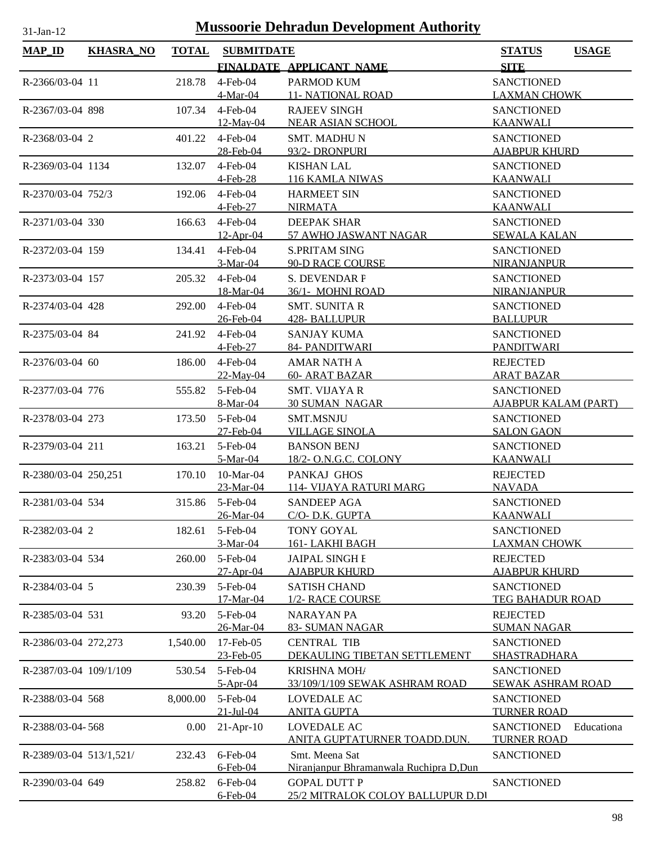| FINALDATE APPLICANT NAME<br><b>SITE</b><br>$4$ -Feb-04<br>218.78<br>PARMOD KUM<br><b>SANCTIONED</b><br>R-2366/03-04 11<br><b>11- NATIONAL ROAD</b><br><b>LAXMAN CHOWK</b><br>4-Mar-04<br>$4$ -Feb-04<br><b>RAJEEV SINGH</b><br><b>SANCTIONED</b><br>R-2367/03-04 898<br>107.34<br>$12$ -May-04<br><b>NEAR ASIAN SCHOOL</b><br><b>KAANWALI</b><br>R-2368/03-04 2<br>401.22<br>$4$ -Feb-04<br><b>SMT. MADHUN</b><br><b>SANCTIONED</b><br>28-Feb-04<br>93/2- DRONPURI<br><b>AJABPUR KHURD</b><br>R-2369/03-04 1134<br>132.07<br>$4$ -Feb-04<br><b>KISHAN LAL</b><br><b>SANCTIONED</b><br><b>KAANWALI</b><br>4-Feb-28<br>116 KAMLA NIWAS<br>$4$ -Feb-04<br><b>HARMEET SIN</b><br><b>SANCTIONED</b><br>R-2370/03-04 752/3<br>192.06<br><b>NIRMATA</b><br><b>KAANWALI</b><br>4-Feb-27<br>$4$ -Feb-04<br>R-2371/03-04 330<br>166.63<br>DEEPAK SHAR<br><b>SANCTIONED</b><br>57 AWHO JASWANT NAGAR<br><b>SEWALA KALAN</b><br>12-Apr-04<br>$4$ -Feb-04<br><b>S.PRITAM SING</b><br><b>SANCTIONED</b><br>R-2372/03-04 159<br>134.41<br>3-Mar-04<br><b>90-D RACE COURSE</b><br><b>NIRANJANPUR</b><br>$4$ -Feb-04<br><b>S. DEVENDAR F</b><br><b>SANCTIONED</b><br>R-2373/03-04 157<br>205.32<br>18-Mar-04<br>36/1- MOHNI ROAD<br>NIRANJANPUR<br>R-2374/03-04 428<br>$4$ -Feb-04<br><b>SMT. SUNITA R</b><br><b>SANCTIONED</b><br>292.00<br><b>BALLUPUR</b><br>26-Feb-04<br><b>428- BALLUPUR</b><br>$4$ -Feb-04<br><b>SANCTIONED</b><br>R-2375/03-04 84<br>241.92<br><b>SANJAY KUMA</b><br><b>PANDITWARI</b><br>4-Feb-27<br>84- PANDITWARI<br>4-Feb-04<br>186.00<br><b>AMAR NATH A</b><br><b>REJECTED</b><br>R-2376/03-04 60<br><b>60- ARAT BAZAR</b><br><b>ARAT BAZAR</b><br>$22$ -May-04<br>$5$ -Feb-04<br>R-2377/03-04 776<br>555.82<br><b>SMT. VIJAYA R</b><br><b>SANCTIONED</b><br><b>AJABPUR KALAM (PART)</b><br>8-Mar-04<br><b>30 SUMAN NAGAR</b><br>R-2378/03-04 273<br>5-Feb-04<br><b>SMT.MSNJU</b><br><b>SANCTIONED</b><br>173.50<br>27-Feb-04<br><b>VILLAGE SINOLA</b><br><b>SALON GAON</b><br>R-2379/03-04 211<br>5-Feb-04<br><b>SANCTIONED</b><br>163.21<br><b>BANSON BENJ</b><br>18/2- O.N.G.C. COLONY<br><b>KAANWALI</b><br>5-Mar-04<br>$10-Mar-04$<br>PANKAJ GHOS<br>R-2380/03-04 250,251<br>170.10<br><b>REJECTED</b><br>114- VIJAYA RATURI MARG<br><b>NAVADA</b><br>23-Mar-04<br>315.86 5-Feb-04<br><b>SANCTIONED</b><br>R-2381/03-04 534<br>SANDEEP AGA<br>26-Mar-04<br>C/O-D.K. GUPTA<br><b>KAANWALI</b><br>R-2382/03-04 2<br>182.61<br>5-Feb-04<br><b>TONY GOYAL</b><br><b>SANCTIONED</b><br>3-Mar-04<br>161-LAKHI BAGH<br><b>LAXMAN CHOWK</b><br>5-Feb-04<br>R-2383/03-04 534<br>260.00<br><b>JAIPAL SINGH E</b><br><b>REJECTED</b><br>27-Apr-04<br><b>AJABPUR KHURD</b><br><b>AJABPUR KHURD</b><br>5-Feb-04<br>R-2384/03-04 5<br>230.39<br><b>SATISH CHAND</b><br><b>SANCTIONED</b><br>17-Mar-04<br>1/2- RACE COURSE<br><b>TEG BAHADUR ROAD</b><br>5-Feb-04<br><b>NARAYAN PA</b><br><b>REJECTED</b><br>R-2385/03-04 531<br>93.20<br>26-Mar-04<br>83- SUMAN NAGAR<br><b>SUMAN NAGAR</b><br>1,540.00<br>17-Feb-05<br><b>CENTRAL TIB</b><br><b>SANCTIONED</b><br>R-2386/03-04 272,273<br>23-Feb-05<br>DEKAULING TIBETAN SETTLEMENT<br><b>SHASTRADHARA</b><br>R-2387/03-04 109/1/109<br>530.54<br>5-Feb-04<br><b>KRISHNA MOHA</b><br><b>SANCTIONED</b><br>$5-Apr-04$<br>33/109/1/109 SEWAK ASHRAM ROAD<br><b>SEWAK ASHRAM ROAD</b><br>8,000.00<br>5-Feb-04<br><b>LOVEDALE AC</b><br><b>SANCTIONED</b><br>R-2388/03-04 568<br>$21 - Jul - 04$<br><b>ANITA GUPTA</b><br><b>TURNER ROAD</b><br>R-2388/03-04-568<br>0.00<br>LOVEDALE AC<br>Educationa<br>$21-Apr-10$<br><b>SANCTIONED</b><br><b>TURNER ROAD</b><br><u>ANITA GUPTATURNER TOADD.DUN.</u><br>$6$ -Feb-04<br>Smt. Meena Sat<br><b>SANCTIONED</b><br>R-2389/03-04 513/1,521/<br>232.43<br>$6$ -Feb-04<br>Niranjanpur Bhramanwala Ruchipra D,Dun<br>R-2390/03-04 649<br>258.82<br>$6$ -Feb-04<br><b>GOPAL DUTT P</b><br><b>SANCTIONED</b><br>$6$ -Feb-04<br>25/2 MITRALOK COLOY BALLUPUR D.DI | <b>MAP_ID</b> | <b>KHASRA_NO</b> | <b>TOTAL</b> | <b>SUBMITDATE</b> | <b>STATUS</b> | <b>USAGE</b> |
|--------------------------------------------------------------------------------------------------------------------------------------------------------------------------------------------------------------------------------------------------------------------------------------------------------------------------------------------------------------------------------------------------------------------------------------------------------------------------------------------------------------------------------------------------------------------------------------------------------------------------------------------------------------------------------------------------------------------------------------------------------------------------------------------------------------------------------------------------------------------------------------------------------------------------------------------------------------------------------------------------------------------------------------------------------------------------------------------------------------------------------------------------------------------------------------------------------------------------------------------------------------------------------------------------------------------------------------------------------------------------------------------------------------------------------------------------------------------------------------------------------------------------------------------------------------------------------------------------------------------------------------------------------------------------------------------------------------------------------------------------------------------------------------------------------------------------------------------------------------------------------------------------------------------------------------------------------------------------------------------------------------------------------------------------------------------------------------------------------------------------------------------------------------------------------------------------------------------------------------------------------------------------------------------------------------------------------------------------------------------------------------------------------------------------------------------------------------------------------------------------------------------------------------------------------------------------------------------------------------------------------------------------------------------------------------------------------------------------------------------------------------------------------------------------------------------------------------------------------------------------------------------------------------------------------------------------------------------------------------------------------------------------------------------------------------------------------------------------------------------------------------------------------------------------------------------------------------------------------------------------------------------------------------------------------------------------------------------------------------------------------------------------------------------------------------------------------------------------------------------------------------------------------------------------------------------------------------------------------------------------------------------------------------------------------------------------------------------------------------------------------------------------------------------------------------------------------------------------------------------------------------------------------------------------------------------------------|---------------|------------------|--------------|-------------------|---------------|--------------|
|                                                                                                                                                                                                                                                                                                                                                                                                                                                                                                                                                                                                                                                                                                                                                                                                                                                                                                                                                                                                                                                                                                                                                                                                                                                                                                                                                                                                                                                                                                                                                                                                                                                                                                                                                                                                                                                                                                                                                                                                                                                                                                                                                                                                                                                                                                                                                                                                                                                                                                                                                                                                                                                                                                                                                                                                                                                                                                                                                                                                                                                                                                                                                                                                                                                                                                                                                                                                                                                                                                                                                                                                                                                                                                                                                                                                                                                                                                                                                        |               |                  |              |                   |               |              |
|                                                                                                                                                                                                                                                                                                                                                                                                                                                                                                                                                                                                                                                                                                                                                                                                                                                                                                                                                                                                                                                                                                                                                                                                                                                                                                                                                                                                                                                                                                                                                                                                                                                                                                                                                                                                                                                                                                                                                                                                                                                                                                                                                                                                                                                                                                                                                                                                                                                                                                                                                                                                                                                                                                                                                                                                                                                                                                                                                                                                                                                                                                                                                                                                                                                                                                                                                                                                                                                                                                                                                                                                                                                                                                                                                                                                                                                                                                                                                        |               |                  |              |                   |               |              |
|                                                                                                                                                                                                                                                                                                                                                                                                                                                                                                                                                                                                                                                                                                                                                                                                                                                                                                                                                                                                                                                                                                                                                                                                                                                                                                                                                                                                                                                                                                                                                                                                                                                                                                                                                                                                                                                                                                                                                                                                                                                                                                                                                                                                                                                                                                                                                                                                                                                                                                                                                                                                                                                                                                                                                                                                                                                                                                                                                                                                                                                                                                                                                                                                                                                                                                                                                                                                                                                                                                                                                                                                                                                                                                                                                                                                                                                                                                                                                        |               |                  |              |                   |               |              |
|                                                                                                                                                                                                                                                                                                                                                                                                                                                                                                                                                                                                                                                                                                                                                                                                                                                                                                                                                                                                                                                                                                                                                                                                                                                                                                                                                                                                                                                                                                                                                                                                                                                                                                                                                                                                                                                                                                                                                                                                                                                                                                                                                                                                                                                                                                                                                                                                                                                                                                                                                                                                                                                                                                                                                                                                                                                                                                                                                                                                                                                                                                                                                                                                                                                                                                                                                                                                                                                                                                                                                                                                                                                                                                                                                                                                                                                                                                                                                        |               |                  |              |                   |               |              |
|                                                                                                                                                                                                                                                                                                                                                                                                                                                                                                                                                                                                                                                                                                                                                                                                                                                                                                                                                                                                                                                                                                                                                                                                                                                                                                                                                                                                                                                                                                                                                                                                                                                                                                                                                                                                                                                                                                                                                                                                                                                                                                                                                                                                                                                                                                                                                                                                                                                                                                                                                                                                                                                                                                                                                                                                                                                                                                                                                                                                                                                                                                                                                                                                                                                                                                                                                                                                                                                                                                                                                                                                                                                                                                                                                                                                                                                                                                                                                        |               |                  |              |                   |               |              |
|                                                                                                                                                                                                                                                                                                                                                                                                                                                                                                                                                                                                                                                                                                                                                                                                                                                                                                                                                                                                                                                                                                                                                                                                                                                                                                                                                                                                                                                                                                                                                                                                                                                                                                                                                                                                                                                                                                                                                                                                                                                                                                                                                                                                                                                                                                                                                                                                                                                                                                                                                                                                                                                                                                                                                                                                                                                                                                                                                                                                                                                                                                                                                                                                                                                                                                                                                                                                                                                                                                                                                                                                                                                                                                                                                                                                                                                                                                                                                        |               |                  |              |                   |               |              |
|                                                                                                                                                                                                                                                                                                                                                                                                                                                                                                                                                                                                                                                                                                                                                                                                                                                                                                                                                                                                                                                                                                                                                                                                                                                                                                                                                                                                                                                                                                                                                                                                                                                                                                                                                                                                                                                                                                                                                                                                                                                                                                                                                                                                                                                                                                                                                                                                                                                                                                                                                                                                                                                                                                                                                                                                                                                                                                                                                                                                                                                                                                                                                                                                                                                                                                                                                                                                                                                                                                                                                                                                                                                                                                                                                                                                                                                                                                                                                        |               |                  |              |                   |               |              |
|                                                                                                                                                                                                                                                                                                                                                                                                                                                                                                                                                                                                                                                                                                                                                                                                                                                                                                                                                                                                                                                                                                                                                                                                                                                                                                                                                                                                                                                                                                                                                                                                                                                                                                                                                                                                                                                                                                                                                                                                                                                                                                                                                                                                                                                                                                                                                                                                                                                                                                                                                                                                                                                                                                                                                                                                                                                                                                                                                                                                                                                                                                                                                                                                                                                                                                                                                                                                                                                                                                                                                                                                                                                                                                                                                                                                                                                                                                                                                        |               |                  |              |                   |               |              |
|                                                                                                                                                                                                                                                                                                                                                                                                                                                                                                                                                                                                                                                                                                                                                                                                                                                                                                                                                                                                                                                                                                                                                                                                                                                                                                                                                                                                                                                                                                                                                                                                                                                                                                                                                                                                                                                                                                                                                                                                                                                                                                                                                                                                                                                                                                                                                                                                                                                                                                                                                                                                                                                                                                                                                                                                                                                                                                                                                                                                                                                                                                                                                                                                                                                                                                                                                                                                                                                                                                                                                                                                                                                                                                                                                                                                                                                                                                                                                        |               |                  |              |                   |               |              |
|                                                                                                                                                                                                                                                                                                                                                                                                                                                                                                                                                                                                                                                                                                                                                                                                                                                                                                                                                                                                                                                                                                                                                                                                                                                                                                                                                                                                                                                                                                                                                                                                                                                                                                                                                                                                                                                                                                                                                                                                                                                                                                                                                                                                                                                                                                                                                                                                                                                                                                                                                                                                                                                                                                                                                                                                                                                                                                                                                                                                                                                                                                                                                                                                                                                                                                                                                                                                                                                                                                                                                                                                                                                                                                                                                                                                                                                                                                                                                        |               |                  |              |                   |               |              |
|                                                                                                                                                                                                                                                                                                                                                                                                                                                                                                                                                                                                                                                                                                                                                                                                                                                                                                                                                                                                                                                                                                                                                                                                                                                                                                                                                                                                                                                                                                                                                                                                                                                                                                                                                                                                                                                                                                                                                                                                                                                                                                                                                                                                                                                                                                                                                                                                                                                                                                                                                                                                                                                                                                                                                                                                                                                                                                                                                                                                                                                                                                                                                                                                                                                                                                                                                                                                                                                                                                                                                                                                                                                                                                                                                                                                                                                                                                                                                        |               |                  |              |                   |               |              |
|                                                                                                                                                                                                                                                                                                                                                                                                                                                                                                                                                                                                                                                                                                                                                                                                                                                                                                                                                                                                                                                                                                                                                                                                                                                                                                                                                                                                                                                                                                                                                                                                                                                                                                                                                                                                                                                                                                                                                                                                                                                                                                                                                                                                                                                                                                                                                                                                                                                                                                                                                                                                                                                                                                                                                                                                                                                                                                                                                                                                                                                                                                                                                                                                                                                                                                                                                                                                                                                                                                                                                                                                                                                                                                                                                                                                                                                                                                                                                        |               |                  |              |                   |               |              |
|                                                                                                                                                                                                                                                                                                                                                                                                                                                                                                                                                                                                                                                                                                                                                                                                                                                                                                                                                                                                                                                                                                                                                                                                                                                                                                                                                                                                                                                                                                                                                                                                                                                                                                                                                                                                                                                                                                                                                                                                                                                                                                                                                                                                                                                                                                                                                                                                                                                                                                                                                                                                                                                                                                                                                                                                                                                                                                                                                                                                                                                                                                                                                                                                                                                                                                                                                                                                                                                                                                                                                                                                                                                                                                                                                                                                                                                                                                                                                        |               |                  |              |                   |               |              |
|                                                                                                                                                                                                                                                                                                                                                                                                                                                                                                                                                                                                                                                                                                                                                                                                                                                                                                                                                                                                                                                                                                                                                                                                                                                                                                                                                                                                                                                                                                                                                                                                                                                                                                                                                                                                                                                                                                                                                                                                                                                                                                                                                                                                                                                                                                                                                                                                                                                                                                                                                                                                                                                                                                                                                                                                                                                                                                                                                                                                                                                                                                                                                                                                                                                                                                                                                                                                                                                                                                                                                                                                                                                                                                                                                                                                                                                                                                                                                        |               |                  |              |                   |               |              |
|                                                                                                                                                                                                                                                                                                                                                                                                                                                                                                                                                                                                                                                                                                                                                                                                                                                                                                                                                                                                                                                                                                                                                                                                                                                                                                                                                                                                                                                                                                                                                                                                                                                                                                                                                                                                                                                                                                                                                                                                                                                                                                                                                                                                                                                                                                                                                                                                                                                                                                                                                                                                                                                                                                                                                                                                                                                                                                                                                                                                                                                                                                                                                                                                                                                                                                                                                                                                                                                                                                                                                                                                                                                                                                                                                                                                                                                                                                                                                        |               |                  |              |                   |               |              |
|                                                                                                                                                                                                                                                                                                                                                                                                                                                                                                                                                                                                                                                                                                                                                                                                                                                                                                                                                                                                                                                                                                                                                                                                                                                                                                                                                                                                                                                                                                                                                                                                                                                                                                                                                                                                                                                                                                                                                                                                                                                                                                                                                                                                                                                                                                                                                                                                                                                                                                                                                                                                                                                                                                                                                                                                                                                                                                                                                                                                                                                                                                                                                                                                                                                                                                                                                                                                                                                                                                                                                                                                                                                                                                                                                                                                                                                                                                                                                        |               |                  |              |                   |               |              |
|                                                                                                                                                                                                                                                                                                                                                                                                                                                                                                                                                                                                                                                                                                                                                                                                                                                                                                                                                                                                                                                                                                                                                                                                                                                                                                                                                                                                                                                                                                                                                                                                                                                                                                                                                                                                                                                                                                                                                                                                                                                                                                                                                                                                                                                                                                                                                                                                                                                                                                                                                                                                                                                                                                                                                                                                                                                                                                                                                                                                                                                                                                                                                                                                                                                                                                                                                                                                                                                                                                                                                                                                                                                                                                                                                                                                                                                                                                                                                        |               |                  |              |                   |               |              |
|                                                                                                                                                                                                                                                                                                                                                                                                                                                                                                                                                                                                                                                                                                                                                                                                                                                                                                                                                                                                                                                                                                                                                                                                                                                                                                                                                                                                                                                                                                                                                                                                                                                                                                                                                                                                                                                                                                                                                                                                                                                                                                                                                                                                                                                                                                                                                                                                                                                                                                                                                                                                                                                                                                                                                                                                                                                                                                                                                                                                                                                                                                                                                                                                                                                                                                                                                                                                                                                                                                                                                                                                                                                                                                                                                                                                                                                                                                                                                        |               |                  |              |                   |               |              |
|                                                                                                                                                                                                                                                                                                                                                                                                                                                                                                                                                                                                                                                                                                                                                                                                                                                                                                                                                                                                                                                                                                                                                                                                                                                                                                                                                                                                                                                                                                                                                                                                                                                                                                                                                                                                                                                                                                                                                                                                                                                                                                                                                                                                                                                                                                                                                                                                                                                                                                                                                                                                                                                                                                                                                                                                                                                                                                                                                                                                                                                                                                                                                                                                                                                                                                                                                                                                                                                                                                                                                                                                                                                                                                                                                                                                                                                                                                                                                        |               |                  |              |                   |               |              |
|                                                                                                                                                                                                                                                                                                                                                                                                                                                                                                                                                                                                                                                                                                                                                                                                                                                                                                                                                                                                                                                                                                                                                                                                                                                                                                                                                                                                                                                                                                                                                                                                                                                                                                                                                                                                                                                                                                                                                                                                                                                                                                                                                                                                                                                                                                                                                                                                                                                                                                                                                                                                                                                                                                                                                                                                                                                                                                                                                                                                                                                                                                                                                                                                                                                                                                                                                                                                                                                                                                                                                                                                                                                                                                                                                                                                                                                                                                                                                        |               |                  |              |                   |               |              |
|                                                                                                                                                                                                                                                                                                                                                                                                                                                                                                                                                                                                                                                                                                                                                                                                                                                                                                                                                                                                                                                                                                                                                                                                                                                                                                                                                                                                                                                                                                                                                                                                                                                                                                                                                                                                                                                                                                                                                                                                                                                                                                                                                                                                                                                                                                                                                                                                                                                                                                                                                                                                                                                                                                                                                                                                                                                                                                                                                                                                                                                                                                                                                                                                                                                                                                                                                                                                                                                                                                                                                                                                                                                                                                                                                                                                                                                                                                                                                        |               |                  |              |                   |               |              |
|                                                                                                                                                                                                                                                                                                                                                                                                                                                                                                                                                                                                                                                                                                                                                                                                                                                                                                                                                                                                                                                                                                                                                                                                                                                                                                                                                                                                                                                                                                                                                                                                                                                                                                                                                                                                                                                                                                                                                                                                                                                                                                                                                                                                                                                                                                                                                                                                                                                                                                                                                                                                                                                                                                                                                                                                                                                                                                                                                                                                                                                                                                                                                                                                                                                                                                                                                                                                                                                                                                                                                                                                                                                                                                                                                                                                                                                                                                                                                        |               |                  |              |                   |               |              |
|                                                                                                                                                                                                                                                                                                                                                                                                                                                                                                                                                                                                                                                                                                                                                                                                                                                                                                                                                                                                                                                                                                                                                                                                                                                                                                                                                                                                                                                                                                                                                                                                                                                                                                                                                                                                                                                                                                                                                                                                                                                                                                                                                                                                                                                                                                                                                                                                                                                                                                                                                                                                                                                                                                                                                                                                                                                                                                                                                                                                                                                                                                                                                                                                                                                                                                                                                                                                                                                                                                                                                                                                                                                                                                                                                                                                                                                                                                                                                        |               |                  |              |                   |               |              |
|                                                                                                                                                                                                                                                                                                                                                                                                                                                                                                                                                                                                                                                                                                                                                                                                                                                                                                                                                                                                                                                                                                                                                                                                                                                                                                                                                                                                                                                                                                                                                                                                                                                                                                                                                                                                                                                                                                                                                                                                                                                                                                                                                                                                                                                                                                                                                                                                                                                                                                                                                                                                                                                                                                                                                                                                                                                                                                                                                                                                                                                                                                                                                                                                                                                                                                                                                                                                                                                                                                                                                                                                                                                                                                                                                                                                                                                                                                                                                        |               |                  |              |                   |               |              |
|                                                                                                                                                                                                                                                                                                                                                                                                                                                                                                                                                                                                                                                                                                                                                                                                                                                                                                                                                                                                                                                                                                                                                                                                                                                                                                                                                                                                                                                                                                                                                                                                                                                                                                                                                                                                                                                                                                                                                                                                                                                                                                                                                                                                                                                                                                                                                                                                                                                                                                                                                                                                                                                                                                                                                                                                                                                                                                                                                                                                                                                                                                                                                                                                                                                                                                                                                                                                                                                                                                                                                                                                                                                                                                                                                                                                                                                                                                                                                        |               |                  |              |                   |               |              |
|                                                                                                                                                                                                                                                                                                                                                                                                                                                                                                                                                                                                                                                                                                                                                                                                                                                                                                                                                                                                                                                                                                                                                                                                                                                                                                                                                                                                                                                                                                                                                                                                                                                                                                                                                                                                                                                                                                                                                                                                                                                                                                                                                                                                                                                                                                                                                                                                                                                                                                                                                                                                                                                                                                                                                                                                                                                                                                                                                                                                                                                                                                                                                                                                                                                                                                                                                                                                                                                                                                                                                                                                                                                                                                                                                                                                                                                                                                                                                        |               |                  |              |                   |               |              |
|                                                                                                                                                                                                                                                                                                                                                                                                                                                                                                                                                                                                                                                                                                                                                                                                                                                                                                                                                                                                                                                                                                                                                                                                                                                                                                                                                                                                                                                                                                                                                                                                                                                                                                                                                                                                                                                                                                                                                                                                                                                                                                                                                                                                                                                                                                                                                                                                                                                                                                                                                                                                                                                                                                                                                                                                                                                                                                                                                                                                                                                                                                                                                                                                                                                                                                                                                                                                                                                                                                                                                                                                                                                                                                                                                                                                                                                                                                                                                        |               |                  |              |                   |               |              |
|                                                                                                                                                                                                                                                                                                                                                                                                                                                                                                                                                                                                                                                                                                                                                                                                                                                                                                                                                                                                                                                                                                                                                                                                                                                                                                                                                                                                                                                                                                                                                                                                                                                                                                                                                                                                                                                                                                                                                                                                                                                                                                                                                                                                                                                                                                                                                                                                                                                                                                                                                                                                                                                                                                                                                                                                                                                                                                                                                                                                                                                                                                                                                                                                                                                                                                                                                                                                                                                                                                                                                                                                                                                                                                                                                                                                                                                                                                                                                        |               |                  |              |                   |               |              |
|                                                                                                                                                                                                                                                                                                                                                                                                                                                                                                                                                                                                                                                                                                                                                                                                                                                                                                                                                                                                                                                                                                                                                                                                                                                                                                                                                                                                                                                                                                                                                                                                                                                                                                                                                                                                                                                                                                                                                                                                                                                                                                                                                                                                                                                                                                                                                                                                                                                                                                                                                                                                                                                                                                                                                                                                                                                                                                                                                                                                                                                                                                                                                                                                                                                                                                                                                                                                                                                                                                                                                                                                                                                                                                                                                                                                                                                                                                                                                        |               |                  |              |                   |               |              |
|                                                                                                                                                                                                                                                                                                                                                                                                                                                                                                                                                                                                                                                                                                                                                                                                                                                                                                                                                                                                                                                                                                                                                                                                                                                                                                                                                                                                                                                                                                                                                                                                                                                                                                                                                                                                                                                                                                                                                                                                                                                                                                                                                                                                                                                                                                                                                                                                                                                                                                                                                                                                                                                                                                                                                                                                                                                                                                                                                                                                                                                                                                                                                                                                                                                                                                                                                                                                                                                                                                                                                                                                                                                                                                                                                                                                                                                                                                                                                        |               |                  |              |                   |               |              |
|                                                                                                                                                                                                                                                                                                                                                                                                                                                                                                                                                                                                                                                                                                                                                                                                                                                                                                                                                                                                                                                                                                                                                                                                                                                                                                                                                                                                                                                                                                                                                                                                                                                                                                                                                                                                                                                                                                                                                                                                                                                                                                                                                                                                                                                                                                                                                                                                                                                                                                                                                                                                                                                                                                                                                                                                                                                                                                                                                                                                                                                                                                                                                                                                                                                                                                                                                                                                                                                                                                                                                                                                                                                                                                                                                                                                                                                                                                                                                        |               |                  |              |                   |               |              |
|                                                                                                                                                                                                                                                                                                                                                                                                                                                                                                                                                                                                                                                                                                                                                                                                                                                                                                                                                                                                                                                                                                                                                                                                                                                                                                                                                                                                                                                                                                                                                                                                                                                                                                                                                                                                                                                                                                                                                                                                                                                                                                                                                                                                                                                                                                                                                                                                                                                                                                                                                                                                                                                                                                                                                                                                                                                                                                                                                                                                                                                                                                                                                                                                                                                                                                                                                                                                                                                                                                                                                                                                                                                                                                                                                                                                                                                                                                                                                        |               |                  |              |                   |               |              |
|                                                                                                                                                                                                                                                                                                                                                                                                                                                                                                                                                                                                                                                                                                                                                                                                                                                                                                                                                                                                                                                                                                                                                                                                                                                                                                                                                                                                                                                                                                                                                                                                                                                                                                                                                                                                                                                                                                                                                                                                                                                                                                                                                                                                                                                                                                                                                                                                                                                                                                                                                                                                                                                                                                                                                                                                                                                                                                                                                                                                                                                                                                                                                                                                                                                                                                                                                                                                                                                                                                                                                                                                                                                                                                                                                                                                                                                                                                                                                        |               |                  |              |                   |               |              |
|                                                                                                                                                                                                                                                                                                                                                                                                                                                                                                                                                                                                                                                                                                                                                                                                                                                                                                                                                                                                                                                                                                                                                                                                                                                                                                                                                                                                                                                                                                                                                                                                                                                                                                                                                                                                                                                                                                                                                                                                                                                                                                                                                                                                                                                                                                                                                                                                                                                                                                                                                                                                                                                                                                                                                                                                                                                                                                                                                                                                                                                                                                                                                                                                                                                                                                                                                                                                                                                                                                                                                                                                                                                                                                                                                                                                                                                                                                                                                        |               |                  |              |                   |               |              |
|                                                                                                                                                                                                                                                                                                                                                                                                                                                                                                                                                                                                                                                                                                                                                                                                                                                                                                                                                                                                                                                                                                                                                                                                                                                                                                                                                                                                                                                                                                                                                                                                                                                                                                                                                                                                                                                                                                                                                                                                                                                                                                                                                                                                                                                                                                                                                                                                                                                                                                                                                                                                                                                                                                                                                                                                                                                                                                                                                                                                                                                                                                                                                                                                                                                                                                                                                                                                                                                                                                                                                                                                                                                                                                                                                                                                                                                                                                                                                        |               |                  |              |                   |               |              |
|                                                                                                                                                                                                                                                                                                                                                                                                                                                                                                                                                                                                                                                                                                                                                                                                                                                                                                                                                                                                                                                                                                                                                                                                                                                                                                                                                                                                                                                                                                                                                                                                                                                                                                                                                                                                                                                                                                                                                                                                                                                                                                                                                                                                                                                                                                                                                                                                                                                                                                                                                                                                                                                                                                                                                                                                                                                                                                                                                                                                                                                                                                                                                                                                                                                                                                                                                                                                                                                                                                                                                                                                                                                                                                                                                                                                                                                                                                                                                        |               |                  |              |                   |               |              |
|                                                                                                                                                                                                                                                                                                                                                                                                                                                                                                                                                                                                                                                                                                                                                                                                                                                                                                                                                                                                                                                                                                                                                                                                                                                                                                                                                                                                                                                                                                                                                                                                                                                                                                                                                                                                                                                                                                                                                                                                                                                                                                                                                                                                                                                                                                                                                                                                                                                                                                                                                                                                                                                                                                                                                                                                                                                                                                                                                                                                                                                                                                                                                                                                                                                                                                                                                                                                                                                                                                                                                                                                                                                                                                                                                                                                                                                                                                                                                        |               |                  |              |                   |               |              |
|                                                                                                                                                                                                                                                                                                                                                                                                                                                                                                                                                                                                                                                                                                                                                                                                                                                                                                                                                                                                                                                                                                                                                                                                                                                                                                                                                                                                                                                                                                                                                                                                                                                                                                                                                                                                                                                                                                                                                                                                                                                                                                                                                                                                                                                                                                                                                                                                                                                                                                                                                                                                                                                                                                                                                                                                                                                                                                                                                                                                                                                                                                                                                                                                                                                                                                                                                                                                                                                                                                                                                                                                                                                                                                                                                                                                                                                                                                                                                        |               |                  |              |                   |               |              |
|                                                                                                                                                                                                                                                                                                                                                                                                                                                                                                                                                                                                                                                                                                                                                                                                                                                                                                                                                                                                                                                                                                                                                                                                                                                                                                                                                                                                                                                                                                                                                                                                                                                                                                                                                                                                                                                                                                                                                                                                                                                                                                                                                                                                                                                                                                                                                                                                                                                                                                                                                                                                                                                                                                                                                                                                                                                                                                                                                                                                                                                                                                                                                                                                                                                                                                                                                                                                                                                                                                                                                                                                                                                                                                                                                                                                                                                                                                                                                        |               |                  |              |                   |               |              |
|                                                                                                                                                                                                                                                                                                                                                                                                                                                                                                                                                                                                                                                                                                                                                                                                                                                                                                                                                                                                                                                                                                                                                                                                                                                                                                                                                                                                                                                                                                                                                                                                                                                                                                                                                                                                                                                                                                                                                                                                                                                                                                                                                                                                                                                                                                                                                                                                                                                                                                                                                                                                                                                                                                                                                                                                                                                                                                                                                                                                                                                                                                                                                                                                                                                                                                                                                                                                                                                                                                                                                                                                                                                                                                                                                                                                                                                                                                                                                        |               |                  |              |                   |               |              |
|                                                                                                                                                                                                                                                                                                                                                                                                                                                                                                                                                                                                                                                                                                                                                                                                                                                                                                                                                                                                                                                                                                                                                                                                                                                                                                                                                                                                                                                                                                                                                                                                                                                                                                                                                                                                                                                                                                                                                                                                                                                                                                                                                                                                                                                                                                                                                                                                                                                                                                                                                                                                                                                                                                                                                                                                                                                                                                                                                                                                                                                                                                                                                                                                                                                                                                                                                                                                                                                                                                                                                                                                                                                                                                                                                                                                                                                                                                                                                        |               |                  |              |                   |               |              |
|                                                                                                                                                                                                                                                                                                                                                                                                                                                                                                                                                                                                                                                                                                                                                                                                                                                                                                                                                                                                                                                                                                                                                                                                                                                                                                                                                                                                                                                                                                                                                                                                                                                                                                                                                                                                                                                                                                                                                                                                                                                                                                                                                                                                                                                                                                                                                                                                                                                                                                                                                                                                                                                                                                                                                                                                                                                                                                                                                                                                                                                                                                                                                                                                                                                                                                                                                                                                                                                                                                                                                                                                                                                                                                                                                                                                                                                                                                                                                        |               |                  |              |                   |               |              |
|                                                                                                                                                                                                                                                                                                                                                                                                                                                                                                                                                                                                                                                                                                                                                                                                                                                                                                                                                                                                                                                                                                                                                                                                                                                                                                                                                                                                                                                                                                                                                                                                                                                                                                                                                                                                                                                                                                                                                                                                                                                                                                                                                                                                                                                                                                                                                                                                                                                                                                                                                                                                                                                                                                                                                                                                                                                                                                                                                                                                                                                                                                                                                                                                                                                                                                                                                                                                                                                                                                                                                                                                                                                                                                                                                                                                                                                                                                                                                        |               |                  |              |                   |               |              |
|                                                                                                                                                                                                                                                                                                                                                                                                                                                                                                                                                                                                                                                                                                                                                                                                                                                                                                                                                                                                                                                                                                                                                                                                                                                                                                                                                                                                                                                                                                                                                                                                                                                                                                                                                                                                                                                                                                                                                                                                                                                                                                                                                                                                                                                                                                                                                                                                                                                                                                                                                                                                                                                                                                                                                                                                                                                                                                                                                                                                                                                                                                                                                                                                                                                                                                                                                                                                                                                                                                                                                                                                                                                                                                                                                                                                                                                                                                                                                        |               |                  |              |                   |               |              |
|                                                                                                                                                                                                                                                                                                                                                                                                                                                                                                                                                                                                                                                                                                                                                                                                                                                                                                                                                                                                                                                                                                                                                                                                                                                                                                                                                                                                                                                                                                                                                                                                                                                                                                                                                                                                                                                                                                                                                                                                                                                                                                                                                                                                                                                                                                                                                                                                                                                                                                                                                                                                                                                                                                                                                                                                                                                                                                                                                                                                                                                                                                                                                                                                                                                                                                                                                                                                                                                                                                                                                                                                                                                                                                                                                                                                                                                                                                                                                        |               |                  |              |                   |               |              |
|                                                                                                                                                                                                                                                                                                                                                                                                                                                                                                                                                                                                                                                                                                                                                                                                                                                                                                                                                                                                                                                                                                                                                                                                                                                                                                                                                                                                                                                                                                                                                                                                                                                                                                                                                                                                                                                                                                                                                                                                                                                                                                                                                                                                                                                                                                                                                                                                                                                                                                                                                                                                                                                                                                                                                                                                                                                                                                                                                                                                                                                                                                                                                                                                                                                                                                                                                                                                                                                                                                                                                                                                                                                                                                                                                                                                                                                                                                                                                        |               |                  |              |                   |               |              |
|                                                                                                                                                                                                                                                                                                                                                                                                                                                                                                                                                                                                                                                                                                                                                                                                                                                                                                                                                                                                                                                                                                                                                                                                                                                                                                                                                                                                                                                                                                                                                                                                                                                                                                                                                                                                                                                                                                                                                                                                                                                                                                                                                                                                                                                                                                                                                                                                                                                                                                                                                                                                                                                                                                                                                                                                                                                                                                                                                                                                                                                                                                                                                                                                                                                                                                                                                                                                                                                                                                                                                                                                                                                                                                                                                                                                                                                                                                                                                        |               |                  |              |                   |               |              |
|                                                                                                                                                                                                                                                                                                                                                                                                                                                                                                                                                                                                                                                                                                                                                                                                                                                                                                                                                                                                                                                                                                                                                                                                                                                                                                                                                                                                                                                                                                                                                                                                                                                                                                                                                                                                                                                                                                                                                                                                                                                                                                                                                                                                                                                                                                                                                                                                                                                                                                                                                                                                                                                                                                                                                                                                                                                                                                                                                                                                                                                                                                                                                                                                                                                                                                                                                                                                                                                                                                                                                                                                                                                                                                                                                                                                                                                                                                                                                        |               |                  |              |                   |               |              |
|                                                                                                                                                                                                                                                                                                                                                                                                                                                                                                                                                                                                                                                                                                                                                                                                                                                                                                                                                                                                                                                                                                                                                                                                                                                                                                                                                                                                                                                                                                                                                                                                                                                                                                                                                                                                                                                                                                                                                                                                                                                                                                                                                                                                                                                                                                                                                                                                                                                                                                                                                                                                                                                                                                                                                                                                                                                                                                                                                                                                                                                                                                                                                                                                                                                                                                                                                                                                                                                                                                                                                                                                                                                                                                                                                                                                                                                                                                                                                        |               |                  |              |                   |               |              |
|                                                                                                                                                                                                                                                                                                                                                                                                                                                                                                                                                                                                                                                                                                                                                                                                                                                                                                                                                                                                                                                                                                                                                                                                                                                                                                                                                                                                                                                                                                                                                                                                                                                                                                                                                                                                                                                                                                                                                                                                                                                                                                                                                                                                                                                                                                                                                                                                                                                                                                                                                                                                                                                                                                                                                                                                                                                                                                                                                                                                                                                                                                                                                                                                                                                                                                                                                                                                                                                                                                                                                                                                                                                                                                                                                                                                                                                                                                                                                        |               |                  |              |                   |               |              |
|                                                                                                                                                                                                                                                                                                                                                                                                                                                                                                                                                                                                                                                                                                                                                                                                                                                                                                                                                                                                                                                                                                                                                                                                                                                                                                                                                                                                                                                                                                                                                                                                                                                                                                                                                                                                                                                                                                                                                                                                                                                                                                                                                                                                                                                                                                                                                                                                                                                                                                                                                                                                                                                                                                                                                                                                                                                                                                                                                                                                                                                                                                                                                                                                                                                                                                                                                                                                                                                                                                                                                                                                                                                                                                                                                                                                                                                                                                                                                        |               |                  |              |                   |               |              |
|                                                                                                                                                                                                                                                                                                                                                                                                                                                                                                                                                                                                                                                                                                                                                                                                                                                                                                                                                                                                                                                                                                                                                                                                                                                                                                                                                                                                                                                                                                                                                                                                                                                                                                                                                                                                                                                                                                                                                                                                                                                                                                                                                                                                                                                                                                                                                                                                                                                                                                                                                                                                                                                                                                                                                                                                                                                                                                                                                                                                                                                                                                                                                                                                                                                                                                                                                                                                                                                                                                                                                                                                                                                                                                                                                                                                                                                                                                                                                        |               |                  |              |                   |               |              |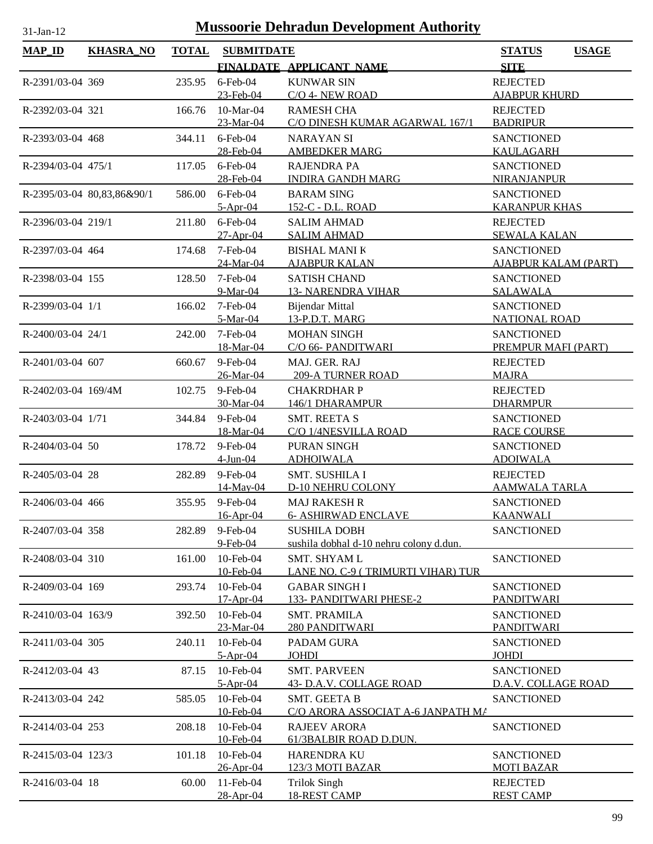| <b>MAP_ID</b>       | <b>KHASRA_NO</b>           | <b>TOTAL</b> | <b>SUBMITDATE</b>         |                                                          | <b>STATUS</b><br><b>USAGE</b>             |
|---------------------|----------------------------|--------------|---------------------------|----------------------------------------------------------|-------------------------------------------|
|                     |                            |              |                           | FINALDATE APPLICANT NAME                                 | <b>SITE</b>                               |
| R-2391/03-04 369    |                            | 235.95       | $6$ -Feb-04               | <b>KUNWAR SIN</b>                                        | <b>REJECTED</b>                           |
|                     |                            |              | 23-Feb-04                 | C/O 4- NEW ROAD                                          | <b>AJABPUR KHURD</b>                      |
| R-2392/03-04 321    |                            | 166.76       | 10-Mar-04                 | <b>RAMESH CHA</b>                                        | <b>REJECTED</b>                           |
|                     |                            |              | 23-Mar-04                 | C/O DINESH KUMAR AGARWAL 167/1                           | <b>BADRIPUR</b>                           |
| R-2393/03-04 468    |                            | 344.11       | $6$ -Feb-04               | <b>NARAYAN SI</b>                                        | <b>SANCTIONED</b>                         |
|                     |                            |              | 28-Feb-04                 | <b>AMBEDKER MARG</b>                                     | <b>KAULAGARH</b>                          |
| R-2394/03-04 475/1  |                            | 117.05       | $6$ -Feb-04               | <b>RAJENDRA PA</b>                                       | <b>SANCTIONED</b>                         |
|                     |                            |              | 28-Feb-04                 | <b>INDIRA GANDH MARG</b>                                 | <b>NIRANJANPUR</b>                        |
|                     | R-2395/03-04 80,83,86&90/1 | 586.00       | $6$ -Feb-04<br>$5-Apr-04$ | <b>BARAM SING</b><br>152-C - D.L. ROAD                   | <b>SANCTIONED</b><br><b>KARANPUR KHAS</b> |
| R-2396/03-04 219/1  |                            | 211.80       | $6$ -Feb-04               | <b>SALIM AHMAD</b>                                       | <b>REJECTED</b>                           |
|                     |                            |              | 27-Apr-04                 | <b>SALIM AHMAD</b>                                       | <b>SEWALA KALAN</b>                       |
| R-2397/03-04 464    |                            | 174.68       | 7-Feb-04                  | <b>BISHAL MANI K</b>                                     | <b>SANCTIONED</b>                         |
|                     |                            |              | 24-Mar-04                 | <b>AJABPUR KALAN</b>                                     | <b>AJABPUR KALAM (PART)</b>               |
| R-2398/03-04 155    |                            | 128.50       | $7-Feb-04$                | <b>SATISH CHAND</b>                                      | <b>SANCTIONED</b>                         |
|                     |                            |              | 9-Mar-04                  | <b>13- NARENDRA VIHAR</b>                                | <b>SALAWALA</b>                           |
| R-2399/03-04 1/1    |                            | 166.02       | 7-Feb-04                  | <b>Bijendar Mittal</b>                                   | <b>SANCTIONED</b>                         |
|                     |                            |              | 5-Mar-04                  | 13-P.D.T. MARG                                           | <b>NATIONAL ROAD</b>                      |
| R-2400/03-04 24/1   |                            | 242.00       | 7-Feb-04                  | <b>MOHAN SINGH</b>                                       | <b>SANCTIONED</b>                         |
|                     |                            |              | 18-Mar-04                 | C/O 66- PANDITWARI                                       | PREMPUR MAFI (PART)                       |
| R-2401/03-04 607    |                            | 660.67       | 9-Feb-04                  | MAJ. GER. RAJ                                            | <b>REJECTED</b>                           |
|                     |                            |              | 26-Mar-04                 | <b>209-A TURNER ROAD</b>                                 | <b>MAJRA</b>                              |
| R-2402/03-04 169/4M |                            | 102.75       | 9-Feb-04<br>30-Mar-04     | <b>CHAKRDHAR P</b><br>146/1 DHARAMPUR                    | <b>REJECTED</b><br><b>DHARMPUR</b>        |
| R-2403/03-04 1/71   |                            | 344.84       | 9-Feb-04                  | <b>SMT. REETA S</b>                                      | <b>SANCTIONED</b>                         |
|                     |                            |              | 18-Mar-04                 | C/O 1/4NESVILLA ROAD                                     | <b>RACE COURSE</b>                        |
| R-2404/03-04 50     |                            | 178.72       | 9-Feb-04                  | PURAN SINGH                                              | <b>SANCTIONED</b>                         |
|                     |                            |              | 4-Jun-04                  | <b>ADHOIWALA</b>                                         | <b>ADOIWALA</b>                           |
| R-2405/03-04 28     |                            | 282.89       | 9-Feb-04                  | SMT. SUSHILA I                                           | <b>REJECTED</b>                           |
|                     |                            |              | 14-May-04                 | <b>D-10 NEHRU COLONY</b>                                 | <b>AAMWALA TARLA</b>                      |
| R-2406/03-04 466    |                            |              | 355.95 9-Feb-04           | <b>MAJ RAKESH R</b>                                      | <b>SANCTIONED</b>                         |
|                     |                            |              | 16-Apr-04                 | <b>6- ASHIRWAD ENCLAVE</b>                               | <b>KAANWALI</b>                           |
| R-2407/03-04 358    |                            | 282.89       | $9$ -Feb-04               | <b>SUSHILA DOBH</b>                                      | <b>SANCTIONED</b>                         |
|                     |                            |              | 9-Feb-04                  | sushila dobhal d-10 nehru colony d.dun.                  |                                           |
| R-2408/03-04 310    |                            | 161.00       | 10-Feb-04<br>10-Feb-04    | <b>SMT. SHYAM L</b><br>LANE NO. C-9 (TRIMURTI VIHAR) TUR | <b>SANCTIONED</b>                         |
| R-2409/03-04 169    |                            | 293.74       | 10-Feb-04                 | <b>GABAR SINGHI</b>                                      | <b>SANCTIONED</b>                         |
|                     |                            |              | 17-Apr-04                 | 133- PANDITWARI PHESE-2                                  | PANDITWARI                                |
| R-2410/03-04 163/9  |                            | 392.50       | 10-Feb-04                 | <b>SMT. PRAMILA</b>                                      | <b>SANCTIONED</b>                         |
|                     |                            |              | 23-Mar-04                 | 280 PANDITWARI                                           | <b>PANDITWARI</b>                         |
| R-2411/03-04 305    |                            | 240.11       | 10-Feb-04                 | PADAM GURA                                               | <b>SANCTIONED</b>                         |
|                     |                            |              | $5-Apr-04$                | <b>JOHDI</b>                                             | <b>JOHDI</b>                              |
| R-2412/03-04 43     |                            | 87.15        | 10-Feb-04                 | <b>SMT. PARVEEN</b>                                      | <b>SANCTIONED</b>                         |
|                     |                            |              | $5-Apr-04$                | 43- D.A.V. COLLAGE ROAD                                  | D.A.V. COLLAGE ROAD                       |
| R-2413/03-04 242    |                            | 585.05       | 10-Feb-04                 | <b>SMT. GEETA B</b>                                      | <b>SANCTIONED</b>                         |
|                     |                            |              | 10-Feb-04                 | C/O ARORA ASSOCIAT A-6 JANPATH MA                        |                                           |
| R-2414/03-04 253    |                            | 208.18       | 10-Feb-04                 | <b>RAJEEV ARORA</b>                                      | <b>SANCTIONED</b>                         |
|                     |                            |              | 10-Feb-04                 | 61/3BALBIR ROAD D.DUN.                                   |                                           |
| R-2415/03-04 123/3  |                            | 101.18       | 10-Feb-04<br>26-Apr-04    | <b>HARENDRA KU</b><br>123/3 MOTI BAZAR                   | <b>SANCTIONED</b><br><b>MOTI BAZAR</b>    |
| R-2416/03-04 18     |                            | 60.00        | 11-Feb-04                 | <b>Trilok Singh</b>                                      | <b>REJECTED</b>                           |
|                     |                            |              | 28-Apr-04                 | <b>18-REST CAMP</b>                                      | <b>REST CAMP</b>                          |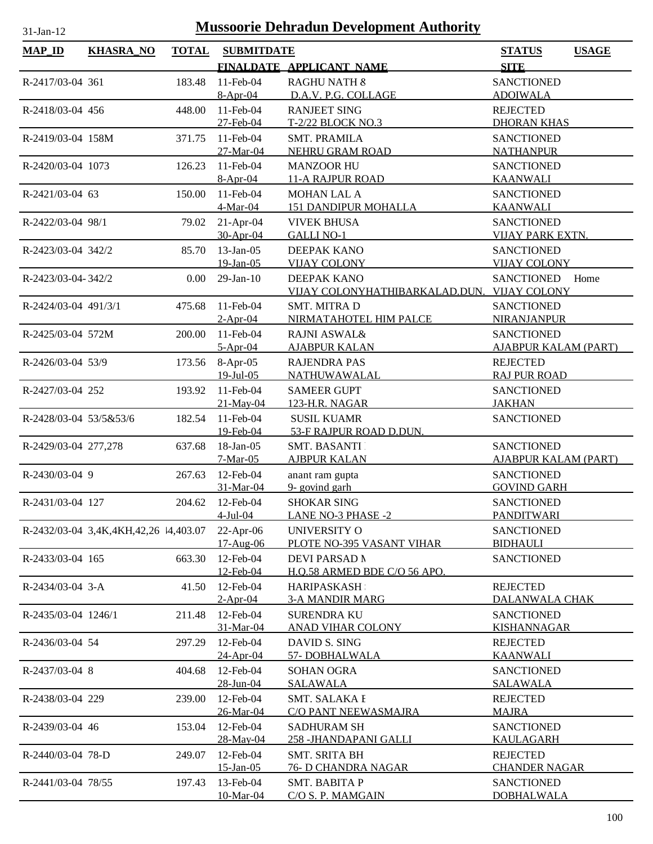| <b>MAP_ID</b>          | <b>KHASRA_NO</b>                      | <b>TOTAL</b> | <b>SUBMITDATE</b>      |                                              | <b>STATUS</b><br><b>USAGE</b>           |
|------------------------|---------------------------------------|--------------|------------------------|----------------------------------------------|-----------------------------------------|
|                        |                                       |              |                        | FINALDATE APPLICANT NAME                     | <b>SITE</b>                             |
| R-2417/03-04 361       |                                       | 183.48       | 11-Feb-04              | RAGHU NATH &                                 | <b>SANCTIONED</b>                       |
|                        |                                       |              | $8-Apr-04$             | D.A.V. P.G. COLLAGE                          | <b>ADOIWALA</b>                         |
| R-2418/03-04 456       |                                       | 448.00       | 11-Feb-04              | <b>RANJEET SING</b>                          | <b>REJECTED</b>                         |
|                        |                                       |              | 27-Feb-04              | T-2/22 BLOCK NO.3                            | <b>DHORAN KHAS</b>                      |
| R-2419/03-04 158M      |                                       | 371.75       | 11-Feb-04              | <b>SMT. PRAMILA</b>                          | <b>SANCTIONED</b>                       |
|                        |                                       |              | 27-Mar-04              | NEHRU GRAM ROAD                              | <b>NATHANPUR</b>                        |
| R-2420/03-04 1073      |                                       | 126.23       | 11-Feb-04              | <b>MANZOOR HU</b>                            | <b>SANCTIONED</b>                       |
|                        |                                       |              | $8-Apr-04$             | <b>11-A RAJPUR ROAD</b>                      | <b>KAANWALI</b>                         |
| R-2421/03-04 63        |                                       | 150.00       | 11-Feb-04              | <b>MOHAN LAL A</b>                           | <b>SANCTIONED</b>                       |
|                        |                                       |              | 4-Mar-04               | <b>151 DANDIPUR MOHALLA</b>                  | <b>KAANWALI</b>                         |
| R-2422/03-04 98/1      |                                       | 79.02        | $21-Apr-04$            | <b>VIVEK BHUSA</b>                           | <b>SANCTIONED</b>                       |
|                        |                                       |              | 30-Apr-04              | <b>GALLI NO-1</b>                            | <b>VIJAY PARK EXTN.</b>                 |
| R-2423/03-04 342/2     |                                       | 85.70        | $13$ -Jan-05           | DEEPAK KANO                                  | <b>SANCTIONED</b>                       |
|                        |                                       |              | 19-Jan-05              | <b>VIJAY COLONY</b>                          | <b>VIJAY COLONY</b>                     |
| R-2423/03-04-342/2     |                                       | 0.00         | $29$ -Jan- $10$        | DEEPAK KANO                                  | <b>SANCTIONED</b><br>Home               |
|                        |                                       |              |                        | VIJAY COLONYHATHIBARKALAD.DUN.               | <b>VIJAY COLONY</b>                     |
| R-2424/03-04 491/3/1   |                                       | 475.68       | 11-Feb-04              | <b>SMT. MITRAD</b>                           | <b>SANCTIONED</b>                       |
|                        |                                       |              | $2-Apr-04$             | NIRMATAHOTEL HIM PALCE                       | <b>NIRANJANPUR</b>                      |
| R-2425/03-04 572M      |                                       | 200.00       | $11$ -Feb-04           | <b>RAJNI ASWAL&amp;</b>                      | <b>SANCTIONED</b>                       |
|                        |                                       |              | $5-Apr-04$             | <b>AJABPUR KALAN</b>                         | <b>AJABPUR KALAM (PART)</b>             |
| R-2426/03-04 53/9      |                                       |              | 173.56 8-Apr-05        | <b>RAJENDRA PAS</b>                          | <b>REJECTED</b>                         |
|                        |                                       |              | $19$ -Jul-05           | <b>NATHUWAWALAL</b>                          | <b>RAJ PUR ROAD</b>                     |
| R-2427/03-04 252       |                                       | 193.92       | 11-Feb-04              | <b>SAMEER GUPT</b>                           | <b>SANCTIONED</b>                       |
|                        |                                       |              | 21-May-04              | 123-H.R. NAGAR                               | <b>JAKHAN</b>                           |
| R-2428/03-04 53/5&53/6 |                                       | 182.54       | 11-Feb-04              | <b>SUSIL KUAMR</b>                           | <b>SANCTIONED</b>                       |
|                        |                                       |              | 19-Feb-04              | 53-F RAJPUR ROAD D.DUN.                      |                                         |
| R-2429/03-04 277,278   |                                       | 637.68       | 18-Jan-05              | <b>SMT. BASANTI</b>                          | <b>SANCTIONED</b>                       |
|                        |                                       |              | $7-Mar-05$             | <u>AJBPUR KALAN</u>                          | AJABPUR KALAM (PART)                    |
| R-2430/03-04 9         |                                       | 267.63       | 12-Feb-04              | anant ram gupta                              | <b>SANCTIONED</b>                       |
|                        |                                       |              | 31-Mar-04              | 9- govind garh                               | <b>GOVIND GARH</b>                      |
| R-2431/03-04 127       |                                       | 204.62       | 12-Feb-04              | <b>SHOKAR SING</b>                           | <b>SANCTIONED</b>                       |
|                        |                                       |              | $4$ -Jul-04            | <b>LANE NO-3 PHASE -2</b>                    | <b>PANDITWARI</b>                       |
|                        | R-2432/03-04 3,4K,4KH,42,26 14,403.07 |              | $22-Apr-06$            | UNIVERSITY O                                 | <b>SANCTIONED</b>                       |
|                        |                                       |              | $17-Aug-06$            | PLOTE NO-395 VASANT VIHAR                    | <b>BIDHAULI</b>                         |
| R-2433/03-04 165       |                                       | 663.30       | 12-Feb-04              | <b>DEVI PARSAD N</b>                         | <b>SANCTIONED</b>                       |
|                        |                                       |              | 12-Feb-04              | H.O.58 ARMED BDE C/O 56 APO.                 |                                         |
| R-2434/03-04 3-A       |                                       | 41.50        | 12-Feb-04              | <b>HARIPASKASH</b>                           | <b>REJECTED</b>                         |
|                        |                                       |              | $2-Apr-04$             | <b>3-A MANDIR MARG</b>                       | DALANWALA CHAK                          |
| R-2435/03-04 1246/1    |                                       | 211.48       | 12-Feb-04              | <b>SURENDRA KU</b>                           | <b>SANCTIONED</b>                       |
|                        |                                       |              | 31-Mar-04              | <b>ANAD VIHAR COLONY</b>                     | <b>KISHANNAGAR</b>                      |
| R-2436/03-04 54        |                                       | 297.29       | 12-Feb-04              | DAVID S. SING                                | <b>REJECTED</b>                         |
|                        |                                       |              | 24-Apr-04              | 57-DOBHALWALA                                | <b>KAANWALI</b>                         |
| R-2437/03-04 8         |                                       | 404.68       | 12-Feb-04              | <b>SOHAN OGRA</b>                            | <b>SANCTIONED</b>                       |
|                        |                                       |              | 28-Jun-04              | <b>SALAWALA</b>                              | SALAWALA                                |
|                        |                                       |              | 12-Feb-04              | SMT. SALAKA I                                |                                         |
| R-2438/03-04 229       |                                       | 239.00       | 26-Mar-04              | <b>C/O PANT NEEWASMAJRA</b>                  | REJECTED<br><b>MAJRA</b>                |
|                        |                                       |              |                        |                                              |                                         |
| R-2439/03-04 46        |                                       | 153.04       | 12-Feb-04<br>28-May-04 | <b>SADHURAM SH</b><br>258 - JHANDAPANI GALLI | <b>SANCTIONED</b><br><b>KAULAGARH</b>   |
|                        |                                       |              |                        |                                              |                                         |
| R-2440/03-04 78-D      |                                       | 249.07       | 12-Feb-04<br>15-Jan-05 | <b>SMT. SRITA BH</b><br>76- D CHANDRA NAGAR  | <b>REJECTED</b><br><b>CHANDER NAGAR</b> |
|                        |                                       |              |                        |                                              |                                         |
| R-2441/03-04 78/55     |                                       | 197.43       | 13-Feb-04              | <b>SMT. BABITA P</b><br>C/O S. P. MAMGAIN    | <b>SANCTIONED</b><br><b>DOBHALWALA</b>  |
|                        |                                       |              | 10-Mar-04              |                                              |                                         |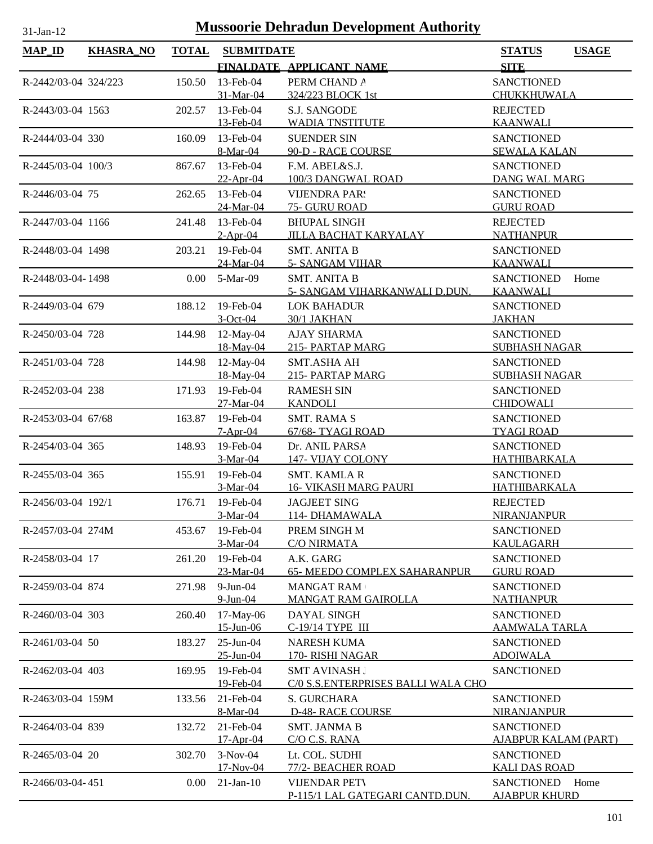| MAP_ID               | <b>KHASRA_NO</b> | <b>TOTAL</b> | <b>SUBMITDATE</b>         |                                        | <b>STATUS</b><br><b>SITE</b>                     | <b>USAGE</b> |
|----------------------|------------------|--------------|---------------------------|----------------------------------------|--------------------------------------------------|--------------|
|                      |                  |              |                           | FINALDATE APPLICANT NAME               |                                                  |              |
| R-2442/03-04 324/223 |                  | 150.50       | 13-Feb-04<br>31-Mar-04    | PERM CHAND A<br>324/223 BLOCK 1st      | <b>SANCTIONED</b><br>CHUKKHUWALA                 |              |
| R-2443/03-04 1563    |                  | 202.57       | 13-Feb-04                 | <b>S.J. SANGODE</b>                    | <b>REJECTED</b>                                  |              |
|                      |                  |              | 13-Feb-04                 | <b>WADIA TNSTITUTE</b>                 | <b>KAANWALI</b>                                  |              |
| R-2444/03-04 330     |                  | 160.09       | 13-Feb-04                 | <b>SUENDER SIN</b>                     | <b>SANCTIONED</b>                                |              |
|                      |                  |              | 8-Mar-04                  | 90-D - RACE COURSE                     | <b>SEWALA KALAN</b>                              |              |
| R-2445/03-04 100/3   |                  | 867.67       | 13-Feb-04                 | F.M. ABEL&S.J.                         | <b>SANCTIONED</b>                                |              |
|                      |                  |              | $22-Apr-04$               | 100/3 DANGWAL ROAD                     | <b>DANG WAL MARG</b>                             |              |
| R-2446/03-04 75      |                  | 262.65       | 13-Feb-04                 | <b>VIJENDRA PAR!</b>                   | <b>SANCTIONED</b>                                |              |
|                      |                  |              | 24-Mar-04                 | 75- GURU ROAD                          | <b>GURU ROAD</b>                                 |              |
| R-2447/03-04 1166    |                  | 241.48       | 13-Feb-04                 | <b>BHUPAL SINGH</b>                    | <b>REJECTED</b>                                  |              |
|                      |                  |              | $2-Apr-04$                | <b>JILLA BACHAT KARYALAY</b>           | <b>NATHANPUR</b>                                 |              |
| R-2448/03-04 1498    |                  | 203.21       | 19-Feb-04                 | <b>SMT. ANITA B</b>                    | <b>SANCTIONED</b>                                |              |
|                      |                  |              | 24-Mar-04                 | <b>5- SANGAM VIHAR</b>                 | <b>KAANWALI</b>                                  |              |
| R-2448/03-04-1498    |                  | $0.00\,$     | 5-Mar-09                  | <b>SMT. ANITA B</b>                    | <b>SANCTIONED</b>                                | Home         |
|                      |                  |              |                           | 5- SANGAM VIHARKANWALI D.DUN.          | <b>KAANWALI</b>                                  |              |
| R-2449/03-04 679     |                  | 188.12       | 19-Feb-04                 | <b>LOK BAHADUR</b>                     | <b>SANCTIONED</b>                                |              |
|                      |                  |              | $3-Oct-04$                | 30/1 JAKHAN                            | <b>JAKHAN</b>                                    |              |
| R-2450/03-04 728     |                  | 144.98       | $12$ -May-04<br>18-May-04 | <b>AJAY SHARMA</b><br>215- PARTAP MARG | <b>SANCTIONED</b><br><b>SUBHASH NAGAR</b>        |              |
|                      |                  |              |                           |                                        |                                                  |              |
| R-2451/03-04 728     |                  | 144.98       | 12-May-04<br>18-May-04    | <b>SMT.ASHA AH</b><br>215- PARTAP MARG | <b>SANCTIONED</b><br><b>SUBHASH NAGAR</b>        |              |
| R-2452/03-04 238     |                  | 171.93       | 19-Feb-04                 | <b>RAMESH SIN</b>                      | <b>SANCTIONED</b>                                |              |
|                      |                  |              | 27-Mar-04                 | <b>KANDOLI</b>                         | <b>CHIDOWALI</b>                                 |              |
| R-2453/03-04 67/68   |                  | 163.87       | 19-Feb-04                 | <b>SMT. RAMA S</b>                     | <b>SANCTIONED</b>                                |              |
|                      |                  |              | $7-Apr-04$                | 67/68-TYAGI ROAD                       | <b>TYAGI ROAD</b>                                |              |
| R-2454/03-04 365     |                  | 148.93       | 19-Feb-04                 | Dr. ANIL PARSA                         | <b>SANCTIONED</b>                                |              |
|                      |                  |              | $3-Mar-04$                | 147- VIJAY COLONY                      | <b>HATHIBARKALA</b>                              |              |
| R-2455/03-04 365     |                  | 155.91       | 19-Feb-04                 | <b>SMT. KAMLA R</b>                    | <b>SANCTIONED</b>                                |              |
|                      |                  |              | $3-Mar-04$                | <b>16- VIKASH MARG PAURI</b>           | HATHIBARKALA                                     |              |
| R-2456/03-04 192/1   |                  | 176.71       | 19-Feb-04                 | <b>JAGJEET SING</b>                    | <b>REJECTED</b>                                  |              |
|                      |                  |              | 3-Mar-04                  | 114-DHAMAWALA                          | NIRANJANPUR                                      |              |
| R-2457/03-04 274M    |                  | 453.67       | 19-Feb-04                 | PREM SINGH M                           | <b>SANCTIONED</b>                                |              |
|                      |                  |              | 3-Mar-04                  | <b>C/O NIRMATA</b>                     | <b>KAULAGARH</b>                                 |              |
| R-2458/03-04 17      |                  | 261.20       | 19-Feb-04                 | A.K. GARG                              | <b>SANCTIONED</b>                                |              |
|                      |                  |              | 23-Mar-04                 | <b>65- MEEDO COMPLEX SAHARANPUR</b>    | <b>GURU ROAD</b>                                 |              |
| R-2459/03-04 874     |                  | 271.98       | $9$ -Jun-04               | <b>MANGAT RAM</b>                      | <b>SANCTIONED</b>                                |              |
|                      |                  |              | $9-Jun-04$                | <b>MANGAT RAM GAIROLLA</b>             | <b>NATHANPUR</b>                                 |              |
| R-2460/03-04 303     |                  | 260.40       | 17-May-06                 | DAYAL SINGH                            | <b>SANCTIONED</b>                                |              |
|                      |                  |              | $15$ -Jun-06              | C-19/14 TYPE III                       | <b>AAMWALA TARLA</b>                             |              |
| R-2461/03-04 50      |                  | 183.27       | 25-Jun-04                 | <b>NARESH KUMA</b>                     | <b>SANCTIONED</b>                                |              |
|                      |                  |              | 25-Jun-04                 | 170- RISHI NAGAR                       | <b>ADOIWALA</b>                                  |              |
| R-2462/03-04 403     |                  | 169.95       | 19-Feb-04                 | <b>SMT AVINASH J</b>                   | <b>SANCTIONED</b>                                |              |
|                      |                  |              | 19-Feb-04                 | C/0 S.S.ENTERPRISES BALLI WALA CHO     |                                                  |              |
| R-2463/03-04 159M    |                  | 133.56       | 21-Feb-04                 | S. GURCHARA                            | <b>SANCTIONED</b>                                |              |
|                      |                  |              | 8-Mar-04                  | <b>D-48- RACE COURSE</b>               | NIRANJANPUR                                      |              |
| R-2464/03-04 839     |                  | 132.72       | 21-Feb-04<br>$17-Apr-04$  | <b>SMT. JANMA B</b><br>C/O C.S. RANA   | <b>SANCTIONED</b><br><b>AJABPUR KALAM (PART)</b> |              |
| R-2465/03-04 20      |                  | 302.70       | $3-Nov-04$                | Lt. COL. SUDHI                         | <b>SANCTIONED</b>                                |              |
|                      |                  |              | 17-Nov-04                 | 77/2- BEACHER ROAD                     | <b>KALI DAS ROAD</b>                             |              |
| R-2466/03-04-451     |                  | 0.00         | $21$ -Jan- $10$           | <b>VIJENDAR PETV</b>                   | <b>SANCTIONED</b>                                | Home         |
|                      |                  |              |                           | P-115/1 LAL GATEGARI CANTD.DUN.        | <b>AJABPUR KHURD</b>                             |              |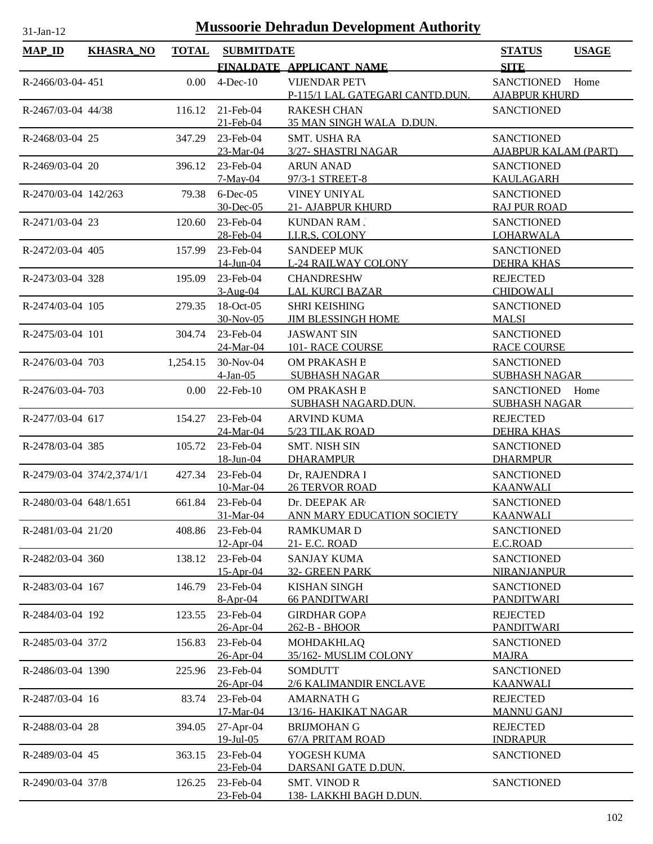| <b>MAP ID</b>          | <b>KHASRA_NO</b>           | <b>TOTAL</b> | <b>SUBMITDATE</b>             |                                                         | <b>STATUS</b><br><b>USAGE</b>                     |
|------------------------|----------------------------|--------------|-------------------------------|---------------------------------------------------------|---------------------------------------------------|
|                        |                            |              |                               | FINALDATE APPLICANT NAME                                | <b>SITE</b>                                       |
| R-2466/03-04-451       |                            | 0.00         | $4$ -Dec-10                   | <b>VIJENDAR PETV</b><br>P-115/1 LAL GATEGARI CANTD.DUN. | <b>SANCTIONED</b><br>Home<br><b>AJABPUR KHURD</b> |
| R-2467/03-04 44/38     |                            | 116.12       | 21-Feb-04<br>21-Feb-04        | <b>RAKESH CHAN</b><br>35 MAN SINGH WALA D.DUN.          | <b>SANCTIONED</b>                                 |
| R-2468/03-04 25        |                            | 347.29       | 23-Feb-04                     | <b>SMT. USHA RA</b>                                     | <b>SANCTIONED</b>                                 |
|                        |                            |              | 23-Mar-04                     | 3/27- SHASTRI NAGAR                                     | <b>AJABPUR KALAM (PART)</b>                       |
| R-2469/03-04 20        |                            | 396.12       | 23-Feb-04<br>$7-May-04$       | <b>ARUN ANAD</b><br>97/3-1 STREET-8                     | <b>SANCTIONED</b><br><b>KAULAGARH</b>             |
| R-2470/03-04 142/263   |                            | 79.38        | $6$ -Dec-05<br>30-Dec-05      | VINEY UNIYAL<br>21- AJABPUR KHURD                       | <b>SANCTIONED</b><br><b>RAJ PUR ROAD</b>          |
| R-2471/03-04 23        |                            | 120.60       | 23-Feb-04                     | <b>KUNDAN RAM.</b>                                      | <b>SANCTIONED</b>                                 |
|                        |                            |              | 28-Feb-04                     | <b>I.I.R.S. COLONY</b>                                  | <b>LOHARWALA</b>                                  |
| R-2472/03-04 405       |                            | 157.99       | 23-Feb-04                     | <b>SANDEEP MUK</b>                                      | <b>SANCTIONED</b>                                 |
|                        |                            |              | 14-Jun-04                     | <b>L-24 RAILWAY COLONY</b>                              | <b>DEHRA KHAS</b>                                 |
| R-2473/03-04 328       |                            | 195.09       | 23-Feb-04<br>$3-Aug-04$       | <b>CHANDRESHW</b><br><b>LAL KURCI BAZAR</b>             | <b>REJECTED</b><br><b>CHIDOWALI</b>               |
| R-2474/03-04 105       |                            | 279.35       | 18-Oct-05                     | <b>SHRI KEISHING</b>                                    | <b>SANCTIONED</b>                                 |
|                        |                            |              | 30-Nov-05                     | <b>JIM BLESSINGH HOME</b>                               | <b>MALSI</b>                                      |
| R-2475/03-04 101       |                            | 304.74       | 23-Feb-04                     | <b>JASWANT SIN</b>                                      | <b>SANCTIONED</b>                                 |
|                        |                            |              | 24-Mar-04                     | <b>101- RACE COURSE</b>                                 | <b>RACE COURSE</b>                                |
| R-2476/03-04 703       |                            | 1,254.15     | 30-Nov-04<br>$4-Jan-05$       | OM PRAKASH B<br><b>SUBHASH NAGAR</b>                    | <b>SANCTIONED</b><br><b>SUBHASH NAGAR</b>         |
| R-2476/03-04-703       |                            | 0.00         | 22-Feb-10                     | OM PRAKASH B                                            | <b>SANCTIONED</b><br>Home                         |
|                        |                            |              |                               | SUBHASH NAGARD.DUN.                                     | <b>SUBHASH NAGAR</b>                              |
| R-2477/03-04 617       |                            | 154.27       | 23-Feb-04                     | <b>ARVIND KUMA</b>                                      | <b>REJECTED</b>                                   |
|                        |                            |              | 24-Mar-04                     | <b>5/23 TILAK ROAD</b>                                  | <b>DEHRA KHAS</b>                                 |
| R-2478/03-04 385       |                            | 105.72       | 23-Feb-04                     | <b>SMT. NISH SIN</b>                                    | <b>SANCTIONED</b>                                 |
|                        |                            |              | <u>18-Jun-04</u>              | <b>DHARAMPUR</b>                                        | <b>DHARMPUR</b>                                   |
|                        | R-2479/03-04 374/2,374/1/1 | 427.34       | 23-Feb-04                     | Dr, RAJENDRA I                                          | <b>SANCTIONED</b>                                 |
|                        |                            |              | 10-Mar-04                     | <b>26 TERVOR ROAD</b>                                   | <b>KAANWALI</b>                                   |
| R-2480/03-04 648/1.651 |                            |              | 661.84 23-Feb-04<br>31-Mar-04 | Dr. DEEPAK AR<br><b>ANN MARY EDUCATION SOCIETY</b>      | <b>SANCTIONED</b><br>KAANWALI                     |
| R-2481/03-04 21/20     |                            | 408.86       | 23-Feb-04                     | <b>RAMKUMARD</b>                                        | <b>SANCTIONED</b>                                 |
|                        |                            |              | $12$ -Apr-04                  | 21- E.C. ROAD                                           | E.C.ROAD                                          |
| R-2482/03-04 360       |                            | 138.12       | 23-Feb-04                     | <b>SANJAY KUMA</b>                                      | <b>SANCTIONED</b>                                 |
|                        |                            |              | 15-Apr-04                     | 32- GREEN PARK                                          | <b>NIRANJANPUR</b>                                |
| R-2483/03-04 167       |                            | 146.79       | 23-Feb-04<br>$8-Apr-04$       | <b>KISHAN SINGH</b><br><b>66 PANDITWARI</b>             | <b>SANCTIONED</b><br>PANDITWARI                   |
| R-2484/03-04 192       |                            | 123.55       | 23-Feb-04                     | <b>GIRDHAR GOPA</b>                                     | <b>REJECTED</b>                                   |
|                        |                            |              | 26-Apr-04                     | 262-B - BHOOR                                           | <b>PANDITWARI</b>                                 |
| R-2485/03-04 37/2      |                            | 156.83       | 23-Feb-04                     | <b>MOHDAKHLAQ</b>                                       | <b>SANCTIONED</b>                                 |
|                        |                            |              | 26-Apr-04                     | 35/162- MUSLIM COLONY                                   | <b>MAJRA</b>                                      |
| R-2486/03-04 1390      |                            | 225.96       | 23-Feb-04<br>26-Apr-04        | <b>SOMDUTT</b><br>2/6 KALIMANDIR ENCLAVE                | <b>SANCTIONED</b><br><b>KAANWALI</b>              |
| R-2487/03-04 16        |                            | 83.74        | 23-Feb-04                     | <b>AMARNATH G</b>                                       | <b>REJECTED</b>                                   |
|                        |                            |              | 17-Mar-04                     | 13/16- HAKIKAT NAGAR                                    | <b>MANNU GANJ</b>                                 |
| R-2488/03-04 28        |                            | 394.05       | 27-Apr-04                     | <b>BRIJMOHAN G</b>                                      | <b>REJECTED</b>                                   |
|                        |                            |              | $19$ -Jul-05                  | 67/A PRITAM ROAD                                        | <b>INDRAPUR</b>                                   |
| R-2489/03-04 45        |                            | 363.15       | 23-Feb-04<br>23-Feb-04        | YOGESH KUMA<br>DARSANI GATE D.DUN.                      | <b>SANCTIONED</b>                                 |
| R-2490/03-04 37/8      |                            | 126.25       | 23-Feb-04                     | <b>SMT. VINOD R</b>                                     | <b>SANCTIONED</b>                                 |
|                        |                            |              | 23-Feb-04                     | 138- LAKKHI BAGH D.DUN.                                 |                                                   |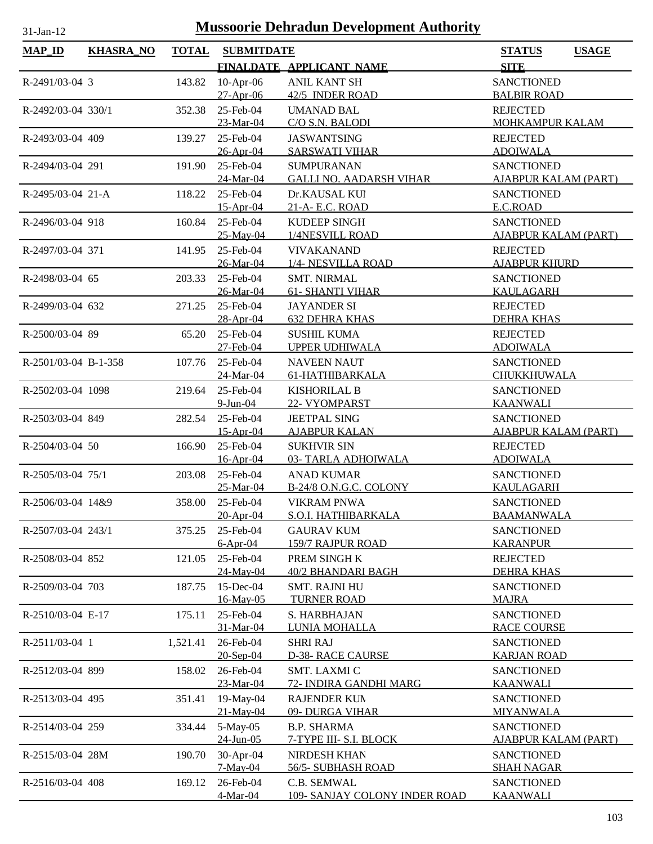| $MAP$ <sub>ID</sub>  | <b>KHASRA_NO</b> | <b>TOTAL</b> | <b>SUBMITDATE</b>      |                                         | <b>STATUS</b><br><b>USAGE</b>           |
|----------------------|------------------|--------------|------------------------|-----------------------------------------|-----------------------------------------|
|                      |                  |              |                        | FINALDATE APPLICANT NAME                | <b>SITE</b>                             |
| R-2491/03-04 3       |                  | 143.82       | $10$ -Apr-06           | <b>ANIL KANT SH</b>                     | <b>SANCTIONED</b>                       |
|                      |                  |              | 27-Apr-06              | 42/5 INDER ROAD                         | <b>BALBIR ROAD</b>                      |
| R-2492/03-04 330/1   |                  | 352.38       | 25-Feb-04              | <b>UMANAD BAL</b>                       | <b>REJECTED</b>                         |
|                      |                  |              | 23-Mar-04              | C/O S.N. BALODI                         | <b>MOHKAMPUR KALAM</b>                  |
| R-2493/03-04 409     |                  | 139.27       | 25-Feb-04              | <b>JASWANTSING</b>                      | <b>REJECTED</b>                         |
|                      |                  |              | 26-Apr-04              | <b>SARSWATI VIHAR</b>                   | <b>ADOIWALA</b>                         |
| R-2494/03-04 291     |                  | 191.90       | 25-Feb-04              | <b>SUMPURANAN</b>                       | <b>SANCTIONED</b>                       |
|                      |                  |              | 24-Mar-04              | <b>GALLI NO. AADARSH VIHAR</b>          | <b>AJABPUR KALAM (PART)</b>             |
| R-2495/03-04 21-A    |                  | 118.22       | 25-Feb-04              | Dr.KAUSAL KUI                           | <b>SANCTIONED</b>                       |
|                      |                  |              | $15$ -Apr-04           | 21-A- E.C. ROAD                         | E.C.ROAD                                |
| R-2496/03-04 918     |                  | 160.84       | 25-Feb-04              | <b>KUDEEP SINGH</b>                     | <b>SANCTIONED</b>                       |
|                      |                  |              | 25-May-04              | 1/4NESVILL ROAD                         | <b>AJABPUR KALAM (PART)</b>             |
| R-2497/03-04 371     |                  | 141.95       | 25-Feb-04<br>26-Mar-04 | <b>VIVAKANAND</b><br>1/4- NESVILLA ROAD | <b>REJECTED</b><br><b>AJABPUR KHURD</b> |
| R-2498/03-04 65      |                  |              | 25-Feb-04              | <b>SMT. NIRMAL</b>                      | <b>SANCTIONED</b>                       |
|                      |                  | 203.33       | 26-Mar-04              | <b>61- SHANTI VIHAR</b>                 | <b>KAULAGARH</b>                        |
| R-2499/03-04 632     |                  | 271.25       | 25-Feb-04              | <b>JAYANDER SI</b>                      | <b>REJECTED</b>                         |
|                      |                  |              | 28-Apr-04              | <b>632 DEHRA KHAS</b>                   | <b>DEHRA KHAS</b>                       |
| R-2500/03-04 89      |                  | 65.20        | 25-Feb-04              | <b>SUSHIL KUMA</b>                      | <b>REJECTED</b>                         |
|                      |                  |              | 27-Feb-04              | <b>UPPER UDHIWALA</b>                   | <b>ADOIWALA</b>                         |
| R-2501/03-04 B-1-358 |                  | 107.76       | 25-Feb-04              | <b>NAVEEN NAUT</b>                      | <b>SANCTIONED</b>                       |
|                      |                  |              | 24-Mar-04              | 61-HATHIBARKALA                         | CHUKKHUWALA                             |
| R-2502/03-04 1098    |                  | 219.64       | 25-Feb-04              | <b>KISHORILAL B</b>                     | <b>SANCTIONED</b>                       |
|                      |                  |              | $9$ -Jun-04            | 22- VYOMPARST                           | <b>KAANWALI</b>                         |
| R-2503/03-04 849     |                  | 282.54       | 25-Feb-04              | <b>JEETPAL SING</b>                     | <b>SANCTIONED</b>                       |
|                      |                  |              | 15-Apr-04              | <b>AJABPUR KALAN</b>                    | <b>AJABPUR KALAM (PART)</b>             |
| R-2504/03-04 50      |                  | 166.90       | 25-Feb-04              | <b>SUKHVIR SIN</b>                      | <b>REJECTED</b>                         |
|                      |                  |              | 16-Apr-04              | 03- TARLA ADHOIWALA                     | <b>ADOIWALA</b>                         |
| R-2505/03-04 75/1    |                  | 203.08       | 25-Feb-04              | <b>ANAD KUMAR</b>                       | <b>SANCTIONED</b>                       |
|                      |                  |              | 25-Mar-04              | B-24/8 O.N.G.C. COLONY                  | KAULAGARH                               |
| R-2506/03-04 14&9    |                  | 358.00       | 25-Feb-04              | <b>VIKRAM PNWA</b>                      | <b>SANCTIONED</b>                       |
|                      |                  |              | 20-Apr-04              | S.O.I. HATHIBARKALA                     | <b>BAAMANWALA</b>                       |
| R-2507/03-04 243/1   |                  | 375.25       | 25-Feb-04              | <b>GAURAV KUM</b>                       | <b>SANCTIONED</b>                       |
|                      |                  |              | $6-Apr-04$             | <b>159/7 RAJPUR ROAD</b>                | <b>KARANPUR</b>                         |
| R-2508/03-04 852     |                  | 121.05       | 25-Feb-04              | PREM SINGH K                            | <b>REJECTED</b>                         |
|                      |                  |              | 24-May-04              | 40/2 BHANDARI BAGH                      | <b>DEHRA KHAS</b>                       |
| R-2509/03-04 703     |                  | 187.75       | 15-Dec-04              | <b>SMT. RAJNI HU</b>                    | <b>SANCTIONED</b>                       |
|                      |                  |              | 16-May-05              | <b>TURNER ROAD</b>                      | <b>MAJRA</b>                            |
| R-2510/03-04 E-17    |                  | 175.11       | 25-Feb-04<br>31-Mar-04 | S. HARBHAJAN                            | <b>SANCTIONED</b>                       |
| R-2511/03-04 1       |                  |              | 26-Feb-04              | LUNIA MOHALLA<br><b>SHRI RAJ</b>        | <b>RACE COURSE</b><br><b>SANCTIONED</b> |
|                      |                  | 1,521.41     | 20-Sep-04              | <b>D-38- RACE CAURSE</b>                | <b>KARJAN ROAD</b>                      |
| R-2512/03-04 899     |                  | 158.02       | 26-Feb-04              | SMT. LAXMI C                            | <b>SANCTIONED</b>                       |
|                      |                  |              | 23-Mar-04              | 72- INDIRA GANDHI MARG                  | <u>KAANWALI</u>                         |
| R-2513/03-04 495     |                  | 351.41       | 19-May-04              | <b>RAJENDER KUN</b>                     | <b>SANCTIONED</b>                       |
|                      |                  |              | 21-May-04              | 09- DURGA VIHAR                         | MIYANWALA                               |
| R-2514/03-04 259     |                  | 334.44       | 5-May-05               | <b>B.P. SHARMA</b>                      | <b>SANCTIONED</b>                       |
|                      |                  |              | $24$ -Jun-05           | 7-TYPE III- S.I. BLOCK                  | <b>AJABPUR KALAM (PART)</b>             |
| R-2515/03-04 28M     |                  | 190.70       | 30-Apr-04              | NIRDESH KHAN                            | <b>SANCTIONED</b>                       |
|                      |                  |              | 7-May-04               | 56/5-SUBHASH ROAD                       | <b>SHAH NAGAR</b>                       |
| R-2516/03-04 408     |                  | 169.12       | 26-Feb-04              | C.B. SEMWAL                             | <b>SANCTIONED</b>                       |
|                      |                  |              | 4-Mar-04               | 109- SANJAY COLONY INDER ROAD           | <b>KAANWALI</b>                         |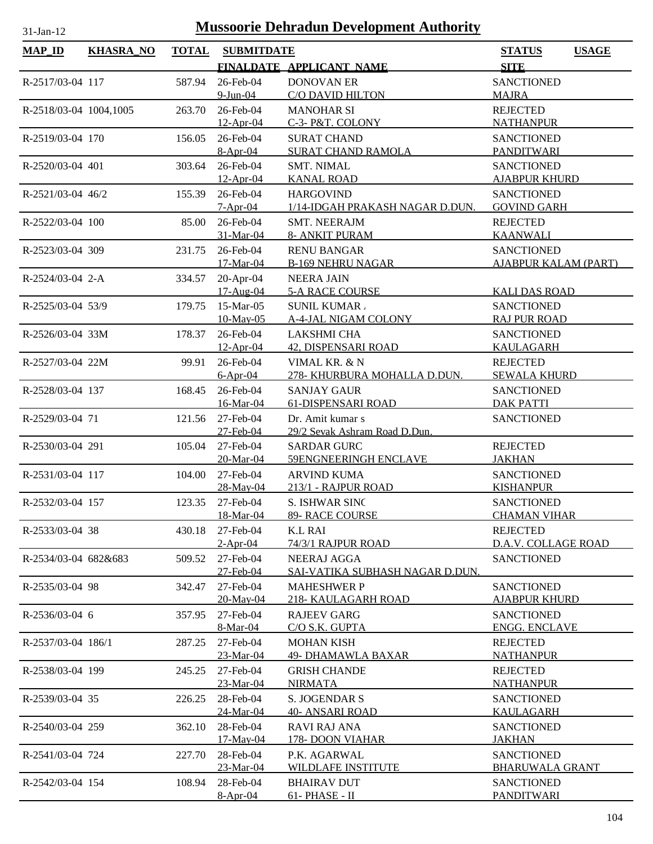| $MAP$ ID               | <b>KHASRA_NO</b> | <b>TOTAL</b> | <b>SUBMITDATE</b>       |                                                     | <b>USAGE</b><br><b>STATUS</b>             |
|------------------------|------------------|--------------|-------------------------|-----------------------------------------------------|-------------------------------------------|
|                        |                  |              |                         | FINALDATE APPLICANT NAME                            | <b>SITE</b>                               |
| R-2517/03-04 117       |                  | 587.94       | 26-Feb-04               | <b>DONOVAN ER</b>                                   | <b>SANCTIONED</b>                         |
|                        |                  |              | $9$ -Jun-04             | <b>C/O DAVID HILTON</b>                             | <b>MAJRA</b>                              |
| R-2518/03-04 1004,1005 |                  | 263.70       | 26-Feb-04               | <b>MANOHAR SI</b>                                   | <b>REJECTED</b>                           |
|                        |                  |              | $12-Apr-04$             | C-3- P&T. COLONY                                    | <b>NATHANPUR</b>                          |
| R-2519/03-04 170       |                  | 156.05       | 26-Feb-04               | <b>SURAT CHAND</b>                                  | <b>SANCTIONED</b>                         |
|                        |                  |              | $8-Apr-04$              | <b>SURAT CHAND RAMOLA</b>                           | <b>PANDITWARI</b>                         |
| R-2520/03-04 401       |                  | 303.64       | 26-Feb-04               | <b>SMT. NIMAL</b>                                   | <b>SANCTIONED</b>                         |
|                        |                  |              | $12-Apr-04$             | <b>KANAL ROAD</b>                                   | <b>AJABPUR KHURD</b>                      |
| R-2521/03-04 46/2      |                  | 155.39       | 26-Feb-04<br>$7-Apr-04$ | <b>HARGOVIND</b><br>1/14-IDGAH PRAKASH NAGAR D.DUN. | <b>SANCTIONED</b><br><b>GOVIND GARH</b>   |
| R-2522/03-04 100       |                  | 85.00        | 26-Feb-04               | <b>SMT. NEERAJM</b>                                 | <b>REJECTED</b>                           |
|                        |                  |              | 31-Mar-04               | <b>8- ANKIT PURAM</b>                               | <b>KAANWALI</b>                           |
| R-2523/03-04 309       |                  | 231.75       | 26-Feb-04               | <b>RENU BANGAR</b>                                  | <b>SANCTIONED</b>                         |
|                        |                  |              | 17-Mar-04               | <b>B-169 NEHRU NAGAR</b>                            | <b>AJABPUR KALAM (PART)</b>               |
| R-2524/03-04 2-A       |                  | 334.57       | 20-Apr-04               | <b>NEERA JAIN</b>                                   |                                           |
|                        |                  |              | 17-Aug-04               | <b>5-A RACE COURSE</b>                              | <b>KALI DAS ROAD</b>                      |
| R-2525/03-04 53/9      |                  | 179.75       | 15-Mar-05               | <b>SUNIL KUMAR.</b>                                 | <b>SANCTIONED</b>                         |
|                        |                  |              | $10$ -May-05            | A-4-JAL NIGAM COLONY                                | <b>RAJ PUR ROAD</b>                       |
| R-2526/03-04 33M       |                  | 178.37       | 26-Feb-04               | <b>LAKSHMI CHA</b>                                  | <b>SANCTIONED</b>                         |
|                        |                  |              | $12-Apr-04$             | 42, DISPENSARI ROAD                                 | <b>KAULAGARH</b>                          |
| R-2527/03-04 22M       |                  | 99.91        | 26-Feb-04               | VIMAL KR. & N                                       | <b>REJECTED</b>                           |
|                        |                  |              | $6-Apr-04$              | 278- KHURBURA MOHALLA D.DUN.                        | <b>SEWALA KHURD</b>                       |
| R-2528/03-04 137       |                  | 168.45       | 26-Feb-04               | <b>SANJAY GAUR</b>                                  | <b>SANCTIONED</b>                         |
|                        |                  |              | 16-Mar-04               | <b>61-DISPENSARI ROAD</b>                           | <b>DAK PATTI</b>                          |
| R-2529/03-04 71        |                  | 121.56       | 27-Feb-04<br>27-Feb-04  | Dr. Amit kumar s<br>29/2 Sevak Ashram Road D.Dun.   | <b>SANCTIONED</b>                         |
| R-2530/03-04 291       |                  | 105.04       | 27-Feb-04               | <b>SARDAR GURC</b>                                  | <b>REJECTED</b>                           |
|                        |                  |              | 20-Mar-04               | 59ENGNEERINGH ENCLAVE                               | <b>JAKHAN</b>                             |
| R-2531/03-04 117       |                  | 104.00       | 27-Feb-04               | <b>ARVIND KUMA</b>                                  | <b>SANCTIONED</b>                         |
|                        |                  |              | 28-May-04               | 213/1 - RAJPUR ROAD                                 | <b>KISHANPUR</b>                          |
| R-2532/03-04 157       |                  | 123.35       | 27-Feb-04               | S. ISHWAR SINC                                      | <b>SANCTIONED</b>                         |
|                        |                  |              | 18-Mar-04               | 89- RACE COURSE                                     | <b>CHAMAN VIHAR</b>                       |
| R-2533/03-04 38        |                  | 430.18       | 27-Feb-04               | <b>K.L RAI</b>                                      | <b>REJECTED</b>                           |
|                        |                  |              | $2-Apr-04$              | 74/3/1 RAJPUR ROAD                                  | D.A.V. COLLAGE ROAD                       |
| R-2534/03-04 682&683   |                  | 509.52       | 27-Feb-04               | NEERAJ AGGA                                         | <b>SANCTIONED</b>                         |
|                        |                  |              | 27-Feb-04               | SAI-VATIKA SUBHASH NAGAR D.DUN.                     |                                           |
| R-2535/03-04 98        |                  | 342.47       | 27-Feb-04               | <b>MAHESHWER P</b>                                  | <b>SANCTIONED</b>                         |
|                        |                  |              | 20-May-04               | <u> 218- KAULAGARH ROAD</u>                         | <b>AJABPUR KHURD</b>                      |
| R-2536/03-04 6         |                  | 357.95       | 27-Feb-04<br>8-Mar-04   | <b>RAJEEV GARG</b><br>C/O S.K. GUPTA                | <b>SANCTIONED</b><br><b>ENGG. ENCLAVE</b> |
| R-2537/03-04 186/1     |                  | 287.25       | 27-Feb-04               | <b>MOHAN KISH</b>                                   | <b>REJECTED</b>                           |
|                        |                  |              | 23-Mar-04               | <b>49- DHAMAWLA BAXAR</b>                           | <b>NATHANPUR</b>                          |
| R-2538/03-04 199       |                  | 245.25       | 27-Feb-04               | <b>GRISH CHANDE</b>                                 | <b>REJECTED</b>                           |
|                        |                  |              | 23-Mar-04               | <b>NIRMATA</b>                                      | <u>NATHANPUR</u>                          |
| R-2539/03-04 35        |                  | 226.25       | 28-Feb-04               | <b>S. JOGENDAR S</b>                                | <b>SANCTIONED</b>                         |
|                        |                  |              | 24-Mar-04               | 40- ANSARI ROAD                                     | KAULAGARH                                 |
| R-2540/03-04 259       |                  | 362.10       | 28-Feb-04               | <b>RAVI RAJ ANA</b>                                 | <b>SANCTIONED</b>                         |
|                        |                  |              | 17-May-04               | 178-DOON VIAHAR                                     | <b>JAKHAN</b>                             |
| R-2541/03-04 724       |                  | 227.70       | 28-Feb-04               | P.K. AGARWAL                                        | <b>SANCTIONED</b>                         |
|                        |                  |              | 23-Mar-04               | <b>WILDLAFE INSTITUTE</b>                           | <b>BHARUWALA GRANT</b>                    |
| R-2542/03-04 154       |                  | 108.94       | 28-Feb-04               | <b>BHAIRAV DUT</b>                                  | <b>SANCTIONED</b>                         |
|                        |                  |              | $8-Apr-04$              | 61- PHASE - II                                      | <b>PANDITWARI</b>                         |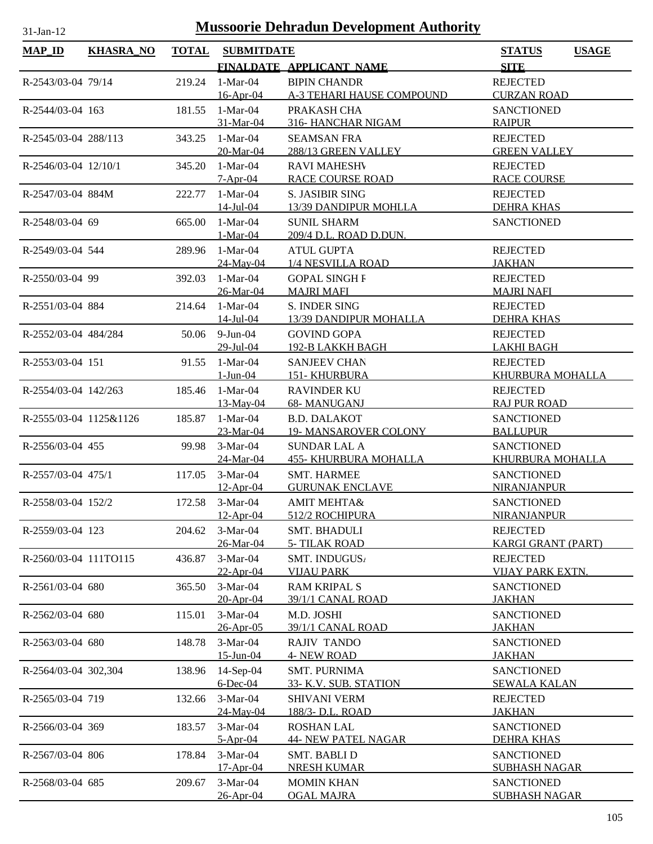| $MAP$ <sub>ID</sub>    | <b>KHASRA_NO</b> | <b>TOTAL</b> | <b>SUBMITDATE</b>          |                                                    | <b>USAGE</b><br><b>STATUS</b>          |
|------------------------|------------------|--------------|----------------------------|----------------------------------------------------|----------------------------------------|
|                        |                  |              |                            | FINALDATE APPLICANT NAME                           | <b>SITE</b>                            |
| R-2543/03-04 79/14     |                  | 219.24       | $1-Mar-04$                 | <b>BIPIN CHANDR</b>                                | <b>REJECTED</b>                        |
|                        |                  |              | 16-Apr-04                  | <b>A-3 TEHARI HAUSE COMPOUND</b>                   | <b>CURZAN ROAD</b>                     |
| R-2544/03-04 163       |                  | 181.55       | $1-Mar-04$                 | PRAKASH CHA                                        | <b>SANCTIONED</b>                      |
|                        |                  |              | 31-Mar-04                  | 316- HANCHAR NIGAM                                 | <b>RAIPUR</b>                          |
| R-2545/03-04 288/113   |                  | 343.25       | $1-Mar-04$                 | <b>SEAMSAN FRA</b>                                 | <b>REJECTED</b>                        |
|                        |                  |              | 20-Mar-04                  | 288/13 GREEN VALLEY                                | <b>GREEN VALLEY</b>                    |
| R-2546/03-04 12/10/1   |                  | 345.20       | $1-Mar-04$                 | <b>RAVI MAHESHV</b>                                | <b>REJECTED</b>                        |
|                        |                  |              | $7-Apr-04$                 | <b>RACE COURSE ROAD</b>                            | <b>RACE COURSE</b>                     |
| R-2547/03-04 884M      |                  | 222.77       | $1-Mar-04$                 | <b>S. JASIBIR SING</b>                             | <b>REJECTED</b>                        |
|                        |                  |              | $14$ -Jul-04               | 13/39 DANDIPUR MOHLLA                              | <b>DEHRA KHAS</b>                      |
| R-2548/03-04 69        |                  | 665.00       | $1-Mar-04$                 | <b>SUNIL SHARM</b>                                 | <b>SANCTIONED</b>                      |
|                        |                  |              | $1-Mar-04$<br>$1-Mar-04$   | 209/4 D.L. ROAD D.DUN.<br><b>ATUL GUPTA</b>        | <b>REJECTED</b>                        |
| R-2549/03-04 544       |                  | 289.96       | 24-May-04                  | 1/4 NESVILLA ROAD                                  | <b>JAKHAN</b>                          |
| R-2550/03-04 99        |                  | 392.03       | $1-Mar-04$                 | <b>GOPAL SINGH F</b>                               | <b>REJECTED</b>                        |
|                        |                  |              | 26-Mar-04                  | <b>MAJRI MAFI</b>                                  | <b>MAJRI NAFI</b>                      |
| R-2551/03-04 884       |                  | 214.64       | $1-Mar-04$                 | S. INDER SING                                      | <b>REJECTED</b>                        |
|                        |                  |              | <u>14-Jul-04</u>           | 13/39 DANDIPUR MOHALLA                             | <b>DEHRA KHAS</b>                      |
| R-2552/03-04 484/284   |                  | 50.06        | $9$ -Jun-04                | <b>GOVIND GOPA</b>                                 | <b>REJECTED</b>                        |
|                        |                  |              | 29-Jul-04                  | 192-B LAKKH BAGH                                   | <b>LAKHI BAGH</b>                      |
| R-2553/03-04 151       |                  | 91.55        | $1-Mar-04$                 | <b>SANJEEV CHAN</b>                                | <b>REJECTED</b>                        |
|                        |                  |              | $1-Jun-04$                 | <b>151- KHURBURA</b>                               | KHURBURA MOHALLA                       |
| R-2554/03-04 142/263   |                  | 185.46       | $1-Mar-04$                 | <b>RAVINDER KU</b>                                 | <b>REJECTED</b>                        |
|                        |                  |              | 13-May-04                  | 68- MANUGANJ                                       | <b>RAJ PUR ROAD</b>                    |
| R-2555/03-04 1125&1126 |                  | 185.87       | $1-Mar-04$                 | <b>B.D. DALAKOT</b>                                | <b>SANCTIONED</b>                      |
|                        |                  |              | 23-Mar-04                  | <b>19- MANSAROVER COLONY</b>                       | <b>BALLUPUR</b>                        |
| R-2556/03-04 455       |                  | 99.98        | $3-Mar-04$<br>24-Mar-04    | <b>SUNDAR LAL A</b>                                | <b>SANCTIONED</b><br>KHURBURA MOHALLA  |
|                        |                  |              | $3-Mar-04$                 | <b>455- KHURBURA MOHALLA</b><br><b>SMT. HARMEE</b> | <b>SANCTIONED</b>                      |
| R-2557/03-04 475/1     |                  | 117.05       | $12$ -Apr-04               | <b>GURUNAK ENCLAVE</b>                             | <b>NIRANJANPUR</b>                     |
| R-2558/03-04 152/2     |                  |              | 172.58 3-Mar-04            | <b>AMIT MEHTA&amp;</b>                             | <b>SANCTIONED</b>                      |
|                        |                  |              | $12-Apr-04$                | 512/2 ROCHIPURA                                    | NIRANJANPUR                            |
| R-2559/03-04 123       |                  | 204.62       | 3-Mar-04                   | <b>SMT. BHADULI</b>                                | <b>REJECTED</b>                        |
|                        |                  |              | 26-Mar-04                  | <b>5- TILAK ROAD</b>                               | <b>KARGI GRANT (PART)</b>              |
| R-2560/03-04 111TO115  |                  | 436.87       | $3-Mar-04$                 | SMT. INDUGUS,                                      | <b>REJECTED</b>                        |
|                        |                  |              | $22-Apr-04$                | <b>VIJAU PARK</b>                                  | <b>VIJAY PARK EXTN.</b>                |
| R-2561/03-04 680       |                  | 365.50       | $3-Mar-04$                 | <b>RAM KRIPAL S</b>                                | <b>SANCTIONED</b>                      |
|                        |                  |              | 20-Apr-04                  | 39/1/1 CANAL ROAD                                  | <b>JAKHAN</b>                          |
| R-2562/03-04 680       |                  | 115.01       | $3-Mar-04$                 | M.D. JOSHI                                         | <b>SANCTIONED</b>                      |
|                        |                  |              | 26-Apr-05                  | 39/1/1 CANAL ROAD                                  | <b>JAKHAN</b>                          |
| R-2563/03-04 680       |                  | 148.78       | 3-Mar-04                   | <b>RAJIV TANDO</b>                                 | <b>SANCTIONED</b>                      |
|                        |                  |              | 15-Jun-04                  | <b>4- NEW ROAD</b>                                 | <b>JAKHAN</b>                          |
| R-2564/03-04 302,304   |                  | 138.96       | $14-Sep-04$<br>$6$ -Dec-04 | <b>SMT. PURNIMA</b>                                | <b>SANCTIONED</b>                      |
| R-2565/03-04 719       |                  |              | 3-Mar-04                   | 33- K.V. SUB. STATION<br><b>SHIVANI VERM</b>       | <b>SEWALA KALAN</b><br><b>REJECTED</b> |
|                        |                  | 132.66       | 24-May-04                  | <u>188/3- D.L. ROAD</u>                            | <b>JAKHAN</b>                          |
| R-2566/03-04 369       |                  | 183.57       | 3-Mar-04                   | <b>ROSHAN LAL</b>                                  | <b>SANCTIONED</b>                      |
|                        |                  |              | $5-Apr-04$                 | <b>44- NEW PATEL NAGAR</b>                         | <b>DEHRA KHAS</b>                      |
| R-2567/03-04 806       |                  | 178.84       | 3-Mar-04                   | <b>SMT. BABLI D</b>                                | <b>SANCTIONED</b>                      |
|                        |                  |              | 17-Apr-04                  | <b>NRESH KUMAR</b>                                 | <b>SUBHASH NAGAR</b>                   |
| R-2568/03-04 685       |                  | 209.67       | $3-Mar-04$                 | <b>MOMIN KHAN</b>                                  | <b>SANCTIONED</b>                      |
|                        |                  |              | 26-Apr-04                  | <b>OGAL MAJRA</b>                                  | <b>SUBHASH NAGAR</b>                   |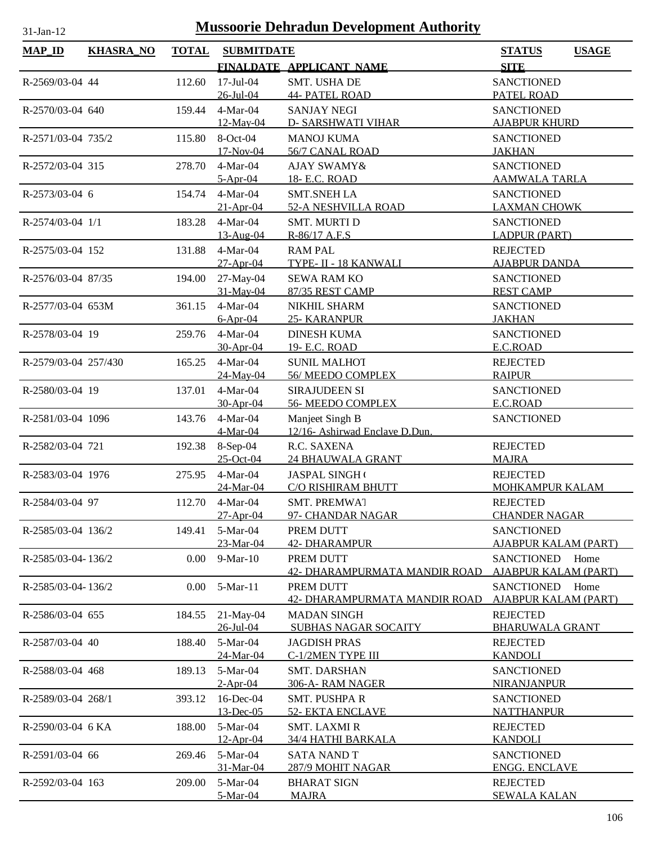| <b>MAP_ID</b>        | <b>KHASRA_NO</b> | <b>TOTAL</b> | <b>SUBMITDATE</b>         |                                                   | <b>STATUS</b><br><b>USAGE</b>            |
|----------------------|------------------|--------------|---------------------------|---------------------------------------------------|------------------------------------------|
|                      |                  |              |                           | FINALDATE APPLICANT NAME                          | <b>SITE</b>                              |
| R-2569/03-04 44      |                  | 112.60       | $17$ -Jul-04              | SMT. USHA DE                                      | <b>SANCTIONED</b>                        |
|                      |                  |              | 26-Jul-04                 | <b>44- PATEL ROAD</b>                             | PATEL ROAD                               |
| R-2570/03-04 640     |                  | 159.44       | 4-Mar-04                  | <b>SANJAY NEGI</b>                                | <b>SANCTIONED</b>                        |
|                      |                  |              | 12-May-04                 | <b>D- SARSHWATI VIHAR</b>                         | <b>AJABPUR KHURD</b>                     |
| R-2571/03-04 735/2   |                  | 115.80       | 8-Oct-04                  | <b>MANOJ KUMA</b>                                 | <b>SANCTIONED</b>                        |
|                      |                  |              | 17-Nov-04                 | 56/7 CANAL ROAD                                   | <b>JAKHAN</b>                            |
| R-2572/03-04 315     |                  | 278.70       | 4-Mar-04                  | AJAY SWAMY&                                       | <b>SANCTIONED</b>                        |
|                      |                  |              | $5-Apr-04$                | 18- E.C. ROAD                                     | <u>AAMWALA TARLA</u>                     |
| R-2573/03-04 6       |                  | 154.74       | $4-Mar-04$<br>$21-Apr-04$ | <b>SMT.SNEH LA</b><br>52-A NESHVILLA ROAD         | <b>SANCTIONED</b><br><b>LAXMAN CHOWK</b> |
| R-2574/03-04 1/1     |                  | 183.28       | 4-Mar-04                  | <b>SMT. MURTI D</b>                               | <b>SANCTIONED</b>                        |
|                      |                  |              | 13-Aug-04                 | R-86/17 A.F.S                                     | <b>LADPUR (PART)</b>                     |
| R-2575/03-04 152     |                  | 131.88       | 4-Mar-04                  | <b>RAM PAL</b>                                    | <b>REJECTED</b>                          |
|                      |                  |              | $27-Apr-04$               | TYPE- II - 18 KANWALI                             | <b>AJABPUR DANDA</b>                     |
| R-2576/03-04 87/35   |                  | 194.00       | 27-May-04                 | <b>SEWA RAM KO</b>                                | <b>SANCTIONED</b>                        |
|                      |                  |              | 31-May-04                 | 87/35 REST CAMP                                   | <b>REST CAMP</b>                         |
| R-2577/03-04 653M    |                  | 361.15       | 4-Mar-04                  | NIKHIL SHARM                                      | <b>SANCTIONED</b>                        |
|                      |                  |              | $6-Apr-04$                | 25- KARANPUR                                      | <b>JAKHAN</b>                            |
| R-2578/03-04 19      |                  | 259.76       | 4-Mar-04                  | <b>DINESH KUMA</b>                                | <b>SANCTIONED</b>                        |
|                      |                  |              | 30-Apr-04                 | 19- E.C. ROAD                                     | E.C.ROAD                                 |
| R-2579/03-04 257/430 |                  | 165.25       | 4-Mar-04                  | <b>SUNIL MALHOT</b>                               | <b>REJECTED</b>                          |
|                      |                  |              | 24-May-04                 | 56/ MEEDO COMPLEX                                 | <b>RAIPUR</b>                            |
| R-2580/03-04 19      |                  | 137.01       | 4-Mar-04                  | SIRAJUDEEN SI                                     | <b>SANCTIONED</b>                        |
|                      |                  |              | 30-Apr-04                 | 56- MEEDO COMPLEX                                 | E.C.ROAD                                 |
| R-2581/03-04 1096    |                  | 143.76       | 4-Mar-04<br>4-Mar-04      | Manjeet Singh B<br>12/16- Ashirwad Enclave D.Dun. | <b>SANCTIONED</b>                        |
| R-2582/03-04 721     |                  |              | 192.38 8-Sep-04           | R.C. SAXENA                                       | <b>REJECTED</b>                          |
|                      |                  |              | 25-Oct-04                 | <b>24 BHAUWALA GRANT</b>                          | <b>MAJRA</b>                             |
| R-2583/03-04 1976    |                  | 275.95       | $4-Mar-04$                | JASPAL SINGH                                      | <b>REJECTED</b>                          |
|                      |                  |              | 24-Mar-04                 | C/O RISHIRAM BHUTT                                | MOHKAMPUR KALAM                          |
| R-2584/03-04 97      |                  | 112.70       | 4-Mar-04                  | SMT. PREMWAT                                      | <b>REJECTED</b>                          |
|                      |                  |              | 27-Apr-04                 | 97- CHANDAR NAGAR                                 | <b>CHANDER NAGAR</b>                     |
| R-2585/03-04 136/2   |                  | 149.41       | 5-Mar-04                  | PREM DUTT                                         | <b>SANCTIONED</b>                        |
|                      |                  |              | 23-Mar-04                 | 42- DHARAMPUR                                     | <b>AJABPUR KALAM (PART)</b>              |
| R-2585/03-04-136/2   |                  | 0.00         | 9-Mar-10                  | PREM DUTT                                         | <b>SANCTIONED</b><br>Home                |
|                      |                  |              |                           | 42- DHARAMPURMATA MANDIR ROAD                     | <b>AJABPUR KALAM (PART)</b>              |
| R-2585/03-04-136/2   |                  | 0.00         | 5-Mar-11                  | PREM DUTT                                         | <b>SANCTIONED</b><br>Home                |
|                      |                  |              |                           | 42- DHARAMPURMATA MANDIR ROAD                     | <b>AJABPUR KALAM (PART)</b>              |
| R-2586/03-04 655     |                  | 184.55       | 21-May-04                 | <b>MADAN SINGH</b>                                | <b>REJECTED</b>                          |
|                      |                  |              | 26-Jul-04                 | <b>SUBHAS NAGAR SOCAITY</b>                       | <b>BHARUWALA GRANT</b>                   |
| R-2587/03-04 40      |                  | 188.40       | 5-Mar-04<br>24-Mar-04     | <b>JAGDISH PRAS</b><br>C-1/2MEN TYPE III          | <b>REJECTED</b><br><b>KANDOLI</b>        |
| R-2588/03-04 468     |                  | 189.13       | 5-Mar-04                  | SMT. DARSHAN                                      | <b>SANCTIONED</b>                        |
|                      |                  |              | $2-Apr-04$                | 306-A-RAM NAGER                                   | <b>NIRANJANPUR</b>                       |
| R-2589/03-04 268/1   |                  | 393.12       | 16-Dec-04                 | <b>SMT. PUSHPA R</b>                              | <b>SANCTIONED</b>                        |
|                      |                  |              | 13-Dec-05                 | 52- EKTA ENCLAVE                                  | <b>NATTHANPUR</b>                        |
| R-2590/03-04 6 KA    |                  | 188.00       | 5-Mar-04                  | <b>SMT. LAXMIR</b>                                | <b>REJECTED</b>                          |
|                      |                  |              | $12-Apr-04$               | 34/4 HATHI BARKALA                                | <b>KANDOLI</b>                           |
| R-2591/03-04 66      |                  | 269.46       | 5-Mar-04                  | <b>SATA NAND T</b>                                | <b>SANCTIONED</b>                        |
|                      |                  |              | 31-Mar-04                 | 287/9 MOHIT NAGAR                                 | <b>ENGG. ENCLAVE</b>                     |
| R-2592/03-04 163     |                  | 209.00       | 5-Mar-04                  | <b>BHARAT SIGN</b>                                | <b>REJECTED</b>                          |
|                      |                  |              | 5-Mar-04                  | <b>MAJRA</b>                                      | <b>SEWALA KALAN</b>                      |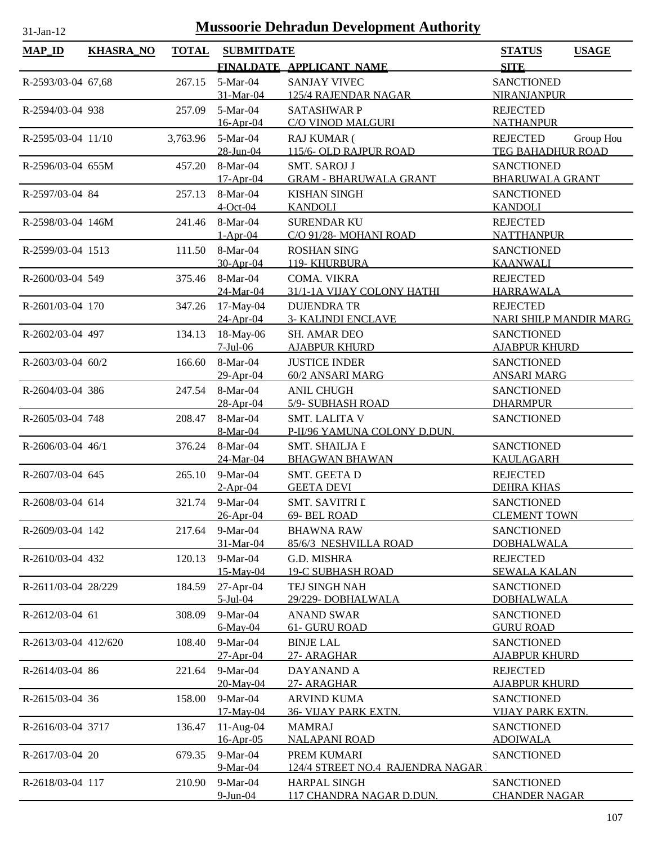| <b>MAP_ID</b>        | <b>KHASRA_NO</b> | <b>TOTAL</b> | <b>SUBMITDATE</b>     |                                            | <b>STATUS</b><br><b>USAGE</b>            |
|----------------------|------------------|--------------|-----------------------|--------------------------------------------|------------------------------------------|
|                      |                  |              |                       | FINALDATE APPLICANT NAME                   | <b>SITE</b>                              |
| R-2593/03-04 67,68   |                  | 267.15       | 5-Mar-04              | <b>SANJAY VIVEC</b>                        | <b>SANCTIONED</b>                        |
|                      |                  |              | 31-Mar-04             | <b>125/4 RAJENDAR NAGAR</b>                | NIRANJANPUR                              |
| R-2594/03-04 938     |                  | 257.09       | 5-Mar-04              | <b>SATASHWARP</b>                          | <b>REJECTED</b>                          |
|                      |                  |              | 16-Apr-04             | C/O VINOD MALGURI                          | <b>NATHANPUR</b>                         |
| R-2595/03-04 11/10   |                  | 3,763.96     | 5-Mar-04              | <b>RAJ KUMAR (</b>                         | Group Hou<br><b>REJECTED</b>             |
|                      |                  |              | 28-Jun-04             | 115/6- OLD RAJPUR ROAD                     | TEG BAHADHUR ROAD                        |
| R-2596/03-04 655M    |                  | 457.20       | 8-Mar-04              | <b>SMT. SAROJ J</b>                        | <b>SANCTIONED</b>                        |
|                      |                  |              | $17-Apr-04$           | <b>GRAM - BHARUWALA GRANT</b>              | <b>BHARUWALA GRANT</b>                   |
| R-2597/03-04 84      |                  | 257.13       | 8-Mar-04              | <b>KISHAN SINGH</b>                        | <b>SANCTIONED</b>                        |
|                      |                  |              | $4$ -Oct-04           | <b>KANDOLI</b>                             | <b>KANDOLI</b>                           |
| R-2598/03-04 146M    |                  | 241.46       | 8-Mar-04              | <b>SURENDAR KU</b>                         | <b>REJECTED</b>                          |
|                      |                  |              | $1-Apr-04$            | C/O 91/28- MOHANI ROAD                     | <b>NATTHANPUR</b>                        |
| R-2599/03-04 1513    |                  | 111.50       | 8-Mar-04              | <b>ROSHAN SING</b>                         | <b>SANCTIONED</b>                        |
|                      |                  |              | 30-Apr-04             | 119- KHURBURA                              | <b>KAANWALI</b>                          |
| R-2600/03-04 549     |                  | 375.46       | 8-Mar-04              | COMA. VIKRA                                | <b>REJECTED</b>                          |
|                      |                  |              | 24-Mar-04             | 31/1-1A VIJAY COLONY HATHI                 | <b>HARRAWALA</b>                         |
| R-2601/03-04 170     |                  | 347.26       | 17-May-04             | <b>DUJENDRA TR</b>                         | <b>REJECTED</b>                          |
|                      |                  |              | 24-Apr-04             | <b>3- KALINDI ENCLAVE</b>                  | <b>NARI SHILP MANDIR MARG</b>            |
| R-2602/03-04 497     |                  | 134.13       | 18-May-06             | SH. AMAR DEO                               | <b>SANCTIONED</b>                        |
|                      |                  |              | $7-Jul-06$            | <b>AJABPUR KHURD</b>                       | <b>AJABPUR KHURD</b>                     |
| R-2603/03-04 60/2    |                  | 166.60       | 8-Mar-04              | <b>JUSTICE INDER</b>                       | <b>SANCTIONED</b>                        |
|                      |                  |              | 29-Apr-04             | 60/2 ANSARI MARG                           | <b>ANSARI MARG</b>                       |
| R-2604/03-04 386     |                  | 247.54       | 8-Mar-04              | <b>ANIL CHUGH</b>                          | <b>SANCTIONED</b>                        |
|                      |                  |              | 28-Apr-04             | 5/9- SUBHASH ROAD                          | <b>DHARMPUR</b>                          |
| R-2605/03-04 748     |                  | 208.47       | 8-Mar-04              | <b>SMT. LALITA V</b>                       | <b>SANCTIONED</b>                        |
|                      |                  |              | 8-Mar-04              | P-II/96 YAMUNA COLONY D.DUN.               |                                          |
| R-2606/03-04 46/1    |                  | 376.24       | 8-Mar-04              | <b>SMT. SHAILJA E</b>                      | <b>SANCTIONED</b>                        |
|                      |                  |              | 24-Mar-04             | <b>BHAGWAN BHAWAN</b>                      | <b>KAULAGARH</b>                         |
| R-2607/03-04 645     |                  | 265.10       | $9-Mar-04$            | SMT. GEETA D                               | <b>REJECTED</b>                          |
|                      |                  |              | $2-Apr-04$            | <b>GEETA DEVI</b>                          | <b>DEHRA KHAS</b>                        |
| R-2608/03-04 614     |                  |              | 321.74 9-Mar-04       | <b>SMT. SAVITRI L</b><br>69- BEL ROAD      | <b>SANCTIONED</b><br><b>CLEMENT TOWN</b> |
|                      |                  |              | 26-Apr-04             |                                            |                                          |
| R-2609/03-04 142     |                  | 217.64       | 9-Mar-04<br>31-Mar-04 | <b>BHAWNA RAW</b><br>85/6/3 NESHVILLA ROAD | <b>SANCTIONED</b><br><b>DOBHALWALA</b>   |
| R-2610/03-04 432     |                  | 120.13       | $9-Mar-04$            | G.D. MISHRA                                | <b>REJECTED</b>                          |
|                      |                  |              | 15-May-04             | <b>19-C SUBHASH ROAD</b>                   | <b>SEWALA KALAN</b>                      |
| R-2611/03-04 28/229  |                  | 184.59       | $27$ -Apr-04          | TEJ SINGH NAH                              | <b>SANCTIONED</b>                        |
|                      |                  |              | $5$ -Jul-04           | 29/229-DOBHALWALA                          | <b>DOBHALWALA</b>                        |
| R-2612/03-04 61      |                  | 308.09       | 9-Mar-04              | <b>ANAND SWAR</b>                          | <b>SANCTIONED</b>                        |
|                      |                  |              | 6-May-04              | 61- GURU ROAD                              | <b>GURU ROAD</b>                         |
| R-2613/03-04 412/620 |                  | 108.40       | 9-Mar-04              | <b>BINJE LAL</b>                           | <b>SANCTIONED</b>                        |
|                      |                  |              | 27-Apr-04             | 27- ARAGHAR                                | <b>AJABPUR KHURD</b>                     |
| R-2614/03-04 86      |                  | 221.64       | 9-Mar-04              | DAYANAND A                                 | <b>REJECTED</b>                          |
|                      |                  |              | 20-May-04             | 27- ARAGHAR                                | <u>AJABPUR KHURD</u>                     |
| R-2615/03-04 36      |                  | 158.00       | 9-Mar-04              | <b>ARVIND KUMA</b>                         | <b>SANCTIONED</b>                        |
|                      |                  |              | 17-May-04             | 36- VIJAY PARK EXTN.                       | <b>VIJAY PARK EXTN</b>                   |
| R-2616/03-04 3717    |                  | 136.47       | $11-Aug-04$           | <b>MAMRAJ</b>                              | <b>SANCTIONED</b>                        |
|                      |                  |              | 16-Apr-05             | <b>NALAPANI ROAD</b>                       | <b>ADOIWALA</b>                          |
| R-2617/03-04 20      |                  | 679.35       | 9-Mar-04              | PREM KUMARI                                | <b>SANCTIONED</b>                        |
|                      |                  |              | 9-Mar-04              | 124/4 STREET NO.4 RAJENDRA NAGAR 1         |                                          |
| R-2618/03-04 117     |                  | 210.90       | 9-Mar-04              | <b>HARPAL SINGH</b>                        | <b>SANCTIONED</b>                        |
|                      |                  |              | 9-Jun-04              | 117 CHANDRA NAGAR D.DUN.                   | <b>CHANDER NAGAR</b>                     |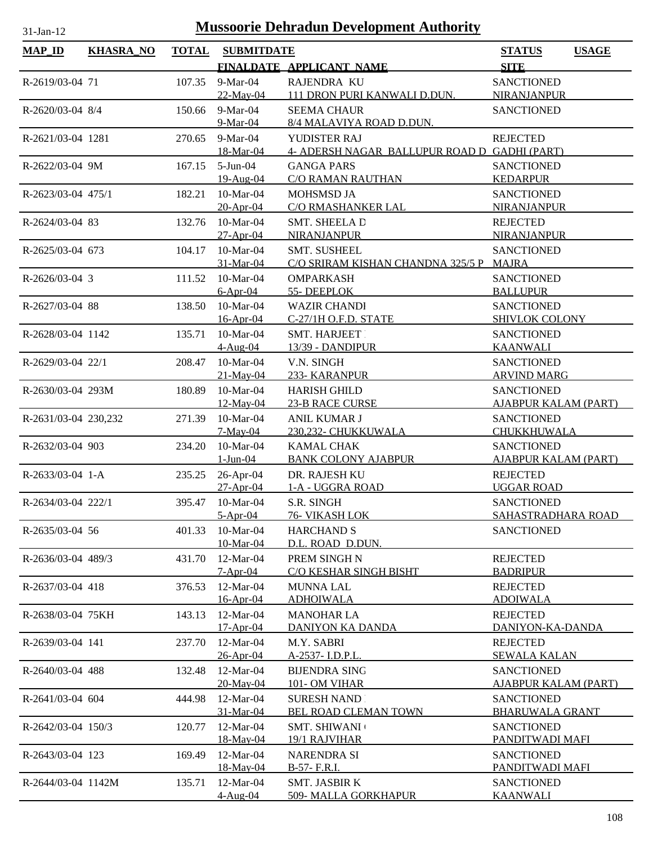| <b>MAP_ID</b>         | <b>KHASRA_NO</b> | <b>TOTAL</b> | <b>SUBMITDATE</b>         |                                                                | <b>STATUS</b>                        | <b>USAGE</b> |
|-----------------------|------------------|--------------|---------------------------|----------------------------------------------------------------|--------------------------------------|--------------|
|                       |                  |              |                           | FINALDATE APPLICANT NAME                                       | <b>SITE</b>                          |              |
| R-2619/03-04 71       |                  | 107.35       | 9-Mar-04                  | RAJENDRA KU                                                    | <b>SANCTIONED</b>                    |              |
|                       |                  |              | $22-May-04$               | 111 DRON PURI KANWALI D.DUN.                                   | NIRANJANPUR                          |              |
| R-2620/03-04 8/4      |                  | 150.66       | 9-Mar-04                  | <b>SEEMA CHAUR</b>                                             | <b>SANCTIONED</b>                    |              |
|                       |                  |              | 9-Mar-04                  | 8/4 MALAVIYA ROAD D.DUN.                                       |                                      |              |
| R-2621/03-04 1281     |                  | 270.65       | 9-Mar-04                  | YUDISTER RAJ                                                   | <b>REJECTED</b>                      |              |
|                       |                  |              | 18-Mar-04                 | 4- ADERSH NAGAR BALLUPUR ROAD D GADHI (PART)                   |                                      |              |
| R-2622/03-04 9M       |                  | 167.15       | $5-Jun-04$                | <b>GANGA PARS</b>                                              | <b>SANCTIONED</b>                    |              |
|                       |                  |              | 19-Aug-04                 | <b>C/O RAMAN RAUTHAN</b>                                       | <b>KEDARPUR</b>                      |              |
| R-2623/03-04 475/1    |                  | 182.21       | 10-Mar-04                 | <b>MOHSMSD JA</b>                                              | <b>SANCTIONED</b>                    |              |
|                       |                  |              | 20-Apr-04                 | C/O RMASHANKER LAL                                             | <b>NIRANJANPUR</b>                   |              |
| R-2624/03-04 83       |                  | 132.76       | 10-Mar-04                 | SMT. SHEELA D                                                  | <b>REJECTED</b>                      |              |
|                       |                  |              | $27-Apr-04$               | <b>NIRANJANPUR</b>                                             | NIRANJANPUR                          |              |
| R-2625/03-04 673      |                  | 104.17       | 10-Mar-04<br>31-Mar-04    | <b>SMT. SUSHEEL</b><br>C/O SRIRAM KISHAN CHANDNA 325/5 P MAJRA | <b>SANCTIONED</b>                    |              |
|                       |                  |              | $10-Mar-04$               | <b>OMPARKASH</b>                                               |                                      |              |
| $R-2626/03-04$ 3      |                  | 111.52       | $6-Apr-04$                | 55-DEEPLOK                                                     | <b>SANCTIONED</b><br><b>BALLUPUR</b> |              |
| R-2627/03-04 88       |                  | 138.50       | 10-Mar-04                 | <b>WAZIR CHANDI</b>                                            | <b>SANCTIONED</b>                    |              |
|                       |                  |              | 16-Apr-04                 | C-27/1H O.F.D. STATE                                           | <b>SHIVLOK COLONY</b>                |              |
| R-2628/03-04 1142     |                  | 135.71       | 10-Mar-04                 | <b>SMT. HARJEET</b>                                            | <b>SANCTIONED</b>                    |              |
|                       |                  |              | $4-Aug-04$                | 13/39 - DANDIPUR                                               | <b>KAANWALI</b>                      |              |
| R-2629/03-04 22/1     |                  | 208.47       | 10-Mar-04                 | V.N. SINGH                                                     | <b>SANCTIONED</b>                    |              |
|                       |                  |              | 21-May-04                 | 233- KARANPUR                                                  | <b>ARVIND MARG</b>                   |              |
| R-2630/03-04 293M     |                  | 180.89       | 10-Mar-04                 | <b>HARISH GHILD</b>                                            | <b>SANCTIONED</b>                    |              |
|                       |                  |              | $12$ -May-04              | <b>23-B RACE CURSE</b>                                         | <b>AJABPUR KALAM (PART)</b>          |              |
| R-2631/03-04 230,232  |                  | 271.39       | 10-Mar-04                 | ANIL KUMAR J                                                   | <b>SANCTIONED</b>                    |              |
|                       |                  |              | $7-May-04$                | 230,232- CHUKKUWALA                                            | CHUKKHUWALA                          |              |
| R-2632/03-04 903      |                  | 234.20       | 10-Mar-04                 | <b>KAMAL CHAK</b>                                              | <b>SANCTIONED</b>                    |              |
|                       |                  |              | $1-Jun-04$                | <b>BANK COLONY AJABPUR</b>                                     | <b>AJABPUR KALAM (PART)</b>          |              |
| $R-2633/03-04$ 1-A    |                  | 235.25       | 26-Apr-04                 | DR. RAJESH KU                                                  | <b>REJECTED</b>                      |              |
|                       |                  |              | $27-Apr-04$               | 1-A - UGGRA ROAD                                               | <b>UGGAR ROAD</b>                    |              |
| R-2634/03-04 222/1    |                  |              | 395.47 10-Mar-04          | S.R. SINGH                                                     | <b>SANCTIONED</b>                    |              |
|                       |                  |              | $5-Apr-04$                | 76- VIKASH LOK                                                 | SAHASTRADHARA ROAD                   |              |
| $R - 2635/03 - 04$ 56 |                  | 401.33       | $10-Mar-04$               | <b>HARCHAND S</b>                                              | <b>SANCTIONED</b>                    |              |
|                       |                  |              | 10-Mar-04                 | D.L. ROAD D.DUN.                                               |                                      |              |
| R-2636/03-04 489/3    |                  | 431.70       | $12-Mar-04$<br>$7-Apr-04$ | PREM SINGH N<br>C/O KESHAR SINGH BISHT                         | <b>REJECTED</b><br><b>BADRIPUR</b>   |              |
| R-2637/03-04 418      |                  |              | 12-Mar-04                 | <b>MUNNA LAL</b>                                               | <b>REJECTED</b>                      |              |
|                       |                  | 376.53       | 16-Apr-04                 | <b>ADHOIWALA</b>                                               | <b>ADOIWALA</b>                      |              |
| R-2638/03-04 75KH     |                  | 143.13       | $12-Mar-04$               | <b>MANOHAR LA</b>                                              | <b>REJECTED</b>                      |              |
|                       |                  |              | 17-Apr-04                 | <b>DANIYON KA DANDA</b>                                        | DANIYON-KA-DANDA                     |              |
| R-2639/03-04 141      |                  | 237.70       | 12-Mar-04                 | M.Y. SABRI                                                     | <b>REJECTED</b>                      |              |
|                       |                  |              | 26-Apr-04                 | A-2537- I.D.P.L.                                               | <b>SEWALA KALAN</b>                  |              |
| R-2640/03-04 488      |                  | 132.48       | 12-Mar-04                 | <b>BIJENDRA SING</b>                                           | <b>SANCTIONED</b>                    |              |
|                       |                  |              | 20-May-04                 | <b>101- OM VIHAR</b>                                           | <b>AJABPUR KALAM (PART)</b>          |              |
| R-2641/03-04 604      |                  | 444.98       | 12-Mar-04                 | <b>SURESH NAND</b>                                             | <b>SANCTIONED</b>                    |              |
|                       |                  |              | 31-Mar-04                 | BEL ROAD CLEMAN TOWN                                           | <b>BHARUWALA GRANT</b>               |              |
| R-2642/03-04 150/3    |                  | 120.77       | 12-Mar-04                 | <b>SMT. SHIWANI</b>                                            | <b>SANCTIONED</b>                    |              |
|                       |                  |              | 18-May-04                 | 19/1 RAJVIHAR                                                  | PANDITWADI MAFI                      |              |
| R-2643/03-04 123      |                  | 169.49       | 12-Mar-04                 | <b>NARENDRA SI</b>                                             | <b>SANCTIONED</b>                    |              |
|                       |                  |              | 18-May-04                 | B-57- F.R.I.                                                   | PANDITWADI MAFI                      |              |
| R-2644/03-04 1142M    |                  | 135.71       | $12-Mar-04$               | <b>SMT. JASBIR K</b>                                           | <b>SANCTIONED</b>                    |              |
|                       |                  |              | $4-Aug-04$                | 509- MALLA GORKHAPUR                                           | <b>KAANWALI</b>                      |              |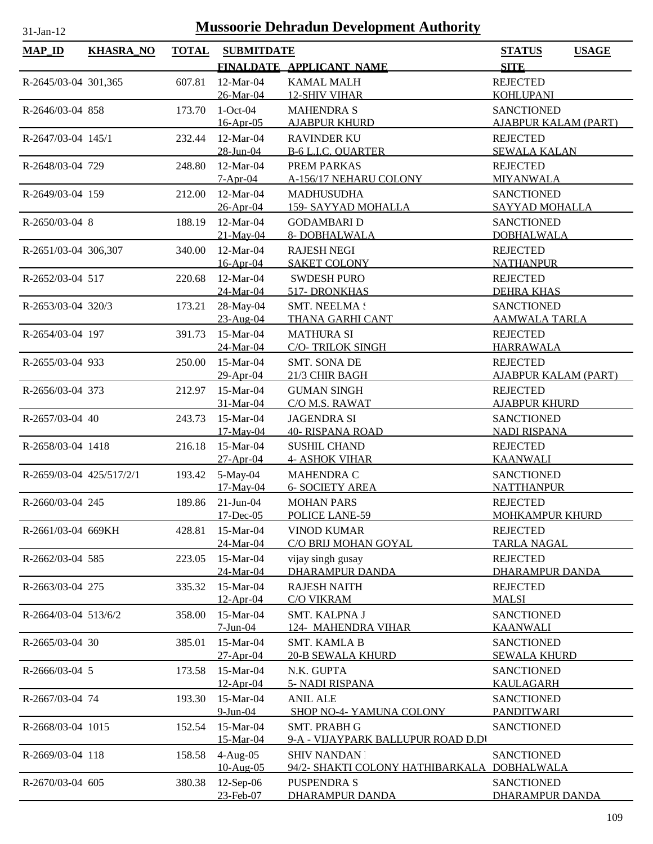| <b>MAP_ID</b>            | <b>KHASRA_NO</b> | <b>TOTAL</b> | <b>SUBMITDATE</b>      |                                             | <b>STATUS</b><br><b>USAGE</b>             |
|--------------------------|------------------|--------------|------------------------|---------------------------------------------|-------------------------------------------|
|                          |                  |              |                        | FINALDATE APPLICANT NAME                    | <b>SITE</b>                               |
| R-2645/03-04 301,365     |                  | 607.81       | 12-Mar-04              | <b>KAMAL MALH</b>                           | <b>REJECTED</b>                           |
|                          |                  |              | 26-Mar-04              | <b>12-SHIV VIHAR</b>                        | <b>KOHLUPANI</b>                          |
| R-2646/03-04 858         |                  | 173.70       | $1-Oct-04$             | <b>MAHENDRA S</b>                           | <b>SANCTIONED</b>                         |
|                          |                  |              | 16-Apr-05              | <b>AJABPUR KHURD</b>                        | <b>AJABPUR KALAM (PART)</b>               |
| R-2647/03-04 145/1       |                  | 232.44       | 12-Mar-04              | <b>RAVINDER KU</b>                          | <b>REJECTED</b>                           |
|                          |                  |              | 28-Jun-04              | <b>B-6 L.I.C. QUARTER</b>                   | <b>SEWALA KALAN</b>                       |
| R-2648/03-04 729         |                  | 248.80       | 12-Mar-04              | PREM PARKAS                                 | <b>REJECTED</b>                           |
|                          |                  |              | $7-Apr-04$             | A-156/17 NEHARU COLONY                      | <b>MIYANWALA</b>                          |
| R-2649/03-04 159         |                  | 212.00       | 12-Mar-04              | <b>MADHUSUDHA</b>                           | <b>SANCTIONED</b>                         |
|                          |                  |              | 26-Apr-04              | 159- SAYYAD MOHALLA                         | SAYYAD MOHALLA                            |
| R-2650/03-04 8           |                  | 188.19       | 12-Mar-04              | <b>GODAMBARI D</b>                          | <b>SANCTIONED</b>                         |
|                          |                  |              | 21-May-04              | 8- DOBHALWALA                               | <b>DOBHALWALA</b>                         |
| R-2651/03-04 306,307     |                  | 340.00       | 12-Mar-04              | <b>RAJESH NEGI</b>                          | <b>REJECTED</b>                           |
|                          |                  |              | 16-Apr-04              | <b>SAKET COLONY</b>                         | <b>NATHANPUR</b>                          |
| R-2652/03-04 517         |                  | 220.68       | 12-Mar-04              | <b>SWDESH PURO</b>                          | <b>REJECTED</b>                           |
|                          |                  |              | 24-Mar-04              | 517- DRONKHAS                               | <b>DEHRA KHAS</b>                         |
| R-2653/03-04 320/3       |                  | 173.21       | 28-May-04<br>23-Aug-04 | <b>SMT. NEELMA!</b><br>THANA GARHI CANT     | <b>SANCTIONED</b><br><b>AAMWALA TARLA</b> |
| R-2654/03-04 197         |                  | 391.73       | 15-Mar-04              | <b>MATHURA SI</b>                           | <b>REJECTED</b>                           |
|                          |                  |              | 24-Mar-04              | <b>C/O-TRILOK SINGH</b>                     | <b>HARRAWALA</b>                          |
| R-2655/03-04 933         |                  | 250.00       | 15-Mar-04              | SMT. SONA DE                                | <b>REJECTED</b>                           |
|                          |                  |              | 29-Apr-04              | 21/3 CHIR BAGH                              | <b>AJABPUR KALAM (PART)</b>               |
| R-2656/03-04 373         |                  | 212.97       | 15-Mar-04              | <b>GUMAN SINGH</b>                          | <b>REJECTED</b>                           |
|                          |                  |              | 31-Mar-04              | C/O M.S. RAWAT                              | <b>AJABPUR KHURD</b>                      |
| R-2657/03-04 40          |                  | 243.73       | 15-Mar-04              | <b>JAGENDRA SI</b>                          | <b>SANCTIONED</b>                         |
|                          |                  |              | 17-May-04              | <b>40- RISPANA ROAD</b>                     | <b>NADI RISPANA</b>                       |
| R-2658/03-04 1418        |                  | 216.18       | 15-Mar-04              | <b>SUSHIL CHAND</b>                         | <b>REJECTED</b>                           |
|                          |                  |              | $27 - Apr - 04$        | <b>4- ASHOK VIHAR</b>                       | <b>KAANWALI</b>                           |
| R-2659/03-04 425/517/2/1 |                  | 193.42       | 5-May-04               | MAHENDRA C                                  | <b>SANCTIONED</b>                         |
|                          |                  |              | 17-May-04              | <b>6- SOCIETY AREA</b>                      | <b>NATTHANPUR</b>                         |
| R-2660/03-04 245         |                  | 189.86       | $21$ -Jun-04           | <b>MOHAN PARS</b>                           | <b>REJECTED</b>                           |
|                          |                  |              | 17-Dec-05              | POLICE LANE-59                              | MOHKAMPUR KHURD                           |
| R-2661/03-04 669KH       |                  | 428.81       | $15-Mar-04$            | <b>VINOD KUMAR</b>                          | <b>REJECTED</b>                           |
|                          |                  |              | 24-Mar-04              | C/O BRIJ MOHAN GOYAL                        | <b>TARLA NAGAL</b>                        |
| R-2662/03-04 585         |                  | 223.05       | 15-Mar-04<br>24-Mar-04 | vijay singh gusay<br><b>DHARAMPUR DANDA</b> | <b>REJECTED</b><br><b>DHARAMPUR DANDA</b> |
| R-2663/03-04 275         |                  | 335.32       | 15-Mar-04              | <b>RAJESH NAITH</b>                         | <b>REJECTED</b>                           |
|                          |                  |              | 12-Apr-04              | <b>C/O VIKRAM</b>                           | <b>MALSI</b>                              |
| R-2664/03-04 513/6/2     |                  | 358.00       | 15-Mar-04              | SMT. KALPNA J                               | <b>SANCTIONED</b>                         |
|                          |                  |              | $7-Jun-04$             | 124- MAHENDRA VIHAR                         | <b>KAANWALI</b>                           |
| R-2665/03-04 30          |                  | 385.01       | 15-Mar-04              | <b>SMT. KAMLA B</b>                         | <b>SANCTIONED</b>                         |
|                          |                  |              | 27-Apr-04              | <b>20-B SEWALA KHURD</b>                    | <b>SEWALA KHURD</b>                       |
| R-2666/03-04 5           |                  | 173.58       | 15-Mar-04              | N.K. GUPTA                                  | <b>SANCTIONED</b>                         |
|                          |                  |              | 12-Apr-04              | 5- NADI RISPANA                             | <b>KAULAGARH</b>                          |
| R-2667/03-04 74          |                  | 193.30       | 15-Mar-04              | <b>ANIL ALE</b>                             | <b>SANCTIONED</b>                         |
|                          |                  |              | $9$ -Jun-04            | SHOP NO-4- YAMUNA COLONY                    | <b>PANDITWARI</b>                         |
| R-2668/03-04 1015        |                  | 152.54       | 15-Mar-04              | SMT. PRABH G                                | <b>SANCTIONED</b>                         |
|                          |                  |              | 15-Mar-04              | 9-A - VIJAYPARK BALLUPUR ROAD D.DI          |                                           |
| R-2669/03-04 118         |                  | 158.58       | $4-Aug-05$             | <b>SHIV NANDAN</b>                          | <b>SANCTIONED</b>                         |
|                          |                  |              | 10-Aug-05              | 94/2- SHAKTI COLONY HATHIBARKALA            | <b>DOBHALWALA</b>                         |
| R-2670/03-04 605         |                  | 380.38       | 12-Sep-06              | <b>PUSPENDRA S</b>                          | <b>SANCTIONED</b>                         |
|                          |                  |              | 23-Feb-07              | DHARAMPUR DANDA                             | DHARAMPUR DANDA                           |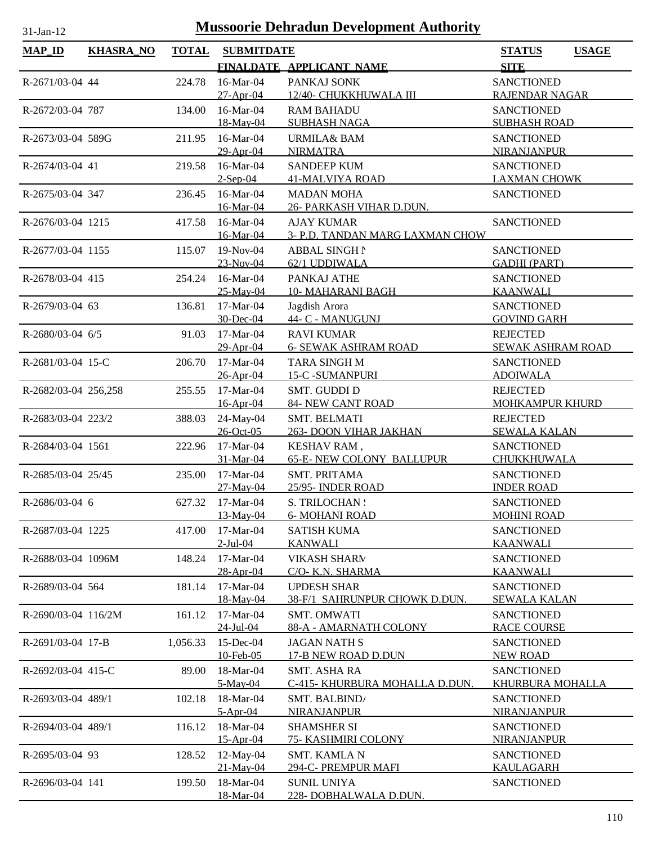| $-Jan-12$ |  |
|-----------|--|

| $MAP$ ID             | <b>KHASRA_NO</b> | <b>TOTAL</b> | <b>SUBMITDATE</b>      |                                                      | <b>STATUS</b><br><b>USAGE</b>        |
|----------------------|------------------|--------------|------------------------|------------------------------------------------------|--------------------------------------|
|                      |                  |              |                        | FINALDATE APPLICANT NAME                             | <b>SITE</b>                          |
| R-2671/03-04 44      |                  | 224.78       | 16-Mar-04              | PANKAJ SONK                                          | <b>SANCTIONED</b>                    |
|                      |                  |              | $27-Apr-04$            | 12/40- CHUKKHUWALA III                               | RAJENDAR NAGAR                       |
| R-2672/03-04 787     |                  | 134.00       | 16-Mar-04              | <b>RAM BAHADU</b>                                    | <b>SANCTIONED</b>                    |
|                      |                  |              | 18-May-04              | <b>SUBHASH NAGA</b>                                  | <b>SUBHASH ROAD</b>                  |
| R-2673/03-04 589G    |                  | 211.95       | 16-Mar-04              | URMILA& BAM                                          | <b>SANCTIONED</b>                    |
|                      |                  |              | 29-Apr-04              | <b>NIRMATRA</b>                                      | <b>NIRANJANPUR</b>                   |
| R-2674/03-04 41      |                  | 219.58       | 16-Mar-04              | <b>SANDEEP KUM</b>                                   | <b>SANCTIONED</b>                    |
|                      |                  |              | $2$ -Sep-04            | <b>41-MALVIYA ROAD</b>                               | <b>LAXMAN CHOWK</b>                  |
| R-2675/03-04 347     |                  | 236.45       | 16-Mar-04              | <b>MADAN MOHA</b>                                    | <b>SANCTIONED</b>                    |
|                      |                  |              | 16-Mar-04              | 26- PARKASH VIHAR D.DUN.                             |                                      |
| R-2676/03-04 1215    |                  | 417.58       | 16-Mar-04<br>16-Mar-04 | <b>AJAY KUMAR</b><br>3- P.D. TANDAN MARG LAXMAN CHOW | <b>SANCTIONED</b>                    |
| R-2677/03-04 1155    |                  | 115.07       | 19-Nov-04              | <b>ABBAL SINGH N</b>                                 | <b>SANCTIONED</b>                    |
|                      |                  |              | 23-Nov-04              | 62/1 UDDIWALA                                        | <b>GADHI (PART)</b>                  |
| R-2678/03-04 415     |                  | 254.24       | 16-Mar-04              | PANKAJ ATHE                                          | <b>SANCTIONED</b>                    |
|                      |                  |              | 25-May-04              | <b>10- MAHARANI BAGH</b>                             | <b>KAANWALI</b>                      |
| R-2679/03-04 63      |                  | 136.81       | 17-Mar-04              | Jagdish Arora                                        | <b>SANCTIONED</b>                    |
|                      |                  |              | 30-Dec-04              | 44- C - MANUGUNJ                                     | <b>GOVIND GARH</b>                   |
| R-2680/03-04 6/5     |                  | 91.03        | 17-Mar-04              | <b>RAVI KUMAR</b>                                    | <b>REJECTED</b>                      |
|                      |                  |              | 29-Apr-04              | <b>6- SEWAK ASHRAM ROAD</b>                          | SEWAK ASHRAM ROAD                    |
| R-2681/03-04 15-C    |                  | 206.70       | 17-Mar-04              | TARA SINGH M                                         | <b>SANCTIONED</b>                    |
|                      |                  |              | 26-Apr-04              | <b>15-C -SUMANPURI</b>                               | <b>ADOIWALA</b>                      |
| R-2682/03-04 256,258 |                  | 255.55       | 17-Mar-04              | <b>SMT. GUDDI D</b>                                  | <b>REJECTED</b>                      |
|                      |                  |              | 16-Apr-04              | <b>84- NEW CANT ROAD</b>                             | <b>MOHKAMPUR KHURD</b>               |
| R-2683/03-04 223/2   |                  | 388.03       | 24-May-04              | <b>SMT. BELMATI</b>                                  | <b>REJECTED</b>                      |
|                      |                  |              | 26-Oct-05<br>17-Mar-04 | 263- DOON VIHAR JAKHAN                               | <b>SEWALA KALAN</b>                  |
| R-2684/03-04 1561    |                  | 222.96       | 31-Mar-04              | KESHAV RAM,<br><b>65-E- NEW COLONY BALLUPUR</b>      | <b>SANCTIONED</b><br>CHUKKHUWALA     |
| R-2685/03-04 25/45   |                  | 235.00       | 17-Mar-04              | <b>SMT. PRITAMA</b>                                  | <b>SANCTIONED</b>                    |
|                      |                  |              | 27-May-04              | 25/95- INDER ROAD                                    | <b>INDER ROAD</b>                    |
| R-2686/03-04 6       |                  | 627.32       | 17-Mar-04              | S. TRILOCHAN :                                       | <b>SANCTIONED</b>                    |
|                      |                  |              | 13-May-04              | <b>6- MOHANI ROAD</b>                                | <b>MOHINI ROAD</b>                   |
| R-2687/03-04 1225    |                  | 417.00       | $17-Mar-04$            | <b>SATISH KUMA</b>                                   | <b>SANCTIONED</b>                    |
|                      |                  |              | $2$ -Jul-04            | <b>KANWALI</b>                                       | <b>KAANWALI</b>                      |
| R-2688/03-04 1096M   |                  | 148.24       | $17-Mar-04$            | <b>VIKASH SHARM</b>                                  | <b>SANCTIONED</b>                    |
|                      |                  |              | 28-Apr-04              | C/O- K.N. SHARMA                                     | <b>KAANWALI</b>                      |
| R-2689/03-04 564     |                  | 181.14       | 17-Mar-04              | <b>UPDESH SHAR</b>                                   | <b>SANCTIONED</b>                    |
|                      |                  |              | 18-May-04              | 38-F/1 SAHRUNPUR CHOWK D.DUN.                        | <b>SEWALA KALAN</b>                  |
| R-2690/03-04 116/2M  |                  | 161.12       | 17-Mar-04              | SMT. OMWATI                                          | <b>SANCTIONED</b>                    |
|                      |                  |              | 24-Jul-04              | 88-A - AMARNATH COLONY                               | <b>RACE COURSE</b>                   |
| R-2691/03-04 17-B    |                  | 1,056.33     | 15-Dec-04<br>10-Feb-05 | <b>JAGAN NATH S</b><br>17-B NEW ROAD D.DUN           | <b>SANCTIONED</b><br><b>NEW ROAD</b> |
| R-2692/03-04 415-C   |                  | 89.00        | 18-Mar-04              | <b>SMT. ASHA RA</b>                                  | <b>SANCTIONED</b>                    |
|                      |                  |              | 5-May-04               | <u>C-415- KHURBURA MOHALLA D.DUN.</u>                | <b>KHURBURA MOHALLA</b>              |
| R-2693/03-04 489/1   |                  | 102.18       | 18-Mar-04              | SMT. BALBIND/                                        | <b>SANCTIONED</b>                    |
|                      |                  |              | $5-Apr-04$             | <b>NIRANJANPUR</b>                                   | <b>NIRANJANPUR</b>                   |
| R-2694/03-04 489/1   |                  | 116.12       | 18-Mar-04              | <b>SHAMSHER SI</b>                                   | <b>SANCTIONED</b>                    |
|                      |                  |              | 15-Apr-04              | <b>75- KASHMIRI COLONY</b>                           | <b>NIRANJANPUR</b>                   |
| R-2695/03-04 93      |                  | 128.52       | 12-May-04              | <b>SMT. KAMLAN</b>                                   | <b>SANCTIONED</b>                    |
|                      |                  |              | 21-May-04              | 294-C- PREMPUR MAFI                                  | <b>KAULAGARH</b>                     |
| R-2696/03-04 141     |                  | 199.50       | 18-Mar-04              | <b>SUNIL UNIYA</b>                                   | <b>SANCTIONED</b>                    |
|                      |                  |              | 18-Mar-04              | 228- DOBHALWALA D.DUN.                               |                                      |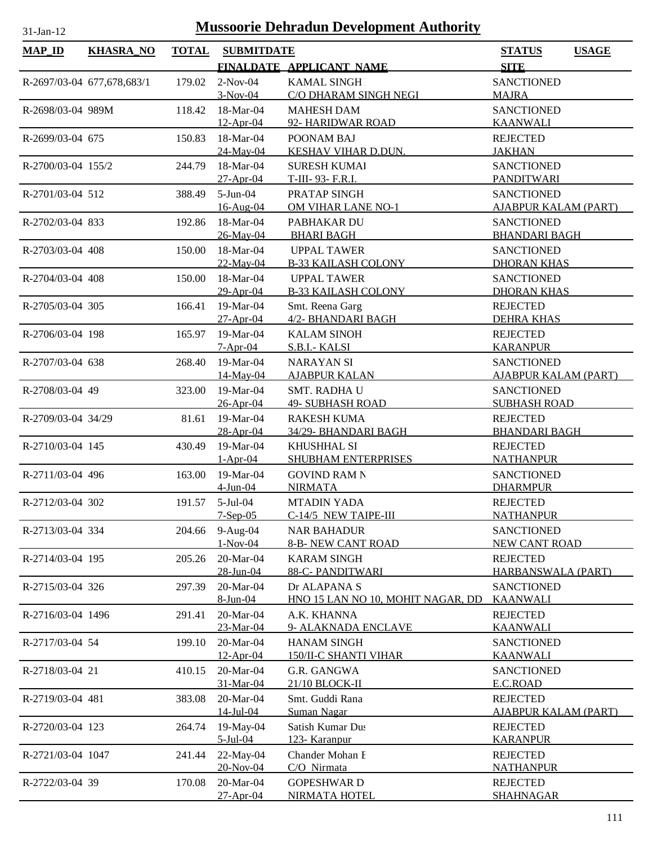| <b>MAP_ID</b>      | <b>KHASRA_NO</b>           | <b>TOTAL</b> | <b>SUBMITDATE</b>        |                                                | <b>STATUS</b><br><b>USAGE</b>            |
|--------------------|----------------------------|--------------|--------------------------|------------------------------------------------|------------------------------------------|
|                    |                            |              |                          | FINALDATE APPLICANT NAME                       | <b>SITE</b>                              |
|                    | R-2697/03-04 677,678,683/1 | 179.02       | $2-Nov-04$               | <b>KAMAL SINGH</b>                             | <b>SANCTIONED</b>                        |
|                    |                            |              | $3-Nov-04$               | C/O DHARAM SINGH NEGI                          | <b>MAJRA</b>                             |
| R-2698/03-04 989M  |                            | 118.42       | 18-Mar-04                | <b>MAHESH DAM</b>                              | <b>SANCTIONED</b>                        |
|                    |                            |              | $12-Apr-04$              | 92- HARIDWAR ROAD                              | <b>KAANWALI</b>                          |
| R-2699/03-04 675   |                            | 150.83       | 18-Mar-04                | POONAM BAJ                                     | <b>REJECTED</b>                          |
|                    |                            |              | 24-May-04                | KESHAV VIHAR D.DUN.                            | <b>JAKHAN</b>                            |
| R-2700/03-04 155/2 |                            | 244.79       | 18-Mar-04                | <b>SURESH KUMAI</b>                            | <b>SANCTIONED</b>                        |
|                    |                            |              | $27 - Apr - 04$          | T-III-93- F.R.I.                               | <b>PANDITWARI</b>                        |
| R-2701/03-04 512   |                            | 388.49       | $5-Jun-04$               | PRATAP SINGH                                   | <b>SANCTIONED</b>                        |
|                    |                            |              | 16-Aug-04                | OM VIHAR LANE NO-1                             | <b>AJABPUR KALAM (PART)</b>              |
| R-2702/03-04 833   |                            | 192.86       | 18-Mar-04                | PABHAKAR DU                                    | <b>SANCTIONED</b>                        |
|                    |                            |              | 26-May-04                | <b>BHARI BAGH</b>                              | <b>BHANDARI BAGH</b>                     |
| R-2703/03-04 408   |                            | 150.00       | 18-Mar-04                | <b>UPPAL TAWER</b>                             | <b>SANCTIONED</b>                        |
|                    |                            |              | 22-May-04                | <b>B-33 KAILASH COLONY</b>                     | <b>DHORAN KHAS</b>                       |
| R-2704/03-04 408   |                            | 150.00       | 18-Mar-04                | <b>UPPAL TAWER</b>                             | <b>SANCTIONED</b>                        |
|                    |                            |              | 29-Apr-04                | <b>B-33 KAILASH COLONY</b>                     | <b>DHORAN KHAS</b>                       |
| R-2705/03-04 305   |                            | 166.41       | 19-Mar-04                | Smt. Reena Garg                                | <b>REJECTED</b>                          |
|                    |                            |              | $27-Apr-04$              | 4/2- BHANDARI BAGH                             | <b>DEHRA KHAS</b>                        |
| R-2706/03-04 198   |                            | 165.97       | 19-Mar-04                | <b>KALAM SINOH</b>                             | <b>REJECTED</b>                          |
|                    |                            |              | $7-Apr-04$               | S.B.I.- KALSI                                  | <b>KARANPUR</b>                          |
| R-2707/03-04 638   |                            | 268.40       | 19-Mar-04                | <b>NARAYAN SI</b>                              | <b>SANCTIONED</b>                        |
|                    |                            |              | 14-May-04                | <b>AJABPUR KALAN</b>                           | <b>AJABPUR KALAM (PART)</b>              |
| R-2708/03-04 49    |                            | 323.00       | 19-Mar-04<br>26-Apr-04   | <b>SMT. RADHA U</b><br><b>49- SUBHASH ROAD</b> | <b>SANCTIONED</b><br><b>SUBHASH ROAD</b> |
| R-2709/03-04 34/29 |                            | 81.61        | 19-Mar-04                | <b>RAKESH KUMA</b>                             | <b>REJECTED</b>                          |
|                    |                            |              | 28-Apr-04                | 34/29- BHANDARI BAGH                           | <b>BHANDARI BAGH</b>                     |
| R-2710/03-04 145   |                            | 430.49       | 19-Mar-04                | <b>KHUSHHAL SI</b>                             | <b>REJECTED</b>                          |
|                    |                            |              | $1-Apr-04$               | SHUBHAM ENTERPRISES                            | <b>NATHANPUR</b>                         |
| R-2711/03-04 496   |                            | 163.00       | 19-Mar-04                | <b>GOVIND RAM N</b>                            | <b>SANCTIONED</b>                        |
|                    |                            |              | $4$ -Jun-04              | <b>NIRMATA</b>                                 | <b>DHARMPUR</b>                          |
| R-2712/03-04 302   |                            | 191.57       | 5-Jul-04                 | <b>MTADIN YADA</b>                             | <b>REJECTED</b>                          |
|                    |                            |              | $7-Sep-05$               | C-14/5 NEW TAIPE-III                           | <b>NATHANPUR</b>                         |
| R-2713/03-04 334   |                            | 204.66       | 9-Aug-04                 | <b>NAR BAHADUR</b>                             | <b>SANCTIONED</b>                        |
|                    |                            |              | $1-Nov-04$               | <b>8-B- NEW CANT ROAD</b>                      | <b>NEW CANT ROAD</b>                     |
| R-2714/03-04 195   |                            | 205.26       | 20-Mar-04                | <b>KARAM SINGH</b>                             | <b>REJECTED</b>                          |
|                    |                            |              | 28-Jun-04                | 88-C-PANDITWARI                                | HARBANSWALA (PART)                       |
| R-2715/03-04 326   |                            | 297.39       | 20-Mar-04                | Dr ALAPANA S                                   | <b>SANCTIONED</b>                        |
|                    |                            |              | 8-Jun-04                 | HNO 15 LAN NO 10, MOHIT NAGAR, DD              | <b>KAANWALI</b>                          |
| R-2716/03-04 1496  |                            | 291.41       | 20-Mar-04                | A.K. KHANNA                                    | <b>REJECTED</b>                          |
|                    |                            |              | 23-Mar-04                | 9- ALAKNADA ENCLAVE                            | <b>KAANWALI</b>                          |
| R-2717/03-04 54    |                            | 199.10       | 20-Mar-04                | <b>HANAM SINGH</b>                             | <b>SANCTIONED</b>                        |
|                    |                            |              | 12-Apr-04                | <b>150/II-C SHANTI VIHAR</b>                   | <b>KAANWALI</b>                          |
| R-2718/03-04 21    |                            | 410.15       | 20-Mar-04                | G.R. GANGWA                                    | <b>SANCTIONED</b>                        |
|                    |                            |              | 31-Mar-04                | 21/10 BLOCK-II                                 | <u>E.C.ROAD</u>                          |
| R-2719/03-04 481   |                            | 383.08       | 20-Mar-04                | Smt. Guddi Rana                                | <b>REJECTED</b>                          |
|                    |                            |              | $14$ -Jul-04             | Suman Nagar                                    | <b>AJABPUR KALAM (PART)</b>              |
| R-2720/03-04 123   |                            | 264.74       | 19-May-04<br>$5$ -Jul-04 | Satish Kumar Dus                               | <b>REJECTED</b>                          |
|                    |                            |              |                          | 123- Karanpur<br>Chander Mohan I               | <b>KARANPUR</b>                          |
| R-2721/03-04 1047  |                            | 241.44       | 22-May-04<br>20-Nov-04   | C/O Nirmata                                    | <b>REJECTED</b><br><b>NATHANPUR</b>      |
| R-2722/03-04 39    |                            | 170.08       | 20-Mar-04                | <b>GOPESHWARD</b>                              | <b>REJECTED</b>                          |
|                    |                            |              | $27 - Apr - 04$          | NIRMATA HOTEL                                  | <b>SHAHNAGAR</b>                         |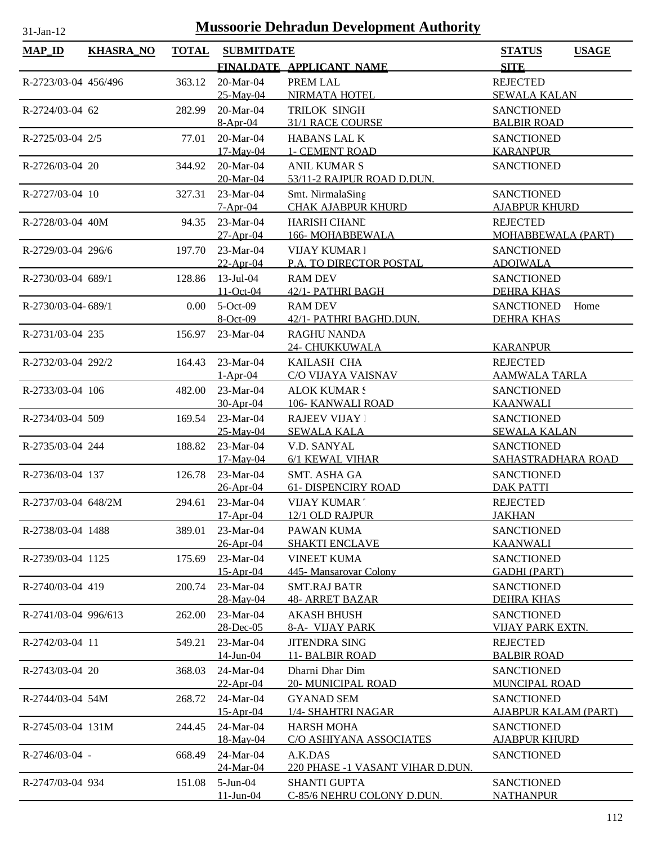| MAP_ID               | <b>KHASRA_NO</b> | <b>TOTAL</b> | <b>SUBMITDATE</b> |                                  | <b>USAGE</b><br><b>STATUS</b> |
|----------------------|------------------|--------------|-------------------|----------------------------------|-------------------------------|
|                      |                  |              |                   | FINALDATE APPLICANT NAME         | <b>SITE</b>                   |
| R-2723/03-04 456/496 |                  | 363.12       | 20-Mar-04         | PREM LAL                         | <b>REJECTED</b>               |
|                      |                  |              | 25-May-04         | NIRMATA HOTEL                    | <b>SEWALA KALAN</b>           |
| R-2724/03-04 62      |                  | 282.99       | 20-Mar-04         | TRILOK SINGH                     | <b>SANCTIONED</b>             |
|                      |                  |              | $8-Apr-04$        | 31/1 RACE COURSE                 | <b>BALBIR ROAD</b>            |
| R-2725/03-04 2/5     |                  | 77.01        | 20-Mar-04         | HABANS LAL K                     | <b>SANCTIONED</b>             |
|                      |                  |              | 17-May-04         | <b>1- CEMENT ROAD</b>            | <b>KARANPUR</b>               |
| R-2726/03-04 20      |                  | 344.92       | 20-Mar-04         | <b>ANIL KUMAR S</b>              | <b>SANCTIONED</b>             |
|                      |                  |              | 20-Mar-04         | 53/11-2 RAJPUR ROAD D.DUN.       |                               |
| R-2727/03-04 10      |                  | 327.31       | $23-Mar-04$       | Smt. NirmalaSing                 | <b>SANCTIONED</b>             |
|                      |                  |              | $7 - Apr - 04$    | <b>CHAK AJABPUR KHURD</b>        | <b>AJABPUR KHURD</b>          |
| R-2728/03-04 40M     |                  | 94.35        | 23-Mar-04         | <b>HARISH CHAND</b>              | <b>REJECTED</b>               |
|                      |                  |              | $27-Apr-04$       | 166-MOHABBEWALA                  | MOHABBEWALA (PART)            |
| R-2729/03-04 296/6   |                  | 197.70       | 23-Mar-04         | <b>VIJAY KUMAR1</b>              | <b>SANCTIONED</b>             |
|                      |                  |              | $22-Apr-04$       | P.A. TO DIRECTOR POSTAL          | <b>ADOIWALA</b>               |
| R-2730/03-04 689/1   |                  | 128.86       | $13 -$ Jul $-04$  | <b>RAM DEV</b>                   | <b>SANCTIONED</b>             |
|                      |                  |              | 11-Oct-04         | 42/1- PATHRI BAGH                | <b>DEHRA KHAS</b>             |
| R-2730/03-04-689/1   |                  | 0.00         | $5-Oct-09$        | <b>RAM DEV</b>                   | <b>SANCTIONED</b><br>Home     |
|                      |                  |              | 8-Oct-09          | 42/1- PATHRI BAGHD.DUN.          | <b>DEHRA KHAS</b>             |
| R-2731/03-04 235     |                  | 156.97       | 23-Mar-04         | <b>RAGHU NANDA</b>               |                               |
|                      |                  |              |                   | 24- CHUKKUWALA                   | <b>KARANPUR</b>               |
| R-2732/03-04 292/2   |                  | 164.43       | 23-Mar-04         | KAILASH CHA                      | <b>REJECTED</b>               |
|                      |                  |              | $1-Apr-04$        | C/O VIJAYA VAISNAV               | <u>AAMWALA TARLA</u>          |
| R-2733/03-04 106     |                  | 482.00       | 23-Mar-04         | <b>ALOK KUMAR!</b>               | <b>SANCTIONED</b>             |
|                      |                  |              | 30-Apr-04         | 106- KANWALI ROAD                | <b>KAANWALI</b>               |
|                      |                  |              |                   |                                  |                               |
| R-2734/03-04 509     |                  | 169.54       | 23-Mar-04         | <b>RAJEEV VIJAY</b> 1            | <b>SANCTIONED</b>             |
|                      |                  |              | 25-May-04         | <b>SEWALA KALA</b>               | <b>SEWALA KALAN</b>           |
| R-2735/03-04 244     |                  | 188.82       | 23-Mar-04         | V.D. SANYAL                      | <b>SANCTIONED</b>             |
|                      |                  |              | $17$ -May-04      | 6/1 KEWAL VIHAR                  | SAHASTRADHARA ROAD            |
| R-2736/03-04 137     |                  | 126.78       | 23-Mar-04         | SMT. ASHA GA                     | <b>SANCTIONED</b>             |
|                      |                  |              | 26-Apr-04         | <b>61- DISPENCIRY ROAD</b>       | <b>DAK PATTI</b>              |
| R-2737/03-04 648/2M  |                  | 294.61       | 23-Mar-04         | <b>VIJAY KUMAR</b>               | <b>REJECTED</b>               |
|                      |                  |              | 17-Apr-04         | 12/1 OLD RAJPUR                  | <b>JAKHAN</b>                 |
| R-2738/03-04 1488    |                  | 389.01       | $23-Mar-04$       | PAWAN KUMA                       | <b>SANCTIONED</b>             |
|                      |                  |              | 26-Apr-04         | <b>SHAKTI ENCLAVE</b>            | <b>KAANWALI</b>               |
| R-2739/03-04 1125    |                  | 175.69       | 23-Mar-04         | <b>VINEET KUMA</b>               | <b>SANCTIONED</b>             |
|                      |                  |              | 15-Apr-04         | 445-Mansarovar Colony            | <b>GADHI (PART)</b>           |
| R-2740/03-04 419     |                  | 200.74       | 23-Mar-04         | <b>SMT.RAJ BATR</b>              | <b>SANCTIONED</b>             |
|                      |                  |              | 28-May-04         | <b>48- ARRET BAZAR</b>           | <b>DEHRA KHAS</b>             |
| R-2741/03-04 996/613 |                  | 262.00       | 23-Mar-04         | <b>AKASH BHUSH</b>               | <b>SANCTIONED</b>             |
|                      |                  |              | 28-Dec-05         | 8-A- VIJAY PARK                  | <b>VIJAY PARK EXTN.</b>       |
| R-2742/03-04 11      |                  | 549.21       | 23-Mar-04         | <b>JITENDRA SING</b>             | <b>REJECTED</b>               |
|                      |                  |              | 14-Jun-04         | 11- BALBIR ROAD                  | <b>BALBIR ROAD</b>            |
| R-2743/03-04 20      |                  | 368.03       | 24-Mar-04         | Dharni Dhar Dim                  | <b>SANCTIONED</b>             |
|                      |                  |              | $22-Apr-04$       | <b>20- MUNICIPAL ROAD</b>        | <b>MUNCIPAL ROAD</b>          |
| R-2744/03-04 54M     |                  | 268.72       | 24-Mar-04         | <b>GYANAD SEM</b>                | <b>SANCTIONED</b>             |
|                      |                  |              | 15-Apr-04         | 1/4- SHAHTRI NAGAR               | <b>AJABPUR KALAM (PART)</b>   |
| R-2745/03-04 131M    |                  | 244.45       | 24-Mar-04         | <b>HARSH MOHA</b>                | <b>SANCTIONED</b>             |
|                      |                  |              | 18-May-04         | C/O ASHIYANA ASSOCIATES          | <b>AJABPUR KHURD</b>          |
| $R-2746/03-04$ -     |                  | 668.49       | 24-Mar-04         | A.K.DAS                          | <b>SANCTIONED</b>             |
|                      |                  |              | 24-Mar-04         | 220 PHASE -1 VASANT VIHAR D.DUN. |                               |
| R-2747/03-04 934     |                  | 151.08       | $5-Jun-04$        | <b>SHANTI GUPTA</b>              | <b>SANCTIONED</b>             |
|                      |                  |              | $11 - Jun - 04$   | C-85/6 NEHRU COLONY D.DUN.       | <b>NATHANPUR</b>              |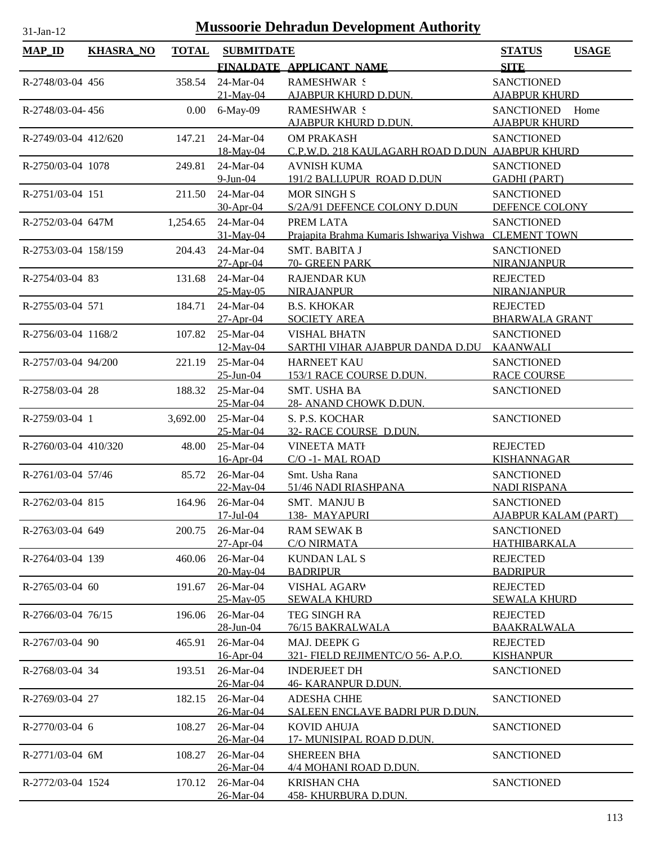| $MAP$ ID             | <b>KHASRA_NO</b> | <b>TOTAL</b> | <b>SUBMITDATE</b>      |                                                                     | <b>STATUS</b>                           | <b>USAGE</b> |
|----------------------|------------------|--------------|------------------------|---------------------------------------------------------------------|-----------------------------------------|--------------|
|                      |                  |              |                        | FINALDATE APPLICANT NAME                                            | <b>SITE</b>                             |              |
| R-2748/03-04 456     |                  | 358.54       | 24-Mar-04              | <b>RAMESHWAR S</b>                                                  | <b>SANCTIONED</b>                       |              |
|                      |                  |              | 21-May-04              | <b>AJABPUR KHURD D.DUN.</b>                                         | <b>AJABPUR KHURD</b>                    |              |
| R-2748/03-04-456     |                  | $0.00\,$     | 6-May-09               | <b>RAMESHWAR S</b>                                                  | <b>SANCTIONED</b>                       | Home         |
|                      |                  |              |                        | AJABPUR KHURD D.DUN.                                                | <b>AJABPUR KHURD</b>                    |              |
| R-2749/03-04 412/620 |                  | 147.21       | 24-Mar-04              | <b>OM PRAKASH</b>                                                   | <b>SANCTIONED</b>                       |              |
|                      |                  |              | 18-May-04              | C.P.W.D. 218 KAULAGARH ROAD D.DUN AJABPUR KHURD                     |                                         |              |
| R-2750/03-04 1078    |                  | 249.81       | 24-Mar-04              | <b>AVNISH KUMA</b>                                                  | <b>SANCTIONED</b>                       |              |
|                      |                  |              | $9$ -Jun-04            | 191/2 BALLUPUR ROAD D.DUN                                           | <b>GADHI (PART)</b>                     |              |
| R-2751/03-04 151     |                  | 211.50       | 24-Mar-04              | <b>MOR SINGH S</b>                                                  | <b>SANCTIONED</b>                       |              |
|                      |                  |              | 30-Apr-04              | S/2A/91 DEFENCE COLONY D.DUN                                        | DEFENCE COLONY                          |              |
| R-2752/03-04 647M    |                  | 1,254.65     | 24-Mar-04              | PREM LATA<br>Prajapita Brahma Kumaris Ishwariya Vishwa CLEMENT TOWN | <b>SANCTIONED</b>                       |              |
|                      |                  |              | 31-May-04<br>24-Mar-04 | SMT. BABITA J                                                       |                                         |              |
| R-2753/03-04 158/159 |                  | 204.43       | $27-Apr-04$            | 70- GREEN PARK                                                      | <b>SANCTIONED</b><br><b>NIRANJANPUR</b> |              |
| R-2754/03-04 83      |                  | 131.68       | 24-Mar-04              | <b>RAJENDAR KUN</b>                                                 | <b>REJECTED</b>                         |              |
|                      |                  |              | 25-May-05              | <b>NIRAJANPUR</b>                                                   | NIRANJANPUR                             |              |
| R-2755/03-04 571     |                  | 184.71       | 24-Mar-04              | <b>B.S. KHOKAR</b>                                                  | <b>REJECTED</b>                         |              |
|                      |                  |              | $27-Apr-04$            | <b>SOCIETY AREA</b>                                                 | <b>BHARWALA GRANT</b>                   |              |
| R-2756/03-04 1168/2  |                  | 107.82       | 25-Mar-04              | <b>VISHAL BHATN</b>                                                 | <b>SANCTIONED</b>                       |              |
|                      |                  |              | 12-May-04              | SARTHI VIHAR AJABPUR DANDA D.DU                                     | <b>KAANWALI</b>                         |              |
| R-2757/03-04 94/200  |                  | 221.19       | 25-Mar-04              | <b>HARNEET KAU</b>                                                  | <b>SANCTIONED</b>                       |              |
|                      |                  |              | 25-Jun-04              | 153/1 RACE COURSE D.DUN.                                            | <b>RACE COURSE</b>                      |              |
| R-2758/03-04 28      |                  | 188.32       | 25-Mar-04              | <b>SMT. USHA BA</b>                                                 | <b>SANCTIONED</b>                       |              |
|                      |                  |              | 25-Mar-04              | 28- ANAND CHOWK D.DUN.                                              |                                         |              |
| R-2759/03-04 1       |                  | 3,692.00     | 25-Mar-04              | S. P.S. KOCHAR                                                      | <b>SANCTIONED</b>                       |              |
|                      |                  |              | 25-Mar-04              | 32- RACE COURSE D.DUN.                                              |                                         |              |
| R-2760/03-04 410/320 |                  | 48.00        | 25-Mar-04              | <b>VINEETA MATH</b>                                                 | <b>REJECTED</b>                         |              |
|                      |                  |              | $16$ -Apr-04           | C/O-1-MAL ROAD                                                      | <b>KISHANNAGAR</b>                      |              |
| R-2761/03-04 57/46   |                  | 85.72        | 26-Mar-04              | Smt. Usha Rana                                                      | <b>SANCTIONED</b>                       |              |
|                      |                  |              | 22-May-04              | 51/46 NADI RIASHPANA                                                | <b>NADI RISPANA</b>                     |              |
| R-2762/03-04 815     |                  | 164.96       | 26-Mar-04              | SMT. MANJUB                                                         | <b>SANCTIONED</b>                       |              |
|                      |                  |              | $17 - \text{Jul} - 04$ | 138- MAYAPURI                                                       | <b>AJABPUR KALAM (PART)</b>             |              |
| R-2763/03-04 649     |                  | 200.75       | $26$ -Mar-04           | <b>RAM SEWAK B</b>                                                  | <b>SANCTIONED</b><br>HATHIBARKALA       |              |
|                      |                  |              | 27-Apr-04              | <b>C/O NIRMATA</b>                                                  |                                         |              |
| R-2764/03-04 139     |                  | 460.06       | 26-Mar-04<br>20-May-04 | <b>KUNDAN LAL S</b><br><b>BADRIPUR</b>                              | <b>REJECTED</b><br><b>BADRIPUR</b>      |              |
| R-2765/03-04 60      |                  | 191.67       | 26-Mar-04              | <b>VISHAL AGARV</b>                                                 | <b>REJECTED</b>                         |              |
|                      |                  |              | 25-May-05              | <b>SEWALA KHURD</b>                                                 | <b>SEWALA KHURD</b>                     |              |
| R-2766/03-04 76/15   |                  | 196.06       | 26-Mar-04              | TEG SINGH RA                                                        | <b>REJECTED</b>                         |              |
|                      |                  |              | 28-Jun-04              | 76/15 BAKRALWALA                                                    | <b>BAAKRALWALA</b>                      |              |
| R-2767/03-04 90      |                  | 465.91       | 26-Mar-04              | MAJ. DEEPK G                                                        | <b>REJECTED</b>                         |              |
|                      |                  |              | 16-Apr-04              | 321- FIELD REJIMENTC/O 56- A.P.O.                                   | <b>KISHANPUR</b>                        |              |
| R-2768/03-04 34      |                  | 193.51       | 26-Mar-04              | <b>INDERJEET DH</b>                                                 | <b>SANCTIONED</b>                       |              |
|                      |                  |              | 26-Mar-04              | <b>46- KARANPUR D.DUN.</b>                                          |                                         |              |
| R-2769/03-04 27      |                  | 182.15       | 26-Mar-04              | <b>ADESHA CHHE</b>                                                  | <b>SANCTIONED</b>                       |              |
|                      |                  |              | 26-Mar-04              | SALEEN ENCLAVE BADRI PUR D.DUN.                                     |                                         |              |
| R-2770/03-04 6       |                  | 108.27       | 26-Mar-04              | <b>KOVID AHUJA</b>                                                  | <b>SANCTIONED</b>                       |              |
|                      |                  |              | 26-Mar-04              | 17- MUNISIPAL ROAD D.DUN.                                           |                                         |              |
| R-2771/03-04 6M      |                  | 108.27       | 26-Mar-04              | <b>SHEREEN BHA</b>                                                  | <b>SANCTIONED</b>                       |              |
|                      |                  |              | 26-Mar-04              | 4/4 MOHANI ROAD D.DUN.                                              |                                         |              |
| R-2772/03-04 1524    |                  | 170.12       | 26-Mar-04              | <b>KRISHAN CHA</b>                                                  | <b>SANCTIONED</b>                       |              |
|                      |                  |              | 26-Mar-04              | <b>458- KHURBURA D.DUN.</b>                                         |                                         |              |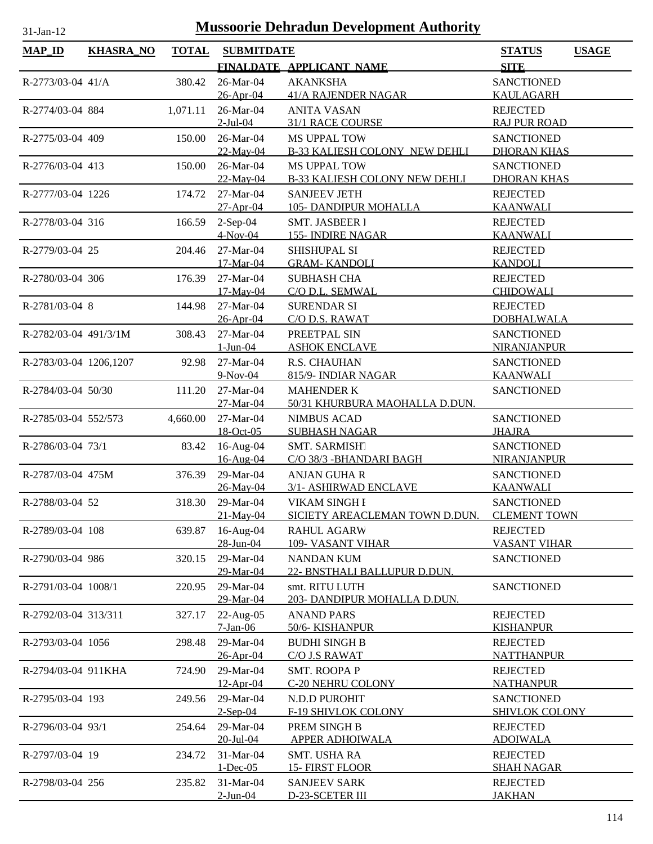| <b>Mussoorie Dehradun Development Authority</b><br>31-Jan-12 |                  |              |                           |                                                   |                                     |              |
|--------------------------------------------------------------|------------------|--------------|---------------------------|---------------------------------------------------|-------------------------------------|--------------|
| <b>MAP_ID</b>                                                | <b>KHASRA_NO</b> | <b>TOTAL</b> | <b>SUBMITDATE</b>         |                                                   | <b>STATUS</b>                       | <b>USAGE</b> |
|                                                              |                  |              |                           | FINALDATE APPLICANT NAME                          | <b>SITE</b>                         |              |
| R-2773/03-04 41/A                                            |                  | 380.42       | 26-Mar-04                 | <b>AKANKSHA</b>                                   | <b>SANCTIONED</b>                   |              |
|                                                              |                  |              | 26-Apr-04                 | <b>41/A RAJENDER NAGAR</b>                        | KAULAGARH                           |              |
| R-2774/03-04 884                                             |                  | 1,071.11     | 26-Mar-04                 | <b>ANITA VASAN</b>                                | <b>REJECTED</b>                     |              |
|                                                              |                  |              | $2$ -Jul-04               | 31/1 RACE COURSE                                  | <b>RAJ PUR ROAD</b>                 |              |
| R-2775/03-04 409                                             |                  | 150.00       | 26-Mar-04                 | <b>MS UPPAL TOW</b>                               | <b>SANCTIONED</b>                   |              |
|                                                              |                  |              | 22-May-04                 | <b>B-33 KALIESH COLONY NEW DEHLI</b>              | <b>DHORAN KHAS</b>                  |              |
| R-2776/03-04 413                                             |                  | 150.00       | 26-Mar-04                 | <b>MS UPPAL TOW</b>                               | <b>SANCTIONED</b>                   |              |
|                                                              |                  |              | 22-May-04                 | <b>B-33 KALIESH COLONY NEW DEHLI</b>              | <b>DHORAN KHAS</b>                  |              |
| R-2777/03-04 1226                                            |                  | 174.72       | 27-Mar-04                 | <b>SANJEEV JETH</b>                               | <b>REJECTED</b>                     |              |
|                                                              |                  |              | 27-Apr-04                 | <b>105-DANDIPUR MOHALLA</b>                       | <b>KAANWALI</b>                     |              |
| R-2778/03-04 316                                             |                  | 166.59       | $2-Sep-04$                | SMT. JASBEER 1                                    | <b>REJECTED</b>                     |              |
|                                                              |                  |              | $4-Nov-04$                | <b>155- INDIRE NAGAR</b>                          | <b>KAANWALI</b>                     |              |
| R-2779/03-04 25                                              |                  | 204.46       | 27-Mar-04                 | SHISHUPAL SI                                      | <b>REJECTED</b>                     |              |
|                                                              |                  |              | 17-Mar-04                 | <b>GRAM-KANDOLI</b>                               | <b>KANDOLI</b>                      |              |
| R-2780/03-04 306                                             |                  | 176.39       | 27-Mar-04                 | <b>SUBHASH CHA</b>                                | <b>REJECTED</b>                     |              |
|                                                              |                  |              | 17-May-04                 | C/O D.L. SEMWAL                                   | <b>CHIDOWALI</b>                    |              |
| R-2781/03-04 8                                               |                  | 144.98       | 27-Mar-04                 | <b>SURENDAR SI</b>                                | <b>REJECTED</b>                     |              |
|                                                              |                  |              | 26-Apr-04                 | C/O D.S. RAWAT                                    | <b>DOBHALWALA</b>                   |              |
| R-2782/03-04 491/3/1M                                        |                  | 308.43       | 27-Mar-04                 | PREETPAL SIN                                      | <b>SANCTIONED</b>                   |              |
|                                                              |                  |              | $1-Jun-04$                | <b>ASHOK ENCLAVE</b>                              | <b>NIRANJANPUR</b>                  |              |
| R-2783/03-04 1206,1207                                       |                  | 92.98        | 27-Mar-04                 | R.S. CHAUHAN                                      | <b>SANCTIONED</b>                   |              |
|                                                              |                  |              | $9-Nov-04$                | 815/9- INDIAR NAGAR                               | <b>KAANWALI</b>                     |              |
| R-2784/03-04 50/30                                           |                  | 111.20       | 27-Mar-04                 | <b>MAHENDER K</b>                                 | <b>SANCTIONED</b>                   |              |
|                                                              |                  |              | 27-Mar-04                 | 50/31 KHURBURA MAOHALLA D.DUN.                    |                                     |              |
| R-2785/03-04 552/573                                         |                  | 4,660.00     | 27-Mar-04                 | <b>NIMBUS ACAD</b>                                | <b>SANCTIONED</b>                   |              |
|                                                              |                  |              | 18-Oct-05                 | <b>SUBHASH NAGAR</b>                              | <b>JHAJRA</b>                       |              |
| R-2786/03-04 73/1                                            |                  | 83.42        | 16-Aug-04                 | SMT. SARMISHT                                     | <b>SANCTIONED</b>                   |              |
|                                                              |                  |              | 16-Aug-04                 | C/O 38/3 - BHANDARI BAGH                          | <b>NIRANJANPUR</b>                  |              |
| R-2787/03-04 475M                                            |                  | 376.39       | 29-Mar-04                 | <b>ANJAN GUHA R</b>                               | <b>SANCTIONED</b>                   |              |
|                                                              |                  |              | 26-May-04                 | 3/1- ASHIRWAD ENCLAVE                             | <b>KAANWALI</b>                     |              |
| R-2788/03-04 52                                              |                  | 318.30       | 29-Mar-04                 | VIKAM SINGH I                                     | <b>SANCTIONED</b>                   |              |
|                                                              |                  |              | 21-May-04                 | SICIETY AREACLEMAN TOWN D.DUN.                    | <b>CLEMENT TOWN</b>                 |              |
| R-2789/03-04 108                                             |                  | 639.87       | 16-Aug-04                 | <b>RAHUL AGARW</b>                                | <b>REJECTED</b>                     |              |
|                                                              |                  |              | 28-Jun-04                 | 109- VASANT VIHAR                                 | <b>VASANT VIHAR</b>                 |              |
| R-2790/03-04 986                                             |                  | 320.15       | 29-Mar-04                 | <b>NANDAN KUM</b><br>22- BNSTHALI BALLUPUR D.DUN. | <b>SANCTIONED</b>                   |              |
|                                                              |                  |              | 29-Mar-04                 |                                                   |                                     |              |
| R-2791/03-04 1008/1                                          |                  | 220.95       | 29-Mar-04<br>29-Mar-04    | smt. RITU LUTH<br>203- DANDIPUR MOHALLA D.DUN.    | <b>SANCTIONED</b>                   |              |
|                                                              |                  |              |                           |                                                   |                                     |              |
| R-2792/03-04 313/311                                         |                  | 327.17       | $22-Aug-05$<br>$7-Ian-06$ | <b>ANAND PARS</b><br>50/6- KISHANPUR              | <b>REJECTED</b><br><b>KISHANPUR</b> |              |
| R-2793/03-04 1056                                            |                  | 298.48       | 29-Mar-04                 | <b>BUDHI SINGH B</b>                              | <b>REJECTED</b>                     |              |
|                                                              |                  |              | 26-Apr-04                 | C/O J.S RAWAT                                     | <b>NATTHANPUR</b>                   |              |
| R-2794/03-04 911KHA                                          |                  | 724.90       | 29-Mar-04                 | SMT. ROOPA P                                      | <b>REJECTED</b>                     |              |
|                                                              |                  |              | $12$ -Apr-04              | <b>C-20 NEHRU COLONY</b>                          | <b>NATHANPUR</b>                    |              |
| R-2795/03-04 193                                             |                  | 249.56       | 29-Mar-04                 | N.D.D PUROHIT                                     | <b>SANCTIONED</b>                   |              |
|                                                              |                  |              | $2-Sep-04$                | F-19 SHIVLOK COLONY                               | <b>SHIVLOK COLONY</b>               |              |
| R-2796/03-04 93/1                                            |                  | 254.64       | 29-Mar-04                 | PREM SINGH B                                      | <b>REJECTED</b>                     |              |
|                                                              |                  |              | 20-Jul-04                 | <b>APPER ADHOIWALA</b>                            | <b>ADOIWALA</b>                     |              |
| R-2797/03-04 19                                              |                  | 234.72       | 31-Mar-04                 | SMT. USHA RA                                      | <b>REJECTED</b>                     |              |
|                                                              |                  |              | $1-Dec-05$                | 15-FIRST FLOOR                                    | <b>SHAH NAGAR</b>                   |              |
| R-2798/03-04 256                                             |                  |              | 235.82 31-Mar-04          | <b>SANJEEV SARK</b>                               | <b>REJECTED</b>                     |              |

2-Jun-04 D-23-SCETER III JAKHAN